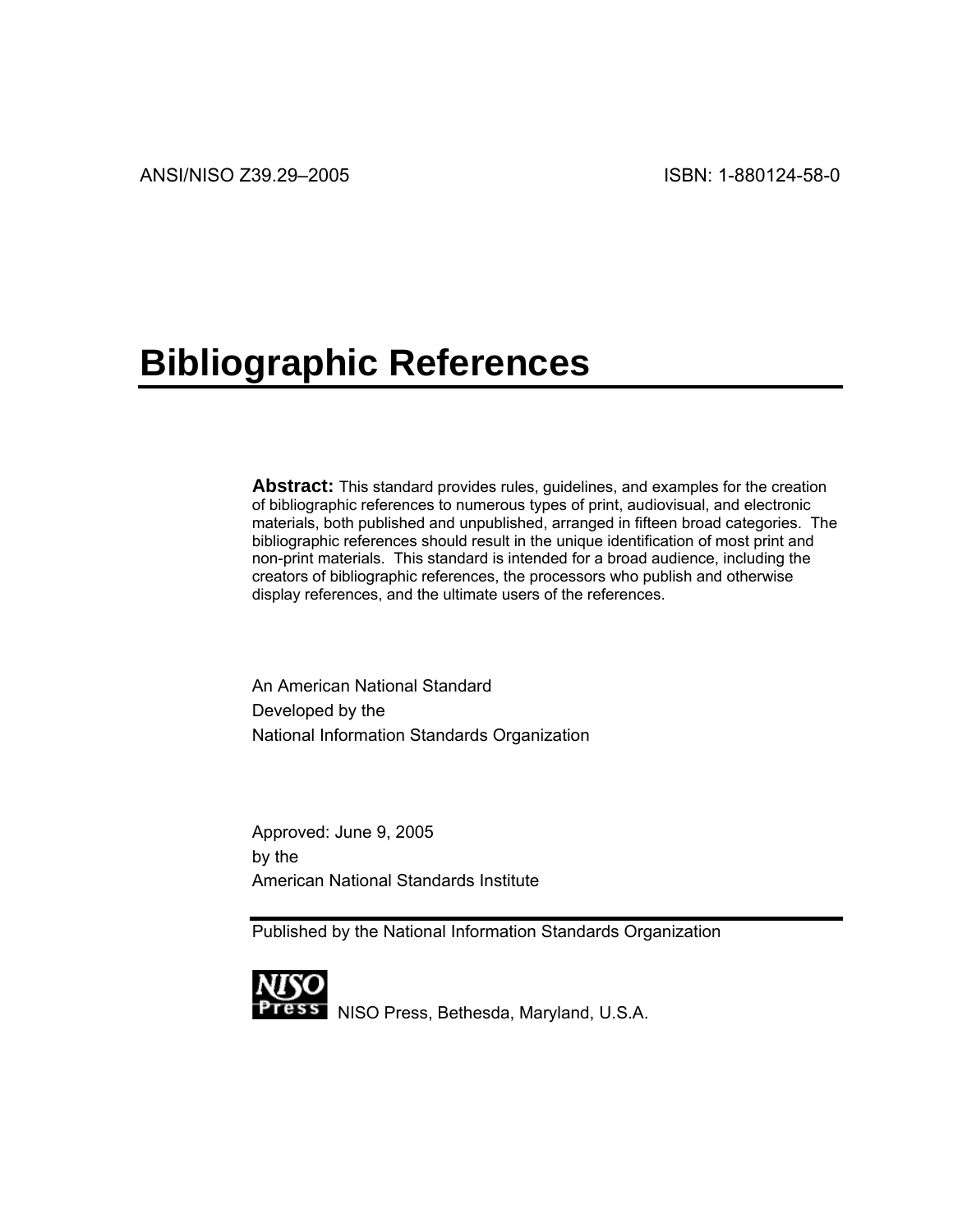# **Bibliographic References**

**Abstract:** This standard provides rules, guidelines, and examples for the creation of bibliographic references to numerous types of print, audiovisual, and electronic materials, both published and unpublished, arranged in fifteen broad categories. The bibliographic references should result in the unique identification of most print and non-print materials. This standard is intended for a broad audience, including the creators of bibliographic references, the processors who publish and otherwise display references, and the ultimate users of the references.

An American National Standard Developed by the National Information Standards Organization

Approved: June 9, 2005 by the American National Standards Institute

Published by the National Information Standards Organization



NISO Press, Bethesda, Maryland, U.S.A.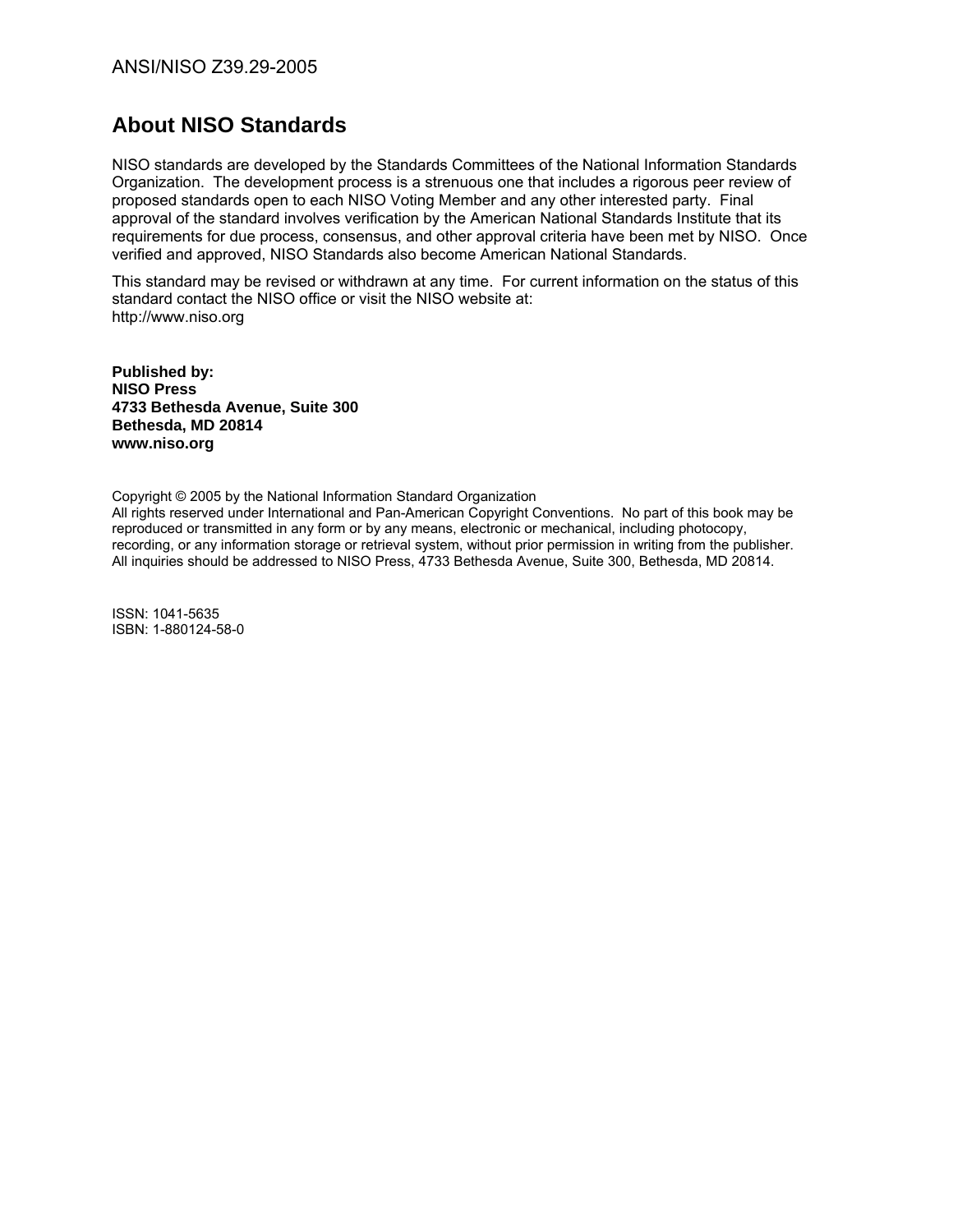# **About NISO Standards**

NISO standards are developed by the Standards Committees of the National Information Standards Organization. The development process is a strenuous one that includes a rigorous peer review of proposed standards open to each NISO Voting Member and any other interested party. Final approval of the standard involves verification by the American National Standards Institute that its requirements for due process, consensus, and other approval criteria have been met by NISO. Once verified and approved, NISO Standards also become American National Standards.

This standard may be revised or withdrawn at any time. For current information on the status of this standard contact the NISO office or visit the NISO website at: [http://www.niso.org](http://www.niso.org/) 

**Published by: NISO Press 4733 Bethesda Avenue, Suite 300 Bethesda, MD 20814 [www.niso.org](http://www.niso.org/)** 

Copyright © 2005 by the National Information Standard Organization

All rights reserved under International and Pan-American Copyright Conventions. No part of this book may be reproduced or transmitted in any form or by any means, electronic or mechanical, including photocopy, recording, or any information storage or retrieval system, without prior permission in writing from the publisher. All inquiries should be addressed to NISO Press, 4733 Bethesda Avenue, Suite 300, Bethesda, MD 20814.

ISSN: 1041-5635 ISBN: 1-880124-58-0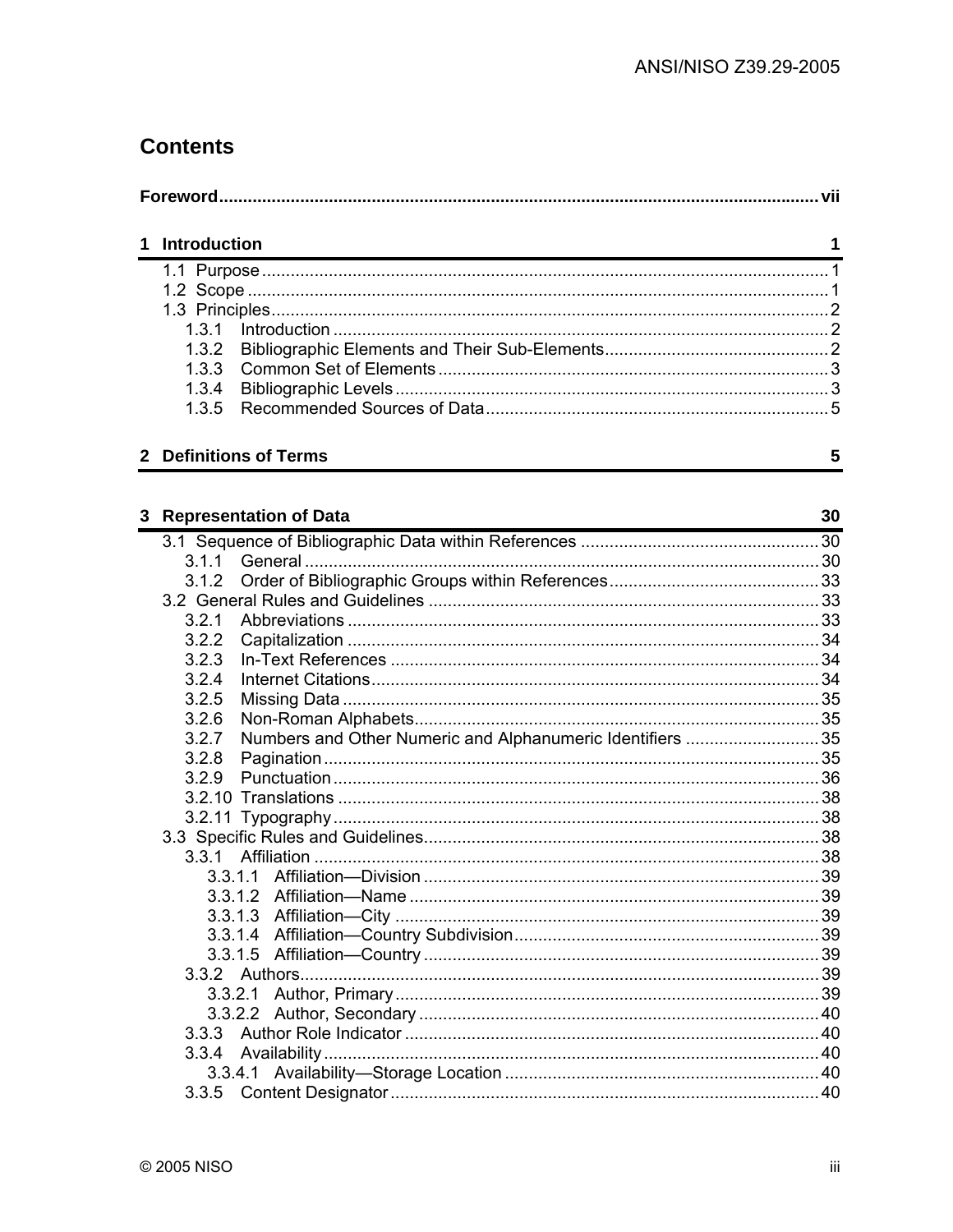# **Contents**

|  | 1 Introduction |  |  |
|--|----------------|--|--|
|  |                |  |  |
|  |                |  |  |
|  |                |  |  |
|  |                |  |  |
|  |                |  |  |
|  | 1.3.3          |  |  |
|  | 1.3.4          |  |  |
|  | 1.3.5          |  |  |

# 2 Definitions of Terms

| 3 |       | <b>Representation of Data</b>                              | 30 |
|---|-------|------------------------------------------------------------|----|
|   |       |                                                            |    |
|   | 3.1.1 |                                                            |    |
|   | 3.1.2 |                                                            |    |
|   |       |                                                            |    |
|   | 3.2.1 |                                                            |    |
|   | 3.2.2 |                                                            |    |
|   | 3.2.3 |                                                            |    |
|   | 3.2.4 |                                                            |    |
|   | 3.2.5 |                                                            |    |
|   | 3.2.6 |                                                            |    |
|   | 3.2.7 | Numbers and Other Numeric and Alphanumeric Identifiers  35 |    |
|   | 3.2.8 |                                                            |    |
|   | 3.2.9 |                                                            |    |
|   |       |                                                            |    |
|   |       |                                                            |    |
|   |       |                                                            |    |
|   | 331   |                                                            |    |
|   |       | 3.3.1.1                                                    |    |
|   |       |                                                            |    |
|   |       |                                                            |    |
|   |       |                                                            |    |
|   |       | 3.3.1.5                                                    |    |
|   |       |                                                            |    |
|   |       | 3.3.2.1                                                    |    |
|   |       | 3.3.2.2                                                    |    |
|   |       |                                                            |    |
|   | 3.3.4 |                                                            |    |
|   |       |                                                            |    |
|   |       |                                                            |    |

 $\overline{\mathbf{5}}$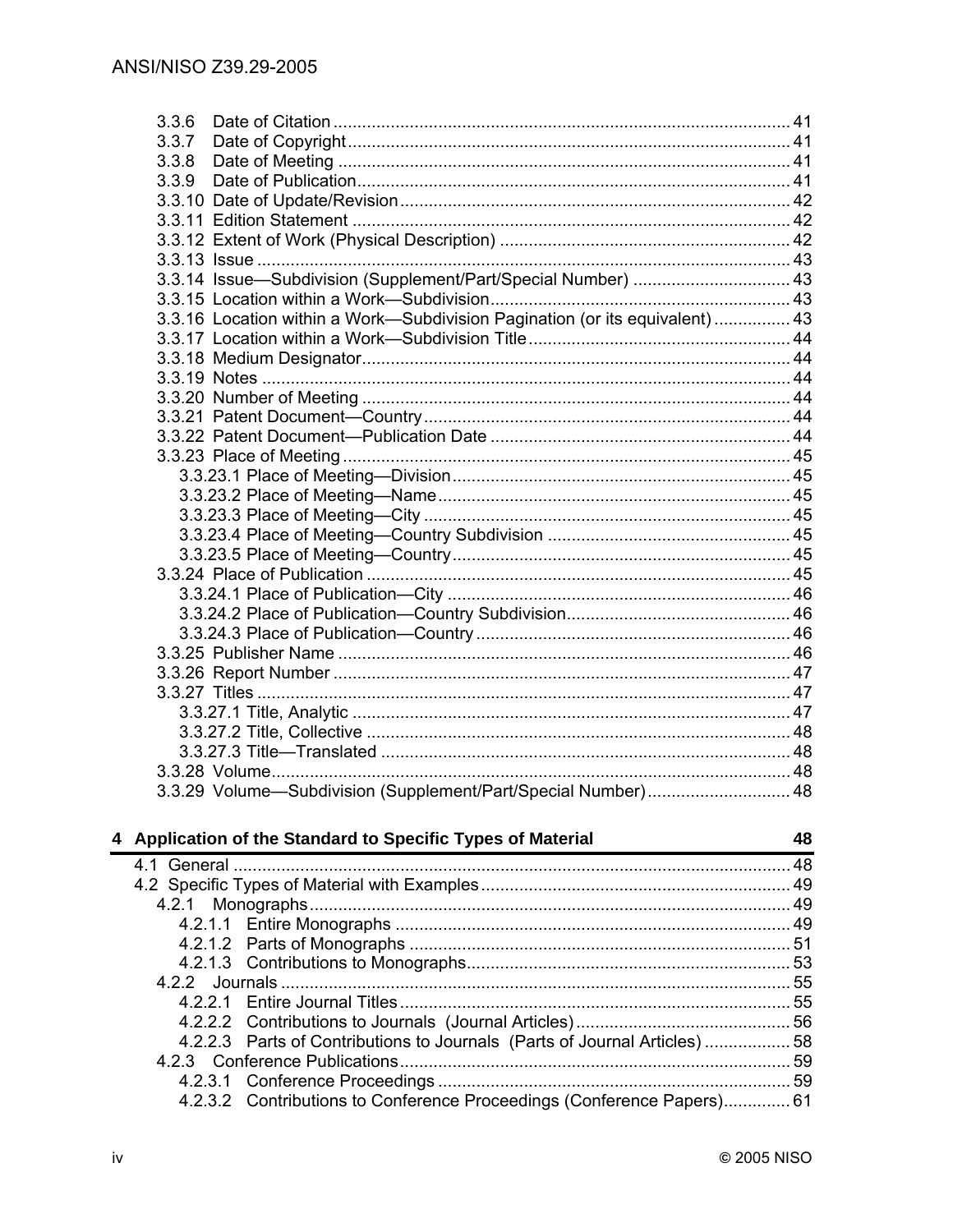| 3.3.6                                                                        |    |
|------------------------------------------------------------------------------|----|
| 3.3.7                                                                        |    |
| 3.3.8                                                                        |    |
| 3.3.9                                                                        |    |
|                                                                              |    |
|                                                                              |    |
|                                                                              |    |
|                                                                              |    |
| 3.3.14 Issue-Subdivision (Supplement/Part/Special Number)  43                |    |
|                                                                              |    |
| 3.3.16 Location within a Work-Subdivision Pagination (or its equivalent)  43 |    |
|                                                                              |    |
|                                                                              |    |
|                                                                              |    |
|                                                                              |    |
|                                                                              |    |
|                                                                              |    |
|                                                                              |    |
|                                                                              |    |
|                                                                              |    |
|                                                                              |    |
|                                                                              |    |
|                                                                              |    |
|                                                                              |    |
|                                                                              |    |
|                                                                              |    |
|                                                                              |    |
|                                                                              |    |
|                                                                              |    |
|                                                                              |    |
|                                                                              |    |
|                                                                              |    |
|                                                                              |    |
|                                                                              |    |
| 3.3.29 Volume-Subdivision (Supplement/Part/Special Number) 48                |    |
| pplication of the Standard to Specific Types of Material                     | 48 |

| Application of the Standard to Specific Types of Material                  | 48 |
|----------------------------------------------------------------------------|----|
|                                                                            |    |
|                                                                            |    |
|                                                                            |    |
|                                                                            |    |
|                                                                            |    |
|                                                                            |    |
|                                                                            |    |
|                                                                            |    |
|                                                                            |    |
| 4.2.2.3 Parts of Contributions to Journals (Parts of Journal Articles)  58 |    |
|                                                                            |    |
|                                                                            |    |
| 4.2.3.2 Contributions to Conference Proceedings (Conference Papers) 61     |    |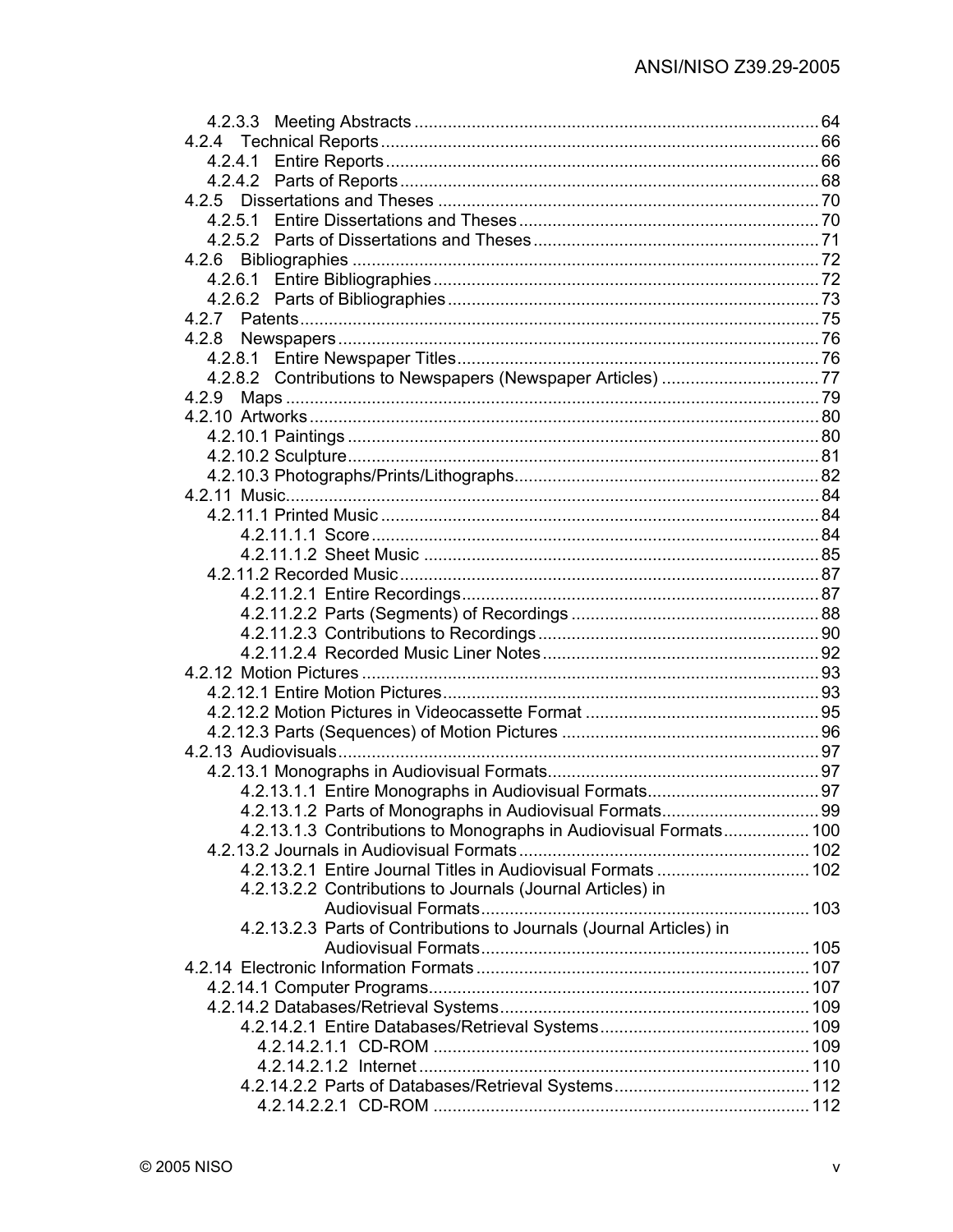| 4.2.9                                                               |  |
|---------------------------------------------------------------------|--|
|                                                                     |  |
|                                                                     |  |
|                                                                     |  |
|                                                                     |  |
|                                                                     |  |
|                                                                     |  |
|                                                                     |  |
|                                                                     |  |
|                                                                     |  |
|                                                                     |  |
|                                                                     |  |
|                                                                     |  |
|                                                                     |  |
|                                                                     |  |
|                                                                     |  |
|                                                                     |  |
|                                                                     |  |
|                                                                     |  |
|                                                                     |  |
|                                                                     |  |
|                                                                     |  |
| 4.2.13.1.3 Contributions to Monographs in Audiovisual Formats 100   |  |
|                                                                     |  |
|                                                                     |  |
| 4.2.13.2.2 Contributions to Journals (Journal Articles) in          |  |
|                                                                     |  |
| 4.2.13.2.3 Parts of Contributions to Journals (Journal Articles) in |  |
|                                                                     |  |
|                                                                     |  |
|                                                                     |  |
|                                                                     |  |
|                                                                     |  |
|                                                                     |  |
|                                                                     |  |
|                                                                     |  |
|                                                                     |  |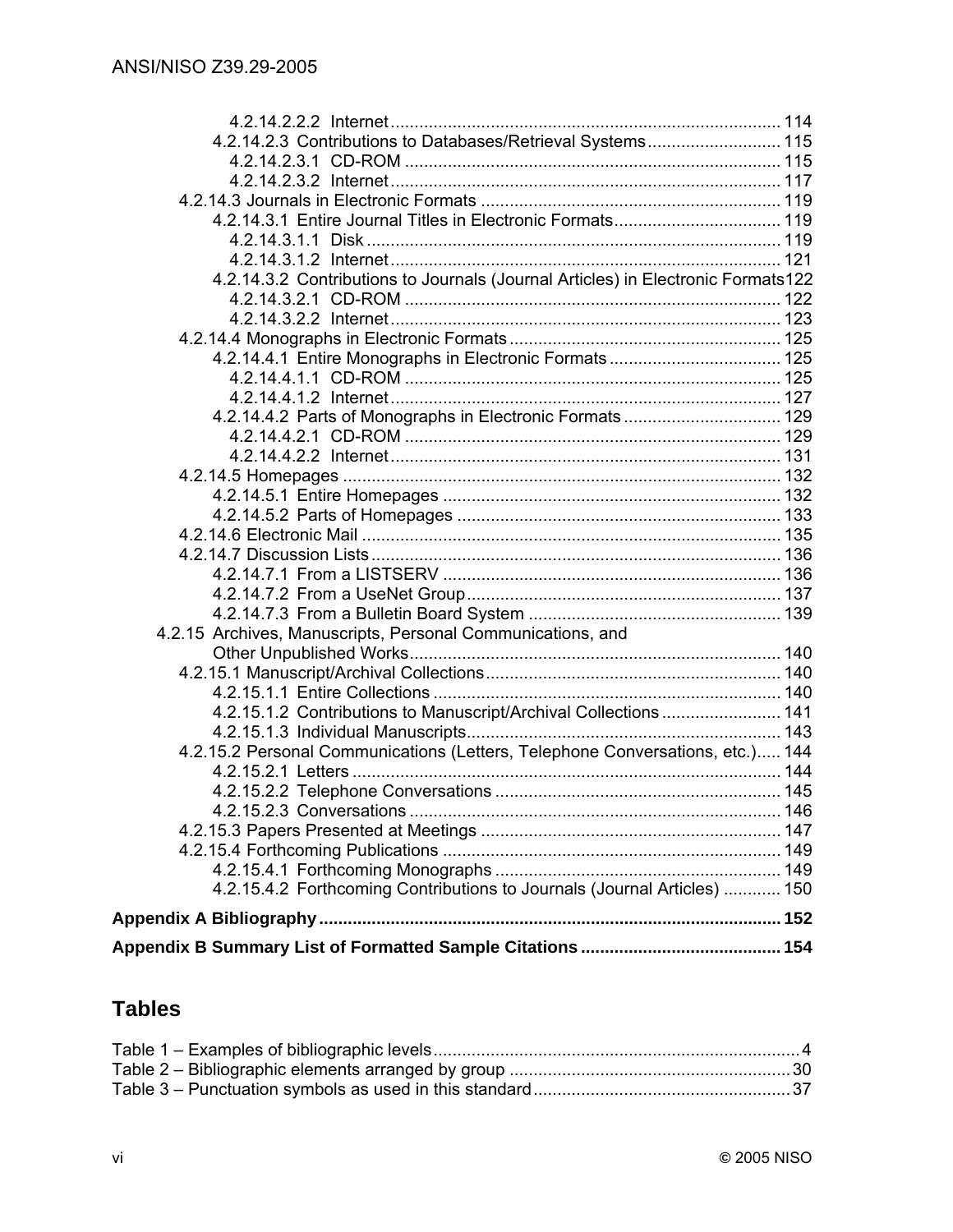| 4.2.14.2.3 Contributions to Databases/Retrieval Systems 115                      |  |
|----------------------------------------------------------------------------------|--|
|                                                                                  |  |
|                                                                                  |  |
|                                                                                  |  |
| 4.2.14.3.1 Entire Journal Titles in Electronic Formats 119                       |  |
|                                                                                  |  |
|                                                                                  |  |
| 4.2.14.3.2 Contributions to Journals (Journal Articles) in Electronic Formats122 |  |
|                                                                                  |  |
|                                                                                  |  |
|                                                                                  |  |
|                                                                                  |  |
|                                                                                  |  |
|                                                                                  |  |
| 4.2.14.4.2 Parts of Monographs in Electronic Formats 129                         |  |
|                                                                                  |  |
|                                                                                  |  |
|                                                                                  |  |
|                                                                                  |  |
|                                                                                  |  |
|                                                                                  |  |
|                                                                                  |  |
|                                                                                  |  |
|                                                                                  |  |
|                                                                                  |  |
| 4.2.15 Archives, Manuscripts, Personal Communications, and                       |  |
|                                                                                  |  |
|                                                                                  |  |
|                                                                                  |  |
| 4.2.15.1.2 Contributions to Manuscript/Archival Collections 141                  |  |
|                                                                                  |  |
| 4.2.15.2 Personal Communications (Letters, Telephone Conversations, etc.) 144    |  |
|                                                                                  |  |
|                                                                                  |  |
|                                                                                  |  |
|                                                                                  |  |
|                                                                                  |  |
| 4.2.15.4.2 Forthcoming Contributions to Journals (Journal Articles)  150         |  |
|                                                                                  |  |
|                                                                                  |  |
|                                                                                  |  |

# **Tables**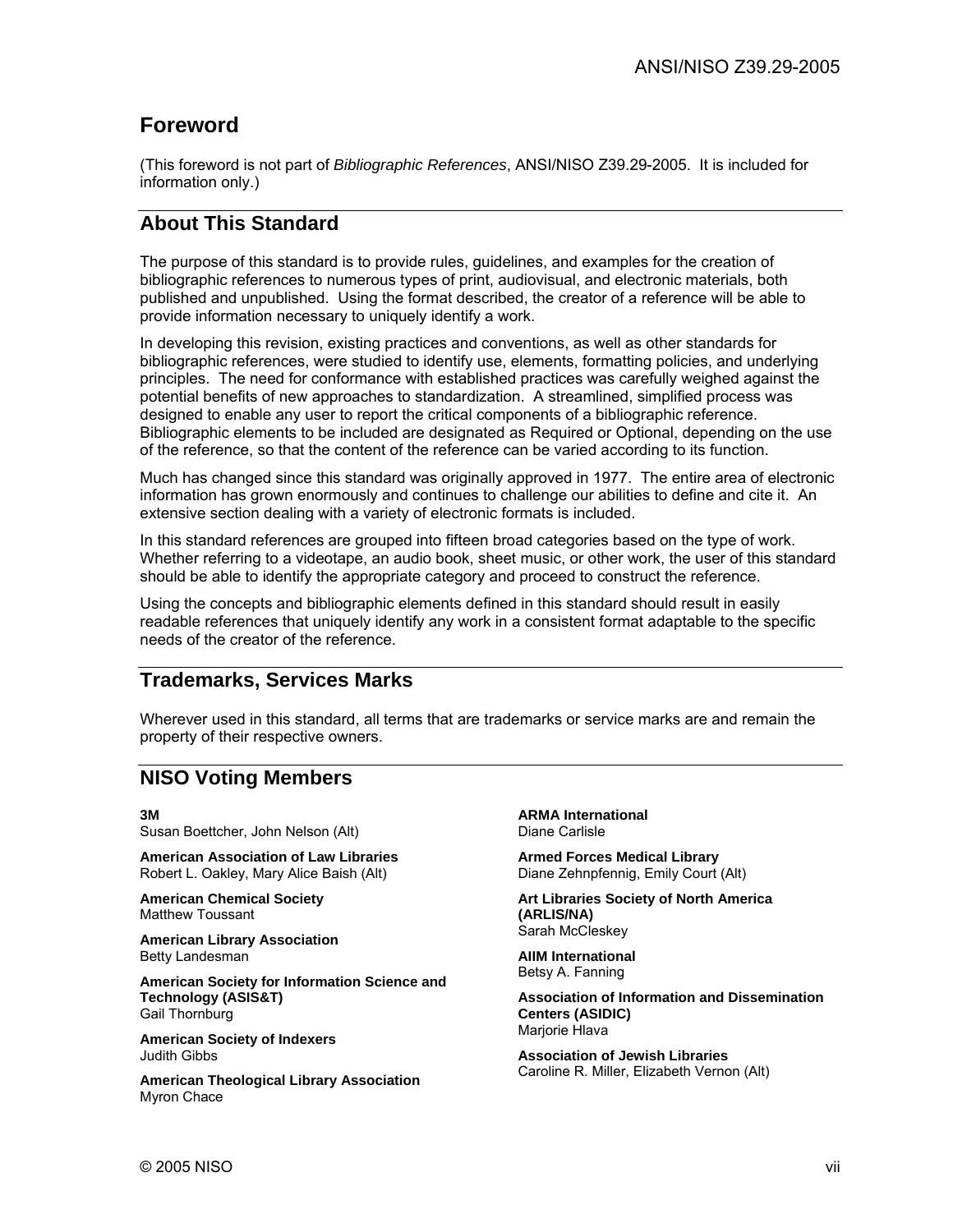# **Foreword**

(This foreword is not part of *Bibliographic References*, ANSI/NISO Z39.29-2005. It is included for information only.)

### **About This Standard**

The purpose of this standard is to provide rules, guidelines, and examples for the creation of bibliographic references to numerous types of print, audiovisual, and electronic materials, both published and unpublished. Using the format described, the creator of a reference will be able to provide information necessary to uniquely identify a work.

In developing this revision, existing practices and conventions, as well as other standards for bibliographic references, were studied to identify use, elements, formatting policies, and underlying principles. The need for conformance with established practices was carefully weighed against the potential benefits of new approaches to standardization. A streamlined, simplified process was designed to enable any user to report the critical components of a bibliographic reference. Bibliographic elements to be included are designated as Required or Optional, depending on the use of the reference, so that the content of the reference can be varied according to its function.

Much has changed since this standard was originally approved in 1977. The entire area of electronic information has grown enormously and continues to challenge our abilities to define and cite it. An extensive section dealing with a variety of electronic formats is included.

In this standard references are grouped into fifteen broad categories based on the type of work. Whether referring to a videotape, an audio book, sheet music, or other work, the user of this standard should be able to identify the appropriate category and proceed to construct the reference.

Using the concepts and bibliographic elements defined in this standard should result in easily readable references that uniquely identify any work in a consistent format adaptable to the specific needs of the creator of the reference.

#### **Trademarks, Services Marks**

Wherever used in this standard, all terms that are trademarks or service marks are and remain the property of their respective owners.

## **NISO Voting Members**

**3M**

Susan Boettcher, John Nelson (Alt)

**American Association of Law Libraries** Robert L. Oakley, Mary Alice Baish (Alt)

**American Chemical Society** Matthew Toussant

**American Library Association** Betty Landesman

**American Society for Information Science and Technology (ASIS&T)** Gail Thornburg

**American Society of Indexers** Judith Gibbs

**American Theological Library Association** Myron Chace

**ARMA International** Diane Carlisle

**Armed Forces Medical Library** Diane Zehnpfennig, Emily Court (Alt)

**Art Libraries Society of North America (ARLIS/NA)** Sarah McCleskey

**AIIM International** Betsy A. Fanning

**Association of Information and Dissemination Centers (ASIDIC)** Mariorie Hlava

**Association of Jewish Libraries** Caroline R. Miller, Elizabeth Vernon (Alt)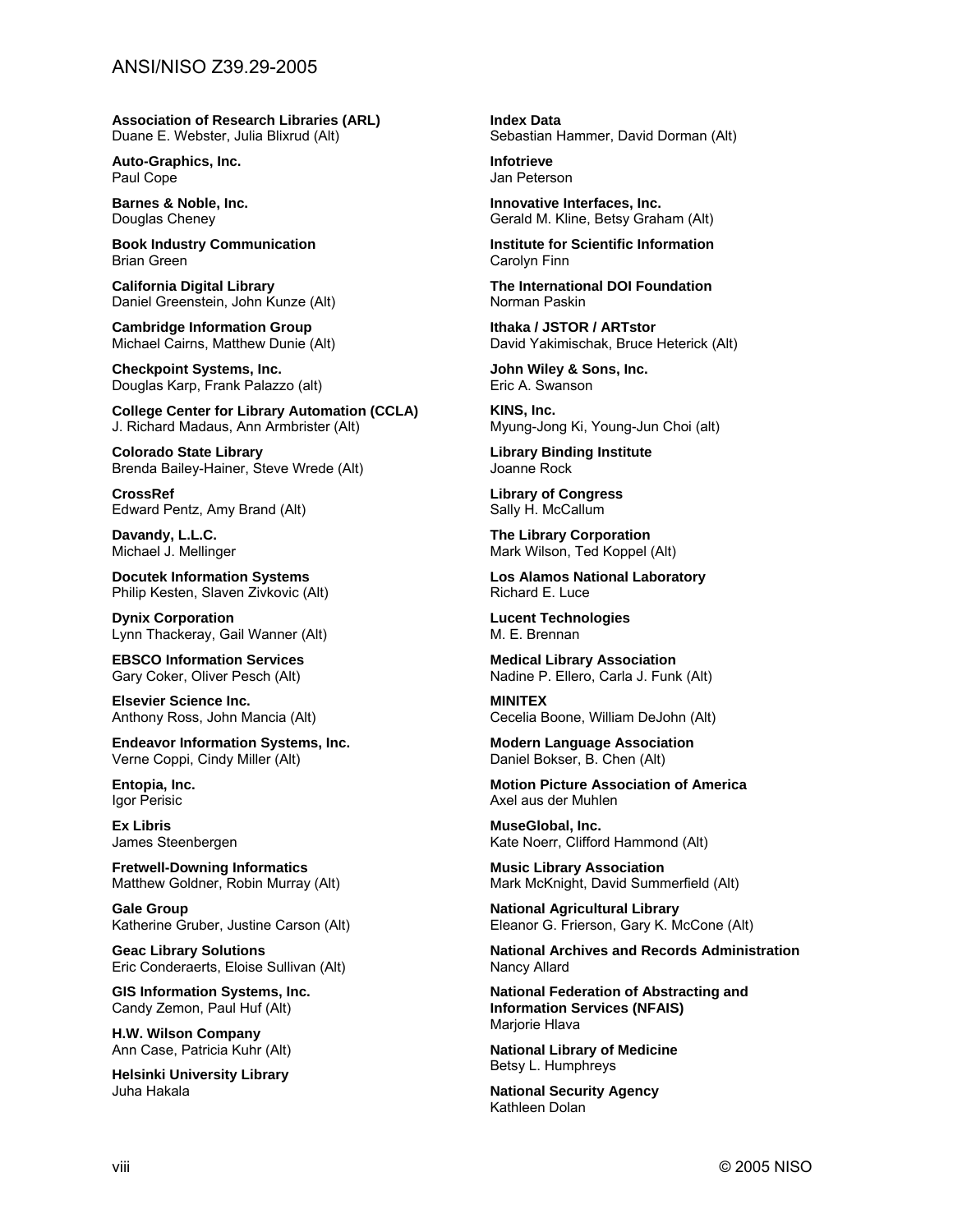**Association of Research Libraries (ARL)** Duane E. Webster, Julia Blixrud (Alt)

**Auto-Graphics, Inc.** Paul Cope

**Barnes & Noble, Inc.** Douglas Cheney

**Book Industry Communication** Brian Green

**California Digital Library** Daniel Greenstein, John Kunze (Alt)

**Cambridge Information Group** Michael Cairns, Matthew Dunie (Alt)

**Checkpoint Systems, Inc.**  Douglas Karp, Frank Palazzo (alt)

**College Center for Library Automation (CCLA)** J. Richard Madaus, Ann Armbrister (Alt)

**Colorado State Library** Brenda Bailey-Hainer, Steve Wrede (Alt)

**CrossRef** Edward Pentz, Amy Brand (Alt)

**Davandy, L.L.C.** Michael J. Mellinger

**Docutek Information Systems** Philip Kesten, Slaven Zivkovic (Alt)

**Dynix Corporation** Lynn Thackeray, Gail Wanner (Alt)

**EBSCO Information Services** Gary Coker, Oliver Pesch (Alt)

**Elsevier Science Inc.** Anthony Ross, John Mancia (Alt)

**Endeavor Information Systems, Inc.** Verne Coppi, Cindy Miller (Alt)

**Entopia, Inc.** Igor Perisic

**Ex Libris** James Steenbergen

**Fretwell-Downing Informatics** Matthew Goldner, Robin Murray (Alt)

**Gale Group** Katherine Gruber, Justine Carson (Alt)

**Geac Library Solutions** Eric Conderaerts, Eloise Sullivan (Alt)

**GIS Information Systems, Inc.** Candy Zemon, Paul Huf (Alt)

**H.W. Wilson Company** Ann Case, Patricia Kuhr (Alt)

**Helsinki University Library** Juha Hakala

**Index Data** Sebastian Hammer, David Dorman (Alt)

**Infotrieve** Jan Peterson

**Innovative Interfaces, Inc.** Gerald M. Kline, Betsy Graham (Alt)

**Institute for Scientific Information** Carolyn Finn

**The International DOI Foundation** Norman Paskin

**Ithaka / JSTOR / ARTstor**  David Yakimischak, Bruce Heterick (Alt)

**John Wiley & Sons, Inc.** Eric A. Swanson

**KINS, Inc.**  Myung-Jong Ki, Young-Jun Choi (alt)

**Library Binding Institute** Joanne Rock

**Library of Congress** Sally H. McCallum

**The Library Corporation** Mark Wilson, Ted Koppel (Alt)

**Los Alamos National Laboratory** Richard E. Luce

**Lucent Technologies** M. E. Brennan

**Medical Library Association** Nadine P. Ellero, Carla J. Funk (Alt)

**MINITEX** Cecelia Boone, William DeJohn (Alt)

**Modern Language Association** Daniel Bokser, B. Chen (Alt)

**Motion Picture Association of America** Axel aus der Muhlen

**MuseGlobal, Inc.** Kate Noerr, Clifford Hammond (Alt)

**Music Library Association** Mark McKnight, David Summerfield (Alt)

**National Agricultural Library** Eleanor G. Frierson, Gary K. McCone (Alt)

**National Archives and Records Administration** Nancy Allard

**National Federation of Abstracting and Information Services (NFAIS)** Marjorie Hlava

**National Library of Medicine** Betsy L. Humphreys

**National Security Agency** Kathleen Dolan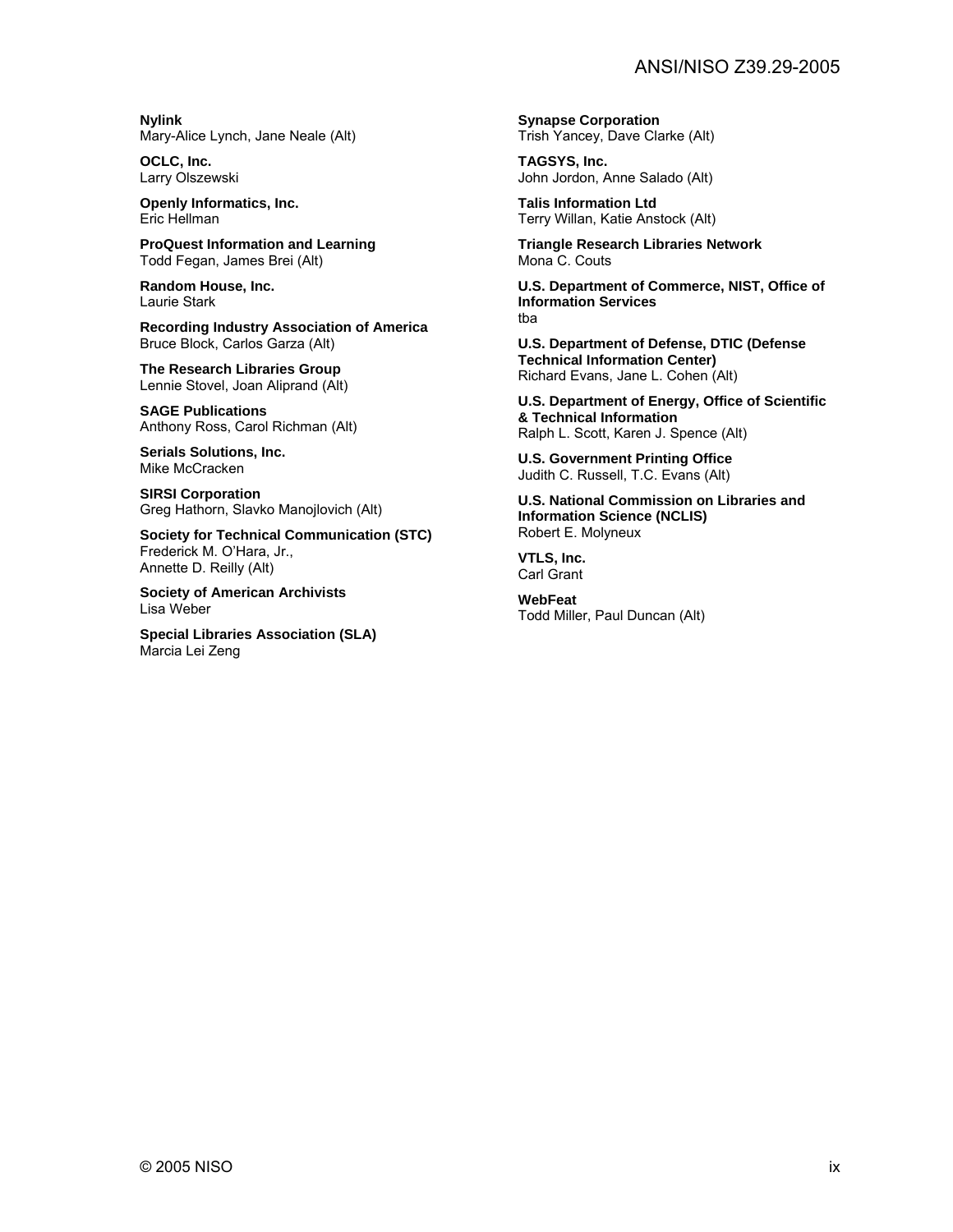**Nylink** Mary-Alice Lynch, Jane Neale (Alt)

**OCLC, Inc.** Larry Olszewski

**Openly Informatics, Inc.** Eric Hellman

**ProQuest Information and Learning** Todd Fegan, James Brei (Alt)

**Random House, Inc.** Laurie Stark

**Recording Industry Association of America** Bruce Block, Carlos Garza (Alt)

**The Research Libraries Group** Lennie Stovel, Joan Aliprand (Alt)

**SAGE Publications**  Anthony Ross, Carol Richman (Alt)

**Serials Solutions, Inc.** Mike McCracken

**SIRSI Corporation** Greg Hathorn, Slavko Manojlovich (Alt)

**Society for Technical Communication (STC)** Frederick M. O'Hara, Jr., Annette D. Reilly (Alt)

**Society of American Archivists** Lisa Weber

**Special Libraries Association (SLA)** Marcia Lei Zeng

**Synapse Corporation** Trish Yancey, Dave Clarke (Alt)

**TAGSYS, Inc.** John Jordon, Anne Salado (Alt)

**Talis Information Ltd** Terry Willan, Katie Anstock (Alt)

**Triangle Research Libraries Network** Mona C. Couts

**U.S. Department of Commerce, NIST, Office of Information Services** tba

**U.S. Department of Defense, DTIC (Defense Technical Information Center)** Richard Evans, Jane L. Cohen (Alt)

**U.S. Department of Energy, Office of Scientific & Technical Information** Ralph L. Scott, Karen J. Spence (Alt)

**U.S. Government Printing Office** Judith C. Russell, T.C. Evans (Alt)

**U.S. National Commission on Libraries and Information Science (NCLIS)** Robert E. Molyneux

**VTLS, Inc.** Carl Grant

**WebFeat** Todd Miller, Paul Duncan (Alt)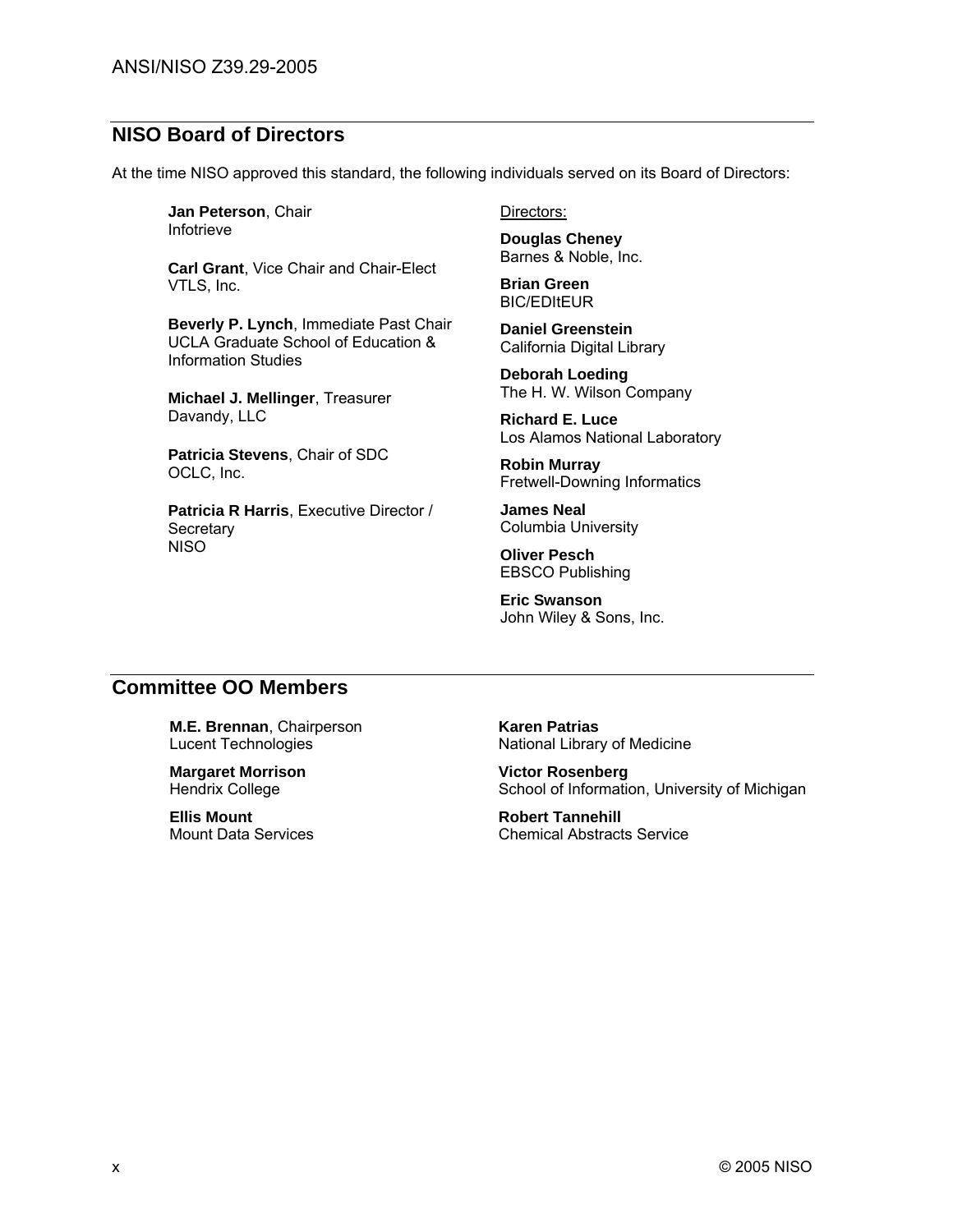### **NISO Board of Directors**

At the time NISO approved this standard, the following individuals served on its Board of Directors:

**Jan Peterson**, Chair Infotrieve

**Carl Grant**, Vice Chair and Chair-Elect VTLS, Inc.

**Beverly P. Lynch**, Immediate Past Chair UCLA Graduate School of Education & Information Studies

**Michael J. Mellinger**, Treasurer Davandy, LLC

**Patricia Stevens**, Chair of SDC OCLC, Inc.

**Patricia R Harris**, Executive Director / **Secretary NISO** 

Directors:

**Douglas Cheney**  Barnes & Noble, Inc.

**Brian Green BIC/EDItEUR** 

**Daniel Greenstein**  California Digital Library

**Deborah Loeding** The H. W. Wilson Company

**Richard E. Luce** Los Alamos National Laboratory

**Robin Murray** Fretwell-Downing Informatics

**James Neal** Columbia University

**Oliver Pesch** EBSCO Publishing

**Eric Swanson** John Wiley & Sons, Inc.

#### **Committee OO Members**

**M.E. Brennan**, Chairperson Lucent Technologies

**Margaret Morrison** Hendrix College

**Ellis Mount** Mount Data Services

**Karen Patrias** National Library of Medicine

**Victor Rosenberg** School of Information, University of Michigan

**Robert Tannehill** Chemical Abstracts Service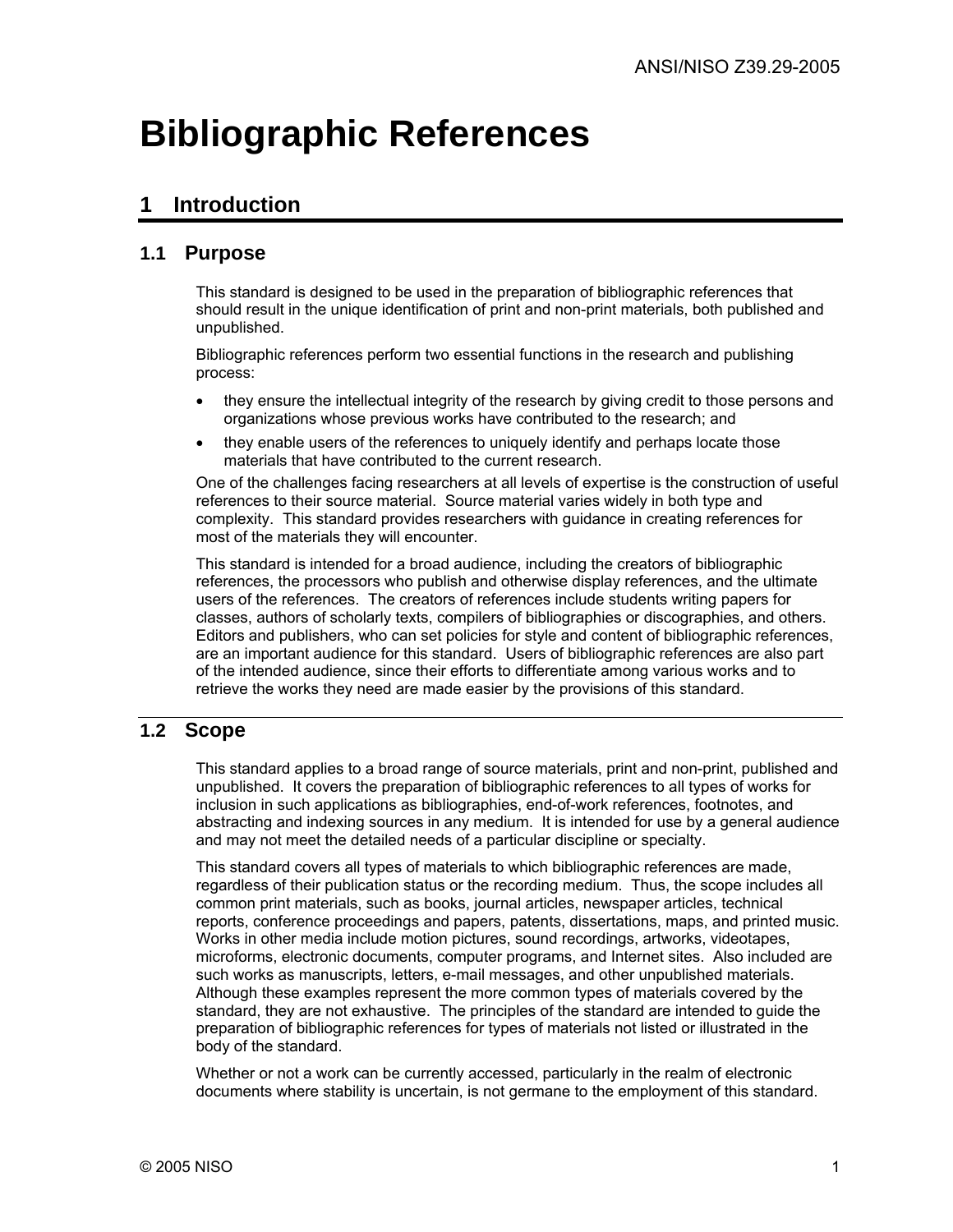# **Bibliographic References**

# **1 Introduction**

### **1.1 Purpose**

This standard is designed to be used in the preparation of bibliographic references that should result in the unique identification of print and non-print materials, both published and unpublished.

Bibliographic references perform two essential functions in the research and publishing process:

- they ensure the intellectual integrity of the research by giving credit to those persons and organizations whose previous works have contributed to the research; and
- they enable users of the references to uniquely identify and perhaps locate those materials that have contributed to the current research.

One of the challenges facing researchers at all levels of expertise is the construction of useful references to their source material. Source material varies widely in both type and complexity. This standard provides researchers with guidance in creating references for most of the materials they will encounter.

This standard is intended for a broad audience, including the creators of bibliographic references, the processors who publish and otherwise display references, and the ultimate users of the references. The creators of references include students writing papers for classes, authors of scholarly texts, compilers of bibliographies or discographies, and others. Editors and publishers, who can set policies for style and content of bibliographic references, are an important audience for this standard. Users of bibliographic references are also part of the intended audience, since their efforts to differentiate among various works and to retrieve the works they need are made easier by the provisions of this standard.

#### **1.2 Scope**

This standard applies to a broad range of source materials, print and non-print, published and unpublished. It covers the preparation of bibliographic references to all types of works for inclusion in such applications as bibliographies, end-of-work references, footnotes, and abstracting and indexing sources in any medium. It is intended for use by a general audience and may not meet the detailed needs of a particular discipline or specialty.

This standard covers all types of materials to which bibliographic references are made, regardless of their publication status or the recording medium. Thus, the scope includes all common print materials, such as books, journal articles, newspaper articles, technical reports, conference proceedings and papers, patents, dissertations, maps, and printed music. Works in other media include motion pictures, sound recordings, artworks, videotapes, microforms, electronic documents, computer programs, and Internet sites. Also included are such works as manuscripts, letters, e-mail messages, and other unpublished materials. Although these examples represent the more common types of materials covered by the standard, they are not exhaustive. The principles of the standard are intended to guide the preparation of bibliographic references for types of materials not listed or illustrated in the body of the standard.

Whether or not a work can be currently accessed, particularly in the realm of electronic documents where stability is uncertain, is not germane to the employment of this standard.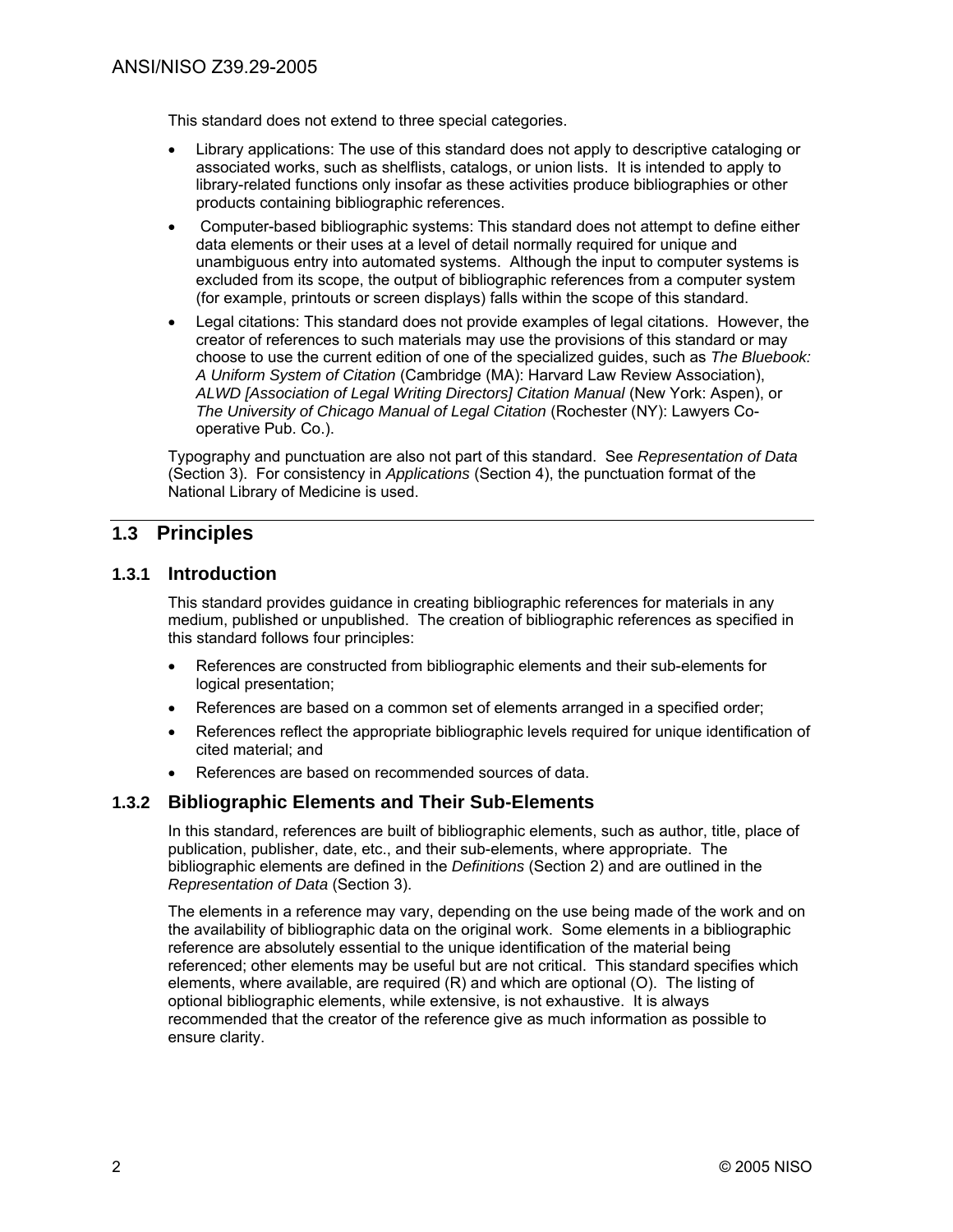This standard does not extend to three special categories.

- Library applications: The use of this standard does not apply to descriptive cataloging or associated works, such as shelflists, catalogs, or union lists. It is intended to apply to library-related functions only insofar as these activities produce bibliographies or other products containing bibliographic references.
- Computer-based bibliographic systems: This standard does not attempt to define either data elements or their uses at a level of detail normally required for unique and unambiguous entry into automated systems. Although the input to computer systems is excluded from its scope, the output of bibliographic references from a computer system (for example, printouts or screen displays) falls within the scope of this standard.
- Legal citations: This standard does not provide examples of legal citations. However, the creator of references to such materials may use the provisions of this standard or may choose to use the current edition of one of the specialized guides, such as *The Bluebook: A Uniform System of Citation* (Cambridge (MA): Harvard Law Review Association), *ALWD [Association of Legal Writing Directors] Citation Manual* (New York: Aspen), or *The University of Chicago Manual of Legal Citation* (Rochester (NY): Lawyers Cooperative Pub. Co.).

Typography and punctuation are also not part of this standard. See *Representation of Data* (Section 3). For consistency in *Applications* (Section 4), the punctuation format of the National Library of Medicine is used.

### **1.3 Principles**

#### **1.3.1 Introduction**

This standard provides guidance in creating bibliographic references for materials in any medium, published or unpublished. The creation of bibliographic references as specified in this standard follows four principles:

- References are constructed from bibliographic elements and their sub-elements for logical presentation;
- References are based on a common set of elements arranged in a specified order;
- References reflect the appropriate bibliographic levels required for unique identification of cited material; and
- References are based on recommended sources of data.

#### **1.3.2 Bibliographic Elements and Their Sub-Elements**

In this standard, references are built of bibliographic elements, such as author, title, place of publication, publisher, date, etc., and their sub-elements, where appropriate. The bibliographic elements are defined in the *Definitions* (Section 2) and are outlined in the *Representation of Data* (Section 3).

The elements in a reference may vary, depending on the use being made of the work and on the availability of bibliographic data on the original work. Some elements in a bibliographic reference are absolutely essential to the unique identification of the material being referenced; other elements may be useful but are not critical. This standard specifies which elements, where available, are required (R) and which are optional (O). The listing of optional bibliographic elements, while extensive, is not exhaustive. It is always recommended that the creator of the reference give as much information as possible to ensure clarity.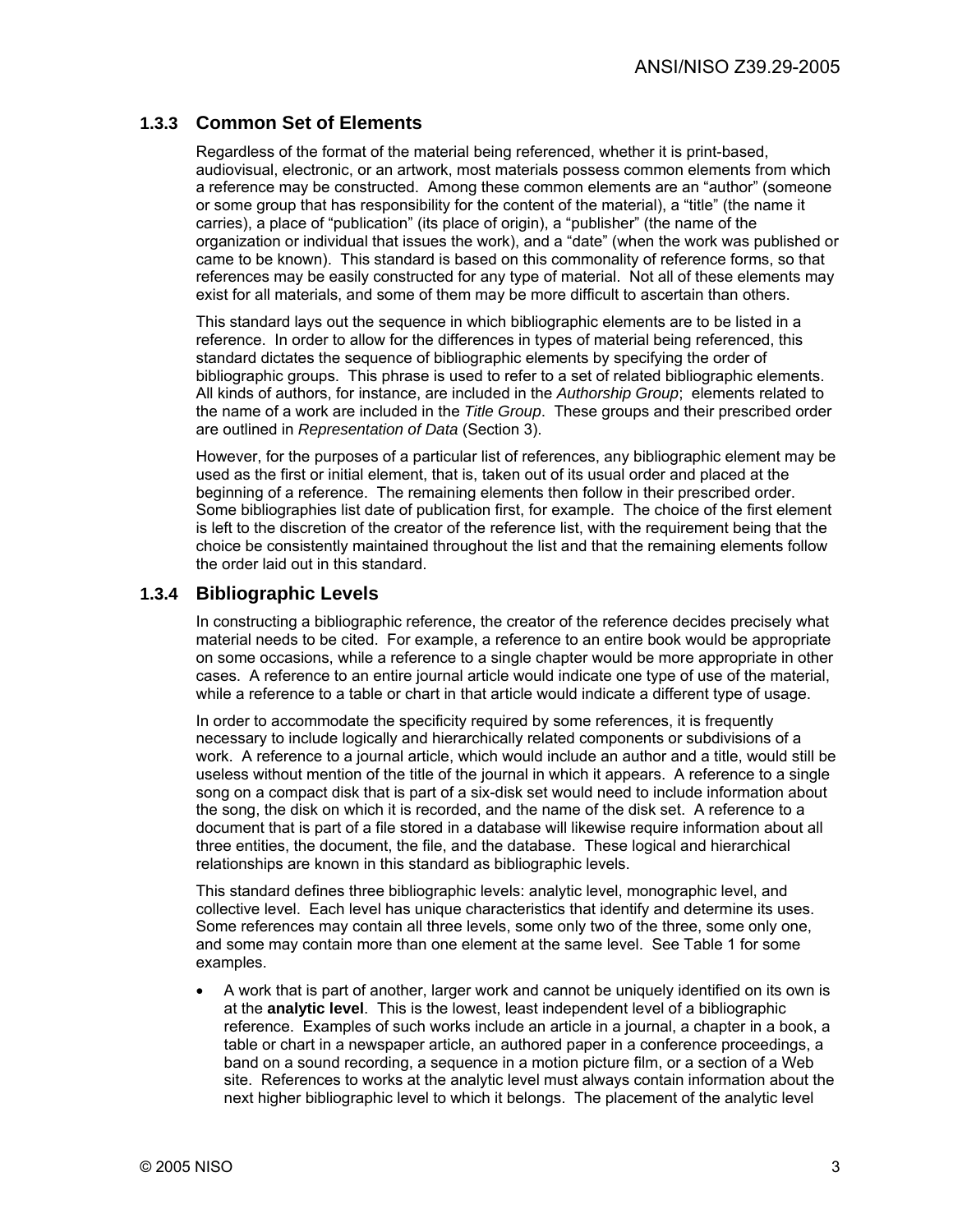#### **1.3.3 Common Set of Elements**

Regardless of the format of the material being referenced, whether it is print-based, audiovisual, electronic, or an artwork, most materials possess common elements from which a reference may be constructed. Among these common elements are an "author" (someone or some group that has responsibility for the content of the material), a "title" (the name it carries), a place of "publication" (its place of origin), a "publisher" (the name of the organization or individual that issues the work), and a "date" (when the work was published or came to be known). This standard is based on this commonality of reference forms, so that references may be easily constructed for any type of material. Not all of these elements may exist for all materials, and some of them may be more difficult to ascertain than others.

This standard lays out the sequence in which bibliographic elements are to be listed in a reference. In order to allow for the differences in types of material being referenced, this standard dictates the sequence of bibliographic elements by specifying the order of bibliographic groups. This phrase is used to refer to a set of related bibliographic elements. All kinds of authors, for instance, are included in the *Authorship Group*; elements related to the name of a work are included in the *Title Group*. These groups and their prescribed order are outlined in *Representation of Data* (Section 3).

However, for the purposes of a particular list of references, any bibliographic element may be used as the first or initial element, that is, taken out of its usual order and placed at the beginning of a reference. The remaining elements then follow in their prescribed order. Some bibliographies list date of publication first, for example. The choice of the first element is left to the discretion of the creator of the reference list, with the requirement being that the choice be consistently maintained throughout the list and that the remaining elements follow the order laid out in this standard.

#### **1.3.4 Bibliographic Levels**

In constructing a bibliographic reference, the creator of the reference decides precisely what material needs to be cited. For example, a reference to an entire book would be appropriate on some occasions, while a reference to a single chapter would be more appropriate in other cases. A reference to an entire journal article would indicate one type of use of the material, while a reference to a table or chart in that article would indicate a different type of usage.

In order to accommodate the specificity required by some references, it is frequently necessary to include logically and hierarchically related components or subdivisions of a work. A reference to a journal article, which would include an author and a title, would still be useless without mention of the title of the journal in which it appears. A reference to a single song on a compact disk that is part of a six-disk set would need to include information about the song, the disk on which it is recorded, and the name of the disk set. A reference to a document that is part of a file stored in a database will likewise require information about all three entities, the document, the file, and the database. These logical and hierarchical relationships are known in this standard as bibliographic levels.

This standard defines three bibliographic levels: analytic level, monographic level, and collective level. Each level has unique characteristics that identify and determine its uses. Some references may contain all three levels, some only two of the three, some only one, and some may contain more than one element at the same level. See Table 1 for some examples.

• A work that is part of another, larger work and cannot be uniquely identified on its own is at the **analytic level**. This is the lowest, least independent level of a bibliographic reference. Examples of such works include an article in a journal, a chapter in a book, a table or chart in a newspaper article, an authored paper in a conference proceedings, a band on a sound recording, a sequence in a motion picture film, or a section of a Web site. References to works at the analytic level must always contain information about the next higher bibliographic level to which it belongs. The placement of the analytic level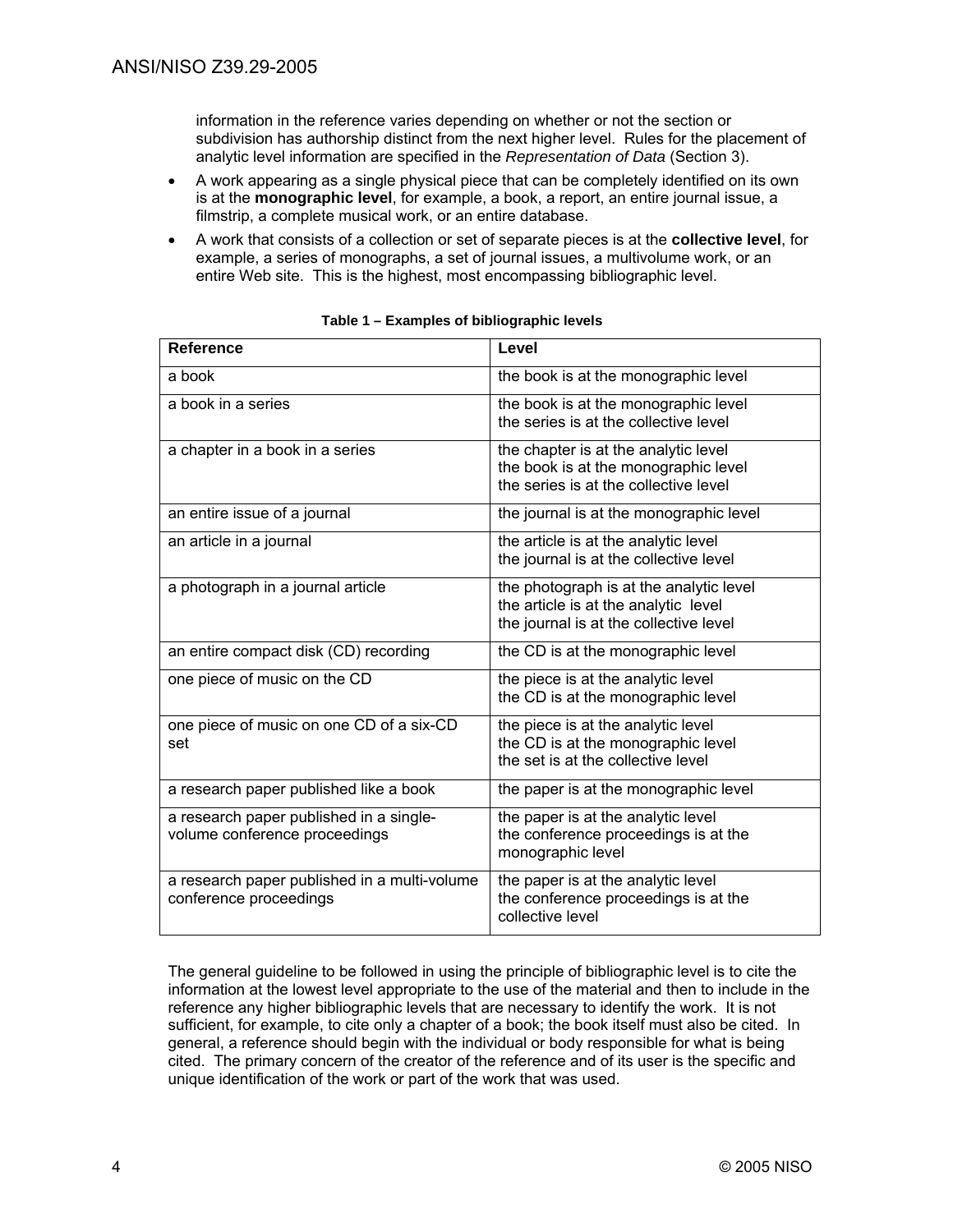information in the reference varies depending on whether or not the section or subdivision has authorship distinct from the next higher level. Rules for the placement of analytic level information are specified in the *Representation of Data* (Section 3).

- A work appearing as a single physical piece that can be completely identified on its own is at the **monographic level**, for example, a book, a report, an entire journal issue, a filmstrip, a complete musical work, or an entire database.
- A work that consists of a collection or set of separate pieces is at the **collective level**, for example, a series of monographs, a set of journal issues, a multivolume work, or an entire Web site. This is the highest, most encompassing bibliographic level.

| <b>Reference</b>                                                         | Level                                                                                                                     |
|--------------------------------------------------------------------------|---------------------------------------------------------------------------------------------------------------------------|
| a book                                                                   | the book is at the monographic level                                                                                      |
| a book in a series                                                       | the book is at the monographic level<br>the series is at the collective level                                             |
| a chapter in a book in a series                                          | the chapter is at the analytic level<br>the book is at the monographic level<br>the series is at the collective level     |
| an entire issue of a journal                                             | the journal is at the monographic level                                                                                   |
| an article in a journal                                                  | the article is at the analytic level<br>the journal is at the collective level                                            |
| a photograph in a journal article                                        | the photograph is at the analytic level<br>the article is at the analytic level<br>the journal is at the collective level |
| an entire compact disk (CD) recording                                    | the CD is at the monographic level                                                                                        |
| one piece of music on the CD                                             | the piece is at the analytic level<br>the CD is at the monographic level                                                  |
| one piece of music on one CD of a six-CD<br>set                          | the piece is at the analytic level<br>the CD is at the monographic level<br>the set is at the collective level            |
| a research paper published like a book                                   | the paper is at the monographic level                                                                                     |
| a research paper published in a single-<br>volume conference proceedings | the paper is at the analytic level<br>the conference proceedings is at the<br>monographic level                           |
| a research paper published in a multi-volume<br>conference proceedings   | the paper is at the analytic level<br>the conference proceedings is at the<br>collective level                            |

| Table 1 – Examples of bibliographic levels |  |
|--------------------------------------------|--|
|--------------------------------------------|--|

The general guideline to be followed in using the principle of bibliographic level is to cite the information at the lowest level appropriate to the use of the material and then to include in the reference any higher bibliographic levels that are necessary to identify the work. It is not sufficient, for example, to cite only a chapter of a book; the book itself must also be cited. In general, a reference should begin with the individual or body responsible for what is being cited. The primary concern of the creator of the reference and of its user is the specific and unique identification of the work or part of the work that was used.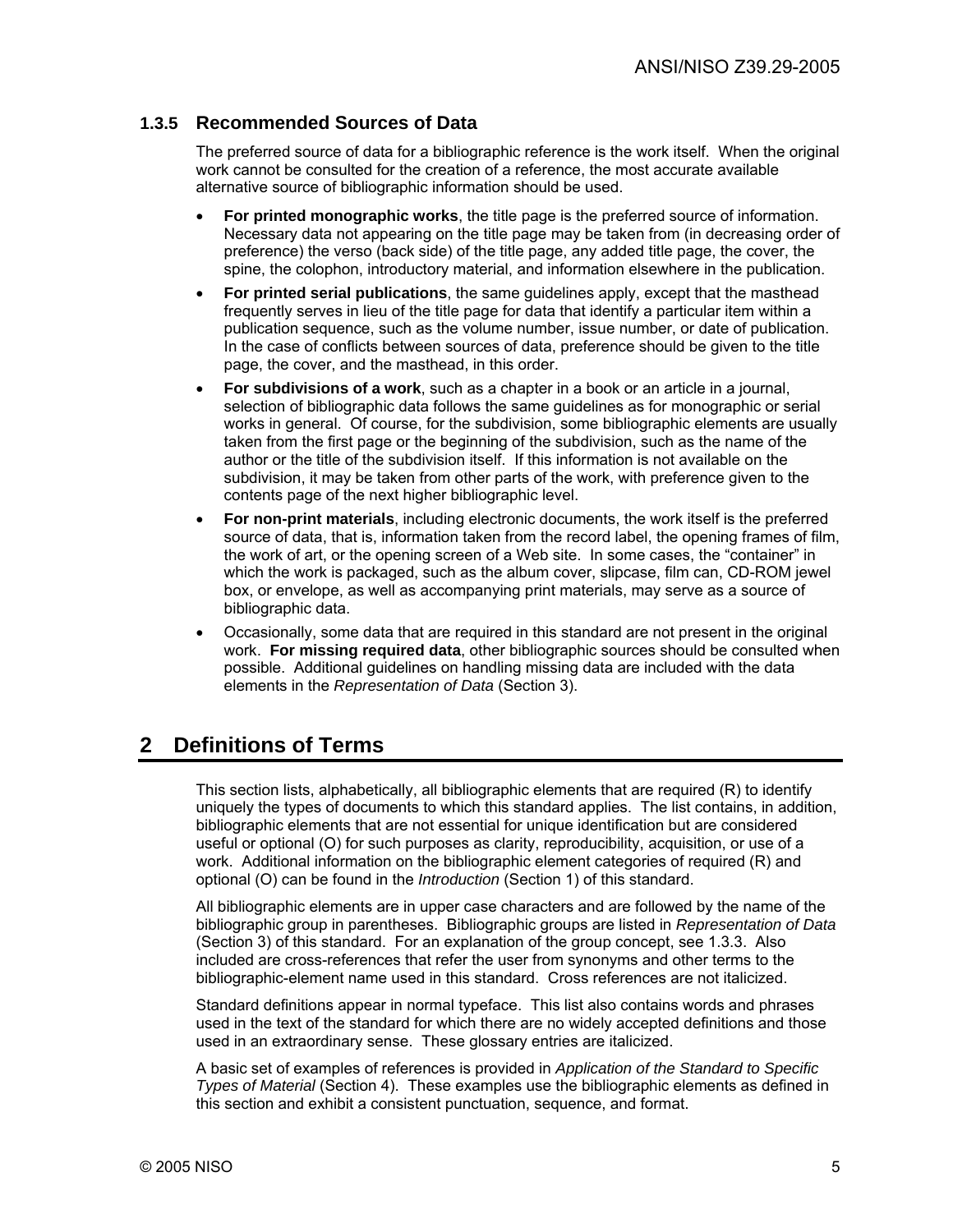#### **1.3.5 Recommended Sources of Data**

The preferred source of data for a bibliographic reference is the work itself. When the original work cannot be consulted for the creation of a reference, the most accurate available alternative source of bibliographic information should be used.

- **For printed monographic works**, the title page is the preferred source of information. Necessary data not appearing on the title page may be taken from (in decreasing order of preference) the verso (back side) of the title page, any added title page, the cover, the spine, the colophon, introductory material, and information elsewhere in the publication.
- **For printed serial publications**, the same guidelines apply, except that the masthead frequently serves in lieu of the title page for data that identify a particular item within a publication sequence, such as the volume number, issue number, or date of publication. In the case of conflicts between sources of data, preference should be given to the title page, the cover, and the masthead, in this order.
- **For subdivisions of a work**, such as a chapter in a book or an article in a journal, selection of bibliographic data follows the same guidelines as for monographic or serial works in general. Of course, for the subdivision, some bibliographic elements are usually taken from the first page or the beginning of the subdivision, such as the name of the author or the title of the subdivision itself. If this information is not available on the subdivision, it may be taken from other parts of the work, with preference given to the contents page of the next higher bibliographic level.
- **For non-print materials**, including electronic documents, the work itself is the preferred source of data, that is, information taken from the record label, the opening frames of film, the work of art, or the opening screen of a Web site. In some cases, the "container" in which the work is packaged, such as the album cover, slipcase, film can, CD-ROM jewel box, or envelope, as well as accompanying print materials, may serve as a source of bibliographic data.
- Occasionally, some data that are required in this standard are not present in the original work. **For missing required data**, other bibliographic sources should be consulted when possible. Additional guidelines on handling missing data are included with the data elements in the *Representation of Data* (Section 3).

# **2 Definitions of Terms**

This section lists, alphabetically, all bibliographic elements that are required (R) to identify uniquely the types of documents to which this standard applies. The list contains, in addition, bibliographic elements that are not essential for unique identification but are considered useful or optional (O) for such purposes as clarity, reproducibility, acquisition, or use of a work. Additional information on the bibliographic element categories of required (R) and optional (O) can be found in the *Introduction* (Section 1) of this standard.

All bibliographic elements are in upper case characters and are followed by the name of the bibliographic group in parentheses. Bibliographic groups are listed in *Representation of Data* (Section 3) of this standard. For an explanation of the group concept, see 1.3.3. Also included are cross-references that refer the user from synonyms and other terms to the bibliographic-element name used in this standard. Cross references are not italicized.

Standard definitions appear in normal typeface. This list also contains words and phrases used in the text of the standard for which there are no widely accepted definitions and those used in an extraordinary sense. These glossary entries are italicized.

A basic set of examples of references is provided in *Application of the Standard to Specific Types of Material* (Section 4). These examples use the bibliographic elements as defined in this section and exhibit a consistent punctuation, sequence, and format.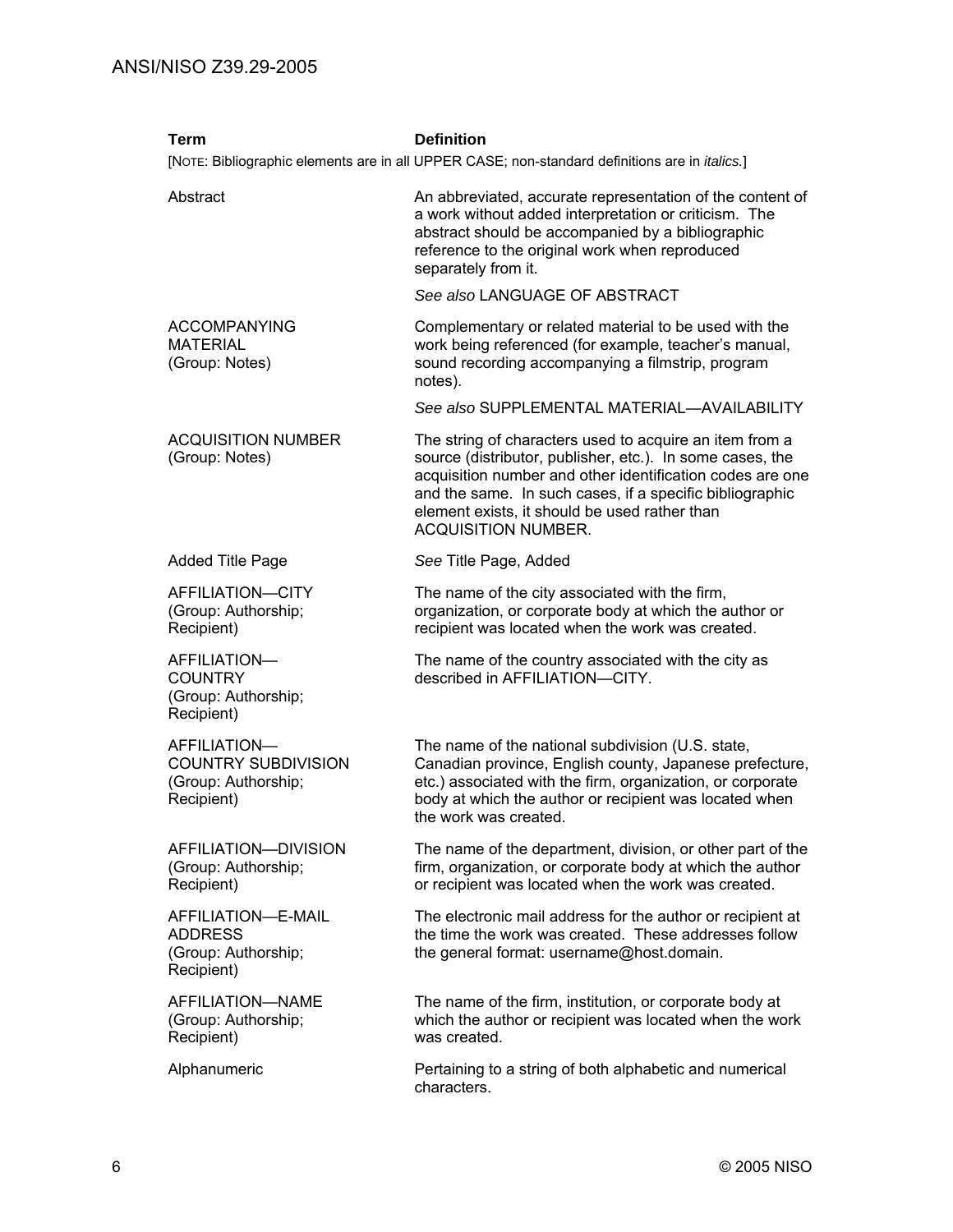| <b>Term</b>                                                                     | <b>Definition</b><br>[NOTE: Bibliographic elements are in all UPPER CASE; non-standard definitions are in <i>italics</i> .]                                                                                                                                                                                                  |
|---------------------------------------------------------------------------------|------------------------------------------------------------------------------------------------------------------------------------------------------------------------------------------------------------------------------------------------------------------------------------------------------------------------------|
| Abstract                                                                        | An abbreviated, accurate representation of the content of<br>a work without added interpretation or criticism. The<br>abstract should be accompanied by a bibliographic<br>reference to the original work when reproduced<br>separately from it.                                                                             |
|                                                                                 | See also LANGUAGE OF ABSTRACT                                                                                                                                                                                                                                                                                                |
| <b>ACCOMPANYING</b><br><b>MATERIAL</b><br>(Group: Notes)                        | Complementary or related material to be used with the<br>work being referenced (for example, teacher's manual,<br>sound recording accompanying a filmstrip, program<br>notes).                                                                                                                                               |
|                                                                                 | See also SUPPLEMENTAL MATERIAL-AVAILABILITY                                                                                                                                                                                                                                                                                  |
| <b>ACQUISITION NUMBER</b><br>(Group: Notes)                                     | The string of characters used to acquire an item from a<br>source (distributor, publisher, etc.). In some cases, the<br>acquisition number and other identification codes are one<br>and the same. In such cases, if a specific bibliographic<br>element exists, it should be used rather than<br><b>ACQUISITION NUMBER.</b> |
| <b>Added Title Page</b>                                                         | See Title Page, Added                                                                                                                                                                                                                                                                                                        |
| AFFILIATION-CITY<br>(Group: Authorship;<br>Recipient)                           | The name of the city associated with the firm,<br>organization, or corporate body at which the author or<br>recipient was located when the work was created.                                                                                                                                                                 |
| AFFILIATION-<br><b>COUNTRY</b><br>(Group: Authorship;<br>Recipient)             | The name of the country associated with the city as<br>described in AFFILIATION-CITY.                                                                                                                                                                                                                                        |
| AFFILIATION-<br><b>COUNTRY SUBDIVISION</b><br>(Group: Authorship;<br>Recipient) | The name of the national subdivision (U.S. state,<br>Canadian province, English county, Japanese prefecture,<br>etc.) associated with the firm, organization, or corporate<br>body at which the author or recipient was located when<br>the work was created.                                                                |
| AFFILIATION-DIVISION<br>(Group: Authorship;<br>Recipient)                       | The name of the department, division, or other part of the<br>firm, organization, or corporate body at which the author<br>or recipient was located when the work was created.                                                                                                                                               |
| AFFILIATION-E-MAIL<br><b>ADDRESS</b><br>(Group: Authorship;<br>Recipient)       | The electronic mail address for the author or recipient at<br>the time the work was created. These addresses follow<br>the general format: username@host.domain.                                                                                                                                                             |
| AFFILIATION-NAME<br>(Group: Authorship;<br>Recipient)                           | The name of the firm, institution, or corporate body at<br>which the author or recipient was located when the work<br>was created.                                                                                                                                                                                           |
| Alphanumeric                                                                    | Pertaining to a string of both alphabetic and numerical<br>characters.                                                                                                                                                                                                                                                       |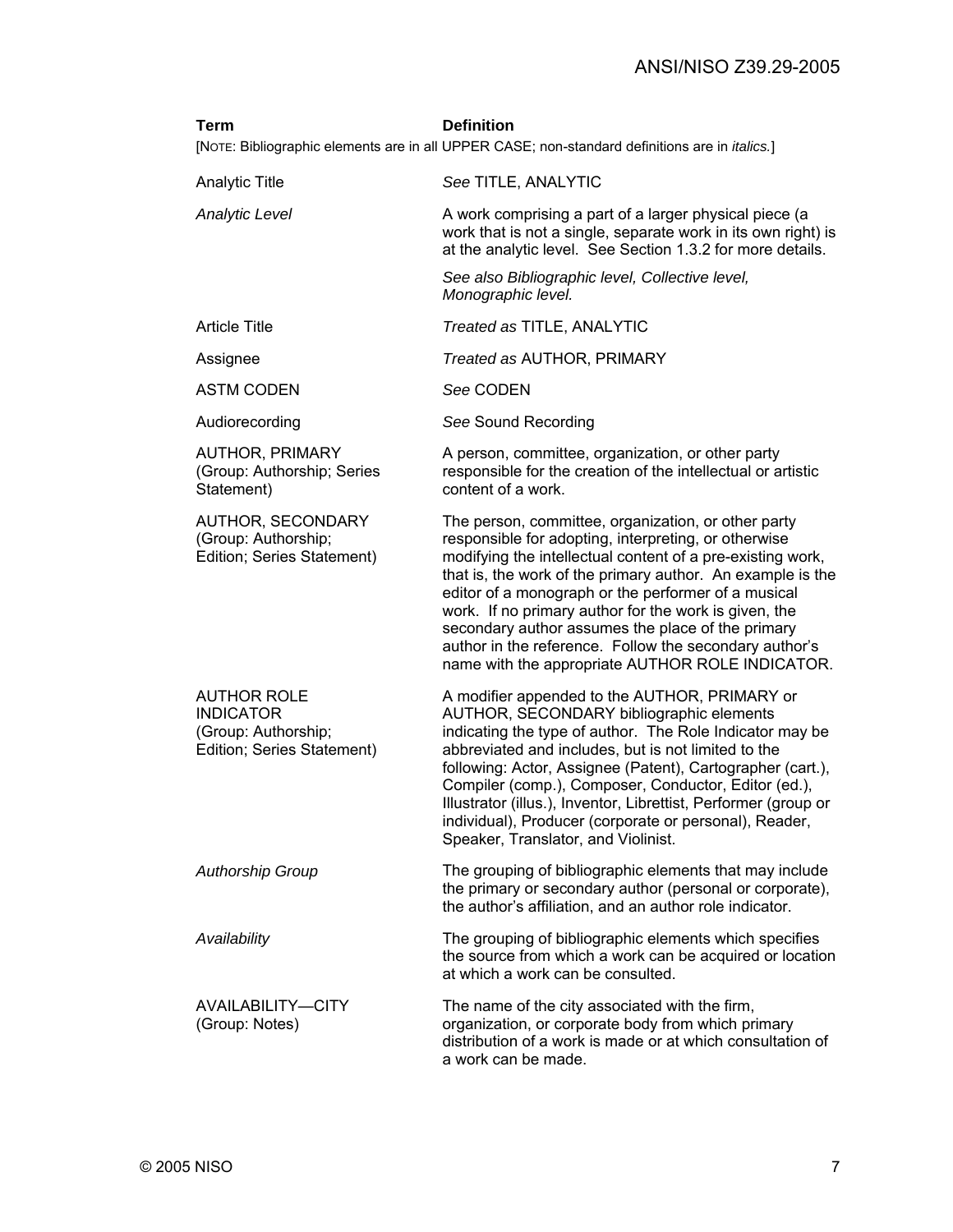| <b>Term</b>                                                                                 | <b>Definition</b><br>[NOTE: Bibliographic elements are in all UPPER CASE; non-standard definitions are in <i>italics</i> .]                                                                                                                                                                                                                                                                                                                                                                                                |
|---------------------------------------------------------------------------------------------|----------------------------------------------------------------------------------------------------------------------------------------------------------------------------------------------------------------------------------------------------------------------------------------------------------------------------------------------------------------------------------------------------------------------------------------------------------------------------------------------------------------------------|
| <b>Analytic Title</b>                                                                       | See TITLE, ANALYTIC                                                                                                                                                                                                                                                                                                                                                                                                                                                                                                        |
| <b>Analytic Level</b>                                                                       | A work comprising a part of a larger physical piece (a<br>work that is not a single, separate work in its own right) is<br>at the analytic level. See Section 1.3.2 for more details.                                                                                                                                                                                                                                                                                                                                      |
|                                                                                             | See also Bibliographic level, Collective level,<br>Monographic level.                                                                                                                                                                                                                                                                                                                                                                                                                                                      |
| <b>Article Title</b>                                                                        | Treated as TITLE, ANALYTIC                                                                                                                                                                                                                                                                                                                                                                                                                                                                                                 |
| Assignee                                                                                    | Treated as AUTHOR, PRIMARY                                                                                                                                                                                                                                                                                                                                                                                                                                                                                                 |
| <b>ASTM CODEN</b>                                                                           | See CODEN                                                                                                                                                                                                                                                                                                                                                                                                                                                                                                                  |
| Audiorecording                                                                              | See Sound Recording                                                                                                                                                                                                                                                                                                                                                                                                                                                                                                        |
| <b>AUTHOR, PRIMARY</b><br>(Group: Authorship; Series<br>Statement)                          | A person, committee, organization, or other party<br>responsible for the creation of the intellectual or artistic<br>content of a work.                                                                                                                                                                                                                                                                                                                                                                                    |
| AUTHOR, SECONDARY<br>(Group: Authorship;<br>Edition; Series Statement)                      | The person, committee, organization, or other party<br>responsible for adopting, interpreting, or otherwise<br>modifying the intellectual content of a pre-existing work,<br>that is, the work of the primary author. An example is the<br>editor of a monograph or the performer of a musical<br>work. If no primary author for the work is given, the<br>secondary author assumes the place of the primary<br>author in the reference. Follow the secondary author's<br>name with the appropriate AUTHOR ROLE INDICATOR. |
| <b>AUTHOR ROLE</b><br><b>INDICATOR</b><br>(Group: Authorship;<br>Edition; Series Statement) | A modifier appended to the AUTHOR, PRIMARY or<br>AUTHOR, SECONDARY bibliographic elements<br>indicating the type of author. The Role Indicator may be<br>abbreviated and includes, but is not limited to the<br>following: Actor, Assignee (Patent), Cartographer (cart.),<br>Compiler (comp.), Composer, Conductor, Editor (ed.),<br>Illustrator (illus.), Inventor, Librettist, Performer (group or<br>individual), Producer (corporate or personal), Reader,<br>Speaker, Translator, and Violinist.                     |
| <b>Authorship Group</b>                                                                     | The grouping of bibliographic elements that may include<br>the primary or secondary author (personal or corporate),<br>the author's affiliation, and an author role indicator.                                                                                                                                                                                                                                                                                                                                             |
| Availability                                                                                | The grouping of bibliographic elements which specifies<br>the source from which a work can be acquired or location<br>at which a work can be consulted.                                                                                                                                                                                                                                                                                                                                                                    |
| AVAILABILITY-CITY<br>(Group: Notes)                                                         | The name of the city associated with the firm,<br>organization, or corporate body from which primary<br>distribution of a work is made or at which consultation of<br>a work can be made.                                                                                                                                                                                                                                                                                                                                  |
|                                                                                             |                                                                                                                                                                                                                                                                                                                                                                                                                                                                                                                            |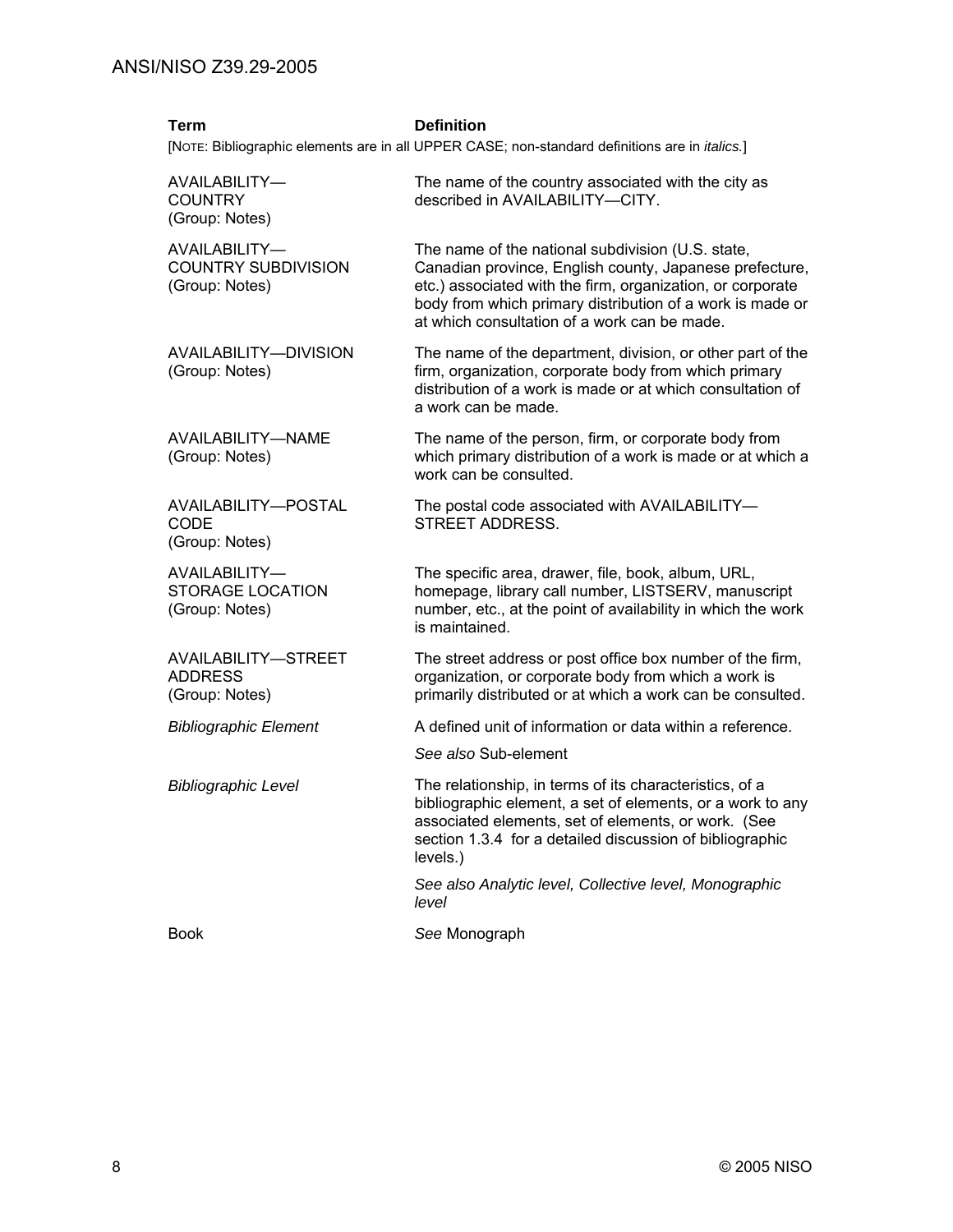| <b>Term</b>                                                   | <b>Definition</b><br>[NOTE: Bibliographic elements are in all UPPER CASE; non-standard definitions are in <i>italics.</i> ]                                                                                                                                                             |
|---------------------------------------------------------------|-----------------------------------------------------------------------------------------------------------------------------------------------------------------------------------------------------------------------------------------------------------------------------------------|
| AVAILABILITY-<br><b>COUNTRY</b><br>(Group: Notes)             | The name of the country associated with the city as<br>described in AVAILABILITY-CITY.                                                                                                                                                                                                  |
| AVAILABILITY-<br><b>COUNTRY SUBDIVISION</b><br>(Group: Notes) | The name of the national subdivision (U.S. state,<br>Canadian province, English county, Japanese prefecture,<br>etc.) associated with the firm, organization, or corporate<br>body from which primary distribution of a work is made or<br>at which consultation of a work can be made. |
| AVAILABILITY-DIVISION<br>(Group: Notes)                       | The name of the department, division, or other part of the<br>firm, organization, corporate body from which primary<br>distribution of a work is made or at which consultation of<br>a work can be made.                                                                                |
| AVAILABILITY-NAME<br>(Group: Notes)                           | The name of the person, firm, or corporate body from<br>which primary distribution of a work is made or at which a<br>work can be consulted.                                                                                                                                            |
| AVAILABILITY-POSTAL<br><b>CODE</b><br>(Group: Notes)          | The postal code associated with AVAILABILITY-<br><b>STREET ADDRESS.</b>                                                                                                                                                                                                                 |
| AVAILABILITY-<br>STORAGE LOCATION<br>(Group: Notes)           | The specific area, drawer, file, book, album, URL,<br>homepage, library call number, LISTSERV, manuscript<br>number, etc., at the point of availability in which the work<br>is maintained.                                                                                             |
| AVAILABILITY-STREET<br><b>ADDRESS</b><br>(Group: Notes)       | The street address or post office box number of the firm,<br>organization, or corporate body from which a work is<br>primarily distributed or at which a work can be consulted.                                                                                                         |
| <b>Bibliographic Element</b>                                  | A defined unit of information or data within a reference.                                                                                                                                                                                                                               |
|                                                               | See also Sub-element                                                                                                                                                                                                                                                                    |
| <b>Bibliographic Level</b>                                    | The relationship, in terms of its characteristics, of a<br>bibliographic element, a set of elements, or a work to any<br>associated elements, set of elements, or work. (See<br>section 1.3.4 for a detailed discussion of bibliographic<br>levels.)                                    |
|                                                               | See also Analytic level, Collective level, Monographic<br>level                                                                                                                                                                                                                         |
| <b>Book</b>                                                   | See Monograph                                                                                                                                                                                                                                                                           |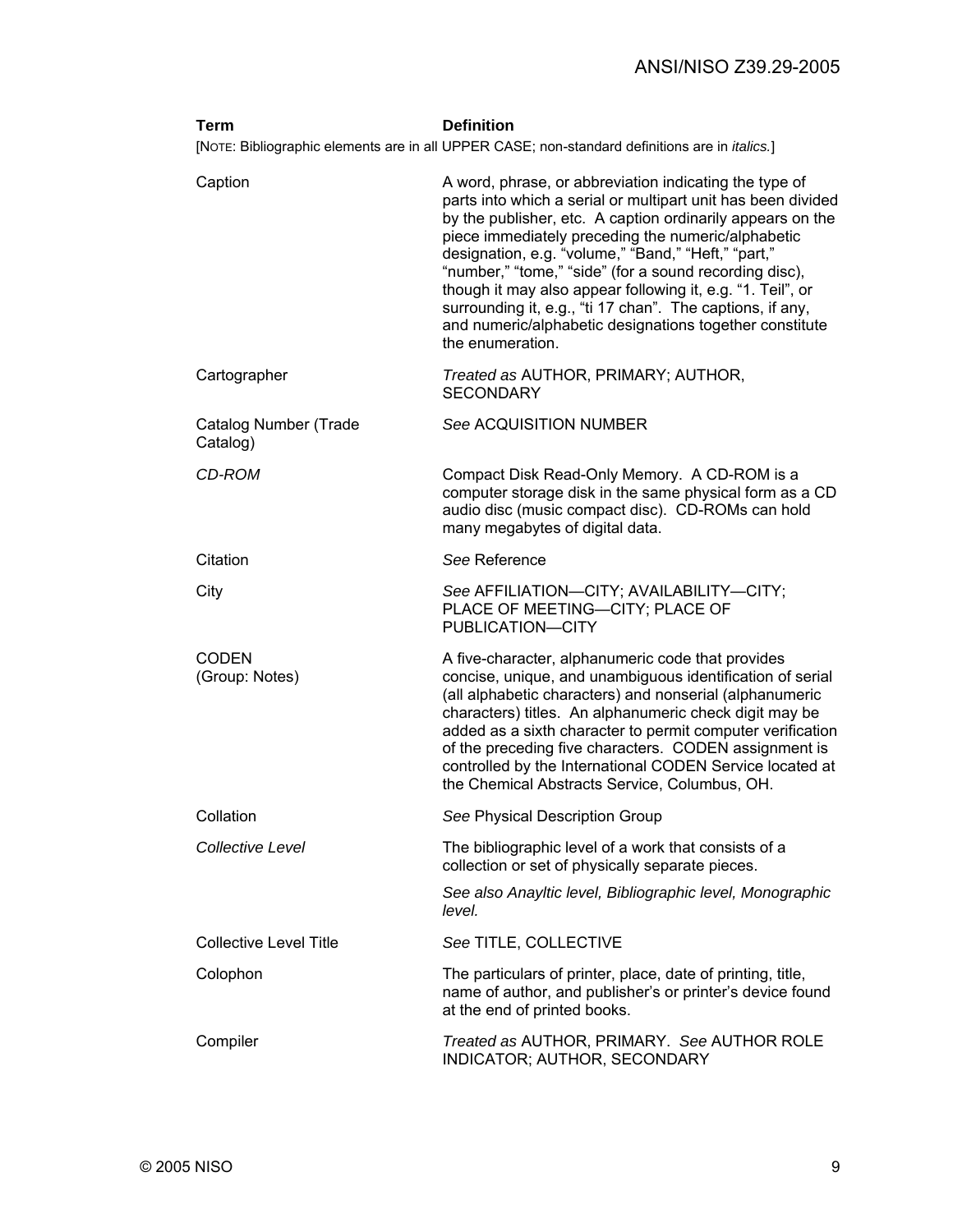| Term                              | <b>Definition</b>                                                                                                                                                                                                                                                                                                                                                                                                                                                                                                                                                     |
|-----------------------------------|-----------------------------------------------------------------------------------------------------------------------------------------------------------------------------------------------------------------------------------------------------------------------------------------------------------------------------------------------------------------------------------------------------------------------------------------------------------------------------------------------------------------------------------------------------------------------|
|                                   | [NOTE: Bibliographic elements are in all UPPER CASE; non-standard definitions are in <i>italics</i> .]                                                                                                                                                                                                                                                                                                                                                                                                                                                                |
| Caption                           | A word, phrase, or abbreviation indicating the type of<br>parts into which a serial or multipart unit has been divided<br>by the publisher, etc. A caption ordinarily appears on the<br>piece immediately preceding the numeric/alphabetic<br>designation, e.g. "volume," "Band," "Heft," "part,"<br>"number," "tome," "side" (for a sound recording disc),<br>though it may also appear following it, e.g. "1. Teil", or<br>surrounding it, e.g., "ti 17 chan". The captions, if any,<br>and numeric/alphabetic designations together constitute<br>the enumeration. |
| Cartographer                      | Treated as AUTHOR, PRIMARY; AUTHOR,<br><b>SECONDARY</b>                                                                                                                                                                                                                                                                                                                                                                                                                                                                                                               |
| Catalog Number (Trade<br>Catalog) | See ACQUISITION NUMBER                                                                                                                                                                                                                                                                                                                                                                                                                                                                                                                                                |
| CD-ROM                            | Compact Disk Read-Only Memory. A CD-ROM is a<br>computer storage disk in the same physical form as a CD<br>audio disc (music compact disc). CD-ROMs can hold<br>many megabytes of digital data.                                                                                                                                                                                                                                                                                                                                                                       |
| Citation                          | See Reference                                                                                                                                                                                                                                                                                                                                                                                                                                                                                                                                                         |
| City                              | See AFFILIATION-CITY; AVAILABILITY-CITY;<br>PLACE OF MEETING-CITY; PLACE OF<br>PUBLICATION-CITY                                                                                                                                                                                                                                                                                                                                                                                                                                                                       |
| <b>CODEN</b><br>(Group: Notes)    | A five-character, alphanumeric code that provides<br>concise, unique, and unambiguous identification of serial<br>(all alphabetic characters) and nonserial (alphanumeric<br>characters) titles. An alphanumeric check digit may be<br>added as a sixth character to permit computer verification<br>of the preceding five characters. CODEN assignment is<br>controlled by the International CODEN Service located at<br>the Chemical Abstracts Service, Columbus, OH.                                                                                               |
| Collation                         | See Physical Description Group                                                                                                                                                                                                                                                                                                                                                                                                                                                                                                                                        |
| <b>Collective Level</b>           | The bibliographic level of a work that consists of a<br>collection or set of physically separate pieces.                                                                                                                                                                                                                                                                                                                                                                                                                                                              |
|                                   | See also Anayltic level, Bibliographic level, Monographic<br>level.                                                                                                                                                                                                                                                                                                                                                                                                                                                                                                   |
| <b>Collective Level Title</b>     | See TITLE, COLLECTIVE                                                                                                                                                                                                                                                                                                                                                                                                                                                                                                                                                 |
| Colophon                          | The particulars of printer, place, date of printing, title,<br>name of author, and publisher's or printer's device found<br>at the end of printed books.                                                                                                                                                                                                                                                                                                                                                                                                              |
| Compiler                          | Treated as AUTHOR, PRIMARY. See AUTHOR ROLE<br>INDICATOR; AUTHOR, SECONDARY                                                                                                                                                                                                                                                                                                                                                                                                                                                                                           |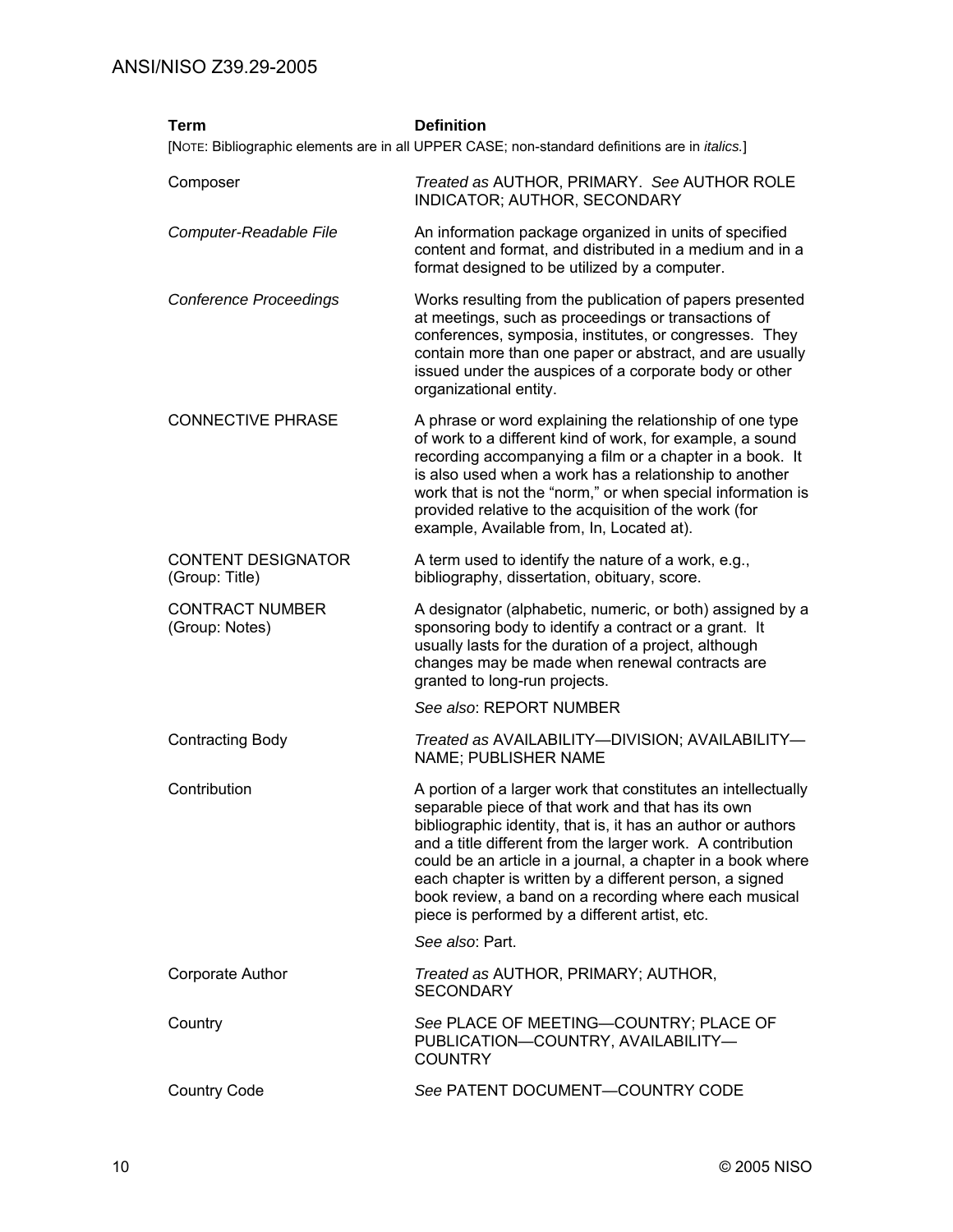| <b>Term</b>                                 | <b>Definition</b><br>[NOTE: Bibliographic elements are in all UPPER CASE; non-standard definitions are in <i>italics</i> .]                                                                                                                                                                                                                                                                                                                                                           |
|---------------------------------------------|---------------------------------------------------------------------------------------------------------------------------------------------------------------------------------------------------------------------------------------------------------------------------------------------------------------------------------------------------------------------------------------------------------------------------------------------------------------------------------------|
| Composer                                    | Treated as AUTHOR, PRIMARY. See AUTHOR ROLE<br>INDICATOR; AUTHOR, SECONDARY                                                                                                                                                                                                                                                                                                                                                                                                           |
| Computer-Readable File                      | An information package organized in units of specified<br>content and format, and distributed in a medium and in a<br>format designed to be utilized by a computer.                                                                                                                                                                                                                                                                                                                   |
| <b>Conference Proceedings</b>               | Works resulting from the publication of papers presented<br>at meetings, such as proceedings or transactions of<br>conferences, symposia, institutes, or congresses. They<br>contain more than one paper or abstract, and are usually<br>issued under the auspices of a corporate body or other<br>organizational entity.                                                                                                                                                             |
| <b>CONNECTIVE PHRASE</b>                    | A phrase or word explaining the relationship of one type<br>of work to a different kind of work, for example, a sound<br>recording accompanying a film or a chapter in a book. It<br>is also used when a work has a relationship to another<br>work that is not the "norm," or when special information is<br>provided relative to the acquisition of the work (for<br>example, Available from, In, Located at).                                                                      |
| <b>CONTENT DESIGNATOR</b><br>(Group: Title) | A term used to identify the nature of a work, e.g.,<br>bibliography, dissertation, obituary, score.                                                                                                                                                                                                                                                                                                                                                                                   |
| <b>CONTRACT NUMBER</b><br>(Group: Notes)    | A designator (alphabetic, numeric, or both) assigned by a<br>sponsoring body to identify a contract or a grant. It<br>usually lasts for the duration of a project, although<br>changes may be made when renewal contracts are<br>granted to long-run projects.                                                                                                                                                                                                                        |
|                                             | See also: REPORT NUMBER                                                                                                                                                                                                                                                                                                                                                                                                                                                               |
| <b>Contracting Body</b>                     | Treated as AVAILABILITY--DIVISION; AVAILABILITY-<br>NAME; PUBLISHER NAME                                                                                                                                                                                                                                                                                                                                                                                                              |
| Contribution                                | A portion of a larger work that constitutes an intellectually<br>separable piece of that work and that has its own<br>bibliographic identity, that is, it has an author or authors<br>and a title different from the larger work. A contribution<br>could be an article in a journal, a chapter in a book where<br>each chapter is written by a different person, a signed<br>book review, a band on a recording where each musical<br>piece is performed by a different artist, etc. |
|                                             | See also: Part.                                                                                                                                                                                                                                                                                                                                                                                                                                                                       |
| Corporate Author                            | Treated as AUTHOR, PRIMARY; AUTHOR,<br><b>SECONDARY</b>                                                                                                                                                                                                                                                                                                                                                                                                                               |
| Country                                     | See PLACE OF MEETING-COUNTRY; PLACE OF<br>PUBLICATION-COUNTRY, AVAILABILITY-<br><b>COUNTRY</b>                                                                                                                                                                                                                                                                                                                                                                                        |
| <b>Country Code</b>                         | See PATENT DOCUMENT-COUNTRY CODE                                                                                                                                                                                                                                                                                                                                                                                                                                                      |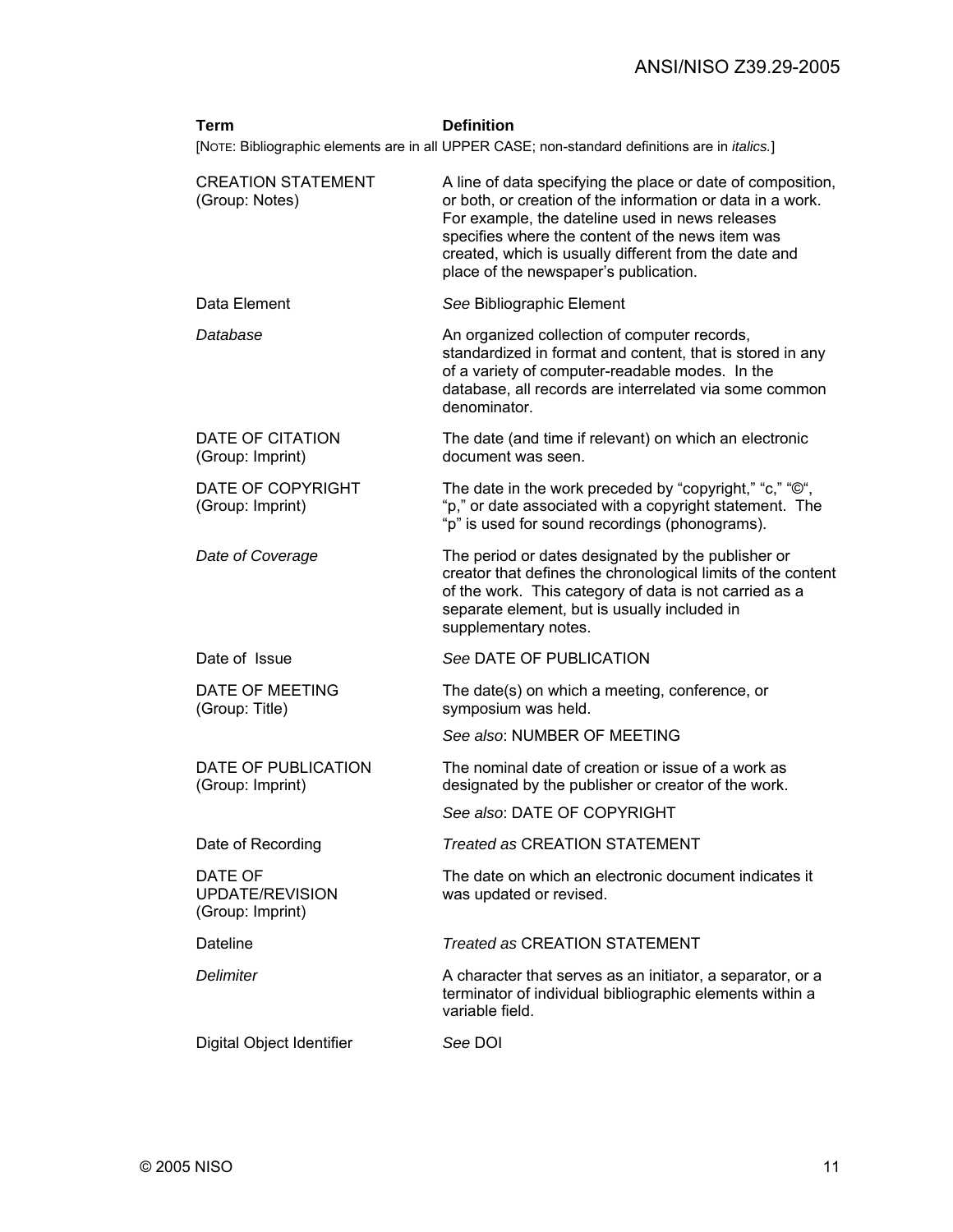| Term                                           | <b>Definition</b>                                                                                                                                                                                                                                                                                                                  |
|------------------------------------------------|------------------------------------------------------------------------------------------------------------------------------------------------------------------------------------------------------------------------------------------------------------------------------------------------------------------------------------|
|                                                | [NOTE: Bibliographic elements are in all UPPER CASE; non-standard definitions are in <i>italics</i> .]                                                                                                                                                                                                                             |
| <b>CREATION STATEMENT</b><br>(Group: Notes)    | A line of data specifying the place or date of composition,<br>or both, or creation of the information or data in a work.<br>For example, the dateline used in news releases<br>specifies where the content of the news item was<br>created, which is usually different from the date and<br>place of the newspaper's publication. |
| Data Element                                   | See Bibliographic Element                                                                                                                                                                                                                                                                                                          |
| Database                                       | An organized collection of computer records,<br>standardized in format and content, that is stored in any<br>of a variety of computer-readable modes. In the<br>database, all records are interrelated via some common<br>denominator.                                                                                             |
| DATE OF CITATION<br>(Group: Imprint)           | The date (and time if relevant) on which an electronic<br>document was seen.                                                                                                                                                                                                                                                       |
| DATE OF COPYRIGHT<br>(Group: Imprint)          | The date in the work preceded by "copyright," "c," "©",<br>"p," or date associated with a copyright statement. The<br>"p" is used for sound recordings (phonograms).                                                                                                                                                               |
| Date of Coverage                               | The period or dates designated by the publisher or<br>creator that defines the chronological limits of the content<br>of the work. This category of data is not carried as a<br>separate element, but is usually included in<br>supplementary notes.                                                                               |
| Date of Issue                                  | See DATE OF PUBLICATION                                                                                                                                                                                                                                                                                                            |
| DATE OF MEETING<br>(Group: Title)              | The date(s) on which a meeting, conference, or<br>symposium was held.                                                                                                                                                                                                                                                              |
|                                                | See also: NUMBER OF MEETING                                                                                                                                                                                                                                                                                                        |
| DATE OF PUBLICATION<br>(Group: Imprint)        | The nominal date of creation or issue of a work as<br>designated by the publisher or creator of the work.                                                                                                                                                                                                                          |
|                                                | See also: DATE OF COPYRIGHT                                                                                                                                                                                                                                                                                                        |
| Date of Recording                              | <b>Treated as CREATION STATEMENT</b>                                                                                                                                                                                                                                                                                               |
| DATE OF<br>UPDATE/REVISION<br>(Group: Imprint) | The date on which an electronic document indicates it<br>was updated or revised.                                                                                                                                                                                                                                                   |
| Dateline                                       | Treated as CREATION STATEMENT                                                                                                                                                                                                                                                                                                      |
| <b>Delimiter</b>                               | A character that serves as an initiator, a separator, or a<br>terminator of individual bibliographic elements within a<br>variable field.                                                                                                                                                                                          |
| Digital Object Identifier                      | See DOI                                                                                                                                                                                                                                                                                                                            |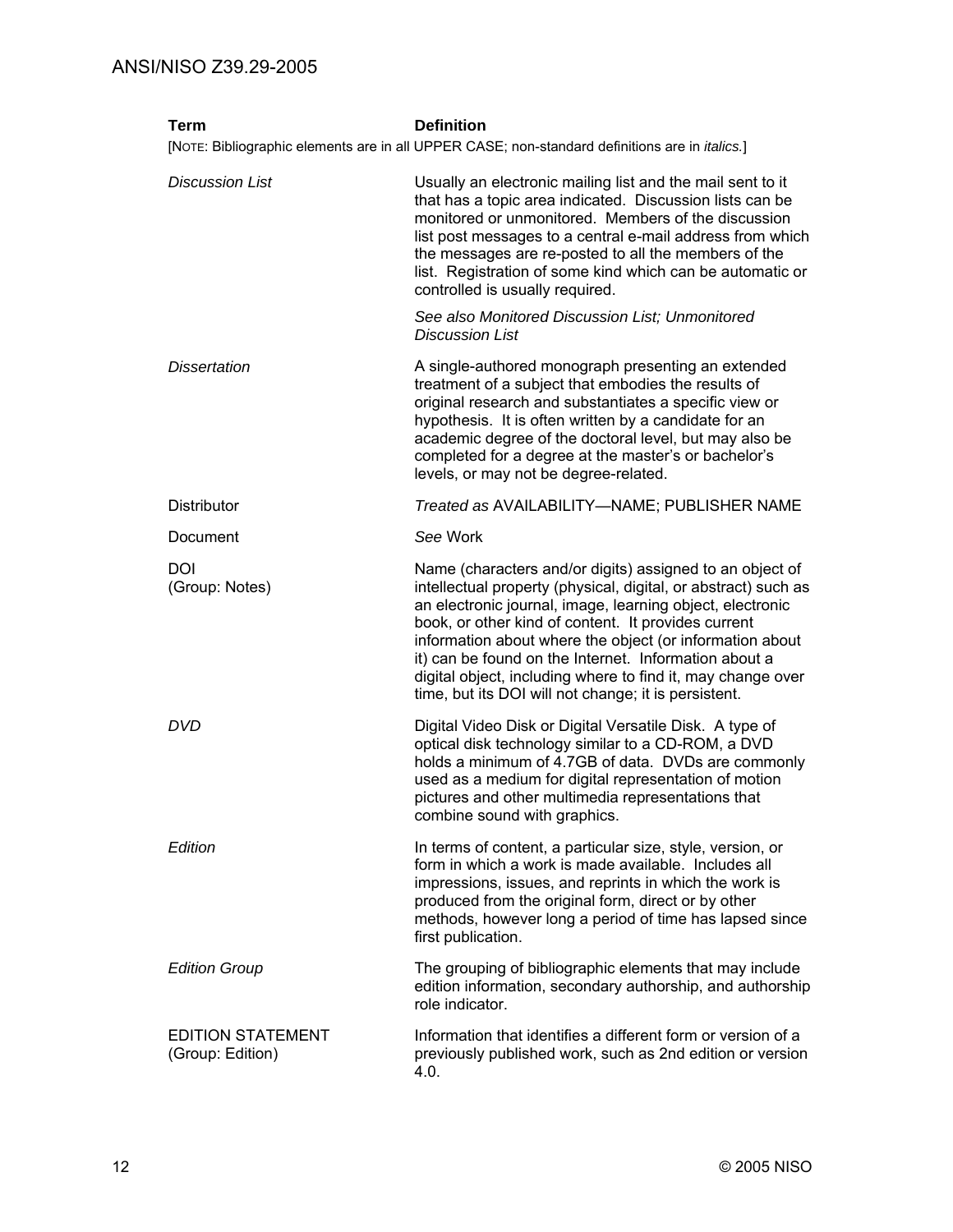| Term                                         | <b>Definition</b>                                                                                                                                                                                                                                                                                                                                                                                                                                                                          |
|----------------------------------------------|--------------------------------------------------------------------------------------------------------------------------------------------------------------------------------------------------------------------------------------------------------------------------------------------------------------------------------------------------------------------------------------------------------------------------------------------------------------------------------------------|
|                                              | [NOTE: Bibliographic elements are in all UPPER CASE; non-standard definitions are in <i>italics</i> .]                                                                                                                                                                                                                                                                                                                                                                                     |
| <b>Discussion List</b>                       | Usually an electronic mailing list and the mail sent to it<br>that has a topic area indicated. Discussion lists can be<br>monitored or unmonitored. Members of the discussion<br>list post messages to a central e-mail address from which<br>the messages are re-posted to all the members of the<br>list. Registration of some kind which can be automatic or<br>controlled is usually required.                                                                                         |
|                                              | See also Monitored Discussion List: Unmonitored<br><b>Discussion List</b>                                                                                                                                                                                                                                                                                                                                                                                                                  |
| <b>Dissertation</b>                          | A single-authored monograph presenting an extended<br>treatment of a subject that embodies the results of<br>original research and substantiates a specific view or<br>hypothesis. It is often written by a candidate for an<br>academic degree of the doctoral level, but may also be<br>completed for a degree at the master's or bachelor's<br>levels, or may not be degree-related.                                                                                                    |
| <b>Distributor</b>                           | Treated as AVAILABILITY-NAME; PUBLISHER NAME                                                                                                                                                                                                                                                                                                                                                                                                                                               |
| Document                                     | See Work                                                                                                                                                                                                                                                                                                                                                                                                                                                                                   |
| DOI<br>(Group: Notes)                        | Name (characters and/or digits) assigned to an object of<br>intellectual property (physical, digital, or abstract) such as<br>an electronic journal, image, learning object, electronic<br>book, or other kind of content. It provides current<br>information about where the object (or information about<br>it) can be found on the Internet. Information about a<br>digital object, including where to find it, may change over<br>time, but its DOI will not change; it is persistent. |
| <b>DVD</b>                                   | Digital Video Disk or Digital Versatile Disk. A type of<br>optical disk technology similar to a CD-ROM, a DVD<br>holds a minimum of 4.7GB of data. DVDs are commonly<br>used as a medium for digital representation of motion<br>pictures and other multimedia representations that<br>combine sound with graphics.                                                                                                                                                                        |
| Edition                                      | In terms of content, a particular size, style, version, or<br>form in which a work is made available. Includes all<br>impressions, issues, and reprints in which the work is<br>produced from the original form, direct or by other<br>methods, however long a period of time has lapsed since<br>first publication.                                                                                                                                                                       |
| <b>Edition Group</b>                         | The grouping of bibliographic elements that may include<br>edition information, secondary authorship, and authorship<br>role indicator.                                                                                                                                                                                                                                                                                                                                                    |
| <b>EDITION STATEMENT</b><br>(Group: Edition) | Information that identifies a different form or version of a<br>previously published work, such as 2nd edition or version<br>4.0.                                                                                                                                                                                                                                                                                                                                                          |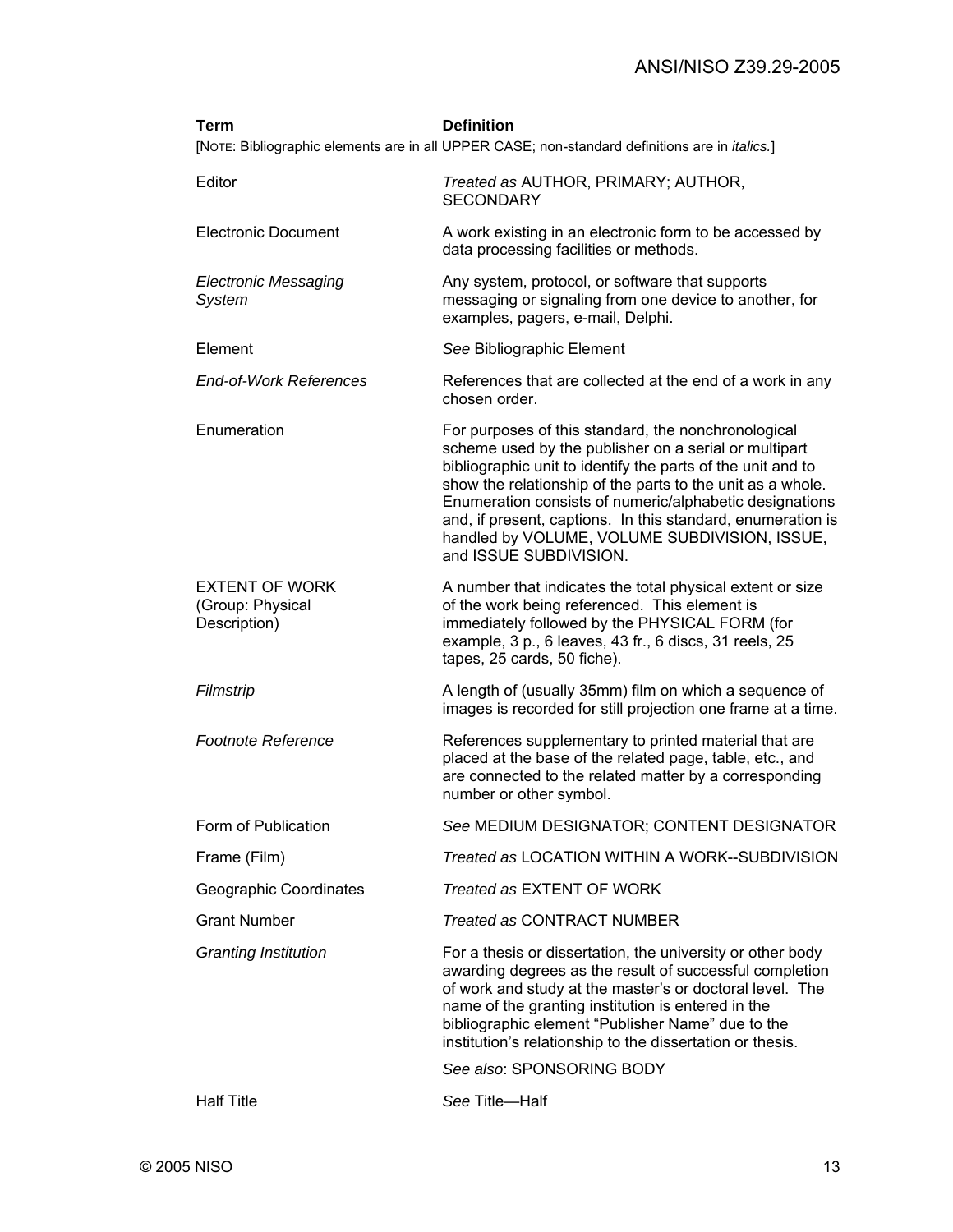| Term                                                      | <b>Definition</b><br>[NOTE: Bibliographic elements are in all UPPER CASE; non-standard definitions are in <i>italics.</i> ]                                                                                                                                                                                                                                                                                                                    |
|-----------------------------------------------------------|------------------------------------------------------------------------------------------------------------------------------------------------------------------------------------------------------------------------------------------------------------------------------------------------------------------------------------------------------------------------------------------------------------------------------------------------|
| Editor                                                    | Treated as AUTHOR, PRIMARY; AUTHOR,<br><b>SECONDARY</b>                                                                                                                                                                                                                                                                                                                                                                                        |
| <b>Electronic Document</b>                                | A work existing in an electronic form to be accessed by<br>data processing facilities or methods.                                                                                                                                                                                                                                                                                                                                              |
| <b>Electronic Messaging</b><br><b>System</b>              | Any system, protocol, or software that supports<br>messaging or signaling from one device to another, for<br>examples, pagers, e-mail, Delphi.                                                                                                                                                                                                                                                                                                 |
| Element                                                   | See Bibliographic Element                                                                                                                                                                                                                                                                                                                                                                                                                      |
| <b>End-of-Work References</b>                             | References that are collected at the end of a work in any<br>chosen order.                                                                                                                                                                                                                                                                                                                                                                     |
| Enumeration                                               | For purposes of this standard, the nonchronological<br>scheme used by the publisher on a serial or multipart<br>bibliographic unit to identify the parts of the unit and to<br>show the relationship of the parts to the unit as a whole.<br>Enumeration consists of numeric/alphabetic designations<br>and, if present, captions. In this standard, enumeration is<br>handled by VOLUME, VOLUME SUBDIVISION, ISSUE,<br>and ISSUE SUBDIVISION. |
| <b>EXTENT OF WORK</b><br>(Group: Physical<br>Description) | A number that indicates the total physical extent or size<br>of the work being referenced. This element is<br>immediately followed by the PHYSICAL FORM (for<br>example, 3 p., 6 leaves, 43 fr., 6 discs, 31 reels, 25<br>tapes, 25 cards, 50 fiche).                                                                                                                                                                                          |
| Filmstrip                                                 | A length of (usually 35mm) film on which a sequence of<br>images is recorded for still projection one frame at a time.                                                                                                                                                                                                                                                                                                                         |
| <b>Footnote Reference</b>                                 | References supplementary to printed material that are<br>placed at the base of the related page, table, etc., and<br>are connected to the related matter by a corresponding<br>number or other symbol.                                                                                                                                                                                                                                         |
| Form of Publication                                       | See MEDIUM DESIGNATOR; CONTENT DESIGNATOR                                                                                                                                                                                                                                                                                                                                                                                                      |
| Frame (Film)                                              | Treated as LOCATION WITHIN A WORK--SUBDIVISION                                                                                                                                                                                                                                                                                                                                                                                                 |
| Geographic Coordinates                                    | Treated as EXTENT OF WORK                                                                                                                                                                                                                                                                                                                                                                                                                      |
| <b>Grant Number</b>                                       | <b>Treated as CONTRACT NUMBER</b>                                                                                                                                                                                                                                                                                                                                                                                                              |
| <b>Granting Institution</b>                               | For a thesis or dissertation, the university or other body<br>awarding degrees as the result of successful completion<br>of work and study at the master's or doctoral level. The<br>name of the granting institution is entered in the<br>bibliographic element "Publisher Name" due to the<br>institution's relationship to the dissertation or thesis.                                                                                      |
|                                                           | See also: SPONSORING BODY                                                                                                                                                                                                                                                                                                                                                                                                                      |
| <b>Half Title</b>                                         | See Title-Half                                                                                                                                                                                                                                                                                                                                                                                                                                 |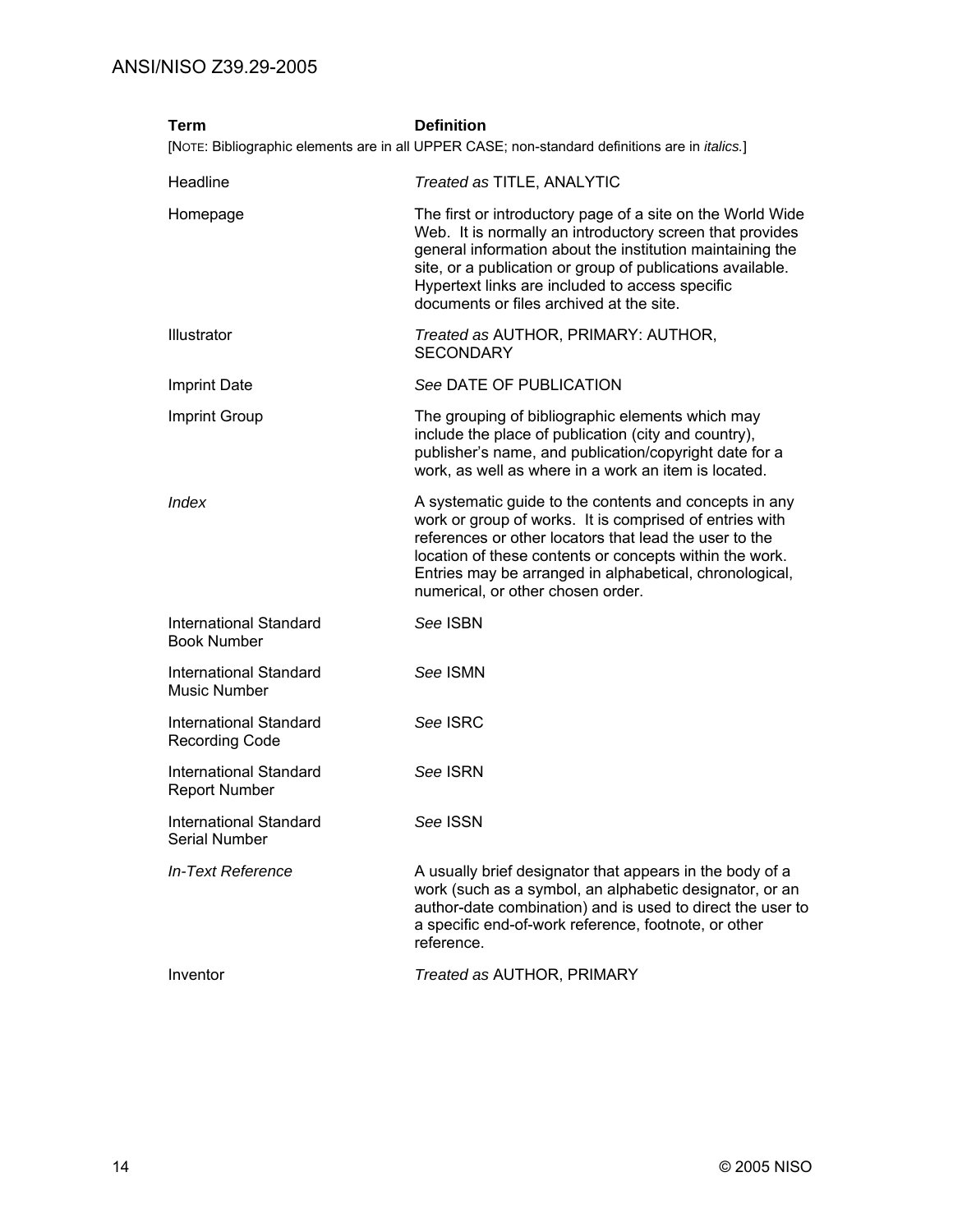| Term                                                   | <b>Definition</b>                                                                                                                                                                                                                                                                                                                                |
|--------------------------------------------------------|--------------------------------------------------------------------------------------------------------------------------------------------------------------------------------------------------------------------------------------------------------------------------------------------------------------------------------------------------|
|                                                        | [NOTE: Bibliographic elements are in all UPPER CASE; non-standard definitions are in <i>italics.</i> ]                                                                                                                                                                                                                                           |
| Headline                                               | Treated as TITLE, ANALYTIC                                                                                                                                                                                                                                                                                                                       |
| Homepage                                               | The first or introductory page of a site on the World Wide<br>Web. It is normally an introductory screen that provides<br>general information about the institution maintaining the<br>site, or a publication or group of publications available.<br>Hypertext links are included to access specific<br>documents or files archived at the site. |
| <b>Illustrator</b>                                     | Treated as AUTHOR, PRIMARY: AUTHOR,<br><b>SECONDARY</b>                                                                                                                                                                                                                                                                                          |
| <b>Imprint Date</b>                                    | See DATE OF PUBLICATION                                                                                                                                                                                                                                                                                                                          |
| <b>Imprint Group</b>                                   | The grouping of bibliographic elements which may<br>include the place of publication (city and country),<br>publisher's name, and publication/copyright date for a<br>work, as well as where in a work an item is located.                                                                                                                       |
| Index                                                  | A systematic guide to the contents and concepts in any<br>work or group of works. It is comprised of entries with<br>references or other locators that lead the user to the<br>location of these contents or concepts within the work.<br>Entries may be arranged in alphabetical, chronological,<br>numerical, or other chosen order.           |
| <b>International Standard</b><br><b>Book Number</b>    | See ISBN                                                                                                                                                                                                                                                                                                                                         |
| <b>International Standard</b><br><b>Music Number</b>   | See ISMN                                                                                                                                                                                                                                                                                                                                         |
| <b>International Standard</b><br><b>Recording Code</b> | See ISRC                                                                                                                                                                                                                                                                                                                                         |
| <b>International Standard</b><br><b>Report Number</b>  | See ISRN                                                                                                                                                                                                                                                                                                                                         |
| <b>International Standard</b><br><b>Serial Number</b>  | See ISSN                                                                                                                                                                                                                                                                                                                                         |
| In-Text Reference                                      | A usually brief designator that appears in the body of a<br>work (such as a symbol, an alphabetic designator, or an<br>author-date combination) and is used to direct the user to<br>a specific end-of-work reference, footnote, or other<br>reference.                                                                                          |
| Inventor                                               | Treated as AUTHOR, PRIMARY                                                                                                                                                                                                                                                                                                                       |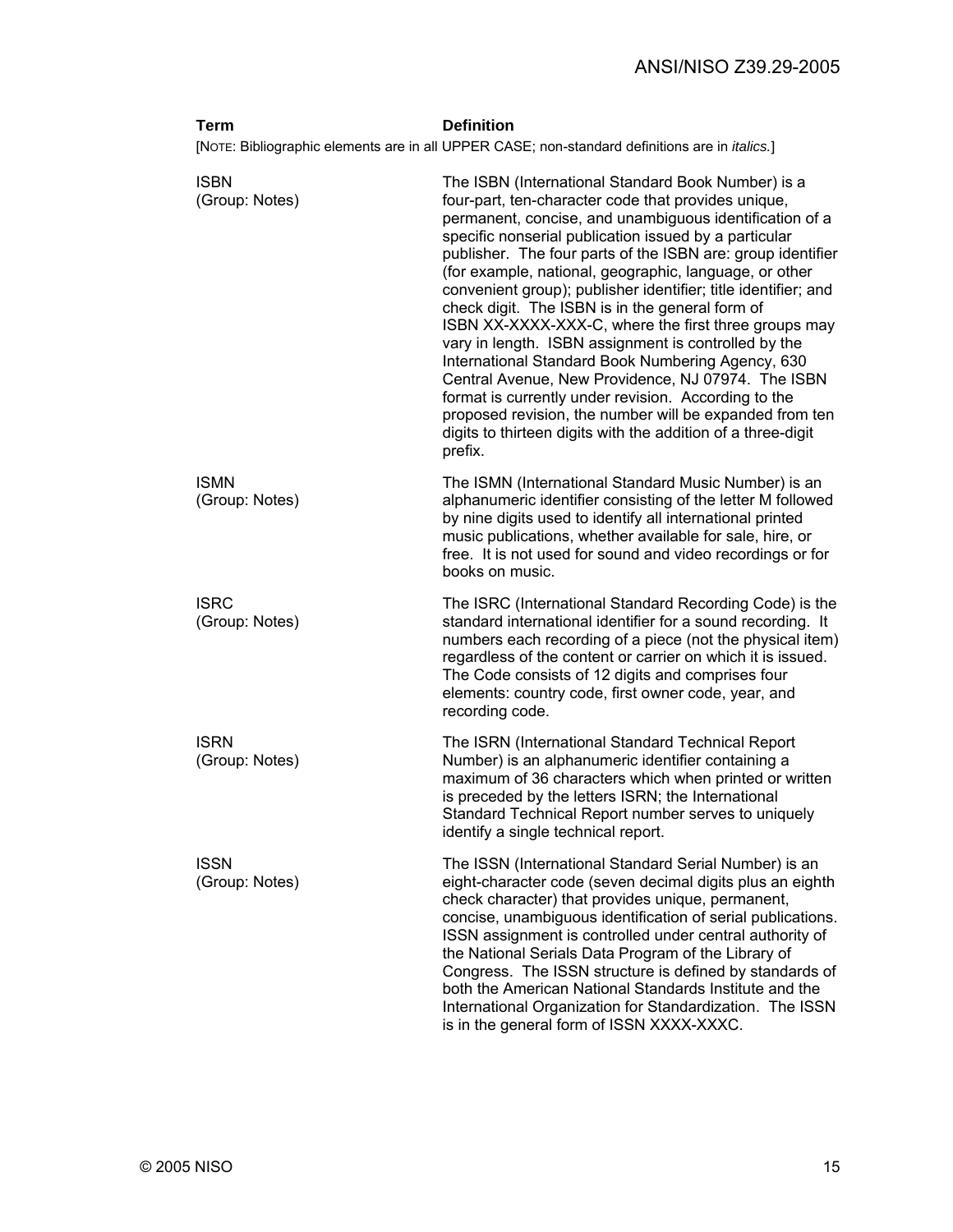| <b>Term</b>                   | <b>Definition</b>                                                                                                                                                                                                                                                                                                                                                                                                                                                                                                                                                                                                                                                                                                                                                                                                                                                                                    |
|-------------------------------|------------------------------------------------------------------------------------------------------------------------------------------------------------------------------------------------------------------------------------------------------------------------------------------------------------------------------------------------------------------------------------------------------------------------------------------------------------------------------------------------------------------------------------------------------------------------------------------------------------------------------------------------------------------------------------------------------------------------------------------------------------------------------------------------------------------------------------------------------------------------------------------------------|
|                               | [NOTE: Bibliographic elements are in all UPPER CASE; non-standard definitions are in <i>italics</i> .]                                                                                                                                                                                                                                                                                                                                                                                                                                                                                                                                                                                                                                                                                                                                                                                               |
| <b>ISBN</b><br>(Group: Notes) | The ISBN (International Standard Book Number) is a<br>four-part, ten-character code that provides unique,<br>permanent, concise, and unambiguous identification of a<br>specific nonserial publication issued by a particular<br>publisher. The four parts of the ISBN are: group identifier<br>(for example, national, geographic, language, or other<br>convenient group); publisher identifier; title identifier; and<br>check digit. The ISBN is in the general form of<br>ISBN XX-XXXX-XXX-C, where the first three groups may<br>vary in length. ISBN assignment is controlled by the<br>International Standard Book Numbering Agency, 630<br>Central Avenue, New Providence, NJ 07974. The ISBN<br>format is currently under revision. According to the<br>proposed revision, the number will be expanded from ten<br>digits to thirteen digits with the addition of a three-digit<br>prefix. |
| <b>ISMN</b><br>(Group: Notes) | The ISMN (International Standard Music Number) is an<br>alphanumeric identifier consisting of the letter M followed<br>by nine digits used to identify all international printed<br>music publications, whether available for sale, hire, or<br>free. It is not used for sound and video recordings or for<br>books on music.                                                                                                                                                                                                                                                                                                                                                                                                                                                                                                                                                                        |
| <b>ISRC</b><br>(Group: Notes) | The ISRC (International Standard Recording Code) is the<br>standard international identifier for a sound recording. It<br>numbers each recording of a piece (not the physical item)<br>regardless of the content or carrier on which it is issued.<br>The Code consists of 12 digits and comprises four<br>elements: country code, first owner code, year, and<br>recording code.                                                                                                                                                                                                                                                                                                                                                                                                                                                                                                                    |
| <b>ISRN</b><br>(Group: Notes) | The ISRN (International Standard Technical Report<br>Number) is an alphanumeric identifier containing a<br>maximum of 36 characters which when printed or written<br>is preceded by the letters ISRN; the International<br>Standard Technical Report number serves to uniquely<br>identify a single technical report.                                                                                                                                                                                                                                                                                                                                                                                                                                                                                                                                                                                |
| <b>ISSN</b><br>(Group: Notes) | The ISSN (International Standard Serial Number) is an<br>eight-character code (seven decimal digits plus an eighth<br>check character) that provides unique, permanent,<br>concise, unambiguous identification of serial publications.<br>ISSN assignment is controlled under central authority of<br>the National Serials Data Program of the Library of<br>Congress. The ISSN structure is defined by standards of<br>both the American National Standards Institute and the<br>International Organization for Standardization. The ISSN<br>is in the general form of ISSN XXXX-XXXC.                                                                                                                                                                                                                                                                                                              |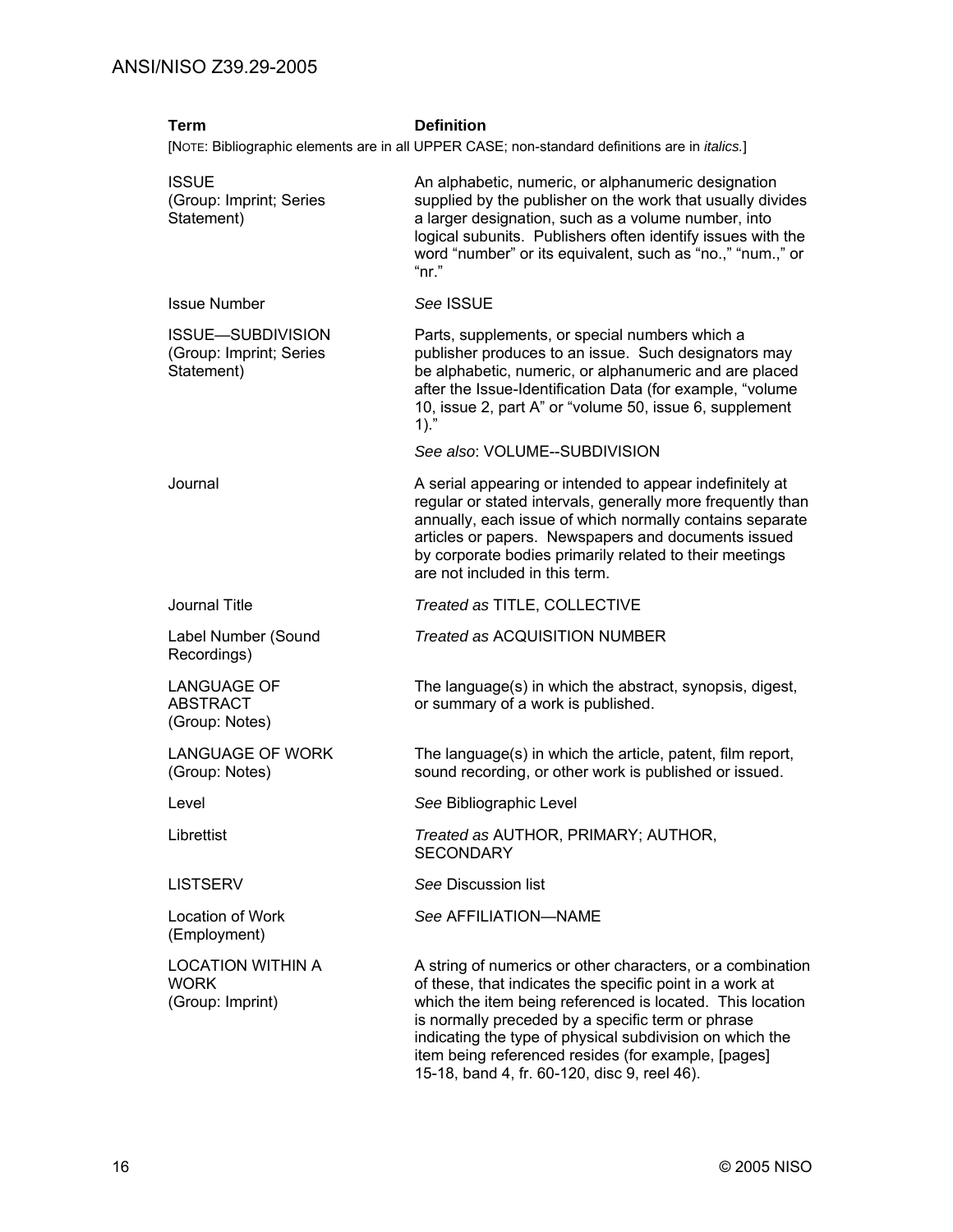| <b>Term</b>                                                       | <b>Definition</b><br>[NOTE: Bibliographic elements are in all UPPER CASE; non-standard definitions are in <i>italics</i> .]                                                                                                                                                                                                                                                                                 |
|-------------------------------------------------------------------|-------------------------------------------------------------------------------------------------------------------------------------------------------------------------------------------------------------------------------------------------------------------------------------------------------------------------------------------------------------------------------------------------------------|
| <b>ISSUE</b><br>(Group: Imprint; Series<br>Statement)             | An alphabetic, numeric, or alphanumeric designation<br>supplied by the publisher on the work that usually divides<br>a larger designation, such as a volume number, into<br>logical subunits. Publishers often identify issues with the<br>word "number" or its equivalent, such as "no.," "num.," or<br>"nr."                                                                                              |
| <b>Issue Number</b>                                               | See ISSUE                                                                                                                                                                                                                                                                                                                                                                                                   |
| <b>ISSUE-SUBDIVISION</b><br>(Group: Imprint; Series<br>Statement) | Parts, supplements, or special numbers which a<br>publisher produces to an issue. Such designators may<br>be alphabetic, numeric, or alphanumeric and are placed<br>after the Issue-Identification Data (for example, "volume<br>10, issue 2, part A" or "volume 50, issue 6, supplement<br>$1).$ "                                                                                                         |
|                                                                   | See also: VOLUME--SUBDIVISION                                                                                                                                                                                                                                                                                                                                                                               |
| Journal                                                           | A serial appearing or intended to appear indefinitely at<br>regular or stated intervals, generally more frequently than<br>annually, each issue of which normally contains separate<br>articles or papers. Newspapers and documents issued<br>by corporate bodies primarily related to their meetings<br>are not included in this term.                                                                     |
| Journal Title                                                     | Treated as TITLE, COLLECTIVE                                                                                                                                                                                                                                                                                                                                                                                |
| Label Number (Sound<br>Recordings)                                | <b>Treated as ACQUISITION NUMBER</b>                                                                                                                                                                                                                                                                                                                                                                        |
| <b>LANGUAGE OF</b><br><b>ABSTRACT</b><br>(Group: Notes)           | The language(s) in which the abstract, synopsis, digest,<br>or summary of a work is published.                                                                                                                                                                                                                                                                                                              |
| <b>LANGUAGE OF WORK</b><br>(Group: Notes)                         | The language(s) in which the article, patent, film report,<br>sound recording, or other work is published or issued.                                                                                                                                                                                                                                                                                        |
| Level                                                             | See Bibliographic Level                                                                                                                                                                                                                                                                                                                                                                                     |
| Librettist                                                        | Treated as AUTHOR, PRIMARY; AUTHOR,<br><b>SECONDARY</b>                                                                                                                                                                                                                                                                                                                                                     |
| <b>LISTSERV</b>                                                   | See Discussion list                                                                                                                                                                                                                                                                                                                                                                                         |
| Location of Work<br>(Employment)                                  | See AFFILIATION-NAME                                                                                                                                                                                                                                                                                                                                                                                        |
| <b>LOCATION WITHIN A</b><br><b>WORK</b><br>(Group: Imprint)       | A string of numerics or other characters, or a combination<br>of these, that indicates the specific point in a work at<br>which the item being referenced is located. This location<br>is normally preceded by a specific term or phrase<br>indicating the type of physical subdivision on which the<br>item being referenced resides (for example, [pages]<br>15-18, band 4, fr. 60-120, disc 9, reel 46). |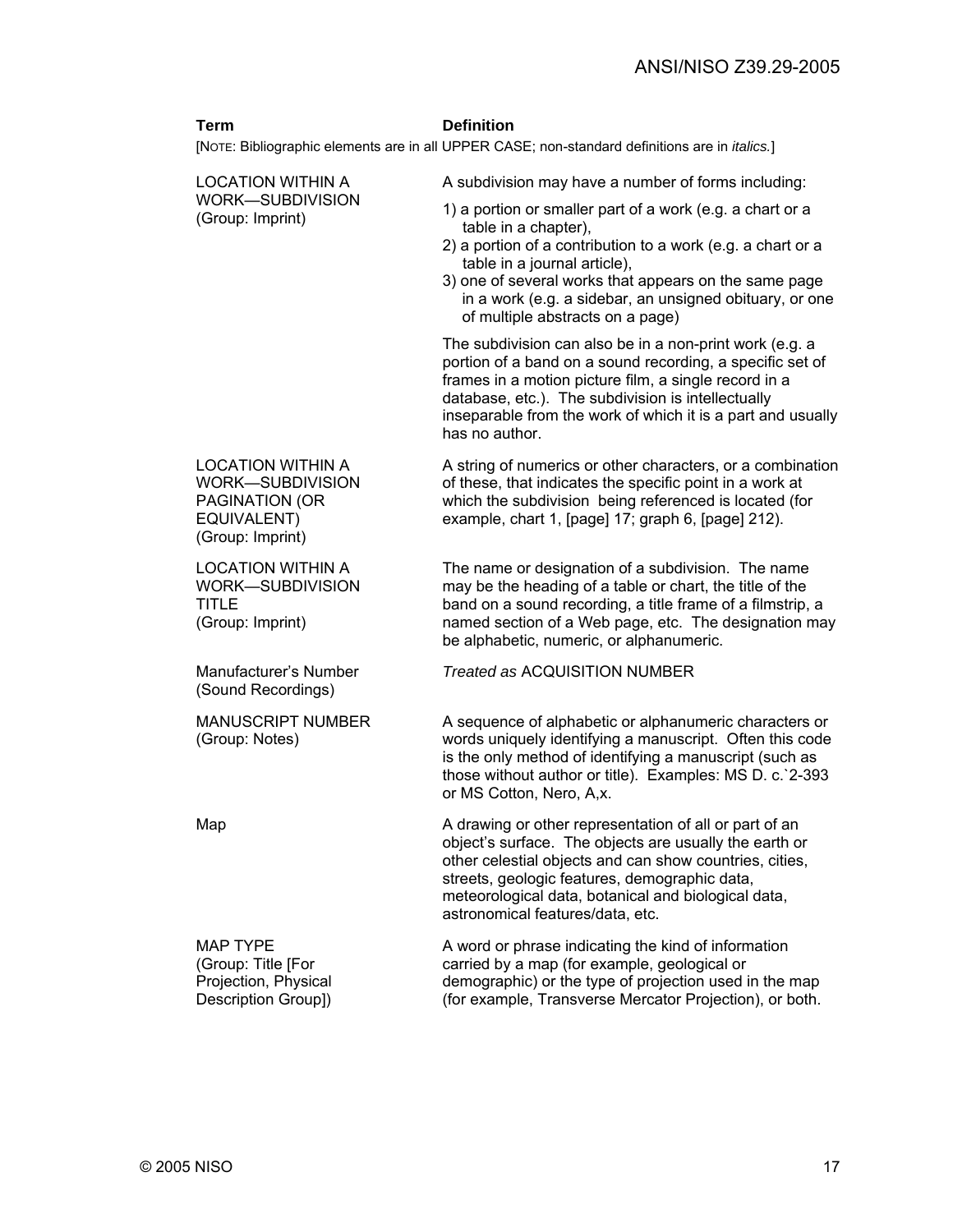#### **Term Definition**

[NOTE: Bibliographic elements are in all UPPER CASE; non-standard definitions are in *italics.*]

LOCATION WITHIN A WORK—SUBDIVISION (Group: Imprint) A subdivision may have a number of forms including: 1) a portion or smaller part of a work (e.g. a chart or a table in a chapter), 2) a portion of a contribution to a work (e.g. a chart or a table in a journal article), 3) one of several works that appears on the same page in a work (e.g. a sidebar, an unsigned obituary, or one of multiple abstracts on a page) The subdivision can also be in a non-print work (e.g. a portion of a band on a sound recording, a specific set of frames in a motion picture film, a single record in a database, etc.). The subdivision is intellectually inseparable from the work of which it is a part and usually has no author. LOCATION WITHIN A WORK—SUBDIVISION PAGINATION (OR EQUIVALENT) (Group: Imprint) A string of numerics or other characters, or a combination of these, that indicates the specific point in a work at which the subdivision being referenced is located (for example, chart 1, [page] 17; graph 6, [page] 212). LOCATION WITHIN A WORK—SUBDIVISION TITLE (Group: Imprint) The name or designation of a subdivision. The name may be the heading of a table or chart, the title of the band on a sound recording, a title frame of a filmstrip, a named section of a Web page, etc. The designation may be alphabetic, numeric, or alphanumeric. Manufacturer's Number (Sound Recordings) *Treated as* ACQUISITION NUMBER MANUSCRIPT NUMBER (Group: Notes) A sequence of alphabetic or alphanumeric characters or words uniquely identifying a manuscript. Often this code is the only method of identifying a manuscript (such as those without author or title). Examples: MS D. c.`2-393 or MS Cotton, Nero, A,x. Map Map A drawing or other representation of all or part of an object's surface. The objects are usually the earth or other celestial objects and can show countries, cities, streets, geologic features, demographic data, meteorological data, botanical and biological data, astronomical features/data, etc. MAP TYPE (Group: Title [For Projection, Physical Description Group]) A word or phrase indicating the kind of information carried by a map (for example, geological or demographic) or the type of projection used in the map (for example, Transverse Mercator Projection), or both.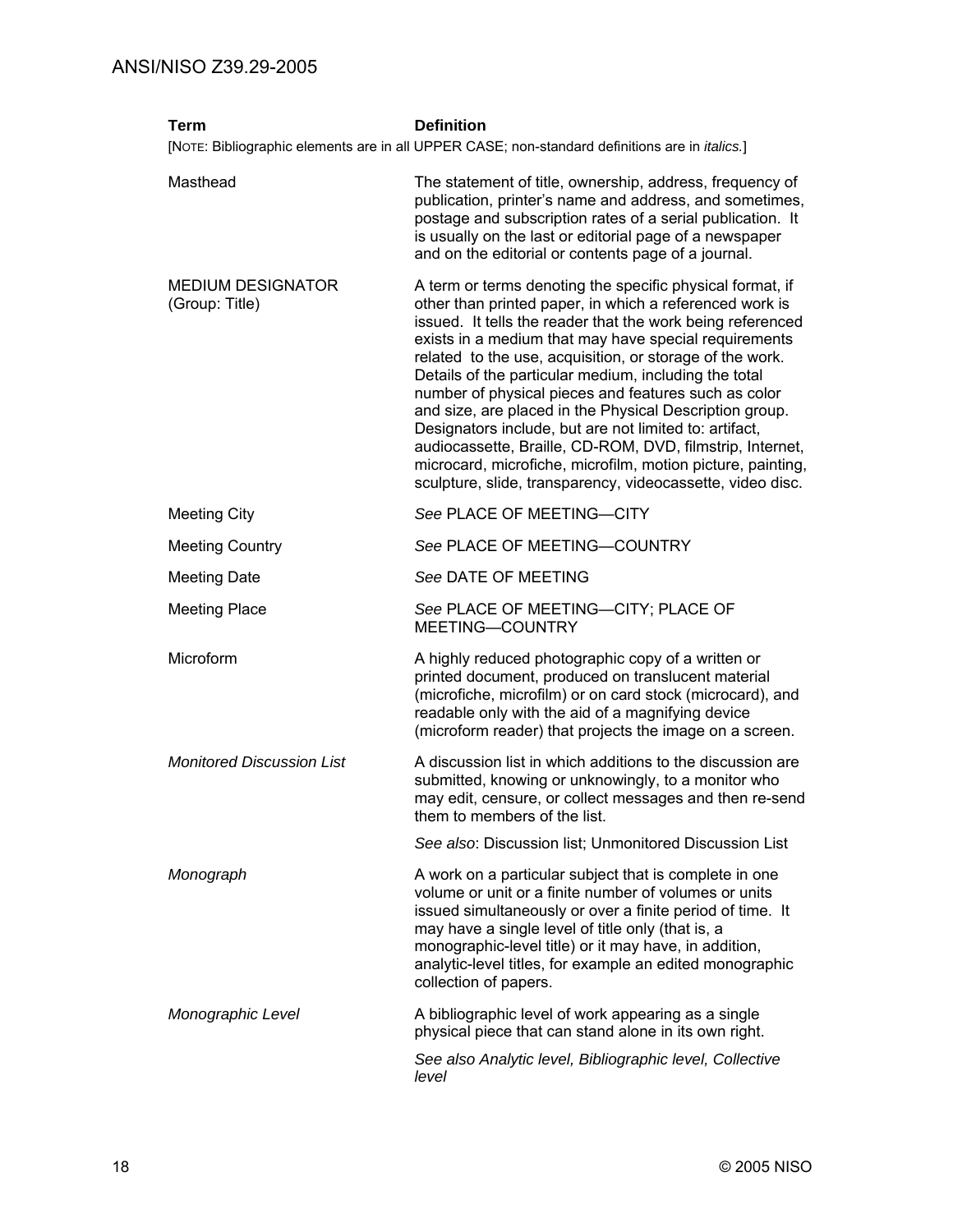| Term                                       | <b>Definition</b><br>[NOTE: Bibliographic elements are in all UPPER CASE; non-standard definitions are in <i>italics.</i> ]                                                                                                                                                                                                                                                                                                                                                                                                                                                                                                                                                                                                             |
|--------------------------------------------|-----------------------------------------------------------------------------------------------------------------------------------------------------------------------------------------------------------------------------------------------------------------------------------------------------------------------------------------------------------------------------------------------------------------------------------------------------------------------------------------------------------------------------------------------------------------------------------------------------------------------------------------------------------------------------------------------------------------------------------------|
| Masthead                                   | The statement of title, ownership, address, frequency of<br>publication, printer's name and address, and sometimes,<br>postage and subscription rates of a serial publication. It<br>is usually on the last or editorial page of a newspaper<br>and on the editorial or contents page of a journal.                                                                                                                                                                                                                                                                                                                                                                                                                                     |
| <b>MEDIUM DESIGNATOR</b><br>(Group: Title) | A term or terms denoting the specific physical format, if<br>other than printed paper, in which a referenced work is<br>issued. It tells the reader that the work being referenced<br>exists in a medium that may have special requirements<br>related to the use, acquisition, or storage of the work.<br>Details of the particular medium, including the total<br>number of physical pieces and features such as color<br>and size, are placed in the Physical Description group.<br>Designators include, but are not limited to: artifact,<br>audiocassette, Braille, CD-ROM, DVD, filmstrip, Internet,<br>microcard, microfiche, microfilm, motion picture, painting,<br>sculpture, slide, transparency, videocassette, video disc. |
| <b>Meeting City</b>                        | See PLACE OF MEETING-CITY                                                                                                                                                                                                                                                                                                                                                                                                                                                                                                                                                                                                                                                                                                               |
| <b>Meeting Country</b>                     | See PLACE OF MEETING-COUNTRY                                                                                                                                                                                                                                                                                                                                                                                                                                                                                                                                                                                                                                                                                                            |
| <b>Meeting Date</b>                        | See DATE OF MEETING                                                                                                                                                                                                                                                                                                                                                                                                                                                                                                                                                                                                                                                                                                                     |
| <b>Meeting Place</b>                       | See PLACE OF MEETING-CITY; PLACE OF<br>MEETING-COUNTRY                                                                                                                                                                                                                                                                                                                                                                                                                                                                                                                                                                                                                                                                                  |
| Microform                                  | A highly reduced photographic copy of a written or<br>printed document, produced on translucent material<br>(microfiche, microfilm) or on card stock (microcard), and<br>readable only with the aid of a magnifying device<br>(microform reader) that projects the image on a screen.                                                                                                                                                                                                                                                                                                                                                                                                                                                   |
| <b>Monitored Discussion List</b>           | A discussion list in which additions to the discussion are<br>submitted, knowing or unknowingly, to a monitor who<br>may edit, censure, or collect messages and then re-send<br>them to members of the list.                                                                                                                                                                                                                                                                                                                                                                                                                                                                                                                            |
|                                            | See also: Discussion list; Unmonitored Discussion List                                                                                                                                                                                                                                                                                                                                                                                                                                                                                                                                                                                                                                                                                  |
| Monograph                                  | A work on a particular subject that is complete in one<br>volume or unit or a finite number of volumes or units<br>issued simultaneously or over a finite period of time. It<br>may have a single level of title only (that is, a<br>monographic-level title) or it may have, in addition,<br>analytic-level titles, for example an edited monographic<br>collection of papers.                                                                                                                                                                                                                                                                                                                                                         |
| Monographic Level                          | A bibliographic level of work appearing as a single<br>physical piece that can stand alone in its own right.                                                                                                                                                                                                                                                                                                                                                                                                                                                                                                                                                                                                                            |
|                                            | See also Analytic level, Bibliographic level, Collective<br>level                                                                                                                                                                                                                                                                                                                                                                                                                                                                                                                                                                                                                                                                       |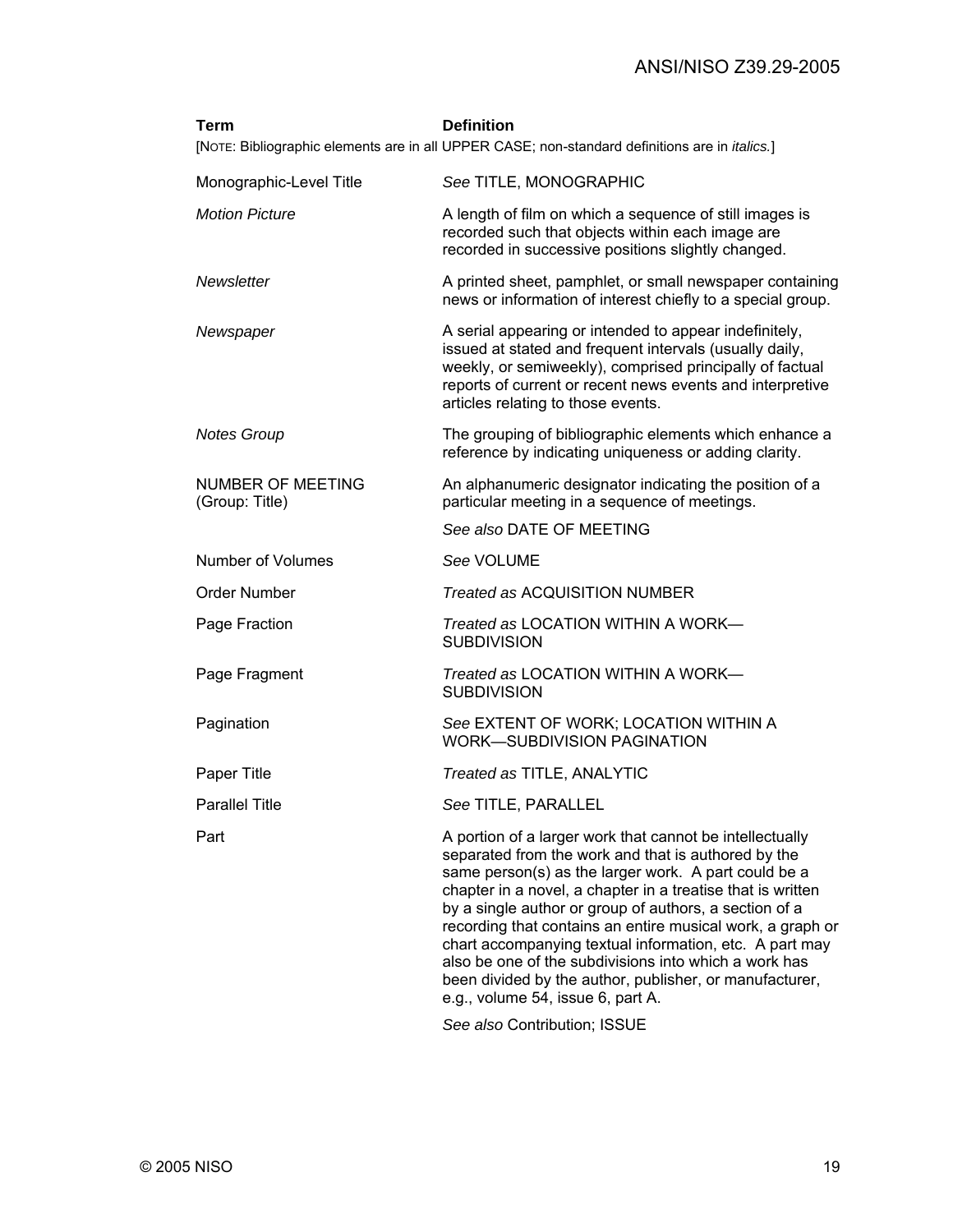| Term                                       | <b>Definition</b><br>[NOTE: Bibliographic elements are in all UPPER CASE; non-standard definitions are in <i>italics.</i> ]                                                                                                                                                                                                                                                                                                                                                                                                                                                        |
|--------------------------------------------|------------------------------------------------------------------------------------------------------------------------------------------------------------------------------------------------------------------------------------------------------------------------------------------------------------------------------------------------------------------------------------------------------------------------------------------------------------------------------------------------------------------------------------------------------------------------------------|
| Monographic-Level Title                    | See TITLE, MONOGRAPHIC                                                                                                                                                                                                                                                                                                                                                                                                                                                                                                                                                             |
| <b>Motion Picture</b>                      | A length of film on which a sequence of still images is<br>recorded such that objects within each image are<br>recorded in successive positions slightly changed.                                                                                                                                                                                                                                                                                                                                                                                                                  |
| Newsletter                                 | A printed sheet, pamphlet, or small newspaper containing<br>news or information of interest chiefly to a special group.                                                                                                                                                                                                                                                                                                                                                                                                                                                            |
| Newspaper                                  | A serial appearing or intended to appear indefinitely,<br>issued at stated and frequent intervals (usually daily,<br>weekly, or semiweekly), comprised principally of factual<br>reports of current or recent news events and interpretive<br>articles relating to those events.                                                                                                                                                                                                                                                                                                   |
| <b>Notes Group</b>                         | The grouping of bibliographic elements which enhance a<br>reference by indicating uniqueness or adding clarity.                                                                                                                                                                                                                                                                                                                                                                                                                                                                    |
| <b>NUMBER OF MEETING</b><br>(Group: Title) | An alphanumeric designator indicating the position of a<br>particular meeting in a sequence of meetings.                                                                                                                                                                                                                                                                                                                                                                                                                                                                           |
|                                            | See also DATE OF MEETING                                                                                                                                                                                                                                                                                                                                                                                                                                                                                                                                                           |
| Number of Volumes                          | See VOLUME                                                                                                                                                                                                                                                                                                                                                                                                                                                                                                                                                                         |
| <b>Order Number</b>                        | <b>Treated as ACQUISITION NUMBER</b>                                                                                                                                                                                                                                                                                                                                                                                                                                                                                                                                               |
| Page Fraction                              | Treated as LOCATION WITHIN A WORK-<br><b>SUBDIVISION</b>                                                                                                                                                                                                                                                                                                                                                                                                                                                                                                                           |
| Page Fragment                              | Treated as LOCATION WITHIN A WORK-<br><b>SUBDIVISION</b>                                                                                                                                                                                                                                                                                                                                                                                                                                                                                                                           |
| Pagination                                 | See EXTENT OF WORK; LOCATION WITHIN A<br><b>WORK-SUBDIVISION PAGINATION</b>                                                                                                                                                                                                                                                                                                                                                                                                                                                                                                        |
| Paper Title                                | Treated as TITLE, ANALYTIC                                                                                                                                                                                                                                                                                                                                                                                                                                                                                                                                                         |
| <b>Parallel Title</b>                      | See TITLE, PARALLEL                                                                                                                                                                                                                                                                                                                                                                                                                                                                                                                                                                |
| Part                                       | A portion of a larger work that cannot be intellectually<br>separated from the work and that is authored by the<br>same person(s) as the larger work. A part could be a<br>chapter in a novel, a chapter in a treatise that is written<br>by a single author or group of authors, a section of a<br>recording that contains an entire musical work, a graph or<br>chart accompanying textual information, etc. A part may<br>also be one of the subdivisions into which a work has<br>been divided by the author, publisher, or manufacturer,<br>e.g., volume 54, issue 6, part A. |
|                                            | Can alon Captribution: ICCLIE                                                                                                                                                                                                                                                                                                                                                                                                                                                                                                                                                      |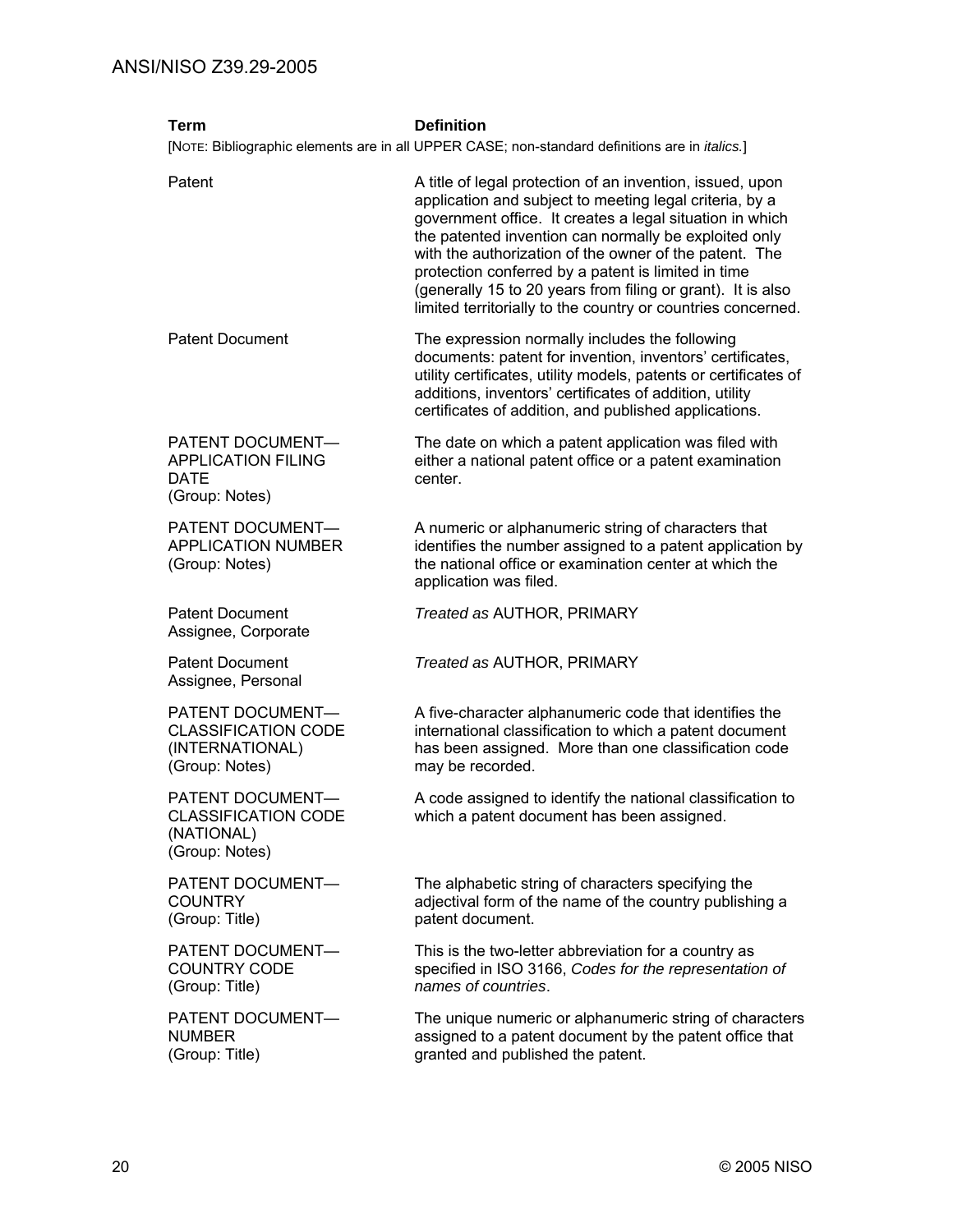| <b>Term</b>                                                                         | <b>Definition</b><br>[NOTE: Bibliographic elements are in all UPPER CASE; non-standard definitions are in <i>italics</i> .]                                                                                                                                                                                                                                                                                                                                                               |
|-------------------------------------------------------------------------------------|-------------------------------------------------------------------------------------------------------------------------------------------------------------------------------------------------------------------------------------------------------------------------------------------------------------------------------------------------------------------------------------------------------------------------------------------------------------------------------------------|
| Patent                                                                              | A title of legal protection of an invention, issued, upon<br>application and subject to meeting legal criteria, by a<br>government office. It creates a legal situation in which<br>the patented invention can normally be exploited only<br>with the authorization of the owner of the patent. The<br>protection conferred by a patent is limited in time<br>(generally 15 to 20 years from filing or grant). It is also<br>limited territorially to the country or countries concerned. |
| <b>Patent Document</b>                                                              | The expression normally includes the following<br>documents: patent for invention, inventors' certificates,<br>utility certificates, utility models, patents or certificates of<br>additions, inventors' certificates of addition, utility<br>certificates of addition, and published applications.                                                                                                                                                                                       |
| PATENT DOCUMENT-<br><b>APPLICATION FILING</b><br><b>DATE</b><br>(Group: Notes)      | The date on which a patent application was filed with<br>either a national patent office or a patent examination<br>center.                                                                                                                                                                                                                                                                                                                                                               |
| PATENT DOCUMENT-<br><b>APPLICATION NUMBER</b><br>(Group: Notes)                     | A numeric or alphanumeric string of characters that<br>identifies the number assigned to a patent application by<br>the national office or examination center at which the<br>application was filed.                                                                                                                                                                                                                                                                                      |
| <b>Patent Document</b><br>Assignee, Corporate                                       | Treated as AUTHOR, PRIMARY                                                                                                                                                                                                                                                                                                                                                                                                                                                                |
| <b>Patent Document</b><br>Assignee, Personal                                        | Treated as AUTHOR, PRIMARY                                                                                                                                                                                                                                                                                                                                                                                                                                                                |
| PATENT DOCUMENT-<br><b>CLASSIFICATION CODE</b><br>(INTERNATIONAL)<br>(Group: Notes) | A five-character alphanumeric code that identifies the<br>international classification to which a patent document<br>has been assigned. More than one classification code<br>may be recorded.                                                                                                                                                                                                                                                                                             |
| PATENT DOCUMENT-<br><b>CLASSIFICATION CODE</b><br>(NATIONAL)<br>(Group: Notes)      | A code assigned to identify the national classification to<br>which a patent document has been assigned.                                                                                                                                                                                                                                                                                                                                                                                  |
| PATENT DOCUMENT-<br><b>COUNTRY</b><br>(Group: Title)                                | The alphabetic string of characters specifying the<br>adjectival form of the name of the country publishing a<br>patent document.                                                                                                                                                                                                                                                                                                                                                         |
| PATENT DOCUMENT-<br><b>COUNTRY CODE</b><br>(Group: Title)                           | This is the two-letter abbreviation for a country as<br>specified in ISO 3166, Codes for the representation of<br>names of countries.                                                                                                                                                                                                                                                                                                                                                     |
| PATENT DOCUMENT-<br><b>NUMBER</b><br>(Group: Title)                                 | The unique numeric or alphanumeric string of characters<br>assigned to a patent document by the patent office that<br>granted and published the patent.                                                                                                                                                                                                                                                                                                                                   |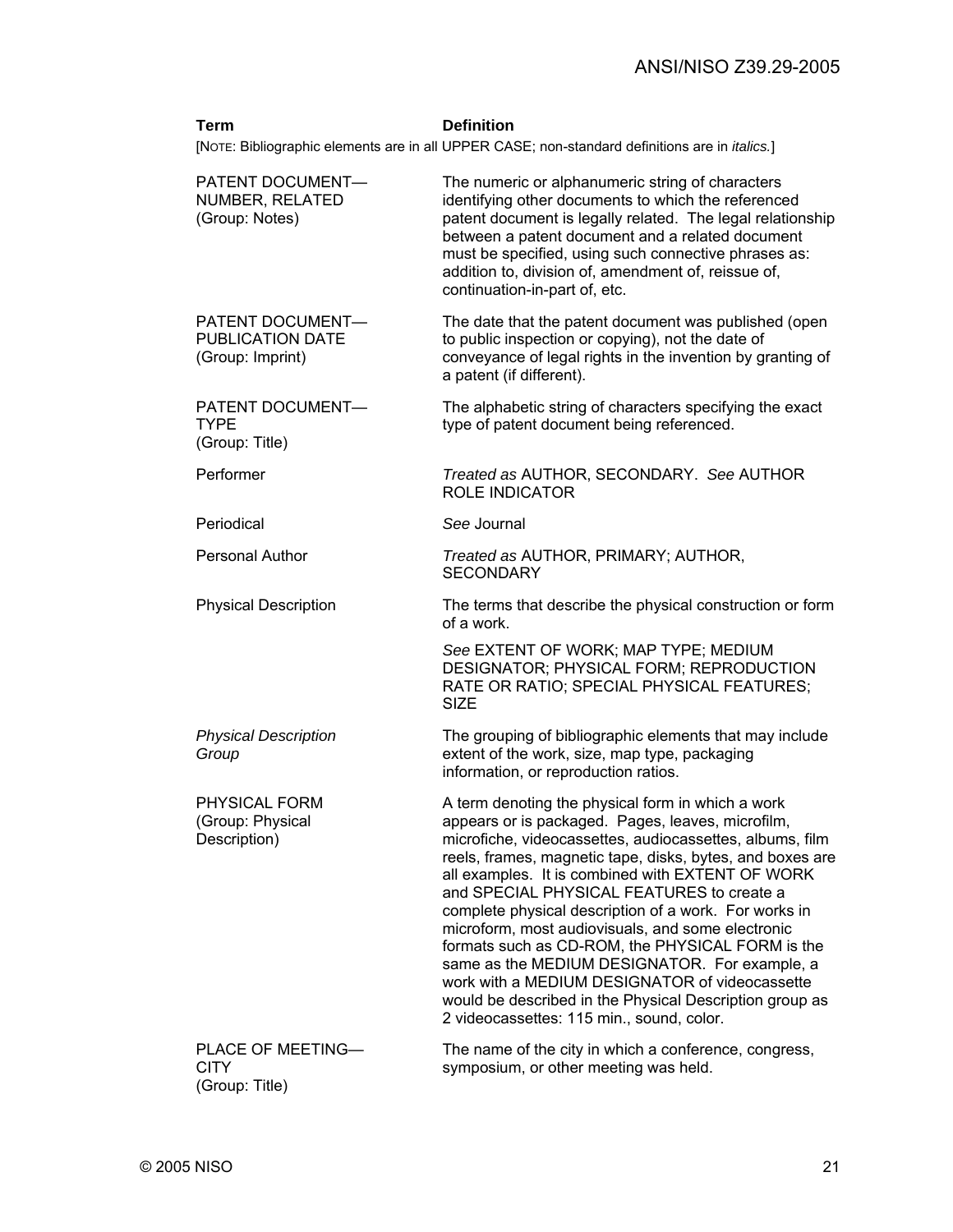#### **Term Definition**

[NOTE: Bibliographic elements are in all UPPER CASE; non-standard definitions are in *italics.*]

| PATENT DOCUMENT-<br>NUMBER, RELATED<br>(Group: Notes)     | The numeric or alphanumeric string of characters<br>identifying other documents to which the referenced<br>patent document is legally related. The legal relationship<br>between a patent document and a related document<br>must be specified, using such connective phrases as:<br>addition to, division of, amendment of, reissue of,<br>continuation-in-part of, etc.                                                                                                                                                                                                                                                                                                                                     |
|-----------------------------------------------------------|---------------------------------------------------------------------------------------------------------------------------------------------------------------------------------------------------------------------------------------------------------------------------------------------------------------------------------------------------------------------------------------------------------------------------------------------------------------------------------------------------------------------------------------------------------------------------------------------------------------------------------------------------------------------------------------------------------------|
| PATENT DOCUMENT-<br>PUBLICATION DATE<br>(Group: Imprint)  | The date that the patent document was published (open<br>to public inspection or copying), not the date of<br>conveyance of legal rights in the invention by granting of<br>a patent (if different).                                                                                                                                                                                                                                                                                                                                                                                                                                                                                                          |
| PATENT DOCUMENT-<br><b>TYPE</b><br>(Group: Title)         | The alphabetic string of characters specifying the exact<br>type of patent document being referenced.                                                                                                                                                                                                                                                                                                                                                                                                                                                                                                                                                                                                         |
| Performer                                                 | Treated as AUTHOR, SECONDARY. See AUTHOR<br><b>ROLE INDICATOR</b>                                                                                                                                                                                                                                                                                                                                                                                                                                                                                                                                                                                                                                             |
| Periodical                                                | See Journal                                                                                                                                                                                                                                                                                                                                                                                                                                                                                                                                                                                                                                                                                                   |
| <b>Personal Author</b>                                    | Treated as AUTHOR, PRIMARY; AUTHOR,<br><b>SECONDARY</b>                                                                                                                                                                                                                                                                                                                                                                                                                                                                                                                                                                                                                                                       |
| <b>Physical Description</b>                               | The terms that describe the physical construction or form<br>of a work.                                                                                                                                                                                                                                                                                                                                                                                                                                                                                                                                                                                                                                       |
|                                                           | See EXTENT OF WORK; MAP TYPE; MEDIUM<br>DESIGNATOR; PHYSICAL FORM; REPRODUCTION<br>RATE OR RATIO; SPECIAL PHYSICAL FEATURES;<br><b>SIZE</b>                                                                                                                                                                                                                                                                                                                                                                                                                                                                                                                                                                   |
| <b>Physical Description</b><br>Group                      | The grouping of bibliographic elements that may include<br>extent of the work, size, map type, packaging<br>information, or reproduction ratios.                                                                                                                                                                                                                                                                                                                                                                                                                                                                                                                                                              |
| PHYSICAL FORM<br>(Group: Physical<br>Description)         | A term denoting the physical form in which a work<br>appears or is packaged. Pages, leaves, microfilm,<br>microfiche, videocassettes, audiocassettes, albums, film<br>reels, frames, magnetic tape, disks, bytes, and boxes are<br>all examples. It is combined with EXTENT OF WORK<br>and SPECIAL PHYSICAL FEATURES to create a<br>complete physical description of a work. For works in<br>microform, most audiovisuals, and some electronic<br>formats such as CD-ROM, the PHYSICAL FORM is the<br>same as the MEDIUM DESIGNATOR. For example, a<br>work with a MEDIUM DESIGNATOR of videocassette<br>would be described in the Physical Description group as<br>2 videocassettes: 115 min., sound, color. |
| <b>PLACE OF MEETING-</b><br><b>CITY</b><br>(Group: Title) | The name of the city in which a conference, congress,<br>symposium, or other meeting was held.                                                                                                                                                                                                                                                                                                                                                                                                                                                                                                                                                                                                                |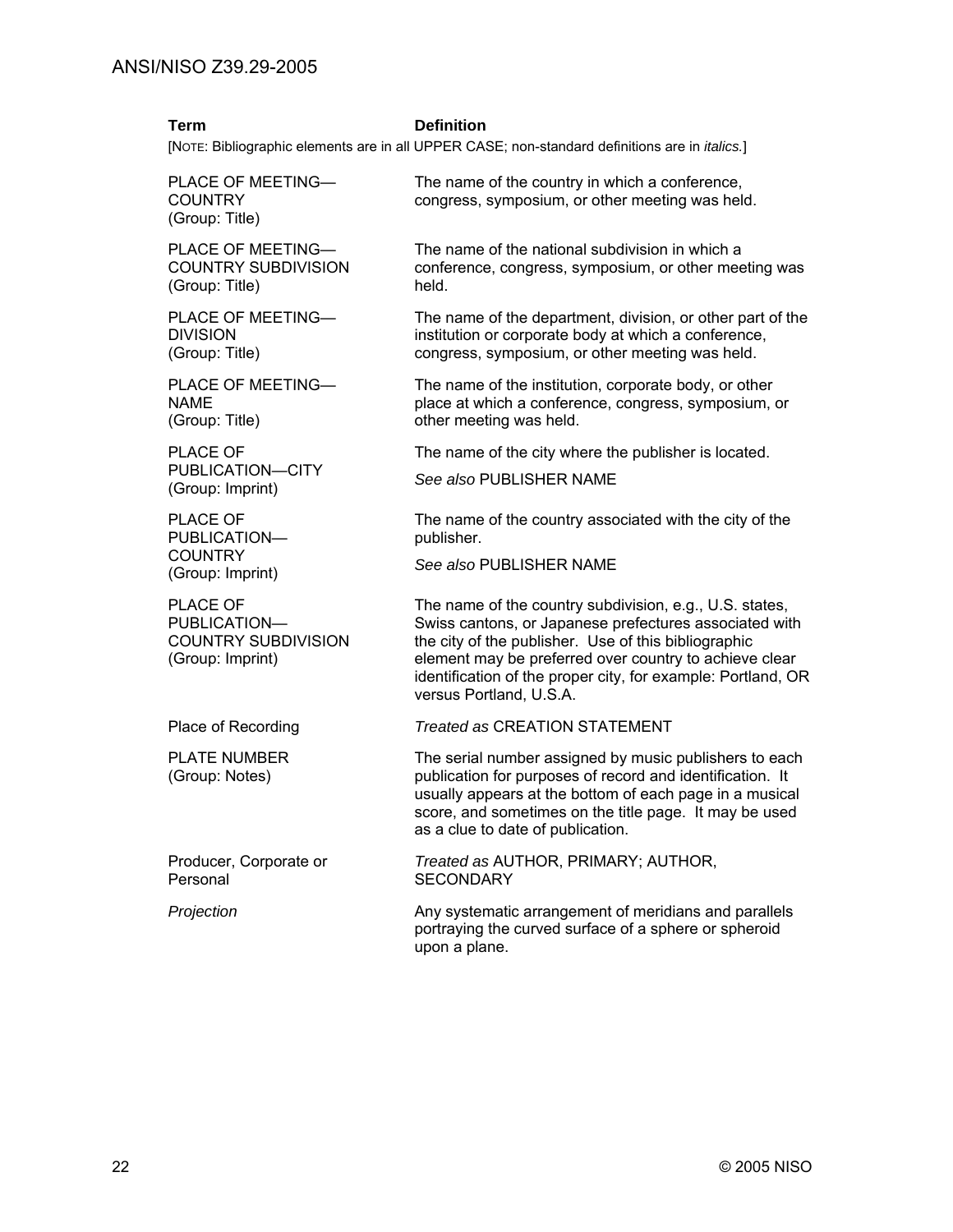#### **Term Definition**

[NOTE: Bibliographic elements are in all UPPER CASE; non-standard definitions are in *italics.*]

PLACE OF MEETING— **COUNTRY** (Group: Title)

PLACE OF MEETING— COUNTRY SUBDIVISION (Group: Title)

PLACE OF MEETING— DIVISION (Group: Title)

PLACE OF MEETING— NAME (Group: Title)

PLACE OF PUBLICATION—CITY (Group: Imprint)

PLACE OF PUBLICATION— **COUNTRY** (Group: Imprint)

PLACE OF PUBLICATION— COUNTRY SUBDIVISION (Group: Imprint)

PLATE NUMBER (Group: Notes)

Producer, Corporate or Personal

 The name of the country in which a conference, congress, symposium, or other meeting was held.

 The name of the national subdivision in which a conference, congress, symposium, or other meeting was held.

 The name of the department, division, or other part of the institution or corporate body at which a conference, congress, symposium, or other meeting was held.

 The name of the institution, corporate body, or other place at which a conference, congress, symposium, or other meeting was held.

The name of the city where the publisher is located.

*See also* PUBLISHER NAME

 The name of the country associated with the city of the publisher.

*See also* PUBLISHER NAME

 The name of the country subdivision, e.g., U.S. states, Swiss cantons, or Japanese prefectures associated with the city of the publisher. Use of this bibliographic element may be preferred over country to achieve clear identification of the proper city, for example: Portland, OR versus Portland, U.S.A.

Place of Recording *Treated as* CREATION STATEMENT

 The serial number assigned by music publishers to each publication for purposes of record and identification. It usually appears at the bottom of each page in a musical score, and sometimes on the title page. It may be used as a clue to date of publication.

*Treated as* AUTHOR, PRIMARY; AUTHOR, **SECONDARY** 

*Projection* Any systematic arrangement of meridians and parallels portraying the curved surface of a sphere or spheroid upon a plane.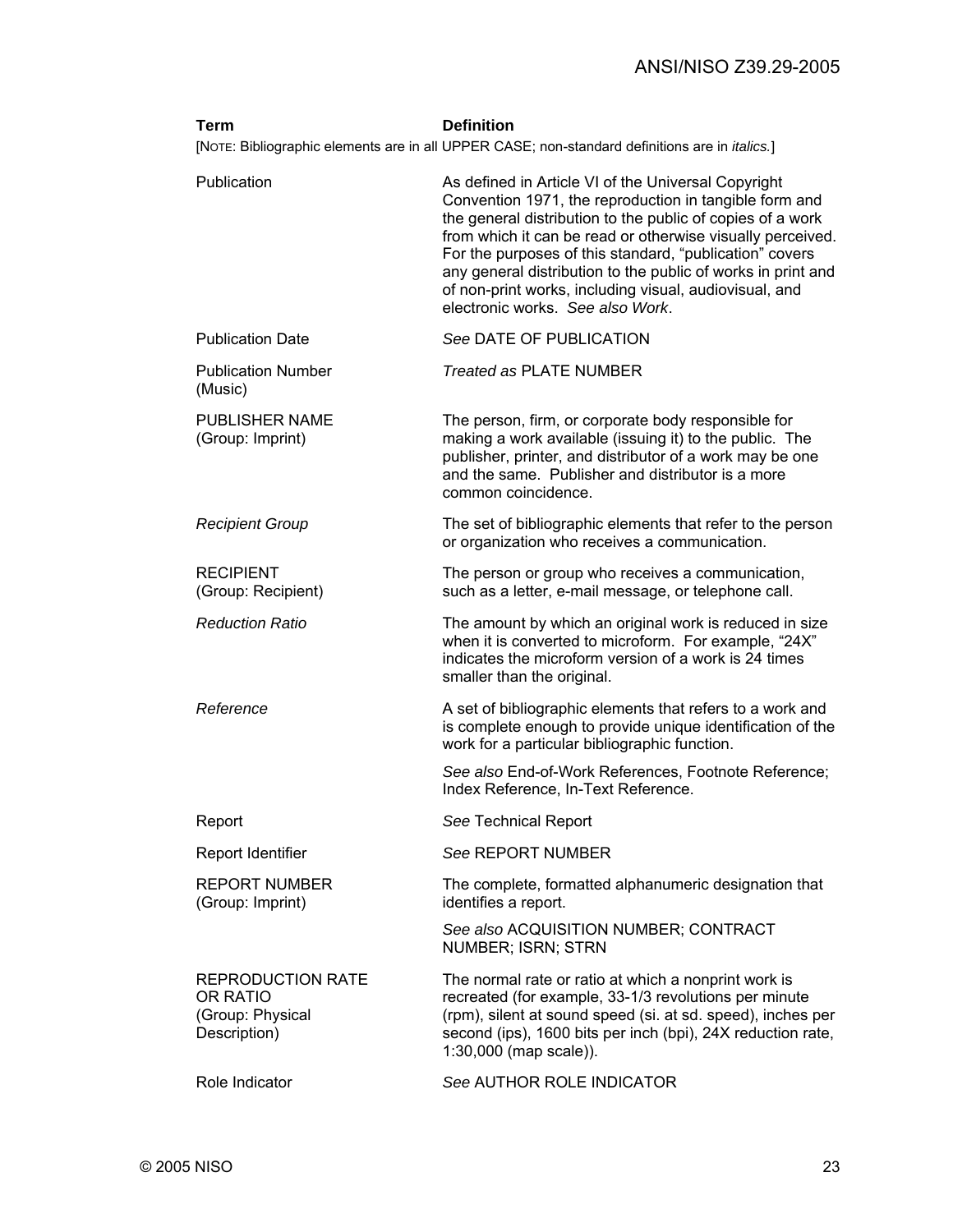| Term                                                                            | <b>Definition</b><br>[NOTE: Bibliographic elements are in all UPPER CASE; non-standard definitions are in <i>italics</i> .]                                                                                                                                                                                                                                                                                                                                        |
|---------------------------------------------------------------------------------|--------------------------------------------------------------------------------------------------------------------------------------------------------------------------------------------------------------------------------------------------------------------------------------------------------------------------------------------------------------------------------------------------------------------------------------------------------------------|
| Publication                                                                     | As defined in Article VI of the Universal Copyright<br>Convention 1971, the reproduction in tangible form and<br>the general distribution to the public of copies of a work<br>from which it can be read or otherwise visually perceived.<br>For the purposes of this standard, "publication" covers<br>any general distribution to the public of works in print and<br>of non-print works, including visual, audiovisual, and<br>electronic works. See also Work. |
| <b>Publication Date</b>                                                         | See DATE OF PUBLICATION                                                                                                                                                                                                                                                                                                                                                                                                                                            |
| <b>Publication Number</b><br>(Music)                                            | <b>Treated as PLATE NUMBER</b>                                                                                                                                                                                                                                                                                                                                                                                                                                     |
| <b>PUBLISHER NAME</b><br>(Group: Imprint)                                       | The person, firm, or corporate body responsible for<br>making a work available (issuing it) to the public. The<br>publisher, printer, and distributor of a work may be one<br>and the same. Publisher and distributor is a more<br>common coincidence.                                                                                                                                                                                                             |
| <b>Recipient Group</b>                                                          | The set of bibliographic elements that refer to the person<br>or organization who receives a communication.                                                                                                                                                                                                                                                                                                                                                        |
| <b>RECIPIENT</b><br>(Group: Recipient)                                          | The person or group who receives a communication,<br>such as a letter, e-mail message, or telephone call.                                                                                                                                                                                                                                                                                                                                                          |
| <b>Reduction Ratio</b>                                                          | The amount by which an original work is reduced in size<br>when it is converted to microform. For example, "24X"<br>indicates the microform version of a work is 24 times<br>smaller than the original.                                                                                                                                                                                                                                                            |
| Reference                                                                       | A set of bibliographic elements that refers to a work and<br>is complete enough to provide unique identification of the<br>work for a particular bibliographic function.                                                                                                                                                                                                                                                                                           |
|                                                                                 | See also End-of-Work References, Footnote Reference;<br>Index Reference, In-Text Reference.                                                                                                                                                                                                                                                                                                                                                                        |
| Report                                                                          | See Technical Report                                                                                                                                                                                                                                                                                                                                                                                                                                               |
| Report Identifier                                                               | See REPORT NUMBER                                                                                                                                                                                                                                                                                                                                                                                                                                                  |
| <b>REPORT NUMBER</b><br>(Group: Imprint)                                        | The complete, formatted alphanumeric designation that<br>identifies a report.                                                                                                                                                                                                                                                                                                                                                                                      |
|                                                                                 | See also ACQUISITION NUMBER; CONTRACT<br>NUMBER; ISRN; STRN                                                                                                                                                                                                                                                                                                                                                                                                        |
| <b>REPRODUCTION RATE</b><br><b>OR RATIO</b><br>(Group: Physical<br>Description) | The normal rate or ratio at which a nonprint work is<br>recreated (for example, 33-1/3 revolutions per minute<br>(rpm), silent at sound speed (si. at sd. speed), inches per<br>second (ips), 1600 bits per inch (bpi), 24X reduction rate,<br>$1:30,000$ (map scale)).                                                                                                                                                                                            |
| Role Indicator                                                                  | See AUTHOR ROLE INDICATOR                                                                                                                                                                                                                                                                                                                                                                                                                                          |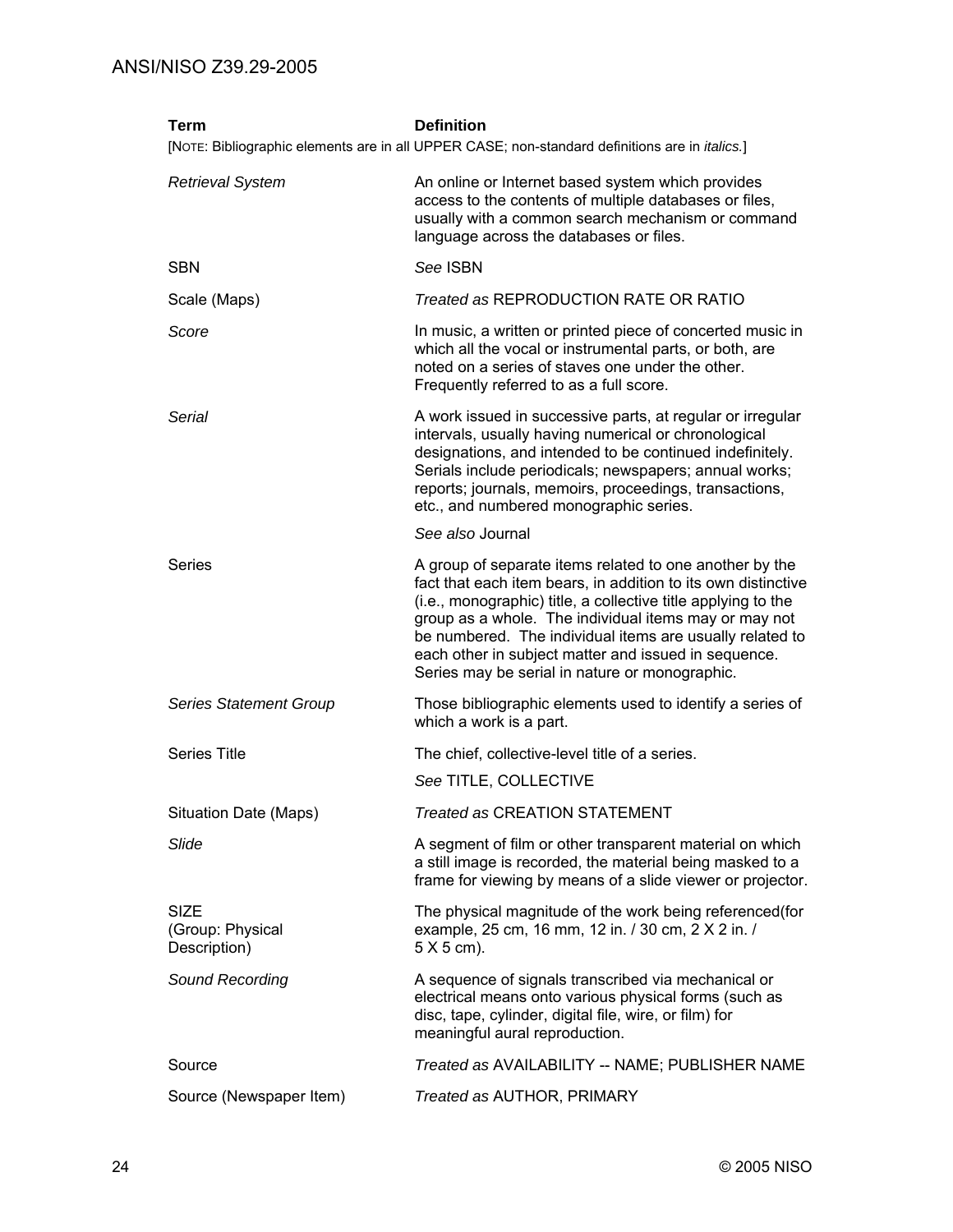| <b>Term</b>                                     | <b>Definition</b><br>[NOTE: Bibliographic elements are in all UPPER CASE; non-standard definitions are in <i>italics</i> .]                                                                                                                                                                                                                                                                                              |
|-------------------------------------------------|--------------------------------------------------------------------------------------------------------------------------------------------------------------------------------------------------------------------------------------------------------------------------------------------------------------------------------------------------------------------------------------------------------------------------|
| <b>Retrieval System</b>                         | An online or Internet based system which provides<br>access to the contents of multiple databases or files,<br>usually with a common search mechanism or command<br>language across the databases or files.                                                                                                                                                                                                              |
| <b>SBN</b>                                      | See ISBN                                                                                                                                                                                                                                                                                                                                                                                                                 |
| Scale (Maps)                                    | Treated as REPRODUCTION RATE OR RATIO                                                                                                                                                                                                                                                                                                                                                                                    |
| Score                                           | In music, a written or printed piece of concerted music in<br>which all the vocal or instrumental parts, or both, are<br>noted on a series of staves one under the other.<br>Frequently referred to as a full score.                                                                                                                                                                                                     |
| Serial                                          | A work issued in successive parts, at regular or irregular<br>intervals, usually having numerical or chronological<br>designations, and intended to be continued indefinitely.<br>Serials include periodicals; newspapers; annual works;<br>reports; journals, memoirs, proceedings, transactions,<br>etc., and numbered monographic series.                                                                             |
|                                                 | See also Journal                                                                                                                                                                                                                                                                                                                                                                                                         |
| Series                                          | A group of separate items related to one another by the<br>fact that each item bears, in addition to its own distinctive<br>(i.e., monographic) title, a collective title applying to the<br>group as a whole. The individual items may or may not<br>be numbered. The individual items are usually related to<br>each other in subject matter and issued in sequence.<br>Series may be serial in nature or monographic. |
| <b>Series Statement Group</b>                   | Those bibliographic elements used to identify a series of<br>which a work is a part.                                                                                                                                                                                                                                                                                                                                     |
| <b>Series Title</b>                             | The chief, collective-level title of a series.                                                                                                                                                                                                                                                                                                                                                                           |
|                                                 | See TITLE, COLLECTIVE                                                                                                                                                                                                                                                                                                                                                                                                    |
| Situation Date (Maps)                           | Treated as CREATION STATEMENT                                                                                                                                                                                                                                                                                                                                                                                            |
| Slide                                           | A segment of film or other transparent material on which<br>a still image is recorded, the material being masked to a<br>frame for viewing by means of a slide viewer or projector.                                                                                                                                                                                                                                      |
| <b>SIZE</b><br>(Group: Physical<br>Description) | The physical magnitude of the work being referenced (for<br>example, 25 cm, 16 mm, 12 in. / 30 cm, 2 X 2 in. /<br>$5 X 5$ cm).                                                                                                                                                                                                                                                                                           |
| Sound Recording                                 | A sequence of signals transcribed via mechanical or<br>electrical means onto various physical forms (such as<br>disc, tape, cylinder, digital file, wire, or film) for<br>meaningful aural reproduction.                                                                                                                                                                                                                 |
| Source                                          | Treated as AVAILABILITY -- NAME; PUBLISHER NAME                                                                                                                                                                                                                                                                                                                                                                          |
| Source (Newspaper Item)                         | Treated as AUTHOR, PRIMARY                                                                                                                                                                                                                                                                                                                                                                                               |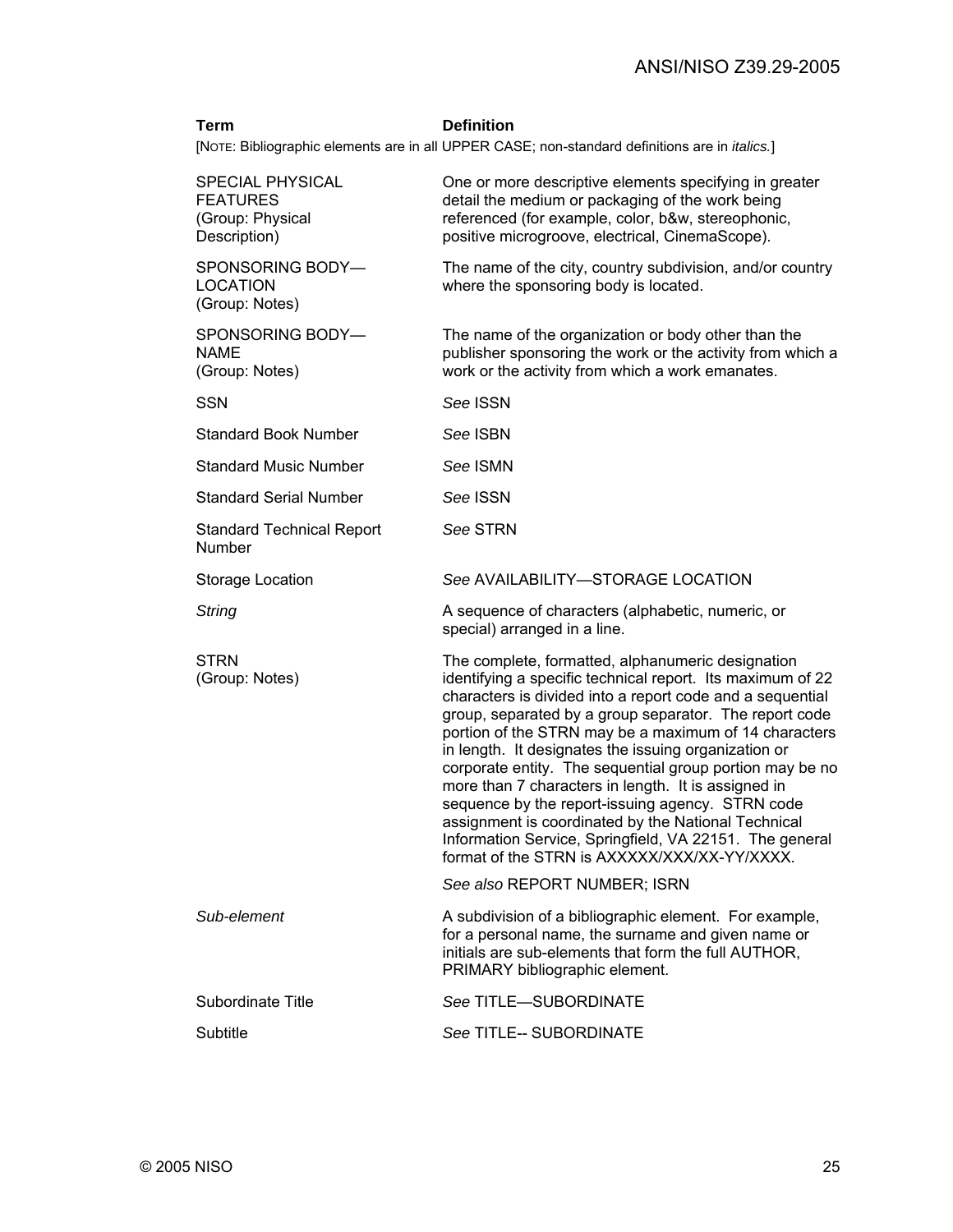#### **Term Definition**

[NOTE: Bibliographic elements are in all UPPER CASE; non-standard definitions are in *italics.*]

| SPECIAL PHYSICAL<br><b>FEATURES</b><br>(Group: Physical<br>Description) | One or more descriptive elements specifying in greater<br>detail the medium or packaging of the work being<br>referenced (for example, color, b&w, stereophonic,<br>positive microgroove, electrical, CinemaScope).                                                                                                                                                                                                                                                                                                                                                                                                                                                                              |
|-------------------------------------------------------------------------|--------------------------------------------------------------------------------------------------------------------------------------------------------------------------------------------------------------------------------------------------------------------------------------------------------------------------------------------------------------------------------------------------------------------------------------------------------------------------------------------------------------------------------------------------------------------------------------------------------------------------------------------------------------------------------------------------|
| SPONSORING BODY-<br><b>LOCATION</b><br>(Group: Notes)                   | The name of the city, country subdivision, and/or country<br>where the sponsoring body is located.                                                                                                                                                                                                                                                                                                                                                                                                                                                                                                                                                                                               |
| SPONSORING BODY-<br><b>NAME</b><br>(Group: Notes)                       | The name of the organization or body other than the<br>publisher sponsoring the work or the activity from which a<br>work or the activity from which a work emanates.                                                                                                                                                                                                                                                                                                                                                                                                                                                                                                                            |
| <b>SSN</b>                                                              | See ISSN                                                                                                                                                                                                                                                                                                                                                                                                                                                                                                                                                                                                                                                                                         |
| <b>Standard Book Number</b>                                             | See ISBN                                                                                                                                                                                                                                                                                                                                                                                                                                                                                                                                                                                                                                                                                         |
| <b>Standard Music Number</b>                                            | See ISMN                                                                                                                                                                                                                                                                                                                                                                                                                                                                                                                                                                                                                                                                                         |
| <b>Standard Serial Number</b>                                           | See ISSN                                                                                                                                                                                                                                                                                                                                                                                                                                                                                                                                                                                                                                                                                         |
| <b>Standard Technical Report</b><br>Number                              | See STRN                                                                                                                                                                                                                                                                                                                                                                                                                                                                                                                                                                                                                                                                                         |
| Storage Location                                                        | See AVAILABILITY-STORAGE LOCATION                                                                                                                                                                                                                                                                                                                                                                                                                                                                                                                                                                                                                                                                |
| String                                                                  | A sequence of characters (alphabetic, numeric, or<br>special) arranged in a line.                                                                                                                                                                                                                                                                                                                                                                                                                                                                                                                                                                                                                |
| <b>STRN</b><br>(Group: Notes)                                           | The complete, formatted, alphanumeric designation<br>identifying a specific technical report. Its maximum of 22<br>characters is divided into a report code and a sequential<br>group, separated by a group separator. The report code<br>portion of the STRN may be a maximum of 14 characters<br>in length. It designates the issuing organization or<br>corporate entity. The sequential group portion may be no<br>more than 7 characters in length. It is assigned in<br>sequence by the report-issuing agency. STRN code<br>assignment is coordinated by the National Technical<br>Information Service, Springfield, VA 22151. The general<br>format of the STRN is AXXXXX/XXX/XX-YY/XXXX. |
|                                                                         | See also REPORT NUMBER; ISRN                                                                                                                                                                                                                                                                                                                                                                                                                                                                                                                                                                                                                                                                     |
| Sub-element                                                             | A subdivision of a bibliographic element. For example,<br>for a personal name, the surname and given name or<br>initials are sub-elements that form the full AUTHOR,<br>PRIMARY bibliographic element.                                                                                                                                                                                                                                                                                                                                                                                                                                                                                           |
| Subordinate Title                                                       | See TITLE-SUBORDINATE                                                                                                                                                                                                                                                                                                                                                                                                                                                                                                                                                                                                                                                                            |
| Subtitle                                                                | See TITLE-- SUBORDINATE                                                                                                                                                                                                                                                                                                                                                                                                                                                                                                                                                                                                                                                                          |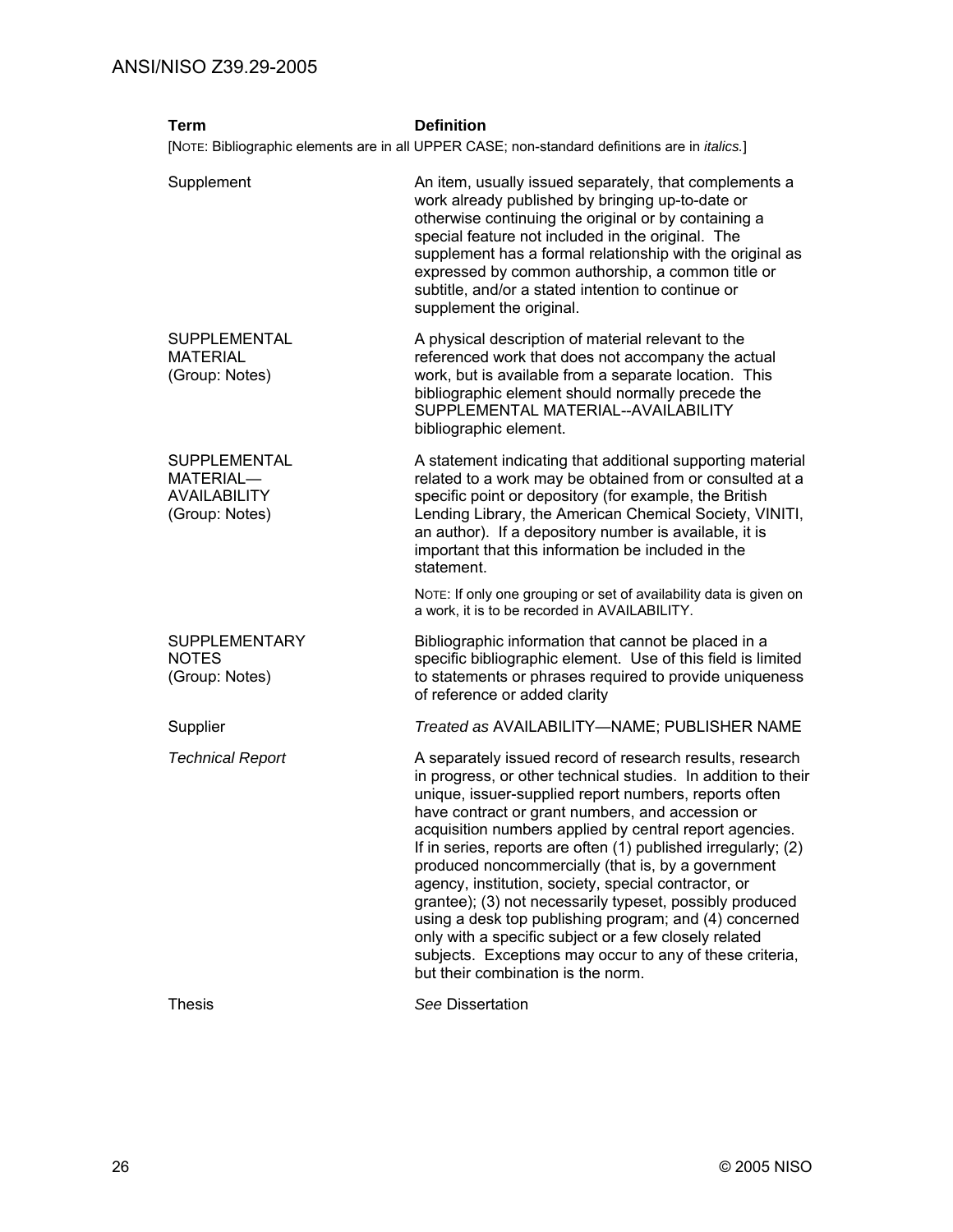| <b>Term</b>                                                               | <b>Definition</b>                                                                                                                                                                                                                                                                                                                                                                                                                                                                                                                                                                                                                                                                                                                                                  |
|---------------------------------------------------------------------------|--------------------------------------------------------------------------------------------------------------------------------------------------------------------------------------------------------------------------------------------------------------------------------------------------------------------------------------------------------------------------------------------------------------------------------------------------------------------------------------------------------------------------------------------------------------------------------------------------------------------------------------------------------------------------------------------------------------------------------------------------------------------|
|                                                                           | [NOTE: Bibliographic elements are in all UPPER CASE; non-standard definitions are in <i>italics</i> .]                                                                                                                                                                                                                                                                                                                                                                                                                                                                                                                                                                                                                                                             |
| Supplement                                                                | An item, usually issued separately, that complements a<br>work already published by bringing up-to-date or<br>otherwise continuing the original or by containing a<br>special feature not included in the original. The<br>supplement has a formal relationship with the original as<br>expressed by common authorship, a common title or<br>subtitle, and/or a stated intention to continue or<br>supplement the original.                                                                                                                                                                                                                                                                                                                                        |
| SUPPLEMENTAL<br><b>MATERIAL</b><br>(Group: Notes)                         | A physical description of material relevant to the<br>referenced work that does not accompany the actual<br>work, but is available from a separate location. This<br>bibliographic element should normally precede the<br>SUPPLEMENTAL MATERIAL--AVAILABILITY<br>bibliographic element.                                                                                                                                                                                                                                                                                                                                                                                                                                                                            |
| <b>SUPPLEMENTAL</b><br>MATERIAL-<br><b>AVAILABILITY</b><br>(Group: Notes) | A statement indicating that additional supporting material<br>related to a work may be obtained from or consulted at a<br>specific point or depository (for example, the British<br>Lending Library, the American Chemical Society, VINITI,<br>an author). If a depository number is available, it is<br>important that this information be included in the<br>statement.                                                                                                                                                                                                                                                                                                                                                                                          |
|                                                                           | NOTE: If only one grouping or set of availability data is given on<br>a work, it is to be recorded in AVAILABILITY.                                                                                                                                                                                                                                                                                                                                                                                                                                                                                                                                                                                                                                                |
| <b>SUPPLEMENTARY</b><br><b>NOTES</b><br>(Group: Notes)                    | Bibliographic information that cannot be placed in a<br>specific bibliographic element. Use of this field is limited<br>to statements or phrases required to provide uniqueness<br>of reference or added clarity                                                                                                                                                                                                                                                                                                                                                                                                                                                                                                                                                   |
| Supplier                                                                  | Treated as AVAILABILITY-NAME; PUBLISHER NAME                                                                                                                                                                                                                                                                                                                                                                                                                                                                                                                                                                                                                                                                                                                       |
| <b>Technical Report</b>                                                   | A separately issued record of research results, research<br>in progress, or other technical studies. In addition to their<br>unique, issuer-supplied report numbers, reports often<br>have contract or grant numbers, and accession or<br>acquisition numbers applied by central report agencies.<br>If in series, reports are often (1) published irregularly; (2)<br>produced noncommercially (that is, by a government<br>agency, institution, society, special contractor, or<br>grantee); (3) not necessarily typeset, possibly produced<br>using a desk top publishing program; and (4) concerned<br>only with a specific subject or a few closely related<br>subjects. Exceptions may occur to any of these criteria,<br>but their combination is the norm. |
| <b>Thesis</b>                                                             | See Dissertation                                                                                                                                                                                                                                                                                                                                                                                                                                                                                                                                                                                                                                                                                                                                                   |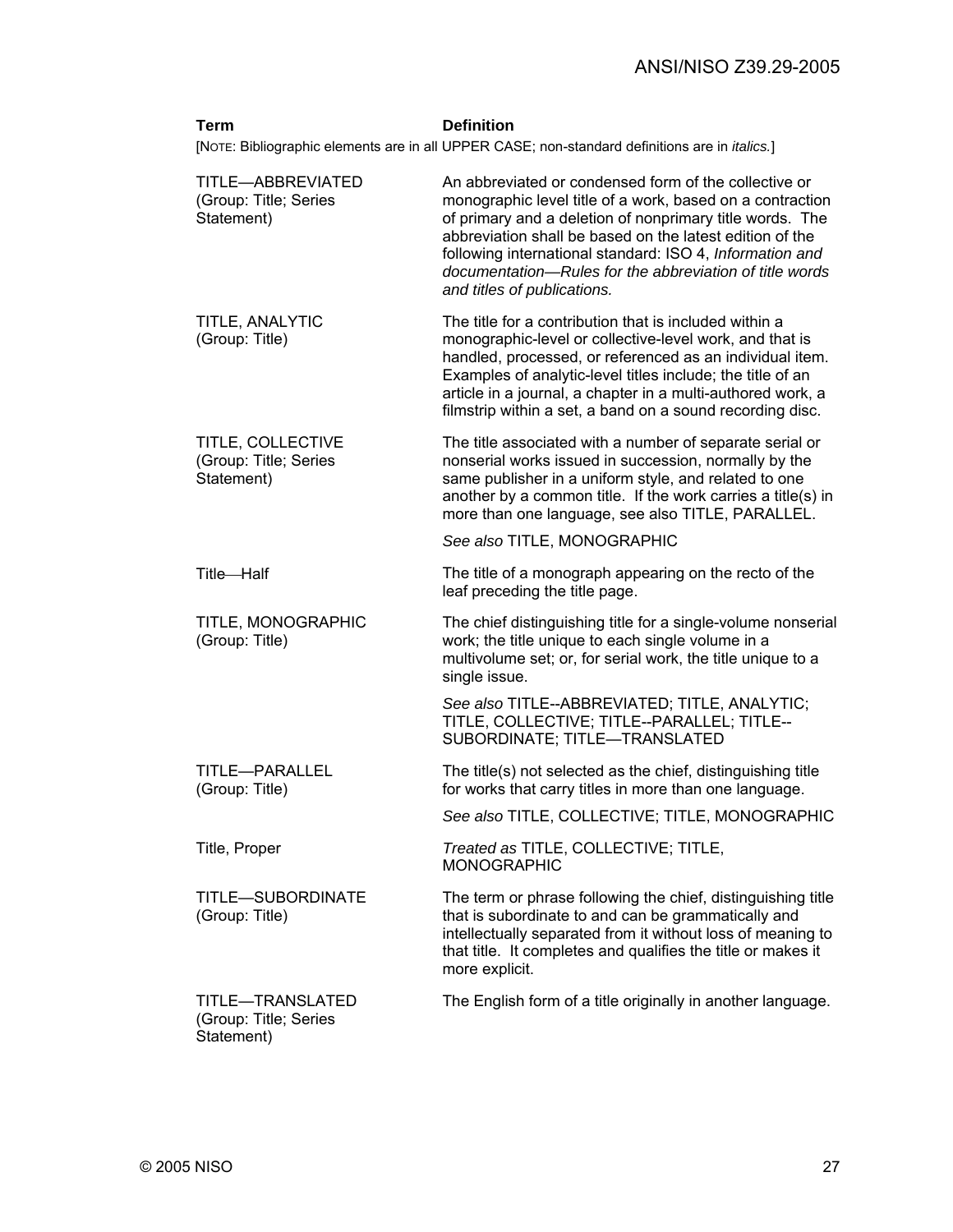| Term                                                     | <b>Definition</b>                                                                                                                                                                                                                                                                                                                                                                                |
|----------------------------------------------------------|--------------------------------------------------------------------------------------------------------------------------------------------------------------------------------------------------------------------------------------------------------------------------------------------------------------------------------------------------------------------------------------------------|
|                                                          | [NOTE: Bibliographic elements are in all UPPER CASE; non-standard definitions are in <i>italics</i> .]                                                                                                                                                                                                                                                                                           |
| TITLE-ABBREVIATED<br>(Group: Title; Series<br>Statement) | An abbreviated or condensed form of the collective or<br>monographic level title of a work, based on a contraction<br>of primary and a deletion of nonprimary title words. The<br>abbreviation shall be based on the latest edition of the<br>following international standard: ISO 4, Information and<br>documentation-Rules for the abbreviation of title words<br>and titles of publications. |
| TITLE, ANALYTIC<br>(Group: Title)                        | The title for a contribution that is included within a<br>monographic-level or collective-level work, and that is<br>handled, processed, or referenced as an individual item.<br>Examples of analytic-level titles include; the title of an<br>article in a journal, a chapter in a multi-authored work, a<br>filmstrip within a set, a band on a sound recording disc.                          |
| TITLE, COLLECTIVE<br>(Group: Title; Series<br>Statement) | The title associated with a number of separate serial or<br>nonserial works issued in succession, normally by the<br>same publisher in a uniform style, and related to one<br>another by a common title. If the work carries a title(s) in<br>more than one language, see also TITLE, PARALLEL.                                                                                                  |
|                                                          | See also TITLE, MONOGRAPHIC                                                                                                                                                                                                                                                                                                                                                                      |
| Title-Half                                               | The title of a monograph appearing on the recto of the<br>leaf preceding the title page.                                                                                                                                                                                                                                                                                                         |
| TITLE, MONOGRAPHIC<br>(Group: Title)                     | The chief distinguishing title for a single-volume nonserial<br>work; the title unique to each single volume in a<br>multivolume set; or, for serial work, the title unique to a<br>single issue.                                                                                                                                                                                                |
|                                                          | See also TITLE--ABBREVIATED; TITLE, ANALYTIC;<br>TITLE, COLLECTIVE; TITLE--PARALLEL; TITLE--<br>SUBORDINATE; TITLE-TRANSLATED                                                                                                                                                                                                                                                                    |
| TITLE-PARALLEL<br>(Group: Title)                         | The title(s) not selected as the chief, distinguishing title<br>for works that carry titles in more than one language.                                                                                                                                                                                                                                                                           |
|                                                          | See also TITLE, COLLECTIVE; TITLE, MONOGRAPHIC                                                                                                                                                                                                                                                                                                                                                   |
| Title, Proper                                            | Treated as TITLE, COLLECTIVE; TITLE,<br><b>MONOGRAPHIC</b>                                                                                                                                                                                                                                                                                                                                       |
| TITLE-SUBORDINATE<br>(Group: Title)                      | The term or phrase following the chief, distinguishing title<br>that is subordinate to and can be grammatically and<br>intellectually separated from it without loss of meaning to<br>that title. It completes and qualifies the title or makes it<br>more explicit.                                                                                                                             |
| TITLE-TRANSLATED<br>(Group: Title; Series<br>Statement)  | The English form of a title originally in another language.                                                                                                                                                                                                                                                                                                                                      |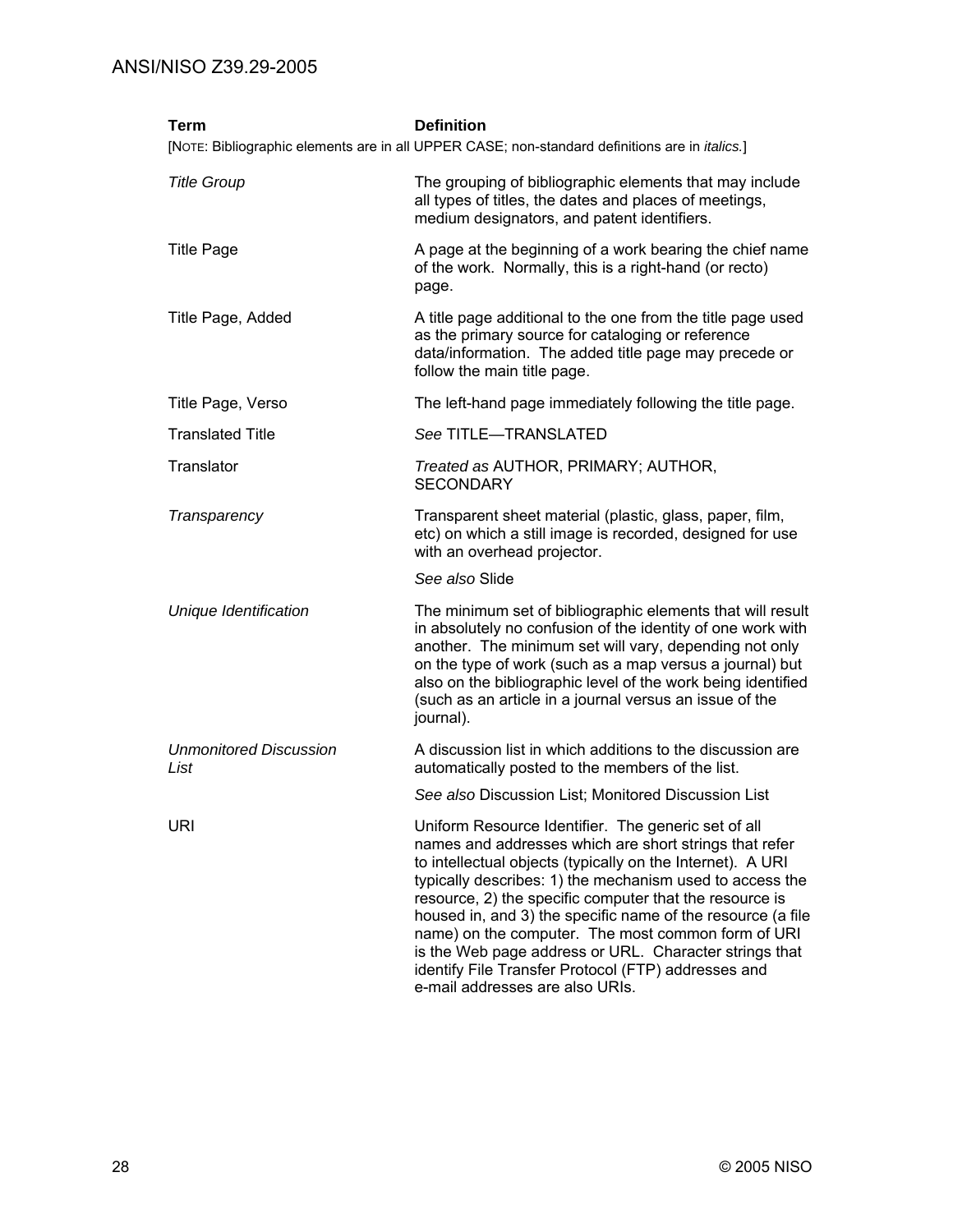| Term                                  | <b>Definition</b><br>[NOTE: Bibliographic elements are in all UPPER CASE; non-standard definitions are in <i>italics.</i> ]                                                                                                                                                                                                                                                                                                                                                                                                                                                 |
|---------------------------------------|-----------------------------------------------------------------------------------------------------------------------------------------------------------------------------------------------------------------------------------------------------------------------------------------------------------------------------------------------------------------------------------------------------------------------------------------------------------------------------------------------------------------------------------------------------------------------------|
| <b>Title Group</b>                    | The grouping of bibliographic elements that may include<br>all types of titles, the dates and places of meetings,<br>medium designators, and patent identifiers.                                                                                                                                                                                                                                                                                                                                                                                                            |
| <b>Title Page</b>                     | A page at the beginning of a work bearing the chief name<br>of the work. Normally, this is a right-hand (or recto)<br>page.                                                                                                                                                                                                                                                                                                                                                                                                                                                 |
| Title Page, Added                     | A title page additional to the one from the title page used<br>as the primary source for cataloging or reference<br>data/information. The added title page may precede or<br>follow the main title page.                                                                                                                                                                                                                                                                                                                                                                    |
| Title Page, Verso                     | The left-hand page immediately following the title page.                                                                                                                                                                                                                                                                                                                                                                                                                                                                                                                    |
| <b>Translated Title</b>               | See TITLE-TRANSLATED                                                                                                                                                                                                                                                                                                                                                                                                                                                                                                                                                        |
| Translator                            | Treated as AUTHOR, PRIMARY; AUTHOR,<br><b>SECONDARY</b>                                                                                                                                                                                                                                                                                                                                                                                                                                                                                                                     |
| Transparency                          | Transparent sheet material (plastic, glass, paper, film,<br>etc) on which a still image is recorded, designed for use<br>with an overhead projector.                                                                                                                                                                                                                                                                                                                                                                                                                        |
|                                       | See also Slide                                                                                                                                                                                                                                                                                                                                                                                                                                                                                                                                                              |
| Unique Identification                 | The minimum set of bibliographic elements that will result<br>in absolutely no confusion of the identity of one work with<br>another. The minimum set will vary, depending not only<br>on the type of work (such as a map versus a journal) but<br>also on the bibliographic level of the work being identified<br>(such as an article in a journal versus an issue of the<br>journal).                                                                                                                                                                                     |
| <b>Unmonitored Discussion</b><br>List | A discussion list in which additions to the discussion are<br>automatically posted to the members of the list.                                                                                                                                                                                                                                                                                                                                                                                                                                                              |
|                                       | See also Discussion List; Monitored Discussion List                                                                                                                                                                                                                                                                                                                                                                                                                                                                                                                         |
| URI                                   | Uniform Resource Identifier. The generic set of all<br>names and addresses which are short strings that refer<br>to intellectual objects (typically on the Internet). A URI<br>typically describes: 1) the mechanism used to access the<br>resource, 2) the specific computer that the resource is<br>housed in, and 3) the specific name of the resource (a file<br>name) on the computer. The most common form of URI<br>is the Web page address or URL. Character strings that<br>identify File Transfer Protocol (FTP) addresses and<br>e-mail addresses are also URIs. |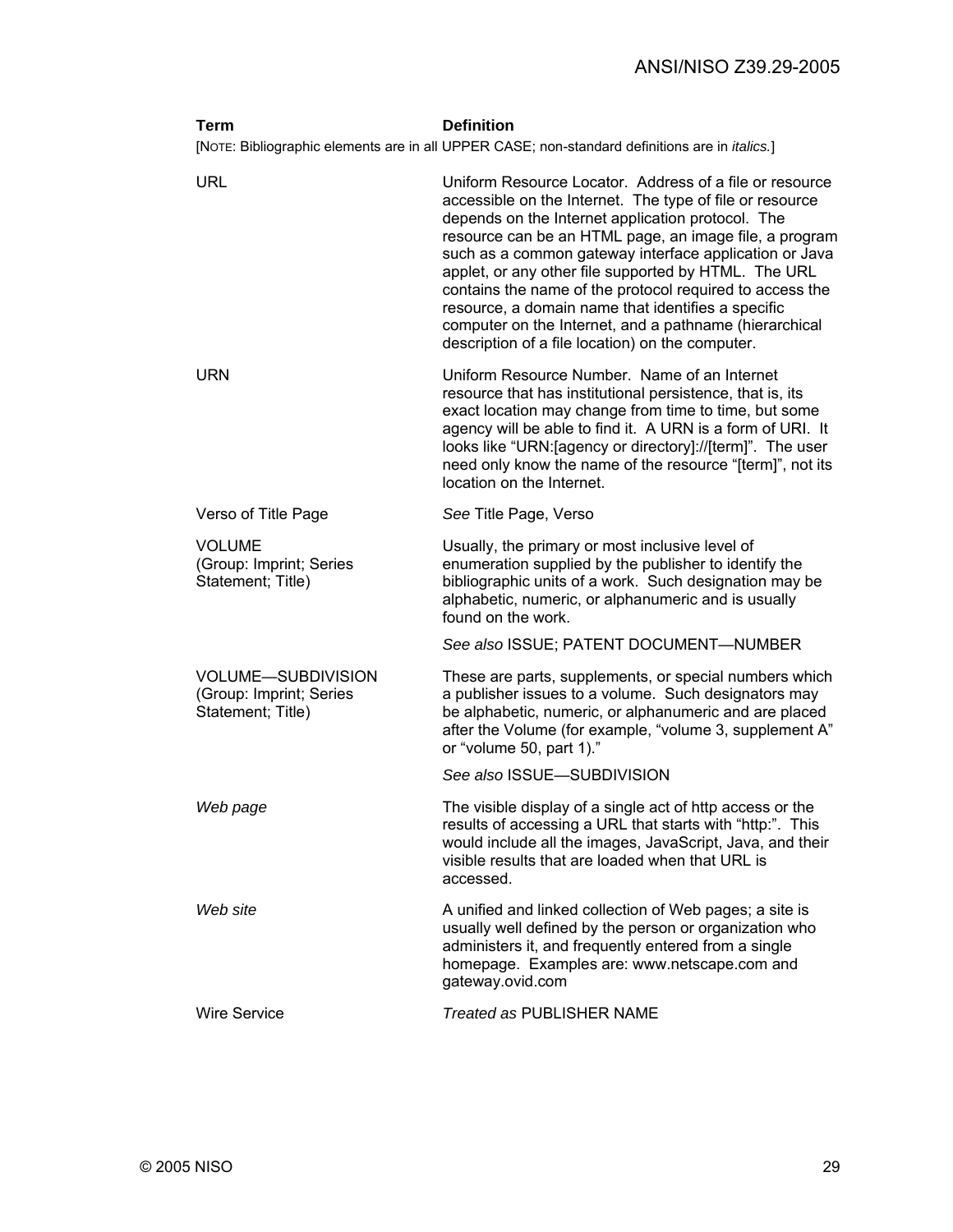# ANSI/NISO Z39.29-2005

| Term                                                                                                   | <b>Definition</b>                                                                                                                                                                                                                                                                                                                                                                                                                                                                                                                                                                    |  |  |
|--------------------------------------------------------------------------------------------------------|--------------------------------------------------------------------------------------------------------------------------------------------------------------------------------------------------------------------------------------------------------------------------------------------------------------------------------------------------------------------------------------------------------------------------------------------------------------------------------------------------------------------------------------------------------------------------------------|--|--|
| [NOTE: Bibliographic elements are in all UPPER CASE; non-standard definitions are in <i>italics.</i> ] |                                                                                                                                                                                                                                                                                                                                                                                                                                                                                                                                                                                      |  |  |
| <b>URL</b>                                                                                             | Uniform Resource Locator. Address of a file or resource<br>accessible on the Internet. The type of file or resource<br>depends on the Internet application protocol. The<br>resource can be an HTML page, an image file, a program<br>such as a common gateway interface application or Java<br>applet, or any other file supported by HTML. The URL<br>contains the name of the protocol required to access the<br>resource, a domain name that identifies a specific<br>computer on the Internet, and a pathname (hierarchical<br>description of a file location) on the computer. |  |  |
| <b>URN</b>                                                                                             | Uniform Resource Number. Name of an Internet<br>resource that has institutional persistence, that is, its<br>exact location may change from time to time, but some<br>agency will be able to find it. A URN is a form of URI. It<br>looks like "URN: [agency or directory]://[term]". The user<br>need only know the name of the resource "[term]", not its<br>location on the Internet.                                                                                                                                                                                             |  |  |
| Verso of Title Page                                                                                    | See Title Page, Verso                                                                                                                                                                                                                                                                                                                                                                                                                                                                                                                                                                |  |  |
| <b>VOLUME</b><br>(Group: Imprint; Series<br>Statement; Title)                                          | Usually, the primary or most inclusive level of<br>enumeration supplied by the publisher to identify the<br>bibliographic units of a work. Such designation may be<br>alphabetic, numeric, or alphanumeric and is usually<br>found on the work.                                                                                                                                                                                                                                                                                                                                      |  |  |
|                                                                                                        | See also ISSUE; PATENT DOCUMENT-NUMBER                                                                                                                                                                                                                                                                                                                                                                                                                                                                                                                                               |  |  |
| <b>VOLUME-SUBDIVISION</b><br>(Group: Imprint; Series<br>Statement; Title)                              | These are parts, supplements, or special numbers which<br>a publisher issues to a volume. Such designators may<br>be alphabetic, numeric, or alphanumeric and are placed<br>after the Volume (for example, "volume 3, supplement A"<br>or "volume 50, part 1)."                                                                                                                                                                                                                                                                                                                      |  |  |
|                                                                                                        | See also ISSUE-SUBDIVISION                                                                                                                                                                                                                                                                                                                                                                                                                                                                                                                                                           |  |  |
| Web page                                                                                               | The visible display of a single act of http access or the<br>results of accessing a URL that starts with "http:". This<br>would include all the images, JavaScript, Java, and their<br>visible results that are loaded when that URL is<br>accessed.                                                                                                                                                                                                                                                                                                                                 |  |  |
| Web site                                                                                               | A unified and linked collection of Web pages; a site is<br>usually well defined by the person or organization who<br>administers it, and frequently entered from a single<br>homepage. Examples are: www.netscape.com and<br>gateway.ovid.com                                                                                                                                                                                                                                                                                                                                        |  |  |
| <b>Wire Service</b>                                                                                    | <b>Treated as PUBLISHER NAME</b>                                                                                                                                                                                                                                                                                                                                                                                                                                                                                                                                                     |  |  |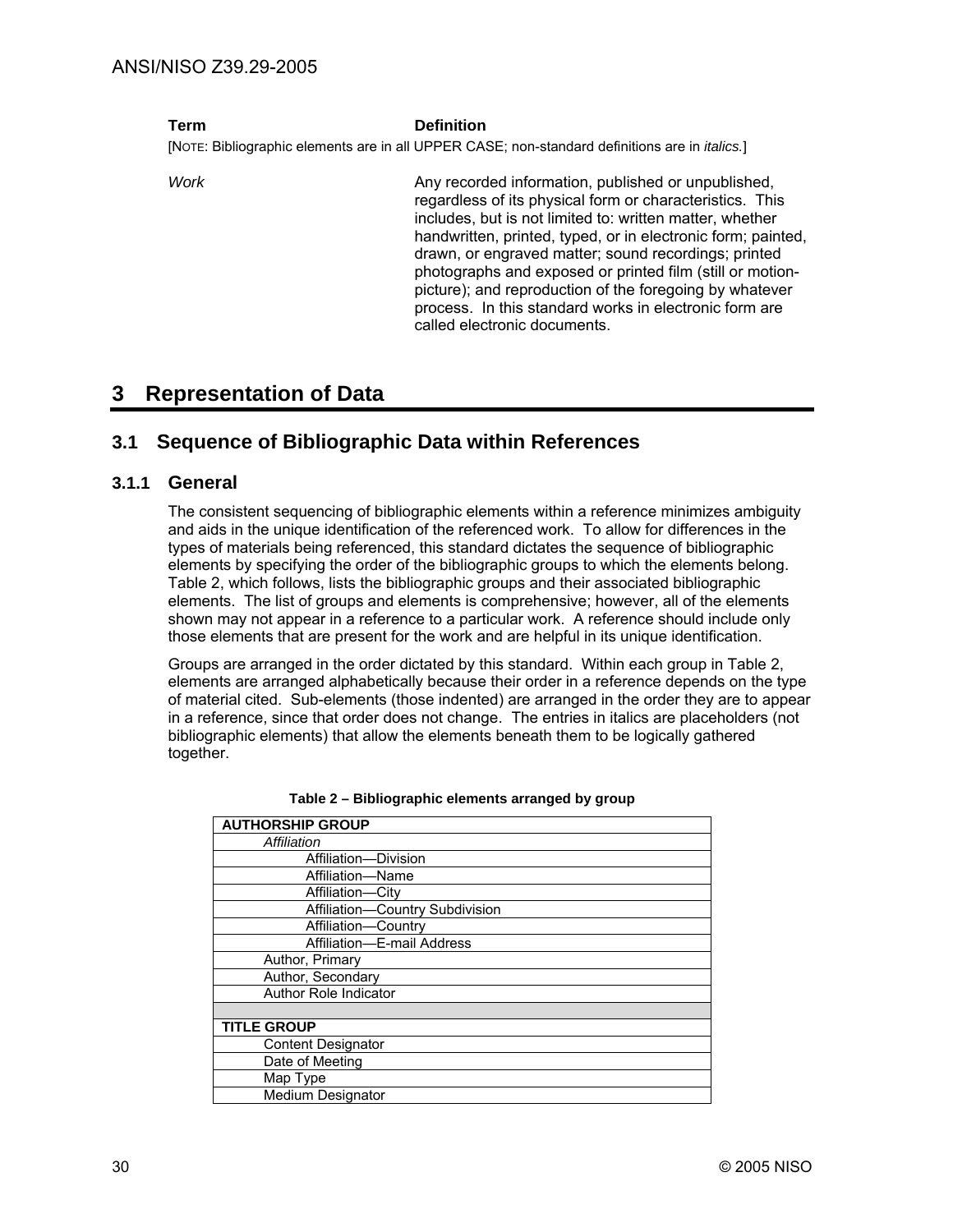#### **Term Definition**

[NOTE: Bibliographic elements are in all UPPER CASE; non-standard definitions are in *italics.*]

Work **Any recorded information**, published or unpublished, regardless of its physical form or characteristics. This includes, but is not limited to: written matter, whether handwritten, printed, typed, or in electronic form; painted, drawn, or engraved matter; sound recordings; printed photographs and exposed or printed film (still or motionpicture); and reproduction of the foregoing by whatever process. In this standard works in electronic form are called electronic documents.

# **3 Representation of Data**

# **3.1 Sequence of Bibliographic Data within References**

## **3.1.1 General**

The consistent sequencing of bibliographic elements within a reference minimizes ambiguity and aids in the unique identification of the referenced work. To allow for differences in the types of materials being referenced, this standard dictates the sequence of bibliographic elements by specifying the order of the bibliographic groups to which the elements belong. Table 2, which follows, lists the bibliographic groups and their associated bibliographic elements. The list of groups and elements is comprehensive; however, all of the elements shown may not appear in a reference to a particular work. A reference should include only those elements that are present for the work and are helpful in its unique identification.

Groups are arranged in the order dictated by this standard. Within each group in Table 2, elements are arranged alphabetically because their order in a reference depends on the type of material cited. Sub-elements (those indented) are arranged in the order they are to appear in a reference, since that order does not change. The entries in italics are placeholders (not bibliographic elements) that allow the elements beneath them to be logically gathered together.

| <b>AUTHORSHIP GROUP</b>         |
|---------------------------------|
| Affiliation                     |
| Affiliation-Division            |
| Affiliation-Name                |
| Affiliation-City                |
| Affiliation-Country Subdivision |
| Affiliation-Country             |
| Affiliation-E-mail Address      |
| Author, Primary                 |
| Author, Secondary               |
| <b>Author Role Indicator</b>    |
|                                 |
| <b>TITLE GROUP</b>              |
| <b>Content Designator</b>       |
| Date of Meeting                 |
| Map Type                        |
| <b>Medium Designator</b>        |

**Table 2 – Bibliographic elements arranged by group**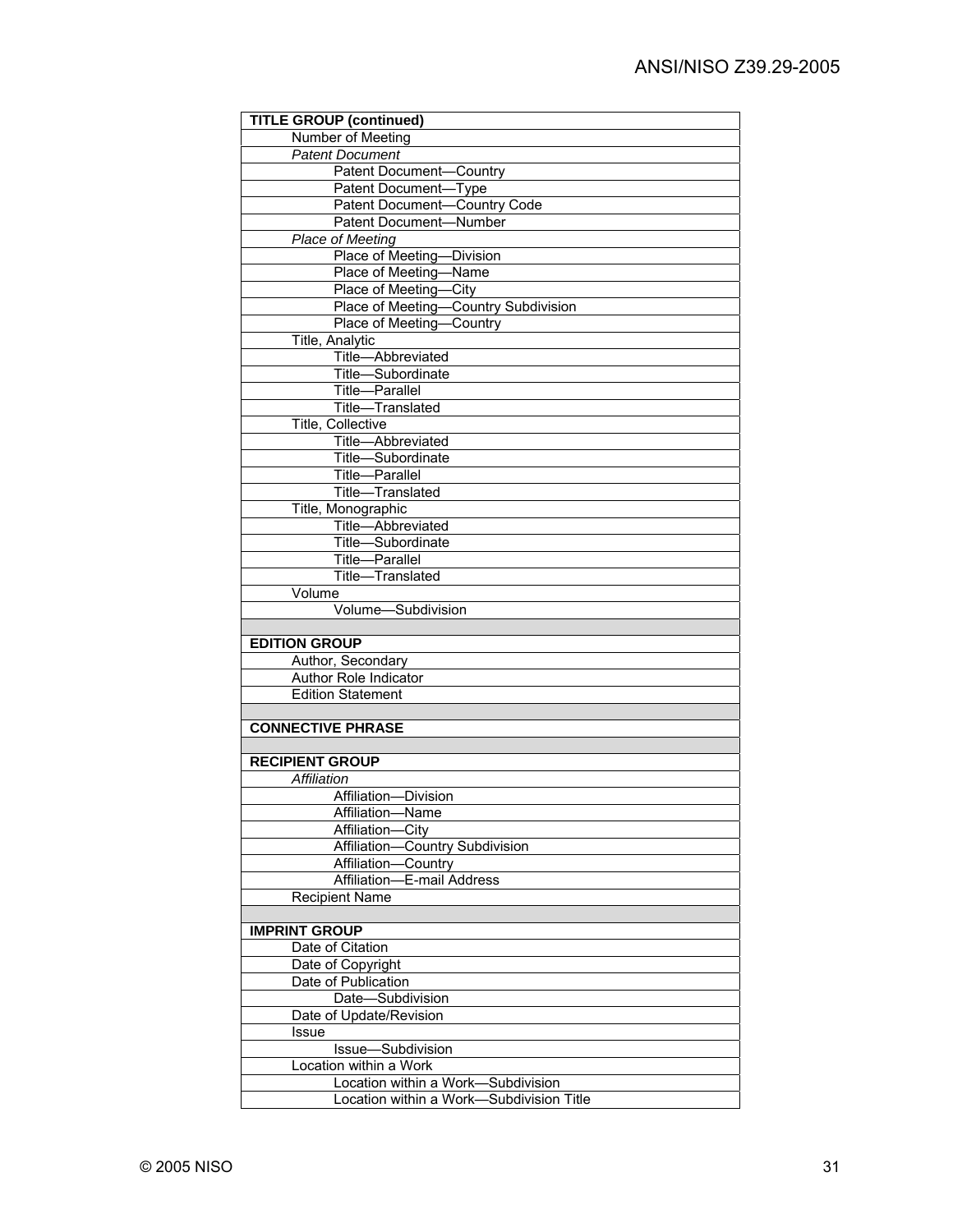| <b>Patent Document</b><br>Patent Document-Country<br>Patent Document-Type<br>Patent Document-Country Code<br>Patent Document-Number<br>Place of Meeting<br>Place of Meeting-Division<br>Place of Meeting-Name<br>Place of Meeting-City<br>Place of Meeting-Country Subdivision<br>Place of Meeting-Country<br>Title, Analytic<br>Title-Abbreviated<br>Title-Subordinate<br>Title-Parallel<br>Title-Translated<br>Title, Collective<br>Title-Abbreviated<br>Title-Subordinate<br>Title-Parallel<br>Title-Translated<br>Title, Monographic<br>Title-Abbreviated<br>Title-Subordinate<br>Title-Parallel<br>Title-Translated<br>Volume<br>Volume-Subdivision<br><b>EDITION GROUP</b><br>Author, Secondary<br>Author Role Indicator<br><b>Edition Statement</b><br><b>CONNECTIVE PHRASE</b><br><b>RECIPIENT GROUP</b><br>Affiliation<br>Affiliation-Division<br>Affiliation-Name<br>Affiliation-<br>-Citv<br>Country Subdivision<br>Affiliation-<br>Affiliation-<br>Country<br>Affiliation-<br>E-mail Address<br><b>Recipient Name</b><br><b>IMPRINT GROUP</b><br>Date of Citation<br>Date of Copyright<br>Date of Publication<br>Date-Subdivision<br>Date of Update/Revision<br>Issue<br>Issue-Subdivision<br>Location within a Work<br>Location within a Work-Subdivision | <b>TITLE GROUP (continued)</b> |
|------------------------------------------------------------------------------------------------------------------------------------------------------------------------------------------------------------------------------------------------------------------------------------------------------------------------------------------------------------------------------------------------------------------------------------------------------------------------------------------------------------------------------------------------------------------------------------------------------------------------------------------------------------------------------------------------------------------------------------------------------------------------------------------------------------------------------------------------------------------------------------------------------------------------------------------------------------------------------------------------------------------------------------------------------------------------------------------------------------------------------------------------------------------------------------------------------------------------------------------------------------------------|--------------------------------|
|                                                                                                                                                                                                                                                                                                                                                                                                                                                                                                                                                                                                                                                                                                                                                                                                                                                                                                                                                                                                                                                                                                                                                                                                                                                                        | Number of Meeting              |
|                                                                                                                                                                                                                                                                                                                                                                                                                                                                                                                                                                                                                                                                                                                                                                                                                                                                                                                                                                                                                                                                                                                                                                                                                                                                        |                                |
|                                                                                                                                                                                                                                                                                                                                                                                                                                                                                                                                                                                                                                                                                                                                                                                                                                                                                                                                                                                                                                                                                                                                                                                                                                                                        |                                |
|                                                                                                                                                                                                                                                                                                                                                                                                                                                                                                                                                                                                                                                                                                                                                                                                                                                                                                                                                                                                                                                                                                                                                                                                                                                                        |                                |
|                                                                                                                                                                                                                                                                                                                                                                                                                                                                                                                                                                                                                                                                                                                                                                                                                                                                                                                                                                                                                                                                                                                                                                                                                                                                        |                                |
|                                                                                                                                                                                                                                                                                                                                                                                                                                                                                                                                                                                                                                                                                                                                                                                                                                                                                                                                                                                                                                                                                                                                                                                                                                                                        |                                |
|                                                                                                                                                                                                                                                                                                                                                                                                                                                                                                                                                                                                                                                                                                                                                                                                                                                                                                                                                                                                                                                                                                                                                                                                                                                                        |                                |
|                                                                                                                                                                                                                                                                                                                                                                                                                                                                                                                                                                                                                                                                                                                                                                                                                                                                                                                                                                                                                                                                                                                                                                                                                                                                        |                                |
|                                                                                                                                                                                                                                                                                                                                                                                                                                                                                                                                                                                                                                                                                                                                                                                                                                                                                                                                                                                                                                                                                                                                                                                                                                                                        |                                |
|                                                                                                                                                                                                                                                                                                                                                                                                                                                                                                                                                                                                                                                                                                                                                                                                                                                                                                                                                                                                                                                                                                                                                                                                                                                                        |                                |
|                                                                                                                                                                                                                                                                                                                                                                                                                                                                                                                                                                                                                                                                                                                                                                                                                                                                                                                                                                                                                                                                                                                                                                                                                                                                        |                                |
|                                                                                                                                                                                                                                                                                                                                                                                                                                                                                                                                                                                                                                                                                                                                                                                                                                                                                                                                                                                                                                                                                                                                                                                                                                                                        |                                |
|                                                                                                                                                                                                                                                                                                                                                                                                                                                                                                                                                                                                                                                                                                                                                                                                                                                                                                                                                                                                                                                                                                                                                                                                                                                                        |                                |
|                                                                                                                                                                                                                                                                                                                                                                                                                                                                                                                                                                                                                                                                                                                                                                                                                                                                                                                                                                                                                                                                                                                                                                                                                                                                        |                                |
|                                                                                                                                                                                                                                                                                                                                                                                                                                                                                                                                                                                                                                                                                                                                                                                                                                                                                                                                                                                                                                                                                                                                                                                                                                                                        |                                |
|                                                                                                                                                                                                                                                                                                                                                                                                                                                                                                                                                                                                                                                                                                                                                                                                                                                                                                                                                                                                                                                                                                                                                                                                                                                                        |                                |
|                                                                                                                                                                                                                                                                                                                                                                                                                                                                                                                                                                                                                                                                                                                                                                                                                                                                                                                                                                                                                                                                                                                                                                                                                                                                        |                                |
|                                                                                                                                                                                                                                                                                                                                                                                                                                                                                                                                                                                                                                                                                                                                                                                                                                                                                                                                                                                                                                                                                                                                                                                                                                                                        |                                |
|                                                                                                                                                                                                                                                                                                                                                                                                                                                                                                                                                                                                                                                                                                                                                                                                                                                                                                                                                                                                                                                                                                                                                                                                                                                                        |                                |
|                                                                                                                                                                                                                                                                                                                                                                                                                                                                                                                                                                                                                                                                                                                                                                                                                                                                                                                                                                                                                                                                                                                                                                                                                                                                        |                                |
|                                                                                                                                                                                                                                                                                                                                                                                                                                                                                                                                                                                                                                                                                                                                                                                                                                                                                                                                                                                                                                                                                                                                                                                                                                                                        |                                |
|                                                                                                                                                                                                                                                                                                                                                                                                                                                                                                                                                                                                                                                                                                                                                                                                                                                                                                                                                                                                                                                                                                                                                                                                                                                                        |                                |
|                                                                                                                                                                                                                                                                                                                                                                                                                                                                                                                                                                                                                                                                                                                                                                                                                                                                                                                                                                                                                                                                                                                                                                                                                                                                        |                                |
|                                                                                                                                                                                                                                                                                                                                                                                                                                                                                                                                                                                                                                                                                                                                                                                                                                                                                                                                                                                                                                                                                                                                                                                                                                                                        |                                |
|                                                                                                                                                                                                                                                                                                                                                                                                                                                                                                                                                                                                                                                                                                                                                                                                                                                                                                                                                                                                                                                                                                                                                                                                                                                                        |                                |
|                                                                                                                                                                                                                                                                                                                                                                                                                                                                                                                                                                                                                                                                                                                                                                                                                                                                                                                                                                                                                                                                                                                                                                                                                                                                        |                                |
|                                                                                                                                                                                                                                                                                                                                                                                                                                                                                                                                                                                                                                                                                                                                                                                                                                                                                                                                                                                                                                                                                                                                                                                                                                                                        |                                |
|                                                                                                                                                                                                                                                                                                                                                                                                                                                                                                                                                                                                                                                                                                                                                                                                                                                                                                                                                                                                                                                                                                                                                                                                                                                                        |                                |
|                                                                                                                                                                                                                                                                                                                                                                                                                                                                                                                                                                                                                                                                                                                                                                                                                                                                                                                                                                                                                                                                                                                                                                                                                                                                        |                                |
|                                                                                                                                                                                                                                                                                                                                                                                                                                                                                                                                                                                                                                                                                                                                                                                                                                                                                                                                                                                                                                                                                                                                                                                                                                                                        |                                |
|                                                                                                                                                                                                                                                                                                                                                                                                                                                                                                                                                                                                                                                                                                                                                                                                                                                                                                                                                                                                                                                                                                                                                                                                                                                                        |                                |
|                                                                                                                                                                                                                                                                                                                                                                                                                                                                                                                                                                                                                                                                                                                                                                                                                                                                                                                                                                                                                                                                                                                                                                                                                                                                        |                                |
|                                                                                                                                                                                                                                                                                                                                                                                                                                                                                                                                                                                                                                                                                                                                                                                                                                                                                                                                                                                                                                                                                                                                                                                                                                                                        |                                |
|                                                                                                                                                                                                                                                                                                                                                                                                                                                                                                                                                                                                                                                                                                                                                                                                                                                                                                                                                                                                                                                                                                                                                                                                                                                                        |                                |
|                                                                                                                                                                                                                                                                                                                                                                                                                                                                                                                                                                                                                                                                                                                                                                                                                                                                                                                                                                                                                                                                                                                                                                                                                                                                        |                                |
|                                                                                                                                                                                                                                                                                                                                                                                                                                                                                                                                                                                                                                                                                                                                                                                                                                                                                                                                                                                                                                                                                                                                                                                                                                                                        |                                |
|                                                                                                                                                                                                                                                                                                                                                                                                                                                                                                                                                                                                                                                                                                                                                                                                                                                                                                                                                                                                                                                                                                                                                                                                                                                                        |                                |
|                                                                                                                                                                                                                                                                                                                                                                                                                                                                                                                                                                                                                                                                                                                                                                                                                                                                                                                                                                                                                                                                                                                                                                                                                                                                        |                                |
|                                                                                                                                                                                                                                                                                                                                                                                                                                                                                                                                                                                                                                                                                                                                                                                                                                                                                                                                                                                                                                                                                                                                                                                                                                                                        |                                |
|                                                                                                                                                                                                                                                                                                                                                                                                                                                                                                                                                                                                                                                                                                                                                                                                                                                                                                                                                                                                                                                                                                                                                                                                                                                                        |                                |
|                                                                                                                                                                                                                                                                                                                                                                                                                                                                                                                                                                                                                                                                                                                                                                                                                                                                                                                                                                                                                                                                                                                                                                                                                                                                        |                                |
|                                                                                                                                                                                                                                                                                                                                                                                                                                                                                                                                                                                                                                                                                                                                                                                                                                                                                                                                                                                                                                                                                                                                                                                                                                                                        |                                |
|                                                                                                                                                                                                                                                                                                                                                                                                                                                                                                                                                                                                                                                                                                                                                                                                                                                                                                                                                                                                                                                                                                                                                                                                                                                                        |                                |
|                                                                                                                                                                                                                                                                                                                                                                                                                                                                                                                                                                                                                                                                                                                                                                                                                                                                                                                                                                                                                                                                                                                                                                                                                                                                        |                                |
|                                                                                                                                                                                                                                                                                                                                                                                                                                                                                                                                                                                                                                                                                                                                                                                                                                                                                                                                                                                                                                                                                                                                                                                                                                                                        |                                |
|                                                                                                                                                                                                                                                                                                                                                                                                                                                                                                                                                                                                                                                                                                                                                                                                                                                                                                                                                                                                                                                                                                                                                                                                                                                                        |                                |
|                                                                                                                                                                                                                                                                                                                                                                                                                                                                                                                                                                                                                                                                                                                                                                                                                                                                                                                                                                                                                                                                                                                                                                                                                                                                        |                                |
|                                                                                                                                                                                                                                                                                                                                                                                                                                                                                                                                                                                                                                                                                                                                                                                                                                                                                                                                                                                                                                                                                                                                                                                                                                                                        |                                |
|                                                                                                                                                                                                                                                                                                                                                                                                                                                                                                                                                                                                                                                                                                                                                                                                                                                                                                                                                                                                                                                                                                                                                                                                                                                                        |                                |
|                                                                                                                                                                                                                                                                                                                                                                                                                                                                                                                                                                                                                                                                                                                                                                                                                                                                                                                                                                                                                                                                                                                                                                                                                                                                        |                                |
|                                                                                                                                                                                                                                                                                                                                                                                                                                                                                                                                                                                                                                                                                                                                                                                                                                                                                                                                                                                                                                                                                                                                                                                                                                                                        |                                |
|                                                                                                                                                                                                                                                                                                                                                                                                                                                                                                                                                                                                                                                                                                                                                                                                                                                                                                                                                                                                                                                                                                                                                                                                                                                                        |                                |
|                                                                                                                                                                                                                                                                                                                                                                                                                                                                                                                                                                                                                                                                                                                                                                                                                                                                                                                                                                                                                                                                                                                                                                                                                                                                        |                                |
|                                                                                                                                                                                                                                                                                                                                                                                                                                                                                                                                                                                                                                                                                                                                                                                                                                                                                                                                                                                                                                                                                                                                                                                                                                                                        |                                |
|                                                                                                                                                                                                                                                                                                                                                                                                                                                                                                                                                                                                                                                                                                                                                                                                                                                                                                                                                                                                                                                                                                                                                                                                                                                                        |                                |
|                                                                                                                                                                                                                                                                                                                                                                                                                                                                                                                                                                                                                                                                                                                                                                                                                                                                                                                                                                                                                                                                                                                                                                                                                                                                        |                                |
|                                                                                                                                                                                                                                                                                                                                                                                                                                                                                                                                                                                                                                                                                                                                                                                                                                                                                                                                                                                                                                                                                                                                                                                                                                                                        |                                |
|                                                                                                                                                                                                                                                                                                                                                                                                                                                                                                                                                                                                                                                                                                                                                                                                                                                                                                                                                                                                                                                                                                                                                                                                                                                                        |                                |
|                                                                                                                                                                                                                                                                                                                                                                                                                                                                                                                                                                                                                                                                                                                                                                                                                                                                                                                                                                                                                                                                                                                                                                                                                                                                        |                                |
|                                                                                                                                                                                                                                                                                                                                                                                                                                                                                                                                                                                                                                                                                                                                                                                                                                                                                                                                                                                                                                                                                                                                                                                                                                                                        |                                |
| Location within a Work-Subdivision Title                                                                                                                                                                                                                                                                                                                                                                                                                                                                                                                                                                                                                                                                                                                                                                                                                                                                                                                                                                                                                                                                                                                                                                                                                               |                                |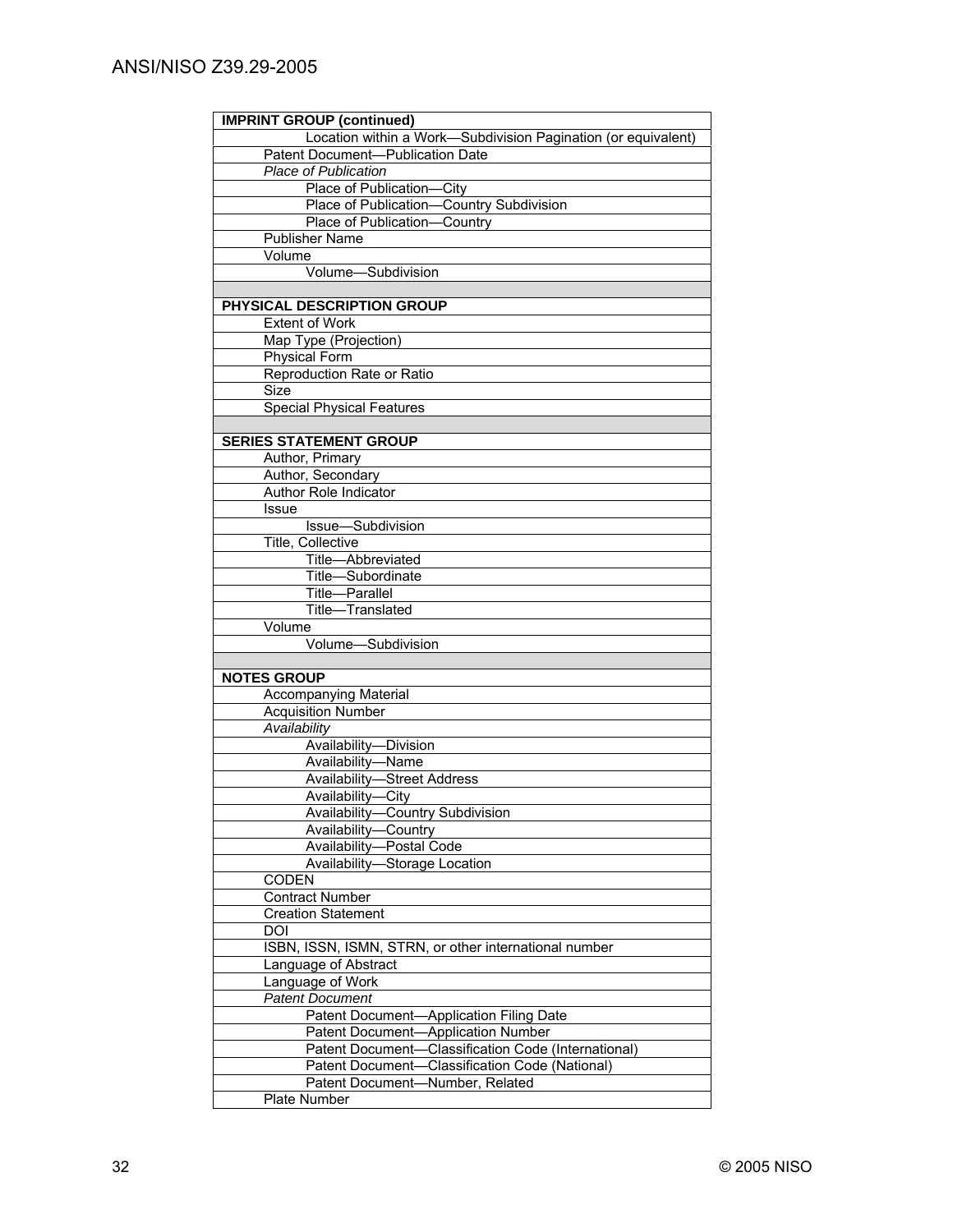| <b>IMPRINT GROUP (continued)</b>                              |
|---------------------------------------------------------------|
| Location within a Work-Subdivision Pagination (or equivalent) |
| Patent Document-Publication Date                              |
| <b>Place of Publication</b>                                   |
| Place of Publication-City                                     |
| Place of Publication-Country Subdivision                      |
| Place of Publication-Country                                  |
| <b>Publisher Name</b>                                         |
| Volume                                                        |
| Volume-Subdivision                                            |
|                                                               |
|                                                               |
| PHYSICAL DESCRIPTION GROUP<br><b>Extent of Work</b>           |
|                                                               |
| Map Type (Projection)                                         |
| <b>Physical Form</b>                                          |
| Reproduction Rate or Ratio                                    |
| Size                                                          |
| <b>Special Physical Features</b>                              |
|                                                               |
| <b>SERIES STATEMENT GROUP</b>                                 |
| Author, Primary                                               |
| Author, Secondary                                             |
| Author Role Indicator                                         |
| Issue                                                         |
| Issue-Subdivision                                             |
| Title, Collective                                             |
| Title-Abbreviated                                             |
| Title-Subordinate                                             |
| Title-Parallel                                                |
| Title-Translated                                              |
| Volume                                                        |
| Volume-Subdivision                                            |
|                                                               |
| <b>NOTES GROUP</b>                                            |
| <b>Accompanying Material</b>                                  |
| <b>Acquisition Number</b>                                     |
| Availability                                                  |
| Availability-Division                                         |
| Availability-Name                                             |
| <b>Availability-Street Address</b>                            |
|                                                               |
| Availability-City                                             |
| <b>Availability-Country Subdivision</b>                       |
| Availability-Country                                          |
| Availability-Postal Code                                      |
| Availability-Storage Location                                 |
| <b>CODEN</b>                                                  |
| <b>Contract Number</b>                                        |
| <b>Creation Statement</b>                                     |
| DOI                                                           |
| ISBN, ISSN, ISMN, STRN, or other international number         |
| Language of Abstract                                          |
| Language of Work                                              |
| <b>Patent Document</b>                                        |
| -Application Filing Date<br>Patent Document-                  |
| Patent Document-Application Number                            |
| Patent Document-Classification Code (International)           |
| Patent Document-Classification Code (National)                |
| Patent Document-Number, Related                               |
| Plate Number                                                  |
|                                                               |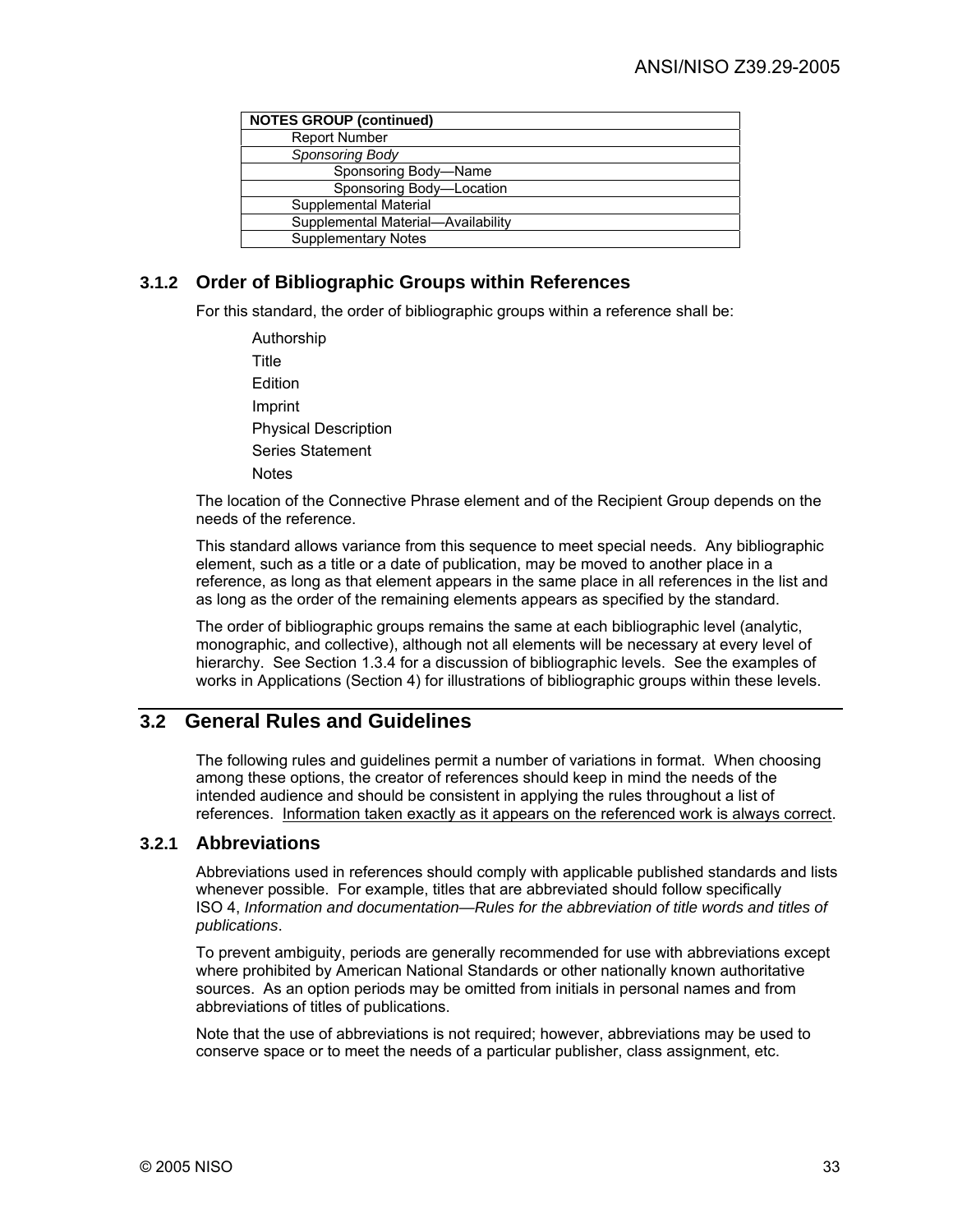| <b>NOTES GROUP (continued)</b>     |  |
|------------------------------------|--|
| <b>Report Number</b>               |  |
| Sponsoring Body                    |  |
| Sponsoring Body-Name               |  |
| Sponsoring Body-Location           |  |
| Supplemental Material              |  |
| Supplemental Material-Availability |  |
| <b>Supplementary Notes</b>         |  |

## **3.1.2 Order of Bibliographic Groups within References**

For this standard, the order of bibliographic groups within a reference shall be:

Authorship Title Edition Imprint Physical Description Series Statement **Notes** 

The location of the Connective Phrase element and of the Recipient Group depends on the needs of the reference.

This standard allows variance from this sequence to meet special needs. Any bibliographic element, such as a title or a date of publication, may be moved to another place in a reference, as long as that element appears in the same place in all references in the list and as long as the order of the remaining elements appears as specified by the standard.

The order of bibliographic groups remains the same at each bibliographic level (analytic, monographic, and collective), although not all elements will be necessary at every level of hierarchy. See Section 1.3.4 for a discussion of bibliographic levels. See the examples of works in Applications (Section 4) for illustrations of bibliographic groups within these levels.

# **3.2 General Rules and Guidelines**

The following rules and guidelines permit a number of variations in format. When choosing among these options, the creator of references should keep in mind the needs of the intended audience and should be consistent in applying the rules throughout a list of references. Information taken exactly as it appears on the referenced work is always correct.

## **3.2.1 Abbreviations**

Abbreviations used in references should comply with applicable published standards and lists whenever possible. For example, titles that are abbreviated should follow specifically ISO 4, *Information and documentation—Rules for the abbreviation of title words and titles of publications*.

To prevent ambiguity, periods are generally recommended for use with abbreviations except where prohibited by American National Standards or other nationally known authoritative sources. As an option periods may be omitted from initials in personal names and from abbreviations of titles of publications.

Note that the use of abbreviations is not required; however, abbreviations may be used to conserve space or to meet the needs of a particular publisher, class assignment, etc.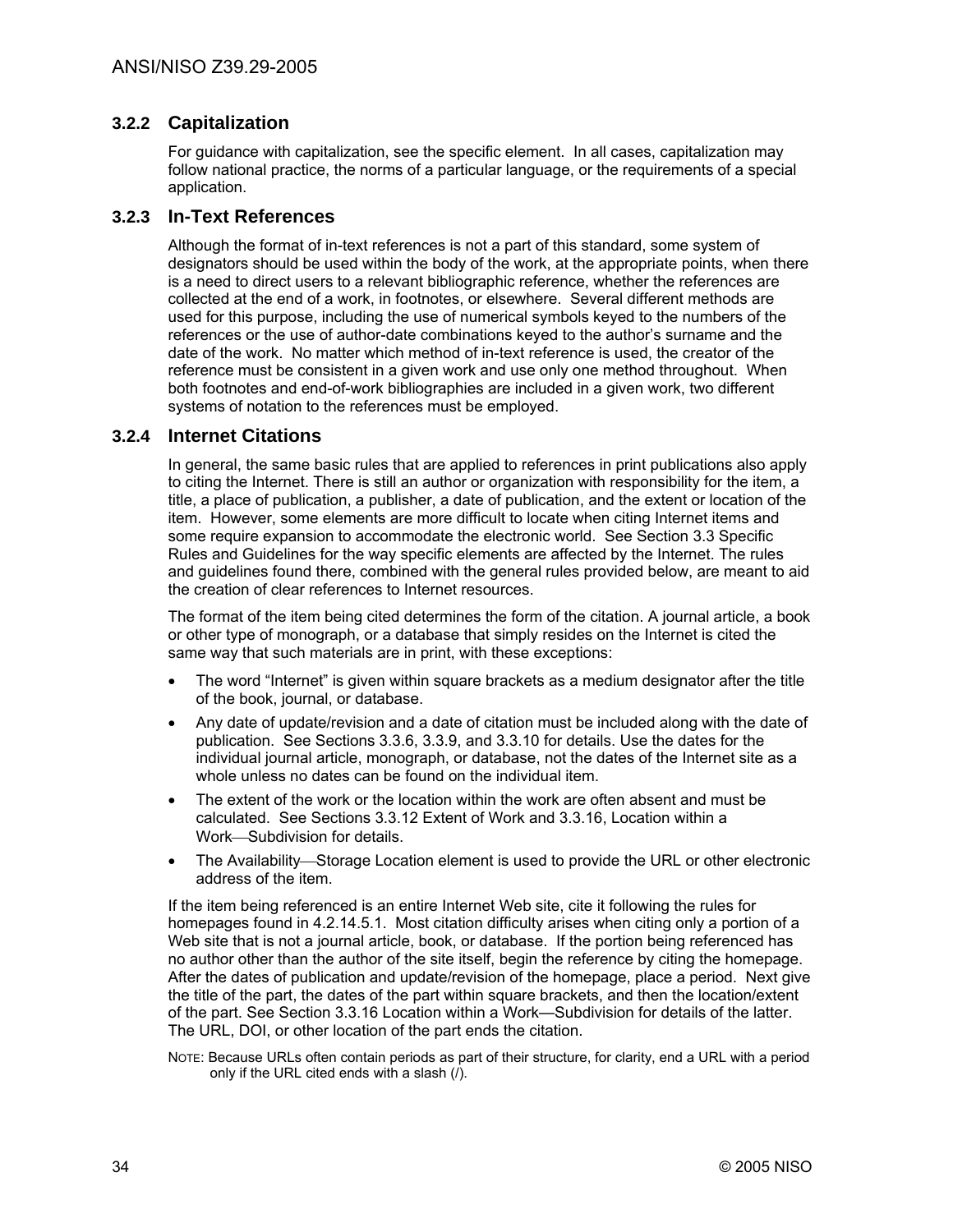## **3.2.2 Capitalization**

For guidance with capitalization, see the specific element. In all cases, capitalization may follow national practice, the norms of a particular language, or the requirements of a special application.

## **3.2.3 In-Text References**

Although the format of in-text references is not a part of this standard, some system of designators should be used within the body of the work, at the appropriate points, when there is a need to direct users to a relevant bibliographic reference, whether the references are collected at the end of a work, in footnotes, or elsewhere. Several different methods are used for this purpose, including the use of numerical symbols keyed to the numbers of the references or the use of author-date combinations keyed to the author's surname and the date of the work. No matter which method of in-text reference is used, the creator of the reference must be consistent in a given work and use only one method throughout. When both footnotes and end-of-work bibliographies are included in a given work, two different systems of notation to the references must be employed.

### **3.2.4 Internet Citations**

In general, the same basic rules that are applied to references in print publications also apply to citing the Internet. There is still an author or organization with responsibility for the item, a title, a place of publication, a publisher, a date of publication, and the extent or location of the item. However, some elements are more difficult to locate when citing Internet items and some require expansion to accommodate the electronic world. See Section 3.3 Specific Rules and Guidelines for the way specific elements are affected by the Internet. The rules and guidelines found there, combined with the general rules provided below, are meant to aid the creation of clear references to Internet resources.

The format of the item being cited determines the form of the citation. A journal article, a book or other type of monograph, or a database that simply resides on the Internet is cited the same way that such materials are in print, with these exceptions:

- The word "Internet" is given within square brackets as a medium designator after the title of the book, journal, or database.
- Any date of update/revision and a date of citation must be included along with the date of publication. See Sections 3.3.6, 3.3.9, and 3.3.10 for details. Use the dates for the individual journal article, monograph, or database, not the dates of the Internet site as a whole unless no dates can be found on the individual item.
- The extent of the work or the location within the work are often absent and must be calculated. See Sections 3.3.12 Extent of Work and 3.3.16, Location within a Work-Subdivision for details.
- The Availability—Storage Location element is used to provide the URL or other electronic address of the item.

If the item being referenced is an entire Internet Web site, cite it following the rules for homepages found in 4.2.14.5.1. Most citation difficulty arises when citing only a portion of a Web site that is not a journal article, book, or database. If the portion being referenced has no author other than the author of the site itself, begin the reference by citing the homepage. After the dates of publication and update/revision of the homepage, place a period. Next give the title of the part, the dates of the part within square brackets, and then the location/extent of the part. See Section 3.3.16 Location within a Work—Subdivision for details of the latter. The URL, DOI, or other location of the part ends the citation.

NOTE: Because URLs often contain periods as part of their structure, for clarity, end a URL with a period only if the URL cited ends with a slash (/).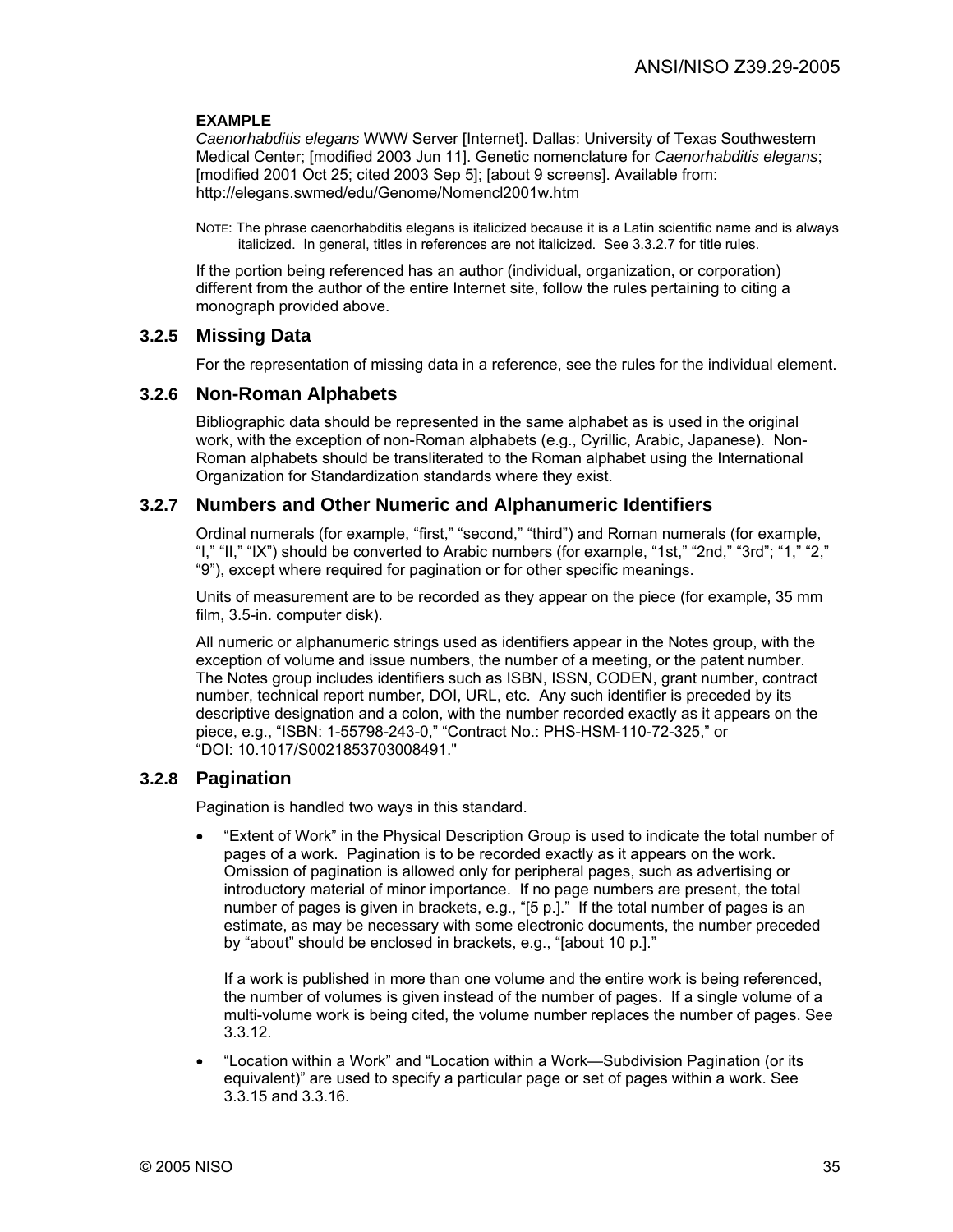#### **EXAMPLE**

*Caenorhabditis elegans* WWW Server [Internet]. Dallas: University of Texas Southwestern Medical Center; [modified 2003 Jun 11]. Genetic nomenclature for *Caenorhabditis elegans*; [modified 2001 Oct 25; cited 2003 Sep 5]; [about 9 screens]. Available from: http://elegans.swmed/edu/Genome/Nomencl2001w.htm

NOTE: The phrase caenorhabditis elegans is italicized because it is a Latin scientific name and is always italicized. In general, titles in references are not italicized. See 3.3.2.7 for title rules.

If the portion being referenced has an author (individual, organization, or corporation) different from the author of the entire Internet site, follow the rules pertaining to citing a monograph provided above.

### **3.2.5 Missing Data**

For the representation of missing data in a reference, see the rules for the individual element.

#### **3.2.6 Non-Roman Alphabets**

Bibliographic data should be represented in the same alphabet as is used in the original work, with the exception of non-Roman alphabets (e.g., Cyrillic, Arabic, Japanese). Non-Roman alphabets should be transliterated to the Roman alphabet using the International Organization for Standardization standards where they exist.

### **3.2.7 Numbers and Other Numeric and Alphanumeric Identifiers**

Ordinal numerals (for example, "first," "second," "third") and Roman numerals (for example, "I," "II," "IX") should be converted to Arabic numbers (for example, "1st," "2nd," "3rd"; "1," "2," "9"), except where required for pagination or for other specific meanings.

Units of measurement are to be recorded as they appear on the piece (for example, 35 mm film, 3.5-in. computer disk).

All numeric or alphanumeric strings used as identifiers appear in the Notes group, with the exception of volume and issue numbers, the number of a meeting, or the patent number. The Notes group includes identifiers such as ISBN, ISSN, CODEN, grant number, contract number, technical report number, DOI, URL, etc. Any such identifier is preceded by its descriptive designation and a colon, with the number recorded exactly as it appears on the piece, e.g., "ISBN: 1-55798-243-0," "Contract No.: PHS-HSM-110-72-325," or "DOI: 10.1017/S0021853703008491."

### **3.2.8 Pagination**

Pagination is handled two ways in this standard.

• "Extent of Work" in the Physical Description Group is used to indicate the total number of pages of a work. Pagination is to be recorded exactly as it appears on the work. Omission of pagination is allowed only for peripheral pages, such as advertising or introductory material of minor importance. If no page numbers are present, the total number of pages is given in brackets, e.g., "[5 p.]." If the total number of pages is an estimate, as may be necessary with some electronic documents, the number preceded by "about" should be enclosed in brackets, e.g., "[about 10 p.]."

If a work is published in more than one volume and the entire work is being referenced, the number of volumes is given instead of the number of pages. If a single volume of a multi-volume work is being cited, the volume number replaces the number of pages. See 3.3.12.

• "Location within a Work" and "Location within a Work—Subdivision Pagination (or its equivalent)" are used to specify a particular page or set of pages within a work. See 3.3.15 and 3.3.16.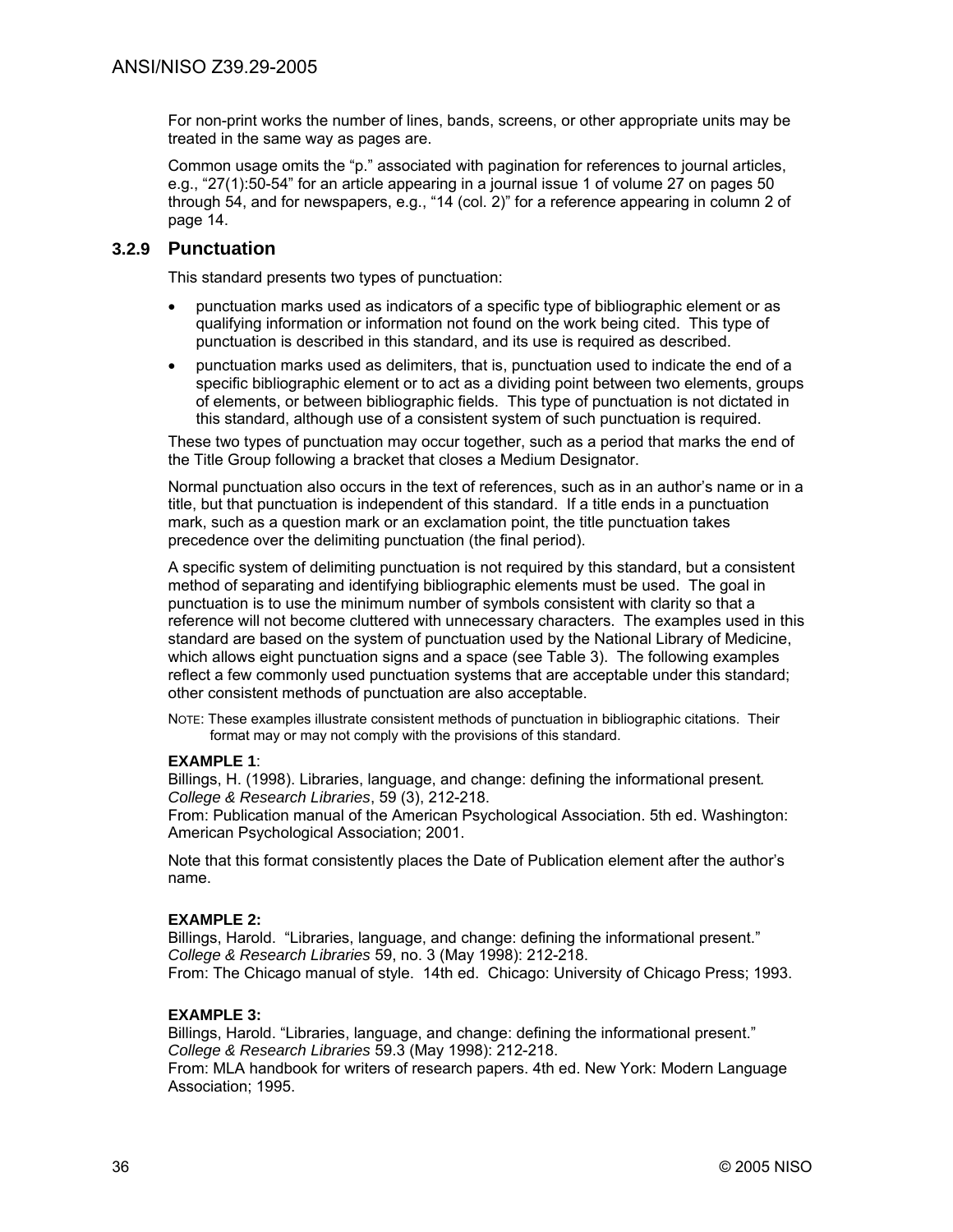For non-print works the number of lines, bands, screens, or other appropriate units may be treated in the same way as pages are.

Common usage omits the "p." associated with pagination for references to journal articles, e.g., "27(1):50-54" for an article appearing in a journal issue 1 of volume 27 on pages 50 through 54, and for newspapers, e.g., "14 (col. 2)" for a reference appearing in column 2 of page 14.

## **3.2.9 Punctuation**

This standard presents two types of punctuation:

- punctuation marks used as indicators of a specific type of bibliographic element or as qualifying information or information not found on the work being cited. This type of punctuation is described in this standard, and its use is required as described.
- punctuation marks used as delimiters, that is, punctuation used to indicate the end of a specific bibliographic element or to act as a dividing point between two elements, groups of elements, or between bibliographic fields. This type of punctuation is not dictated in this standard, although use of a consistent system of such punctuation is required.

These two types of punctuation may occur together, such as a period that marks the end of the Title Group following a bracket that closes a Medium Designator.

Normal punctuation also occurs in the text of references, such as in an author's name or in a title, but that punctuation is independent of this standard. If a title ends in a punctuation mark, such as a question mark or an exclamation point, the title punctuation takes precedence over the delimiting punctuation (the final period).

A specific system of delimiting punctuation is not required by this standard, but a consistent method of separating and identifying bibliographic elements must be used. The goal in punctuation is to use the minimum number of symbols consistent with clarity so that a reference will not become cluttered with unnecessary characters. The examples used in this standard are based on the system of punctuation used by the National Library of Medicine, which allows eight punctuation signs and a space (see Table 3). The following examples reflect a few commonly used punctuation systems that are acceptable under this standard; other consistent methods of punctuation are also acceptable.

NOTE: These examples illustrate consistent methods of punctuation in bibliographic citations. Their format may or may not comply with the provisions of this standard.

### **EXAMPLE 1**:

Billings, H. (1998). Libraries, language, and change: defining the informational present*. College & Research Libraries*, 59 (3), 212-218.

From: Publication manual of the American Psychological Association. 5th ed. Washington: American Psychological Association; 2001.

Note that this format consistently places the Date of Publication element after the author's name.

### **EXAMPLE 2:**

Billings, Harold. "Libraries, language, and change: defining the informational present." *College & Research Libraries* 59, no. 3 (May 1998): 212-218. From: The Chicago manual of style. 14th ed. Chicago: University of Chicago Press; 1993.

### **EXAMPLE 3:**

Billings, Harold. "Libraries, language, and change: defining the informational present." *College & Research Libraries* 59.3 (May 1998): 212-218.

From: MLA handbook for writers of research papers. 4th ed. New York: Modern Language Association; 1995.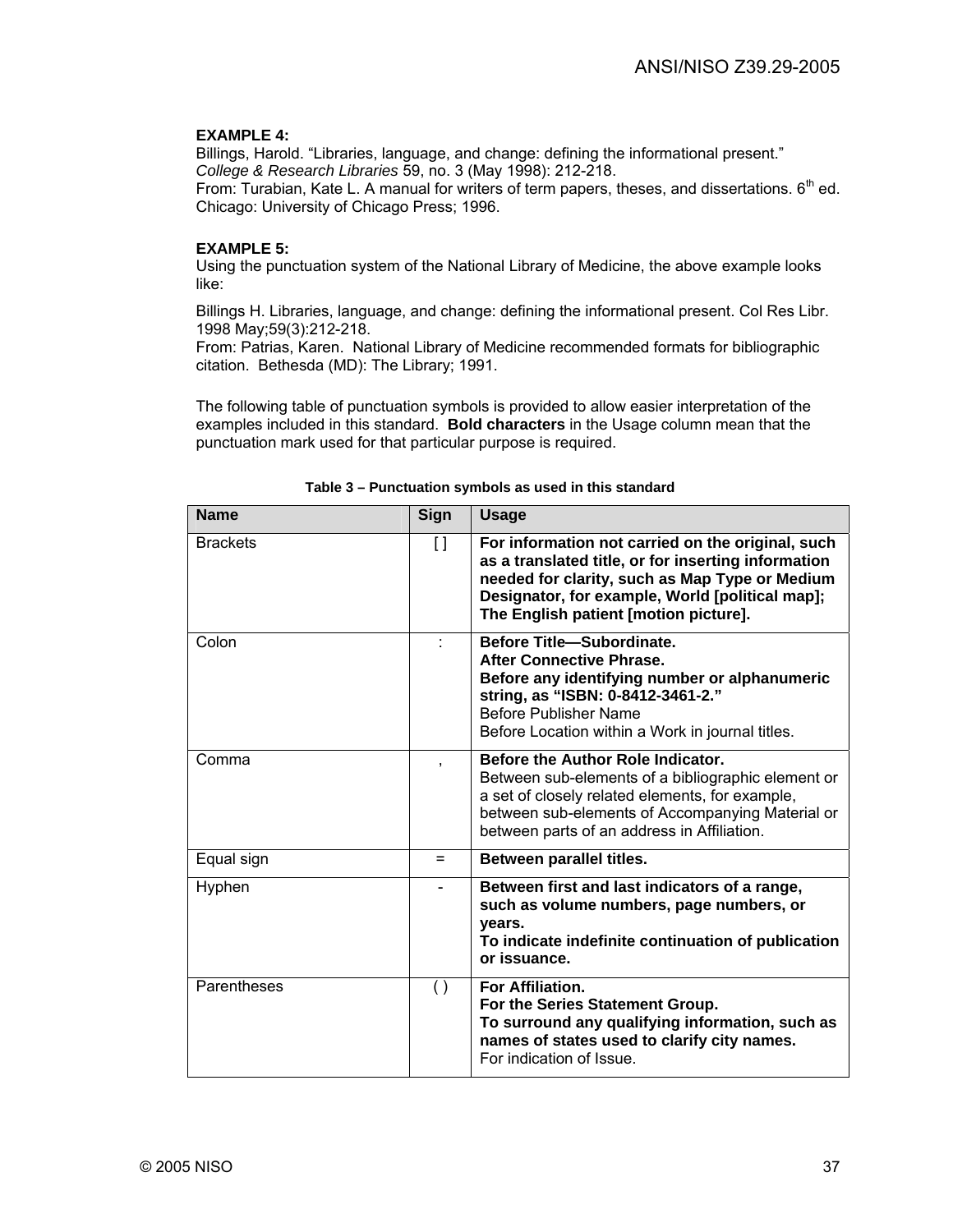#### **EXAMPLE 4:**

Billings, Harold. "Libraries, language, and change: defining the informational present." *College & Research Libraries* 59, no. 3 (May 1998): 212-218.

From: Turabian, Kate L. A manual for writers of term papers, theses, and dissertations.  $6<sup>th</sup>$  ed. Chicago: University of Chicago Press; 1996.

## **EXAMPLE 5:**

Using the punctuation system of the National Library of Medicine, the above example looks like:

Billings H. Libraries, language, and change: defining the informational present. Col Res Libr. 1998 May;59(3):212-218.

From: Patrias, Karen. National Library of Medicine recommended formats for bibliographic citation. Bethesda (MD): The Library; 1991.

The following table of punctuation symbols is provided to allow easier interpretation of the examples included in this standard. **Bold characters** in the Usage column mean that the punctuation mark used for that particular purpose is required.

| Name            | Sign               | <b>Usage</b>                                                                                                                                                                                                                                           |
|-----------------|--------------------|--------------------------------------------------------------------------------------------------------------------------------------------------------------------------------------------------------------------------------------------------------|
| <b>Brackets</b> | $\left[\,\right]$  | For information not carried on the original, such<br>as a translated title, or for inserting information<br>needed for clarity, such as Map Type or Medium<br>Designator, for example, World [political map];<br>The English patient [motion picture]. |
| Colon           | ÷                  | <b>Before Title-Subordinate.</b><br><b>After Connective Phrase.</b><br>Before any identifying number or alphanumeric<br>string, as "ISBN: 0-8412-3461-2."<br>Before Publisher Name<br>Before Location within a Work in journal titles.                 |
| Comma           | ,                  | Before the Author Role Indicator.<br>Between sub-elements of a bibliographic element or<br>a set of closely related elements, for example,<br>between sub-elements of Accompanying Material or<br>between parts of an address in Affiliation.          |
| Equal sign      | Ξ                  | Between parallel titles.                                                                                                                                                                                                                               |
| Hyphen          |                    | Between first and last indicators of a range,<br>such as volume numbers, page numbers, or<br>years.<br>To indicate indefinite continuation of publication<br>or issuance.                                                                              |
| Parentheses     | $\left( \ \right)$ | For Affiliation.<br>For the Series Statement Group.<br>To surround any qualifying information, such as<br>names of states used to clarify city names.<br>For indication of Issue.                                                                      |

**Table 3 – Punctuation symbols as used in this standard**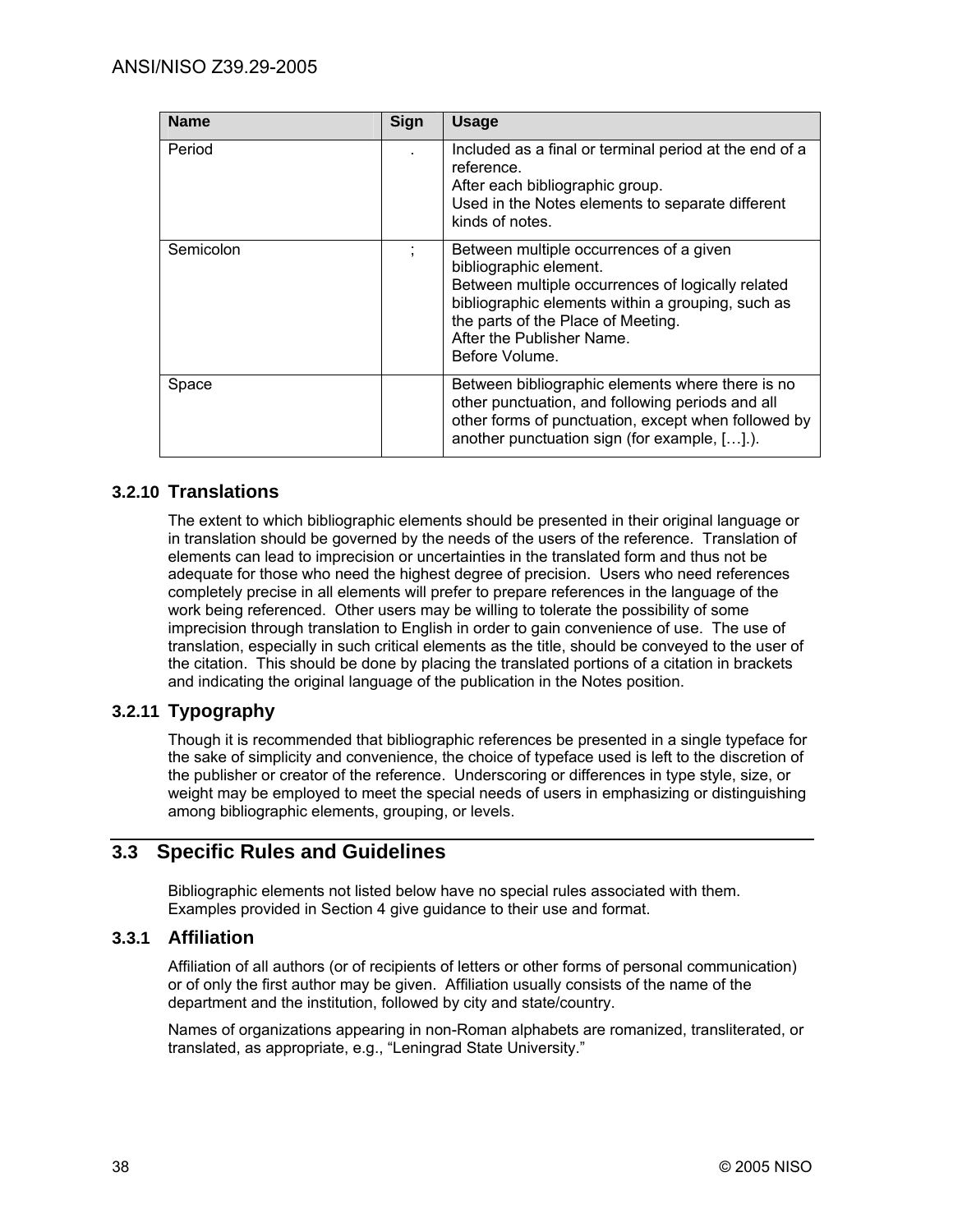| <b>Name</b> | Sign | <b>Usage</b>                                                                                                                                                                                                                                                     |
|-------------|------|------------------------------------------------------------------------------------------------------------------------------------------------------------------------------------------------------------------------------------------------------------------|
| Period      |      | Included as a final or terminal period at the end of a<br>reference.<br>After each bibliographic group.<br>Used in the Notes elements to separate different<br>kinds of notes.                                                                                   |
| Semicolon   | ÷    | Between multiple occurrences of a given<br>bibliographic element.<br>Between multiple occurrences of logically related<br>bibliographic elements within a grouping, such as<br>the parts of the Place of Meeting.<br>After the Publisher Name.<br>Before Volume. |
| Space       |      | Between bibliographic elements where there is no<br>other punctuation, and following periods and all<br>other forms of punctuation, except when followed by<br>another punctuation sign (for example, [].).                                                      |

## **3.2.10 Translations**

The extent to which bibliographic elements should be presented in their original language or in translation should be governed by the needs of the users of the reference. Translation of elements can lead to imprecision or uncertainties in the translated form and thus not be adequate for those who need the highest degree of precision. Users who need references completely precise in all elements will prefer to prepare references in the language of the work being referenced. Other users may be willing to tolerate the possibility of some imprecision through translation to English in order to gain convenience of use. The use of translation, especially in such critical elements as the title, should be conveyed to the user of the citation. This should be done by placing the translated portions of a citation in brackets and indicating the original language of the publication in the Notes position.

## **3.2.11 Typography**

Though it is recommended that bibliographic references be presented in a single typeface for the sake of simplicity and convenience, the choice of typeface used is left to the discretion of the publisher or creator of the reference. Underscoring or differences in type style, size, or weight may be employed to meet the special needs of users in emphasizing or distinguishing among bibliographic elements, grouping, or levels.

## **3.3 Specific Rules and Guidelines**

Bibliographic elements not listed below have no special rules associated with them. Examples provided in Section 4 give guidance to their use and format.

### **3.3.1 Affiliation**

Affiliation of all authors (or of recipients of letters or other forms of personal communication) or of only the first author may be given. Affiliation usually consists of the name of the department and the institution, followed by city and state/country.

Names of organizations appearing in non-Roman alphabets are romanized, transliterated, or translated, as appropriate, e.g., "Leningrad State University."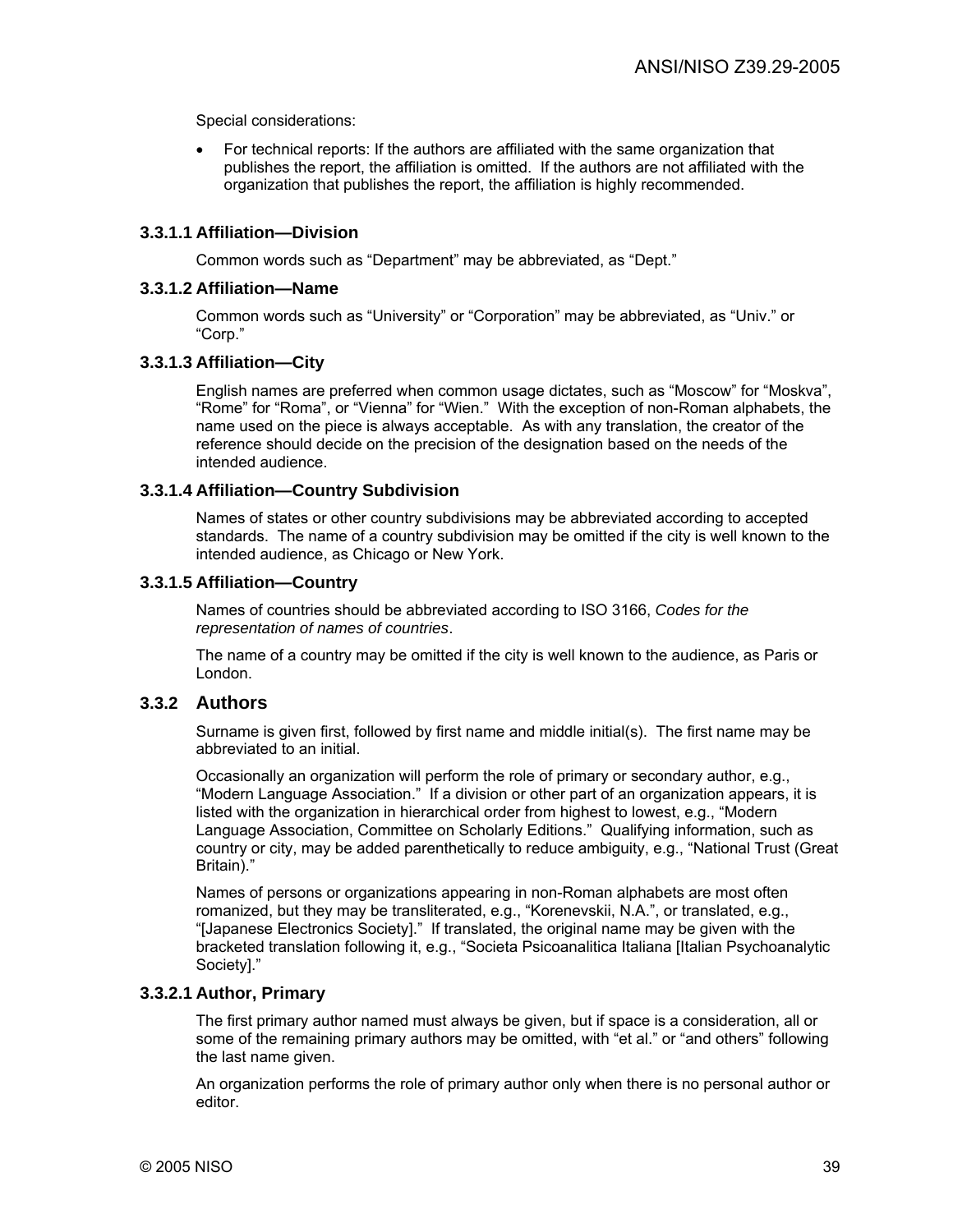Special considerations:

• For technical reports: If the authors are affiliated with the same organization that publishes the report, the affiliation is omitted. If the authors are not affiliated with the organization that publishes the report, the affiliation is highly recommended.

## **3.3.1.1 Affiliation—Division**

Common words such as "Department" may be abbreviated, as "Dept."

### **3.3.1.2 Affiliation—Name**

Common words such as "University" or "Corporation" may be abbreviated, as "Univ." or "Corp."

### **3.3.1.3 Affiliation—City**

English names are preferred when common usage dictates, such as "Moscow" for "Moskva", "Rome" for "Roma", or "Vienna" for "Wien." With the exception of non-Roman alphabets, the name used on the piece is always acceptable. As with any translation, the creator of the reference should decide on the precision of the designation based on the needs of the intended audience.

### **3.3.1.4 Affiliation—Country Subdivision**

Names of states or other country subdivisions may be abbreviated according to accepted standards. The name of a country subdivision may be omitted if the city is well known to the intended audience, as Chicago or New York.

## **3.3.1.5 Affiliation—Country**

Names of countries should be abbreviated according to ISO 3166, *Codes for the representation of names of countries*.

The name of a country may be omitted if the city is well known to the audience, as Paris or London.

## **3.3.2 Authors**

Surname is given first, followed by first name and middle initial(s). The first name may be abbreviated to an initial.

Occasionally an organization will perform the role of primary or secondary author, e.g., "Modern Language Association." If a division or other part of an organization appears, it is listed with the organization in hierarchical order from highest to lowest, e.g., "Modern Language Association, Committee on Scholarly Editions." Qualifying information, such as country or city, may be added parenthetically to reduce ambiguity, e.g., "National Trust (Great Britain)."

Names of persons or organizations appearing in non-Roman alphabets are most often romanized, but they may be transliterated, e.g., "Korenevskii, N.A.", or translated, e.g., "[Japanese Electronics Society]." If translated, the original name may be given with the bracketed translation following it, e.g., "Societa Psicoanalitica Italiana [Italian Psychoanalytic Society]."

## **3.3.2.1 Author, Primary**

The first primary author named must always be given, but if space is a consideration, all or some of the remaining primary authors may be omitted, with "et al." or "and others" following the last name given.

An organization performs the role of primary author only when there is no personal author or editor.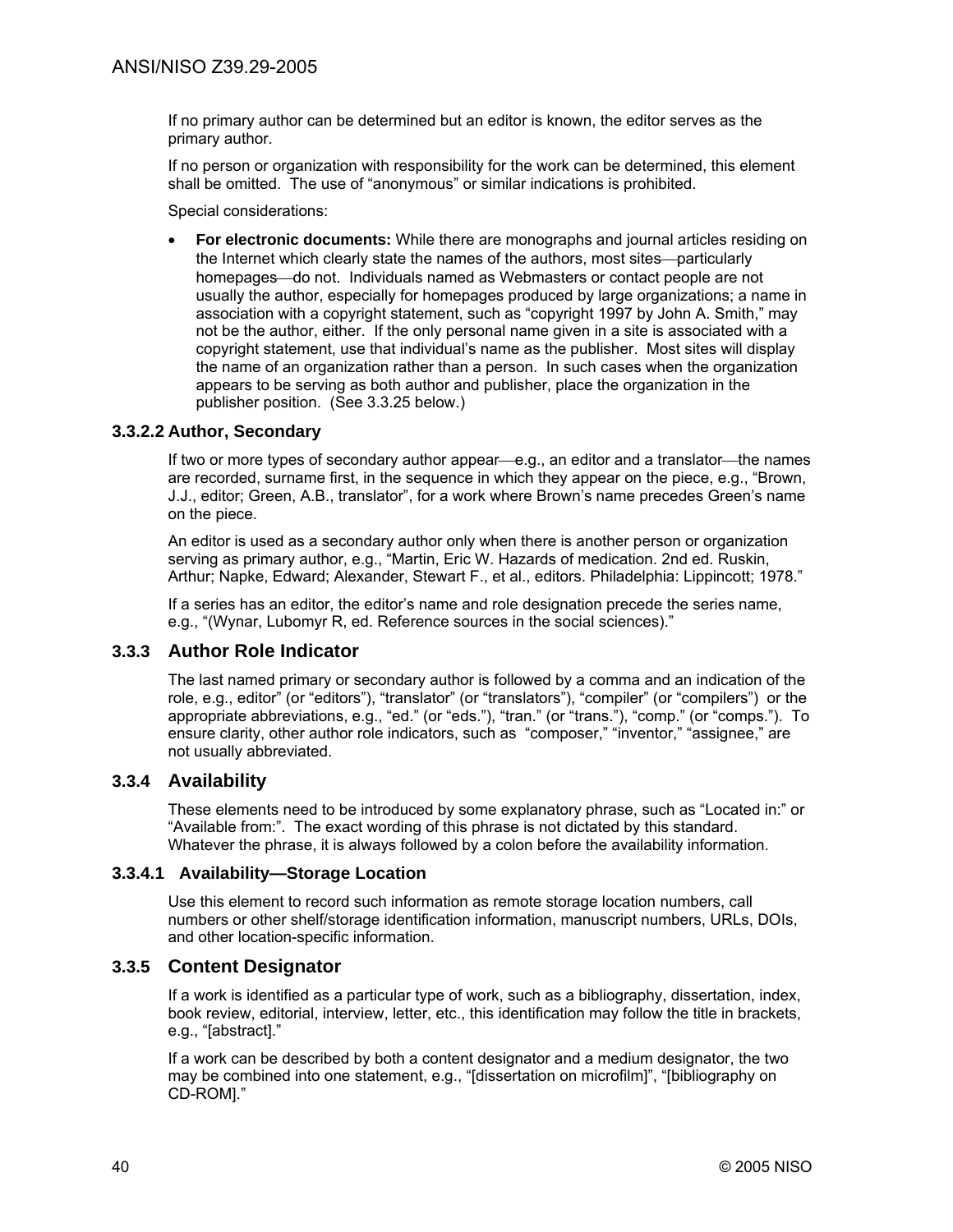If no primary author can be determined but an editor is known, the editor serves as the primary author.

If no person or organization with responsibility for the work can be determined, this element shall be omitted. The use of "anonymous" or similar indications is prohibited.

Special considerations:

• **For electronic documents:** While there are monographs and journal articles residing on the Internet which clearly state the names of the authors, most sites—particularly homepages—do not. Individuals named as Webmasters or contact people are not usually the author, especially for homepages produced by large organizations; a name in association with a copyright statement, such as "copyright 1997 by John A. Smith," may not be the author, either. If the only personal name given in a site is associated with a copyright statement, use that individual's name as the publisher. Most sites will display the name of an organization rather than a person. In such cases when the organization appears to be serving as both author and publisher, place the organization in the publisher position. (See 3.3.25 below.)

## **3.3.2.2 Author, Secondary**

If two or more types of secondary author appear—e.g., an editor and a translator—the names are recorded, surname first, in the sequence in which they appear on the piece, e.g., "Brown, J.J., editor; Green, A.B., translator", for a work where Brown's name precedes Green's name on the piece.

An editor is used as a secondary author only when there is another person or organization serving as primary author, e.g., "Martin, Eric W. Hazards of medication. 2nd ed. Ruskin, Arthur; Napke, Edward; Alexander, Stewart F., et al., editors. Philadelphia: Lippincott; 1978."

If a series has an editor, the editor's name and role designation precede the series name, e.g., "(Wynar, Lubomyr R, ed. Reference sources in the social sciences)."

## **3.3.3 Author Role Indicator**

The last named primary or secondary author is followed by a comma and an indication of the role, e.g., editor" (or "editors"), "translator" (or "translators"), "compiler" (or "compilers") or the appropriate abbreviations, e.g., "ed." (or "eds."), "tran." (or "trans."), "comp." (or "comps."). To ensure clarity, other author role indicators, such as "composer," "inventor," "assignee," are not usually abbreviated.

## **3.3.4 Availability**

These elements need to be introduced by some explanatory phrase, such as "Located in:" or "Available from:". The exact wording of this phrase is not dictated by this standard. Whatever the phrase, it is always followed by a colon before the availability information.

### **3.3.4.1 Availability—Storage Location**

Use this element to record such information as remote storage location numbers, call numbers or other shelf/storage identification information, manuscript numbers, URLs, DOIs, and other location-specific information.

### **3.3.5 Content Designator**

If a work is identified as a particular type of work, such as a bibliography, dissertation, index, book review, editorial, interview, letter, etc., this identification may follow the title in brackets, e.g., "[abstract]."

If a work can be described by both a content designator and a medium designator, the two may be combined into one statement, e.g., "[dissertation on microfilm]", "[bibliography on CD-ROM]."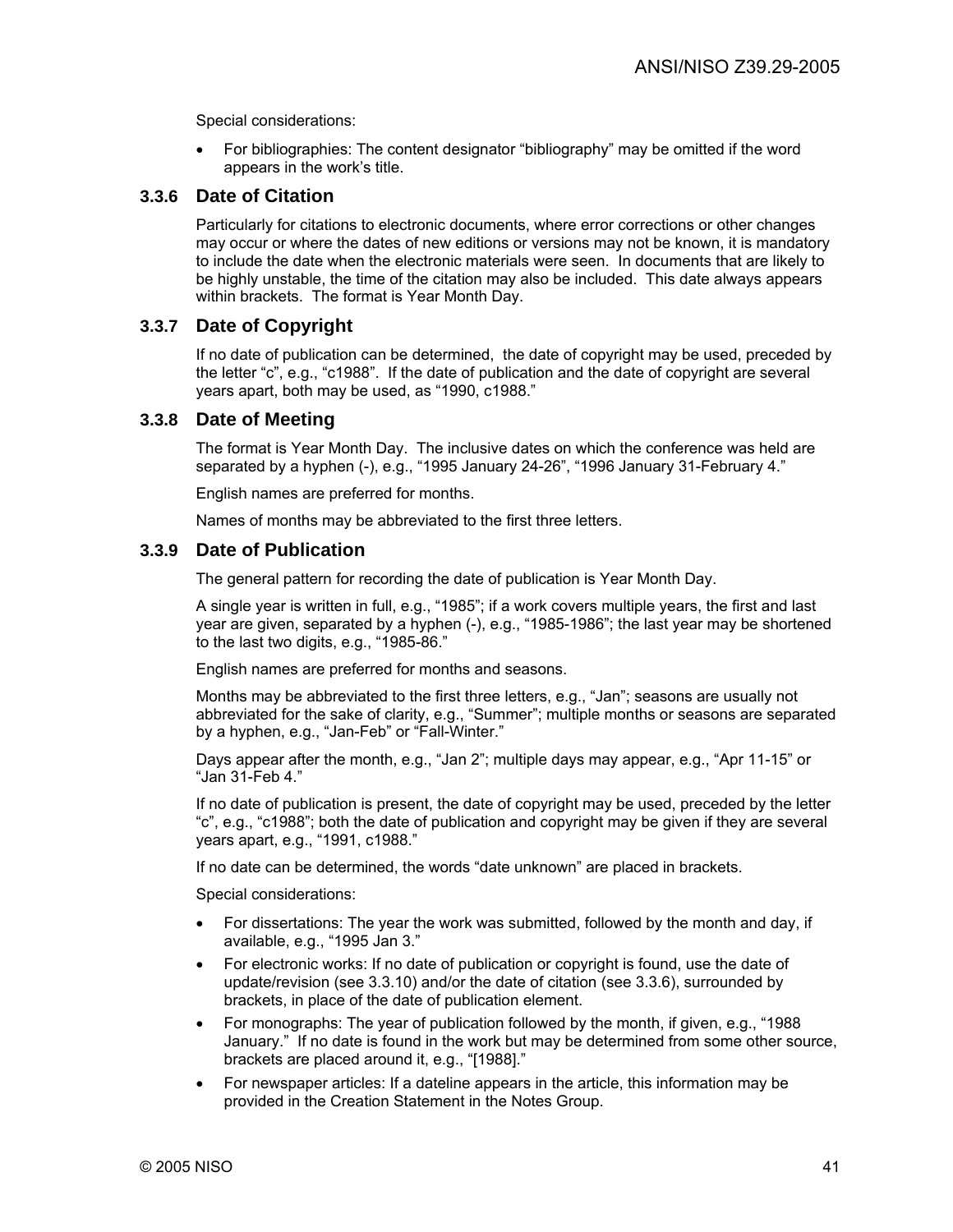Special considerations:

• For bibliographies: The content designator "bibliography" may be omitted if the word appears in the work's title.

## **3.3.6 Date of Citation**

Particularly for citations to electronic documents, where error corrections or other changes may occur or where the dates of new editions or versions may not be known, it is mandatory to include the date when the electronic materials were seen. In documents that are likely to be highly unstable, the time of the citation may also be included. This date always appears within brackets. The format is Year Month Day.

## **3.3.7 Date of Copyright**

If no date of publication can be determined, the date of copyright may be used, preceded by the letter "c", e.g., "c1988". If the date of publication and the date of copyright are several years apart, both may be used, as "1990, c1988."

### **3.3.8 Date of Meeting**

The format is Year Month Day. The inclusive dates on which the conference was held are separated by a hyphen (-), e.g., "1995 January 24-26", "1996 January 31-February 4."

English names are preferred for months.

Names of months may be abbreviated to the first three letters.

### **3.3.9 Date of Publication**

The general pattern for recording the date of publication is Year Month Day.

A single year is written in full, e.g., "1985"; if a work covers multiple years, the first and last year are given, separated by a hyphen (-), e.g., "1985-1986"; the last year may be shortened to the last two digits, e.g., "1985-86."

English names are preferred for months and seasons.

Months may be abbreviated to the first three letters, e.g., "Jan"; seasons are usually not abbreviated for the sake of clarity, e.g., "Summer"; multiple months or seasons are separated by a hyphen, e.g., "Jan-Feb" or "Fall-Winter."

Days appear after the month, e.g., "Jan 2"; multiple days may appear, e.g., "Apr 11-15" or "Jan 31-Feb 4."

If no date of publication is present, the date of copyright may be used, preceded by the letter "c", e.g., "c1988"; both the date of publication and copyright may be given if they are several years apart, e.g., "1991, c1988."

If no date can be determined, the words "date unknown" are placed in brackets.

Special considerations:

- For dissertations: The year the work was submitted, followed by the month and day, if available, e.g., "1995 Jan 3."
- For electronic works: If no date of publication or copyright is found, use the date of update/revision (see 3.3.10) and/or the date of citation (see 3.3.6), surrounded by brackets, in place of the date of publication element.
- For monographs: The year of publication followed by the month, if given, e.g., "1988 January." If no date is found in the work but may be determined from some other source, brackets are placed around it, e.g., "[1988]."
- For newspaper articles: If a dateline appears in the article, this information may be provided in the Creation Statement in the Notes Group.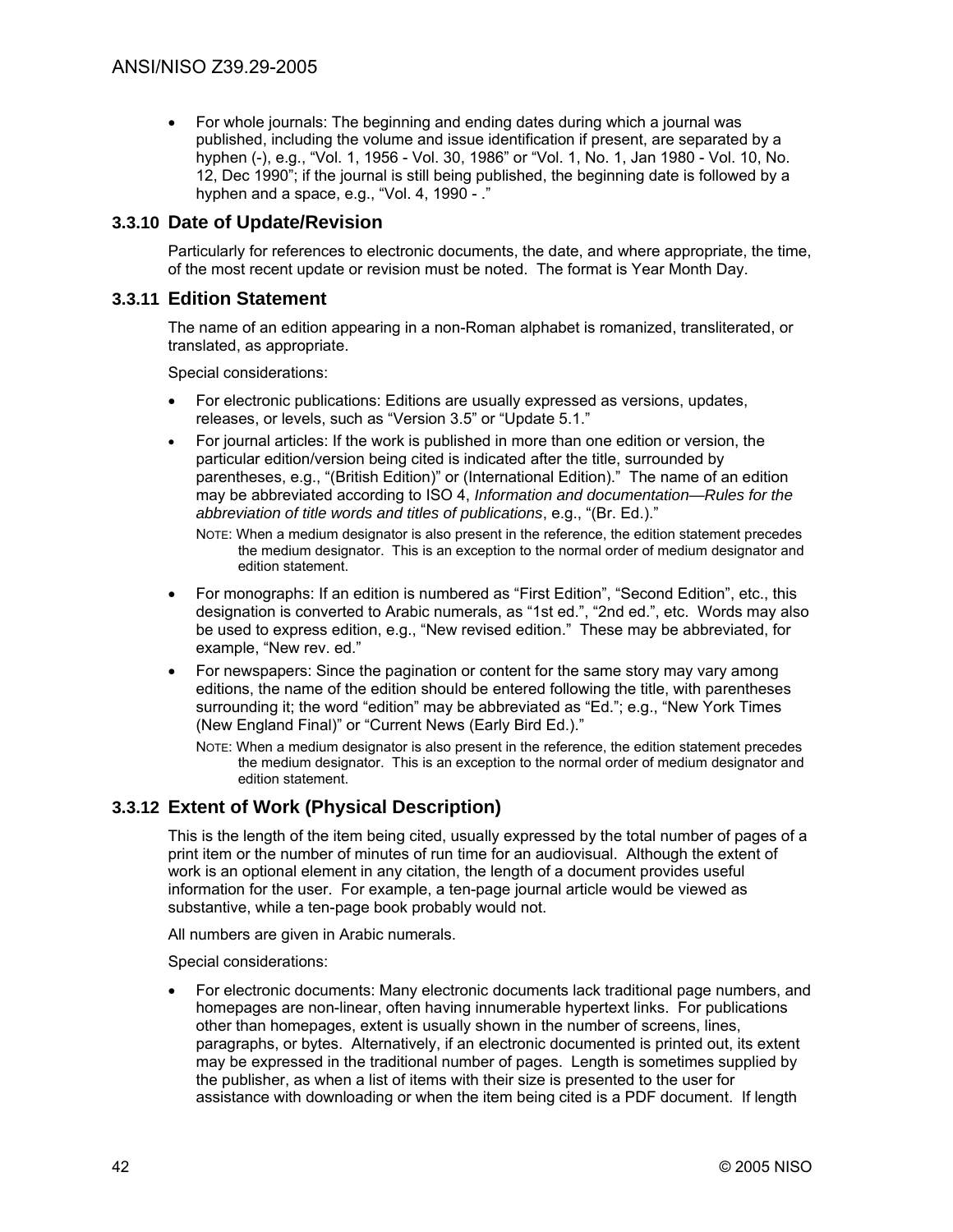• For whole journals: The beginning and ending dates during which a journal was published, including the volume and issue identification if present, are separated by a hyphen (-), e.g., "Vol. 1, 1956 - Vol. 30, 1986" or "Vol. 1, No. 1, Jan 1980 - Vol. 10, No. 12, Dec 1990"; if the journal is still being published, the beginning date is followed by a hyphen and a space, e.g., "Vol. 4, 1990 - ."

## **3.3.10 Date of Update/Revision**

Particularly for references to electronic documents, the date, and where appropriate, the time, of the most recent update or revision must be noted. The format is Year Month Day.

## **3.3.11 Edition Statement**

The name of an edition appearing in a non-Roman alphabet is romanized, transliterated, or translated, as appropriate.

Special considerations:

- For electronic publications: Editions are usually expressed as versions, updates, releases, or levels, such as "Version 3.5" or "Update 5.1."
- For journal articles: If the work is published in more than one edition or version, the particular edition/version being cited is indicated after the title, surrounded by parentheses, e.g., "(British Edition)" or (International Edition)." The name of an edition may be abbreviated according to ISO 4, *Information and documentation—Rules for the abbreviation of title words and titles of publications*, e.g., "(Br. Ed.)."
	- NOTE: When a medium designator is also present in the reference, the edition statement precedes the medium designator. This is an exception to the normal order of medium designator and edition statement.
- For monographs: If an edition is numbered as "First Edition", "Second Edition", etc., this designation is converted to Arabic numerals, as "1st ed.", "2nd ed.", etc. Words may also be used to express edition, e.g., "New revised edition." These may be abbreviated, for example, "New rev. ed."
- For newspapers: Since the pagination or content for the same story may vary among editions, the name of the edition should be entered following the title, with parentheses surrounding it; the word "edition" may be abbreviated as "Ed."; e.g., "New York Times (New England Final)" or "Current News (Early Bird Ed.)."
	- NOTE: When a medium designator is also present in the reference, the edition statement precedes the medium designator. This is an exception to the normal order of medium designator and edition statement.

## **3.3.12 Extent of Work (Physical Description)**

This is the length of the item being cited, usually expressed by the total number of pages of a print item or the number of minutes of run time for an audiovisual. Although the extent of work is an optional element in any citation, the length of a document provides useful information for the user. For example, a ten-page journal article would be viewed as substantive, while a ten-page book probably would not.

All numbers are given in Arabic numerals.

Special considerations:

• For electronic documents: Many electronic documents lack traditional page numbers, and homepages are non-linear, often having innumerable hypertext links. For publications other than homepages, extent is usually shown in the number of screens, lines, paragraphs, or bytes. Alternatively, if an electronic documented is printed out, its extent may be expressed in the traditional number of pages. Length is sometimes supplied by the publisher, as when a list of items with their size is presented to the user for assistance with downloading or when the item being cited is a PDF document. If length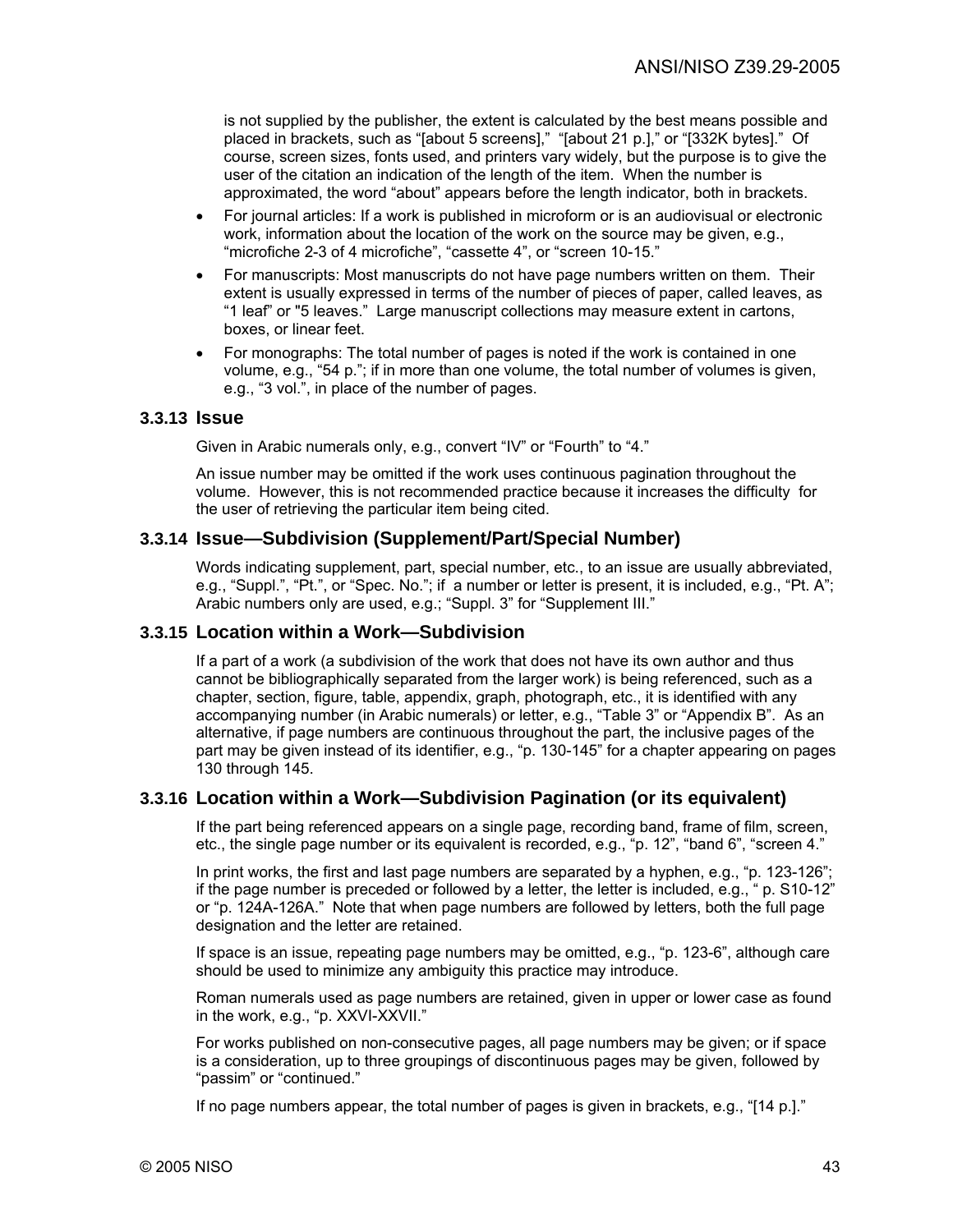is not supplied by the publisher, the extent is calculated by the best means possible and placed in brackets, such as "[about 5 screens]," "[about 21 p.]," or "[332K bytes]." Of course, screen sizes, fonts used, and printers vary widely, but the purpose is to give the user of the citation an indication of the length of the item. When the number is approximated, the word "about" appears before the length indicator, both in brackets.

- For journal articles: If a work is published in microform or is an audiovisual or electronic work, information about the location of the work on the source may be given, e.g., "microfiche 2-3 of 4 microfiche", "cassette 4", or "screen 10-15."
- For manuscripts: Most manuscripts do not have page numbers written on them. Their extent is usually expressed in terms of the number of pieces of paper, called leaves, as "1 leaf" or "5 leaves." Large manuscript collections may measure extent in cartons, boxes, or linear feet.
- For monographs: The total number of pages is noted if the work is contained in one volume, e.g., "54 p."; if in more than one volume, the total number of volumes is given, e.g., "3 vol.", in place of the number of pages.

## **3.3.13 Issue**

Given in Arabic numerals only, e.g., convert "IV" or "Fourth" to "4."

An issue number may be omitted if the work uses continuous pagination throughout the volume. However, this is not recommended practice because it increases the difficulty for the user of retrieving the particular item being cited.

## **3.3.14 Issue—Subdivision (Supplement/Part/Special Number)**

Words indicating supplement, part, special number, etc., to an issue are usually abbreviated, e.g., "Suppl.", "Pt.", or "Spec. No."; if a number or letter is present, it is included, e.g., "Pt. A"; Arabic numbers only are used, e.g.; "Suppl. 3" for "Supplement III."

## **3.3.15 Location within a Work—Subdivision**

If a part of a work (a subdivision of the work that does not have its own author and thus cannot be bibliographically separated from the larger work) is being referenced, such as a chapter, section, figure, table, appendix, graph, photograph, etc., it is identified with any accompanying number (in Arabic numerals) or letter, e.g., "Table 3" or "Appendix B". As an alternative, if page numbers are continuous throughout the part, the inclusive pages of the part may be given instead of its identifier, e.g., "p. 130-145" for a chapter appearing on pages 130 through 145.

### **3.3.16 Location within a Work—Subdivision Pagination (or its equivalent)**

If the part being referenced appears on a single page, recording band, frame of film, screen, etc., the single page number or its equivalent is recorded, e.g., "p. 12", "band 6", "screen 4."

In print works, the first and last page numbers are separated by a hyphen, e.g., "p. 123-126"; if the page number is preceded or followed by a letter, the letter is included, e.g., " p. S10-12" or "p. 124A-126A." Note that when page numbers are followed by letters, both the full page designation and the letter are retained.

If space is an issue, repeating page numbers may be omitted, e.g., "p. 123-6", although care should be used to minimize any ambiguity this practice may introduce.

Roman numerals used as page numbers are retained, given in upper or lower case as found in the work, e.g., "p. XXVI-XXVII."

For works published on non-consecutive pages, all page numbers may be given; or if space is a consideration, up to three groupings of discontinuous pages may be given, followed by "passim" or "continued."

If no page numbers appear, the total number of pages is given in brackets, e.g., "[14 p.]."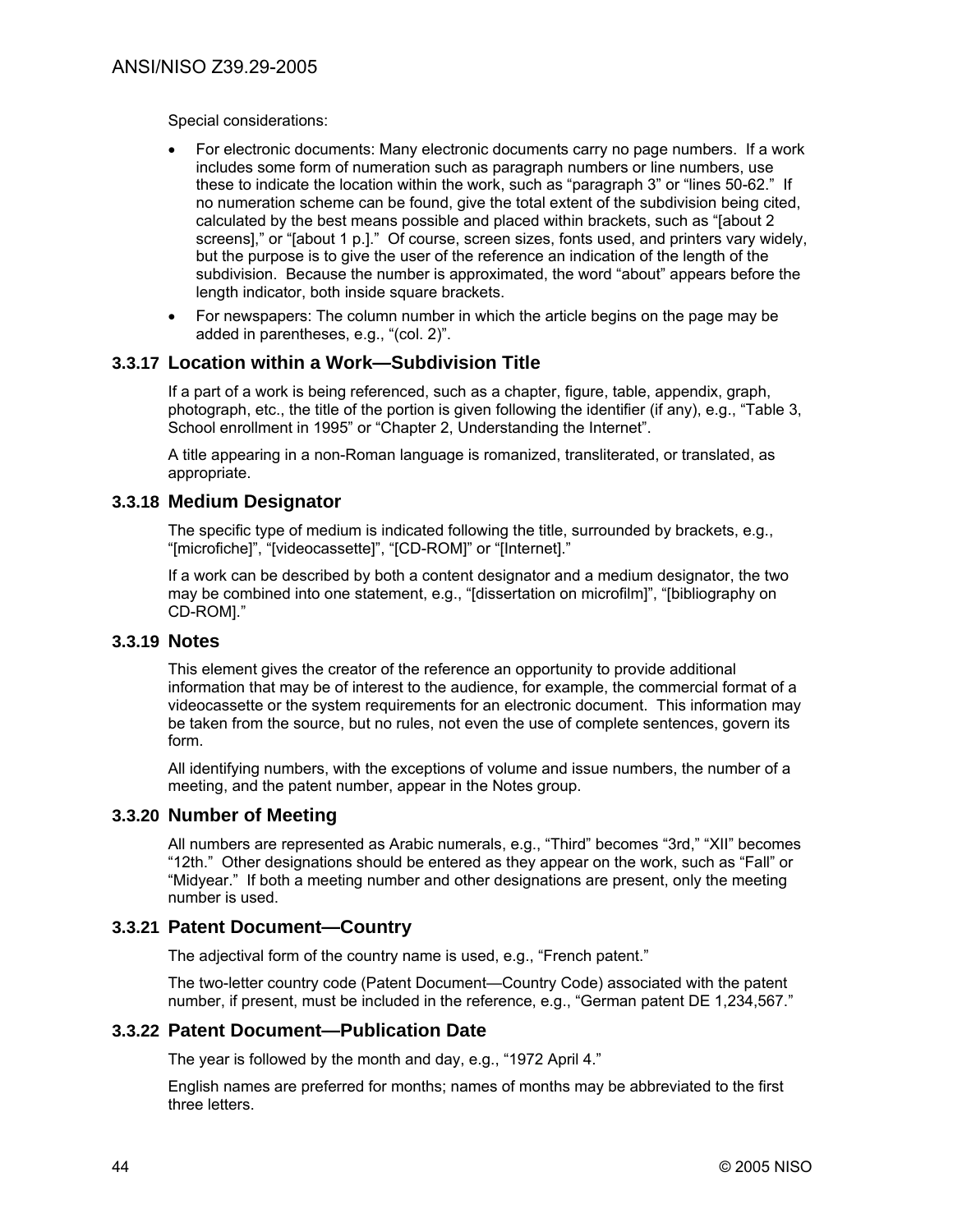Special considerations:

- For electronic documents: Many electronic documents carry no page numbers. If a work includes some form of numeration such as paragraph numbers or line numbers, use these to indicate the location within the work, such as "paragraph 3" or "lines 50-62." If no numeration scheme can be found, give the total extent of the subdivision being cited, calculated by the best means possible and placed within brackets, such as "[about 2 screens]," or "[about 1 p.]." Of course, screen sizes, fonts used, and printers vary widely, but the purpose is to give the user of the reference an indication of the length of the subdivision. Because the number is approximated, the word "about" appears before the length indicator, both inside square brackets.
- For newspapers: The column number in which the article begins on the page may be added in parentheses, e.g., "(col. 2)".

## **3.3.17 Location within a Work—Subdivision Title**

If a part of a work is being referenced, such as a chapter, figure, table, appendix, graph, photograph, etc., the title of the portion is given following the identifier (if any), e.g., "Table 3, School enrollment in 1995" or "Chapter 2, Understanding the Internet".

A title appearing in a non-Roman language is romanized, transliterated, or translated, as appropriate.

## **3.3.18 Medium Designator**

The specific type of medium is indicated following the title, surrounded by brackets, e.g., "[microfiche]", "[videocassette]", "[CD-ROM]" or "[Internet]."

If a work can be described by both a content designator and a medium designator, the two may be combined into one statement, e.g., "[dissertation on microfilm]", "[bibliography on CD-ROM]."

### **3.3.19 Notes**

This element gives the creator of the reference an opportunity to provide additional information that may be of interest to the audience, for example, the commercial format of a videocassette or the system requirements for an electronic document. This information may be taken from the source, but no rules, not even the use of complete sentences, govern its form.

All identifying numbers, with the exceptions of volume and issue numbers, the number of a meeting, and the patent number, appear in the Notes group.

## **3.3.20 Number of Meeting**

All numbers are represented as Arabic numerals, e.g., "Third" becomes "3rd," "XII" becomes "12th." Other designations should be entered as they appear on the work, such as "Fall" or "Midyear." If both a meeting number and other designations are present, only the meeting number is used.

## **3.3.21 Patent Document—Country**

The adjectival form of the country name is used, e.g., "French patent."

The two-letter country code (Patent Document—Country Code) associated with the patent number, if present, must be included in the reference, e.g., "German patent DE 1,234,567."

## **3.3.22 Patent Document—Publication Date**

The year is followed by the month and day, e.g., "1972 April 4."

English names are preferred for months; names of months may be abbreviated to the first three letters.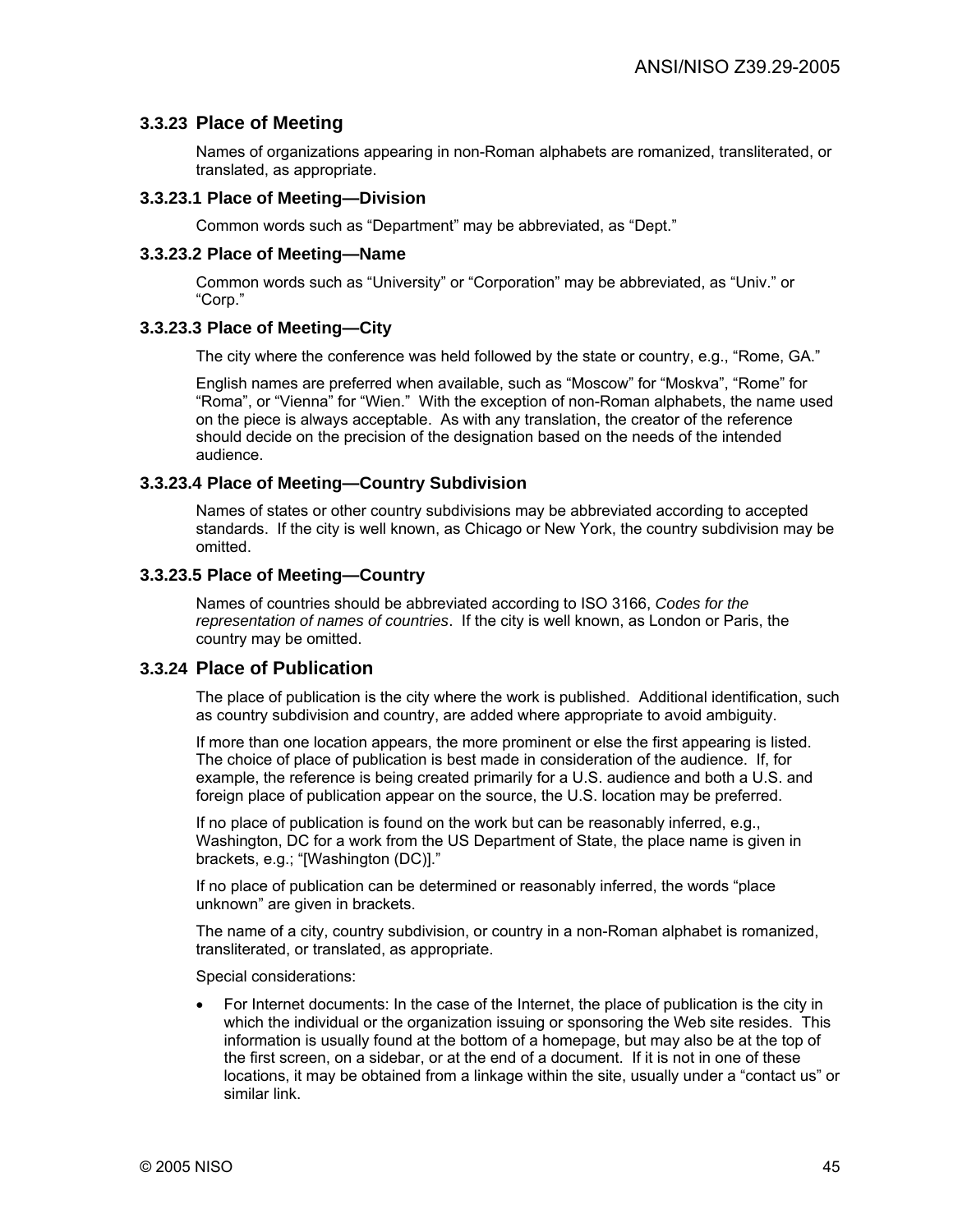## **3.3.23 Place of Meeting**

Names of organizations appearing in non-Roman alphabets are romanized, transliterated, or translated, as appropriate.

#### **3.3.23.1 Place of Meeting—Division**

Common words such as "Department" may be abbreviated, as "Dept."

#### **3.3.23.2 Place of Meeting—Name**

Common words such as "University" or "Corporation" may be abbreviated, as "Univ." or "Corp."

### **3.3.23.3 Place of Meeting—City**

The city where the conference was held followed by the state or country, e.g., "Rome, GA."

English names are preferred when available, such as "Moscow" for "Moskva", "Rome" for "Roma", or "Vienna" for "Wien." With the exception of non-Roman alphabets, the name used on the piece is always acceptable. As with any translation, the creator of the reference should decide on the precision of the designation based on the needs of the intended audience.

#### **3.3.23.4 Place of Meeting—Country Subdivision**

Names of states or other country subdivisions may be abbreviated according to accepted standards. If the city is well known, as Chicago or New York, the country subdivision may be omitted.

#### **3.3.23.5 Place of Meeting—Country**

Names of countries should be abbreviated according to ISO 3166, *Codes for the representation of names of countries*. If the city is well known, as London or Paris, the country may be omitted.

## **3.3.24 Place of Publication**

The place of publication is the city where the work is published. Additional identification, such as country subdivision and country, are added where appropriate to avoid ambiguity.

If more than one location appears, the more prominent or else the first appearing is listed. The choice of place of publication is best made in consideration of the audience. If, for example, the reference is being created primarily for a U.S. audience and both a U.S. and foreign place of publication appear on the source, the U.S. location may be preferred.

If no place of publication is found on the work but can be reasonably inferred, e.g., Washington, DC for a work from the US Department of State, the place name is given in brackets, e.g.; "[Washington (DC)]."

If no place of publication can be determined or reasonably inferred, the words "place unknown" are given in brackets.

The name of a city, country subdivision, or country in a non-Roman alphabet is romanized, transliterated, or translated, as appropriate.

Special considerations:

• For Internet documents: In the case of the Internet, the place of publication is the city in which the individual or the organization issuing or sponsoring the Web site resides. This information is usually found at the bottom of a homepage, but may also be at the top of the first screen, on a sidebar, or at the end of a document. If it is not in one of these locations, it may be obtained from a linkage within the site, usually under a "contact us" or similar link.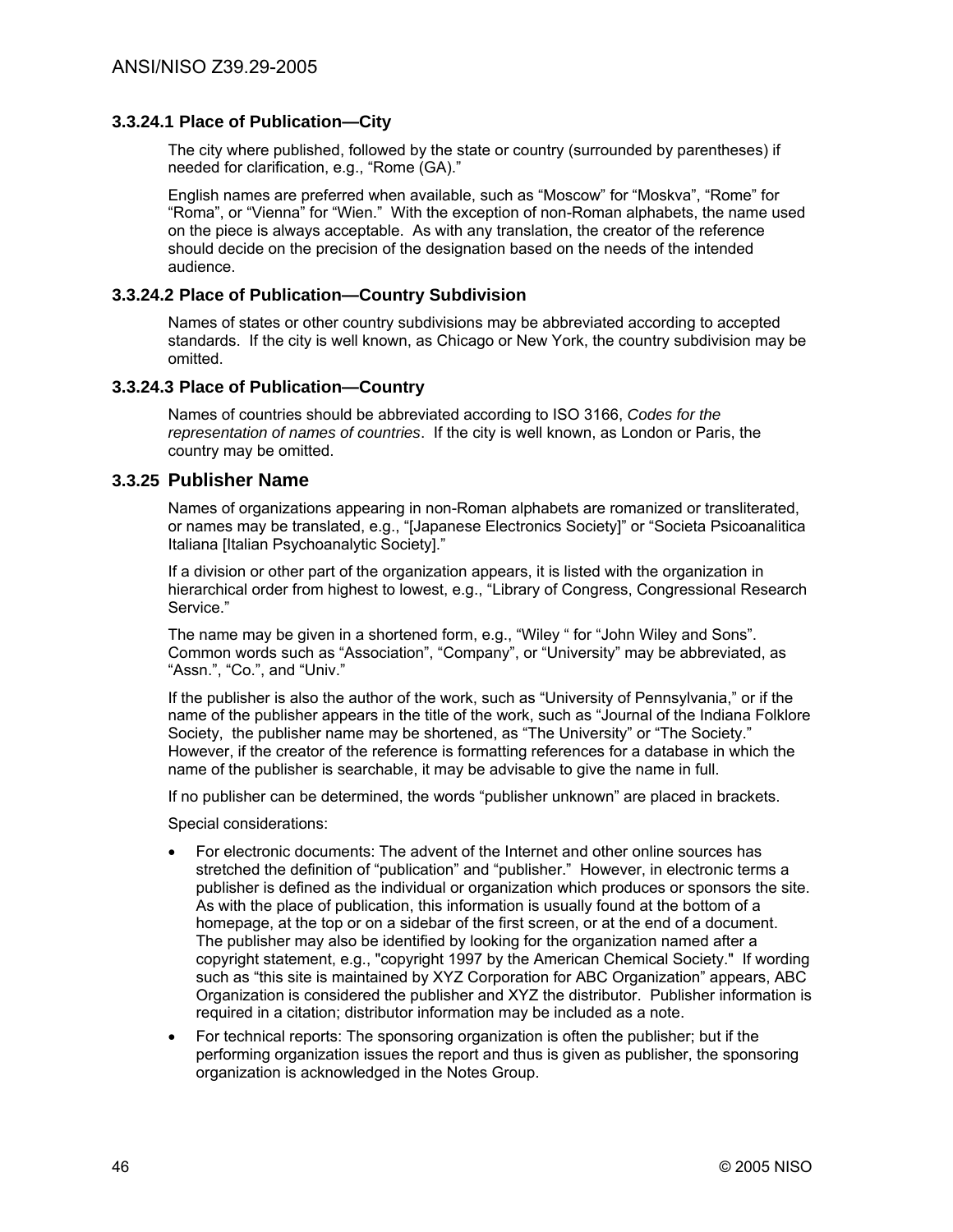## **3.3.24.1 Place of Publication—City**

The city where published, followed by the state or country (surrounded by parentheses) if needed for clarification, e.g., "Rome (GA)."

English names are preferred when available, such as "Moscow" for "Moskva", "Rome" for "Roma", or "Vienna" for "Wien." With the exception of non-Roman alphabets, the name used on the piece is always acceptable. As with any translation, the creator of the reference should decide on the precision of the designation based on the needs of the intended audience.

## **3.3.24.2 Place of Publication—Country Subdivision**

Names of states or other country subdivisions may be abbreviated according to accepted standards. If the city is well known, as Chicago or New York, the country subdivision may be omitted.

### **3.3.24.3 Place of Publication—Country**

Names of countries should be abbreviated according to ISO 3166, *Codes for the representation of names of countries*. If the city is well known, as London or Paris, the country may be omitted.

### **3.3.25 Publisher Name**

Names of organizations appearing in non-Roman alphabets are romanized or transliterated, or names may be translated, e.g., "[Japanese Electronics Society]" or "Societa Psicoanalitica Italiana [Italian Psychoanalytic Society]."

If a division or other part of the organization appears, it is listed with the organization in hierarchical order from highest to lowest, e.g., "Library of Congress, Congressional Research Service."

The name may be given in a shortened form, e.g., "Wiley " for "John Wiley and Sons". Common words such as "Association", "Company", or "University" may be abbreviated, as "Assn.", "Co.", and "Univ."

If the publisher is also the author of the work, such as "University of Pennsylvania," or if the name of the publisher appears in the title of the work, such as "Journal of the Indiana Folklore Society, the publisher name may be shortened, as "The University" or "The Society." However, if the creator of the reference is formatting references for a database in which the name of the publisher is searchable, it may be advisable to give the name in full.

If no publisher can be determined, the words "publisher unknown" are placed in brackets.

Special considerations:

- For electronic documents: The advent of the Internet and other online sources has stretched the definition of "publication" and "publisher." However, in electronic terms a publisher is defined as the individual or organization which produces or sponsors the site. As with the place of publication, this information is usually found at the bottom of a homepage, at the top or on a sidebar of the first screen, or at the end of a document. The publisher may also be identified by looking for the organization named after a copyright statement, e.g., "copyright 1997 by the American Chemical Society." If wording such as "this site is maintained by XYZ Corporation for ABC Organization" appears, ABC Organization is considered the publisher and XYZ the distributor. Publisher information is required in a citation; distributor information may be included as a note.
- For technical reports: The sponsoring organization is often the publisher; but if the performing organization issues the report and thus is given as publisher, the sponsoring organization is acknowledged in the Notes Group.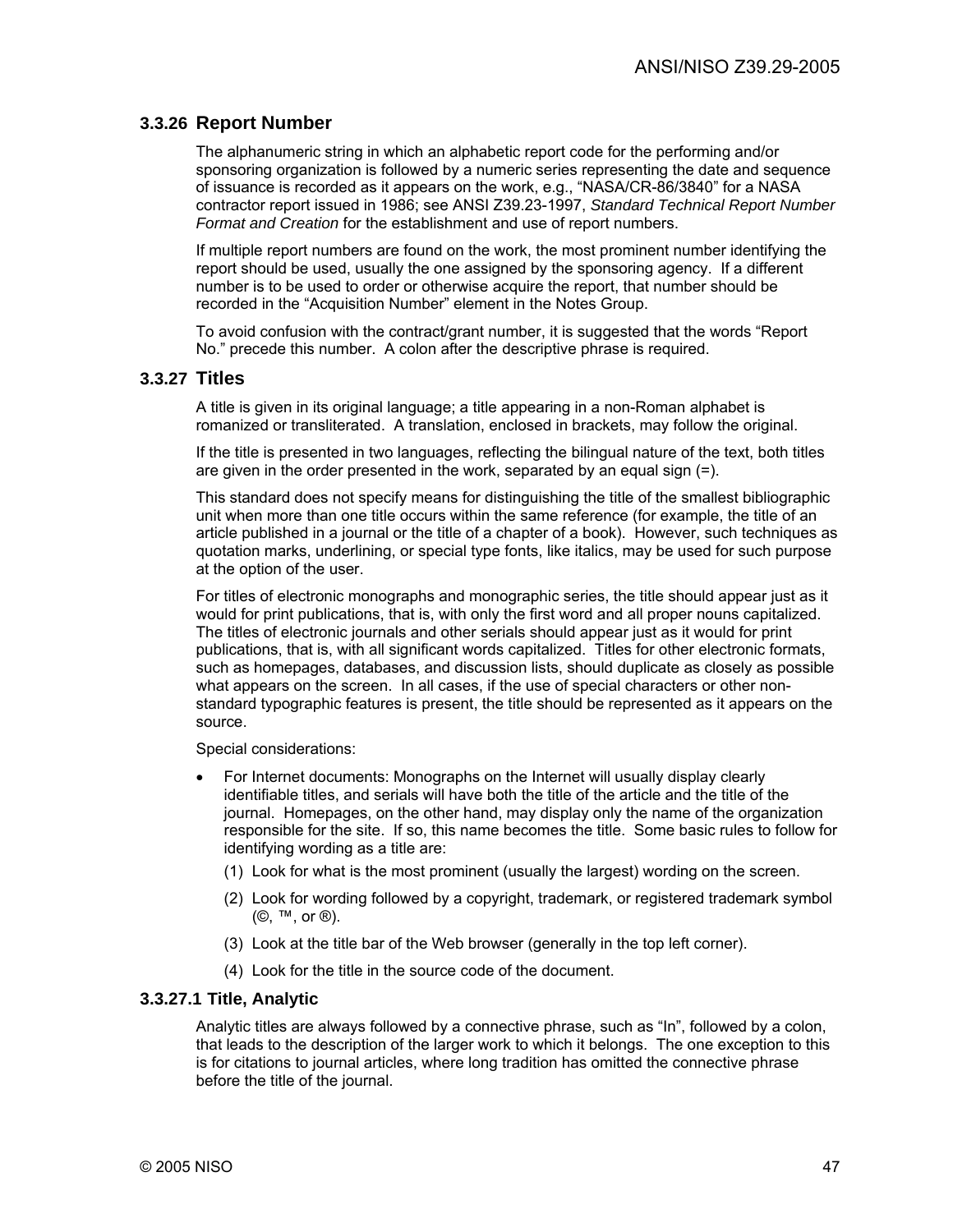## **3.3.26 Report Number**

The alphanumeric string in which an alphabetic report code for the performing and/or sponsoring organization is followed by a numeric series representing the date and sequence of issuance is recorded as it appears on the work, e.g., "NASA/CR-86/3840" for a NASA contractor report issued in 1986; see ANSI Z39.23-1997, *Standard Technical Report Number Format and Creation* for the establishment and use of report numbers.

If multiple report numbers are found on the work, the most prominent number identifying the report should be used, usually the one assigned by the sponsoring agency. If a different number is to be used to order or otherwise acquire the report, that number should be recorded in the "Acquisition Number" element in the Notes Group.

To avoid confusion with the contract/grant number, it is suggested that the words "Report No." precede this number. A colon after the descriptive phrase is required.

### **3.3.27 Titles**

A title is given in its original language; a title appearing in a non-Roman alphabet is romanized or transliterated. A translation, enclosed in brackets, may follow the original.

If the title is presented in two languages, reflecting the bilingual nature of the text, both titles are given in the order presented in the work, separated by an equal sign (=).

This standard does not specify means for distinguishing the title of the smallest bibliographic unit when more than one title occurs within the same reference (for example, the title of an article published in a journal or the title of a chapter of a book). However, such techniques as quotation marks, underlining, or special type fonts, like italics, may be used for such purpose at the option of the user.

For titles of electronic monographs and monographic series, the title should appear just as it would for print publications, that is, with only the first word and all proper nouns capitalized. The titles of electronic journals and other serials should appear just as it would for print publications, that is, with all significant words capitalized. Titles for other electronic formats, such as homepages, databases, and discussion lists, should duplicate as closely as possible what appears on the screen. In all cases, if the use of special characters or other nonstandard typographic features is present, the title should be represented as it appears on the source.

Special considerations:

- For Internet documents: Monographs on the Internet will usually display clearly identifiable titles, and serials will have both the title of the article and the title of the journal. Homepages, on the other hand, may display only the name of the organization responsible for the site. If so, this name becomes the title. Some basic rules to follow for identifying wording as a title are:
	- (1) Look for what is the most prominent (usually the largest) wording on the screen.
	- (2) Look for wording followed by a copyright, trademark, or registered trademark symbol (©, ™, or ®).
	- (3) Look at the title bar of the Web browser (generally in the top left corner).
	- (4) Look for the title in the source code of the document.

#### **3.3.27.1 Title, Analytic**

Analytic titles are always followed by a connective phrase, such as "In", followed by a colon, that leads to the description of the larger work to which it belongs. The one exception to this is for citations to journal articles, where long tradition has omitted the connective phrase before the title of the journal.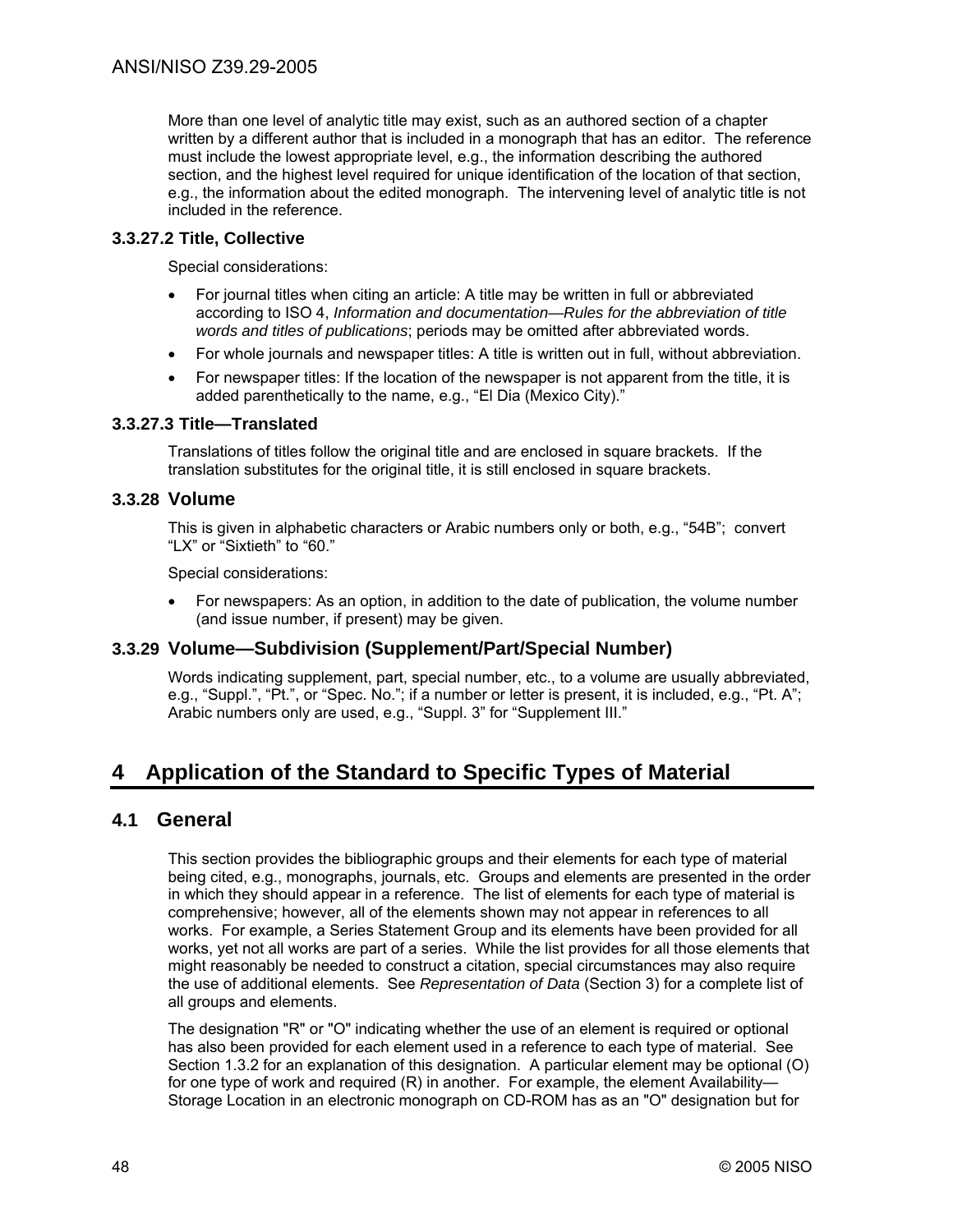More than one level of analytic title may exist, such as an authored section of a chapter written by a different author that is included in a monograph that has an editor. The reference must include the lowest appropriate level, e.g., the information describing the authored section, and the highest level required for unique identification of the location of that section, e.g., the information about the edited monograph. The intervening level of analytic title is not included in the reference.

## **3.3.27.2 Title, Collective**

Special considerations:

- For journal titles when citing an article: A title may be written in full or abbreviated according to ISO 4, *Information and documentation—Rules for the abbreviation of title words and titles of publications*; periods may be omitted after abbreviated words.
- For whole journals and newspaper titles: A title is written out in full, without abbreviation.
- For newspaper titles: If the location of the newspaper is not apparent from the title, it is added parenthetically to the name, e.g., "El Dia (Mexico City)."

## **3.3.27.3 Title—Translated**

Translations of titles follow the original title and are enclosed in square brackets. If the translation substitutes for the original title, it is still enclosed in square brackets.

## **3.3.28 Volume**

This is given in alphabetic characters or Arabic numbers only or both, e.g., "54B"; convert "LX" or "Sixtieth" to "60."

Special considerations:

• For newspapers: As an option, in addition to the date of publication, the volume number (and issue number, if present) may be given.

## **3.3.29 Volume—Subdivision (Supplement/Part/Special Number)**

Words indicating supplement, part, special number, etc., to a volume are usually abbreviated, e.g., "Suppl.", "Pt.", or "Spec. No."; if a number or letter is present, it is included, e.g., "Pt. A"; Arabic numbers only are used, e.g., "Suppl. 3" for "Supplement III."

# **4 Application of the Standard to Specific Types of Material**

## **4.1 General**

This section provides the bibliographic groups and their elements for each type of material being cited, e.g., monographs, journals, etc. Groups and elements are presented in the order in which they should appear in a reference. The list of elements for each type of material is comprehensive; however, all of the elements shown may not appear in references to all works. For example, a Series Statement Group and its elements have been provided for all works, yet not all works are part of a series. While the list provides for all those elements that might reasonably be needed to construct a citation, special circumstances may also require the use of additional elements. See *Representation of Data* (Section 3) for a complete list of all groups and elements.

The designation "R" or "O" indicating whether the use of an element is required or optional has also been provided for each element used in a reference to each type of material. See Section 1.3.2 for an explanation of this designation. A particular element may be optional (O) for one type of work and required (R) in another. For example, the element Availability— Storage Location in an electronic monograph on CD-ROM has as an "O" designation but for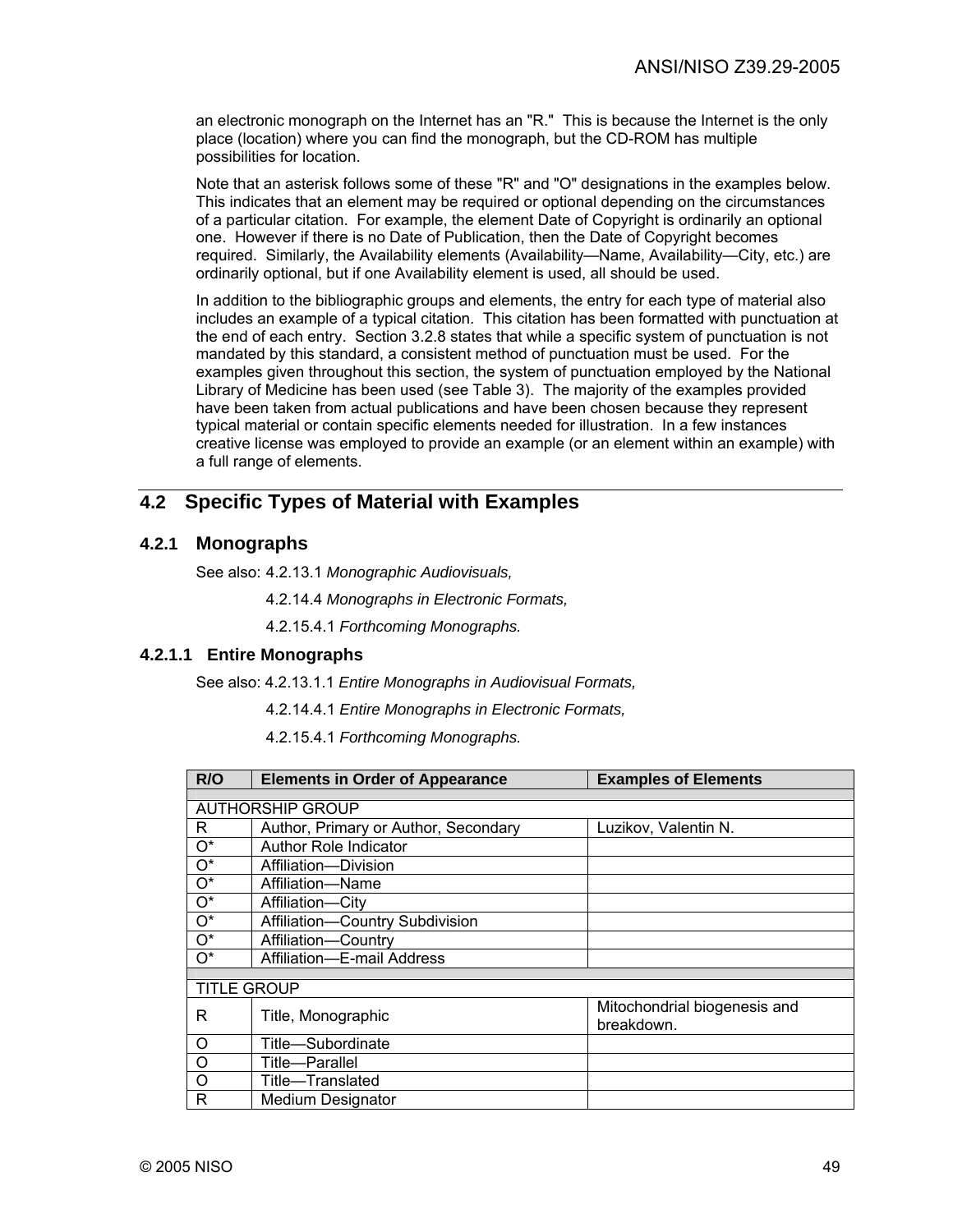an electronic monograph on the Internet has an "R." This is because the Internet is the only place (location) where you can find the monograph, but the CD-ROM has multiple possibilities for location.

Note that an asterisk follows some of these "R" and "O" designations in the examples below. This indicates that an element may be required or optional depending on the circumstances of a particular citation. For example, the element Date of Copyright is ordinarily an optional one. However if there is no Date of Publication, then the Date of Copyright becomes required. Similarly, the Availability elements (Availability—Name, Availability—City, etc.) are ordinarily optional, but if one Availability element is used, all should be used.

In addition to the bibliographic groups and elements, the entry for each type of material also includes an example of a typical citation. This citation has been formatted with punctuation at the end of each entry. Section 3.2.8 states that while a specific system of punctuation is not mandated by this standard, a consistent method of punctuation must be used. For the examples given throughout this section, the system of punctuation employed by the National Library of Medicine has been used (see Table 3). The majority of the examples provided have been taken from actual publications and have been chosen because they represent typical material or contain specific elements needed for illustration. In a few instances creative license was employed to provide an example (or an element within an example) with a full range of elements.

# **4.2 Specific Types of Material with Examples**

## **4.2.1 Monographs**

See also: 4.2.13.1 *Monographic Audiovisuals,*

- 4.2.14.4 *Monographs in Electronic Formats,*
- 4.2.15.4.1 *Forthcoming Monographs.*

### **4.2.1.1 Entire Monographs**

See also: 4.2.13.1.1 *Entire Monographs in Audiovisual Formats,*

- 4.2.14.4.1 *Entire Monographs in Electronic Formats,*
- 4.2.15.4.1 *Forthcoming Monographs.*

| R/O                | <b>Elements in Order of Appearance</b> | <b>Examples of Elements</b>                |
|--------------------|----------------------------------------|--------------------------------------------|
|                    |                                        |                                            |
|                    | <b>AUTHORSHIP GROUP</b>                |                                            |
| R                  | Author, Primary or Author, Secondary   | Luzikov, Valentin N.                       |
| $O^*$              | Author Role Indicator                  |                                            |
| $O^*$              | Affiliation-Division                   |                                            |
| $O^*$              | Affiliation-Name                       |                                            |
| $O^*$              | Affiliation-City                       |                                            |
| $O^*$              | Affiliation-Country Subdivision        |                                            |
| $O^*$              | Affiliation-Country                    |                                            |
| $O^*$              | Affiliation-E-mail Address             |                                            |
|                    |                                        |                                            |
| <b>TITLE GROUP</b> |                                        |                                            |
| R                  | Title, Monographic                     | Mitochondrial biogenesis and<br>breakdown. |
| $\circ$            | Title-Subordinate                      |                                            |
| O                  | Title—Parallel                         |                                            |
| O                  | Title-Translated                       |                                            |
| R                  | <b>Medium Designator</b>               |                                            |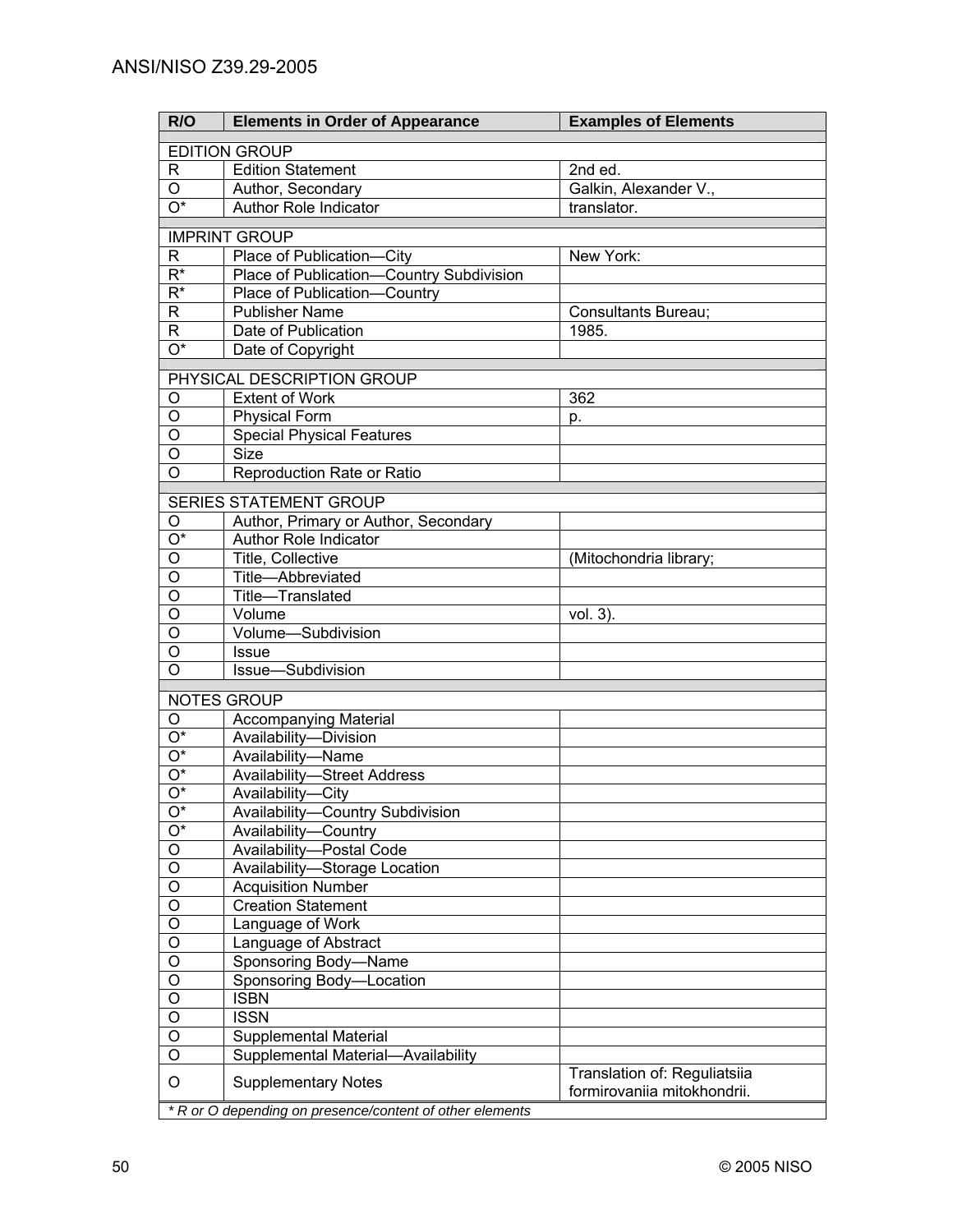| R/O                                                      | <b>Elements in Order of Appearance</b>                                   | <b>Examples of Elements</b>                                 |
|----------------------------------------------------------|--------------------------------------------------------------------------|-------------------------------------------------------------|
|                                                          | <b>EDITION GROUP</b>                                                     |                                                             |
| R                                                        | <b>Edition Statement</b>                                                 | 2nd ed.                                                     |
| O                                                        | Author, Secondary                                                        | Galkin, Alexander V.,                                       |
| $\overline{O^*}$                                         | Author Role Indicator                                                    | translator.                                                 |
|                                                          |                                                                          |                                                             |
|                                                          | <b>IMPRINT GROUP</b>                                                     |                                                             |
| R<br>$\overline{\mathsf{R}^*}$                           | Place of Publication-City                                                | New York:                                                   |
| $R^*$                                                    | Place of Publication-Country Subdivision<br>Place of Publication-Country |                                                             |
| R                                                        | <b>Publisher Name</b>                                                    | Consultants Bureau;                                         |
| R                                                        | Date of Publication                                                      | 1985.                                                       |
| $\overline{\mathrm{O}^*}$                                | Date of Copyright                                                        |                                                             |
|                                                          |                                                                          |                                                             |
|                                                          | PHYSICAL DESCRIPTION GROUP                                               |                                                             |
| O                                                        | <b>Extent of Work</b>                                                    | 362                                                         |
| O                                                        | <b>Physical Form</b>                                                     | p.                                                          |
| O                                                        | <b>Special Physical Features</b>                                         |                                                             |
| O                                                        | <b>Size</b>                                                              |                                                             |
| $\circ$                                                  | Reproduction Rate or Ratio                                               |                                                             |
|                                                          | <b>SERIES STATEMENT GROUP</b>                                            |                                                             |
| O                                                        | Author, Primary or Author, Secondary                                     |                                                             |
| O*                                                       | Author Role Indicator                                                    |                                                             |
| O                                                        | Title, Collective                                                        | (Mitochondria library;                                      |
| $\overline{O}$                                           | Title-Abbreviated                                                        |                                                             |
| $\overline{O}$                                           | Title-Translated                                                         |                                                             |
| $\overline{O}$                                           | Volume                                                                   | vol. 3).                                                    |
| O                                                        | Volume-Subdivision                                                       |                                                             |
| O                                                        | <b>Issue</b>                                                             |                                                             |
| O                                                        | Issue-Subdivision                                                        |                                                             |
|                                                          | <b>NOTES GROUP</b>                                                       |                                                             |
| O                                                        | <b>Accompanying Material</b>                                             |                                                             |
| O*                                                       | Availability-Division                                                    |                                                             |
| $\overline{O^*}$                                         | Availability-Name                                                        |                                                             |
| $\overline{\mathrm{O}^*}$                                | <b>Availability-Street Address</b>                                       |                                                             |
| $\overline{O^*}$                                         | Availability-City                                                        |                                                             |
| Ő.                                                       | Availability-Country Subdivision                                         |                                                             |
| $O^*$                                                    | Availability-Country                                                     |                                                             |
| $\mathsf O$                                              | Availability-Postal Code                                                 |                                                             |
| $\overline{O}$                                           | Availability-Storage Location                                            |                                                             |
| $\overline{O}$                                           | <b>Acquisition Number</b>                                                |                                                             |
| $\overline{O}$                                           | <b>Creation Statement</b>                                                |                                                             |
| $\overline{O}$                                           | Language of Work                                                         |                                                             |
| $\overline{O}$                                           | Language of Abstract                                                     |                                                             |
| $\overline{O}$                                           | Sponsoring Body-Name                                                     |                                                             |
| $\overline{\circ}$                                       | Sponsoring Body-Location                                                 |                                                             |
| $\overline{\circ}$                                       | <b>ISBN</b>                                                              |                                                             |
| $\overline{O}$                                           | <b>ISSN</b>                                                              |                                                             |
| $\overline{O}$                                           | Supplemental Material                                                    |                                                             |
| $\overline{O}$                                           | Supplemental Material-Availability                                       |                                                             |
| O                                                        | <b>Supplementary Notes</b>                                               | Translation of: Reguliatsiia<br>formirovaniia mitokhondrii. |
| * R or O depending on presence/content of other elements |                                                                          |                                                             |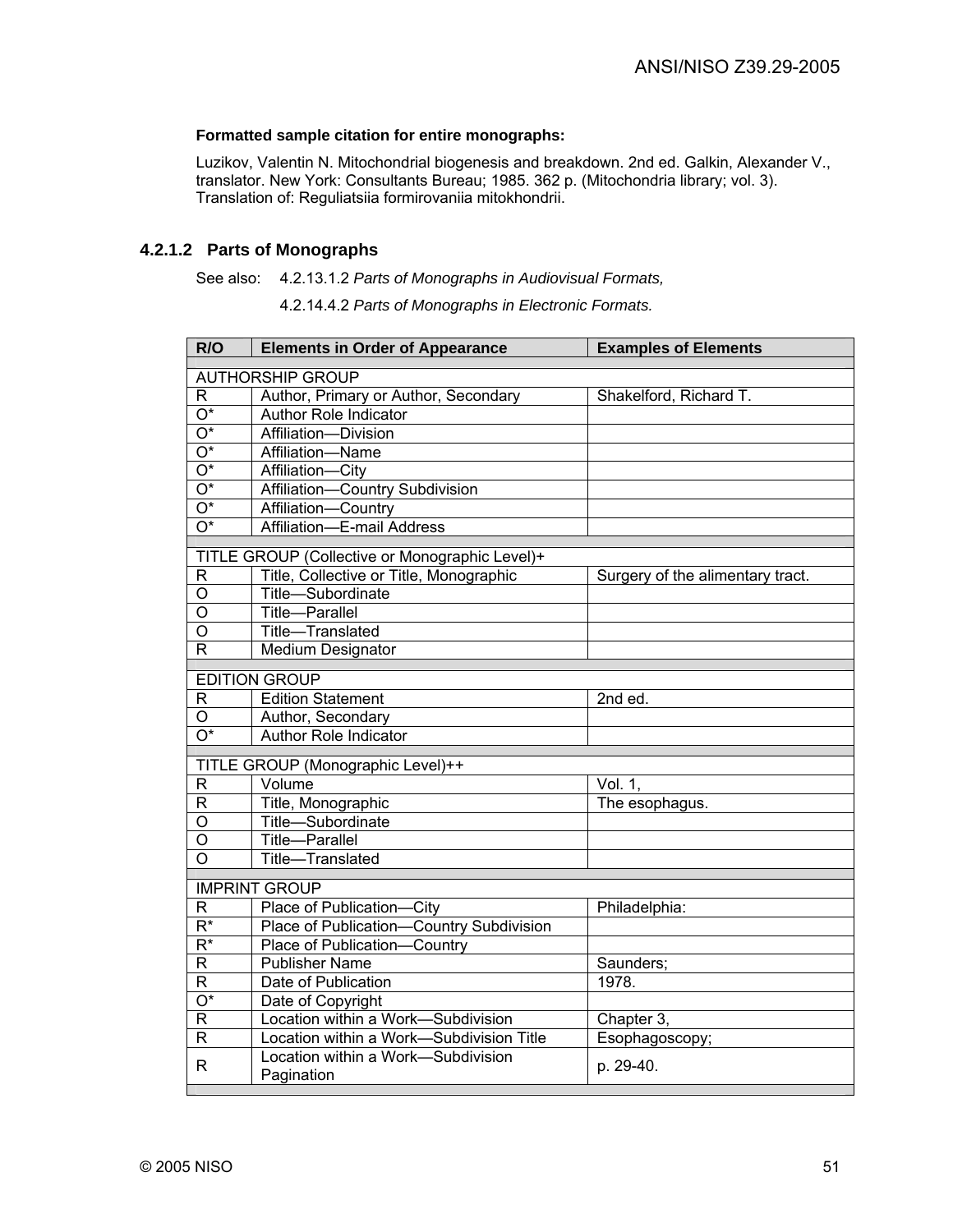#### **Formatted sample citation for entire monographs:**

Luzikov, Valentin N. Mitochondrial biogenesis and breakdown. 2nd ed. Galkin, Alexander V., translator. New York: Consultants Bureau; 1985. 362 p. (Mitochondria library; vol. 3). Translation of: Reguliatsiia formirovaniia mitokhondrii.

## **4.2.1.2 Parts of Monographs**

#### See also: 4.2.13.1.2 *Parts of Monographs in Audiovisual Formats,*

4.2.14.4.2 *Parts of Monographs in Electronic Formats.*

| R/O                           | <b>Elements in Order of Appearance</b>                                         | <b>Examples of Elements</b>      |
|-------------------------------|--------------------------------------------------------------------------------|----------------------------------|
|                               | <b>AUTHORSHIP GROUP</b>                                                        |                                  |
| R                             | Author, Primary or Author, Secondary                                           | Shakelford, Richard T.           |
| $\overline{O^*}$              | <b>Author Role Indicator</b>                                                   |                                  |
| $\overline{O^*}$              | Affiliation-Division                                                           |                                  |
| $\overline{O^*}$              | Affiliation-Name                                                               |                                  |
| $\overline{O^*}$              | Affiliation-City                                                               |                                  |
| $\overline{\mathrm{O}^*}$     | Affiliation-Country Subdivision                                                |                                  |
| $\overline{O^*}$              | Affiliation-Country                                                            |                                  |
| $\overline{O^*}$              | Affiliation-E-mail Address                                                     |                                  |
|                               |                                                                                |                                  |
|                               | TITLE GROUP (Collective or Monographic Level)+                                 |                                  |
| R                             | Title, Collective or Title, Monographic                                        | Surgery of the alimentary tract. |
| O                             | Title-Subordinate                                                              |                                  |
| O                             | <b>Title-Parallel</b>                                                          |                                  |
| O                             | Title-Translated                                                               |                                  |
| $\mathsf{R}$                  | Medium Designator                                                              |                                  |
|                               | <b>EDITION GROUP</b>                                                           |                                  |
| $\mathsf R$                   | Edition Statement                                                              | 2nd ed.                          |
| $\circ$                       | Author, Secondary                                                              |                                  |
| $\overline{O^*}$              | <b>Author Role Indicator</b>                                                   |                                  |
|                               | TITLE GROUP (Monographic Level)++                                              |                                  |
| $\mathsf{R}$                  | Volume                                                                         | Vol. 1,                          |
| $\overline{R}$                | Title, Monographic                                                             | The esophagus.                   |
| O                             | Title-Subordinate                                                              |                                  |
| O                             | Title-Parallel                                                                 |                                  |
| O                             | Title-Translated                                                               |                                  |
|                               |                                                                                |                                  |
|                               | <b>IMPRINT GROUP</b><br>Place of Publication-City                              |                                  |
| R<br>$\overline{R^*}$         | Place of Publication-Country Subdivision                                       | Philadelphia:                    |
| $\overline{R^*}$              |                                                                                |                                  |
| $\overline{R}$                | Place of Publication-Country<br><b>Publisher Name</b>                          |                                  |
|                               |                                                                                | Saunders;<br>1978.               |
| $\mathsf{R}$                  | Date of Publication                                                            |                                  |
| $\overline{\mathrm{O}^*}$     | Date of Copyright                                                              |                                  |
| $\mathsf R$<br>$\overline{R}$ | Location within a Work-Subdivision                                             | Chapter 3,                       |
|                               | Location within a Work-Subdivision Title<br>Location within a Work-Subdivision | Esophagoscopy;                   |
| R.                            | Pagination                                                                     | p. 29-40.                        |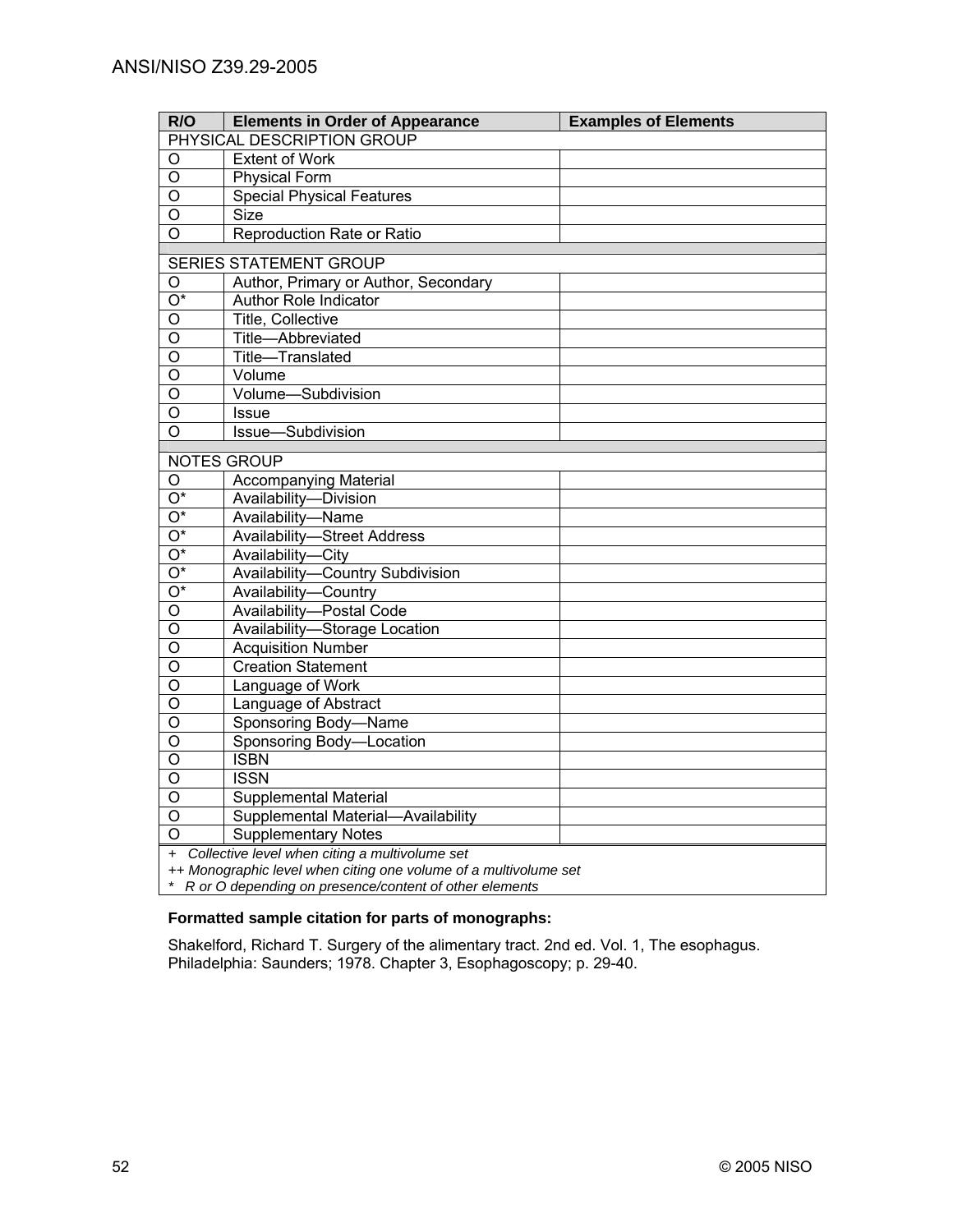| R/O                        | <b>Elements in Order of Appearance</b>                           | <b>Examples of Elements</b> |
|----------------------------|------------------------------------------------------------------|-----------------------------|
| PHYSICAL DESCRIPTION GROUP |                                                                  |                             |
| O                          | <b>Extent of Work</b>                                            |                             |
| $\circ$                    | <b>Physical Form</b>                                             |                             |
| O                          | <b>Special Physical Features</b>                                 |                             |
| $\overline{O}$             | <b>Size</b>                                                      |                             |
| $\overline{\circ}$         | Reproduction Rate or Ratio                                       |                             |
|                            |                                                                  |                             |
|                            | <b>SERIES STATEMENT GROUP</b>                                    |                             |
| O                          | Author, Primary or Author, Secondary                             |                             |
| $\overline{O^*}$           | <b>Author Role Indicator</b>                                     |                             |
| O                          | <b>Title, Collective</b>                                         |                             |
| $\overline{O}$             | Title-Abbreviated                                                |                             |
| $\overline{O}$             | Title-Translated                                                 |                             |
| O                          | Volume                                                           |                             |
| $\overline{O}$             | Volume-Subdivision                                               |                             |
| $\overline{O}$             | <b>Issue</b>                                                     |                             |
| $\overline{O}$             | Issue-Subdivision                                                |                             |
|                            | NOTES GROUP                                                      |                             |
| O                          | <b>Accompanying Material</b>                                     |                             |
| $O^*$                      | Availability-Division                                            |                             |
| $\overline{O^*}$           | Availability-Name                                                |                             |
| $\overline{O^*}$           | <b>Availability-Street Address</b>                               |                             |
| $\overline{O^*}$           | Availability-City                                                |                             |
| $O^*$                      | Availability-Country Subdivision                                 |                             |
| $\overline{O^*}$           | Availability-Country                                             |                             |
| $\overline{O}$             | Availability-Postal Code                                         |                             |
| $\overline{O}$             | Availability-Storage Location                                    |                             |
| O                          | <b>Acquisition Number</b>                                        |                             |
| $\overline{0}$             | <b>Creation Statement</b>                                        |                             |
| $\overline{\mathsf{o}}$    | Language of Work                                                 |                             |
| $\overline{O}$             | Language of Abstract                                             |                             |
| $\overline{O}$             | Sponsoring Body-Name                                             |                             |
| O                          | Sponsoring Body-Location                                         |                             |
| $\overline{0}$             | <b>ISBN</b>                                                      |                             |
| O                          | <b>ISSN</b>                                                      |                             |
| $\overline{0}$             | <b>Supplemental Material</b>                                     |                             |
| $\circ$                    | Supplemental Material-Availability                               |                             |
| $\overline{O}$             | <b>Supplementary Notes</b>                                       |                             |
|                            | + Collective level when citing a multivolume set                 |                             |
|                            | ++ Monographic level when citing one volume of a multivolume set |                             |
|                            | R or O depending on presence/content of other elements           |                             |

## **Formatted sample citation for parts of monographs:**

Shakelford, Richard T. Surgery of the alimentary tract. 2nd ed. Vol. 1, The esophagus. Philadelphia: Saunders; 1978. Chapter 3, Esophagoscopy; p. 29-40.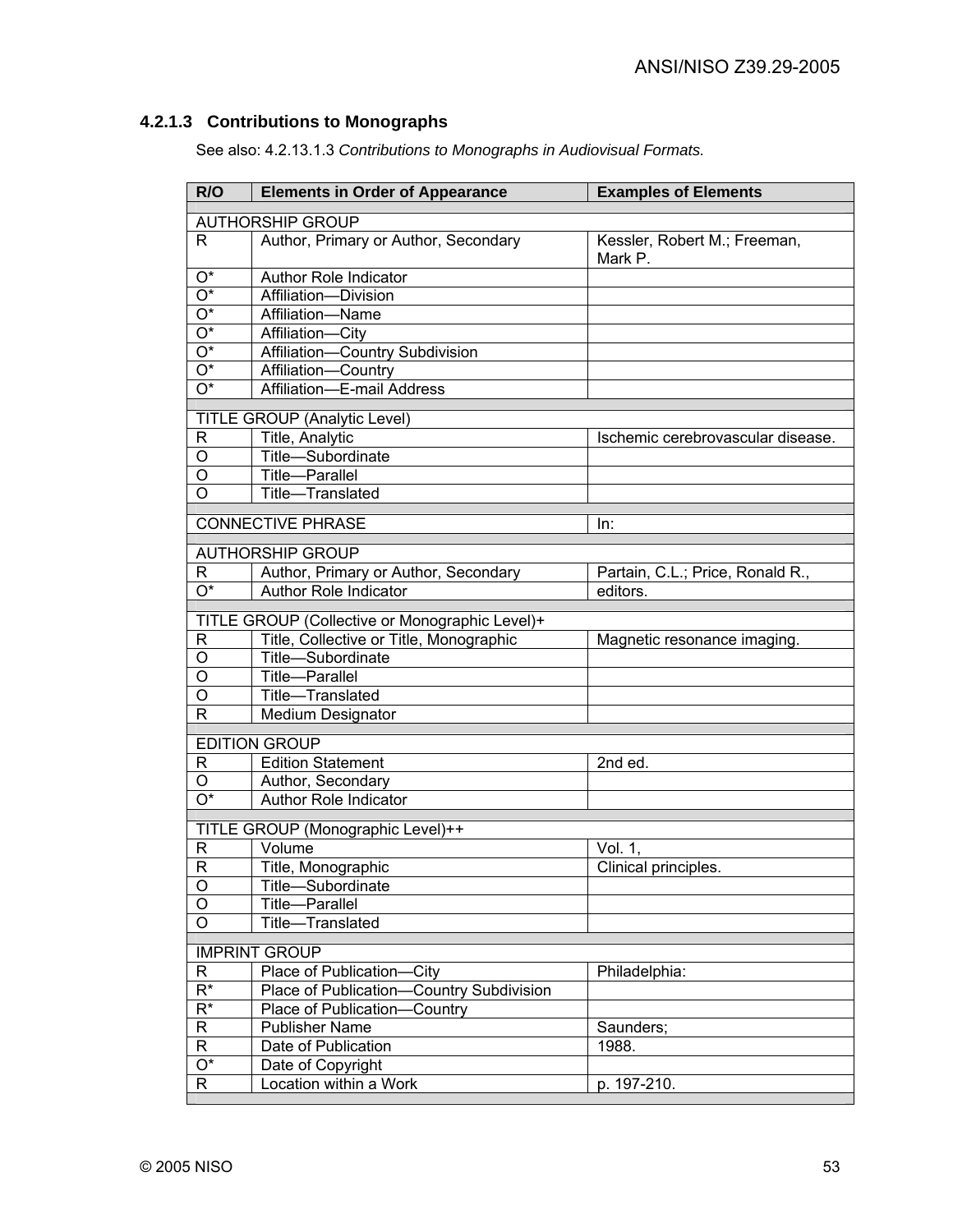# **4.2.1.3 Contributions to Monographs**

See also: 4.2.13.1.3 *Contributions to Monographs in Audiovisual Formats.*

| R/O                   | <b>Elements in Order of Appearance</b>                               | <b>Examples of Elements</b>                  |
|-----------------------|----------------------------------------------------------------------|----------------------------------------------|
|                       | <b>AUTHORSHIP GROUP</b>                                              |                                              |
| R.                    | Author, Primary or Author, Secondary                                 | Kessler, Robert M.; Freeman,<br>Mark P.      |
| $O^*$                 | Author Role Indicator                                                |                                              |
| $\overline{O^*}$      | Affiliation-Division                                                 |                                              |
| $\overline{O^*}$      | Affiliation-Name                                                     |                                              |
| $\overline{O^*}$      | Affiliation-City                                                     |                                              |
| $\overline{O^*}$      | Affiliation-Country Subdivision                                      |                                              |
| $\overline{O^*}$      | Affiliation-Country                                                  |                                              |
| $\overline{O^*}$      | Affiliation-E-mail Address                                           |                                              |
|                       | <b>TITLE GROUP (Analytic Level)</b>                                  |                                              |
| R                     | Title, Analytic                                                      | Ischemic cerebrovascular disease.            |
| O                     | Title-Subordinate                                                    |                                              |
| O                     | Title-Parallel                                                       |                                              |
| $\overline{O}$        | Title-Translated                                                     |                                              |
|                       | <b>CONNECTIVE PHRASE</b>                                             | In:                                          |
|                       |                                                                      |                                              |
|                       | <b>AUTHORSHIP GROUP</b>                                              |                                              |
| R<br>$\overline{O^*}$ | Author, Primary or Author, Secondary<br><b>Author Role Indicator</b> | Partain, C.L.; Price, Ronald R.,<br>editors. |
|                       |                                                                      |                                              |
|                       | TITLE GROUP (Collective or Monographic Level)+                       |                                              |
| R                     | Title, Collective or Title, Monographic                              | Magnetic resonance imaging.                  |
| O                     | Title-Subordinate                                                    |                                              |
| O                     | Title-Parallel                                                       |                                              |
| O                     | Title-Translated                                                     |                                              |
| R                     | <b>Medium Designator</b>                                             |                                              |
|                       | <b>EDITION GROUP</b>                                                 |                                              |
| R                     | <b>Edition Statement</b>                                             | 2nd ed.                                      |
| O                     | Author, Secondary                                                    |                                              |
| O*                    | <b>Author Role Indicator</b>                                         |                                              |
|                       | TITLE GROUP (Monographic Level)++                                    |                                              |
| R                     | Volume                                                               | Vol. 1,                                      |
| $\mathsf{R}$          | Title, Monographic                                                   | Clinical principles.                         |
| O                     | Title-Subordinate                                                    |                                              |
| O                     | Title-<br>Parallel                                                   |                                              |
| $\circ$               | Title-Translated                                                     |                                              |
|                       |                                                                      |                                              |
|                       | <b>IMPRINT GROUP</b><br>Place of Publication-<br>-City               | Philadelphia:                                |
| R<br>$\overline{R^*}$ | Country Subdivision<br>Place of Publication-                         |                                              |
| $\overline{R^*}$      | Place of Publication-<br>Country                                     |                                              |
| $\mathsf{R}$          | <b>Publisher Name</b>                                                | Saunders;                                    |
| R                     | Date of Publication                                                  | 1988.                                        |
| $\overline{O^*}$      | Date of Copyright                                                    |                                              |
| R                     | Location within a Work                                               | p. 197-210.                                  |
|                       |                                                                      |                                              |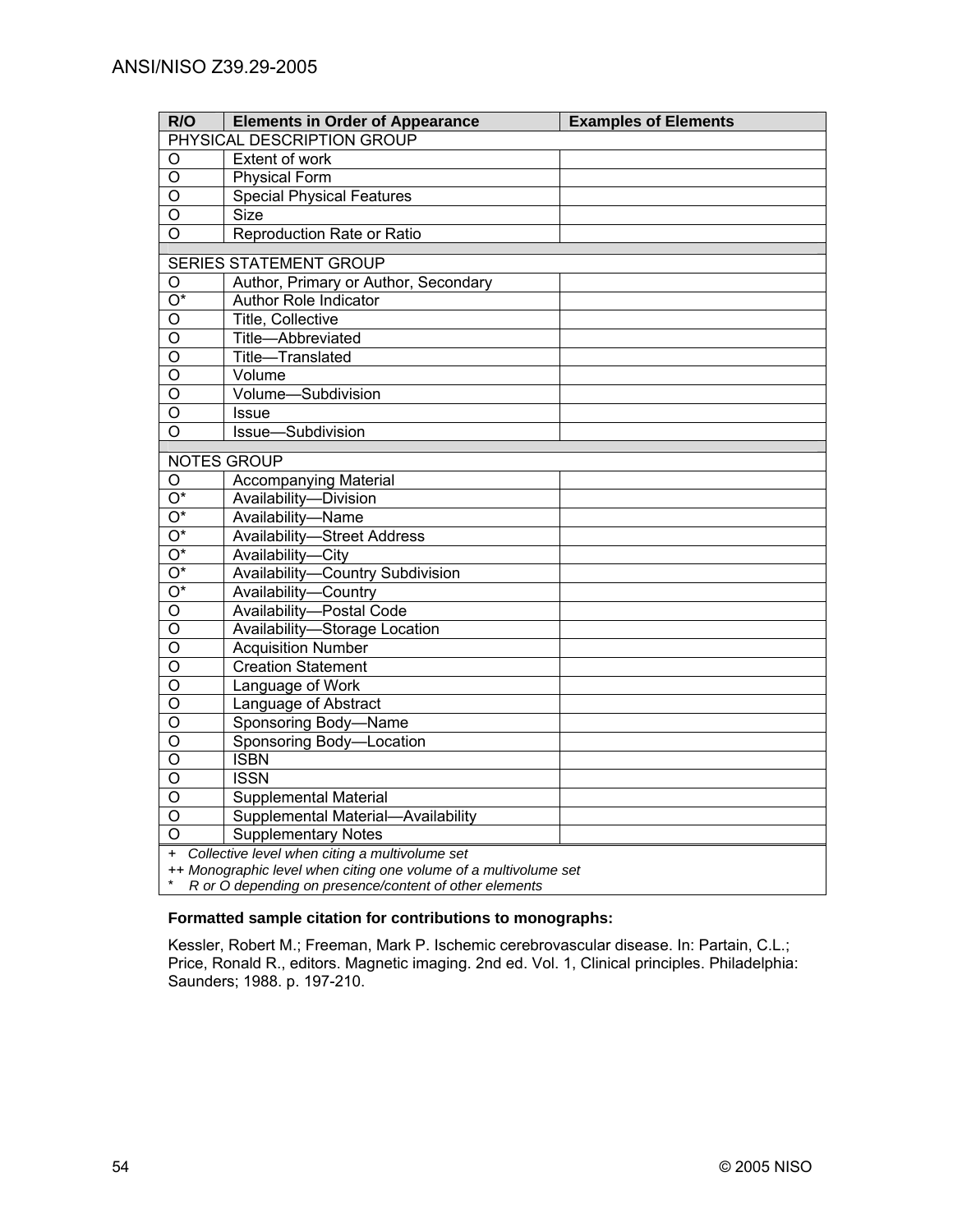| R/O                | <b>Elements in Order of Appearance</b>                           | <b>Examples of Elements</b> |  |
|--------------------|------------------------------------------------------------------|-----------------------------|--|
|                    | PHYSICAL DESCRIPTION GROUP                                       |                             |  |
| O                  | <b>Extent of work</b>                                            |                             |  |
| $\circ$            | <b>Physical Form</b>                                             |                             |  |
| O                  | <b>Special Physical Features</b>                                 |                             |  |
| $\overline{O}$     | <b>Size</b>                                                      |                             |  |
| $\overline{\circ}$ | Reproduction Rate or Ratio                                       |                             |  |
|                    |                                                                  |                             |  |
|                    | <b>SERIES STATEMENT GROUP</b>                                    |                             |  |
| O                  | Author, Primary or Author, Secondary                             |                             |  |
| $\overline{O^*}$   | <b>Author Role Indicator</b>                                     |                             |  |
| $\circ$            | <b>Title, Collective</b>                                         |                             |  |
| $\overline{O}$     | Title-Abbreviated                                                |                             |  |
| $\overline{O}$     | Title-Translated                                                 |                             |  |
| O                  | Volume                                                           |                             |  |
| $\overline{O}$     | Volume-Subdivision                                               |                             |  |
| $\overline{O}$     | <b>Issue</b>                                                     |                             |  |
| $\overline{O}$     | Issue-Subdivision                                                |                             |  |
|                    | NOTES GROUP                                                      |                             |  |
| O                  | <b>Accompanying Material</b>                                     |                             |  |
| $O^*$              | Availability-Division                                            |                             |  |
| $\overline{O^*}$   | Availability-Name                                                |                             |  |
| $\overline{O^*}$   | <b>Availability-Street Address</b>                               |                             |  |
| $\overline{O^*}$   | Availability-City                                                |                             |  |
| $O^*$              | Availability-Country Subdivision                                 |                             |  |
| $\overline{O^*}$   | Availability-Country                                             |                             |  |
| $\overline{O}$     | Availability-Postal Code                                         |                             |  |
| $\overline{O}$     | Availability-Storage Location                                    |                             |  |
| O                  | <b>Acquisition Number</b>                                        |                             |  |
| $\overline{0}$     | <b>Creation Statement</b>                                        |                             |  |
| $\overline{0}$     | Language of Work                                                 |                             |  |
| $\overline{O}$     | Language of Abstract                                             |                             |  |
| $\overline{O}$     | Sponsoring Body-Name                                             |                             |  |
| O                  | Sponsoring Body-Location                                         |                             |  |
| $\overline{0}$     | <b>ISBN</b>                                                      |                             |  |
| O                  | <b>ISSN</b>                                                      |                             |  |
| $\overline{0}$     | <b>Supplemental Material</b>                                     |                             |  |
| $\circ$            | Supplemental Material-Availability                               |                             |  |
| $\Omega$           | <b>Supplementary Notes</b>                                       |                             |  |
|                    | + Collective level when citing a multivolume set                 |                             |  |
|                    | ++ Monographic level when citing one volume of a multivolume set |                             |  |
|                    | R or O depending on presence/content of other elements           |                             |  |

#### **Formatted sample citation for contributions to monographs:**

Kessler, Robert M.; Freeman, Mark P. Ischemic cerebrovascular disease. In: Partain, C.L.; Price, Ronald R., editors. Magnetic imaging. 2nd ed. Vol. 1, Clinical principles. Philadelphia: Saunders; 1988. p. 197-210.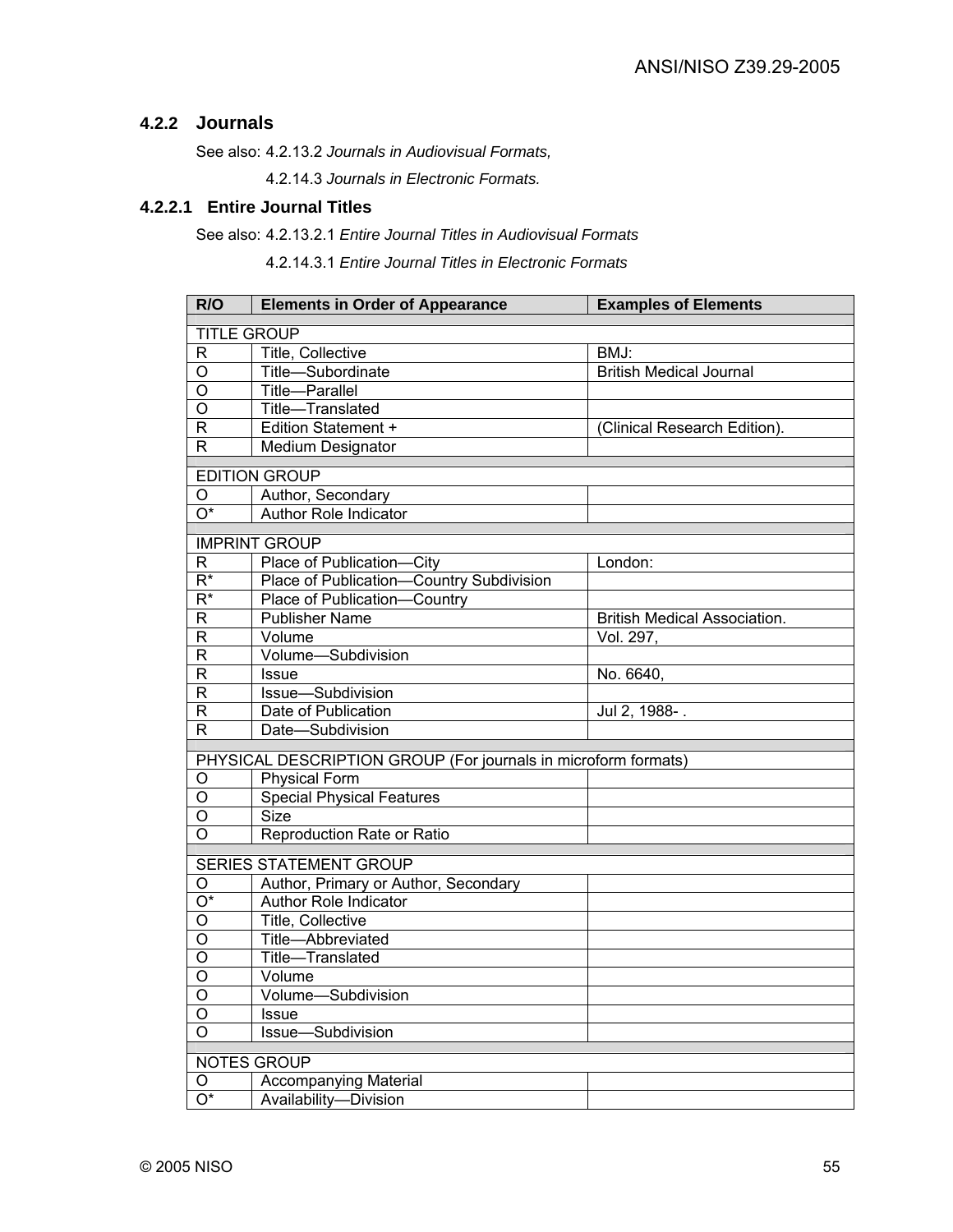## **4.2.2 Journals**

See also: 4.2.13.2 *Journals in Audiovisual Formats,*

4.2.14.3 *Journals in Electronic Formats.* 

## **4.2.2.1 Entire Journal Titles**

## See also: 4.2.13.2.1 *Entire Journal Titles in Audiovisual Formats*

4.2.14.3.1 *Entire Journal Titles in Electronic Formats*

| R/O                | <b>Elements in Order of Appearance</b>                         | <b>Examples of Elements</b>         |
|--------------------|----------------------------------------------------------------|-------------------------------------|
| <b>TITLE GROUP</b> |                                                                |                                     |
| R                  | Title, Collective                                              | BMJ:                                |
| O                  | Title-Subordinate                                              | <b>British Medical Journal</b>      |
| O                  | Title-Parallel                                                 |                                     |
| $\overline{O}$     | Title-Translated                                               |                                     |
| $\mathsf{R}$       | <b>Edition Statement +</b>                                     | (Clinical Research Edition).        |
| R                  | Medium Designator                                              |                                     |
|                    | <b>EDITION GROUP</b>                                           |                                     |
| O                  | Author, Secondary                                              |                                     |
| $\overline{O^*}$   | <b>Author Role Indicator</b>                                   |                                     |
|                    |                                                                |                                     |
|                    | <b>IMPRINT GROUP</b>                                           |                                     |
| R                  | Place of Publication-City                                      | London:                             |
| $\overline{R^*}$   | Place of Publication-Country Subdivision                       |                                     |
| $\overline{R^*}$   | Place of Publication-Country                                   |                                     |
| $\mathsf R$        | <b>Publisher Name</b>                                          | <b>British Medical Association.</b> |
| $\mathsf R$        | Volume                                                         | Vol. 297,                           |
| R                  | Volume-Subdivision                                             |                                     |
| $\mathsf{R}$       | <b>Issue</b>                                                   | No. 6640,                           |
| $\mathsf{R}$       | Issue-Subdivision                                              |                                     |
| R                  | Date of Publication                                            | Jul 2, 1988-.                       |
| R                  | Date-Subdivision                                               |                                     |
|                    | PHYSICAL DESCRIPTION GROUP (For journals in microform formats) |                                     |
| O                  | <b>Physical Form</b>                                           |                                     |
| O                  | <b>Special Physical Features</b>                               |                                     |
| O                  | <b>Size</b>                                                    |                                     |
| O                  | Reproduction Rate or Ratio                                     |                                     |
|                    | <b>SERIES STATEMENT GROUP</b>                                  |                                     |
|                    |                                                                |                                     |
| O<br>O*            | Author, Primary or Author, Secondary<br>Author Role Indicator  |                                     |
| $\overline{O}$     |                                                                |                                     |
| O                  | Title, Collective                                              |                                     |
| O                  | Title-Abbreviated                                              |                                     |
| O                  | Title-Translated                                               |                                     |
|                    | Volume                                                         |                                     |
| Ő<br>$\circ$       | Volume-Subdivision                                             |                                     |
|                    | Issue                                                          |                                     |
| $\circ$            | Issue-Subdivision                                              |                                     |
|                    | <b>NOTES GROUP</b>                                             |                                     |
| O                  | <b>Accompanying Material</b>                                   |                                     |
| O*                 | Availability-Division                                          |                                     |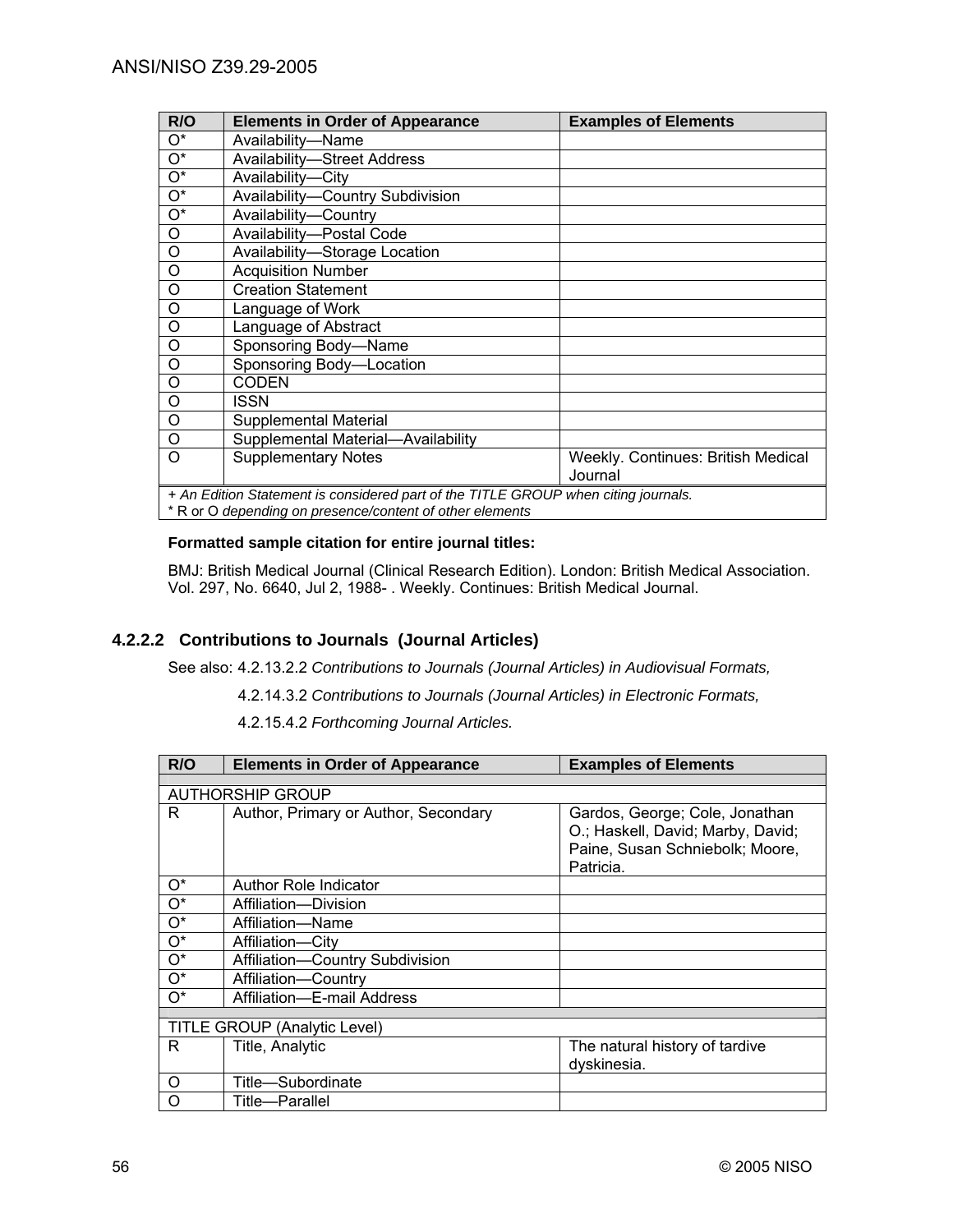| R/O                                                                                | <b>Elements in Order of Appearance</b> | <b>Examples of Elements</b>                          |
|------------------------------------------------------------------------------------|----------------------------------------|------------------------------------------------------|
| O*                                                                                 | Availability-Name                      |                                                      |
| $O^*$                                                                              | <b>Availability-Street Address</b>     |                                                      |
| $\overline{O^*}$                                                                   | Availability-City                      |                                                      |
| $O^*$                                                                              | Availability-Country Subdivision       |                                                      |
| $\overline{\mathrm{O}^*}$                                                          | Availability-Country                   |                                                      |
| O                                                                                  | Availability-Postal Code               |                                                      |
| O                                                                                  | Availability-Storage Location          |                                                      |
| O                                                                                  | <b>Acquisition Number</b>              |                                                      |
| O                                                                                  | <b>Creation Statement</b>              |                                                      |
| $\overline{O}$                                                                     | Language of Work                       |                                                      |
| O                                                                                  | Language of Abstract                   |                                                      |
| O                                                                                  | Sponsoring Body-Name                   |                                                      |
| O                                                                                  | Sponsoring Body-Location               |                                                      |
| O                                                                                  | <b>CODEN</b>                           |                                                      |
| $\circ$                                                                            | ISSN                                   |                                                      |
| $\circ$                                                                            | Supplemental Material                  |                                                      |
| O                                                                                  | Supplemental Material-Availability     |                                                      |
| Ω                                                                                  | <b>Supplementary Notes</b>             | <b>Weekly. Continues: British Medical</b><br>Journal |
|                                                                                    |                                        |                                                      |
| + An Edition Statement is considered part of the TITLE GROUP when citing journals. |                                        |                                                      |
| * R or O depending on presence/content of other elements                           |                                        |                                                      |

#### **Formatted sample citation for entire journal titles:**

BMJ: British Medical Journal (Clinical Research Edition). London: British Medical Association. Vol. 297, No. 6640, Jul 2, 1988- . Weekly. Continues: British Medical Journal.

## **4.2.2.2 Contributions to Journals (Journal Articles)**

See also: 4.2.13.2.2 *Contributions to Journals (Journal Articles) in Audiovisual Formats,*

4.2.14.3.2 *Contributions to Journals (Journal Articles) in Electronic Formats,*

4.2.15.4.2 *Forthcoming Journal Articles.*

| R/O   | <b>Elements in Order of Appearance</b> | <b>Examples of Elements</b>                                                                                         |  |
|-------|----------------------------------------|---------------------------------------------------------------------------------------------------------------------|--|
|       |                                        |                                                                                                                     |  |
|       | <b>AUTHORSHIP GROUP</b>                |                                                                                                                     |  |
| R.    | Author, Primary or Author, Secondary   | Gardos, George; Cole, Jonathan<br>O.; Haskell, David; Marby, David;<br>Paine, Susan Schniebolk; Moore,<br>Patricia. |  |
| O*    | <b>Author Role Indicator</b>           |                                                                                                                     |  |
| $O^*$ | Affiliation-Division                   |                                                                                                                     |  |
| $O^*$ | Affiliation-Name                       |                                                                                                                     |  |
| $O^*$ | Affiliation-City                       |                                                                                                                     |  |
| $O^*$ | Affiliation-Country Subdivision        |                                                                                                                     |  |
| $O^*$ | Affiliation-Country                    |                                                                                                                     |  |
| O*    | Affiliation-E-mail Address             |                                                                                                                     |  |
|       |                                        |                                                                                                                     |  |
|       | TITLE GROUP (Analytic Level)           |                                                                                                                     |  |
| R     | Title, Analytic                        | The natural history of tardive                                                                                      |  |
|       |                                        | dyskinesia.                                                                                                         |  |
| Ω     | Title-Subordinate                      |                                                                                                                     |  |
|       | Title-Parallel                         |                                                                                                                     |  |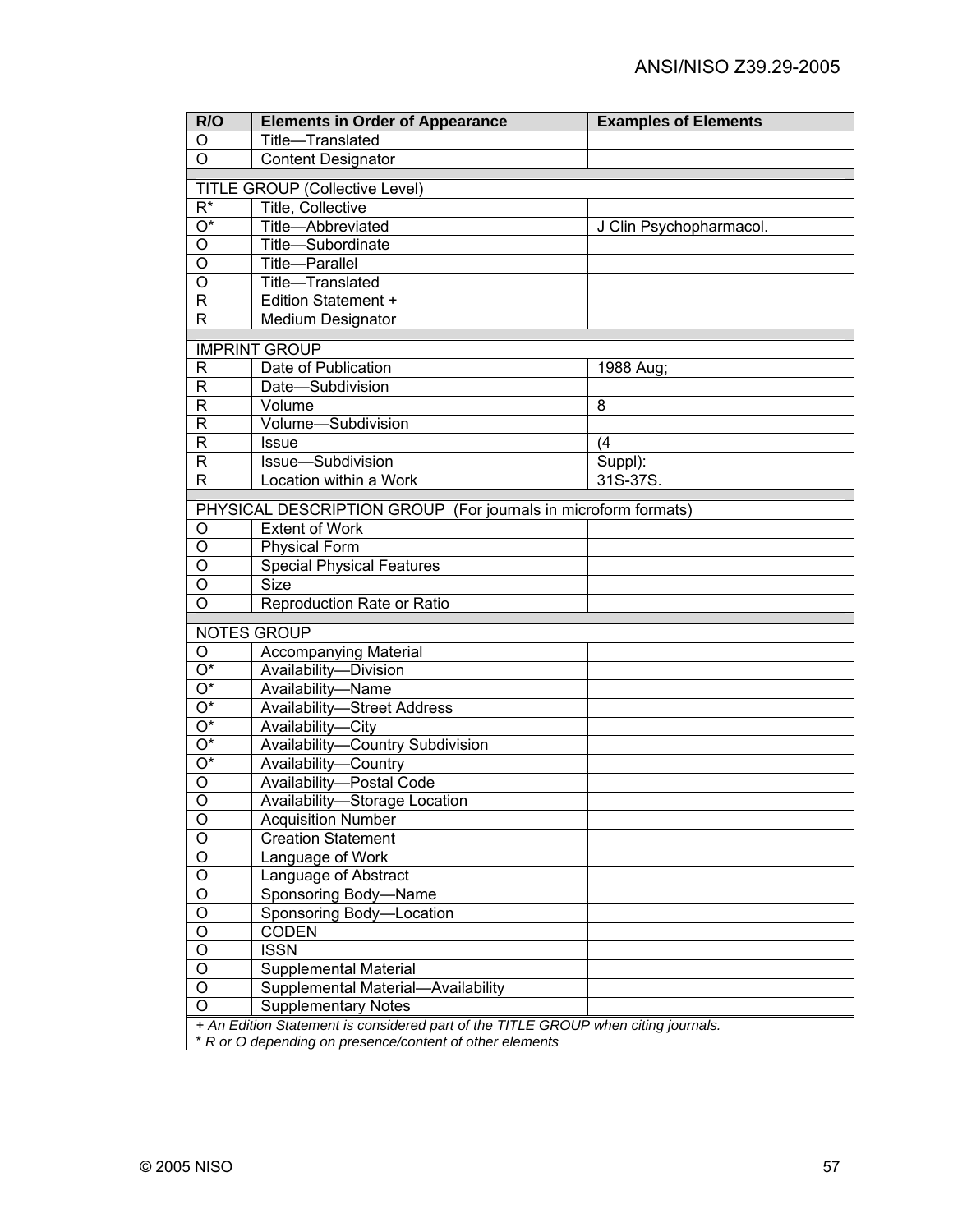| R/O                       | <b>Elements in Order of Appearance</b>                                                                                                         | <b>Examples of Elements</b> |  |
|---------------------------|------------------------------------------------------------------------------------------------------------------------------------------------|-----------------------------|--|
| O                         | Title-Translated                                                                                                                               |                             |  |
| $\overline{O}$            | <b>Content Designator</b>                                                                                                                      |                             |  |
|                           | <b>TITLE GROUP (Collective Level)</b>                                                                                                          |                             |  |
| $\overline{\mathsf{R}^*}$ | Title, Collective                                                                                                                              |                             |  |
| $\overline{O^*}$          | Title-Abbreviated                                                                                                                              | J Clin Psychopharmacol.     |  |
| $\overline{O}$            | Title-Subordinate                                                                                                                              |                             |  |
| $\overline{O}$            | Title-Parallel                                                                                                                                 |                             |  |
| $\overline{\mathsf{o}}$   | Title-Translated                                                                                                                               |                             |  |
| $\overline{\mathsf{R}}$   | Edition Statement +                                                                                                                            |                             |  |
| $\overline{\mathsf{R}}$   | Medium Designator                                                                                                                              |                             |  |
|                           |                                                                                                                                                |                             |  |
|                           | <b>IMPRINT GROUP</b>                                                                                                                           |                             |  |
| $\mathsf{R}$              | Date of Publication                                                                                                                            | 1988 Aug;                   |  |
| $\mathsf{R}$              | Date-Subdivision                                                                                                                               |                             |  |
| $\mathsf{R}$              | Volume                                                                                                                                         | 8                           |  |
| $\mathsf{R}$              | Volume-Subdivision                                                                                                                             |                             |  |
| $\mathsf{R}$              | <b>Issue</b>                                                                                                                                   | (4)                         |  |
| $\mathsf{R}$              | Issue-Subdivision                                                                                                                              | Suppl):                     |  |
| $\mathsf{R}$              | Location within a Work                                                                                                                         | 31S-37S.                    |  |
|                           | PHYSICAL DESCRIPTION GROUP (For journals in microform formats)                                                                                 |                             |  |
| O                         | Extent of Work                                                                                                                                 |                             |  |
| O                         | <b>Physical Form</b>                                                                                                                           |                             |  |
| O                         | <b>Special Physical Features</b>                                                                                                               |                             |  |
| O                         | <b>Size</b>                                                                                                                                    |                             |  |
| O                         | Reproduction Rate or Ratio                                                                                                                     |                             |  |
|                           |                                                                                                                                                |                             |  |
|                           | <b>NOTES GROUP</b>                                                                                                                             |                             |  |
| O                         | <b>Accompanying Material</b>                                                                                                                   |                             |  |
| $\overline{O^*}$          | Availability-Division                                                                                                                          |                             |  |
| $\overline{O^*}$          | Availability-Name                                                                                                                              |                             |  |
| $\overline{O^*}$          | <b>Availability-Street Address</b>                                                                                                             |                             |  |
| $\overline{O^*}$          | Availability-City                                                                                                                              |                             |  |
| $\overline{O^*}$          | Availability-Country Subdivision                                                                                                               |                             |  |
| $\overline{O^*}$          | Availability-Country                                                                                                                           |                             |  |
| $\overline{O}$            | Availability-Postal Code                                                                                                                       |                             |  |
| $\overline{O}$            | Availability-Storage Location                                                                                                                  |                             |  |
| O                         | <b>Acquisition Number</b>                                                                                                                      |                             |  |
| $\circ$                   | <b>Creation Statement</b>                                                                                                                      |                             |  |
| $\overline{O}$            | Language of Work                                                                                                                               |                             |  |
| $\overline{O}$            | Language of Abstract                                                                                                                           |                             |  |
| $\overline{O}$            | Sponsoring Body-Name                                                                                                                           |                             |  |
| $\overline{O}$            | Sponsoring Body-Location                                                                                                                       |                             |  |
| $\overline{O}$            | <b>CODEN</b>                                                                                                                                   |                             |  |
| $\overline{O}$            | <b>ISSN</b>                                                                                                                                    |                             |  |
| $\overline{O}$            | Supplemental Material                                                                                                                          |                             |  |
| $\overline{O}$            | Supplemental Material-Availability                                                                                                             |                             |  |
| O                         | <b>Supplementary Notes</b>                                                                                                                     |                             |  |
|                           | + An Edition Statement is considered part of the TITLE GROUP when citing journals.<br>* R or O depending on presence/content of other elements |                             |  |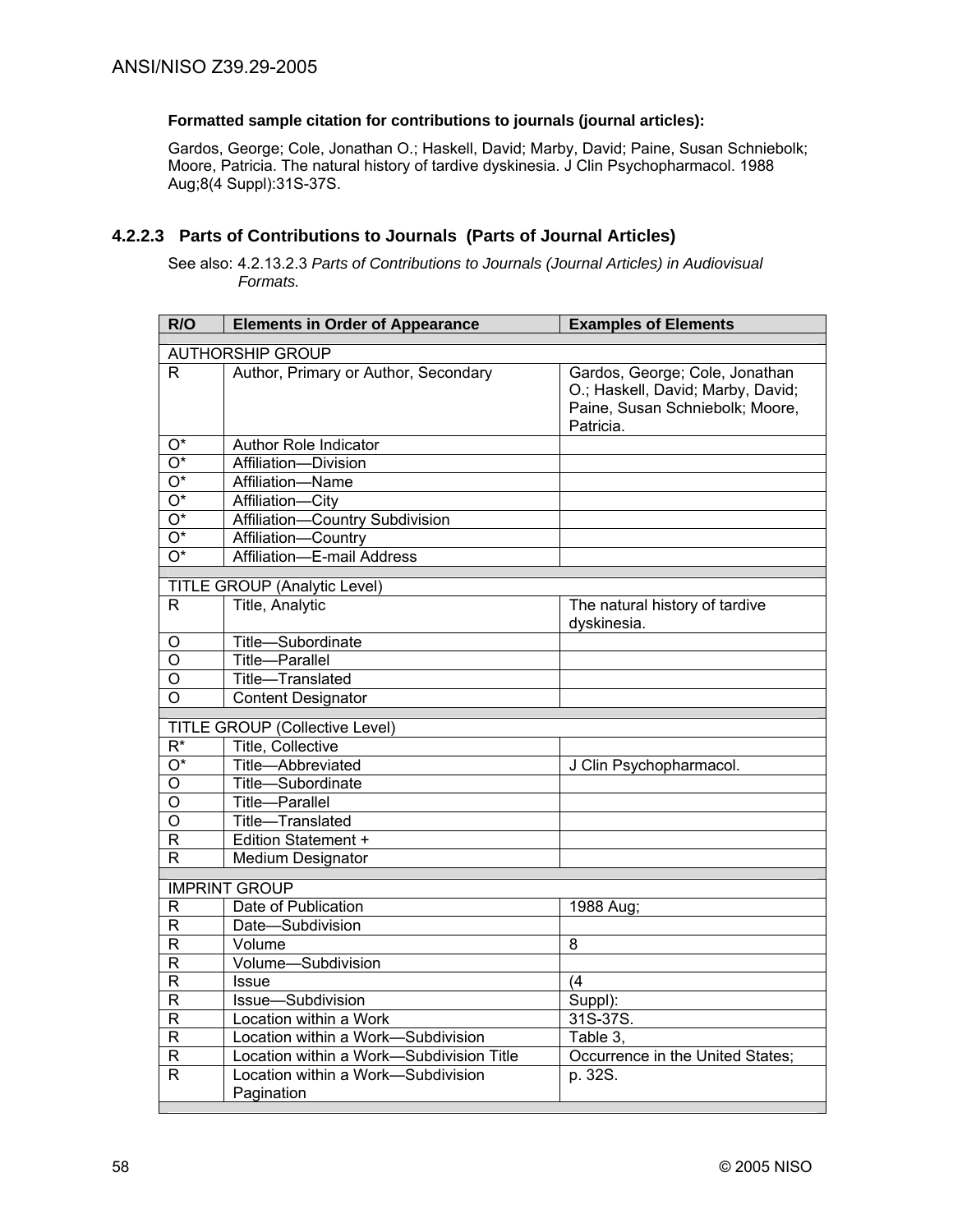### **Formatted sample citation for contributions to journals (journal articles):**

Gardos, George; Cole, Jonathan O.; Haskell, David; Marby, David; Paine, Susan Schniebolk; Moore, Patricia. The natural history of tardive dyskinesia. J Clin Psychopharmacol. 1988 Aug;8(4 Suppl):31S-37S.

## **4.2.2.3 Parts of Contributions to Journals (Parts of Journal Articles)**

See also: 4.2.13.2.3 *Parts of Contributions to Journals (Journal Articles) in Audiovisual Formats.*

| R/O                       | <b>Elements in Order of Appearance</b>           | <b>Examples of Elements</b>                                                                                         |
|---------------------------|--------------------------------------------------|---------------------------------------------------------------------------------------------------------------------|
|                           | <b>AUTHORSHIP GROUP</b>                          |                                                                                                                     |
| R                         | Author, Primary or Author, Secondary             | Gardos, George; Cole, Jonathan<br>O.; Haskell, David; Marby, David;<br>Paine, Susan Schniebolk; Moore,<br>Patricia. |
| $O^*$                     | <b>Author Role Indicator</b>                     |                                                                                                                     |
| $\overline{\mathrm{O}^*}$ | Affiliation-Division                             |                                                                                                                     |
| $\overline{O^*}$          | Affiliation-Name                                 |                                                                                                                     |
| $\overline{\mathrm{O}^*}$ | Affiliation-City                                 |                                                                                                                     |
| $\overline{O^*}$          | Affiliation-Country Subdivision                  |                                                                                                                     |
| $\overline{\mathrm{O}^*}$ | Affiliation-Country                              |                                                                                                                     |
| $\overline{O^*}$          | Affiliation-E-mail Address                       |                                                                                                                     |
|                           | TITLE GROUP (Analytic Level)                     |                                                                                                                     |
| $\mathsf{R}$              | Title, Analytic                                  | The natural history of tardive<br>dyskinesia.                                                                       |
| O                         | Title-Subordinate                                |                                                                                                                     |
| $\overline{\rm o}$        | <b>Title-Parallel</b>                            |                                                                                                                     |
| O                         | Title-Translated                                 |                                                                                                                     |
| O                         | <b>Content Designator</b>                        |                                                                                                                     |
|                           | <b>TITLE GROUP (Collective Level)</b>            |                                                                                                                     |
| $\overline{\mathsf{R}^*}$ | Title, Collective                                |                                                                                                                     |
| $\overline{O^*}$          | Title-Abbreviated                                | J Clin Psychopharmacol.                                                                                             |
| O                         | Title-Subordinate                                |                                                                                                                     |
| O                         | <b>Title-Parallel</b>                            |                                                                                                                     |
| $\overline{\rm o}$        | Title-Translated                                 |                                                                                                                     |
| R                         | <b>Edition Statement +</b>                       |                                                                                                                     |
| R                         | Medium Designator                                |                                                                                                                     |
|                           | <b>IMPRINT GROUP</b>                             |                                                                                                                     |
| $\overline{R}$            | Date of Publication                              | 1988 Aug;                                                                                                           |
| R                         | Date-Subdivision                                 |                                                                                                                     |
| R                         | Volume                                           | 8                                                                                                                   |
| R                         | Volume-Subdivision                               |                                                                                                                     |
| $\overline{\mathsf{R}}$   | <b>Issue</b>                                     | (4)                                                                                                                 |
| R                         | Issue-Subdivision                                | Suppl):                                                                                                             |
| R                         | Location within a Work                           | 31S-37S.                                                                                                            |
| R                         | Location within a Work-Subdivision               | Table 3.                                                                                                            |
| $\overline{\mathsf{R}}$   | Location within a Work-Subdivision Title         | Occurrence in the United States;                                                                                    |
| R                         | Location within a Work-Subdivision<br>Pagination | p. 32S.                                                                                                             |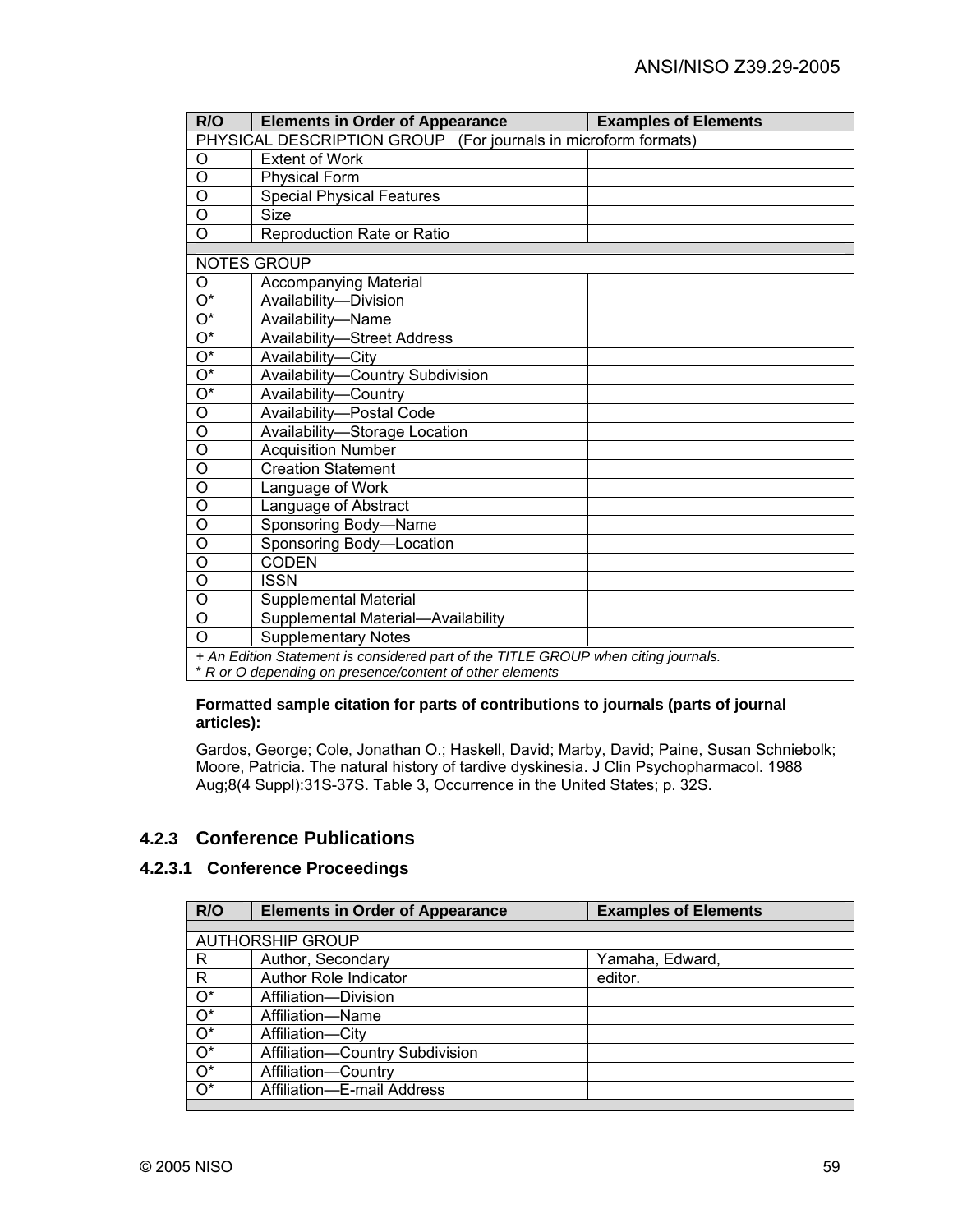| R/O                                                                                | <b>Elements in Order of Appearance</b> | <b>Examples of Elements</b> |
|------------------------------------------------------------------------------------|----------------------------------------|-----------------------------|
| PHYSICAL DESCRIPTION GROUP (For journals in microform formats)                     |                                        |                             |
| O                                                                                  | <b>Extent of Work</b>                  |                             |
| O                                                                                  | <b>Physical Form</b>                   |                             |
| O                                                                                  | <b>Special Physical Features</b>       |                             |
| $\circ$                                                                            | <b>Size</b>                            |                             |
| O                                                                                  | Reproduction Rate or Ratio             |                             |
|                                                                                    | <b>NOTES GROUP</b>                     |                             |
| O                                                                                  | <b>Accompanying Material</b>           |                             |
| $\overline{\mathrm{O}^*}$                                                          | Availability-Division                  |                             |
| $\overline{O^*}$                                                                   | Availability-Name                      |                             |
| $\mathrm{O}^\star$                                                                 | <b>Availability-Street Address</b>     |                             |
| $\overline{O^*}$                                                                   | Availability-City                      |                             |
| $\overline{O^*}$                                                                   | Availability-Country Subdivision       |                             |
| $\overline{O^*}$                                                                   | Availability-Country                   |                             |
| $\overline{0}$                                                                     | Availability-Postal Code               |                             |
| $\circ$                                                                            | Availability-Storage Location          |                             |
| $\overline{\mathsf{o}}$                                                            | <b>Acquisition Number</b>              |                             |
| $\overline{0}$                                                                     | <b>Creation Statement</b>              |                             |
| $\overline{0}$                                                                     | Language of Work                       |                             |
| O                                                                                  | Language of Abstract                   |                             |
| O                                                                                  | Sponsoring Body-Name                   |                             |
| $\circ$                                                                            | Sponsoring Body-Location               |                             |
| O                                                                                  | <b>CODEN</b>                           |                             |
| O                                                                                  | <b>ISSN</b>                            |                             |
| $\circ$                                                                            | Supplemental Material                  |                             |
| $\circ$                                                                            | Supplemental Material-Availability     |                             |
| $\overline{0}$                                                                     | <b>Supplementary Notes</b>             |                             |
|                                                                                    |                                        |                             |
| + An Edition Statement is considered part of the TITLE GROUP when citing journals. |                                        |                             |

\* *R or O depending on presence/content of other elements* 

#### **Formatted sample citation for parts of contributions to journals (parts of journal articles):**

Gardos, George; Cole, Jonathan O.; Haskell, David; Marby, David; Paine, Susan Schniebolk; Moore, Patricia. The natural history of tardive dyskinesia. J Clin Psychopharmacol. 1988 Aug;8(4 Suppl):31S-37S. Table 3, Occurrence in the United States; p. 32S.

## **4.2.3 Conference Publications**

## **4.2.3.1 Conference Proceedings**

| R/O              | <b>Elements in Order of Appearance</b> | <b>Examples of Elements</b> |
|------------------|----------------------------------------|-----------------------------|
|                  |                                        |                             |
|                  | <b>AUTHORSHIP GROUP</b>                |                             |
| R                | Author, Secondary                      | Yamaha, Edward,             |
| R                | Author Role Indicator                  | editor.                     |
| $O^*$            | Affiliation-Division                   |                             |
| $\overline{O^*}$ | Affiliation-Name                       |                             |
| $\overline{O^*}$ | Affiliation-City                       |                             |
| $\overline{O^*}$ | Affiliation-Country Subdivision        |                             |
|                  | Affiliation-Country                    |                             |
| $O^*$            | Affiliation-E-mail Address             |                             |
| $\overline{O^*}$ |                                        |                             |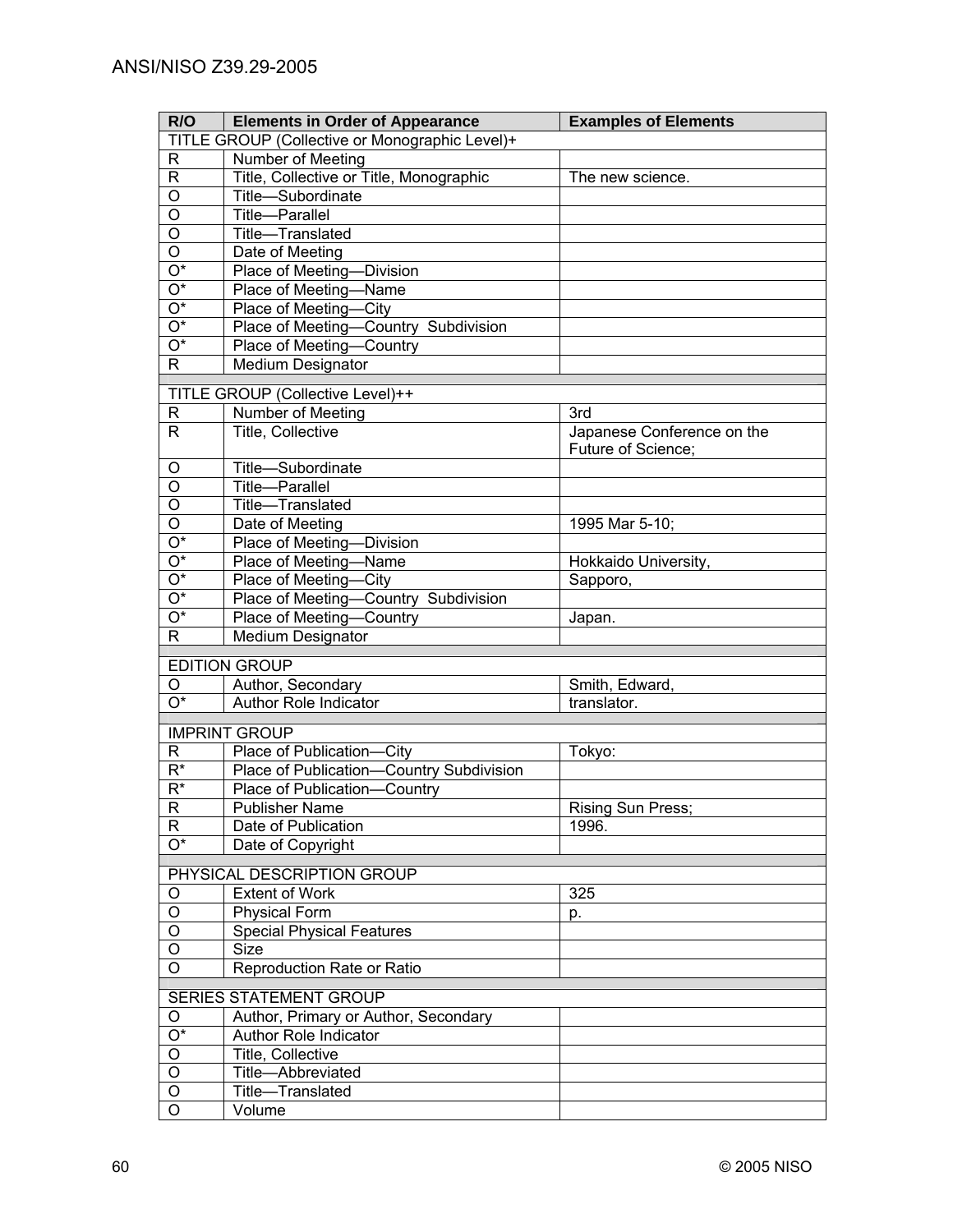| R/O                                            | <b>Elements in Order of Appearance</b>   | <b>Examples of Elements</b> |  |
|------------------------------------------------|------------------------------------------|-----------------------------|--|
| TITLE GROUP (Collective or Monographic Level)+ |                                          |                             |  |
| $\mathsf{R}$                                   | Number of Meeting                        |                             |  |
| $\mathsf R$                                    | Title, Collective or Title, Monographic  | The new science.            |  |
| $\overline{O}$                                 | Title-Subordinate                        |                             |  |
| $\overline{0}$                                 | <b>Title-Parallel</b>                    |                             |  |
| $\overline{\mathsf{o}}$                        | Title-Translated                         |                             |  |
| $\overline{O}$                                 | Date of Meeting                          |                             |  |
| $\overline{O^*}$                               | Place of Meeting-Division                |                             |  |
| $\overline{O^*}$                               | Place of Meeting-Name                    |                             |  |
| $\overline{O^*}$                               | Place of Meeting-City                    |                             |  |
| $\overline{O^*}$                               | Place of Meeting-Country Subdivision     |                             |  |
| $\overline{O^*}$                               | Place of Meeting-Country                 |                             |  |
| $\overline{R}$                                 | Medium Designator                        |                             |  |
|                                                | TITLE GROUP (Collective Level)++         |                             |  |
| R                                              | Number of Meeting                        | 3rd                         |  |
| R                                              | Title, Collective                        | Japanese Conference on the  |  |
|                                                |                                          | Future of Science;          |  |
| O                                              | Title-Subordinate                        |                             |  |
| O                                              | <b>Title-Parallel</b>                    |                             |  |
| O                                              | Title-Translated                         |                             |  |
| O                                              | Date of Meeting                          | 1995 Mar 5-10;              |  |
| $O^*$                                          | Place of Meeting-Division                |                             |  |
| $O^*$                                          | Place of Meeting-Name                    | Hokkaido University,        |  |
| $O^*$                                          | Place of Meeting-City                    | Sapporo,                    |  |
| $O^*$                                          | Place of Meeting-Country Subdivision     |                             |  |
| $O^*$                                          | Place of Meeting-Country                 | Japan.                      |  |
| R                                              | <b>Medium Designator</b>                 |                             |  |
|                                                | <b>EDITION GROUP</b>                     |                             |  |
| O                                              | Author, Secondary                        | Smith, Edward,              |  |
| $\overline{O^*}$                               | Author Role Indicator                    | translator.                 |  |
|                                                |                                          |                             |  |
|                                                | <b>IMPRINT GROUP</b>                     |                             |  |
| $\mathsf R$                                    | Place of Publication-City                | Tokyo:                      |  |
| $\overline{R^*}$                               | Place of Publication-Country Subdivision |                             |  |
| $\overline{R^*}$                               | Place of Publication-<br>-Country        |                             |  |
| $\overline{R}$                                 | <b>Publisher Name</b>                    | Rising Sun Press;           |  |
| $\mathsf{R}$<br>$\overline{O^*}$               | Date of Publication                      | 1996.                       |  |
|                                                | Date of Copyright                        |                             |  |
|                                                | PHYSICAL DESCRIPTION GROUP               |                             |  |
| O                                              | <b>Extent of Work</b>                    | 325                         |  |
| O                                              | <b>Physical Form</b>                     | p.                          |  |
| O                                              | <b>Special Physical Features</b>         |                             |  |
| O                                              | <b>Size</b>                              |                             |  |
| O                                              | Reproduction Rate or Ratio               |                             |  |
|                                                | <b>SERIES STATEMENT GROUP</b>            |                             |  |
| O                                              | Author, Primary or Author, Secondary     |                             |  |
| $\overline{O^*}$                               | Author Role Indicator                    |                             |  |
| $\overline{O}$                                 | Title, Collective                        |                             |  |
| $\overline{0}$                                 | Title-Abbreviated                        |                             |  |
| $\overline{O}$                                 | Title-Translated                         |                             |  |
| $\overline{O}$                                 | Volume                                   |                             |  |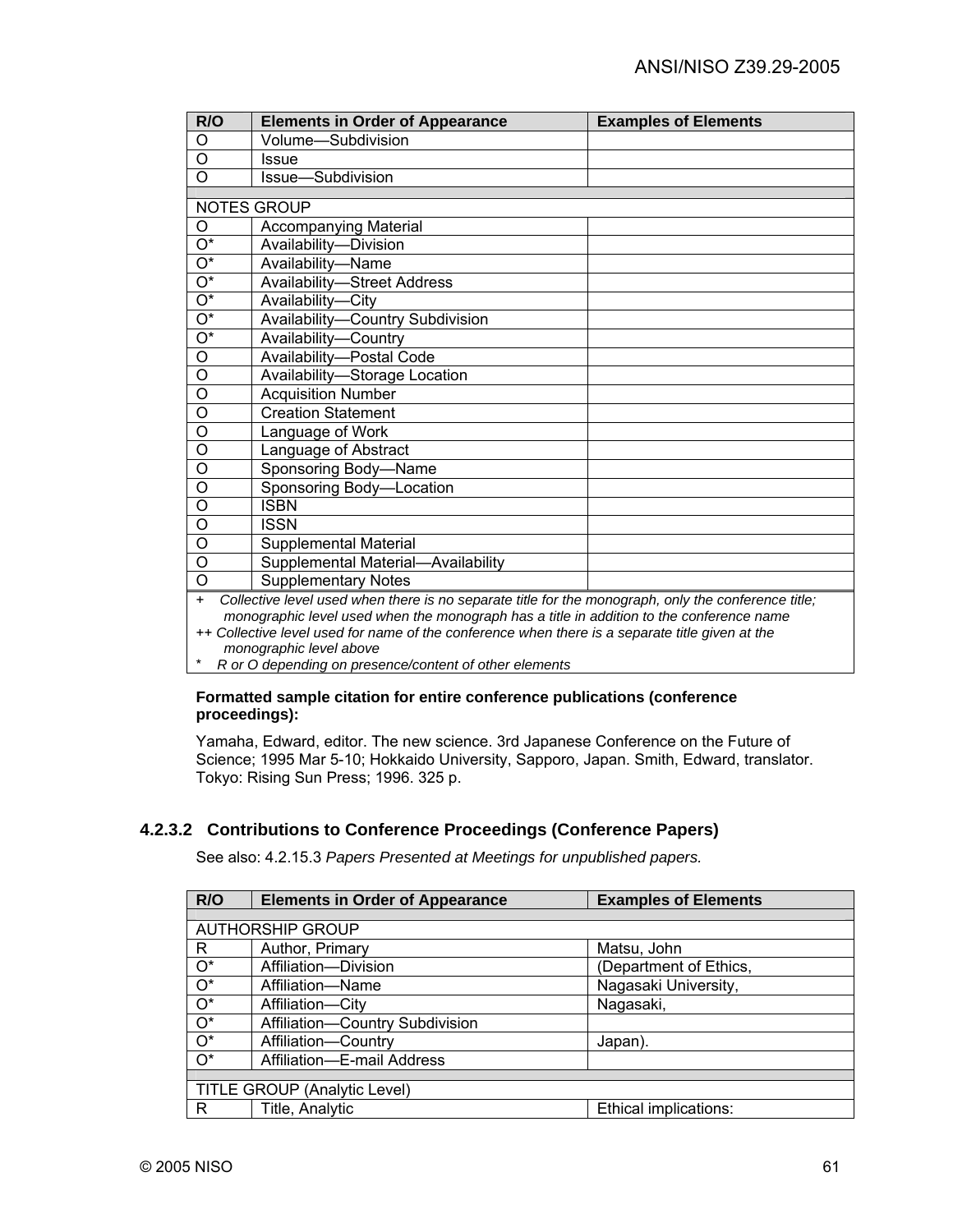| R/O                                                                                                                                                                                                                                                                                                       | <b>Elements in Order of Appearance</b> | <b>Examples of Elements</b> |
|-----------------------------------------------------------------------------------------------------------------------------------------------------------------------------------------------------------------------------------------------------------------------------------------------------------|----------------------------------------|-----------------------------|
| O                                                                                                                                                                                                                                                                                                         | Volume-Subdivision                     |                             |
| O                                                                                                                                                                                                                                                                                                         | Issue                                  |                             |
| O                                                                                                                                                                                                                                                                                                         | Issue-Subdivision                      |                             |
|                                                                                                                                                                                                                                                                                                           |                                        |                             |
|                                                                                                                                                                                                                                                                                                           | <b>NOTES GROUP</b>                     |                             |
| O                                                                                                                                                                                                                                                                                                         | <b>Accompanying Material</b>           |                             |
| O*                                                                                                                                                                                                                                                                                                        | Availability-Division                  |                             |
| $\overline{\mathrm{O}^*}$                                                                                                                                                                                                                                                                                 | Availability-Name                      |                             |
| $\overline{\mathrm{O}^*}$                                                                                                                                                                                                                                                                                 | <b>Availability-Street Address</b>     |                             |
| $\overline{O^*}$                                                                                                                                                                                                                                                                                          | Availability-City                      |                             |
| $\overline{O^*}$                                                                                                                                                                                                                                                                                          | Availability-Country Subdivision       |                             |
| $\overline{O^*}$                                                                                                                                                                                                                                                                                          | Availability-Country                   |                             |
| $\circ$                                                                                                                                                                                                                                                                                                   | Availability-Postal Code               |                             |
| O                                                                                                                                                                                                                                                                                                         | Availability-Storage Location          |                             |
| $\circ$                                                                                                                                                                                                                                                                                                   | <b>Acquisition Number</b>              |                             |
| O                                                                                                                                                                                                                                                                                                         | <b>Creation Statement</b>              |                             |
| $\overline{0}$                                                                                                                                                                                                                                                                                            | Language of Work                       |                             |
| O                                                                                                                                                                                                                                                                                                         | Language of Abstract                   |                             |
| $\overline{0}$                                                                                                                                                                                                                                                                                            | Sponsoring Body-Name                   |                             |
| $\overline{0}$                                                                                                                                                                                                                                                                                            | Sponsoring Body-Location               |                             |
| $\overline{0}$                                                                                                                                                                                                                                                                                            | <b>ISBN</b>                            |                             |
| O                                                                                                                                                                                                                                                                                                         | <b>ISSN</b>                            |                             |
| O                                                                                                                                                                                                                                                                                                         | Supplemental Material                  |                             |
| O                                                                                                                                                                                                                                                                                                         | Supplemental Material-Availability     |                             |
| $\overline{0}$                                                                                                                                                                                                                                                                                            | <b>Supplementary Notes</b>             |                             |
| Collective level used when there is no separate title for the monograph, only the conference title;<br>$+$<br>monographic level used when the monograph has a title in addition to the conference name<br>++ Collective level used for name of the conference when there is a separate title given at the |                                        |                             |
| monographic level above                                                                                                                                                                                                                                                                                   |                                        |                             |

\* *R or O depending on presence/content of other elements* 

#### **Formatted sample citation for entire conference publications (conference proceedings):**

Yamaha, Edward, editor. The new science. 3rd Japanese Conference on the Future of Science; 1995 Mar 5-10; Hokkaido University, Sapporo, Japan. Smith, Edward, translator. Tokyo: Rising Sun Press; 1996. 325 p.

## **4.2.3.2 Contributions to Conference Proceedings (Conference Papers)**

See also: 4.2.15.3 *Papers Presented at Meetings for unpublished papers.*

| R/O                          | <b>Elements in Order of Appearance</b> | <b>Examples of Elements</b> |  |
|------------------------------|----------------------------------------|-----------------------------|--|
|                              |                                        |                             |  |
| <b>AUTHORSHIP GROUP</b>      |                                        |                             |  |
| R                            | Author, Primary                        | Matsu, John                 |  |
| $\overline{O^*}$             | Affiliation-Division                   | (Department of Ethics,      |  |
| $\overline{O^*}$             | Affiliation-Name                       | Nagasaki University,        |  |
| $\overline{O^*}$             | Affiliation-City                       | Nagasaki,                   |  |
| $\overline{O^*}$             | Affiliation-Country Subdivision        |                             |  |
| $\overline{O^*}$             | Affiliation-Country                    | Japan).                     |  |
| $O^*$                        | Affiliation-E-mail Address             |                             |  |
|                              |                                        |                             |  |
| TITLE GROUP (Analytic Level) |                                        |                             |  |
| R                            | Title, Analytic                        | Ethical implications:       |  |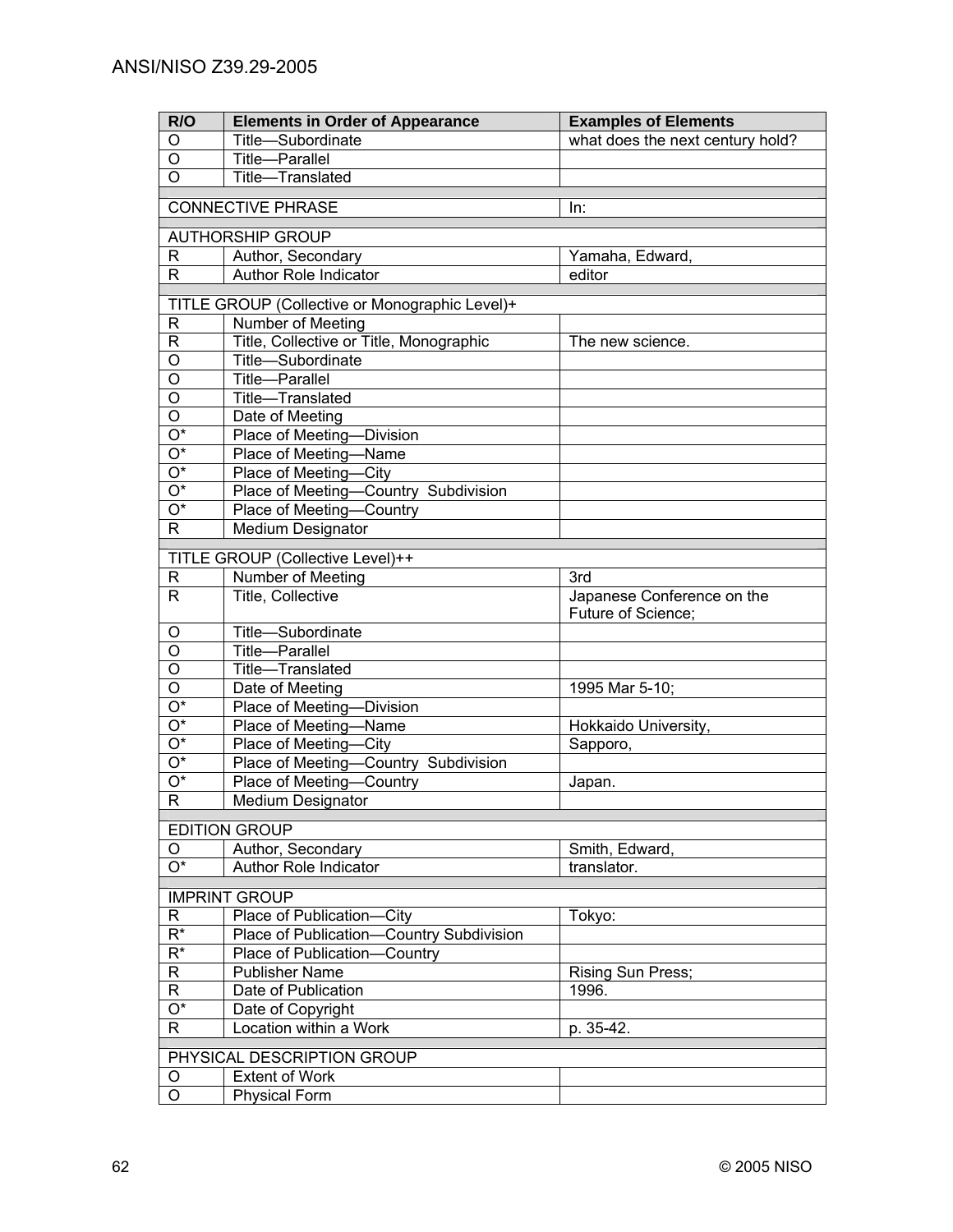| R/O                             | <b>Elements in Order of Appearance</b>                                     | <b>Examples of Elements</b>      |  |
|---------------------------------|----------------------------------------------------------------------------|----------------------------------|--|
| O                               | Title-Subordinate                                                          | what does the next century hold? |  |
| $\overline{0}$                  | <b>Title-Parallel</b>                                                      |                                  |  |
| $\overline{O}$                  | Title-Translated                                                           |                                  |  |
|                                 |                                                                            |                                  |  |
| <b>CONNECTIVE PHRASE</b><br>In: |                                                                            |                                  |  |
| <b>AUTHORSHIP GROUP</b>         |                                                                            |                                  |  |
| R                               | Author, Secondary                                                          | Yamaha, Edward,                  |  |
| $\mathsf{R}$                    | <b>Author Role Indicator</b>                                               | editor                           |  |
|                                 |                                                                            |                                  |  |
|                                 | TITLE GROUP (Collective or Monographic Level)+<br><b>Number of Meeting</b> |                                  |  |
| R<br>R                          | Title, Collective or Title, Monographic                                    | The new science.                 |  |
| O                               | Title-Subordinate                                                          |                                  |  |
| O                               | Title-Parallel                                                             |                                  |  |
| O                               | Title-Translated                                                           |                                  |  |
| O                               | Date of Meeting                                                            |                                  |  |
| O*                              | Place of Meeting-Division                                                  |                                  |  |
| $\overline{O^*}$                | Place of Meeting-Name                                                      |                                  |  |
| $\overline{O^*}$                | Place of Meeting-City                                                      |                                  |  |
| $\overline{O^*}$                | Place of Meeting-Country Subdivision                                       |                                  |  |
| $\overline{O^*}$                | Place of Meeting-Country                                                   |                                  |  |
| R                               | Medium Designator                                                          |                                  |  |
|                                 |                                                                            |                                  |  |
|                                 | TITLE GROUP (Collective Level)++                                           |                                  |  |
| R                               | Number of Meeting                                                          | 3rd                              |  |
| $\mathsf{R}$                    | Title, Collective                                                          | Japanese Conference on the       |  |
|                                 |                                                                            | Future of Science;               |  |
| O                               | Title-Subordinate                                                          |                                  |  |
| O                               | Title-Parallel                                                             |                                  |  |
| O                               | Title-Translated                                                           |                                  |  |
| $\circ$<br>$\overline{O^*}$     | Date of Meeting                                                            | 1995 Mar 5-10;                   |  |
| $\overline{O^*}$                | Place of Meeting-Division                                                  |                                  |  |
| $\overline{O^*}$                | Place of Meeting-Name<br>Place of Meeting-City                             | Hokkaido University,             |  |
| $\overline{O^*}$                | Place of Meeting-Country Subdivision                                       | Sapporo,                         |  |
| $\overline{O^*}$                | Place of Meeting-Country                                                   | Japan.                           |  |
| $\mathsf{R}$                    | <b>Medium Designator</b>                                                   |                                  |  |
|                                 |                                                                            |                                  |  |
| <b>EDITION GROUP</b>            |                                                                            |                                  |  |
| O                               | Author, Secondary                                                          | Smith, Edward,                   |  |
| $\overline{O^*}$                | <b>Author Role Indicator</b>                                               | translator.                      |  |
| <b>IMPRINT GROUP</b>            |                                                                            |                                  |  |
| R                               | Place of Publication-City                                                  | Tokyo:                           |  |
| $R^*$                           | Place of Publication-Country Subdivision                                   |                                  |  |
| $R^*$                           | Place of Publication-Country                                               |                                  |  |
| R                               | <b>Publisher Name</b>                                                      | Rising Sun Press;                |  |
| R                               | Date of Publication                                                        | 1996.                            |  |
| $O^*$                           | Date of Copyright                                                          |                                  |  |
| R                               | Location within a Work                                                     | p. 35-42.                        |  |
|                                 |                                                                            |                                  |  |
| PHYSICAL DESCRIPTION GROUP      |                                                                            |                                  |  |
| O                               | <b>Extent of Work</b>                                                      |                                  |  |
| O                               | <b>Physical Form</b>                                                       |                                  |  |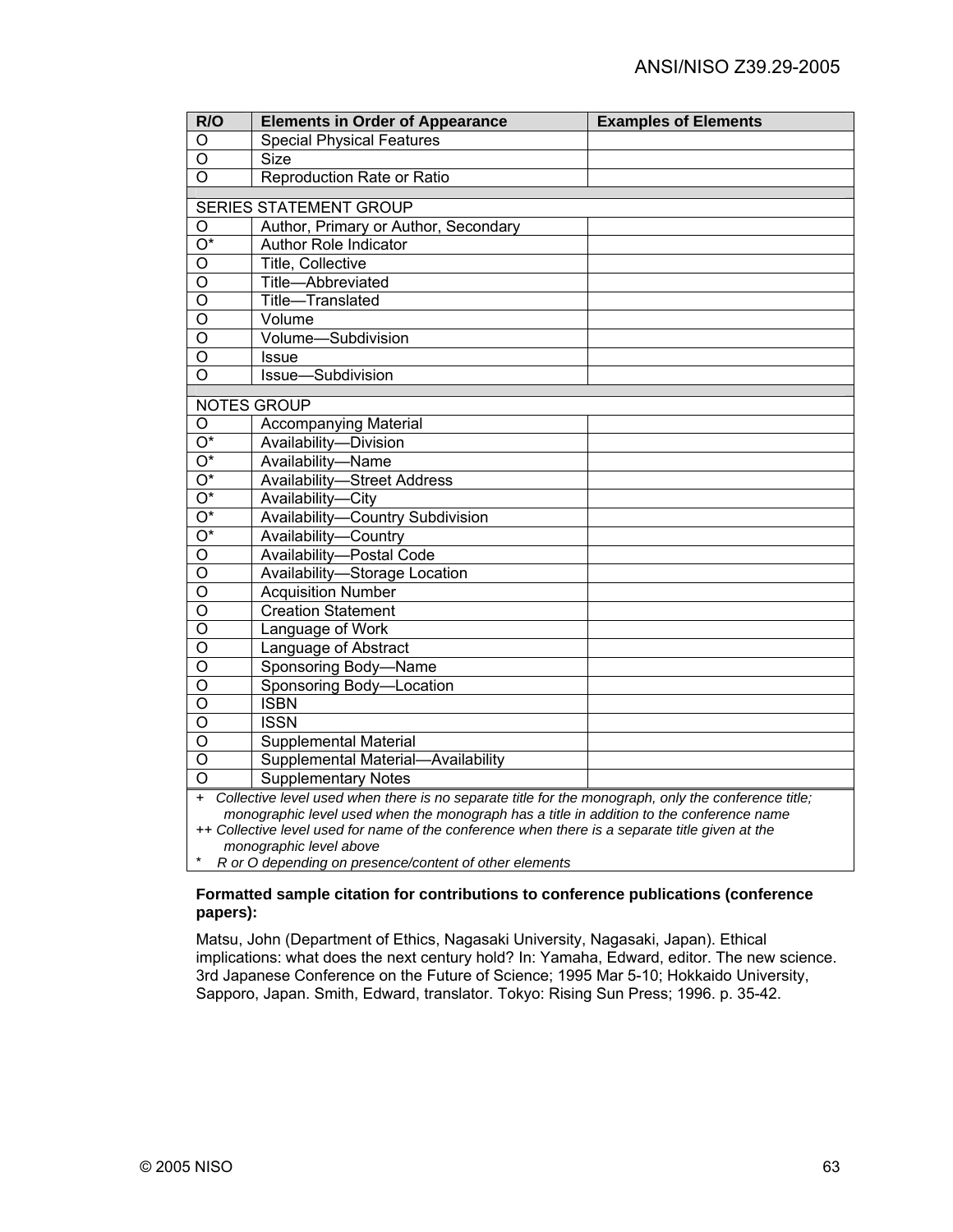| R/O                                                                                                        | <b>Elements in Order of Appearance</b> | <b>Examples of Elements</b> |
|------------------------------------------------------------------------------------------------------------|----------------------------------------|-----------------------------|
| O                                                                                                          | <b>Special Physical Features</b>       |                             |
| $\overline{\mathsf{o}}$                                                                                    | <b>Size</b>                            |                             |
| $\overline{O}$                                                                                             | Reproduction Rate or Ratio             |                             |
|                                                                                                            | <b>SERIES STATEMENT GROUP</b>          |                             |
| O                                                                                                          | Author, Primary or Author, Secondary   |                             |
| $\overline{O^*}$                                                                                           | <b>Author Role Indicator</b>           |                             |
| $\overline{0}$                                                                                             | <b>Title, Collective</b>               |                             |
| $\overline{0}$                                                                                             | Title-Abbreviated                      |                             |
| $\overline{\mathsf{o}}$                                                                                    | Title-Translated                       |                             |
| $\overline{\mathsf{o}}$                                                                                    | Volume                                 |                             |
| $\circ$                                                                                                    | Volume-Subdivision                     |                             |
| $\overline{0}$                                                                                             | <b>Issue</b>                           |                             |
| $\overline{0}$                                                                                             | Issue-Subdivision                      |                             |
|                                                                                                            | NOTES GROUP                            |                             |
| O                                                                                                          | <b>Accompanying Material</b>           |                             |
| $\overline{O^*}$                                                                                           | Availability-Division                  |                             |
| $\overline{O^*}$                                                                                           | Availability-Name                      |                             |
| $\overline{O^*}$                                                                                           | <b>Availability-Street Address</b>     |                             |
| $\overline{O^*}$                                                                                           | Availability-City                      |                             |
| $\overline{O^*}$                                                                                           | Availability-Country Subdivision       |                             |
| $\overline{O^*}$                                                                                           | Availability-Country                   |                             |
| $\overline{O}$                                                                                             | Availability-Postal Code               |                             |
| $\overline{0}$                                                                                             | Availability-Storage Location          |                             |
| $\overline{\circ}$                                                                                         | <b>Acquisition Number</b>              |                             |
| $\overline{\circ}$                                                                                         | <b>Creation Statement</b>              |                             |
| $\overline{\circ}$                                                                                         | Language of Work                       |                             |
| $\overline{\circ}$                                                                                         | Language of Abstract                   |                             |
| $\overline{\circ}$                                                                                         | Sponsoring Body-Name                   |                             |
| $\overline{0}$                                                                                             | Sponsoring Body-Location               |                             |
| $\overline{O}$                                                                                             | <b>ISBN</b>                            |                             |
| $\overline{\mathsf{o}}$                                                                                    | <b>ISSN</b>                            |                             |
| $\overline{\mathsf{o}}$                                                                                    | <b>Supplemental Material</b>           |                             |
| $\overline{O}$                                                                                             | Supplemental Material-Availability     |                             |
| $\overline{O}$                                                                                             | <b>Supplementary Notes</b>             |                             |
| Collective level used when there is no separate title for the monograph, only the conference title;<br>$+$ |                                        |                             |
| monographic level used when the monograph has a title in addition to the conference name                   |                                        |                             |

++ *Collective level used for name of the conference when there is a separate title given at the monographic level above*

\* *R or O depending on presence/content of other elements* 

#### **Formatted sample citation for contributions to conference publications (conference papers):**

Matsu, John (Department of Ethics, Nagasaki University, Nagasaki, Japan). Ethical implications: what does the next century hold? In: Yamaha, Edward, editor. The new science. 3rd Japanese Conference on the Future of Science; 1995 Mar 5-10; Hokkaido University, Sapporo, Japan. Smith, Edward, translator. Tokyo: Rising Sun Press; 1996. p. 35-42.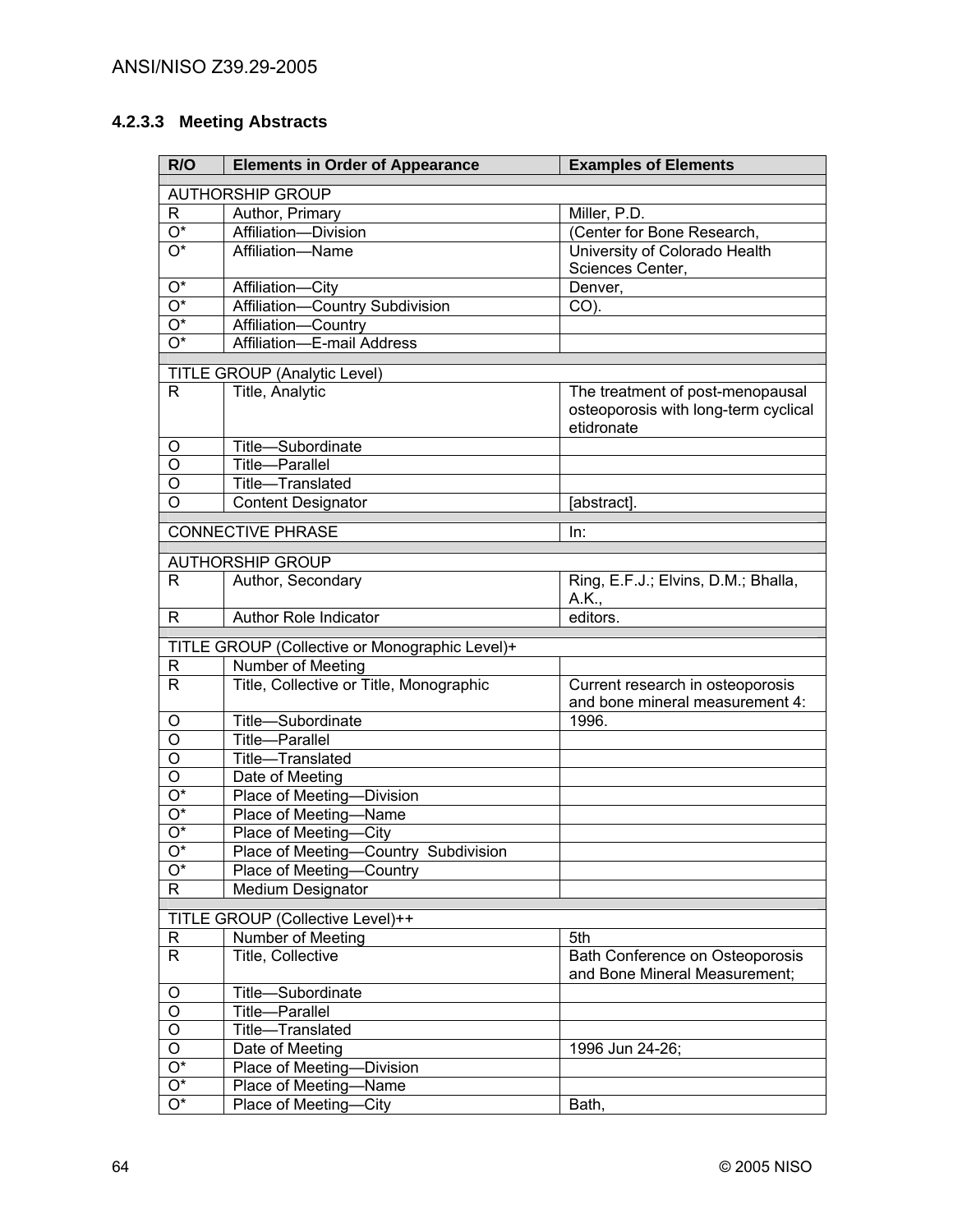# **4.2.3.3 Meeting Abstracts**

| R/O                                  | <b>Elements in Order of Appearance</b>                        | <b>Examples of Elements</b>          |  |
|--------------------------------------|---------------------------------------------------------------|--------------------------------------|--|
|                                      | <b>AUTHORSHIP GROUP</b>                                       |                                      |  |
| R                                    | Author, Primary                                               | Miller, P.D.                         |  |
| $\overline{O^*}$                     | Affiliation-Division                                          | (Center for Bone Research,           |  |
| $\overline{O^*}$                     | Affiliation-Name                                              | University of Colorado Health        |  |
|                                      |                                                               | Sciences Center,                     |  |
| Ο*                                   | Affiliation-City                                              | Denver,                              |  |
| O*                                   | Affiliation-Country Subdivision                               | CO).                                 |  |
| O*                                   | Affiliation-Country                                           |                                      |  |
| $\overline{\mathrm{O}^*}$            | Affiliation-E-mail Address                                    |                                      |  |
|                                      | TITLE GROUP (Analytic Level)                                  |                                      |  |
| R.                                   | Title, Analytic                                               | The treatment of post-menopausal     |  |
|                                      |                                                               | osteoporosis with long-term cyclical |  |
|                                      |                                                               | etidronate                           |  |
| O                                    | Title-Subordinate                                             |                                      |  |
| O                                    | Title-Parallel                                                |                                      |  |
| O                                    | Title-Translated                                              |                                      |  |
| O                                    | <b>Content Designator</b>                                     | [abstract].                          |  |
|                                      | <b>CONNECTIVE PHRASE</b>                                      | In:                                  |  |
|                                      |                                                               |                                      |  |
|                                      | <b>AUTHORSHIP GROUP</b>                                       |                                      |  |
| R.                                   | Author, Secondary                                             | Ring, E.F.J.; Elvins, D.M.; Bhalla,  |  |
|                                      |                                                               | A.K.,                                |  |
| R.                                   | Author Role Indicator                                         | editors.                             |  |
|                                      | TITLE GROUP (Collective or Monographic Level)+                |                                      |  |
| R                                    | Number of Meeting                                             |                                      |  |
| R.                                   | Title, Collective or Title, Monographic                       | Current research in osteoporosis     |  |
|                                      |                                                               | and bone mineral measurement 4:      |  |
| O                                    | Title-Subordinate                                             | 1996.                                |  |
| $\overline{0}$                       | Title-Parallel                                                |                                      |  |
| $\overline{O}$                       | Title-Translated                                              |                                      |  |
| $\overline{\mathsf{o}}$              | Date of Meeting                                               |                                      |  |
| $\overline{O^*}$<br>$\overline{O^*}$ | Place of Meeting-Division                                     |                                      |  |
| $\overline{O^*}$                     | Place of Meeting-Name                                         |                                      |  |
| $\overline{O^*}$                     | Place of Meeting-City<br>Place of Meeting-Country Subdivision |                                      |  |
| $\overline{O^*}$                     | Place of Meeting-Country                                      |                                      |  |
| $\overline{R}$                       | <b>Medium Designator</b>                                      |                                      |  |
|                                      |                                                               |                                      |  |
|                                      | TITLE GROUP (Collective Level)++                              |                                      |  |
| $\mathsf{R}$                         | Number of Meeting                                             | 5th                                  |  |
| $\mathsf{R}$                         | Title, Collective                                             | Bath Conference on Osteoporosis      |  |
|                                      |                                                               | and Bone Mineral Measurement;        |  |
| O                                    | Title-Subordinate                                             |                                      |  |
| $\overline{O}$<br>$\overline{O}$     | Title-Parallel                                                |                                      |  |
| $\overline{O}$                       | Title-Translated                                              |                                      |  |
| $\overline{O^*}$                     | Date of Meeting<br>Place of Meeting-<br><b>Division</b>       | 1996 Jun 24-26;                      |  |
| $\overline{O^*}$                     | Place of Meeting-Name                                         |                                      |  |
| $\overline{O^*}$                     | Place of Meeting-City                                         | Bath,                                |  |
|                                      |                                                               |                                      |  |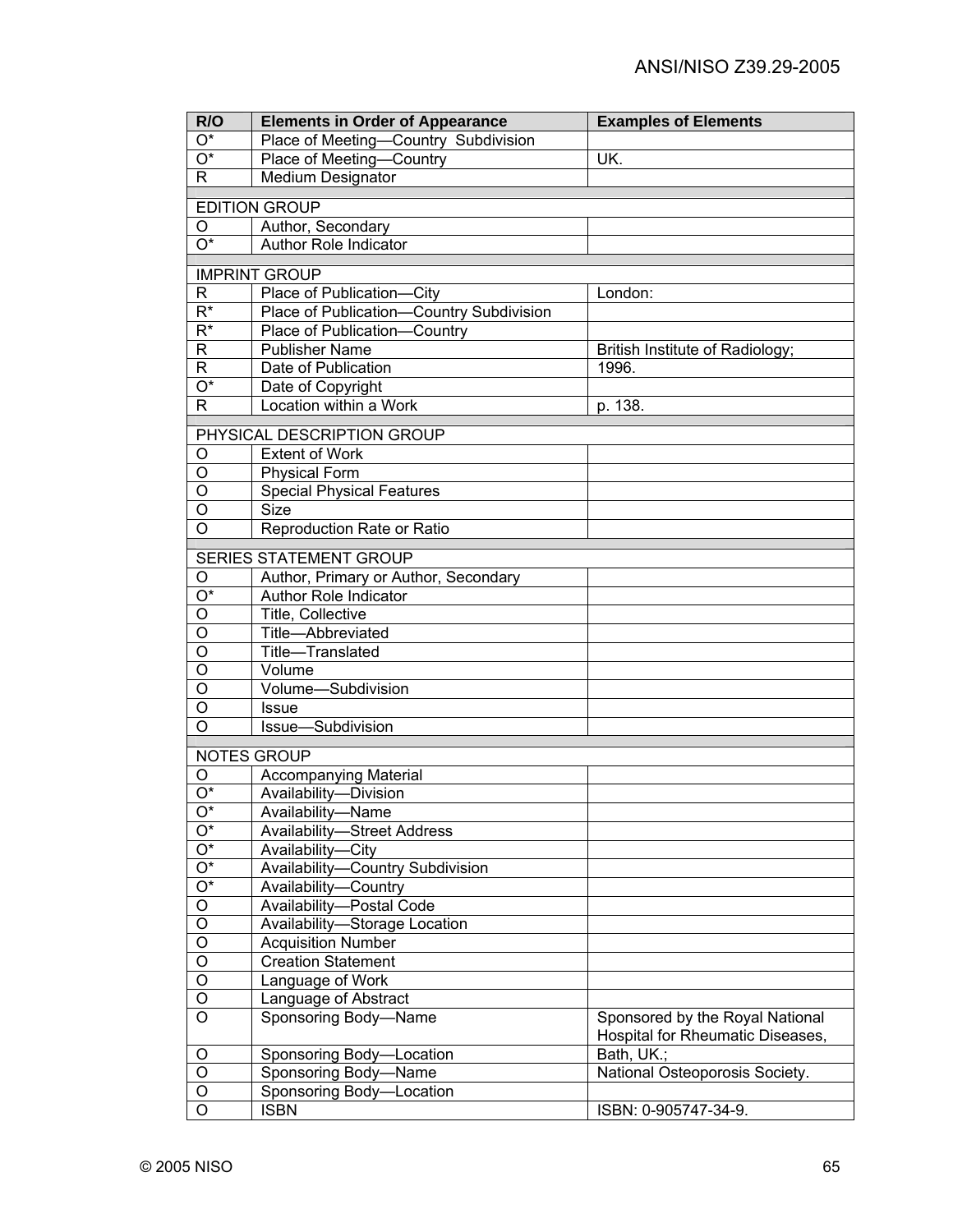| R/O                   | <b>Elements in Order of Appearance</b>                  | <b>Examples of Elements</b>      |
|-----------------------|---------------------------------------------------------|----------------------------------|
| O*                    | Place of Meeting-Country Subdivision                    |                                  |
| O*                    | Place of Meeting-Country                                | UK.                              |
| R                     | <b>Medium Designator</b>                                |                                  |
|                       |                                                         |                                  |
|                       | <b>EDITION GROUP</b>                                    |                                  |
| O<br>$\overline{O^*}$ | Author, Secondary<br>Author Role Indicator              |                                  |
|                       |                                                         |                                  |
|                       | <b>IMPRINT GROUP</b>                                    |                                  |
| R                     | Place of Publication-City                               | London:                          |
| $\overline{R^*}$      | Place of Publication-Country Subdivision                |                                  |
| $R^*$                 | Place of Publication-Country                            |                                  |
| R                     | <b>Publisher Name</b>                                   | British Institute of Radiology;  |
| R                     | Date of Publication                                     | 1996.                            |
| $\overline{O^*}$      | Date of Copyright                                       |                                  |
| R.                    | Location within a Work                                  | p. 138.                          |
|                       |                                                         |                                  |
|                       | PHYSICAL DESCRIPTION GROUP                              |                                  |
| O                     | <b>Extent of Work</b>                                   |                                  |
| $\bigcirc$<br>$\circ$ | <b>Physical Form</b>                                    |                                  |
| $\circ$               | <b>Special Physical Features</b><br><b>Size</b>         |                                  |
| $\circ$               |                                                         |                                  |
|                       | Reproduction Rate or Ratio                              |                                  |
|                       | <b>SERIES STATEMENT GROUP</b>                           |                                  |
| O                     | Author, Primary or Author, Secondary                    |                                  |
| O*                    | Author Role Indicator                                   |                                  |
| O                     | Title, Collective                                       |                                  |
| O                     | Title-Abbreviated                                       |                                  |
| O                     | Title-Translated                                        |                                  |
| O                     | Volume                                                  |                                  |
| O                     | Volume-Subdivision                                      |                                  |
| O                     | <b>Issue</b>                                            |                                  |
| O                     | Issue-Subdivision                                       |                                  |
|                       |                                                         |                                  |
|                       | <b>NOTES GROUP</b>                                      |                                  |
| O<br>O*               | <b>Accompanying Material</b>                            |                                  |
|                       | Availability-Division                                   |                                  |
| O*<br>$O^*$           | Availability-Name<br><b>Availability-Street Address</b> |                                  |
| $\overline{O^*}$      | Availability-City                                       |                                  |
| $\overline{O^*}$      | Availability-Country Subdivision                        |                                  |
| $\overline{O^*}$      | Availability-Country                                    |                                  |
| $\overline{O}$        | Availability-Postal Code                                |                                  |
| $\overline{O}$        | Availability-Storage Location                           |                                  |
| $\overline{O}$        | <b>Acquisition Number</b>                               |                                  |
| $\overline{O}$        | <b>Creation Statement</b>                               |                                  |
| $\overline{O}$        | Language of Work                                        |                                  |
| $\overline{O}$        | Language of Abstract                                    |                                  |
| $\overline{0}$        | Sponsoring Body-Name                                    | Sponsored by the Royal National  |
|                       |                                                         | Hospital for Rheumatic Diseases, |
| O                     | Sponsoring Body-Location                                | Bath, UK.;                       |
| O                     | Sponsoring Body-Name                                    | National Osteoporosis Society.   |
| O                     | Sponsoring Body-Location                                |                                  |
| O                     | <b>ISBN</b>                                             | ISBN: 0-905747-34-9.             |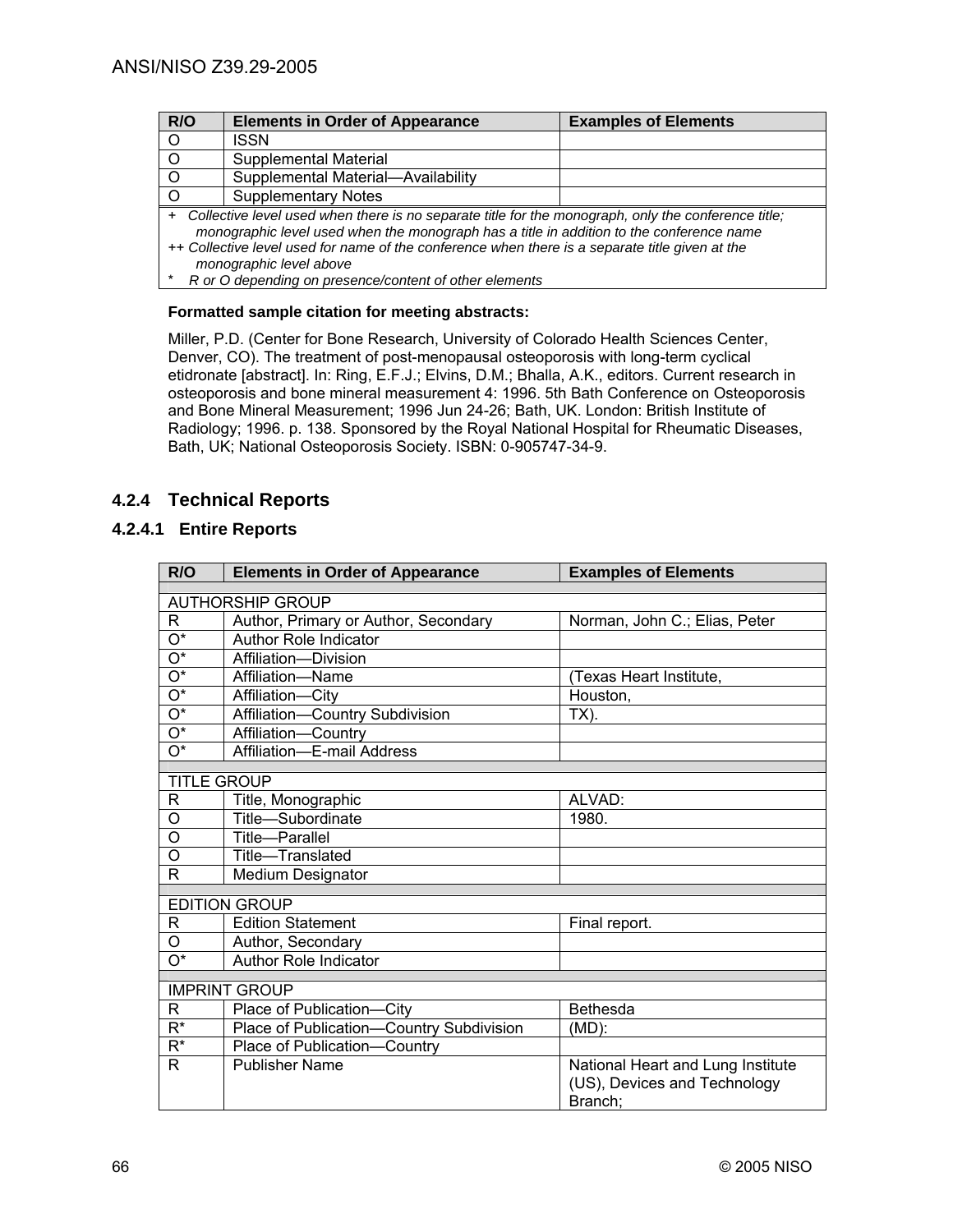| R/O                                                                                                                                                                                                                                                                                                                                        | <b>Elements in Order of Appearance</b>                 | <b>Examples of Elements</b> |
|--------------------------------------------------------------------------------------------------------------------------------------------------------------------------------------------------------------------------------------------------------------------------------------------------------------------------------------------|--------------------------------------------------------|-----------------------------|
| $\circ$                                                                                                                                                                                                                                                                                                                                    | ISSN                                                   |                             |
| $\circ$                                                                                                                                                                                                                                                                                                                                    | Supplemental Material                                  |                             |
| $\circ$                                                                                                                                                                                                                                                                                                                                    | Supplemental Material-Availability                     |                             |
| $\circ$                                                                                                                                                                                                                                                                                                                                    | <b>Supplementary Notes</b>                             |                             |
| Collective level used when there is no separate title for the monograph, only the conference title;<br>$\ddot{}$<br>monographic level used when the monograph has a title in addition to the conference name<br>++ Collective level used for name of the conference when there is a separate title given at the<br>monographic level above |                                                        |                             |
|                                                                                                                                                                                                                                                                                                                                            | R or O depending on presence/content of other elements |                             |

### **Formatted sample citation for meeting abstracts:**

Miller, P.D. (Center for Bone Research, University of Colorado Health Sciences Center, Denver, CO). The treatment of post-menopausal osteoporosis with long-term cyclical etidronate [abstract]. In: Ring, E.F.J.; Elvins, D.M.; Bhalla, A.K., editors. Current research in osteoporosis and bone mineral measurement 4: 1996. 5th Bath Conference on Osteoporosis and Bone Mineral Measurement; 1996 Jun 24-26; Bath, UK. London: British Institute of Radiology; 1996. p. 138. Sponsored by the Royal National Hospital for Rheumatic Diseases, Bath, UK; National Osteoporosis Society. ISBN: 0-905747-34-9.

## **4.2.4 Technical Reports**

## **4.2.4.1 Entire Reports**

| R/O                       | <b>Elements in Order of Appearance</b>   | <b>Examples of Elements</b>       |  |
|---------------------------|------------------------------------------|-----------------------------------|--|
|                           |                                          |                                   |  |
|                           | <b>AUTHORSHIP GROUP</b>                  |                                   |  |
| R                         | Author, Primary or Author, Secondary     | Norman, John C.; Elias, Peter     |  |
| $\overline{\mathrm{O}^*}$ | <b>Author Role Indicator</b>             |                                   |  |
| $\overline{\mathrm{O}^*}$ | Affiliation-Division                     |                                   |  |
| $\overline{O^*}$          | Affiliation-Name                         | (Texas Heart Institute,           |  |
| $\overline{O^*}$          | Affiliation-City                         | Houston,                          |  |
| $\overline{\mathrm{O}^*}$ | Affiliation-Country Subdivision          | $TX$ ).                           |  |
| $\mathrm{O}^\star$        | Affiliation-Country                      |                                   |  |
| O*                        | Affiliation-E-mail Address               |                                   |  |
| <b>TITLE GROUP</b>        |                                          |                                   |  |
|                           |                                          |                                   |  |
| R                         | Title, Monographic                       | ALVAD:                            |  |
| O                         | Title-Subordinate                        | 1980.                             |  |
| O                         | Title-Parallel                           |                                   |  |
| O                         | Title-Translated                         |                                   |  |
| R                         | <b>Medium Designator</b>                 |                                   |  |
|                           | <b>EDITION GROUP</b>                     |                                   |  |
|                           |                                          |                                   |  |
| R                         | <b>Edition Statement</b>                 | Final report.                     |  |
| O                         | Author, Secondary                        |                                   |  |
| $O^*$                     | <b>Author Role Indicator</b>             |                                   |  |
|                           | <b>IMPRINT GROUP</b>                     |                                   |  |
| $\mathsf{R}$              | Place of Publication-City                | <b>Bethesda</b>                   |  |
| $R^*$                     | Place of Publication-Country Subdivision | (MD):                             |  |
| $R^*$                     | Place of Publication-Country             |                                   |  |
| R.                        | <b>Publisher Name</b>                    | National Heart and Lung Institute |  |
|                           |                                          | (US), Devices and Technology      |  |
|                           |                                          | Branch;                           |  |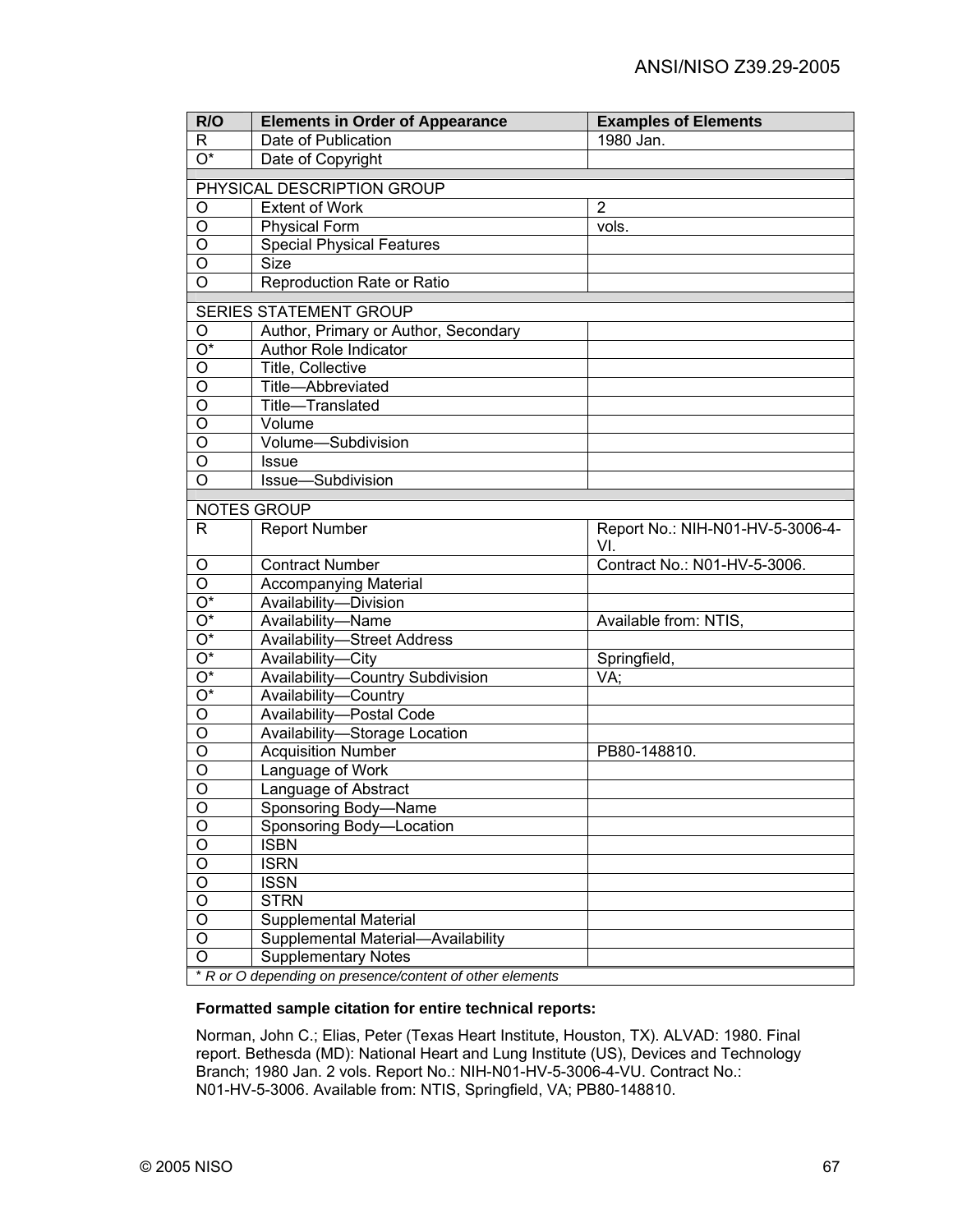| R/O                       | <b>Elements in Order of Appearance</b>                   | <b>Examples of Elements</b>             |  |
|---------------------------|----------------------------------------------------------|-----------------------------------------|--|
| R                         | Date of Publication                                      | 1980 Jan.                               |  |
| $\overline{O^*}$          | Date of Copyright                                        |                                         |  |
|                           |                                                          |                                         |  |
|                           | PHYSICAL DESCRIPTION GROUP                               |                                         |  |
| O                         | <b>Extent of Work</b>                                    | $\overline{2}$                          |  |
| O                         | <b>Physical Form</b>                                     | vols.                                   |  |
| O                         | <b>Special Physical Features</b>                         |                                         |  |
| O                         | <b>Size</b>                                              |                                         |  |
| O                         | Reproduction Rate or Ratio                               |                                         |  |
|                           | SERIES STATEMENT GROUP                                   |                                         |  |
| O                         | Author, Primary or Author, Secondary                     |                                         |  |
| $\overline{\mathrm{O}^*}$ | Author Role Indicator                                    |                                         |  |
| O                         | Title, Collective                                        |                                         |  |
| $\overline{O}$            | Title-Abbreviated                                        |                                         |  |
| $\overline{O}$            | Title-Translated                                         |                                         |  |
| $\overline{O}$            | Volume                                                   |                                         |  |
| $\overline{O}$            | Volume-Subdivision                                       |                                         |  |
| O                         | <b>Issue</b>                                             |                                         |  |
| $\overline{O}$            | Issue-Subdivision                                        |                                         |  |
|                           |                                                          |                                         |  |
|                           | <b>NOTES GROUP</b>                                       |                                         |  |
| R.                        | <b>Report Number</b>                                     | Report No.: NIH-N01-HV-5-3006-4-<br>VI. |  |
| O                         | <b>Contract Number</b>                                   | Contract No.: N01-HV-5-3006.            |  |
| $\overline{O}$            | <b>Accompanying Material</b>                             |                                         |  |
| $\overline{O^*}$          | Availability-Division                                    |                                         |  |
| $\overline{O^*}$          | Availability-Name                                        | Available from: NTIS,                   |  |
| $\overline{O^*}$          | <b>Availability-Street Address</b>                       |                                         |  |
| $\overline{O^*}$          | Availability-City                                        | Springfield,                            |  |
| $\overline{O^*}$          | Availability-Country Subdivision                         | VA;                                     |  |
| $\overline{O^*}$          | Availability-Country                                     |                                         |  |
| $\overline{O}$            | Availability-Postal Code                                 |                                         |  |
| $\overline{O}$            | Availability-Storage Location                            |                                         |  |
| $\overline{O}$            | <b>Acquisition Number</b>                                | PB80-148810.                            |  |
| $\overline{O}$            | Language of Work                                         |                                         |  |
| $\overline{O}$            | Language of Abstract                                     |                                         |  |
| $\overline{O}$            | Sponsoring Body-Name                                     |                                         |  |
| $\overline{0}$            | Sponsoring Body-Location                                 |                                         |  |
| $\overline{O}$            | <b>ISBN</b>                                              |                                         |  |
| $\overline{O}$            | <b>ISRN</b>                                              |                                         |  |
| $\overline{O}$            | <b>ISSN</b>                                              |                                         |  |
| $\overline{O}$            | <b>STRN</b>                                              |                                         |  |
| $\overline{O}$            | Supplemental Material                                    |                                         |  |
| $\overline{O}$            | Supplemental Material-Availability                       |                                         |  |
| $\overline{0}$            | <b>Supplementary Notes</b>                               |                                         |  |
|                           | * R or O depending on presence/content of other elements |                                         |  |

## **Formatted sample citation for entire technical reports:**

Norman, John C.; Elias, Peter (Texas Heart Institute, Houston, TX). ALVAD: 1980. Final report. Bethesda (MD): National Heart and Lung Institute (US), Devices and Technology Branch; 1980 Jan. 2 vols. Report No.: NIH-N01-HV-5-3006-4-VU. Contract No.: N01-HV-5-3006. Available from: NTIS, Springfield, VA; PB80-148810.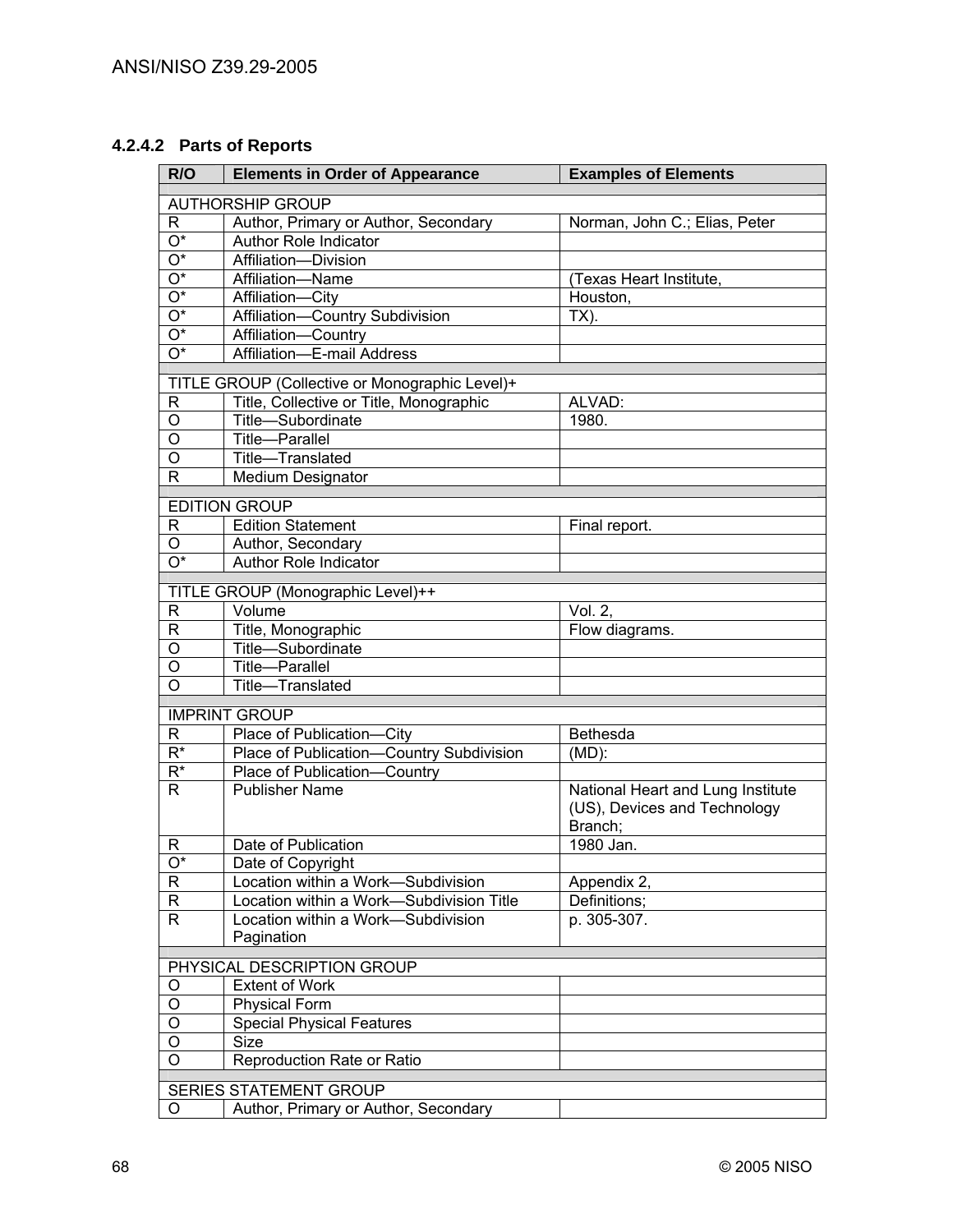# **4.2.4.2 Parts of Reports**

| R/O                           | <b>Elements in Order of Appearance</b>                                         | <b>Examples of Elements</b>       |
|-------------------------------|--------------------------------------------------------------------------------|-----------------------------------|
| <b>AUTHORSHIP GROUP</b>       |                                                                                |                                   |
| $\mathsf{R}$                  | Author, Primary or Author, Secondary                                           | Norman, John C.; Elias, Peter     |
| $\overline{\mathrm{O}^*}$     | Author Role Indicator                                                          |                                   |
| $\overline{\mathrm{O}^*}$     | Affiliation-Division                                                           |                                   |
| $\overline{\mathrm{O}^*}$     | Affiliation-Name                                                               | (Texas Heart Institute,           |
| $\overline{O^*}$              | Affiliation-City                                                               | Houston,                          |
| $\overline{O^*}$              | Affiliation-Country Subdivision                                                | $TX)$ .                           |
| $\overline{\mathrm{O}^*}$     | Affiliation-Country                                                            |                                   |
| $\overline{O^*}$              | <b>E-mail Address</b><br>Affiliation-                                          |                                   |
|                               |                                                                                |                                   |
|                               | TITLE GROUP (Collective or Monographic Level)+                                 |                                   |
| R                             | Title, Collective or Title, Monographic                                        | ALVAD:                            |
| O                             | Title-Subordinate                                                              | 1980.                             |
| O                             | Title-Parallel                                                                 |                                   |
| O                             | Title-Translated                                                               |                                   |
| R                             | Medium Designator                                                              |                                   |
|                               | <b>EDITION GROUP</b>                                                           |                                   |
| R                             | <b>Edition Statement</b>                                                       | Final report.                     |
| O                             | Author, Secondary                                                              |                                   |
| $\overline{O^*}$              | Author Role Indicator                                                          |                                   |
|                               | TITLE GROUP (Monographic Level)++                                              |                                   |
| $\mathsf{R}$                  | Volume                                                                         | Vol. 2,                           |
| $\mathsf{R}$                  | Title, Monographic                                                             | Flow diagrams.                    |
| $\overline{O}$                | Title-Subordinate                                                              |                                   |
| $\overline{0}$                | Title-Parallel                                                                 |                                   |
| $\overline{\mathsf{o}}$       | Title-Translated                                                               |                                   |
|                               |                                                                                |                                   |
|                               | <b>IMPRINT GROUP</b>                                                           |                                   |
| R                             | Place of Publication-City                                                      | Bethesda                          |
| $\overline{R^*}$              | Place of Publication-Country Subdivision                                       | $(MD)$ :                          |
| $R^*$                         | Place of Publication-Country                                                   |                                   |
| $\mathsf{R}$                  | <b>Publisher Name</b>                                                          | National Heart and Lung Institute |
|                               |                                                                                | (US), Devices and Technology      |
|                               |                                                                                | Branch;                           |
| R                             | Date of Publication                                                            | 1980 Jan.                         |
| $O^*$                         | Date of Copyright                                                              |                                   |
| $\mathsf R$<br>$\overline{R}$ | Location within a Work-Subdivision<br>Location within a Work-Subdivision Title | Appendix 2,<br>Definitions;       |
| $\overline{R}$                | Location within a Work-Subdivision                                             | p. 305-307.                       |
|                               | Pagination                                                                     |                                   |
|                               |                                                                                |                                   |
|                               | PHYSICAL DESCRIPTION GROUP                                                     |                                   |
| O                             | <b>Extent of Work</b>                                                          |                                   |
| O                             | <b>Physical Form</b>                                                           |                                   |
| $\mathsf O$                   | <b>Special Physical Features</b>                                               |                                   |
| $\mathsf O$                   | <b>Size</b>                                                                    |                                   |
| O                             | Reproduction Rate or Ratio                                                     |                                   |
| <b>SERIES STATEMENT GROUP</b> |                                                                                |                                   |
| O                             | Author, Primary or Author, Secondary                                           |                                   |
|                               |                                                                                |                                   |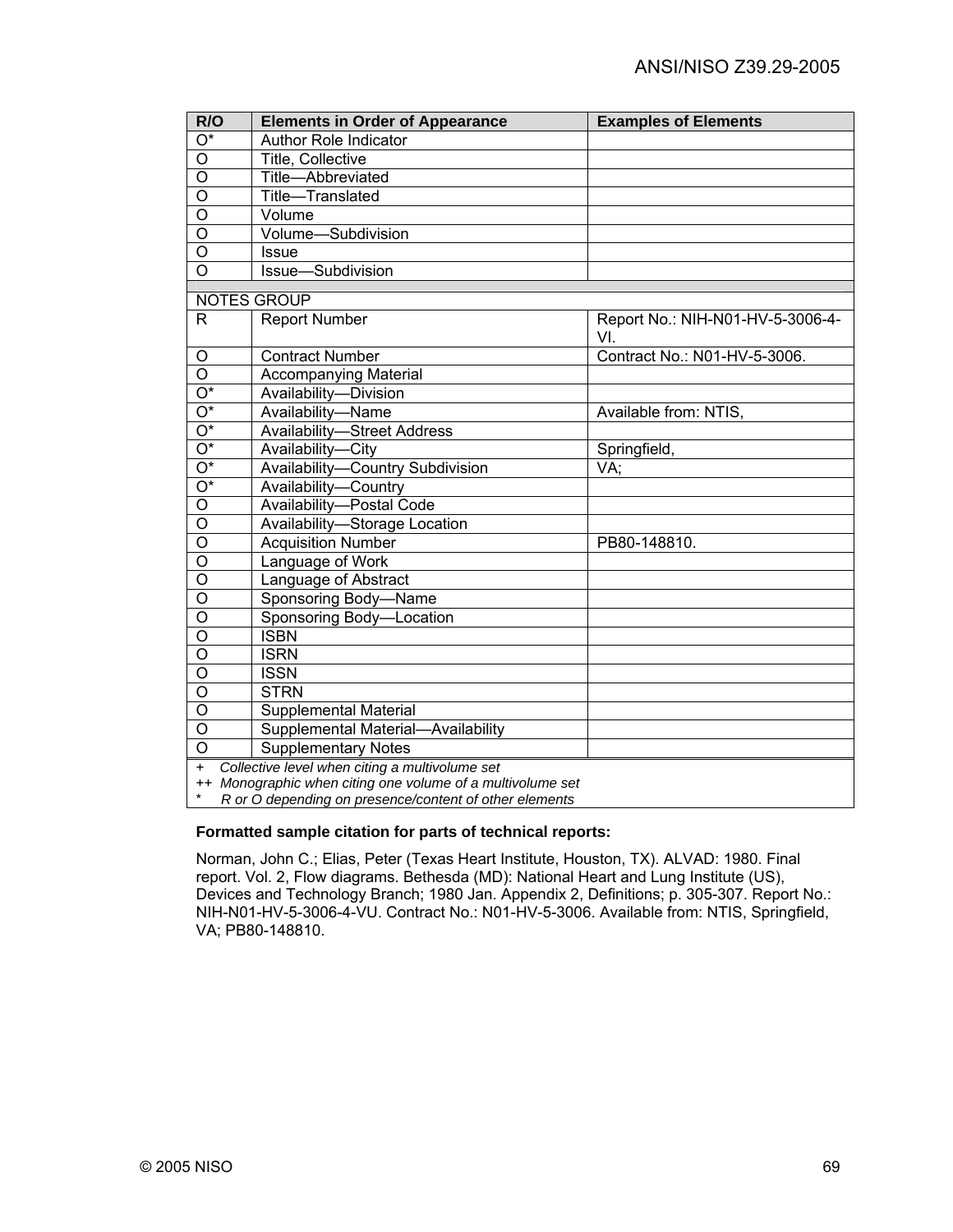| R/O                     | <b>Elements in Order of Appearance</b>                     | <b>Examples of Elements</b>      |  |
|-------------------------|------------------------------------------------------------|----------------------------------|--|
| $\overline{O^*}$        | <b>Author Role Indicator</b>                               |                                  |  |
| $\overline{\circ}$      | Title, Collective                                          |                                  |  |
| $\overline{O}$          | Title-Abbreviated                                          |                                  |  |
| $\overline{\mathsf{o}}$ | Title-Translated                                           |                                  |  |
| $\overline{\circ}$      | Volume                                                     |                                  |  |
| $\overline{O}$          | Volume-Subdivision                                         |                                  |  |
| $\overline{\circ}$      | <b>Issue</b>                                               |                                  |  |
| O                       | Issue-Subdivision                                          |                                  |  |
|                         | <b>NOTES GROUP</b>                                         |                                  |  |
| R                       | <b>Report Number</b>                                       | Report No.: NIH-N01-HV-5-3006-4- |  |
|                         |                                                            | VI.                              |  |
| O                       | <b>Contract Number</b>                                     | Contract No.: N01-HV-5-3006.     |  |
| $\circ$                 | <b>Accompanying Material</b>                               |                                  |  |
| $\overline{O^*}$        | Availability-Division                                      |                                  |  |
| $\overline{O^*}$        | Availability-Name                                          | Available from: NTIS,            |  |
| $\overline{O^*}$        | Availability-Street Address                                |                                  |  |
| $\overline{O^*}$        | Availability-City                                          | Springfield,                     |  |
| $\overline{O^*}$        | Availability-Country Subdivision                           | VA;                              |  |
| $\overline{O^*}$        | Availability-Country                                       |                                  |  |
| $\overline{O}$          | Availability-Postal Code                                   |                                  |  |
| $\overline{\circ}$      | Availability-Storage Location                              |                                  |  |
| $\overline{\mathsf{o}}$ | <b>Acquisition Number</b>                                  | PB80-148810.                     |  |
| O                       | Language of Work                                           |                                  |  |
| O                       | Language of Abstract                                       |                                  |  |
| $\overline{\circ}$      | Sponsoring Body-Name                                       |                                  |  |
| $\overline{O}$          | Sponsoring Body-Location                                   |                                  |  |
| $\overline{O}$          | <b>ISBN</b>                                                |                                  |  |
| $\overline{O}$          | <b>ISRN</b>                                                |                                  |  |
| $\overline{O}$          | <b>ISSN</b>                                                |                                  |  |
| $\overline{O}$          | <b>STRN</b>                                                |                                  |  |
| $\overline{O}$          | <b>Supplemental Material</b>                               |                                  |  |
| O                       | Supplemental Material-Availability                         |                                  |  |
| $\overline{O}$          | <b>Supplementary Notes</b>                                 |                                  |  |
| $\ddot{}$               | Collective level when citing a multivolume set             |                                  |  |
|                         | ++ Monographic when citing one volume of a multivolume set |                                  |  |

\* *R or O depending on presence/content of other elements* 

#### **Formatted sample citation for parts of technical reports:**

Norman, John C.; Elias, Peter (Texas Heart Institute, Houston, TX). ALVAD: 1980. Final report. Vol. 2, Flow diagrams. Bethesda (MD): National Heart and Lung Institute (US), Devices and Technology Branch; 1980 Jan. Appendix 2, Definitions; p. 305-307. Report No.: NIH-N01-HV-5-3006-4-VU. Contract No.: N01-HV-5-3006. Available from: NTIS, Springfield, VA; PB80-148810.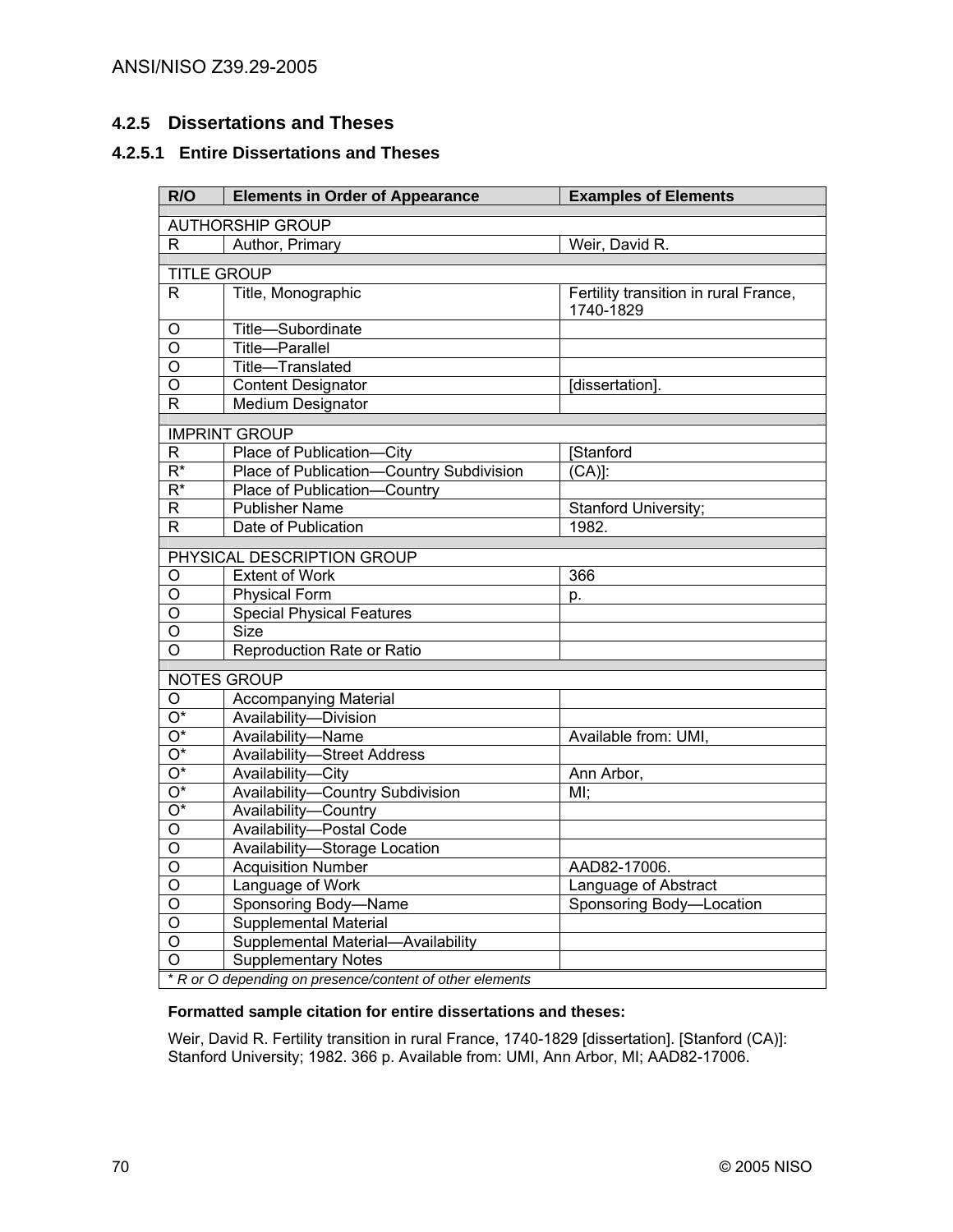## **4.2.5 Dissertations and Theses**

# **4.2.5.1 Entire Dissertations and Theses**

| R/O                     | <b>Elements in Order of Appearance</b>                            | <b>Examples of Elements</b>                        |
|-------------------------|-------------------------------------------------------------------|----------------------------------------------------|
| <b>AUTHORSHIP GROUP</b> |                                                                   |                                                    |
| R                       | Author, Primary                                                   | Weir, David R.                                     |
|                         | <b>TITLE GROUP</b>                                                |                                                    |
| R                       | Title, Monographic                                                | Fertility transition in rural France,<br>1740-1829 |
| O                       | Title-Subordinate                                                 |                                                    |
| $\circ$                 | <b>Title-Parallel</b>                                             |                                                    |
| O                       | Title-Translated                                                  |                                                    |
| O                       | <b>Content Designator</b>                                         | [dissertation]                                     |
| R                       | Medium Designator                                                 |                                                    |
|                         | <b>IMPRINT GROUP</b>                                              |                                                    |
| $\mathsf{R}$            | Place of Publication-City                                         | [Stanford                                          |
| $\overline{R^*}$        | Place of Publication-Country Subdivision                          | $\overline{(CA)}$ :                                |
| $\overline{R^*}$        | Place of Publication-Country                                      |                                                    |
| $\overline{R}$          | <b>Publisher Name</b>                                             | Stanford University;                               |
| R.                      | Date of Publication                                               | 1982.                                              |
|                         |                                                                   |                                                    |
|                         | PHYSICAL DESCRIPTION GROUP                                        |                                                    |
| O                       | <b>Extent of Work</b>                                             | 366                                                |
| $\overline{O}$          | <b>Physical Form</b>                                              | p.                                                 |
| O                       | <b>Special Physical Features</b>                                  |                                                    |
| O                       | Size                                                              |                                                    |
| $\overline{O}$          | Reproduction Rate or Ratio                                        |                                                    |
|                         | <b>NOTES GROUP</b>                                                |                                                    |
| O                       | <b>Accompanying Material</b>                                      |                                                    |
| $O^*$                   | Availability-Division                                             |                                                    |
| $\overline{O^*}$        | Availability-Name                                                 | Available from: UMI,                               |
| $\overline{O^*}$        | <b>Availability-Street Address</b>                                |                                                    |
| $\overline{O^*}$        | Availability-City                                                 | Ann Arbor,                                         |
| $\overline{O^*}$        | <b>Availability-Country Subdivision</b>                           | $MI$ ;                                             |
| $\overline{O^*}$        | Availability-Country                                              |                                                    |
| $\overline{O}$          | Availability-Postal Code                                          |                                                    |
| O                       | Availability-Storage Location                                     |                                                    |
| $\overline{O}$          | <b>Acquisition Number</b>                                         | AAD82-17006.                                       |
| $\overline{O}$          | Language of Work                                                  | Language of Abstract                               |
| $\overline{\rm o}$      | Sponsoring Body-Name                                              | Sponsoring Body-Location                           |
| O                       | Supplemental Material                                             |                                                    |
| $\overline{O}$          | Supplemental Material-Availability                                |                                                    |
| O                       | <b>Supplementary Notes</b>                                        |                                                    |
|                         | $*$ P or $\Omega$ depending on presence/content of other elements |                                                    |

\* *R or O depending on presence/content of other elements* 

### **Formatted sample citation for entire dissertations and theses:**

Weir, David R. Fertility transition in rural France, 1740-1829 [dissertation]. [Stanford (CA)]: Stanford University; 1982. 366 p. Available from: UMI, Ann Arbor, MI; AAD82-17006.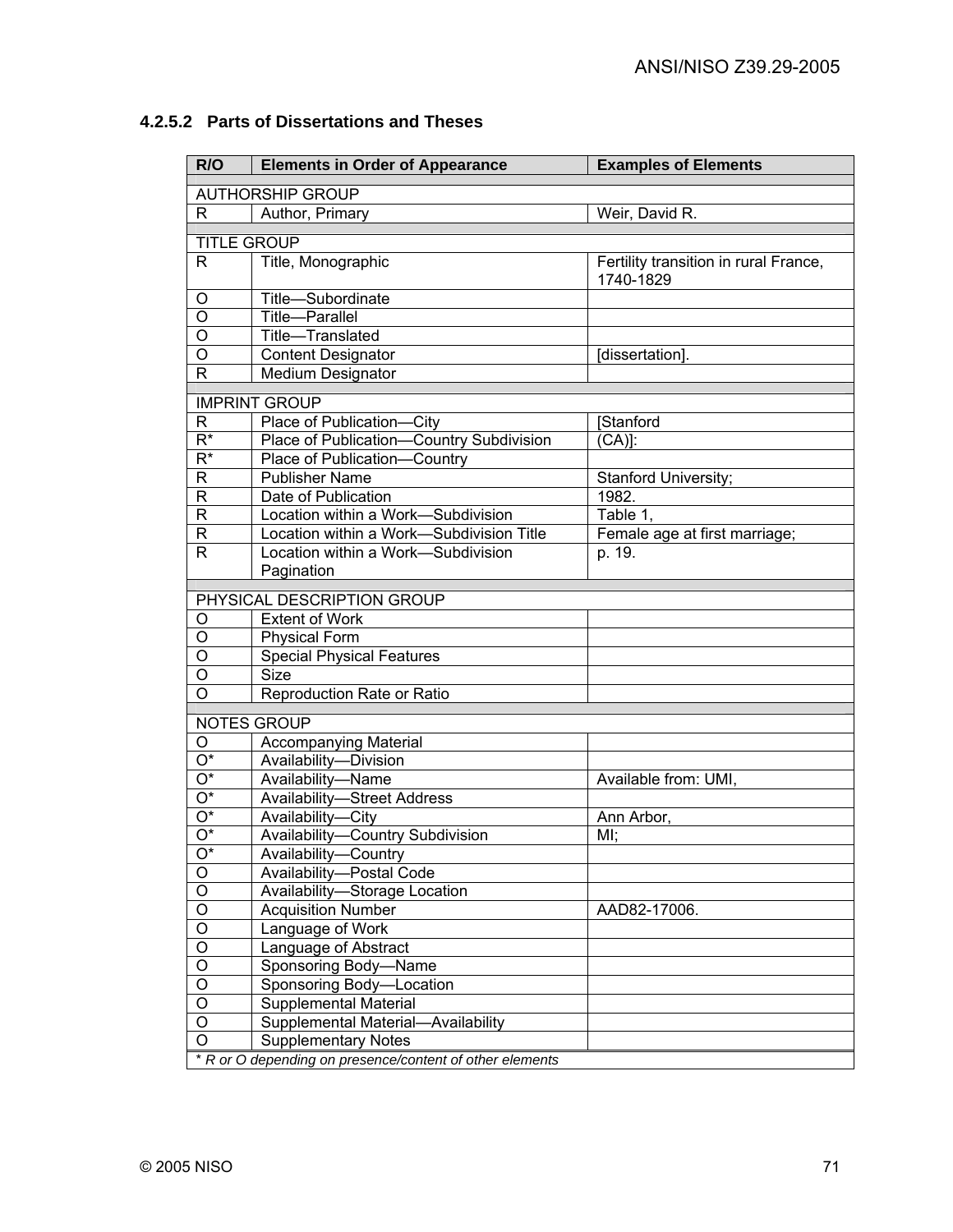| R/O                       | <b>Elements in Order of Appearance</b>                   | <b>Examples of Elements</b>                        |
|---------------------------|----------------------------------------------------------|----------------------------------------------------|
| <b>AUTHORSHIP GROUP</b>   |                                                          |                                                    |
| R                         | Author, Primary                                          | Weir, David R.                                     |
|                           |                                                          |                                                    |
|                           | <b>TITLE GROUP</b>                                       |                                                    |
| R                         | Title, Monographic                                       | Fertility transition in rural France,<br>1740-1829 |
| O                         | Title-Subordinate                                        |                                                    |
| $\overline{\circ}$        | Title-Parallel                                           |                                                    |
| $\overline{\circ}$        | Title-Translated                                         |                                                    |
| $\overline{\circ}$        | <b>Content Designator</b>                                | [dissertation].                                    |
| $\overline{\mathsf{R}}$   | Medium Designator                                        |                                                    |
|                           | <b>IMPRINT GROUP</b>                                     |                                                    |
| R                         | Place of Publication-City                                | <b>Stanford</b>                                    |
| $\overline{\mathsf{R}^*}$ | Place of Publication-Country Subdivision                 | $\overline{(CA)}$ :                                |
| $\overline{\mathsf{R}^*}$ | Place of Publication-Country                             |                                                    |
| R                         | <b>Publisher Name</b>                                    | Stanford University;                               |
| R                         | Date of Publication                                      | 1982.                                              |
| R                         | Location within a Work-Subdivision                       | Table 1,                                           |
| R                         | Location within a Work-Subdivision Title                 | Female age at first marriage;                      |
| R                         | Location within a Work-Subdivision                       | p. 19.                                             |
|                           | Pagination                                               |                                                    |
|                           |                                                          |                                                    |
|                           | PHYSICAL DESCRIPTION GROUP                               |                                                    |
| O                         | <b>Extent of Work</b>                                    |                                                    |
| O                         | <b>Physical Form</b>                                     |                                                    |
| O                         | <b>Special Physical Features</b>                         |                                                    |
| O                         | <b>Size</b>                                              |                                                    |
| O                         | Reproduction Rate or Ratio                               |                                                    |
|                           | <b>NOTES GROUP</b>                                       |                                                    |
| O                         | <b>Accompanying Material</b>                             |                                                    |
| $\overline{O^*}$          | Availability-Division                                    |                                                    |
| $\overline{O^*}$          | Availability-Name                                        | Available from: UMI,                               |
| $\overline{O^*}$          | <b>Availability-Street Address</b>                       |                                                    |
| $\overline{O^*}$          | Availability-City                                        | Ann Arbor,                                         |
| $\overline{O^*}$          | Availability-Country Subdivision                         | MI;                                                |
| $\overline{O^*}$          | Availability-Country                                     |                                                    |
| $\overline{O}$            | Availability-Postal Code                                 |                                                    |
| $\overline{\circ}$        | Availability-Storage Location                            |                                                    |
| $\overline{O}$            | <b>Acquisition Number</b>                                | AAD82-17006.                                       |
| $\overline{O}$            | Language of Work                                         |                                                    |
| $\overline{O}$            | Language of Abstract                                     |                                                    |
| $\overline{O}$            | Sponsoring Body-Name                                     |                                                    |
| $\overline{O}$            | Sponsoring Body-Location                                 |                                                    |
| $\overline{O}$            | Supplemental Material                                    |                                                    |
| $\overline{O}$            | Supplemental Material-Availability                       |                                                    |
| $\overline{0}$            | <b>Supplementary Notes</b>                               |                                                    |
|                           | * R or O depending on presence/content of other elements |                                                    |

# **4.2.5.2 Parts of Dissertations and Theses**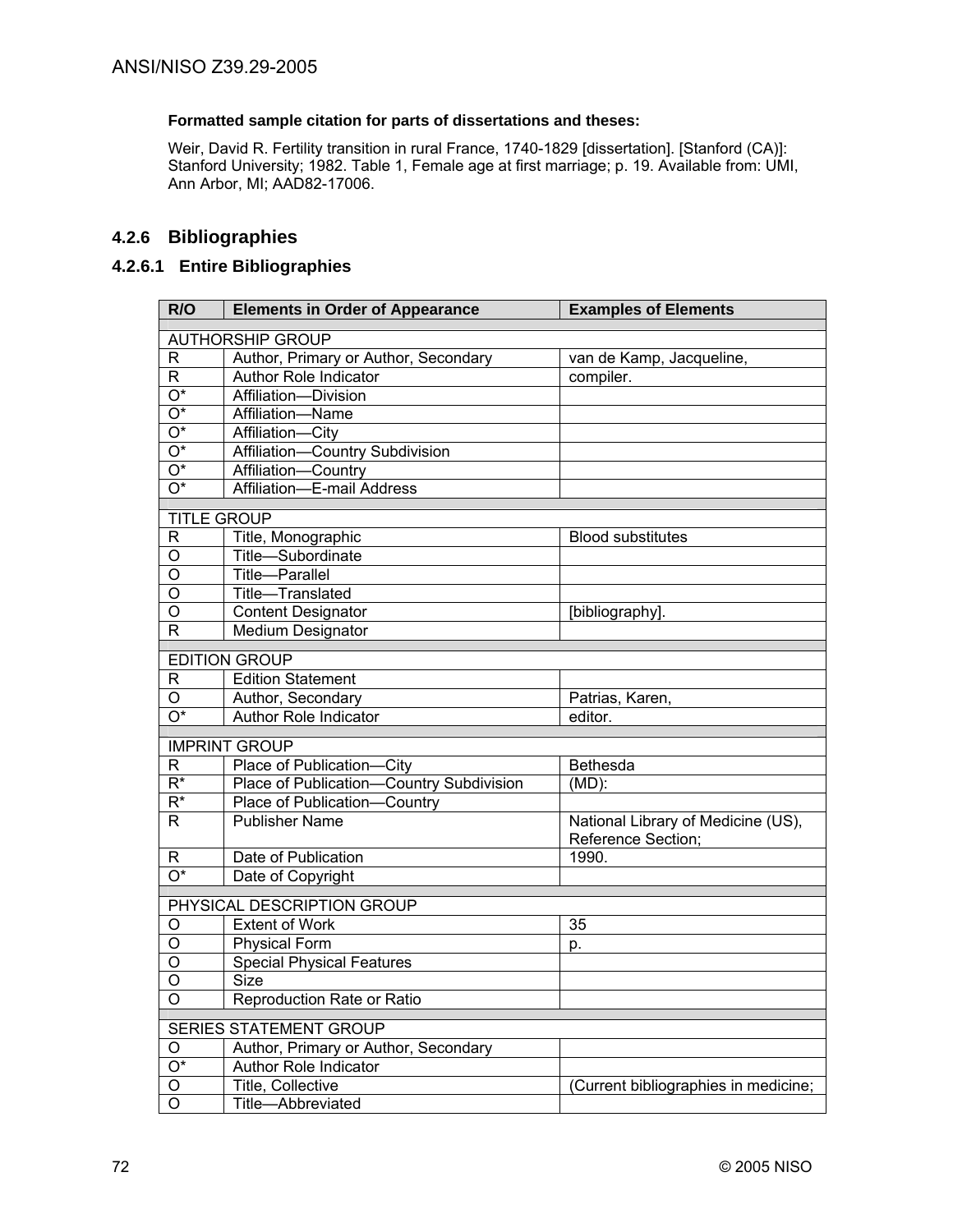## **Formatted sample citation for parts of dissertations and theses:**

Weir, David R. Fertility transition in rural France, 1740-1829 [dissertation]. [Stanford (CA)]: Stanford University; 1982. Table 1, Female age at first marriage; p. 19. Available from: UMI, Ann Arbor, MI; AAD82-17006.

# **4.2.6 Bibliographies**

## **4.2.6.1 Entire Bibliographies**

| R/O                       | <b>Elements in Order of Appearance</b>                                | <b>Examples of Elements</b>                              |  |
|---------------------------|-----------------------------------------------------------------------|----------------------------------------------------------|--|
|                           | <b>AUTHORSHIP GROUP</b>                                               |                                                          |  |
| R                         | Author, Primary or Author, Secondary                                  | van de Kamp, Jacqueline,                                 |  |
| R.                        | <b>Author Role Indicator</b>                                          | compiler.                                                |  |
| $\overline{O^*}$          | Affiliation-Division                                                  |                                                          |  |
| $\overline{O^*}$          | Affiliation-Name                                                      |                                                          |  |
| $\overline{O^*}$          | Affiliation-City                                                      |                                                          |  |
| $\overline{O^*}$          | Affiliation-Country Subdivision                                       |                                                          |  |
| $\overline{\mathrm{O}^*}$ | Affiliation-Country                                                   |                                                          |  |
| $\overline{O^*}$          | Affiliation-E-mail Address                                            |                                                          |  |
| <b>TITLE GROUP</b>        |                                                                       |                                                          |  |
| R                         | Title, Monographic                                                    | <b>Blood substitutes</b>                                 |  |
| Ο                         | Title-Subordinate                                                     |                                                          |  |
| O                         | Title-Parallel                                                        |                                                          |  |
| O                         | Title-Translated                                                      |                                                          |  |
| O                         | <b>Content Designator</b>                                             | [bibliography].                                          |  |
| R                         | <b>Medium Designator</b>                                              |                                                          |  |
|                           | <b>EDITION GROUP</b>                                                  |                                                          |  |
| R                         | <b>Edition Statement</b>                                              |                                                          |  |
| O                         | Author, Secondary                                                     | Patrias, Karen,                                          |  |
| $\overline{O^*}$          | Author Role Indicator                                                 | editor.                                                  |  |
|                           |                                                                       |                                                          |  |
|                           | <b>IMPRINT GROUP</b>                                                  |                                                          |  |
| R                         | Place of Publication-City                                             | <b>Bethesda</b>                                          |  |
| $\overline{\mathsf{R}^*}$ | Place of Publication-Country Subdivision                              | $(MD)$ :                                                 |  |
| $\overline{\mathsf{R}^*}$ | Place of Publication-<br>Country                                      |                                                          |  |
| $\mathsf{R}$              | <b>Publisher Name</b>                                                 | National Library of Medicine (US),<br>Reference Section; |  |
| R                         | Date of Publication                                                   | 1990.                                                    |  |
| $\overline{O^*}$          | Date of Copyright                                                     |                                                          |  |
|                           | PHYSICAL DESCRIPTION GROUP                                            |                                                          |  |
| O                         | <b>Extent of Work</b>                                                 | 35                                                       |  |
| O                         | Physical Form                                                         | p.                                                       |  |
| O                         | <b>Special Physical Features</b>                                      |                                                          |  |
| O                         | <b>Size</b>                                                           |                                                          |  |
| Ő                         | Reproduction Rate or Ratio                                            |                                                          |  |
|                           |                                                                       |                                                          |  |
|                           | <b>SERIES STATEMENT GROUP</b><br>Author, Primary or Author, Secondary |                                                          |  |
| O<br>$\overline{O^*}$     | Author Role Indicator                                                 |                                                          |  |
| O                         | Title, Collective                                                     | (Current bibliographies in medicine;                     |  |
| O                         | Title-Abbreviated                                                     |                                                          |  |
|                           |                                                                       |                                                          |  |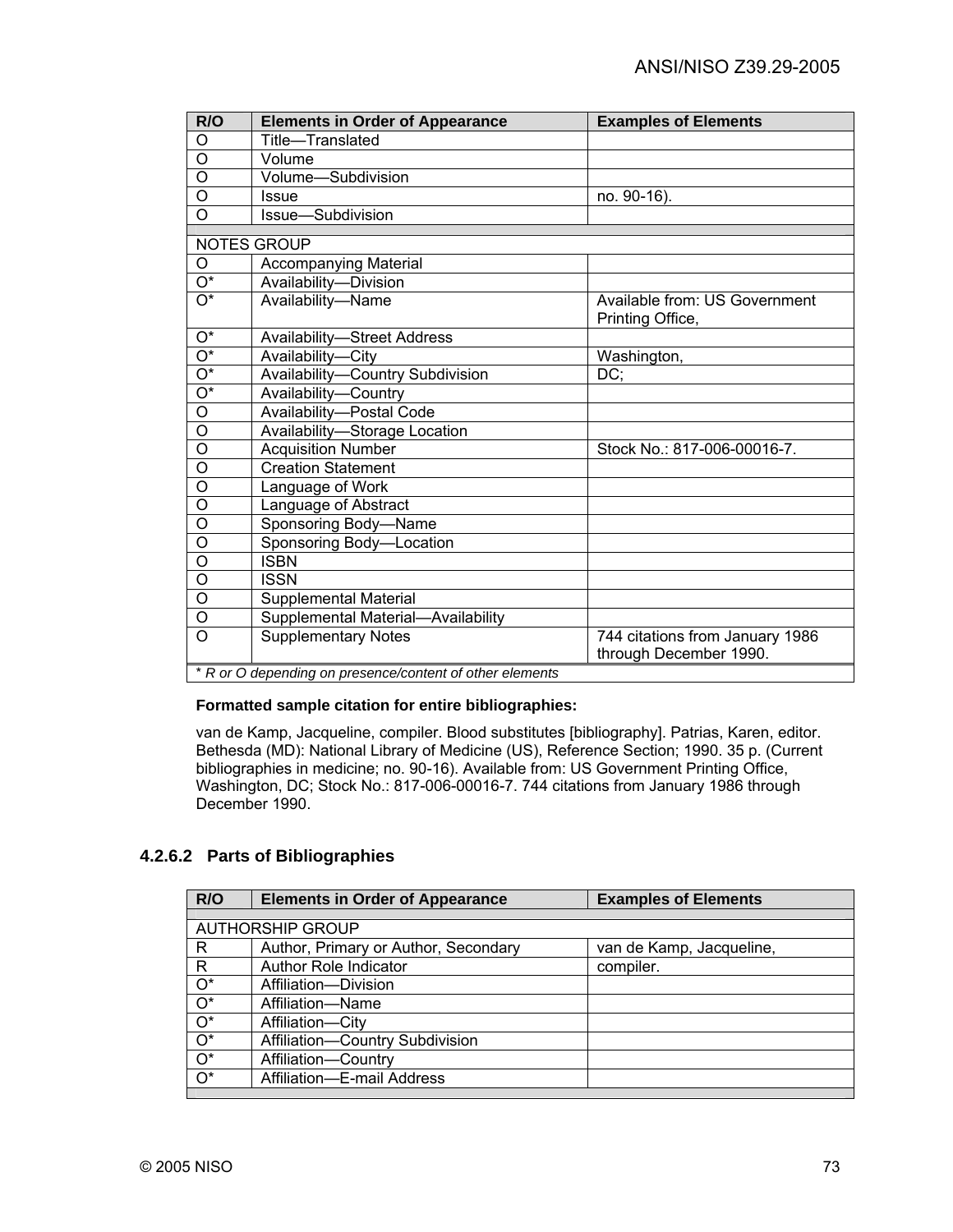| R/O                     | <b>Elements in Order of Appearance</b>                   | <b>Examples of Elements</b>                               |
|-------------------------|----------------------------------------------------------|-----------------------------------------------------------|
| O                       | Title-Translated                                         |                                                           |
| $\overline{O}$          | Volume                                                   |                                                           |
| O                       | Volume-Subdivision                                       |                                                           |
| $\overline{O}$          | Issue                                                    | no. 90-16).                                               |
| $\overline{O}$          | Issue-Subdivision                                        |                                                           |
|                         | <b>NOTES GROUP</b>                                       |                                                           |
| O                       |                                                          |                                                           |
| $\overline{O^*}$        | <b>Accompanying Material</b>                             |                                                           |
|                         | Availability-Division                                    |                                                           |
| $O^*$                   | Availability-Name                                        | Available from: US Government<br>Printing Office,         |
| $O^*$                   | <b>Availability-Street Address</b>                       |                                                           |
| $O^*$                   | Availability-City                                        | Washington,                                               |
| $\overline{O^*}$        | Availability-Country Subdivision                         | DC:                                                       |
| $\overline{O^*}$        | Availability-Country                                     |                                                           |
| $\overline{O}$          | Availability-Postal Code                                 |                                                           |
| O                       | Availability-Storage Location                            |                                                           |
| $\overline{O}$          | <b>Acquisition Number</b>                                | Stock No.: 817-006-00016-7.                               |
| O                       | <b>Creation Statement</b>                                |                                                           |
| $\overline{O}$          | Language of Work                                         |                                                           |
| O                       | Language of Abstract                                     |                                                           |
| $\overline{O}$          | Sponsoring Body-Name                                     |                                                           |
| $\overline{O}$          | Sponsoring Body-Location                                 |                                                           |
| $\overline{\mathsf{o}}$ | <b>ISBN</b>                                              |                                                           |
| $\overline{\circ}$      | <b>ISSN</b>                                              |                                                           |
| O                       | Supplemental Material                                    |                                                           |
| O                       | Supplemental Material-Availability                       |                                                           |
| $\overline{O}$          | <b>Supplementary Notes</b>                               | 744 citations from January 1986<br>through December 1990. |
|                         | * R or O depending on presence/content of other elements |                                                           |

#### **Formatted sample citation for entire bibliographies:**

van de Kamp, Jacqueline, compiler. Blood substitutes [bibliography]. Patrias, Karen, editor. Bethesda (MD): National Library of Medicine (US), Reference Section; 1990. 35 p. (Current bibliographies in medicine; no. 90-16). Available from: US Government Printing Office, Washington, DC; Stock No.: 817-006-00016-7. 744 citations from January 1986 through December 1990.

## **4.2.6.2 Parts of Bibliographies**

| R/O   | <b>Elements in Order of Appearance</b> | <b>Examples of Elements</b> |
|-------|----------------------------------------|-----------------------------|
|       |                                        |                             |
|       | <b>AUTHORSHIP GROUP</b>                |                             |
| R     | Author, Primary or Author, Secondary   | van de Kamp, Jacqueline,    |
| R     | <b>Author Role Indicator</b>           | compiler.                   |
| $O^*$ | Affiliation-Division                   |                             |
| $O^*$ | Affiliation-Name                       |                             |
| $O^*$ | Affiliation-City                       |                             |
| $O^*$ | Affiliation-Country Subdivision        |                             |
| $O^*$ | Affiliation-Country                    |                             |
| $O^*$ | Affiliation-E-mail Address             |                             |
|       |                                        |                             |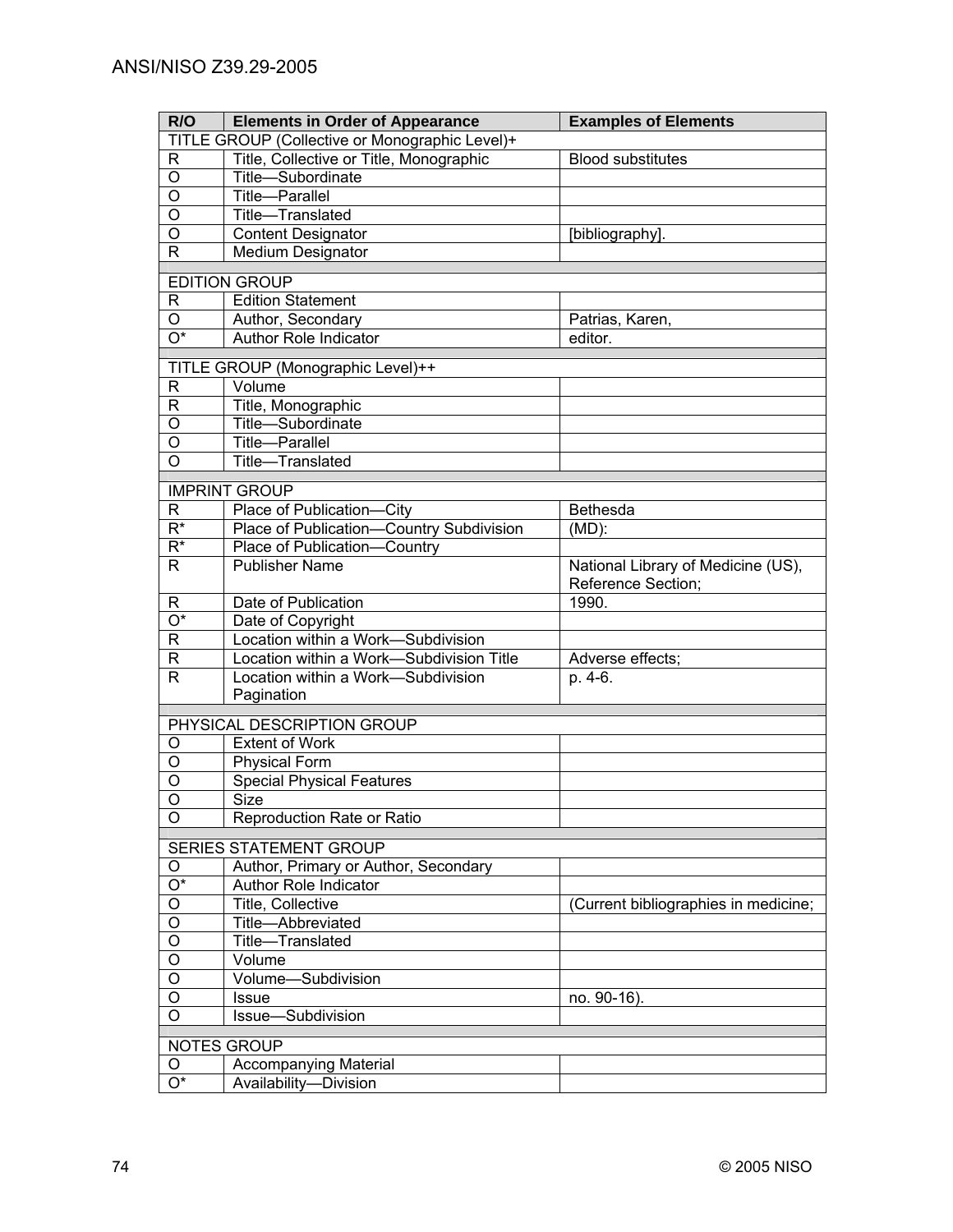| R/O                       | <b>Elements in Order of Appearance</b>         | <b>Examples of Elements</b>         |
|---------------------------|------------------------------------------------|-------------------------------------|
|                           | TITLE GROUP (Collective or Monographic Level)+ |                                     |
| R                         | Title, Collective or Title, Monographic        | <b>Blood substitutes</b>            |
| $\mathsf O$               | Title-Subordinate                              |                                     |
| $\overline{\mathsf{o}}$   | Title-Parallel                                 |                                     |
| $\overline{\mathsf{o}}$   | Title-Translated                               |                                     |
| $\overline{0}$            | <b>Content Designator</b>                      | [bibliography].                     |
| $\mathsf{R}$              | Medium Designator                              |                                     |
|                           |                                                |                                     |
|                           | <b>EDITION GROUP</b>                           |                                     |
| R                         | <b>Edition Statement</b>                       |                                     |
| $\circ$                   | Author, Secondary                              | Patrias, Karen,                     |
| $\overline{\mathrm{O}^*}$ | <b>Author Role Indicator</b>                   | editor.                             |
|                           | TITLE GROUP (Monographic Level)++              |                                     |
| $\mathsf{R}$              | Volume                                         |                                     |
| $\mathsf R$               | Title, Monographic                             |                                     |
| $\overline{0}$            | Title-Subordinate                              |                                     |
| $\overline{0}$            | Title-Parallel                                 |                                     |
| $\overline{O}$            | Title-Translated                               |                                     |
|                           |                                                |                                     |
|                           | <b>IMPRINT GROUP</b>                           |                                     |
| R                         | Place of Publication-City                      | <b>Bethesda</b>                     |
| $R^*$                     | Place of Publication-Country Subdivision       | $(MD)$ :                            |
| $R^*$                     | Place of Publication-Country                   |                                     |
| R                         | <b>Publisher Name</b>                          | National Library of Medicine (US),  |
|                           |                                                | Reference Section;                  |
| R                         | Date of Publication                            | 1990.                               |
| $\overline{O^*}$          | Date of Copyright                              |                                     |
| $\overline{R}$            | Location within a Work-Subdivision             |                                     |
| $\mathsf R$               | Location within a Work-Subdivision Title       | Adverse effects;                    |
| $\mathsf{R}$              | Location within a Work-Subdivision             | p. 4-6.                             |
|                           | Pagination                                     |                                     |
|                           | PHYSICAL DESCRIPTION GROUP                     |                                     |
| O                         | <b>Extent of Work</b>                          |                                     |
| O                         | <b>Physical Form</b>                           |                                     |
| O                         | <b>Special Physical Features</b>               |                                     |
| $\circ$                   | Size                                           |                                     |
| O                         | <b>Reproduction Rate or Ratio</b>              |                                     |
|                           |                                                |                                     |
|                           | SERIES STATEMENT GROUP                         |                                     |
| O                         | Author, Primary or Author, Secondary           |                                     |
| $O^*$                     | Author Role Indicator                          |                                     |
| O                         | Title, Collective                              | Current bibliographies in medicine; |
| $\overline{O}$            | Title-Abbreviated                              |                                     |
| $\overline{O}$            | Title-Translated                               |                                     |
| $\overline{O}$            | Volume                                         |                                     |
| $\overline{O}$            | Volume-Subdivision                             |                                     |
| $\mathsf O$               | <b>Issue</b>                                   | no. 90-16).                         |
| $\circ$                   | Issue-Subdivision                              |                                     |
| NOTES GROUP               |                                                |                                     |
| O                         | <b>Accompanying Material</b>                   |                                     |
| $\overline{O^*}$          | Availability-Division                          |                                     |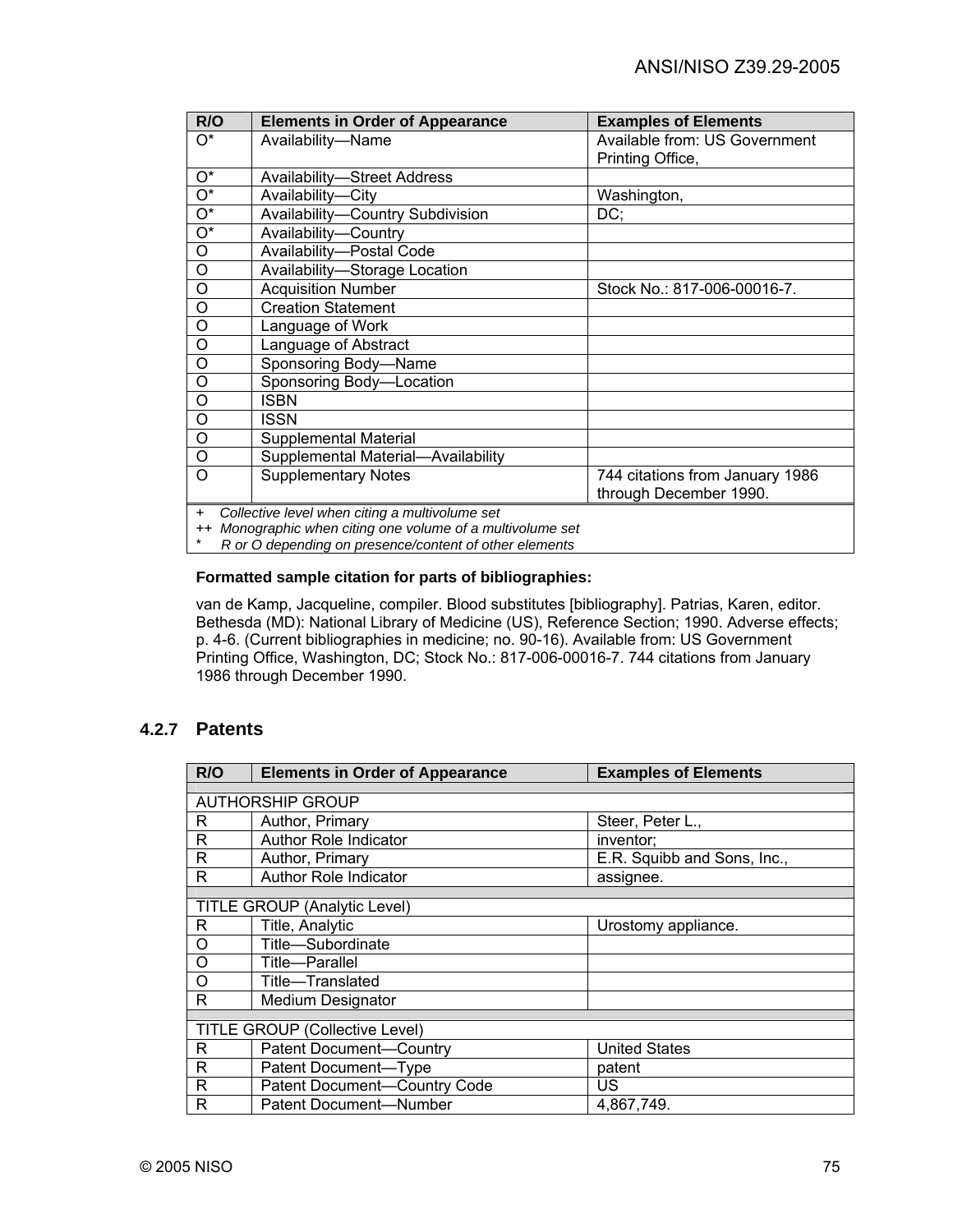| R/O      | <b>Elements in Order of Appearance</b>                                      | <b>Examples of Elements</b>     |
|----------|-----------------------------------------------------------------------------|---------------------------------|
| $O^*$    | Availability-Name                                                           | Available from: US Government   |
|          |                                                                             | Printing Office,                |
| $O^*$    | <b>Availability-Street Address</b>                                          |                                 |
| $O^*$    | Availability-City                                                           | Washington,                     |
| $O^*$    | Availability-Country Subdivision                                            | DC;                             |
| $O^*$    | Availability-Country                                                        |                                 |
| O        | Availability-Postal Code                                                    |                                 |
| O        | Availability-Storage Location                                               |                                 |
| $\circ$  | <b>Acquisition Number</b>                                                   | Stock No.: 817-006-00016-7.     |
| O        | <b>Creation Statement</b>                                                   |                                 |
| O        | Language of Work                                                            |                                 |
| $\circ$  | Language of Abstract                                                        |                                 |
| O        | Sponsoring Body-Name                                                        |                                 |
| O        | Sponsoring Body-Location                                                    |                                 |
| $\circ$  | <b>ISBN</b>                                                                 |                                 |
| O        | <b>ISSN</b>                                                                 |                                 |
| O        | Supplemental Material                                                       |                                 |
| $\circ$  | Supplemental Material-Availability                                          |                                 |
| $\Omega$ | <b>Supplementary Notes</b>                                                  | 744 citations from January 1986 |
|          |                                                                             | through December 1990.          |
| $+$      | Collective level when citing a multivolume set<br>$\mathbf{u} = \mathbf{v}$ |                                 |

++ *Monographic when citing one volume of a multivolume set*

\* *R or O depending on presence/content of other elements* 

### **Formatted sample citation for parts of bibliographies:**

van de Kamp, Jacqueline, compiler. Blood substitutes [bibliography]. Patrias, Karen, editor. Bethesda (MD): National Library of Medicine (US), Reference Section; 1990. Adverse effects; p. 4-6. (Current bibliographies in medicine; no. 90-16). Available from: US Government Printing Office, Washington, DC; Stock No.: 817-006-00016-7. 744 citations from January 1986 through December 1990.

### **4.2.7 Patents**

| R/O | <b>Elements in Order of Appearance</b> | <b>Examples of Elements</b> |
|-----|----------------------------------------|-----------------------------|
|     |                                        |                             |
|     | <b>AUTHORSHIP GROUP</b>                |                             |
| R   | Author, Primary                        | Steer, Peter L.,            |
| R   | <b>Author Role Indicator</b>           | inventor;                   |
| R   | Author, Primary                        | E.R. Squibb and Sons, Inc., |
| R   | Author Role Indicator                  | assignee.                   |
|     |                                        |                             |
|     | <b>TITLE GROUP (Analytic Level)</b>    |                             |
| R   | Title, Analytic                        | Urostomy appliance.         |
| O   | Title-Subordinate                      |                             |
| O   | Title-Parallel                         |                             |
| O   | Title-Translated                       |                             |
| R   | <b>Medium Designator</b>               |                             |
|     |                                        |                             |
|     | <b>TITLE GROUP (Collective Level)</b>  |                             |
| R   | Patent Document-Country                | <b>United States</b>        |
| R   | Patent Document-Type                   | patent                      |
| R   | Patent Document-Country Code           | US                          |
| R   | <b>Patent Document-Number</b>          | 4.867.749.                  |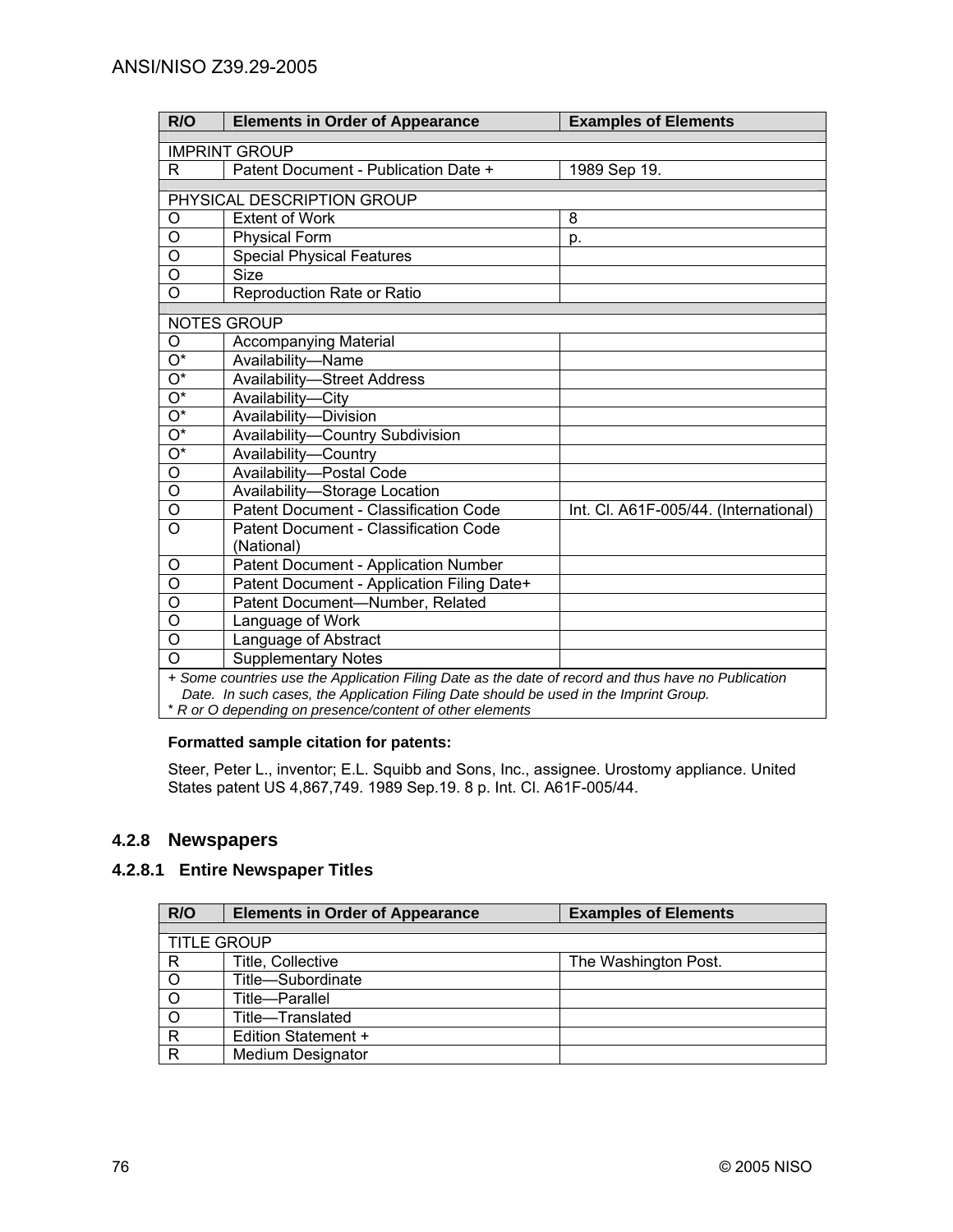| R/O                     | <b>Elements in Order of Appearance</b>                                                              | <b>Examples of Elements</b>           |
|-------------------------|-----------------------------------------------------------------------------------------------------|---------------------------------------|
| <b>IMPRINT GROUP</b>    |                                                                                                     |                                       |
| R.                      | Patent Document - Publication Date +                                                                | 1989 Sep 19.                          |
|                         |                                                                                                     |                                       |
|                         | PHYSICAL DESCRIPTION GROUP                                                                          |                                       |
| O                       | <b>Extent of Work</b>                                                                               | 8                                     |
| $\overline{0}$          | <b>Physical Form</b>                                                                                | p.                                    |
| $\overline{0}$          | <b>Special Physical Features</b>                                                                    |                                       |
| $\overline{\mathsf{o}}$ | <b>Size</b>                                                                                         |                                       |
| $\overline{\mathsf{o}}$ | Reproduction Rate or Ratio                                                                          |                                       |
|                         | NOTES GROUP                                                                                         |                                       |
| O                       | <b>Accompanying Material</b>                                                                        |                                       |
| $\overline{O^*}$        | Availability-Name                                                                                   |                                       |
| $\overline{O^*}$        | <b>Availability-Street Address</b>                                                                  |                                       |
| $\overline{O^*}$        | Availability-City                                                                                   |                                       |
| $\overline{O^*}$        | Availability-Division                                                                               |                                       |
| $\overline{O^*}$        | Availability-Country Subdivision                                                                    |                                       |
| $\overline{O^*}$        | Availability-Country                                                                                |                                       |
| $\overline{\mathsf{o}}$ | Availability-Postal Code                                                                            |                                       |
| $\overline{\mathsf{o}}$ | Availability-Storage Location                                                                       |                                       |
| O                       | Patent Document - Classification Code                                                               | Int. Cl. A61F-005/44. (International) |
| $\overline{O}$          | Patent Document - Classification Code                                                               |                                       |
|                         | (National)                                                                                          |                                       |
| O                       | Patent Document - Application Number                                                                |                                       |
| $\overline{\mathsf{o}}$ | Patent Document - Application Filing Date+                                                          |                                       |
| $\overline{\mathsf{o}}$ | Patent Document-Number, Related                                                                     |                                       |
| $\overline{\mathsf{o}}$ | Language of Work                                                                                    |                                       |
| $\overline{0}$          | Language of Abstract                                                                                |                                       |
| $\overline{\mathsf{o}}$ | <b>Supplementary Notes</b>                                                                          |                                       |
|                         | + Some countries use the Application Filing Date as the date of record and thus have no Publication |                                       |

*Date. In such cases, the Application Filing Date should be used in the Imprint Group.*

\* *R or O depending on presence/content of other elements* 

## **Formatted sample citation for patents:**

Steer, Peter L., inventor; E.L. Squibb and Sons, Inc., assignee. Urostomy appliance. United States patent US 4,867,749. 1989 Sep. 19. 8 p. Int. Cl. A61F-005/44.

# **4.2.8 Newspapers**

# **4.2.8.1 Entire Newspaper Titles**

| R/O                | <b>Elements in Order of Appearance</b> | <b>Examples of Elements</b> |
|--------------------|----------------------------------------|-----------------------------|
|                    |                                        |                             |
| <b>TITLE GROUP</b> |                                        |                             |
| R                  | Title, Collective                      | The Washington Post.        |
|                    | Title-Subordinate                      |                             |
| $\circ$            | Title-Parallel                         |                             |
| $\circ$            | Title-Translated                       |                             |
| $\mathsf{R}$       | Edition Statement +                    |                             |
| R                  | <b>Medium Designator</b>               |                             |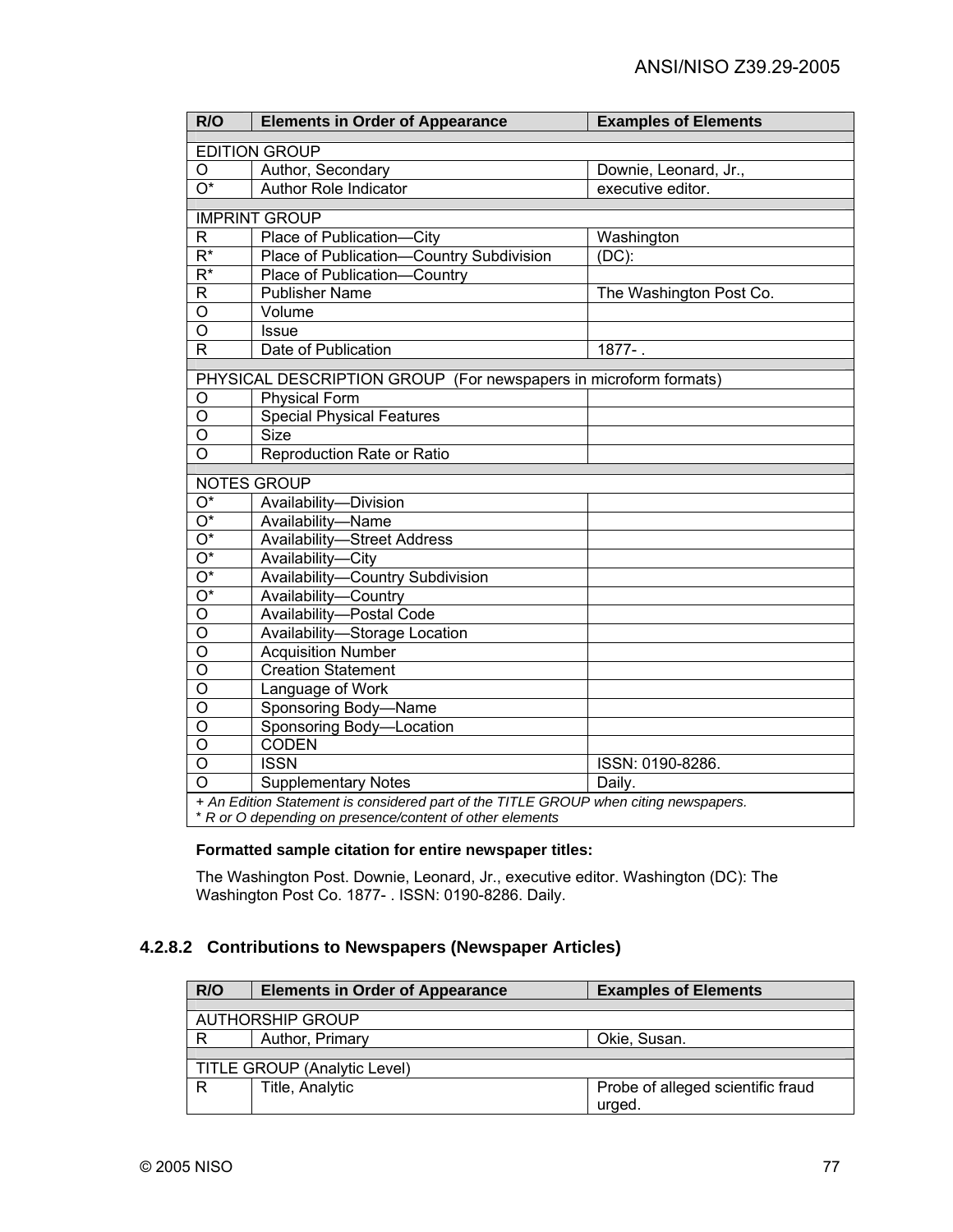| R/O                                                                                  | <b>Elements in Order of Appearance</b>                           | <b>Examples of Elements</b> |
|--------------------------------------------------------------------------------------|------------------------------------------------------------------|-----------------------------|
| <b>EDITION GROUP</b>                                                                 |                                                                  |                             |
| O                                                                                    | Author, Secondary                                                | Downie, Leonard, Jr.,       |
| $\overline{O^*}$                                                                     | Author Role Indicator                                            | executive editor.           |
|                                                                                      |                                                                  |                             |
|                                                                                      | <b>IMPRINT GROUP</b>                                             |                             |
| R                                                                                    | Place of Publication-City                                        | Washington                  |
| $R^*$                                                                                | Place of Publication-Country Subdivision                         | $(DC)$ :                    |
| $\overline{R^*}$                                                                     | Place of Publication-Country                                     |                             |
| R                                                                                    | <b>Publisher Name</b>                                            | The Washington Post Co.     |
| $\overline{0}$                                                                       | Volume                                                           |                             |
| $\overline{0}$                                                                       | <b>Issue</b>                                                     |                             |
| $\overline{\mathsf{R}}$                                                              | Date of Publication                                              | $1877 - 1$                  |
|                                                                                      | PHYSICAL DESCRIPTION GROUP (For newspapers in microform formats) |                             |
| O                                                                                    | <b>Physical Form</b>                                             |                             |
| $\circ$                                                                              | <b>Special Physical Features</b>                                 |                             |
| $\overline{0}$                                                                       | <b>Size</b>                                                      |                             |
| $\overline{O}$                                                                       | <b>Reproduction Rate or Ratio</b>                                |                             |
|                                                                                      |                                                                  |                             |
|                                                                                      | <b>NOTES GROUP</b>                                               |                             |
| $O^*$                                                                                | Availability-Division                                            |                             |
| $\overline{O^*}$                                                                     | Availability-Name                                                |                             |
| $\overline{O^*}$                                                                     | <b>Availability-Street Address</b>                               |                             |
| $\overline{O^*}$                                                                     | Availability-City                                                |                             |
| $\overline{O^*}$                                                                     | Availability-Country Subdivision                                 |                             |
| $O^*$                                                                                | Availability-Country                                             |                             |
| $\overline{O}$                                                                       | Availability-Postal Code                                         |                             |
| $\mathsf O$                                                                          | Availability-Storage Location                                    |                             |
| $\overline{O}$                                                                       | <b>Acquisition Number</b>                                        |                             |
| $\overline{O}$                                                                       | <b>Creation Statement</b>                                        |                             |
| O                                                                                    | Language of Work                                                 |                             |
| O                                                                                    | Sponsoring Body-Name                                             |                             |
| O                                                                                    | Sponsoring Body-Location                                         |                             |
| O                                                                                    | <b>CODEN</b>                                                     |                             |
| $\circ$                                                                              | <b>ISSN</b>                                                      | ISSN: 0190-8286.            |
| $\circ$                                                                              | <b>Supplementary Notes</b>                                       | Daily.                      |
| + An Edition Statement is considered part of the TITLE GROUP when citing newspapers. |                                                                  |                             |
| * R or O depending on presence/content of other elements                             |                                                                  |                             |

## **Formatted sample citation for entire newspaper titles:**

The Washington Post. Downie, Leonard, Jr., executive editor. Washington (DC): The Washington Post Co. 1877- . ISSN: 0190-8286. Daily.

## **4.2.8.2 Contributions to Newspapers (Newspaper Articles)**

| R/O                                 | <b>Elements in Order of Appearance</b> | <b>Examples of Elements</b>       |
|-------------------------------------|----------------------------------------|-----------------------------------|
|                                     |                                        |                                   |
|                                     | <b>AUTHORSHIP GROUP</b>                |                                   |
| R                                   | Author, Primary                        | Okie, Susan.                      |
|                                     |                                        |                                   |
| <b>TITLE GROUP (Analytic Level)</b> |                                        |                                   |
| R                                   | Title, Analytic                        | Probe of alleged scientific fraud |
|                                     |                                        | urged.                            |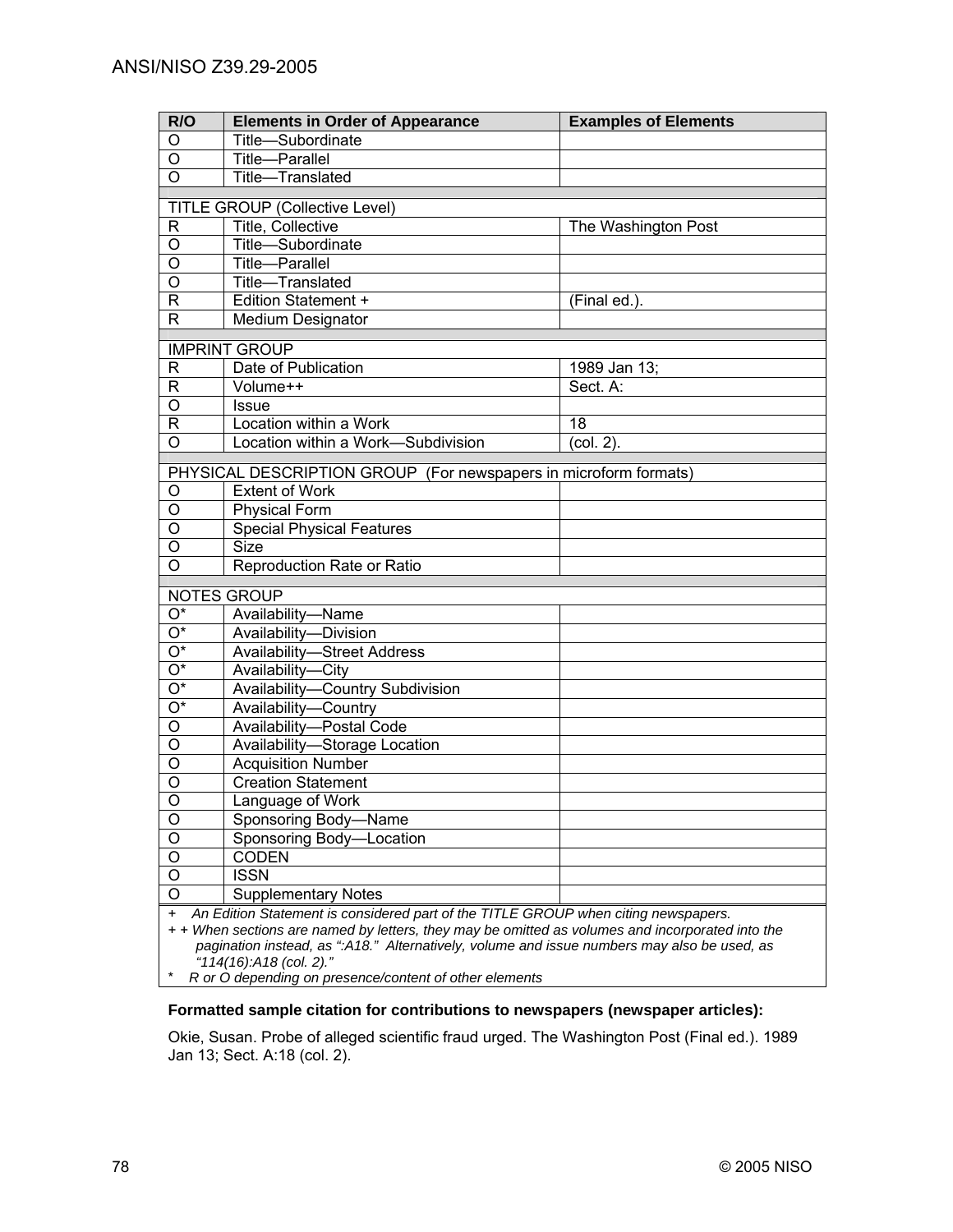| R/O                                                                                              | <b>Elements in Order of Appearance</b>                                                      | <b>Examples of Elements</b> |
|--------------------------------------------------------------------------------------------------|---------------------------------------------------------------------------------------------|-----------------------------|
| O                                                                                                | Title-Subordinate                                                                           |                             |
| O                                                                                                | <b>Title-Parallel</b>                                                                       |                             |
| $\circ$                                                                                          | Title-Translated                                                                            |                             |
|                                                                                                  | <b>TITLE GROUP (Collective Level)</b>                                                       |                             |
| R                                                                                                | <b>Title, Collective</b>                                                                    | The Washington Post         |
| O                                                                                                | Title-Subordinate                                                                           |                             |
| O                                                                                                | Title-Parallel                                                                              |                             |
| O                                                                                                | Title-Translated                                                                            |                             |
| R                                                                                                | Edition Statement +                                                                         | (Final ed.).                |
| R                                                                                                | <b>Medium Designator</b>                                                                    |                             |
|                                                                                                  | <b>IMPRINT GROUP</b>                                                                        |                             |
| $\mathsf{R}$                                                                                     | Date of Publication                                                                         | 1989 Jan 13;                |
| $\mathsf R$                                                                                      | Volume++                                                                                    | Sect. A:                    |
| $\overline{O}$                                                                                   | <b>Issue</b>                                                                                |                             |
| $\overline{R}$                                                                                   | Location within a Work                                                                      | 18                          |
| $\overline{O}$                                                                                   | Location within a Work-Subdivision                                                          | $(col. 2)$ .                |
|                                                                                                  | PHYSICAL DESCRIPTION GROUP (For newspapers in microform formats)                            |                             |
| O                                                                                                | <b>Extent of Work</b>                                                                       |                             |
| O                                                                                                | <b>Physical Form</b>                                                                        |                             |
| O                                                                                                | <b>Special Physical Features</b>                                                            |                             |
| O                                                                                                | Size <sup>T</sup>                                                                           |                             |
| O                                                                                                | Reproduction Rate or Ratio                                                                  |                             |
|                                                                                                  | <b>NOTES GROUP</b>                                                                          |                             |
| $O^*$                                                                                            |                                                                                             |                             |
| $\overline{O^*}$                                                                                 | Availability-Name                                                                           |                             |
| $\overline{O^*}$                                                                                 | Availability-Division                                                                       |                             |
| $\overline{O^*}$                                                                                 | <b>Availability-Street Address</b><br>Availability-City                                     |                             |
| $\overline{O^*}$                                                                                 | Availability-Country Subdivision                                                            |                             |
| $\overline{O^*}$                                                                                 | Availability-Country                                                                        |                             |
| $\overline{\circ}$                                                                               | Availability-Postal Code                                                                    |                             |
| $\overline{\circ}$                                                                               | Availability-Storage Location                                                               |                             |
| $\overline{\circ}$                                                                               | <b>Acquisition Number</b>                                                                   |                             |
| $\overline{\circ}$                                                                               | <b>Creation Statement</b>                                                                   |                             |
| $\overline{O}$                                                                                   | Language of Work                                                                            |                             |
| O                                                                                                | Sponsoring Body-Name                                                                        |                             |
| O                                                                                                | Sponsoring Body-Location                                                                    |                             |
| $\overline{O}$                                                                                   | <b>CODEN</b>                                                                                |                             |
| $\overline{O}$                                                                                   | <b>ISSN</b>                                                                                 |                             |
| $\overline{O}$                                                                                   | <b>Supplementary Notes</b>                                                                  |                             |
| An Edition Statement is considered part of the TITLE GROUP when citing newspapers.<br>+          |                                                                                             |                             |
| + + When sections are named by letters, they may be omitted as volumes and incorporated into the |                                                                                             |                             |
|                                                                                                  | pagination instead, as ":A18." Alternatively, volume and issue numbers may also be used, as |                             |
| "114(16):A18 (col. 2)."                                                                          |                                                                                             |                             |

\* *R or O depending on presence/content of other elements* 

### **Formatted sample citation for contributions to newspapers (newspaper articles):**

Okie, Susan. Probe of alleged scientific fraud urged. The Washington Post (Final ed.). 1989 Jan 13; Sect. A:18 (col. 2).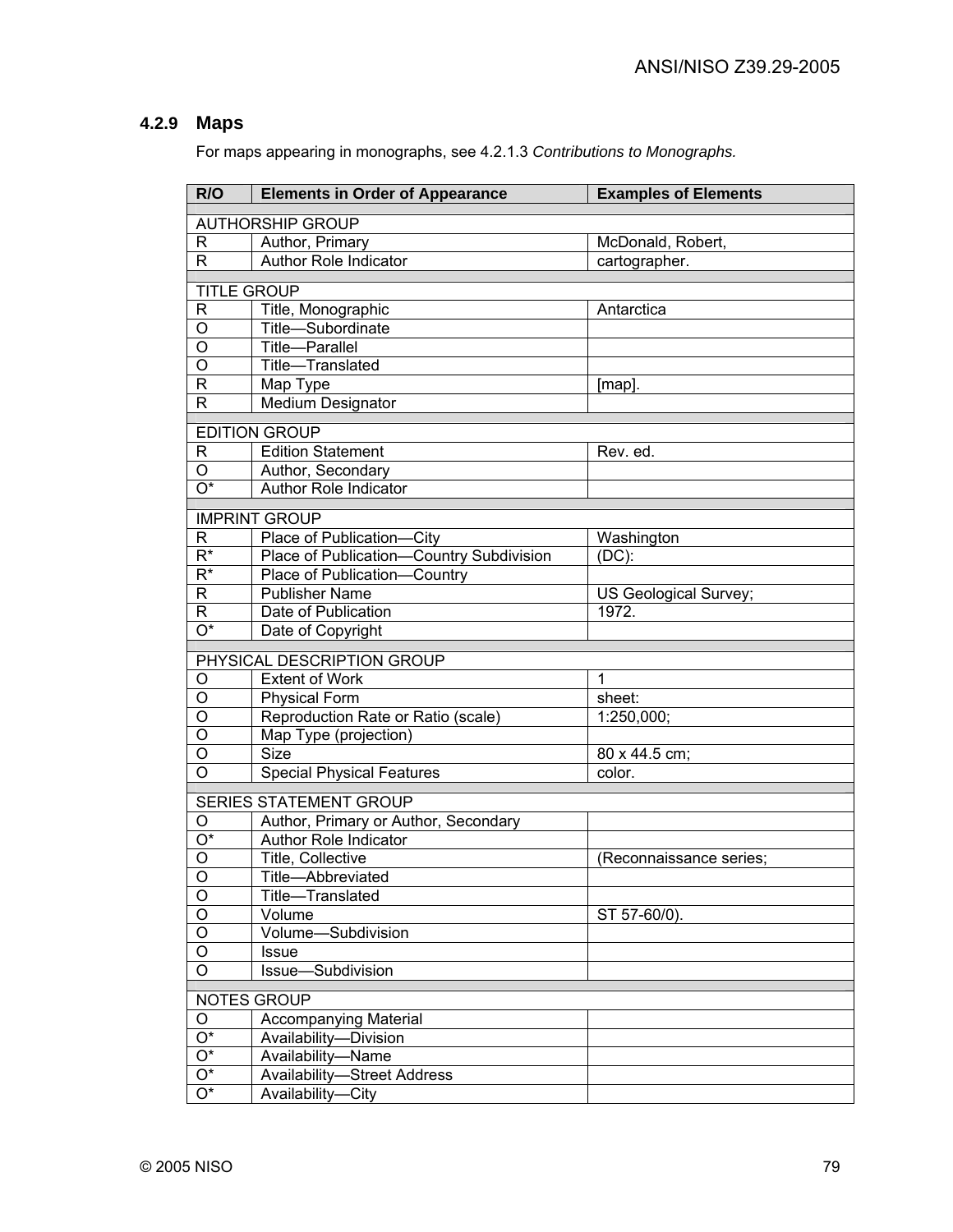# **4.2.9 Maps**

For maps appearing in monographs, see 4.2.1.3 *Contributions to Monographs.*

| R/O                       | <b>Elements in Order of Appearance</b>   | <b>Examples of Elements</b> |
|---------------------------|------------------------------------------|-----------------------------|
|                           | <b>AUTHORSHIP GROUP</b>                  |                             |
| R                         | Author, Primary                          | McDonald, Robert,           |
| $\mathsf{R}$              | Author Role Indicator                    | cartographer.               |
|                           |                                          |                             |
|                           | <b>TITLE GROUP</b>                       |                             |
| $\mathsf R$               | Title, Monographic                       | Antarctica                  |
| O                         | Title-Subordinate                        |                             |
| O                         | Title-Parallel                           |                             |
| O                         | Title-Translated                         |                             |
| $\mathsf{R}$              | Map Type                                 | [map].                      |
| R                         | <b>Medium Designator</b>                 |                             |
|                           | <b>EDITION GROUP</b>                     |                             |
| $\mathsf{R}$              | <b>Edition Statement</b>                 | Rev. ed.                    |
| $\mathsf O$               | Author, Secondary                        |                             |
| $\overline{O^*}$          | Author Role Indicator                    |                             |
|                           | <b>IMPRINT GROUP</b>                     |                             |
| R                         | Place of Publication-City                | Washington                  |
| $R^*$                     | Place of Publication-Country Subdivision | $(DC)$ :                    |
| $R^*$                     | Place of Publication-Country             |                             |
| $\mathsf R$               | <b>Publisher Name</b>                    | US Geological Survey;       |
| R                         | Date of Publication                      | 1972.                       |
| O*                        | Date of Copyright                        |                             |
|                           |                                          |                             |
|                           | PHYSICAL DESCRIPTION GROUP               |                             |
| O                         | <b>Extent of Work</b>                    | 1                           |
| O                         | <b>Physical Form</b>                     | sheet:                      |
| O                         | Reproduction Rate or Ratio (scale)       | 1:250,000;                  |
| O                         | Map Type (projection)                    |                             |
| O                         | <b>Size</b>                              | 80 x 44.5 cm;               |
| $\overline{O}$            | <b>Special Physical Features</b>         | color.                      |
|                           | <b>SERIES STATEMENT GROUP</b>            |                             |
| O                         | Author, Primary or Author, Secondary     |                             |
| $\overline{\mathrm{O}^*}$ | <b>Author Role Indicator</b>             |                             |
| $\overline{O}$            | Title, Collective                        | (Reconnaissance series;     |
| $\overline{O}$            | Title-Abbreviated                        |                             |
| O                         | Title-Translated                         |                             |
| $\mathsf O$               | Volume                                   | ST 57-60/0).                |
| $\overline{0}$            | Volume-Subdivision                       |                             |
| $\overline{0}$            | <b>Issue</b>                             |                             |
| $\overline{O}$            | Issue-Subdivision                        |                             |
|                           | NOTES GROUP                              |                             |
| O                         | <b>Accompanying Material</b>             |                             |
| $\overline{\mathrm{O}^*}$ | Availability-Division                    |                             |
| $\overline{O^*}$          | Availability-Name                        |                             |
| $\overline{O^*}$          | <b>Availability-Street Address</b>       |                             |
| $\overline{\mathrm{O}^*}$ | Availability-City                        |                             |
|                           |                                          |                             |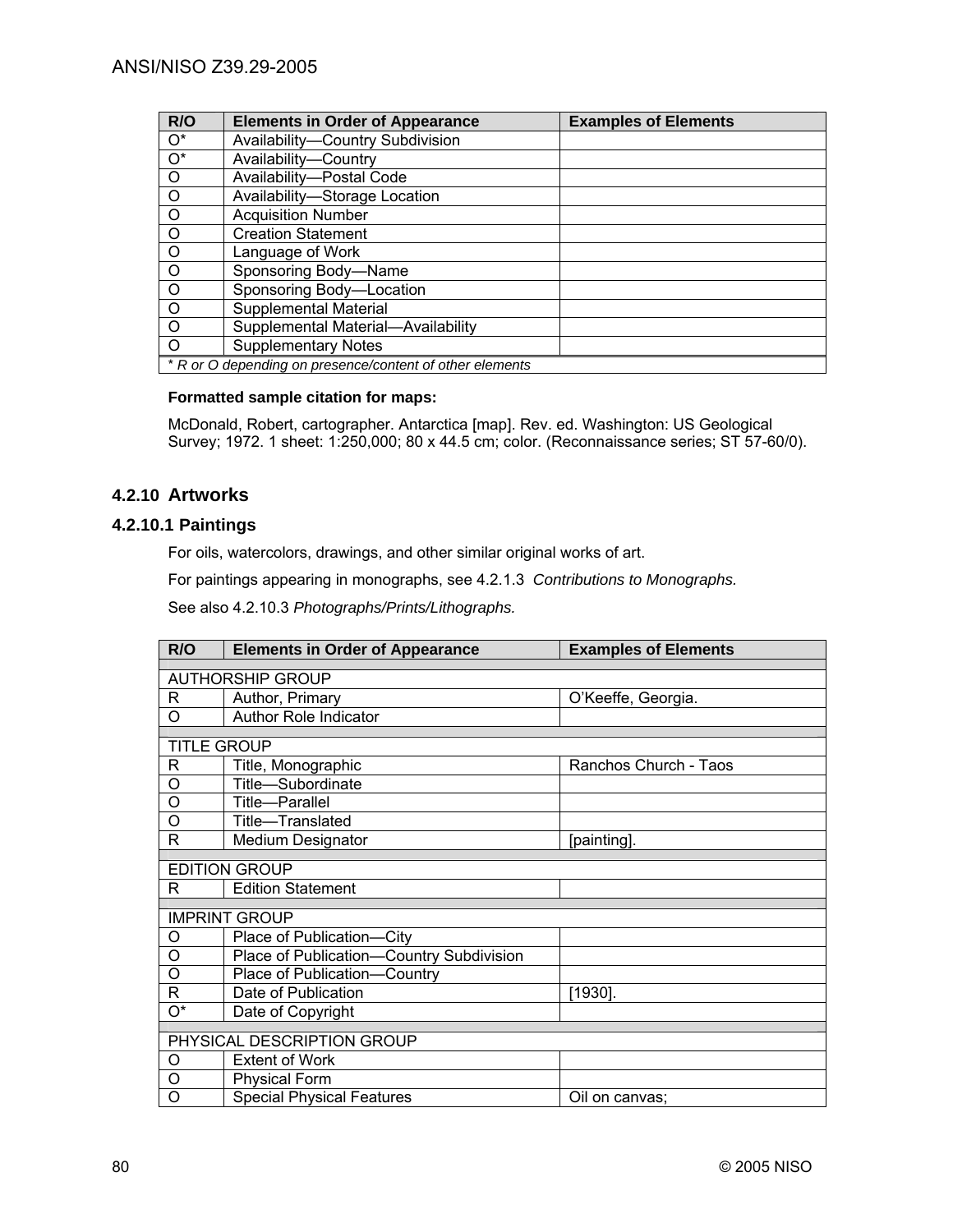| R/O                | <b>Elements in Order of Appearance</b>                   | <b>Examples of Elements</b> |
|--------------------|----------------------------------------------------------|-----------------------------|
| $\circ$            | Availability-Country Subdivision                         |                             |
| $\overline{O^*}$   | Availability-Country                                     |                             |
| $\overline{\circ}$ | Availability-Postal Code                                 |                             |
| $\overline{\circ}$ | Availability-Storage Location                            |                             |
| $\overline{\circ}$ | <b>Acquisition Number</b>                                |                             |
| $\overline{\circ}$ | <b>Creation Statement</b>                                |                             |
| $\overline{\circ}$ | Language of Work                                         |                             |
| $\overline{\circ}$ | Sponsoring Body-Name                                     |                             |
| $\overline{\circ}$ | Sponsoring Body-Location                                 |                             |
| $\overline{\circ}$ | Supplemental Material                                    |                             |
| $\overline{\circ}$ | Supplemental Material-Availability                       |                             |
| $\overline{O}$     | <b>Supplementary Notes</b>                               |                             |
|                    | * R or O depending on presence/content of other elements |                             |

#### **Formatted sample citation for maps:**

McDonald, Robert, cartographer. Antarctica [map]. Rev. ed. Washington: US Geological Survey; 1972. 1 sheet: 1:250,000; 80 x 44.5 cm; color. (Reconnaissance series; ST 57-60/0).

## **4.2.10 Artworks**

## **4.2.10.1 Paintings**

For oils, watercolors, drawings, and other similar original works of art.

For paintings appearing in monographs, see 4.2.1.3 *Contributions to Monographs.*

See also 4.2.10.3 *Photographs/Prints/Lithographs.*

| R/O                | <b>Elements in Order of Appearance</b>   | <b>Examples of Elements</b> |  |
|--------------------|------------------------------------------|-----------------------------|--|
|                    |                                          |                             |  |
|                    | <b>AUTHORSHIP GROUP</b>                  |                             |  |
| R                  | Author, Primary                          | O'Keeffe, Georgia.          |  |
| O                  | <b>Author Role Indicator</b>             |                             |  |
|                    |                                          |                             |  |
| <b>TITLE GROUP</b> |                                          |                             |  |
| R                  | Title, Monographic                       | Ranchos Church - Taos       |  |
| O                  | Title-Subordinate                        |                             |  |
| O                  | Title-Parallel                           |                             |  |
| O                  | Title-Translated                         |                             |  |
| R                  | <b>Medium Designator</b>                 | [painting].                 |  |
|                    |                                          |                             |  |
|                    | <b>EDITION GROUP</b>                     |                             |  |
| R                  | <b>Edition Statement</b>                 |                             |  |
|                    |                                          |                             |  |
|                    | <b>IMPRINT GROUP</b>                     |                             |  |
| O                  | Place of Publication-City                |                             |  |
| O                  | Place of Publication-Country Subdivision |                             |  |
| O                  | Place of Publication-Country             |                             |  |
| R                  | Date of Publication                      | $[1930]$ .                  |  |
| 0*                 | Date of Copyright                        |                             |  |
|                    |                                          |                             |  |
|                    | PHYSICAL DESCRIPTION GROUP               |                             |  |
| O                  | <b>Extent of Work</b>                    |                             |  |
| O                  | <b>Physical Form</b>                     |                             |  |
| O                  | <b>Special Physical Features</b>         | Oil on canvas:              |  |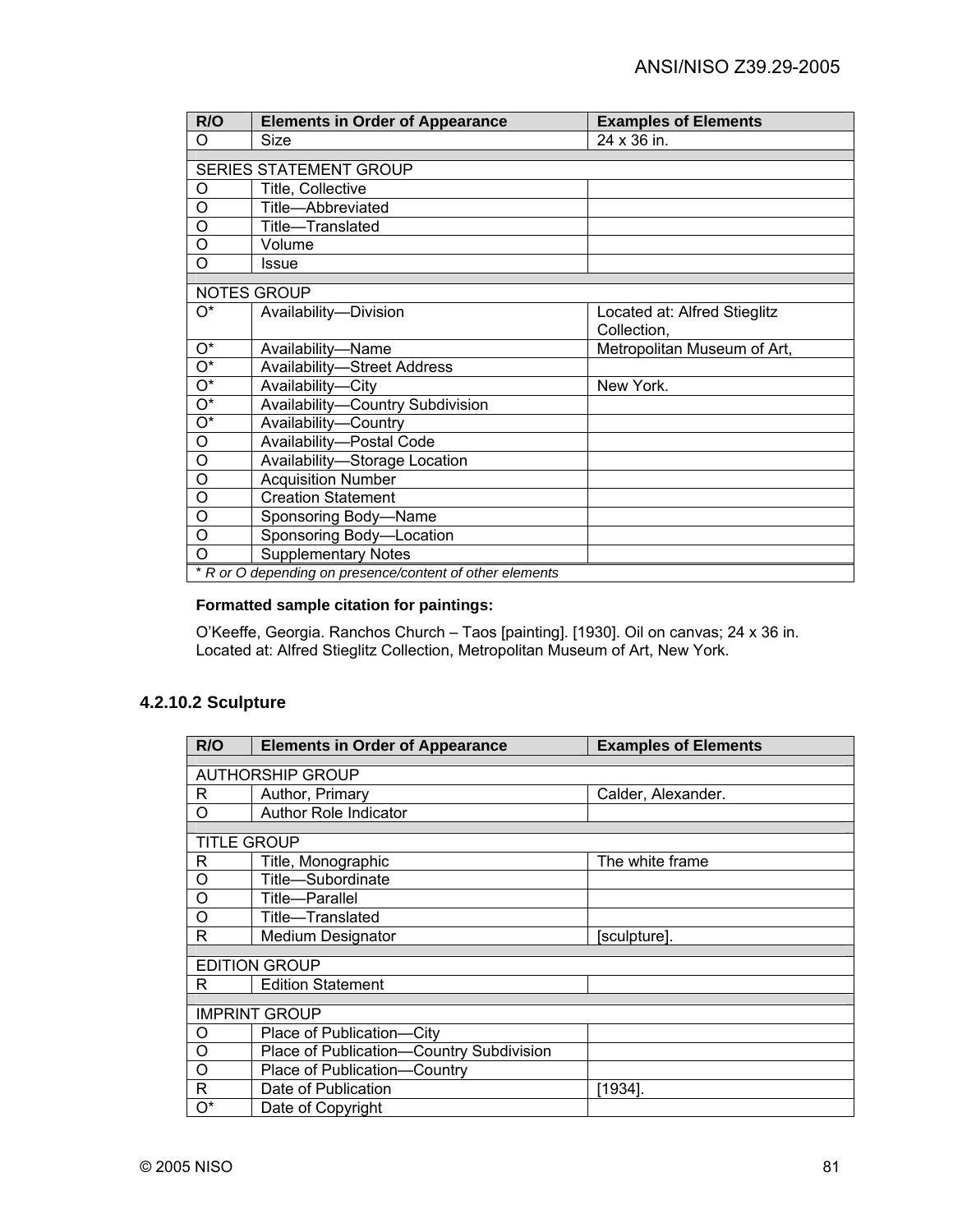| R/O                       | <b>Elements in Order of Appearance</b>                   | <b>Examples of Elements</b>  |
|---------------------------|----------------------------------------------------------|------------------------------|
| O                         | Size                                                     | 24 x 36 in.                  |
|                           |                                                          |                              |
|                           | SERIES STATEMENT GROUP                                   |                              |
| O                         | Title, Collective                                        |                              |
| O                         | Title-Abbreviated                                        |                              |
| O                         | Title-Translated                                         |                              |
| O                         | Volume                                                   |                              |
| O                         | Issue                                                    |                              |
|                           |                                                          |                              |
|                           | <b>NOTES GROUP</b>                                       |                              |
| $O^*$                     | Availability-Division                                    | Located at: Alfred Stieglitz |
|                           |                                                          | Collection,                  |
| $\overline{O^*}$          | Availability-Name                                        | Metropolitan Museum of Art,  |
| $O^*$                     | <b>Availability-Street Address</b>                       |                              |
| $\overline{\mathrm{O}^*}$ | Availability-City                                        | New York.                    |
| $O^*$                     | Availability-Country Subdivision                         |                              |
| $\overline{\mathrm{O}^*}$ | Availability-Country                                     |                              |
| O                         | Availability-Postal Code                                 |                              |
| $\circ$                   | Availability-Storage Location                            |                              |
| $\overline{O}$            | <b>Acquisition Number</b>                                |                              |
| O                         | <b>Creation Statement</b>                                |                              |
| O                         | Sponsoring Body-Name                                     |                              |
| O                         | Sponsoring Body-Location                                 |                              |
| O                         | <b>Supplementary Notes</b>                               |                              |
|                           | * R or O depending on presence/content of other elements |                              |

#### **Formatted sample citation for paintings:**

O'Keeffe, Georgia. Ranchos Church – Taos [painting]. [1930]. Oil on canvas; 24 x 36 in. Located at: Alfred Stieglitz Collection, Metropolitan Museum of Art, New York.

## **4.2.10.2 Sculpture**

| R/O                | <b>Elements in Order of Appearance</b>   | <b>Examples of Elements</b> |  |
|--------------------|------------------------------------------|-----------------------------|--|
|                    |                                          |                             |  |
|                    | <b>AUTHORSHIP GROUP</b>                  |                             |  |
| R                  | Author, Primary                          | Calder, Alexander.          |  |
| Ο                  | <b>Author Role Indicator</b>             |                             |  |
|                    |                                          |                             |  |
| <b>TITLE GROUP</b> |                                          |                             |  |
| R                  | Title, Monographic                       | The white frame             |  |
| O                  | Title-Subordinate                        |                             |  |
| O                  | Title-Parallel                           |                             |  |
| O                  | Title-Translated                         |                             |  |
| R                  | Medium Designator                        | [sculpture].                |  |
|                    |                                          |                             |  |
|                    | <b>EDITION GROUP</b>                     |                             |  |
| R                  | <b>Edition Statement</b>                 |                             |  |
|                    |                                          |                             |  |
|                    | <b>IMPRINT GROUP</b>                     |                             |  |
| O                  | Place of Publication-City                |                             |  |
| O                  | Place of Publication-Country Subdivision |                             |  |
| O                  | Place of Publication-Country             |                             |  |
| R                  | Date of Publication                      | [1934].                     |  |
| O*                 | Date of Copyright                        |                             |  |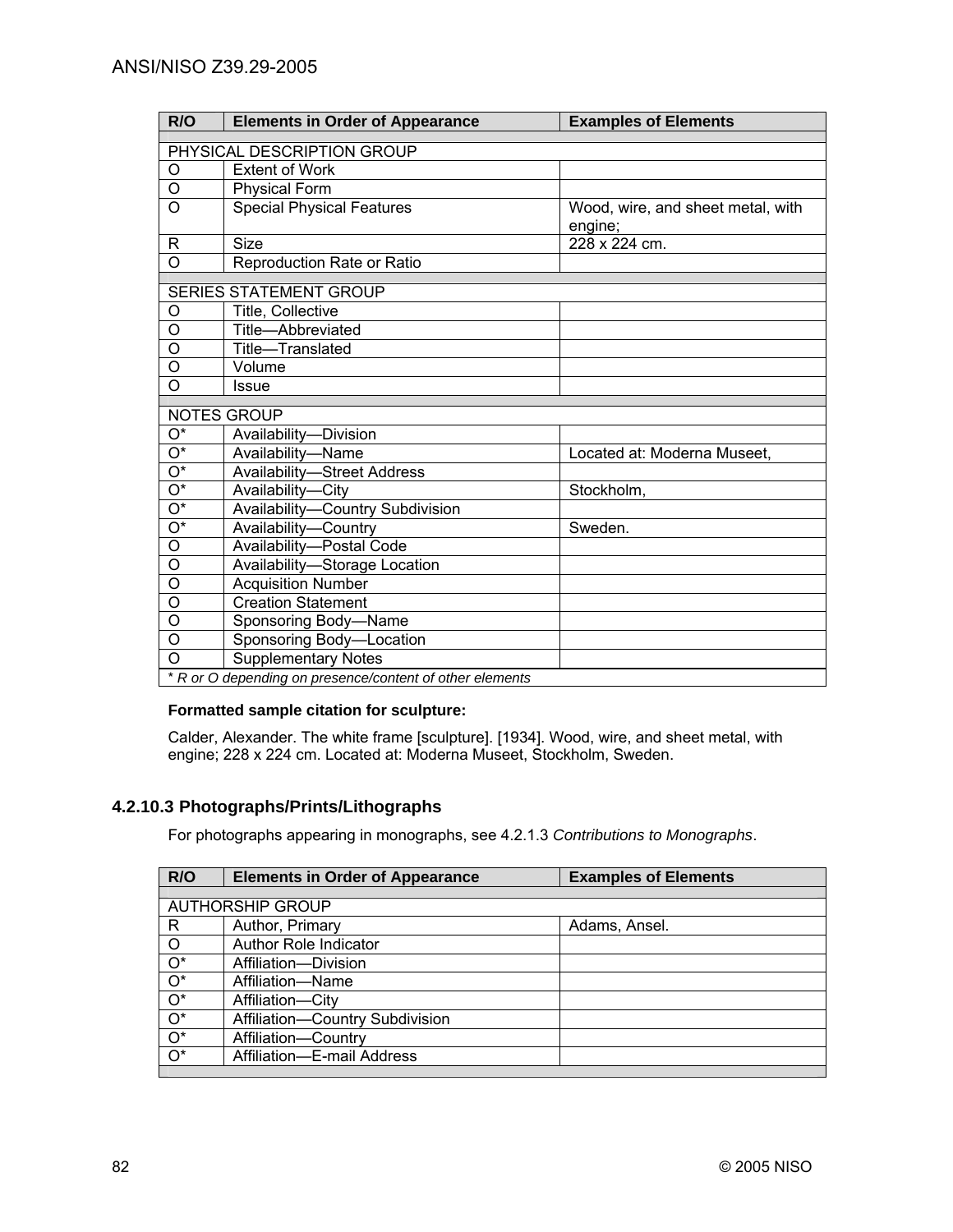| R/O                        | <b>Elements in Order of Appearance</b>                   | <b>Examples of Elements</b>       |
|----------------------------|----------------------------------------------------------|-----------------------------------|
| PHYSICAL DESCRIPTION GROUP |                                                          |                                   |
| $\circ$                    | <b>Extent of Work</b>                                    |                                   |
| O                          | <b>Physical Form</b>                                     |                                   |
| $\circ$                    | <b>Special Physical Features</b>                         | Wood, wire, and sheet metal, with |
|                            |                                                          | engine;                           |
| R                          | <b>Size</b>                                              | 228 x 224 cm.                     |
| $\overline{O}$             | <b>Reproduction Rate or Ratio</b>                        |                                   |
|                            |                                                          |                                   |
|                            | <b>SERIES STATEMENT GROUP</b>                            |                                   |
| O                          | Title, Collective                                        |                                   |
| $\overline{O}$             | Title-Abbreviated                                        |                                   |
| O                          | Title-Translated                                         |                                   |
| $\overline{0}$             | Volume                                                   |                                   |
| $\overline{O}$             | Issue                                                    |                                   |
|                            | NOTES GROUP                                              |                                   |
| $O^*$                      | Availability-Division                                    |                                   |
| $\overline{O^*}$           | Availability-Name                                        | Located at: Moderna Museet,       |
| $\overline{O^*}$           | <b>Availability-Street Address</b>                       |                                   |
| $\overline{O^*}$           | Availability-City                                        | Stockholm,                        |
| $\overline{O^*}$           | Availability-Country Subdivision                         |                                   |
| $\overline{O^*}$           | Availability-Country                                     | Sweden.                           |
| $\overline{O}$             | Availability-Postal Code                                 |                                   |
| $\circ$                    | Availability-Storage Location                            |                                   |
| $\overline{\mathsf{o}}$    | <b>Acquisition Number</b>                                |                                   |
| $\circ$                    | <b>Creation Statement</b>                                |                                   |
| O                          | Sponsoring Body-Name                                     |                                   |
| O                          | Sponsoring Body-Location                                 |                                   |
| O                          | <b>Supplementary Notes</b>                               |                                   |
|                            | * R or O depending on presence/content of other elements |                                   |

### **Formatted sample citation for sculpture:**

Calder, Alexander. The white frame [sculpture]. [1934]. Wood, wire, and sheet metal, with engine; 228 x 224 cm. Located at: Moderna Museet, Stockholm, Sweden.

# **4.2.10.3 Photographs/Prints/Lithographs**

For photographs appearing in monographs, see 4.2.1.3 *Contributions to Monographs*.

| R/O                     | <b>Elements in Order of Appearance</b> | <b>Examples of Elements</b> |
|-------------------------|----------------------------------------|-----------------------------|
|                         |                                        |                             |
| <b>AUTHORSHIP GROUP</b> |                                        |                             |
| R                       | Author, Primary                        | Adams, Ansel.               |
| $\circ$                 | Author Role Indicator                  |                             |
| $O^*$                   | Affiliation-Division                   |                             |
| $\overline{O^*}$        | Affiliation-Name                       |                             |
| $\overline{O^*}$        | Affiliation-City                       |                             |
| $\overline{O^*}$        | Affiliation-Country Subdivision        |                             |
| $\overline{O^*}$        | Affiliation-Country                    |                             |
| $\overline{O^*}$        | Affiliation-E-mail Address             |                             |
|                         |                                        |                             |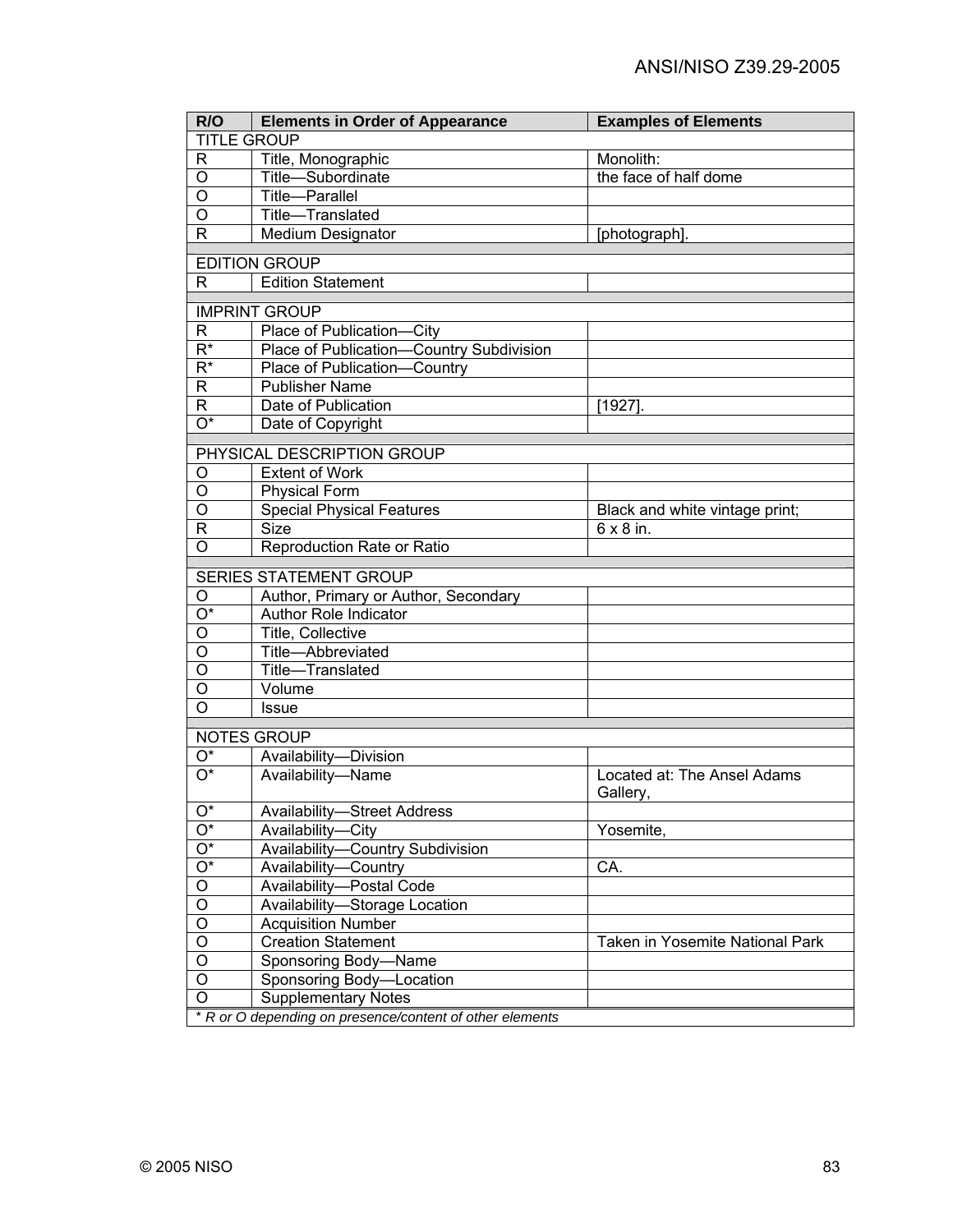| R/O                       | <b>Elements in Order of Appearance</b>                   | <b>Examples of Elements</b>             |  |
|---------------------------|----------------------------------------------------------|-----------------------------------------|--|
| <b>TITLE GROUP</b>        |                                                          |                                         |  |
| R                         | Title, Monographic                                       | Monolith:                               |  |
| O                         | Title-Subordinate                                        | the face of half dome                   |  |
| O                         | Title-Parallel                                           |                                         |  |
| O                         | Title-Translated                                         |                                         |  |
| R                         | Medium Designator                                        | [photograph].                           |  |
|                           |                                                          |                                         |  |
|                           | <b>EDITION GROUP</b>                                     |                                         |  |
| R.                        | <b>Edition Statement</b>                                 |                                         |  |
|                           | <b>IMPRINT GROUP</b>                                     |                                         |  |
| R                         | Place of Publication-City                                |                                         |  |
| $R^*$                     | Place of Publication-Country Subdivision                 |                                         |  |
| $R^*$                     | Place of Publication-Country                             |                                         |  |
| R                         | <b>Publisher Name</b>                                    |                                         |  |
| R                         | Date of Publication                                      | [1927].                                 |  |
| $\overline{\mathrm{O}^*}$ | Date of Copyright                                        |                                         |  |
|                           |                                                          |                                         |  |
|                           | PHYSICAL DESCRIPTION GROUP                               |                                         |  |
| O                         | <b>Extent of Work</b>                                    |                                         |  |
| O                         | <b>Physical Form</b>                                     |                                         |  |
| O                         | <b>Special Physical Features</b>                         | Black and white vintage print;          |  |
| R                         | <b>Size</b>                                              | $6 \times 8$ in.                        |  |
| O                         | Reproduction Rate or Ratio                               |                                         |  |
|                           | SERIES STATEMENT GROUP                                   |                                         |  |
| O                         | Author, Primary or Author, Secondary                     |                                         |  |
| O*                        | Author Role Indicator                                    |                                         |  |
| O                         | Title, Collective                                        |                                         |  |
| O                         | Title-Abbreviated                                        |                                         |  |
| $\overline{O}$            | Title-Translated                                         |                                         |  |
| O                         | Volume                                                   |                                         |  |
| $\Omega$                  | Issue                                                    |                                         |  |
|                           |                                                          |                                         |  |
|                           | <b>NOTES GROUP</b>                                       |                                         |  |
| O*                        | Availability-Division                                    |                                         |  |
| $\overline{O^*}$          | Availability-Name                                        | Located at: The Ansel Adams<br>Gallery, |  |
| Ő*                        | <b>Availability-Street Address</b>                       |                                         |  |
| $O^*$                     | Availability-City                                        | Yosemite,                               |  |
| $O^*$                     | Availability-Country Subdivision                         |                                         |  |
| $O^*$                     | Availability-Country                                     | CA.                                     |  |
| O                         | Availability-Postal Code                                 |                                         |  |
| O                         | Availability-Storage Location                            |                                         |  |
| O                         | <b>Acquisition Number</b>                                |                                         |  |
| O                         | <b>Creation Statement</b>                                | Taken in Yosemite National Park         |  |
| O                         | Sponsoring Body-Name                                     |                                         |  |
| O                         | Sponsoring Body-Location                                 |                                         |  |
| O                         | <b>Supplementary Notes</b>                               |                                         |  |
|                           | * R or O depending on presence/content of other elements |                                         |  |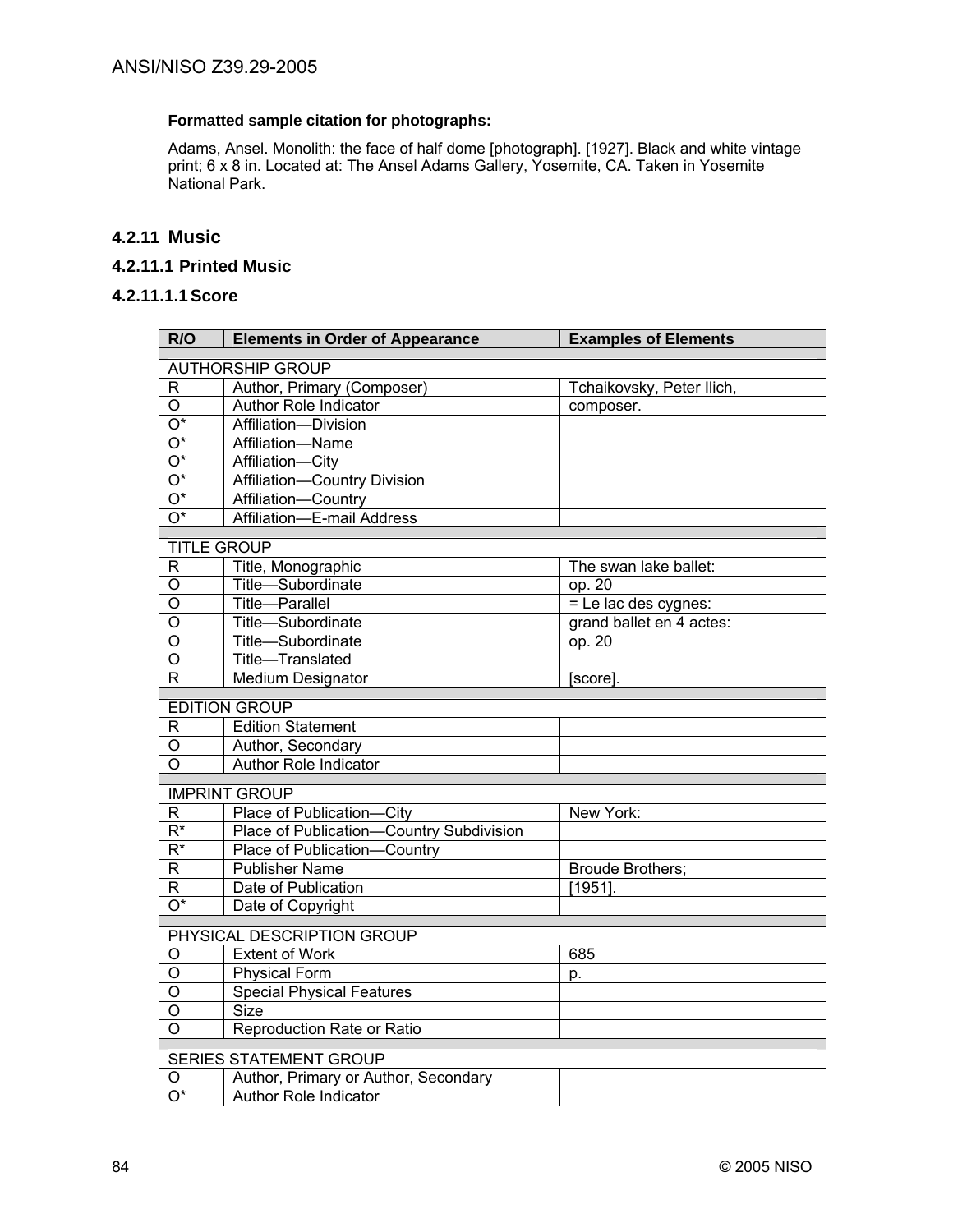## **Formatted sample citation for photographs:**

Adams, Ansel. Monolith: the face of half dome [photograph]. [1927]. Black and white vintage print; 6 x 8 in. Located at: The Ansel Adams Gallery, Yosemite, CA. Taken in Yosemite National Park.

## **4.2.11 Music**

## **4.2.11.1 Printed Music**

### **4.2.11.1.1 Score**

| <b>AUTHORSHIP GROUP</b><br>Author, Primary (Composer)<br>$\mathsf{R}$<br>Tchaikovsky, Peter Ilich,<br><b>Author Role Indicator</b><br>$\circ$<br>composer.<br>$\overline{O^*}$<br>Affiliation-Division<br>$\overline{O^*}$<br>Affiliation-Name<br>$\overline{O^*}$<br>Affiliation-City<br>$\overline{O^*}$<br>Affiliation-Country Division | R/O              | <b>Elements in Order of Appearance</b> | <b>Examples of Elements</b> |  |
|--------------------------------------------------------------------------------------------------------------------------------------------------------------------------------------------------------------------------------------------------------------------------------------------------------------------------------------------|------------------|----------------------------------------|-----------------------------|--|
|                                                                                                                                                                                                                                                                                                                                            |                  |                                        |                             |  |
|                                                                                                                                                                                                                                                                                                                                            |                  |                                        |                             |  |
|                                                                                                                                                                                                                                                                                                                                            |                  |                                        |                             |  |
|                                                                                                                                                                                                                                                                                                                                            |                  |                                        |                             |  |
|                                                                                                                                                                                                                                                                                                                                            |                  |                                        |                             |  |
|                                                                                                                                                                                                                                                                                                                                            |                  |                                        |                             |  |
|                                                                                                                                                                                                                                                                                                                                            |                  |                                        |                             |  |
|                                                                                                                                                                                                                                                                                                                                            | $\overline{O^*}$ | Affiliation-Country                    |                             |  |
| $\overline{O^*}$<br>Affiliation-E-mail Address                                                                                                                                                                                                                                                                                             |                  |                                        |                             |  |
| <b>TITLE GROUP</b>                                                                                                                                                                                                                                                                                                                         |                  |                                        |                             |  |
| $\mathsf R$<br>Title, Monographic<br>The swan lake ballet:                                                                                                                                                                                                                                                                                 |                  |                                        |                             |  |
| $\overline{O}$<br>Title-Subordinate<br>op. $20$                                                                                                                                                                                                                                                                                            |                  |                                        |                             |  |
| Title-Parallel<br>$=$ Le lac des cygnes:<br>O                                                                                                                                                                                                                                                                                              |                  |                                        |                             |  |
| $\overline{\mathsf{o}}$<br>Title-Subordinate<br>grand ballet en 4 actes:                                                                                                                                                                                                                                                                   |                  |                                        |                             |  |
| Title-Subordinate<br>O<br>op. 20                                                                                                                                                                                                                                                                                                           |                  |                                        |                             |  |
| $\overline{\circ}$<br>Title-Translated                                                                                                                                                                                                                                                                                                     |                  |                                        |                             |  |
| $\overline{\mathsf{R}}$<br>Medium Designator<br>[score].                                                                                                                                                                                                                                                                                   |                  |                                        |                             |  |
| <b>EDITION GROUP</b>                                                                                                                                                                                                                                                                                                                       |                  |                                        |                             |  |
| <b>Edition Statement</b><br>$\mathsf R$                                                                                                                                                                                                                                                                                                    |                  |                                        |                             |  |
| O<br>Author, Secondary                                                                                                                                                                                                                                                                                                                     |                  |                                        |                             |  |
| $\overline{O}$<br>Author Role Indicator                                                                                                                                                                                                                                                                                                    |                  |                                        |                             |  |
|                                                                                                                                                                                                                                                                                                                                            |                  |                                        |                             |  |
| <b>IMPRINT GROUP</b>                                                                                                                                                                                                                                                                                                                       |                  |                                        |                             |  |
| Place of Publication-City<br>R<br>New York:                                                                                                                                                                                                                                                                                                |                  |                                        |                             |  |
| $R^*$<br>Place of Publication-Country Subdivision                                                                                                                                                                                                                                                                                          |                  |                                        |                             |  |
| $\overline{R^*}$<br>Place of Publication-Country                                                                                                                                                                                                                                                                                           |                  |                                        |                             |  |
| R<br><b>Publisher Name</b><br><b>Broude Brothers;</b>                                                                                                                                                                                                                                                                                      |                  |                                        |                             |  |
| R<br>Date of Publication<br>$[1951]$ .<br>$\overline{O^*}$                                                                                                                                                                                                                                                                                 |                  |                                        |                             |  |
| Date of Copyright                                                                                                                                                                                                                                                                                                                          |                  |                                        |                             |  |
| PHYSICAL DESCRIPTION GROUP                                                                                                                                                                                                                                                                                                                 |                  |                                        |                             |  |
| O<br><b>Extent of Work</b><br>685                                                                                                                                                                                                                                                                                                          |                  |                                        |                             |  |
| O<br><b>Physical Form</b><br>p.                                                                                                                                                                                                                                                                                                            |                  |                                        |                             |  |
| O<br><b>Special Physical Features</b>                                                                                                                                                                                                                                                                                                      |                  |                                        |                             |  |
| O<br>Size                                                                                                                                                                                                                                                                                                                                  |                  |                                        |                             |  |
| O<br>Reproduction Rate or Ratio                                                                                                                                                                                                                                                                                                            |                  |                                        |                             |  |
| <b>SERIES STATEMENT GROUP</b>                                                                                                                                                                                                                                                                                                              |                  |                                        |                             |  |
| Author, Primary or Author, Secondary<br>O                                                                                                                                                                                                                                                                                                  |                  |                                        |                             |  |
| $\overline{O^*}$<br><b>Author Role Indicator</b>                                                                                                                                                                                                                                                                                           |                  |                                        |                             |  |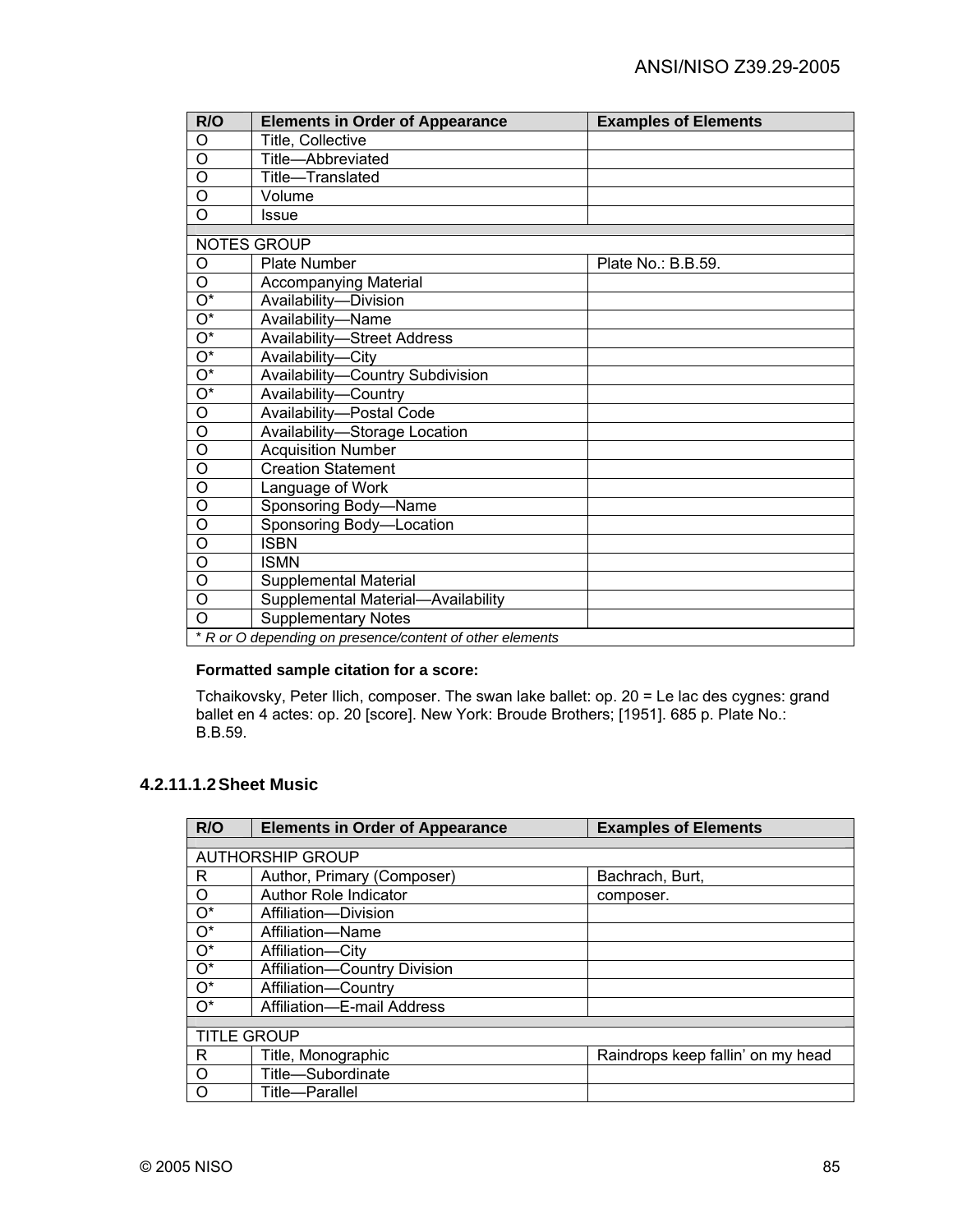| R/O                       | <b>Elements in Order of Appearance</b>                   | <b>Examples of Elements</b> |
|---------------------------|----------------------------------------------------------|-----------------------------|
| O                         | Title, Collective                                        |                             |
| O                         | Title-Abbreviated                                        |                             |
| $\circ$                   | Title-Translated                                         |                             |
| $\circ$                   | Volume                                                   |                             |
| O                         | Issue                                                    |                             |
|                           | <b>NOTES GROUP</b>                                       |                             |
| O                         | <b>Plate Number</b>                                      | Plate No.: B.B.59.          |
| O                         | Accompanying Material                                    |                             |
| $O^*$                     | Availability-Division                                    |                             |
| $\overline{O^*}$          | Availability-Name                                        |                             |
| $\overline{O^*}$          | <b>Availability-Street Address</b>                       |                             |
| $\overline{\mathrm{O}^*}$ | Availability-City                                        |                             |
| $\overline{O^*}$          | Availability-Country Subdivision                         |                             |
| $\overline{O^*}$          | Availability-Country                                     |                             |
| $\circ$                   | Availability-Postal Code                                 |                             |
| O                         | Availability-Storage Location                            |                             |
| $\overline{0}$            | <b>Acquisition Number</b>                                |                             |
| O                         | <b>Creation Statement</b>                                |                             |
| O                         | Language of Work                                         |                             |
| $\circ$                   | Sponsoring Body-Name                                     |                             |
| $\circ$                   | Sponsoring Body-Location                                 |                             |
| O                         | <b>ISBN</b>                                              |                             |
| O                         | <b>ISMN</b>                                              |                             |
| $\circ$                   | Supplemental Material                                    |                             |
| $\circ$                   | Supplemental Material-Availability                       |                             |
| $\Omega$                  | <b>Supplementary Notes</b>                               |                             |
|                           | * R or O depending on presence/content of other elements |                             |

## **Formatted sample citation for a score:**

Tchaikovsky, Peter Ilich, composer. The swan lake ballet: op. 20 = Le lac des cygnes: grand ballet en 4 actes: op. 20 [score]. New York: Broude Brothers; [1951]. 685 p. Plate No.: B.B.59.

## **4.2.11.1.2 Sheet Music**

| R/O                | <b>Elements in Order of Appearance</b> | <b>Examples of Elements</b>       |
|--------------------|----------------------------------------|-----------------------------------|
|                    |                                        |                                   |
|                    | <b>AUTHORSHIP GROUP</b>                |                                   |
| R.                 | Author, Primary (Composer)             | Bachrach, Burt,                   |
| $\circ$            | Author Role Indicator                  | composer.                         |
| $O^*$              | Affiliation-Division                   |                                   |
| $O^*$              | Affiliation-Name                       |                                   |
| $O^*$              | Affiliation-City                       |                                   |
| $O^*$              | Affiliation-Country Division           |                                   |
| $O^*$              | Affiliation-Country                    |                                   |
| $O^*$              | Affiliation-E-mail Address             |                                   |
|                    |                                        |                                   |
| <b>TITLE GROUP</b> |                                        |                                   |
| R                  | Title, Monographic                     | Raindrops keep fallin' on my head |
| $\circ$            | Title-Subordinate                      |                                   |
| O                  | Title-Parallel                         |                                   |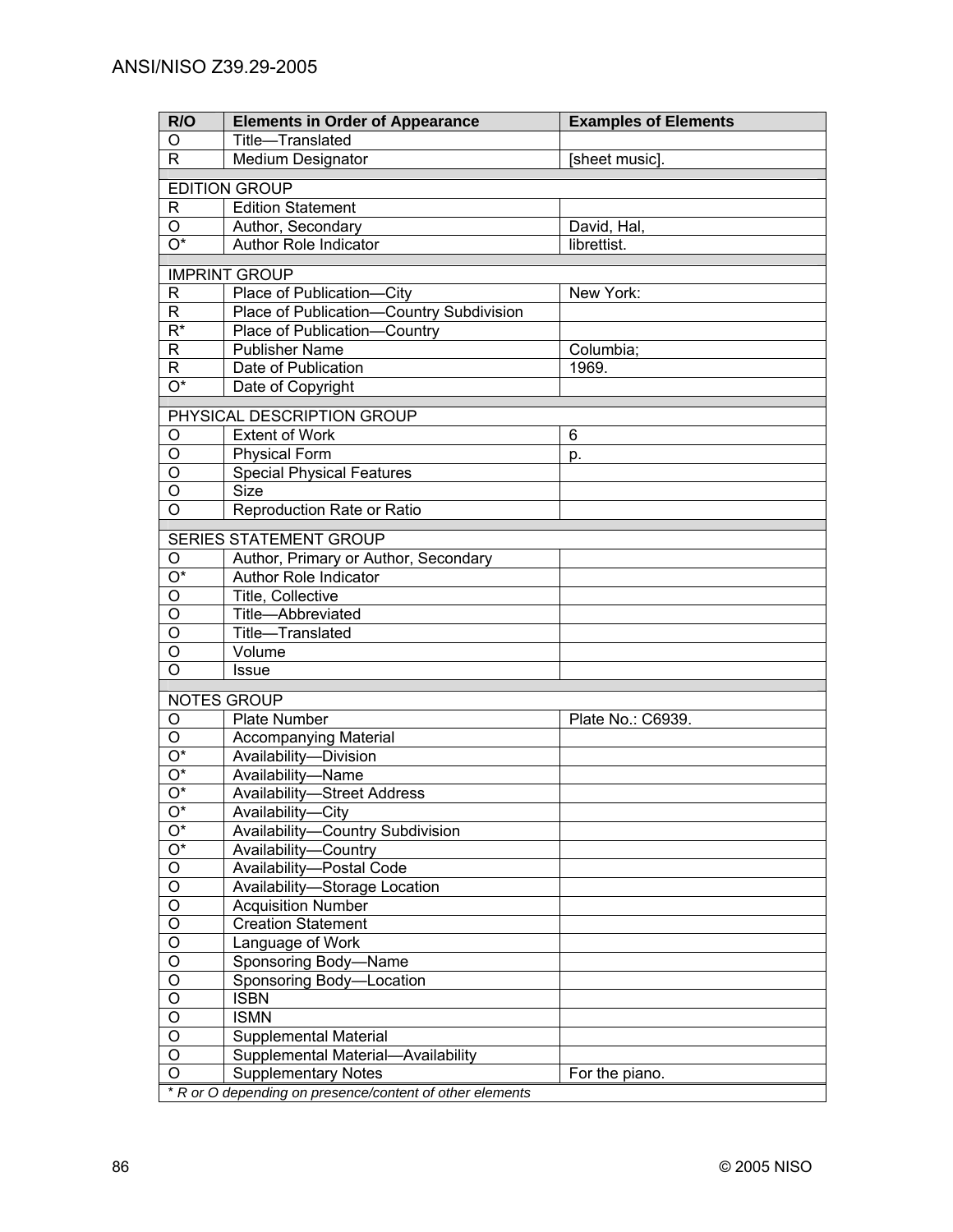| R/O                                | <b>Elements in Order of Appearance</b>                   | <b>Examples of Elements</b> |
|------------------------------------|----------------------------------------------------------|-----------------------------|
| O                                  | Title-Translated                                         |                             |
| R.                                 | Medium Designator                                        | [sheet music].              |
|                                    |                                                          |                             |
| R                                  | <b>EDITION GROUP</b><br><b>Edition Statement</b>         |                             |
| O                                  | Author, Secondary                                        | David, Hal,                 |
| $\overline{\mathrm{O}^*}$          | Author Role Indicator                                    | librettist.                 |
|                                    |                                                          |                             |
|                                    | <b>IMPRINT GROUP</b>                                     |                             |
| $\mathsf{R}$                       | Place of Publication-City                                | New York:                   |
| R.                                 | Place of Publication-Country Subdivision                 |                             |
| $\overline{\mathsf{R}^*}$          | Place of Publication-Country                             |                             |
| R                                  | <b>Publisher Name</b>                                    | Columbia;                   |
| $\overline{\mathsf{R}}$            | Date of Publication                                      | 1969.                       |
| $\overline{O^*}$                   | Date of Copyright                                        |                             |
|                                    | PHYSICAL DESCRIPTION GROUP                               |                             |
| O                                  | <b>Extent of Work</b>                                    | 6                           |
| O                                  | <b>Physical Form</b>                                     | p.                          |
| O                                  | <b>Special Physical Features</b>                         |                             |
| O                                  | <b>Size</b>                                              |                             |
| O                                  | Reproduction Rate or Ratio                               |                             |
|                                    |                                                          |                             |
|                                    | <b>SERIES STATEMENT GROUP</b>                            |                             |
| O                                  | Author, Primary or Author, Secondary                     |                             |
| $\overline{O^*}$<br>$\overline{0}$ | Author Role Indicator                                    |                             |
| $\overline{0}$                     | Title, Collective                                        |                             |
| $\overline{0}$                     | Title-Abbreviated                                        |                             |
| $\overline{O}$                     | Title-Translated<br>Volume                               |                             |
| $\overline{O}$                     | <b>Issue</b>                                             |                             |
|                                    |                                                          |                             |
|                                    | NOTES GROUP                                              |                             |
| O                                  | <b>Plate Number</b>                                      | Plate No.: C6939.           |
| $\overline{O}$                     | <b>Accompanying Material</b>                             |                             |
| O*                                 | Availability-Division                                    |                             |
| O*                                 | Availability-Name                                        |                             |
| $O^*$                              | <b>Availability-Street Address</b>                       |                             |
| O*                                 | Availability-City                                        |                             |
| O*                                 | Availability-Country Subdivision                         |                             |
| $O^*$                              | Availability-Country                                     |                             |
| O                                  | Availability-Postal Code                                 |                             |
| O                                  | Availability-Storage Location                            |                             |
| O                                  | <b>Acquisition Number</b>                                |                             |
| O                                  | <b>Creation Statement</b>                                |                             |
| O                                  | Language of Work                                         |                             |
| O                                  | Sponsoring Body-Name                                     |                             |
| O                                  | Sponsoring Body-Location                                 |                             |
| O                                  | <b>ISBN</b><br><b>ISMN</b>                               |                             |
| O<br>O                             | Supplemental Material                                    |                             |
| O                                  | Supplemental Material-Availability                       |                             |
| O                                  | <b>Supplementary Notes</b>                               | For the piano.              |
|                                    | * R or O depending on presence/content of other elements |                             |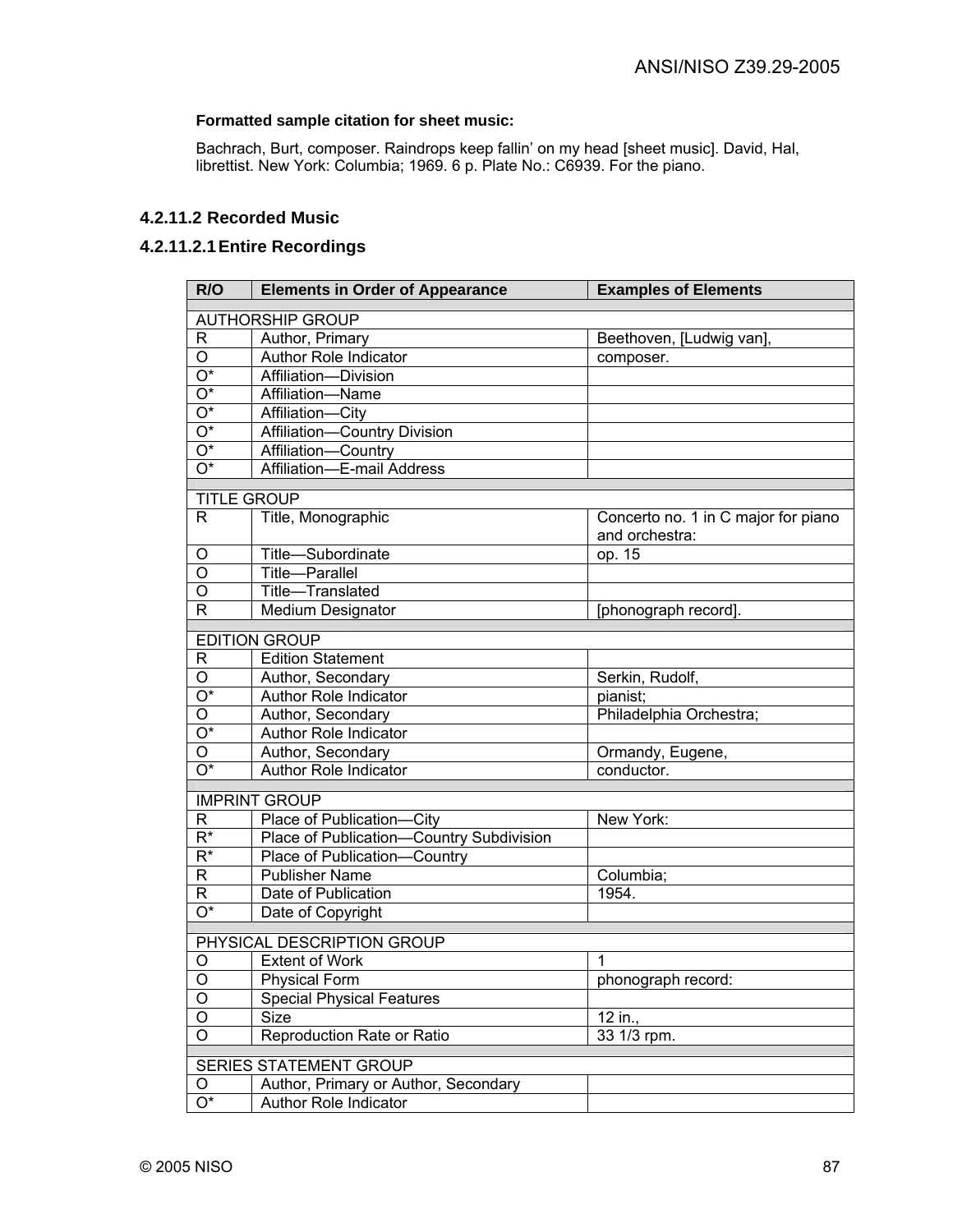### **Formatted sample citation for sheet music:**

Bachrach, Burt, composer. Raindrops keep fallin' on my head [sheet music]. David, Hal, librettist. New York: Columbia; 1969. 6 p. Plate No.: C6939. For the piano.

## **4.2.11.2 Recorded Music**

### **4.2.11.2.1 Entire Recordings**

| R/O                       | <b>Elements in Order of Appearance</b>   | <b>Examples of Elements</b>         |
|---------------------------|------------------------------------------|-------------------------------------|
|                           | <b>AUTHORSHIP GROUP</b>                  |                                     |
| R                         | Author, Primary                          | Beethoven, [Ludwig van],            |
| O                         | Author Role Indicator                    | composer.                           |
| $\overline{O^*}$          | Affiliation-Division                     |                                     |
| $\overline{O^*}$          | Affiliation-Name                         |                                     |
| $\overline{O^*}$          | Affiliation-City                         |                                     |
| $\overline{O^*}$          | Affiliation-Country Division             |                                     |
| $\overline{O^*}$          | Affiliation-Country                      |                                     |
| $\overline{O^*}$          | Affiliation-E-mail Address               |                                     |
| <b>TITLE GROUP</b>        |                                          |                                     |
| $\mathsf{R}$              | Title, Monographic                       | Concerto no. 1 in C major for piano |
|                           |                                          | and orchestra:                      |
| O                         | Title-Subordinate                        | op. 15                              |
| O                         | Title-Parallel                           |                                     |
| O                         | Title-Translated                         |                                     |
| $\mathsf{R}$              | Medium Designator                        | [phonograph record].                |
|                           |                                          |                                     |
|                           | <b>EDITION GROUP</b>                     |                                     |
| R                         | <b>Edition Statement</b>                 |                                     |
| O                         | Author, Secondary                        | Serkin, Rudolf,                     |
| O*                        | Author Role Indicator                    | pianist;                            |
| O                         | Author, Secondary                        | Philadelphia Orchestra;             |
| O*                        | Author Role Indicator                    |                                     |
| O                         | Author, Secondary                        | Ormandy, Eugene,                    |
| O*                        | Author Role Indicator                    | conductor.                          |
|                           | <b>IMPRINT GROUP</b>                     |                                     |
| R                         | Place of Publication-City                | New York:                           |
| $R^*$                     | Place of Publication-Country Subdivision |                                     |
| $R^*$                     | Place of Publication-Country             |                                     |
| R                         | <b>Publisher Name</b>                    | Columbia;                           |
| R                         | Date of Publication                      | 1954.                               |
| $\overline{O^*}$          | Date of Copyright                        |                                     |
|                           | PHYSICAL DESCRIPTION GROUP               |                                     |
| O                         | <b>Extent of Work</b>                    | 1                                   |
| $\overline{O}$            | <b>Physical Form</b>                     | phonograph record:                  |
| $\overline{O}$            | <b>Special Physical Features</b>         |                                     |
| $\overline{O}$            | Size                                     | 12 in.,                             |
| $\overline{\mathsf{o}}$   | Reproduction Rate or Ratio               | $33$ 1/3 rpm.                       |
|                           |                                          |                                     |
|                           | <b>SERIES STATEMENT GROUP</b>            |                                     |
| O                         | Author, Primary or Author, Secondary     |                                     |
| $\overline{\mathrm{O}^*}$ | Author Role Indicator                    |                                     |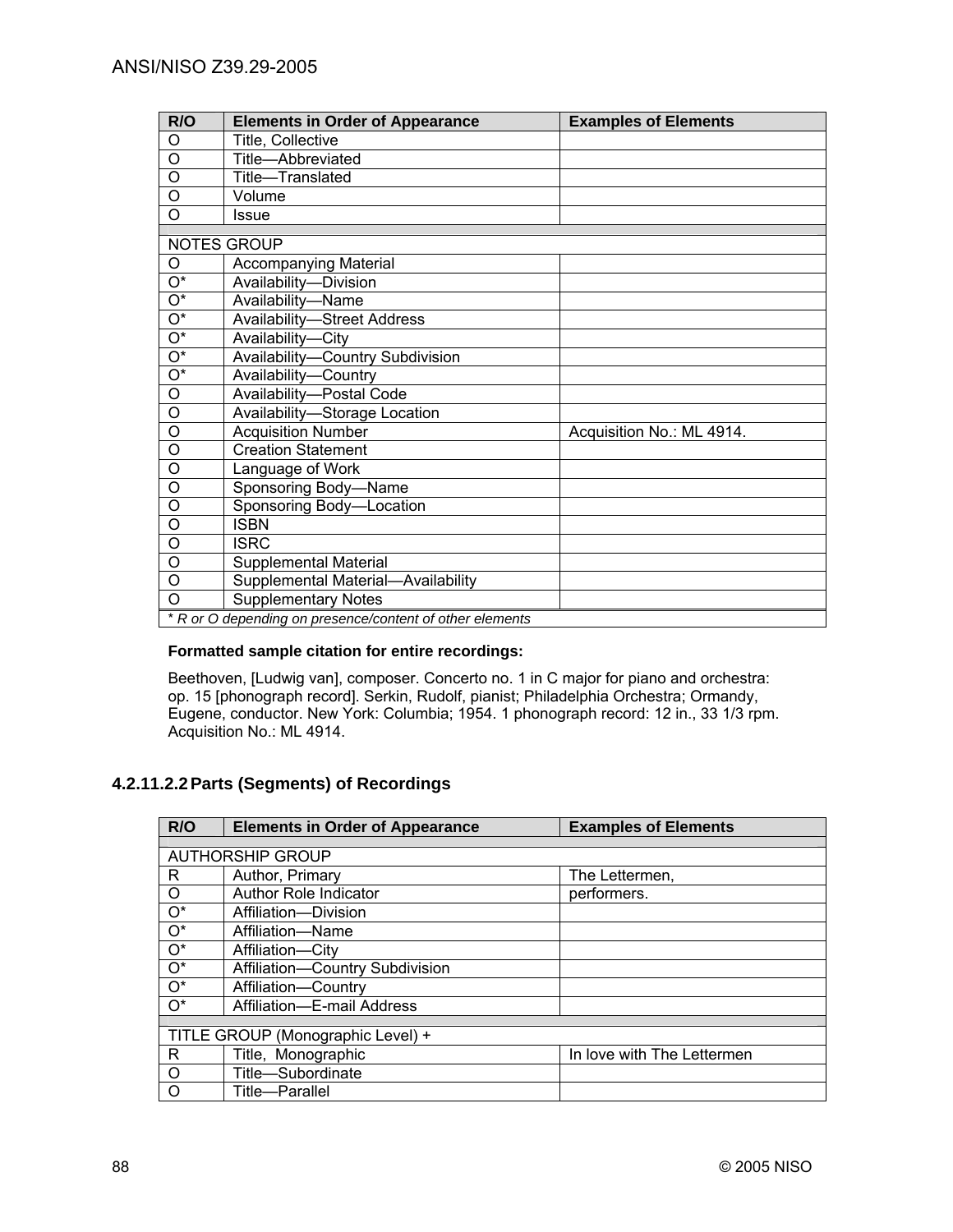| R/O                       | <b>Elements in Order of Appearance</b>                   | <b>Examples of Elements</b> |
|---------------------------|----------------------------------------------------------|-----------------------------|
| O                         | Title, Collective                                        |                             |
| O                         | Title-Abbreviated                                        |                             |
| O                         | Title-Translated                                         |                             |
| $\overline{O}$            | Volume                                                   |                             |
| $\Omega$                  | Issue                                                    |                             |
|                           | NOTES GROUP                                              |                             |
| O                         | <b>Accompanying Material</b>                             |                             |
| $\overline{\mathrm{O}^*}$ | Availability-Division                                    |                             |
| О*                        | Availability-Name                                        |                             |
| $\overline{\mathrm{O}^*}$ | <b>Availability-Street Address</b>                       |                             |
| $\overline{\mathrm{O}^*}$ | Availability-City                                        |                             |
| $\overline{O^*}$          | Availability-Country Subdivision                         |                             |
| $\overline{\mathrm{O}^*}$ |                                                          |                             |
|                           | Availability-Country                                     |                             |
| O                         | Availability-Postal Code                                 |                             |
| $\circ$                   | Availability-Storage Location                            |                             |
| O                         | <b>Acquisition Number</b>                                | Acquisition No.: ML 4914.   |
| $\circ$                   | <b>Creation Statement</b>                                |                             |
| $\circ$                   | Language of Work                                         |                             |
| O                         | Sponsoring Body-Name                                     |                             |
| $\circ$                   | Sponsoring Body-Location                                 |                             |
| $\circ$                   | <b>ISBN</b>                                              |                             |
| O                         | <b>ISRC</b>                                              |                             |
| O                         | <b>Supplemental Material</b>                             |                             |
| $\circ$                   | Supplemental Material-Availability                       |                             |
| $\Omega$                  | <b>Supplementary Notes</b>                               |                             |
|                           | * R or O depending on presence/content of other elements |                             |

### **Formatted sample citation for entire recordings:**

Beethoven, [Ludwig van], composer. Concerto no. 1 in C major for piano and orchestra: op. 15 [phonograph record]. Serkin, Rudolf, pianist; Philadelphia Orchestra; Ormandy, Eugene, conductor. New York: Columbia; 1954. 1 phonograph record: 12 in., 33 1/3 rpm. Acquisition No.: ML 4914.

# **4.2.11.2.2 Parts (Segments) of Recordings**

| R/O         | <b>Elements in Order of Appearance</b> | <b>Examples of Elements</b> |  |
|-------------|----------------------------------------|-----------------------------|--|
|             |                                        |                             |  |
|             | <b>AUTHORSHIP GROUP</b>                |                             |  |
| R           | Author, Primary                        | The Lettermen,              |  |
| $\circ$     | <b>Author Role Indicator</b>           | performers.                 |  |
| $O^*$       | Affiliation-Division                   |                             |  |
| $O^*$       | Affiliation-Name                       |                             |  |
| $O^*$       | Affiliation-City                       |                             |  |
| $O^*$       | Affiliation-Country Subdivision        |                             |  |
| $O^*$       | Affiliation-Country                    |                             |  |
| $\bigcap^*$ | Affiliation-E-mail Address             |                             |  |
|             |                                        |                             |  |
|             | TITLE GROUP (Monographic Level) +      |                             |  |
| R.          | Title, Monographic                     | In love with The Lettermen  |  |
| $\circ$     | Title-Subordinate                      |                             |  |
| O           | Title-Parallel                         |                             |  |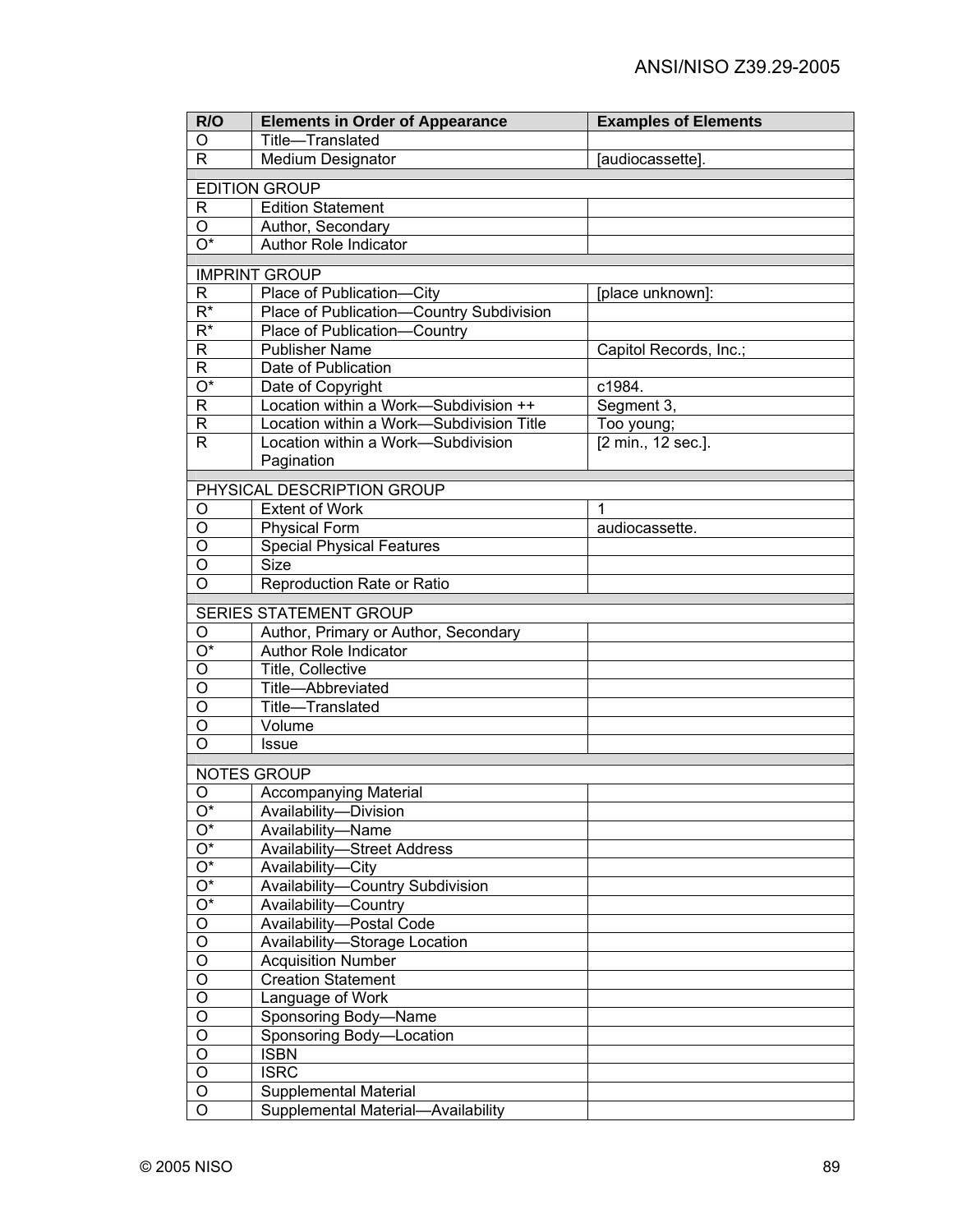| R/O                              | <b>Elements in Order of Appearance</b>   | <b>Examples of Elements</b> |
|----------------------------------|------------------------------------------|-----------------------------|
| O                                | Title-Translated                         |                             |
| $\mathsf{R}$                     | <b>Medium Designator</b>                 | [audiocassette].            |
|                                  | <b>EDITION GROUP</b>                     |                             |
| R                                | <b>Edition Statement</b>                 |                             |
| O                                | Author, Secondary                        |                             |
| $\overline{O^*}$                 | Author Role Indicator                    |                             |
|                                  |                                          |                             |
|                                  | <b>IMPRINT GROUP</b>                     |                             |
| R                                | Place of Publication-City                | [place unknown]:            |
| $\overline{\mathsf{R}^*}$        | Place of Publication-Country Subdivision |                             |
| $\overline{\mathsf{R}^*}$        | Place of Publication-Country             |                             |
| $\mathsf R$                      | <b>Publisher Name</b>                    | Capitol Records, Inc.;      |
| $\mathsf R$                      | Date of Publication                      |                             |
| $\overline{\mathrm{O}^*}$        | Date of Copyright                        | c1984.                      |
| $\mathsf R$                      | Location within a Work-Subdivision ++    | Segment 3,                  |
| $\mathsf R$                      | Location within a Work-Subdivision Title | Too young;                  |
| $\mathsf{R}$                     | Location within a Work-Subdivision       | [2 min., 12 sec.].          |
|                                  | Pagination                               |                             |
|                                  | PHYSICAL DESCRIPTION GROUP               |                             |
| O                                | <b>Extent of Work</b>                    | $\mathbf{1}$                |
| O                                | <b>Physical Form</b>                     | audiocassette.              |
| O                                | <b>Special Physical Features</b>         |                             |
| O                                | <b>Size</b>                              |                             |
| $\overline{O}$                   | Reproduction Rate or Ratio               |                             |
|                                  | <b>SERIES STATEMENT GROUP</b>            |                             |
| O                                | Author, Primary or Author, Secondary     |                             |
| $\overline{\mathrm{O}^*}$        | Author Role Indicator                    |                             |
| O                                | Title, Collective                        |                             |
| O                                | Title-Abbreviated                        |                             |
| O                                | Title-Translated                         |                             |
| O                                | Volume                                   |                             |
| O                                | <b>Issue</b>                             |                             |
|                                  |                                          |                             |
|                                  | <b>NOTES GROUP</b>                       |                             |
| O                                | <b>Accompanying Material</b>             |                             |
| $\overline{O^*}$                 | Availability-Division                    |                             |
| $O^*$                            | Availability-Name                        |                             |
| $\overline{O^*}$                 | <b>Availability-Street Address</b>       |                             |
| $O^*$                            | Availability-City                        |                             |
| $\overline{O^*}$                 | Availability-Country Subdivision         |                             |
| $\overline{O^*}$                 | Availability-Country                     |                             |
| $\overline{O}$                   | Availability-Postal Code                 |                             |
| $\overline{\circ}$               | Availability-Storage Location            |                             |
| $\overline{O}$                   | <b>Acquisition Number</b>                |                             |
| $\overline{O}$                   | <b>Creation Statement</b>                |                             |
| $\overline{O}$                   | Language of Work                         |                             |
| $\overline{O}$                   | Sponsoring Body-Name                     |                             |
| $\overline{O}$                   | Sponsoring Body-Location                 |                             |
| $\overline{O}$<br>$\overline{O}$ | <b>ISBN</b>                              |                             |
| $\overline{O}$                   | <b>ISRC</b>                              |                             |
| $\overline{\mathsf{o}}$          | Supplemental Material                    |                             |
|                                  | Supplemental Material-Availability       |                             |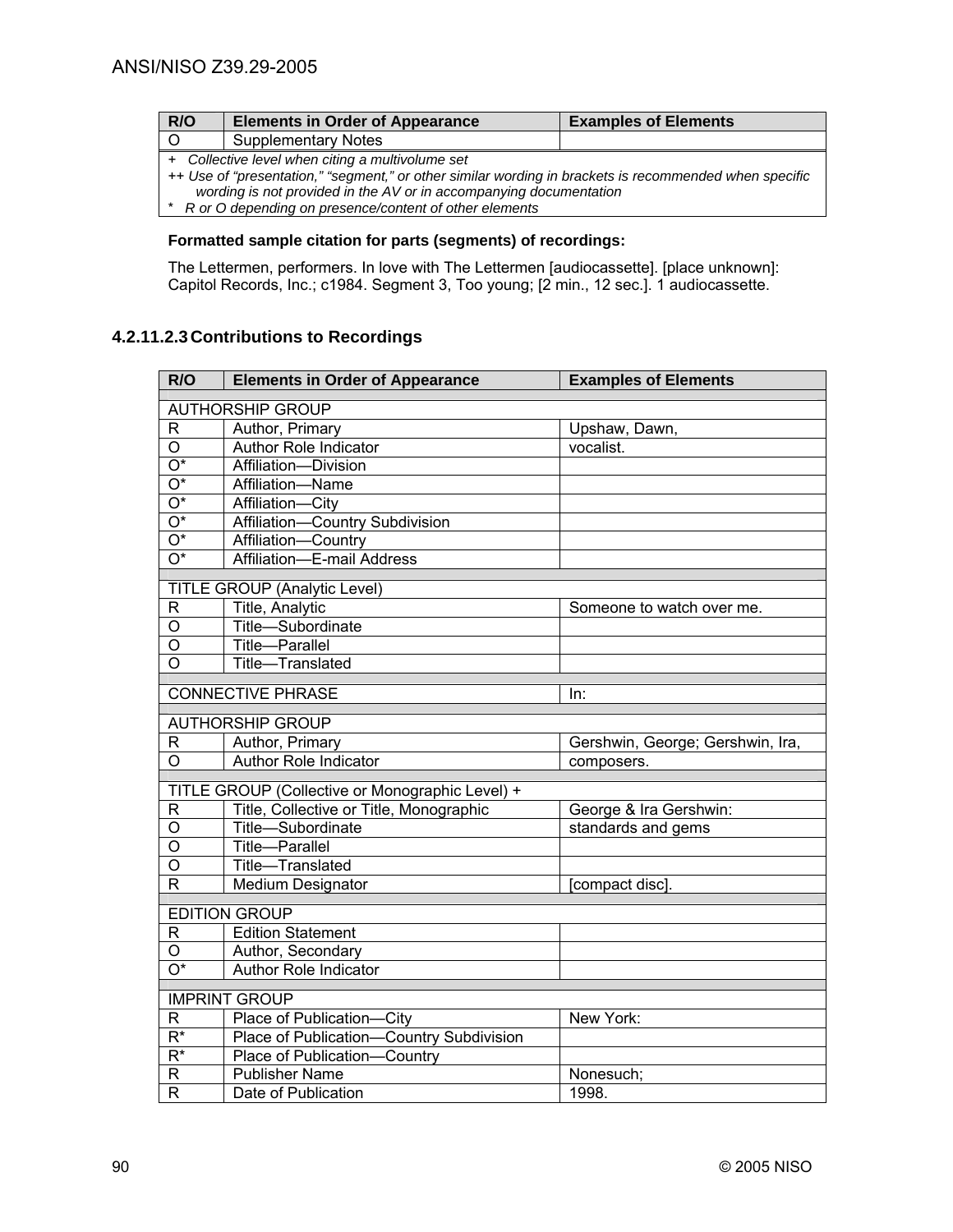| R/O                                              | <b>Elements in Order of Appearance</b>                                                                 | <b>Examples of Elements</b> |
|--------------------------------------------------|--------------------------------------------------------------------------------------------------------|-----------------------------|
| $\overline{O}$                                   | <b>Supplementary Notes</b>                                                                             |                             |
| + Collective level when citing a multivolume set |                                                                                                        |                             |
|                                                  | ++ Use of "presentation," "segment," or other similar wording in brackets is recommended when specific |                             |
|                                                  | wording is not provided in the AV or in accompanying documentation                                     |                             |
| *                                                | R or O depending on presence/content of other elements                                                 |                             |

### **Formatted sample citation for parts (segments) of recordings:**

The Lettermen, performers. In love with The Lettermen [audiocassette]. [place unknown]: Capitol Records, Inc.; c1984. Segment 3, Too young; [2 min., 12 sec.]. 1 audiocassette.

# **4.2.11.2.3 Contributions to Recordings**

| R/O                          | <b>Elements in Order of Appearance</b>          | <b>Examples of Elements</b>      |
|------------------------------|-------------------------------------------------|----------------------------------|
|                              | <b>AUTHORSHIP GROUP</b>                         |                                  |
| R                            | Author, Primary                                 | Upshaw, Dawn,                    |
| $\overline{O}$               | <b>Author Role Indicator</b>                    | vocalist.                        |
| $\overline{O^*}$             | Affiliation-Division                            |                                  |
| $\overline{O^*}$             | Affiliation-Name                                |                                  |
| $\overline{O^*}$             | Affiliation-City                                |                                  |
| $\overline{O^*}$             | Affiliation-Country Subdivision                 |                                  |
| $\overline{O^*}$             | Affiliation-Country                             |                                  |
| $\overline{O^*}$             | Affiliation-E-mail Address                      |                                  |
|                              | TITLE GROUP (Analytic Level)                    |                                  |
| R                            | Title, Analytic                                 | Someone to watch over me.        |
| О                            | Title-Subordinate                               |                                  |
| O                            | Title-Parallel                                  |                                  |
| O                            | Title-Translated                                |                                  |
|                              |                                                 |                                  |
|                              | <b>CONNECTIVE PHRASE</b>                        | In:                              |
|                              | <b>AUTHORSHIP GROUP</b>                         |                                  |
| R                            | Author, Primary                                 | Gershwin, George; Gershwin, Ira, |
| $\overline{O}$               | Author Role Indicator                           | composers.                       |
|                              | TITLE GROUP (Collective or Monographic Level) + |                                  |
| R                            | Title, Collective or Title, Monographic         | George & Ira Gershwin:           |
| O                            | Title-Subordinate                               | standards and gems               |
| O                            | Title-Parallel                                  |                                  |
| O                            | Title-Translated                                |                                  |
| R                            | Medium Designator                               | [compact disc].                  |
|                              | <b>EDITION GROUP</b>                            |                                  |
| R                            | <b>Edition Statement</b>                        |                                  |
| O                            | Author, Secondary                               |                                  |
| $\overline{\mathrm{O}^*}$    | <b>Author Role Indicator</b>                    |                                  |
|                              |                                                 |                                  |
|                              | <b>IMPRINT GROUP</b>                            |                                  |
| R                            | Place of Publication-City                       | New York:                        |
| $\overline{\mathsf{R}^*}$    | Place of Publication-Country Subdivision        |                                  |
| $\overline{\mathsf{R}^*}$    | Place of Publication-Country                    |                                  |
| R<br>$\overline{\mathsf{R}}$ | <b>Publisher Name</b>                           | Nonesuch;                        |
|                              | Date of Publication                             | 1998.                            |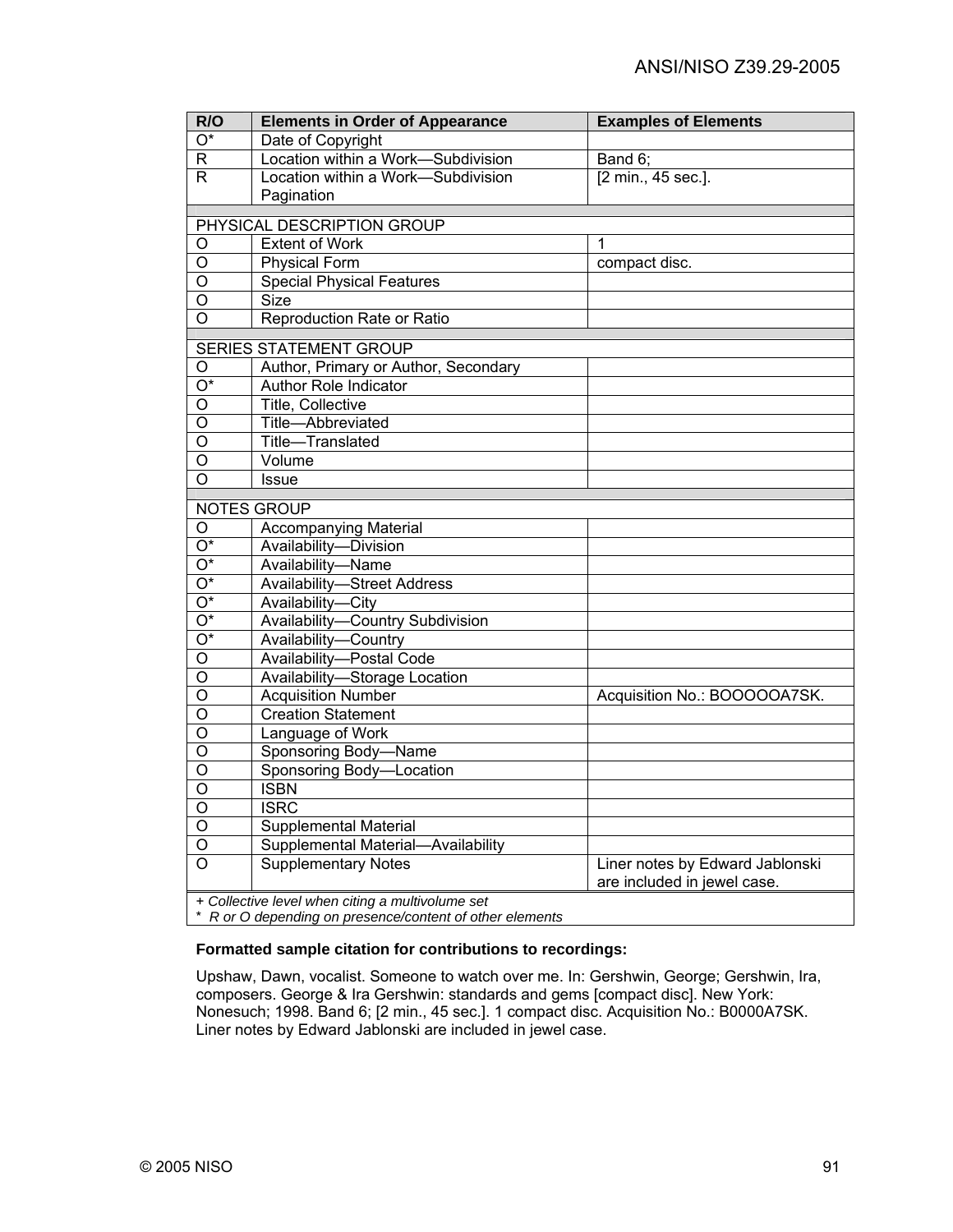| R/O                     | <b>Elements in Order of Appearance</b>           | <b>Examples of Elements</b>     |
|-------------------------|--------------------------------------------------|---------------------------------|
| $\overline{O^*}$        | Date of Copyright                                |                                 |
| $\mathsf R$             | Location within a Work-Subdivision               | Band 6;                         |
| $\overline{R}$          | Location within a Work-Subdivision               | [2 min., 45 sec.].              |
|                         | Pagination                                       |                                 |
|                         | PHYSICAL DESCRIPTION GROUP                       |                                 |
| $\overline{O}$          | <b>Extent of Work</b>                            | $\mathbf{1}$                    |
| O                       | <b>Physical Form</b>                             | compact disc.                   |
| $\overline{0}$          | <b>Special Physical Features</b>                 |                                 |
| $\overline{0}$          | <b>Size</b>                                      |                                 |
| $\overline{O}$          | Reproduction Rate or Ratio                       |                                 |
|                         |                                                  |                                 |
|                         | <b>SERIES STATEMENT GROUP</b>                    |                                 |
| O                       | Author, Primary or Author, Secondary             |                                 |
| $\overline{O^*}$        | <b>Author Role Indicator</b>                     |                                 |
| $\overline{0}$          | <b>Title, Collective</b>                         |                                 |
| $\circ$                 | Title-Abbreviated                                |                                 |
| $\overline{O}$          | Title-Translated                                 |                                 |
| $\overline{0}$          | Volume                                           |                                 |
| $\overline{\circ}$      | <b>Issue</b>                                     |                                 |
|                         | NOTES GROUP                                      |                                 |
| O                       | Accompanying Material                            |                                 |
| $\overline{O^*}$        | Availability-Division                            |                                 |
| $\overline{O^*}$        | Availability-Name                                |                                 |
| $\overline{O^*}$        | <b>Availability-Street Address</b>               |                                 |
| $\overline{O^*}$        | Availability-City                                |                                 |
| $\overline{O^*}$        | Availability-Country Subdivision                 |                                 |
| $\overline{O^*}$        | Availability-Country                             |                                 |
| $\bigcirc$              | Availability-Postal Code                         |                                 |
| $\overline{O}$          | Availability-Storage Location                    |                                 |
| $\overline{0}$          | <b>Acquisition Number</b>                        | Acquisition No.: BOOOOOA7SK.    |
| $\overline{\circ}$      | <b>Creation Statement</b>                        |                                 |
| $\circ$                 | Language of Work                                 |                                 |
| $\overline{O}$          | Sponsoring Body-Name                             |                                 |
| $\overline{\mathsf{o}}$ | Sponsoring Body-Location                         |                                 |
| $\overline{\mathsf{o}}$ | <b>ISBN</b>                                      |                                 |
| $\circ$                 | <b>ISRC</b>                                      |                                 |
| $\overline{O}$          | <b>Supplemental Material</b>                     |                                 |
| $\overline{O}$          | Supplemental Material-Availability               |                                 |
| $\overline{O}$          | <b>Supplementary Notes</b>                       | Liner notes by Edward Jablonski |
|                         |                                                  | are included in jewel case.     |
|                         | + Collective level when citing a multivolume set |                                 |

\* *R or O depending on presence/content of other elements* 

### **Formatted sample citation for contributions to recordings:**

Upshaw, Dawn, vocalist. Someone to watch over me. In: Gershwin, George; Gershwin, Ira, composers. George & Ira Gershwin: standards and gems [compact disc]. New York: Nonesuch; 1998. Band 6; [2 min., 45 sec.]. 1 compact disc. Acquisition No.: B0000A7SK. Liner notes by Edward Jablonski are included in jewel case.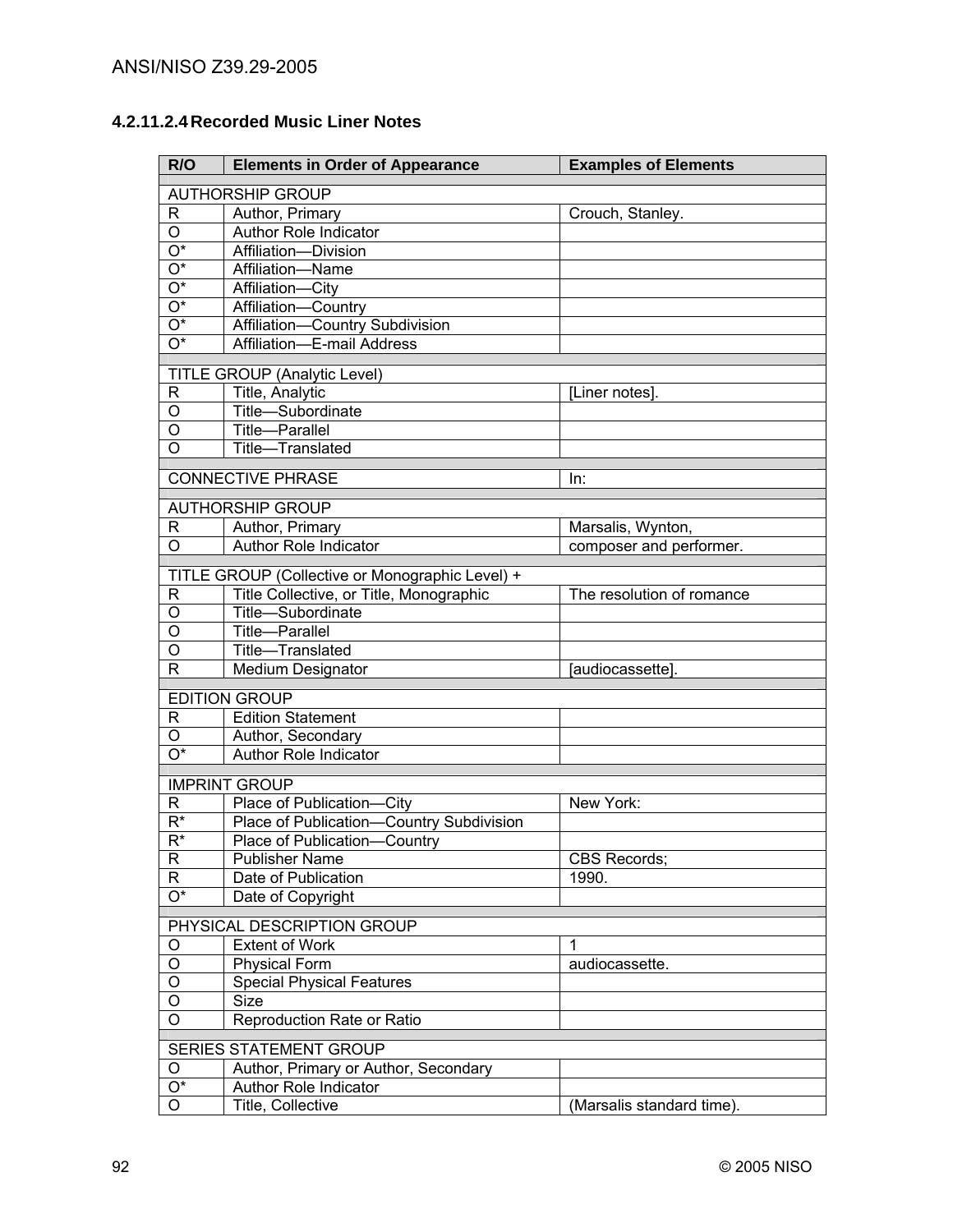# **4.2.11.2.4 Recorded Music Liner Notes**

| R/O                       | <b>Elements in Order of Appearance</b>          | <b>Examples of Elements</b> |
|---------------------------|-------------------------------------------------|-----------------------------|
|                           | <b>AUTHORSHIP GROUP</b>                         |                             |
| R                         | Author, Primary                                 | Crouch, Stanley.            |
| $\overline{O}$            | <b>Author Role Indicator</b>                    |                             |
| $\overline{O^*}$          | Affiliation-Division                            |                             |
| $\overline{O^*}$          | Affiliation-Name                                |                             |
| $\overline{O^*}$          | Affiliation-City                                |                             |
| $\overline{O^*}$          | Affiliation-Country                             |                             |
| $\overline{O^*}$          | Affiliation-Country Subdivision                 |                             |
| $\overline{\mathrm{O}^*}$ | Affiliation-E-mail Address                      |                             |
|                           | <b>TITLE GROUP (Analytic Level)</b>             |                             |
| R                         | Title, Analytic                                 | [Liner notes].              |
| O                         | Title-Subordinate                               |                             |
| O                         | Title-Parallel                                  |                             |
| O                         | Title-Translated                                |                             |
|                           |                                                 |                             |
|                           | <b>CONNECTIVE PHRASE</b>                        | In:                         |
|                           | <b>AUTHORSHIP GROUP</b>                         |                             |
| R                         | Author, Primary                                 | Marsalis, Wynton,           |
| O                         | <b>Author Role Indicator</b>                    | composer and performer.     |
|                           | TITLE GROUP (Collective or Monographic Level) + |                             |
| R                         | Title Collective, or Title, Monographic         | The resolution of romance   |
| $\mathsf O$               | Title-Subordinate                               |                             |
| $\overline{0}$            | Title-Parallel                                  |                             |
| $\overline{\mathsf{o}}$   | Title-Translated                                |                             |
| $\overline{\mathsf{R}}$   | <b>Medium Designator</b>                        | [audiocassette].            |
|                           | <b>EDITION GROUP</b>                            |                             |
| R                         | <b>Edition Statement</b>                        |                             |
| $\circ$                   | Author, Secondary                               |                             |
| $\overline{\mathrm{O}^*}$ | <b>Author Role Indicator</b>                    |                             |
|                           | <b>IMPRINT GROUP</b>                            |                             |
| R                         | Place of Publication-City                       | New York:                   |
| $R^*$                     | Place of Publication-Country Subdivision        |                             |
| $\overline{R^*}$          | Place of Publication-Country                    |                             |
| R                         | <b>Publisher Name</b>                           | <b>CBS Records;</b>         |
| $\mathsf{R}$              | Date of Publication                             | 1990.                       |
| $\overline{O^*}$          | Date of Copyright                               |                             |
|                           | PHYSICAL DESCRIPTION GROUP                      |                             |
| O                         | <b>Extent of Work</b>                           | 1                           |
| O                         | <b>Physical Form</b>                            | audiocassette.              |
| O                         | <b>Special Physical Features</b>                |                             |
| O                         | Size                                            |                             |
| O                         | Reproduction Rate or Ratio                      |                             |
| SERIES STATEMENT GROUP    |                                                 |                             |
| O                         | Author, Primary or Author, Secondary            |                             |
| $O^*$                     | Author Role Indicator                           |                             |
| O                         | Title, Collective                               | (Marsalis standard time).   |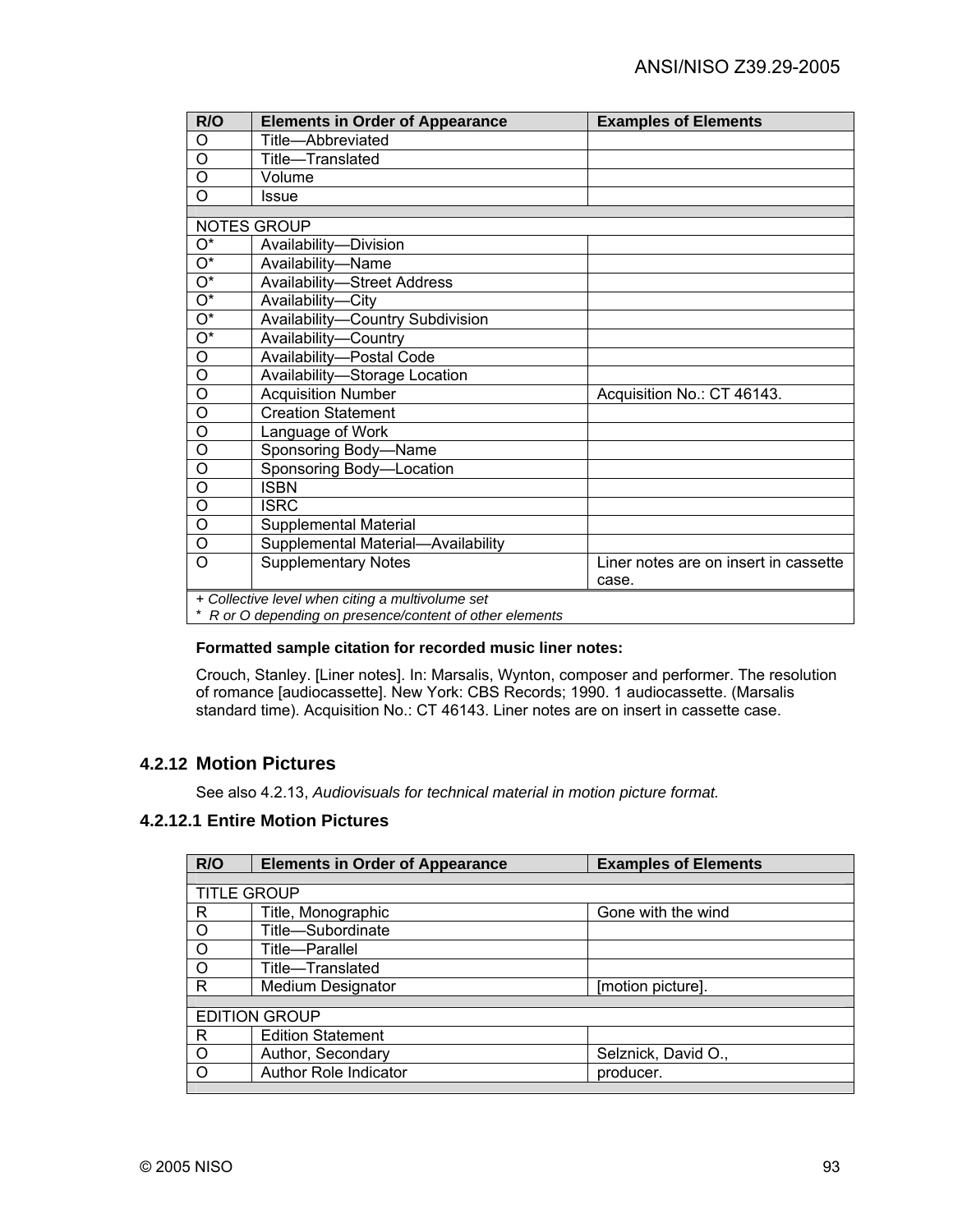| R/O                                                      | <b>Elements in Order of Appearance</b> | <b>Examples of Elements</b>           |
|----------------------------------------------------------|----------------------------------------|---------------------------------------|
| O                                                        | Title-Abbreviated                      |                                       |
| O                                                        | Title-Translated                       |                                       |
| O                                                        | Volume                                 |                                       |
| O                                                        | Issue                                  |                                       |
|                                                          |                                        |                                       |
|                                                          | NOTES GROUP                            |                                       |
| O*                                                       | Availability-Division                  |                                       |
| $\overline{O^*}$                                         | Availability-Name                      |                                       |
| $\overline{O^*}$                                         | <b>Availability-Street Address</b>     |                                       |
| $\overline{O^*}$                                         | Availability-City                      |                                       |
| $\overline{O^*}$                                         | Availability-Country Subdivision       |                                       |
| $\overline{\mathrm{O}^*}$                                | Availability-Country                   |                                       |
| $\circ$                                                  | Availability-Postal Code               |                                       |
| O                                                        | Availability-Storage Location          |                                       |
| $\circ$                                                  | <b>Acquisition Number</b>              | Acquisition No.: CT 46143.            |
| $\circ$                                                  | <b>Creation Statement</b>              |                                       |
| O                                                        | Language of Work                       |                                       |
| O                                                        | Sponsoring Body-Name                   |                                       |
| $\circ$                                                  | Sponsoring Body-Location               |                                       |
| O                                                        | <b>ISBN</b>                            |                                       |
| O                                                        | <b>ISRC</b>                            |                                       |
| $\overline{O}$                                           | Supplemental Material                  |                                       |
| O                                                        | Supplemental Material-Availability     |                                       |
| O                                                        | <b>Supplementary Notes</b>             | Liner notes are on insert in cassette |
|                                                          |                                        | case.                                 |
| + Collective level when citing a multivolume set         |                                        |                                       |
| * R or O depending on presence/content of other elements |                                        |                                       |

#### **Formatted sample citation for recorded music liner notes:**

Crouch, Stanley. [Liner notes]. In: Marsalis, Wynton, composer and performer. The resolution of romance [audiocassette]. New York: CBS Records; 1990. 1 audiocassette. (Marsalis standard time). Acquisition No.: CT 46143. Liner notes are on insert in cassette case.

## **4.2.12 Motion Pictures**

See also 4.2.13, *Audiovisuals for technical material in motion picture format.* 

## **4.2.12.1 Entire Motion Pictures**

| R/O                  | <b>Elements in Order of Appearance</b> | <b>Examples of Elements</b> |
|----------------------|----------------------------------------|-----------------------------|
|                      |                                        |                             |
| <b>TITLE GROUP</b>   |                                        |                             |
| R                    | Title, Monographic                     | Gone with the wind          |
| $\circ$              | Title-Subordinate                      |                             |
| $\circ$              | Title-Parallel                         |                             |
| $\circ$              | Title-Translated                       |                             |
| R                    | <b>Medium Designator</b>               | [motion picture].           |
|                      |                                        |                             |
| <b>EDITION GROUP</b> |                                        |                             |
| R                    | <b>Edition Statement</b>               |                             |
| $\circ$              | Author, Secondary                      | Selznick, David O.,         |
| O                    | Author Role Indicator                  | producer.                   |
|                      |                                        |                             |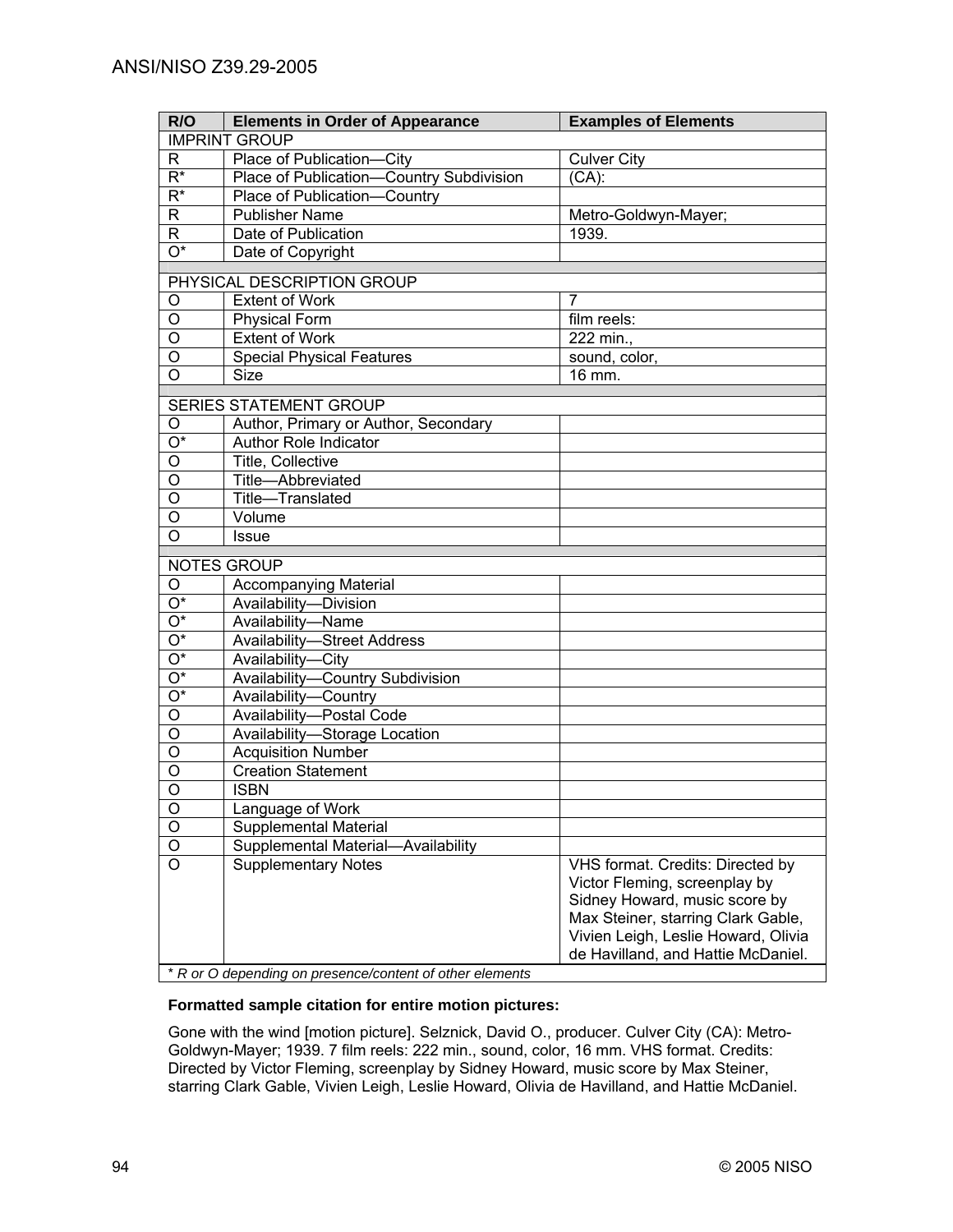| R/O                       | <b>Elements in Order of Appearance</b>                   | <b>Examples of Elements</b>         |
|---------------------------|----------------------------------------------------------|-------------------------------------|
| <b>IMPRINT GROUP</b>      |                                                          |                                     |
| R.                        | Place of Publication-City                                | <b>Culver City</b>                  |
| $\overline{R^*}$          | Place of Publication-Country Subdivision                 | $(CA)$ :                            |
| $\overline{\mathsf{R}^*}$ | Place of Publication-Country                             |                                     |
| $\overline{R}$            | <b>Publisher Name</b>                                    | Metro-Goldwyn-Mayer;                |
| $\overline{\mathsf{R}}$   | Date of Publication                                      | 1939.                               |
| $\overline{\mathrm{O}^*}$ | Date of Copyright                                        |                                     |
|                           | PHYSICAL DESCRIPTION GROUP                               |                                     |
| O                         | <b>Extent of Work</b>                                    | $\overline{7}$                      |
| $\overline{O}$            | <b>Physical Form</b>                                     | film reels:                         |
| $\overline{0}$            | <b>Extent of Work</b>                                    | 222 min.,                           |
| O                         | <b>Special Physical Features</b>                         | sound, color,                       |
| $\overline{O}$            | <b>Size</b>                                              | 16 mm.                              |
|                           | <b>SERIES STATEMENT GROUP</b>                            |                                     |
|                           | Author, Primary or Author, Secondary                     |                                     |
| O<br>$\overline{O^*}$     | <b>Author Role Indicator</b>                             |                                     |
| O                         | <b>Title, Collective</b>                                 |                                     |
| O                         | Title-Abbreviated                                        |                                     |
| O                         | Title-Translated                                         |                                     |
| O                         | Volume                                                   |                                     |
| O                         | <b>Issue</b>                                             |                                     |
|                           |                                                          |                                     |
|                           | <b>NOTES GROUP</b>                                       |                                     |
| O                         | <b>Accompanying Material</b>                             |                                     |
| $\overline{O^*}$          | Availability-Division                                    |                                     |
| $\overline{O^*}$          | Availability-Name                                        |                                     |
| $\overline{O^*}$          | <b>Availability-Street Address</b>                       |                                     |
| $\overline{O^*}$          | Availability-City                                        |                                     |
| $\overline{O^*}$          | Availability-Country Subdivision                         |                                     |
| $\overline{O^*}$          | Availability-Country                                     |                                     |
| $\overline{O}$            | Availability-Postal Code                                 |                                     |
| $\overline{0}$            | Availability-Storage Location                            |                                     |
| $\overline{0}$            | <b>Acquisition Number</b>                                |                                     |
| $\overline{\mathsf{o}}$   | <b>Creation Statement</b>                                |                                     |
| $\overline{0}$            | <b>ISBN</b>                                              |                                     |
| $\overline{O}$            | Language of Work                                         |                                     |
| $\overline{O}$            | Supplemental Material                                    |                                     |
| $\overline{O}$            | Supplemental Material-<br>-Availability                  |                                     |
| $\overline{\circ}$        | <b>Supplementary Notes</b>                               | VHS format. Credits: Directed by    |
|                           |                                                          | Victor Fleming, screenplay by       |
|                           |                                                          | Sidney Howard, music score by       |
|                           |                                                          | Max Steiner, starring Clark Gable,  |
|                           |                                                          | Vivien Leigh, Leslie Howard, Olivia |
|                           |                                                          | de Havilland, and Hattie McDaniel.  |
|                           | * R or O depending on presence/content of other elements |                                     |

\* *R or O depending on presence/content of other elements* 

#### **Formatted sample citation for entire motion pictures:**

Gone with the wind [motion picture]. Selznick, David O., producer. Culver City (CA): Metro-Goldwyn-Mayer; 1939. 7 film reels: 222 min., sound, color, 16 mm. VHS format. Credits: Directed by Victor Fleming, screenplay by Sidney Howard, music score by Max Steiner, starring Clark Gable, Vivien Leigh, Leslie Howard, Olivia de Havilland, and Hattie McDaniel.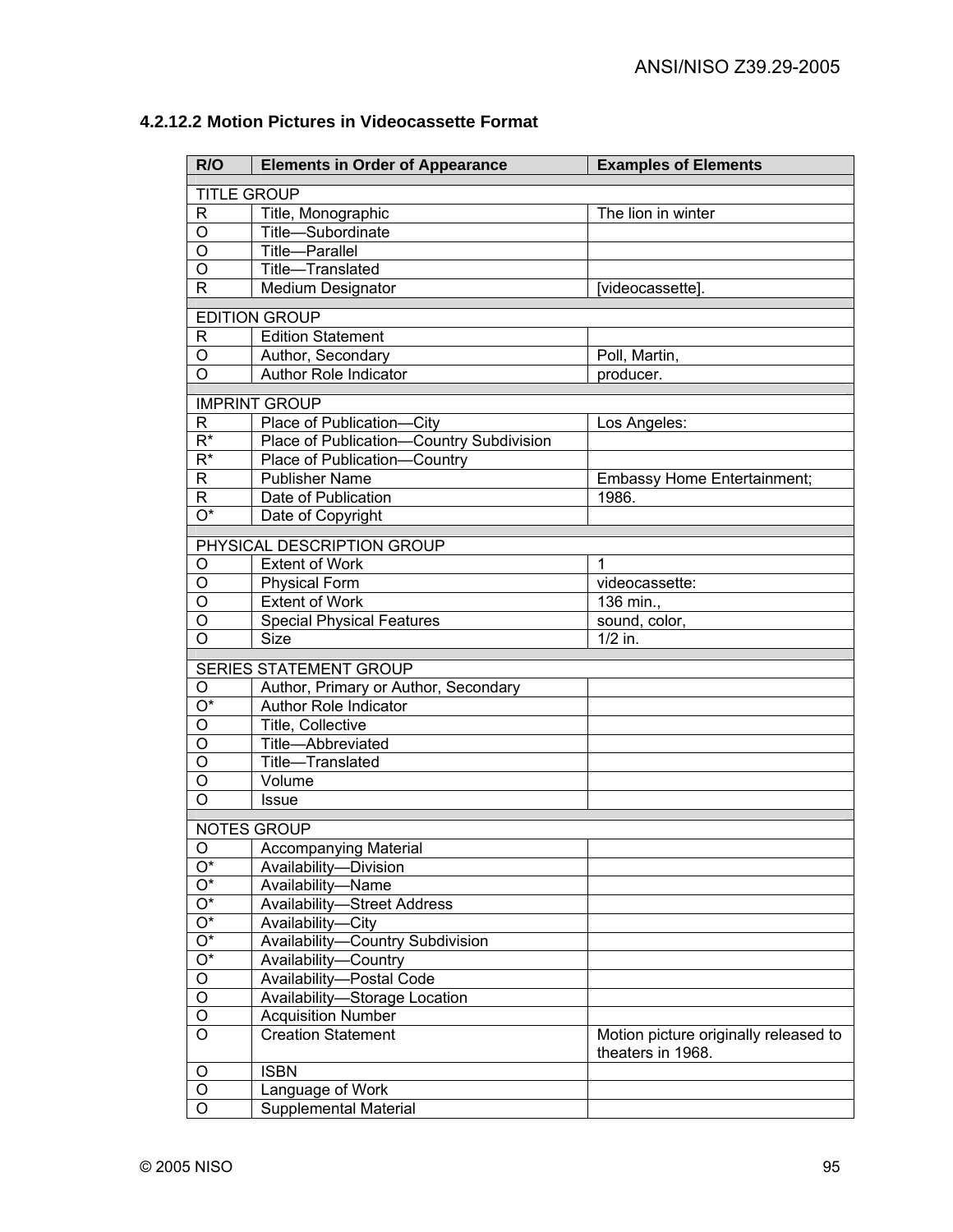| R/O                     | <b>Elements in Order of Appearance</b>                               | <b>Examples of Elements</b>           |
|-------------------------|----------------------------------------------------------------------|---------------------------------------|
|                         | <b>TITLE GROUP</b>                                                   |                                       |
| R                       | Title, Monographic                                                   | The lion in winter                    |
| O                       | Title-Subordinate                                                    |                                       |
| $\overline{0}$          | Title-Parallel                                                       |                                       |
| $\overline{\rm o}$      | Title-Translated                                                     |                                       |
| $\overline{\mathsf{R}}$ | <b>Medium Designator</b>                                             | [videocassette].                      |
|                         |                                                                      |                                       |
|                         | <b>EDITION GROUP</b>                                                 |                                       |
| R                       | Edition Statement                                                    |                                       |
| O<br>O                  | Author, Secondary<br>Author Role Indicator                           | Poll, Martin,                         |
|                         |                                                                      | producer.                             |
|                         | <b>IMPRINT GROUP</b>                                                 |                                       |
| R                       | Place of Publication-City                                            | Los Angeles:                          |
| $\overline{R^*}$        | Place of Publication-Country Subdivision                             |                                       |
| $R^*$                   | Place of Publication-Country                                         |                                       |
| R                       | <b>Publisher Name</b>                                                | <b>Embassy Home Entertainment;</b>    |
| R                       | Date of Publication                                                  | 1986.                                 |
| $\overline{O^*}$        | Date of Copyright                                                    |                                       |
|                         | PHYSICAL DESCRIPTION GROUP                                           |                                       |
| O                       | <b>Extent of Work</b>                                                | $\mathbf{1}$                          |
| $\overline{0}$          | <b>Physical Form</b>                                                 | videocassette:                        |
| $\overline{\mathsf{o}}$ | <b>Extent of Work</b>                                                | 136 min.,                             |
| $\overline{\mathsf{o}}$ | <b>Special Physical Features</b>                                     | sound, color,                         |
| $\overline{\mathsf{o}}$ | <b>Size</b>                                                          | $1/2$ in.                             |
|                         |                                                                      |                                       |
| O                       | SERIES STATEMENT GROUP                                               |                                       |
| O*                      | Author, Primary or Author, Secondary<br><b>Author Role Indicator</b> |                                       |
| O                       | Title, Collective                                                    |                                       |
| O                       | Title-Abbreviated                                                    |                                       |
| O                       | Title-Translated                                                     |                                       |
| O                       | Volume                                                               |                                       |
| O                       | <b>Issue</b>                                                         |                                       |
|                         |                                                                      |                                       |
|                         | <b>NOTES GROUP</b>                                                   |                                       |
| O<br>Ο*                 | Accompanying Material                                                |                                       |
| $\overline{O^*}$        | Availability-Division<br>Availability-Name                           |                                       |
| $\overline{O^*}$        | <b>Availability-Street Address</b>                                   |                                       |
| $\overline{O^*}$        | Availability-City                                                    |                                       |
| $\overline{O^*}$        | Availability-Country Subdivision                                     |                                       |
| $\overline{O^*}$        | Availability-Country                                                 |                                       |
| $\overline{O}$          | Availability-Postal Code                                             |                                       |
| $\overline{O}$          | Availability-Storage Location                                        |                                       |
| $\overline{O}$          | <b>Acquisition Number</b>                                            |                                       |
| $\overline{O}$          | <b>Creation Statement</b>                                            | Motion picture originally released to |
|                         |                                                                      | theaters in 1968.                     |
| O                       | <b>ISBN</b>                                                          |                                       |
| O                       | Language of Work                                                     |                                       |
| O                       | <b>Supplemental Material</b>                                         |                                       |

# **4.2.12.2 Motion Pictures in Videocassette Format**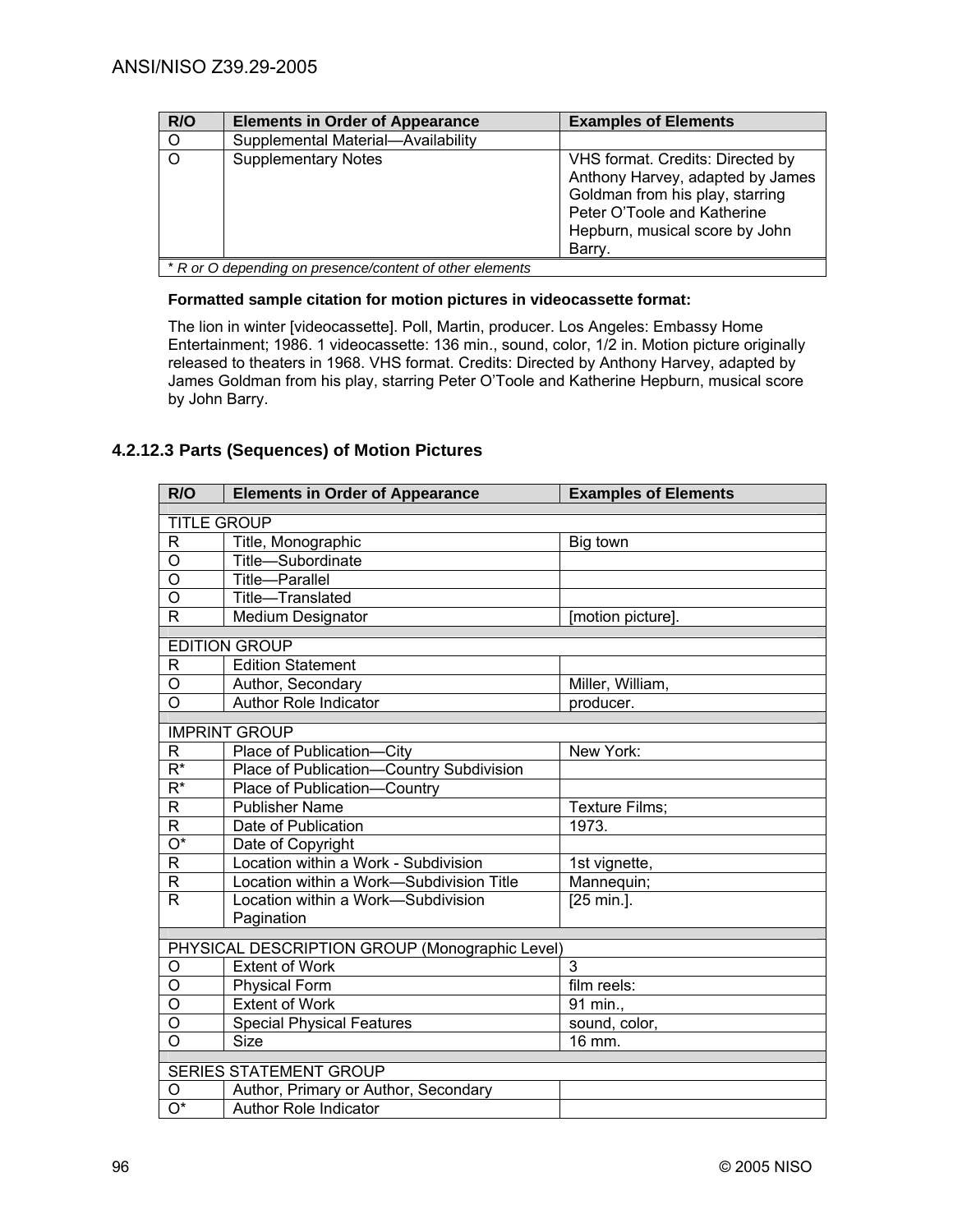| R/O     | <b>Elements in Order of Appearance</b>                              | <b>Examples of Elements</b>                                                                                                                                                        |
|---------|---------------------------------------------------------------------|------------------------------------------------------------------------------------------------------------------------------------------------------------------------------------|
| $\circ$ | Supplemental Material-Availability                                  |                                                                                                                                                                                    |
| $\circ$ | <b>Supplementary Notes</b>                                          | VHS format. Credits: Directed by<br>Anthony Harvey, adapted by James<br>Goldman from his play, starring<br>Peter O'Toole and Katherine<br>Hepburn, musical score by John<br>Barry. |
|         | $*$ D as $\Omega$ depending an presence equipment of other elements |                                                                                                                                                                                    |

\* *R or O depending on presence/content of other elements* 

#### **Formatted sample citation for motion pictures in videocassette format:**

The lion in winter [videocassette]. Poll, Martin, producer. Los Angeles: Embassy Home Entertainment; 1986. 1 videocassette: 136 min., sound, color, 1/2 in. Motion picture originally released to theaters in 1968. VHS format. Credits: Directed by Anthony Harvey, adapted by James Goldman from his play, starring Peter O'Toole and Katherine Hepburn, musical score by John Barry.

## **4.2.12.3 Parts (Sequences) of Motion Pictures**

| R/O                           | <b>Elements in Order of Appearance</b>         | <b>Examples of Elements</b> |  |
|-------------------------------|------------------------------------------------|-----------------------------|--|
|                               | <b>TITLE GROUP</b>                             |                             |  |
| R                             | Title, Monographic                             | Big town                    |  |
| O                             | Title-Subordinate                              |                             |  |
| O                             | <b>Title-Parallel</b>                          |                             |  |
| $\overline{\rm o}$            | Title-Translated                               |                             |  |
| R                             | Medium Designator                              | [motion picture].           |  |
|                               | <b>EDITION GROUP</b>                           |                             |  |
|                               | <b>Edition Statement</b>                       |                             |  |
| R<br>O                        |                                                |                             |  |
| O                             | Author, Secondary<br>Author Role Indicator     | Miller, William,            |  |
|                               |                                                | producer.                   |  |
|                               | <b>IMPRINT GROUP</b>                           |                             |  |
| R                             | Place of Publication-City                      | New York:                   |  |
| $\overline{\mathsf{R}^*}$     | Place of Publication-Country Subdivision       |                             |  |
| $\overline{\mathsf{R}^*}$     | Place of Publication-Country                   |                             |  |
| $\overline{\mathsf{R}}$       | <b>Publisher Name</b>                          | Texture Films:              |  |
| R                             | Date of Publication                            | 1973.                       |  |
| $\overline{O^*}$              | Date of Copyright                              |                             |  |
| $\mathsf{R}$                  | Location within a Work - Subdivision           | 1st vignette,               |  |
| R                             | Location within a Work-Subdivision Title       | Mannequin;                  |  |
| R                             | Location within a Work-Subdivision             | [25 min.].                  |  |
|                               | Pagination                                     |                             |  |
|                               | PHYSICAL DESCRIPTION GROUP (Monographic Level) |                             |  |
| O                             | <b>Extent of Work</b>                          | 3                           |  |
| $\overline{0}$                | Physical Form                                  | film reels:                 |  |
| O                             | <b>Extent of Work</b>                          | 91 min.,                    |  |
| $\overline{0}$                | <b>Special Physical Features</b>               | sound, color,               |  |
| O                             | <b>Size</b>                                    | 16 mm.                      |  |
|                               |                                                |                             |  |
| <b>SERIES STATEMENT GROUP</b> |                                                |                             |  |
| O                             | Author, Primary or Author, Secondary           |                             |  |
| $\overline{\mathrm{O}^*}$     | Author Role Indicator                          |                             |  |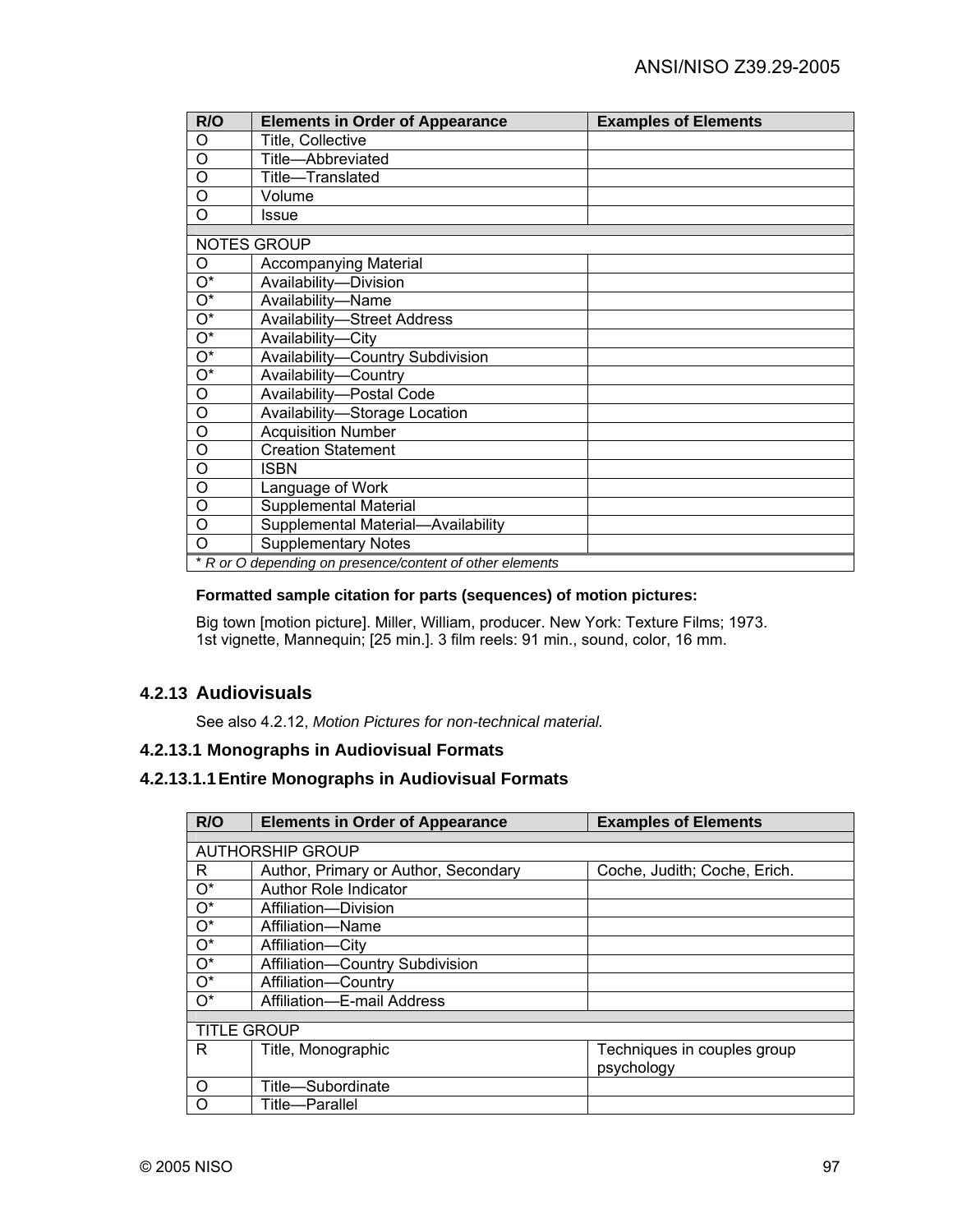| R/O                       | <b>Elements in Order of Appearance</b>                   | <b>Examples of Elements</b> |
|---------------------------|----------------------------------------------------------|-----------------------------|
| O                         | Title, Collective                                        |                             |
| O                         | Title-Abbreviated                                        |                             |
| O                         | Title-Translated                                         |                             |
| O                         | Volume                                                   |                             |
| O                         | Issue                                                    |                             |
|                           | <b>NOTES GROUP</b>                                       |                             |
|                           |                                                          |                             |
| O                         | Accompanying Material                                    |                             |
| $O^*$                     | Availability-Division                                    |                             |
| $O^*$                     | Availability-Name                                        |                             |
| $\overline{O^*}$          | <b>Availability-Street Address</b>                       |                             |
| $\overline{O^*}$          | Availability-City                                        |                             |
| $\overline{O^*}$          | Availability-Country Subdivision                         |                             |
| $\overline{\mathrm{O}^*}$ | Availability-Country                                     |                             |
| O                         | Availability-Postal Code                                 |                             |
| O                         | Availability-Storage Location                            |                             |
| O                         | <b>Acquisition Number</b>                                |                             |
| O                         | <b>Creation Statement</b>                                |                             |
| O                         | <b>ISBN</b>                                              |                             |
| O                         | Language of Work                                         |                             |
| O                         | Supplemental Material                                    |                             |
| O                         | Supplemental Material-Availability                       |                             |
| $\Omega$                  | <b>Supplementary Notes</b>                               |                             |
|                           | * R or O depending on presence/content of other elements |                             |

### **Formatted sample citation for parts (sequences) of motion pictures:**

Big town [motion picture]. Miller, William, producer. New York: Texture Films; 1973. 1st vignette, Mannequin; [25 min.]. 3 film reels: 91 min., sound, color, 16 mm.

## **4.2.13 Audiovisuals**

See also 4.2.12, *Motion Pictures for non-technical material.* 

### **4.2.13.1 Monographs in Audiovisual Formats**

## **4.2.13.1.1 Entire Monographs in Audiovisual Formats**

| R/O                     | <b>Elements in Order of Appearance</b> | <b>Examples of Elements</b>  |  |
|-------------------------|----------------------------------------|------------------------------|--|
|                         |                                        |                              |  |
| <b>AUTHORSHIP GROUP</b> |                                        |                              |  |
| R                       | Author, Primary or Author, Secondary   | Coche, Judith; Coche, Erich. |  |
| $O^*$                   | <b>Author Role Indicator</b>           |                              |  |
| $O^*$                   | Affiliation-Division                   |                              |  |
| $O^*$                   | Affiliation-Name                       |                              |  |
| $O^*$                   | Affiliation-City                       |                              |  |
| $\overline{O^*}$        | Affiliation-Country Subdivision        |                              |  |
| $\overline{O^*}$        | Affiliation-Country                    |                              |  |
| $O^*$                   | Affiliation-E-mail Address             |                              |  |
|                         |                                        |                              |  |
| <b>TITLE GROUP</b>      |                                        |                              |  |
| R                       | Title, Monographic                     | Techniques in couples group  |  |
|                         |                                        | psychology                   |  |
| $\circ$                 | Title-Subordinate                      |                              |  |
| $\circ$                 | Title-Parallel                         |                              |  |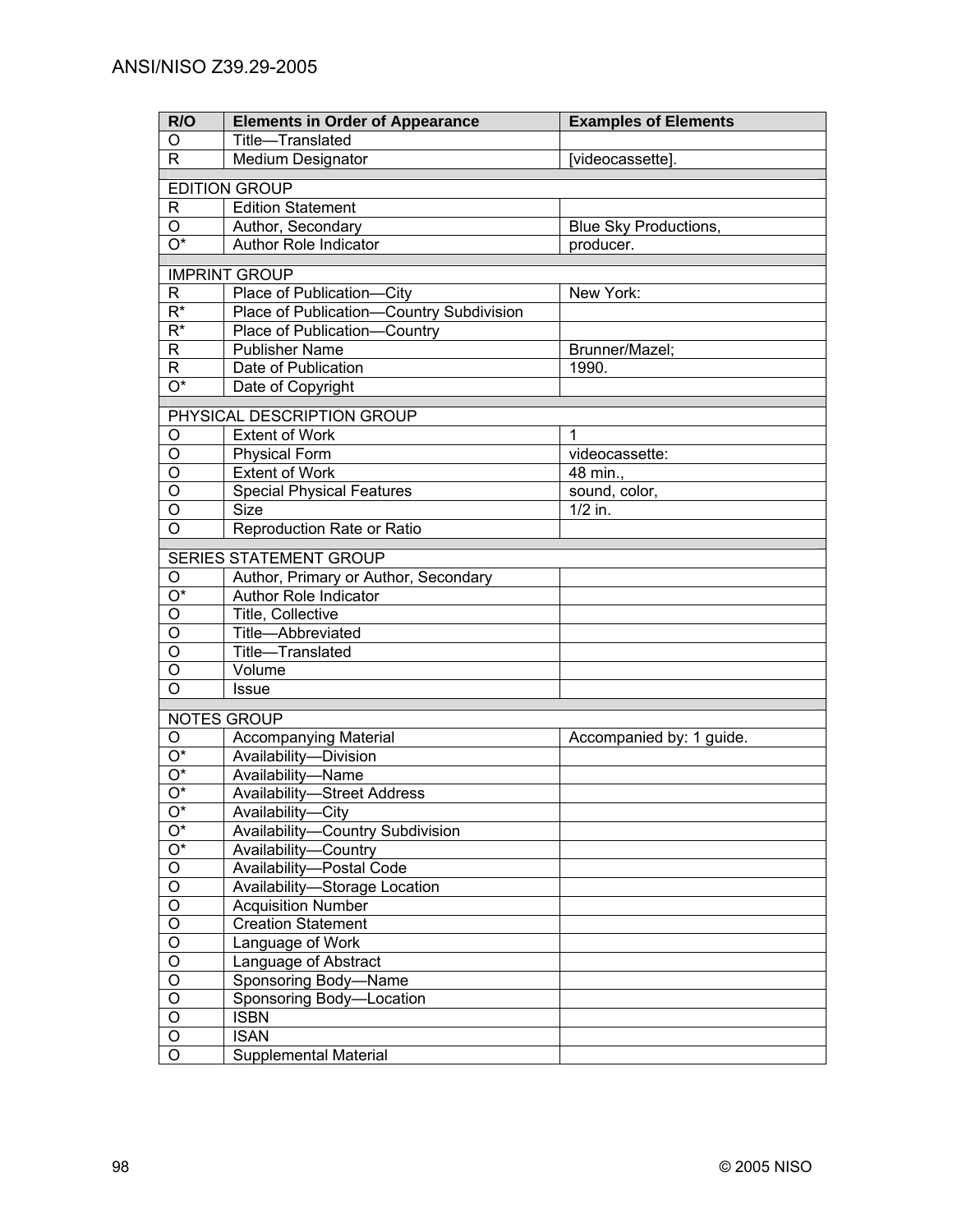| R/O<br><b>Examples of Elements</b><br><b>Elements in Order of Appearance</b>    |  |  |  |
|---------------------------------------------------------------------------------|--|--|--|
| Title-Translated<br>O                                                           |  |  |  |
| Medium Designator<br>R<br>[videocassette].                                      |  |  |  |
| <b>EDITION GROUP</b>                                                            |  |  |  |
| R<br><b>Edition Statement</b>                                                   |  |  |  |
| $\circ$<br>Author, Secondary<br>Blue Sky Productions,                           |  |  |  |
| $\overline{O^*}$<br>Author Role Indicator<br>producer.                          |  |  |  |
|                                                                                 |  |  |  |
| <b>IMPRINT GROUP</b>                                                            |  |  |  |
| Place of Publication-City<br>New York:<br>R                                     |  |  |  |
| $\overline{\mathsf{R}^*}$<br>Place of Publication-Country Subdivision           |  |  |  |
| $R^*$<br>Place of Publication-Country                                           |  |  |  |
| <b>Publisher Name</b><br>Brunner/Mazel;<br>R                                    |  |  |  |
| R.<br>Date of Publication<br>1990.                                              |  |  |  |
| $\overline{O^*}$<br>Date of Copyright                                           |  |  |  |
| PHYSICAL DESCRIPTION GROUP                                                      |  |  |  |
| $\mathbf{1}$<br><b>Extent of Work</b><br>O                                      |  |  |  |
| O<br><b>Physical Form</b><br>videocassette:                                     |  |  |  |
| $\overline{O}$<br><b>Extent of Work</b><br>48 min.,                             |  |  |  |
| $\overline{O}$<br><b>Special Physical Features</b><br>sound, color,             |  |  |  |
| O<br><b>Size</b><br>$1/2$ in.                                                   |  |  |  |
| $\overline{O}$<br>Reproduction Rate or Ratio                                    |  |  |  |
|                                                                                 |  |  |  |
| SERIES STATEMENT GROUP                                                          |  |  |  |
| O<br>Author, Primary or Author, Secondary<br>O*<br><b>Author Role Indicator</b> |  |  |  |
| O<br>Title, Collective                                                          |  |  |  |
| O<br>Title-Abbreviated                                                          |  |  |  |
| O<br>Title-Translated                                                           |  |  |  |
| O<br>Volume                                                                     |  |  |  |
| O<br><b>Issue</b>                                                               |  |  |  |
|                                                                                 |  |  |  |
| NOTES GROUP                                                                     |  |  |  |
| <b>Accompanying Material</b><br>O<br>Accompanied by: 1 guide.                   |  |  |  |
| O*<br>Availability-Division                                                     |  |  |  |
| O*<br>Availability-Name                                                         |  |  |  |
| $\overline{O^*}$<br><b>Availability-Street Address</b>                          |  |  |  |
| O*<br>Availability-City                                                         |  |  |  |
| $O^*$<br>Availability-Country Subdivision                                       |  |  |  |
| $O^*$<br>Availability-Country                                                   |  |  |  |
| $\mathsf O$<br>Availability-Postal Code                                         |  |  |  |
| $\overline{O}$<br>Availability-Storage Location                                 |  |  |  |
| $\overline{O}$<br><b>Acquisition Number</b><br>$\overline{O}$                   |  |  |  |
| <b>Creation Statement</b><br>$\overline{O}$                                     |  |  |  |
| Language of Work<br>$\overline{O}$                                              |  |  |  |
| Language of Abstract<br>$\overline{O}$<br>Sponsoring Body-Name                  |  |  |  |
| $\overline{O}$<br>Sponsoring Body-Location                                      |  |  |  |
| $\mathsf O$<br><b>ISBN</b>                                                      |  |  |  |
| O<br><b>ISAN</b>                                                                |  |  |  |
| $\overline{O}$<br><b>Supplemental Material</b>                                  |  |  |  |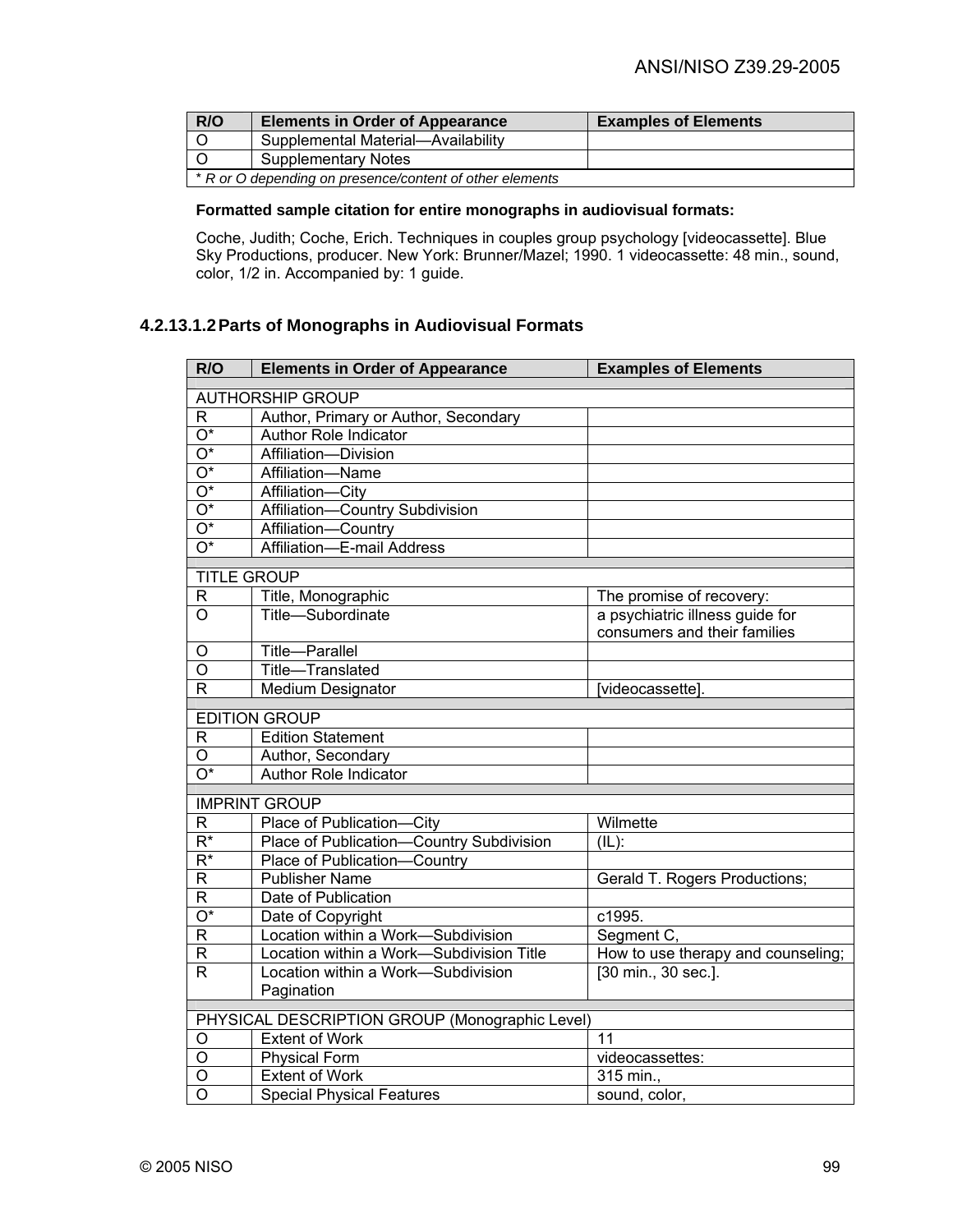| R/O                                                      | <b>Elements in Order of Appearance</b> | <b>Examples of Elements</b> |
|----------------------------------------------------------|----------------------------------------|-----------------------------|
|                                                          | Supplemental Material-Availability     |                             |
|                                                          | <b>Supplementary Notes</b>             |                             |
| * R or O depending on presence/content of other elements |                                        |                             |

### **Formatted sample citation for entire monographs in audiovisual formats:**

Coche, Judith; Coche, Erich. Techniques in couples group psychology [videocassette]. Blue Sky Productions, producer. New York: Brunner/Mazel; 1990. 1 videocassette: 48 min., sound, color, 1/2 in. Accompanied by: 1 guide.

## **4.2.13.1.2 Parts of Monographs in Audiovisual Formats**

| R/O                     | <b>Elements in Order of Appearance</b>         | <b>Examples of Elements</b>                                     |
|-------------------------|------------------------------------------------|-----------------------------------------------------------------|
| <b>AUTHORSHIP GROUP</b> |                                                |                                                                 |
| R                       | Author, Primary or Author, Secondary           |                                                                 |
| $\overline{O^*}$        | <b>Author Role Indicator</b>                   |                                                                 |
| $\overline{O^*}$        | Affiliation-Division                           |                                                                 |
| $\overline{O^*}$        | Affiliation-Name                               |                                                                 |
| $\overline{O^*}$        | Affiliation-City                               |                                                                 |
| $\overline{O^*}$        | Affiliation-Country Subdivision                |                                                                 |
| $\overline{O^*}$        | Affiliation-Country                            |                                                                 |
| $\overline{O^*}$        | Affiliation-E-mail Address                     |                                                                 |
| <b>TITLE GROUP</b>      |                                                |                                                                 |
|                         |                                                |                                                                 |
| R<br>$\circ$            | Title, Monographic<br>Title-Subordinate        | The promise of recovery:                                        |
|                         |                                                | a psychiatric illness guide for<br>consumers and their families |
| O                       | Title-Parallel                                 |                                                                 |
| O                       | Title-Translated                               |                                                                 |
| R                       | <b>Medium Designator</b>                       | [videocassette].                                                |
|                         | <b>EDITION GROUP</b>                           |                                                                 |
| R                       | <b>Edition Statement</b>                       |                                                                 |
| O                       | Author, Secondary                              |                                                                 |
| $\overline{O^*}$        | <b>Author Role Indicator</b>                   |                                                                 |
|                         | <b>IMPRINT GROUP</b>                           |                                                                 |
| $\mathsf R$             | Place of Publication-City                      | Wilmette                                                        |
| $\overline{R^*}$        | Place of Publication-Country Subdivision       | $\overline{L}(L)$ :                                             |
| $\overline{R^*}$        | Place of Publication-Country                   |                                                                 |
| R                       | <b>Publisher Name</b>                          | Gerald T. Rogers Productions;                                   |
| $\mathsf R$             | Date of Publication                            |                                                                 |
| $\overline{O^*}$        | Date of Copyright                              | c1995.                                                          |
| $\overline{R}$          | Location within a Work-Subdivision             | Segment C,                                                      |
| R                       | Location within a Work-Subdivision Title       | How to use therapy and counseling;                              |
| $\mathsf{R}$            | Location within a Work-Subdivision             | [30 min., 30 sec.].                                             |
|                         | Pagination                                     |                                                                 |
|                         | PHYSICAL DESCRIPTION GROUP (Monographic Level) |                                                                 |
| O                       | <b>Extent of Work</b>                          | 11                                                              |
| O                       | <b>Physical Form</b>                           | videocassettes:                                                 |
| O                       | <b>Extent of Work</b>                          | 315 min.                                                        |
| O                       | <b>Special Physical Features</b>               | sound, color,                                                   |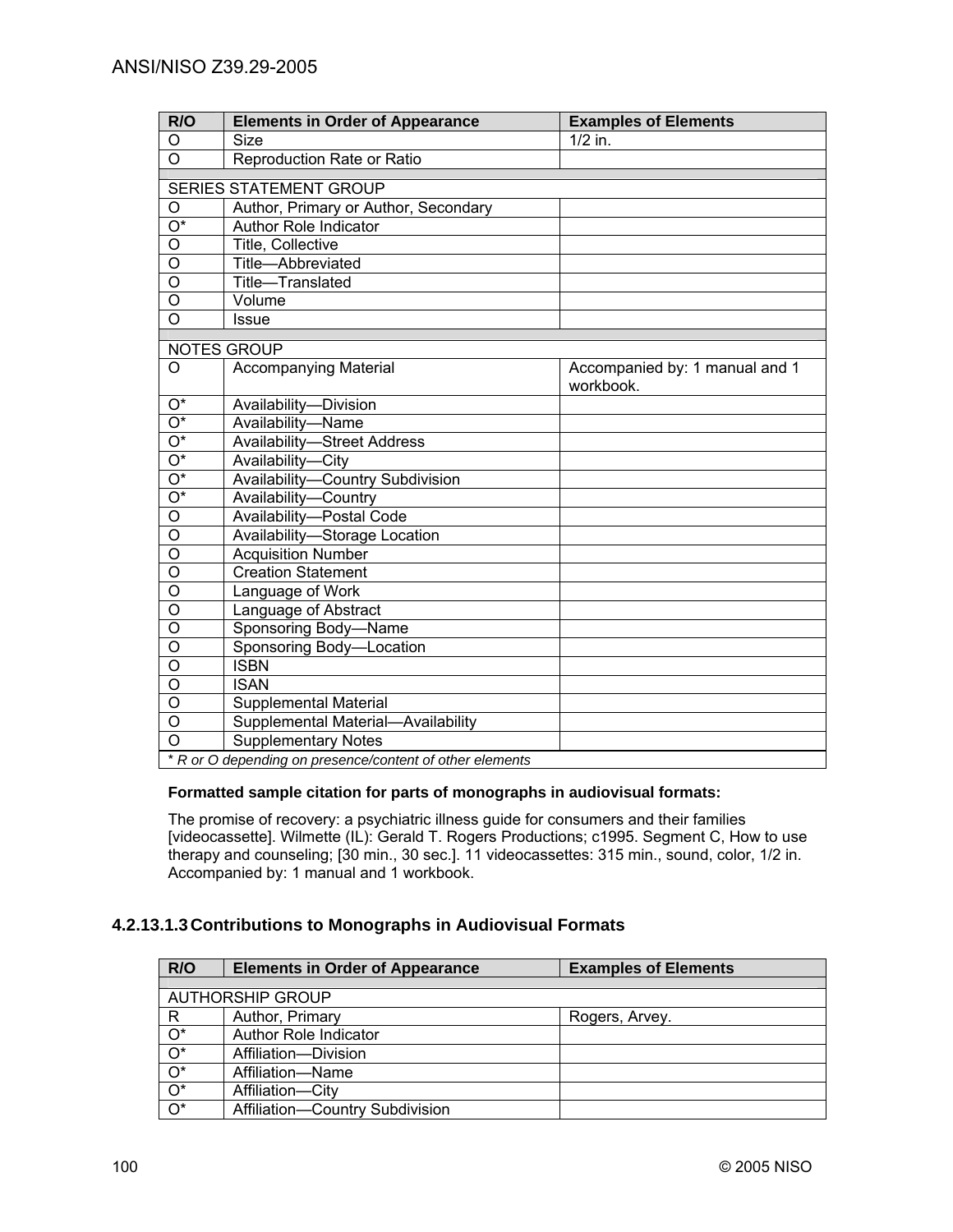| R/O                       | <b>Elements in Order of Appearance</b>                   | <b>Examples of Elements</b>    |  |
|---------------------------|----------------------------------------------------------|--------------------------------|--|
| O                         | Size                                                     | $1/2$ in.                      |  |
| $\overline{\circ}$        | Reproduction Rate or Ratio                               |                                |  |
|                           | <b>SERIES STATEMENT GROUP</b>                            |                                |  |
| O                         | Author, Primary or Author, Secondary                     |                                |  |
| $\overline{\mathrm{O}^*}$ | <b>Author Role Indicator</b>                             |                                |  |
| $\overline{\mathsf{o}}$   | Title, Collective                                        |                                |  |
| $\overline{0}$            | Title-Abbreviated                                        |                                |  |
| $\overline{0}$            | Title-Translated                                         |                                |  |
| $\overline{0}$            | Volume                                                   |                                |  |
| $\overline{0}$            | <b>Issue</b>                                             |                                |  |
|                           |                                                          |                                |  |
|                           | <b>NOTES GROUP</b>                                       |                                |  |
| O                         | <b>Accompanying Material</b>                             | Accompanied by: 1 manual and 1 |  |
|                           |                                                          | workbook.                      |  |
| $\overline{O^*}$          | Availability-Division                                    |                                |  |
| $\overline{O^*}$          | Availability-Name                                        |                                |  |
| $\overline{O^*}$          | <b>Availability-Street Address</b>                       |                                |  |
| $\overline{O^*}$          | Availability-City                                        |                                |  |
| $\overline{O^*}$          | Availability-Country Subdivision                         |                                |  |
| $\overline{O^*}$          | Availability-Country                                     |                                |  |
| $\overline{\circ}$        | Availability-Postal Code                                 |                                |  |
| $\overline{\mathsf{o}}$   | Availability-Storage Location                            |                                |  |
| $\overline{\circ}$        | <b>Acquisition Number</b>                                |                                |  |
| O                         | <b>Creation Statement</b>                                |                                |  |
| O                         | Language of Work                                         |                                |  |
| O                         | Language of Abstract                                     |                                |  |
| $\overline{0}$            | Sponsoring Body-Name                                     |                                |  |
| $\overline{O}$            | Sponsoring Body-Location                                 |                                |  |
| $\overline{0}$            | <b>ISBN</b>                                              |                                |  |
| $\overline{\circ}$        | <b>ISAN</b>                                              |                                |  |
| $\overline{0}$            | <b>Supplemental Material</b>                             |                                |  |
| $\overline{O}$            | Supplemental Material-Availability                       |                                |  |
| $\overline{0}$            | <b>Supplementary Notes</b>                               |                                |  |
|                           | * R or O depending on presence/content of other elements |                                |  |

### **Formatted sample citation for parts of monographs in audiovisual formats:**

The promise of recovery: a psychiatric illness guide for consumers and their families [videocassette]. Wilmette (IL): Gerald T. Rogers Productions; c1995. Segment C, How to use therapy and counseling; [30 min., 30 sec.]. 11 videocassettes: 315 min., sound, color, 1/2 in. Accompanied by: 1 manual and 1 workbook.

## **4.2.13.1.3 Contributions to Monographs in Audiovisual Formats**

| R/O                     | <b>Elements in Order of Appearance</b> | <b>Examples of Elements</b> |
|-------------------------|----------------------------------------|-----------------------------|
|                         |                                        |                             |
| <b>AUTHORSHIP GROUP</b> |                                        |                             |
| R                       | Author, Primary                        | Rogers, Arvey.              |
| $O^*$                   | Author Role Indicator                  |                             |
| $O^*$                   | Affiliation-Division                   |                             |
| $O^*$                   | Affiliation-Name                       |                             |
| $O^*$                   | Affiliation-City                       |                             |
| $O^*$                   | Affiliation-Country Subdivision        |                             |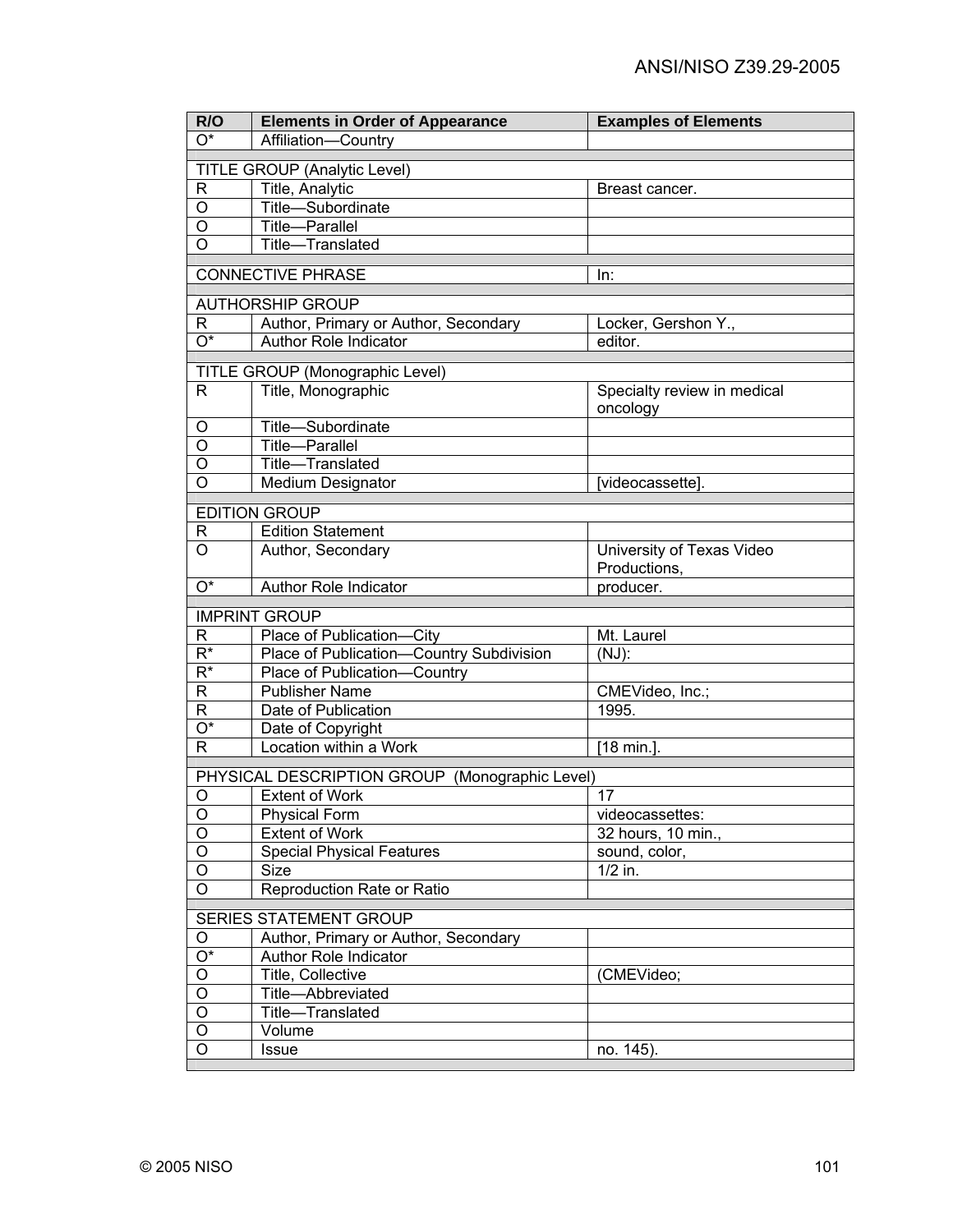| TITLE GROUP (Analytic Level)<br>$\mathsf{R}$<br>Title, Analytic<br>Breast cancer.<br>O<br>Title-Subordinate<br>O<br><b>Title-Parallel</b><br>O<br>Title-Translated<br><b>CONNECTIVE PHRASE</b><br>In:<br><b>AUTHORSHIP GROUP</b><br>Author, Primary or Author, Secondary<br>Locker, Gershon Y.,<br>R<br>$\overline{O^*}$<br>Author Role Indicator<br>editor.<br>TITLE GROUP (Monographic Level)<br>Title, Monographic<br>Specialty review in medical<br>R<br>oncology<br>Title-Subordinate<br>O<br>O<br><b>Title-Parallel</b><br>O<br>Title-Translated<br>$\overline{O}$<br><b>Medium Designator</b><br>[videocassette].<br><b>EDITION GROUP</b><br><b>Edition Statement</b><br>R<br>O<br>Author, Secondary<br>University of Texas Video<br>Productions,<br>$\overline{\mathrm{O}^*}$<br>Author Role Indicator<br>producer.<br><b>IMPRINT GROUP</b> | R/O                       | <b>Elements in Order of Appearance</b> | <b>Examples of Elements</b> |  |
|-----------------------------------------------------------------------------------------------------------------------------------------------------------------------------------------------------------------------------------------------------------------------------------------------------------------------------------------------------------------------------------------------------------------------------------------------------------------------------------------------------------------------------------------------------------------------------------------------------------------------------------------------------------------------------------------------------------------------------------------------------------------------------------------------------------------------------------------------------|---------------------------|----------------------------------------|-----------------------------|--|
|                                                                                                                                                                                                                                                                                                                                                                                                                                                                                                                                                                                                                                                                                                                                                                                                                                                     | $\overline{\mathrm{O}^*}$ | Affiliation-Country                    |                             |  |
|                                                                                                                                                                                                                                                                                                                                                                                                                                                                                                                                                                                                                                                                                                                                                                                                                                                     |                           |                                        |                             |  |
|                                                                                                                                                                                                                                                                                                                                                                                                                                                                                                                                                                                                                                                                                                                                                                                                                                                     |                           |                                        |                             |  |
|                                                                                                                                                                                                                                                                                                                                                                                                                                                                                                                                                                                                                                                                                                                                                                                                                                                     |                           |                                        |                             |  |
|                                                                                                                                                                                                                                                                                                                                                                                                                                                                                                                                                                                                                                                                                                                                                                                                                                                     |                           |                                        |                             |  |
|                                                                                                                                                                                                                                                                                                                                                                                                                                                                                                                                                                                                                                                                                                                                                                                                                                                     |                           |                                        |                             |  |
|                                                                                                                                                                                                                                                                                                                                                                                                                                                                                                                                                                                                                                                                                                                                                                                                                                                     |                           |                                        |                             |  |
|                                                                                                                                                                                                                                                                                                                                                                                                                                                                                                                                                                                                                                                                                                                                                                                                                                                     |                           |                                        |                             |  |
|                                                                                                                                                                                                                                                                                                                                                                                                                                                                                                                                                                                                                                                                                                                                                                                                                                                     |                           |                                        |                             |  |
|                                                                                                                                                                                                                                                                                                                                                                                                                                                                                                                                                                                                                                                                                                                                                                                                                                                     |                           |                                        |                             |  |
|                                                                                                                                                                                                                                                                                                                                                                                                                                                                                                                                                                                                                                                                                                                                                                                                                                                     |                           |                                        |                             |  |
|                                                                                                                                                                                                                                                                                                                                                                                                                                                                                                                                                                                                                                                                                                                                                                                                                                                     |                           |                                        |                             |  |
|                                                                                                                                                                                                                                                                                                                                                                                                                                                                                                                                                                                                                                                                                                                                                                                                                                                     |                           |                                        |                             |  |
|                                                                                                                                                                                                                                                                                                                                                                                                                                                                                                                                                                                                                                                                                                                                                                                                                                                     |                           |                                        |                             |  |
|                                                                                                                                                                                                                                                                                                                                                                                                                                                                                                                                                                                                                                                                                                                                                                                                                                                     |                           |                                        |                             |  |
|                                                                                                                                                                                                                                                                                                                                                                                                                                                                                                                                                                                                                                                                                                                                                                                                                                                     |                           |                                        |                             |  |
|                                                                                                                                                                                                                                                                                                                                                                                                                                                                                                                                                                                                                                                                                                                                                                                                                                                     |                           |                                        |                             |  |
|                                                                                                                                                                                                                                                                                                                                                                                                                                                                                                                                                                                                                                                                                                                                                                                                                                                     |                           |                                        |                             |  |
|                                                                                                                                                                                                                                                                                                                                                                                                                                                                                                                                                                                                                                                                                                                                                                                                                                                     |                           |                                        |                             |  |
|                                                                                                                                                                                                                                                                                                                                                                                                                                                                                                                                                                                                                                                                                                                                                                                                                                                     |                           |                                        |                             |  |
|                                                                                                                                                                                                                                                                                                                                                                                                                                                                                                                                                                                                                                                                                                                                                                                                                                                     |                           |                                        |                             |  |
|                                                                                                                                                                                                                                                                                                                                                                                                                                                                                                                                                                                                                                                                                                                                                                                                                                                     |                           |                                        |                             |  |
|                                                                                                                                                                                                                                                                                                                                                                                                                                                                                                                                                                                                                                                                                                                                                                                                                                                     |                           |                                        |                             |  |
|                                                                                                                                                                                                                                                                                                                                                                                                                                                                                                                                                                                                                                                                                                                                                                                                                                                     |                           |                                        |                             |  |
|                                                                                                                                                                                                                                                                                                                                                                                                                                                                                                                                                                                                                                                                                                                                                                                                                                                     | R                         | Place of Publication-City              | Mt. Laurel                  |  |
| Place of Publication-Country Subdivision<br>$R^*$<br>(NJ):                                                                                                                                                                                                                                                                                                                                                                                                                                                                                                                                                                                                                                                                                                                                                                                          |                           |                                        |                             |  |
| $R^*$<br>Place of Publication-Country                                                                                                                                                                                                                                                                                                                                                                                                                                                                                                                                                                                                                                                                                                                                                                                                               |                           |                                        |                             |  |
| $\mathsf{R}$<br><b>Publisher Name</b><br>CMEVideo, Inc.;                                                                                                                                                                                                                                                                                                                                                                                                                                                                                                                                                                                                                                                                                                                                                                                            |                           |                                        |                             |  |
| R<br>Date of Publication<br>1995.                                                                                                                                                                                                                                                                                                                                                                                                                                                                                                                                                                                                                                                                                                                                                                                                                   |                           |                                        |                             |  |
| O*<br>Date of Copyright                                                                                                                                                                                                                                                                                                                                                                                                                                                                                                                                                                                                                                                                                                                                                                                                                             |                           |                                        |                             |  |
| Location within a Work<br>R<br>[18 min.].                                                                                                                                                                                                                                                                                                                                                                                                                                                                                                                                                                                                                                                                                                                                                                                                           |                           |                                        |                             |  |
| PHYSICAL DESCRIPTION GROUP (Monographic Level)                                                                                                                                                                                                                                                                                                                                                                                                                                                                                                                                                                                                                                                                                                                                                                                                      |                           |                                        |                             |  |
| <b>Extent of Work</b><br>17<br>O                                                                                                                                                                                                                                                                                                                                                                                                                                                                                                                                                                                                                                                                                                                                                                                                                    |                           |                                        |                             |  |
| <b>Physical Form</b><br>videocassettes:<br>O                                                                                                                                                                                                                                                                                                                                                                                                                                                                                                                                                                                                                                                                                                                                                                                                        |                           |                                        |                             |  |
| $\circ$<br><b>Extent of Work</b><br>32 hours, 10 min.,                                                                                                                                                                                                                                                                                                                                                                                                                                                                                                                                                                                                                                                                                                                                                                                              |                           |                                        |                             |  |
| $\bigcirc$<br><b>Special Physical Features</b><br>sound, color,                                                                                                                                                                                                                                                                                                                                                                                                                                                                                                                                                                                                                                                                                                                                                                                     |                           |                                        |                             |  |
| O<br>$1/2$ in.<br>Size                                                                                                                                                                                                                                                                                                                                                                                                                                                                                                                                                                                                                                                                                                                                                                                                                              |                           |                                        |                             |  |
| Reproduction Rate or Ratio<br>O                                                                                                                                                                                                                                                                                                                                                                                                                                                                                                                                                                                                                                                                                                                                                                                                                     |                           |                                        |                             |  |
| SERIES STATEMENT GROUP                                                                                                                                                                                                                                                                                                                                                                                                                                                                                                                                                                                                                                                                                                                                                                                                                              |                           |                                        |                             |  |
| Author, Primary or Author, Secondary<br>O                                                                                                                                                                                                                                                                                                                                                                                                                                                                                                                                                                                                                                                                                                                                                                                                           |                           |                                        |                             |  |
| $\overline{O^*}$<br>Author Role Indicator                                                                                                                                                                                                                                                                                                                                                                                                                                                                                                                                                                                                                                                                                                                                                                                                           |                           |                                        |                             |  |
| $\circ$<br>Title, Collective<br>(CMEVideo;                                                                                                                                                                                                                                                                                                                                                                                                                                                                                                                                                                                                                                                                                                                                                                                                          |                           |                                        |                             |  |
| $\overline{O}$<br>Title-Abbreviated                                                                                                                                                                                                                                                                                                                                                                                                                                                                                                                                                                                                                                                                                                                                                                                                                 |                           |                                        |                             |  |
| $\overline{O}$<br>Title-Translated                                                                                                                                                                                                                                                                                                                                                                                                                                                                                                                                                                                                                                                                                                                                                                                                                  |                           |                                        |                             |  |
| $\circ$<br>Volume                                                                                                                                                                                                                                                                                                                                                                                                                                                                                                                                                                                                                                                                                                                                                                                                                                   |                           |                                        |                             |  |
| $\circ$<br>no. 145).<br>Issue                                                                                                                                                                                                                                                                                                                                                                                                                                                                                                                                                                                                                                                                                                                                                                                                                       |                           |                                        |                             |  |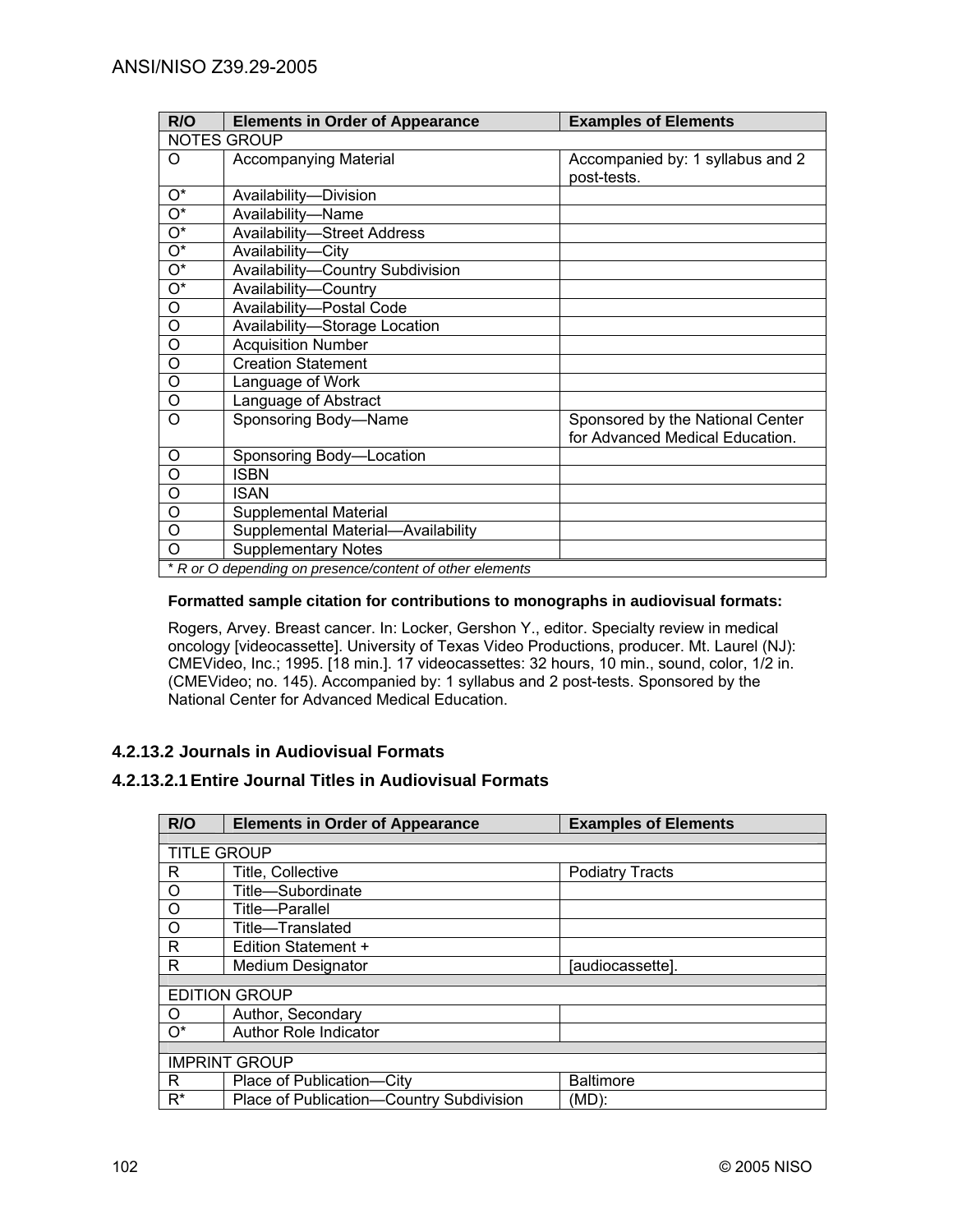| R/O                                                      | <b>Elements in Order of Appearance</b> | <b>Examples of Elements</b>                                         |
|----------------------------------------------------------|----------------------------------------|---------------------------------------------------------------------|
|                                                          | NOTES GROUP                            |                                                                     |
| O                                                        | <b>Accompanying Material</b>           | Accompanied by: 1 syllabus and 2<br>post-tests.                     |
| $O^*$                                                    | Availability-Division                  |                                                                     |
| О*                                                       | Availability-Name                      |                                                                     |
| О*                                                       | <b>Availability-Street Address</b>     |                                                                     |
| $O^*$                                                    | Availability-City                      |                                                                     |
| $O^*$                                                    | Availability-Country Subdivision       |                                                                     |
| $\mathrm{O}^\star$                                       | Availability-Country                   |                                                                     |
| O                                                        | Availability-Postal Code               |                                                                     |
| $\overline{0}$                                           | Availability-Storage Location          |                                                                     |
| $\overline{O}$                                           | <b>Acquisition Number</b>              |                                                                     |
| O                                                        | <b>Creation Statement</b>              |                                                                     |
| $\circ$                                                  | Language of Work                       |                                                                     |
| O                                                        | Language of Abstract                   |                                                                     |
| O                                                        | Sponsoring Body-Name                   | Sponsored by the National Center<br>for Advanced Medical Education. |
| O                                                        | Sponsoring Body-Location               |                                                                     |
| $\circ$                                                  | ISBN                                   |                                                                     |
| O                                                        | <b>ISAN</b>                            |                                                                     |
| O                                                        | Supplemental Material                  |                                                                     |
| O                                                        | Supplemental Material-Availability     |                                                                     |
| O                                                        | <b>Supplementary Notes</b>             |                                                                     |
| * R or O depending on presence/content of other elements |                                        |                                                                     |

### **Formatted sample citation for contributions to monographs in audiovisual formats:**

Rogers, Arvey. Breast cancer. In: Locker, Gershon Y., editor. Specialty review in medical oncology [videocassette]. University of Texas Video Productions, producer. Mt. Laurel (NJ): CMEVideo, Inc.; 1995. [18 min.]. 17 videocassettes: 32 hours, 10 min., sound, color, 1/2 in. (CMEVideo; no. 145). Accompanied by: 1 syllabus and 2 post-tests. Sponsored by the National Center for Advanced Medical Education.

## **4.2.13.2 Journals in Audiovisual Formats**

# **4.2.13.2.1 Entire Journal Titles in Audiovisual Formats**

| R/O                | <b>Elements in Order of Appearance</b>   | <b>Examples of Elements</b> |
|--------------------|------------------------------------------|-----------------------------|
|                    |                                          |                             |
| <b>TITLE GROUP</b> |                                          |                             |
| R.                 | Title, Collective                        | <b>Podiatry Tracts</b>      |
| $\circ$            | Title-Subordinate                        |                             |
| $\circ$            | Title—Parallel                           |                             |
| $\circ$            | Title-Translated                         |                             |
| R                  | Edition Statement +                      |                             |
| R                  | <b>Medium Designator</b>                 | [audiocassette].            |
|                    |                                          |                             |
|                    | <b>EDITION GROUP</b>                     |                             |
| O                  | Author, Secondary                        |                             |
| $O^*$              | <b>Author Role Indicator</b>             |                             |
|                    |                                          |                             |
|                    | <b>IMPRINT GROUP</b>                     |                             |
| R.                 | Place of Publication-City                | <b>Baltimore</b>            |
| $R^*$              | Place of Publication-Country Subdivision | (MD):                       |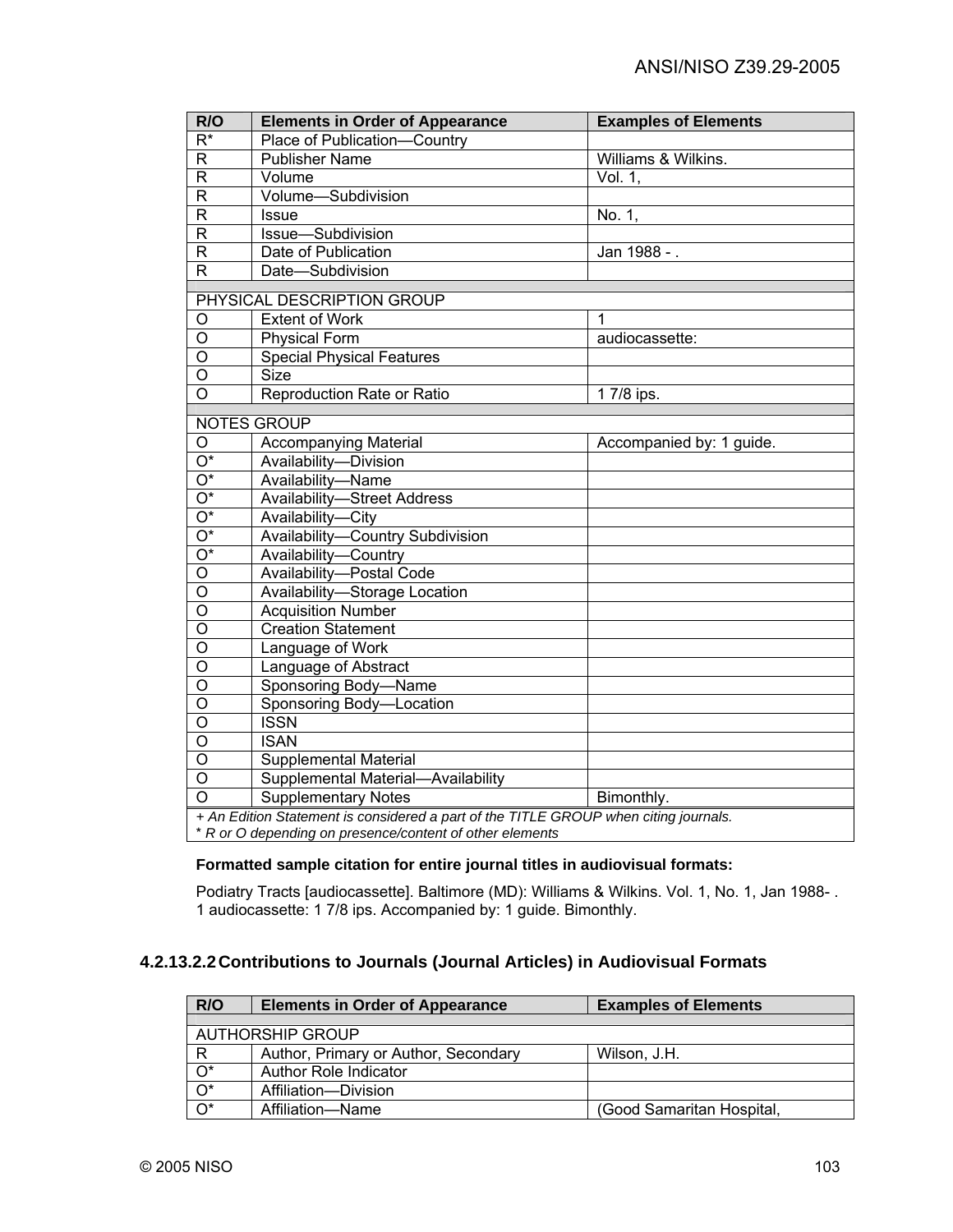| R/O                                                                                  | <b>Elements in Order of Appearance</b>                   | <b>Examples of Elements</b> |  |
|--------------------------------------------------------------------------------------|----------------------------------------------------------|-----------------------------|--|
| $\overline{R^*}$                                                                     | Place of Publication-Country                             |                             |  |
| $\overline{R}$                                                                       | <b>Publisher Name</b>                                    | Williams & Wilkins.         |  |
| $\overline{R}$                                                                       | Volume                                                   | Vol. 1,                     |  |
| $\overline{R}$                                                                       | Volume-Subdivision                                       |                             |  |
| $\mathsf{R}$                                                                         | <b>Issue</b>                                             | No. 1,                      |  |
| R                                                                                    | Issue-Subdivision                                        |                             |  |
| $\mathsf{R}$                                                                         | Date of Publication                                      | Jan 1988 - .                |  |
| $\overline{R}$                                                                       | Date-Subdivision                                         |                             |  |
|                                                                                      | PHYSICAL DESCRIPTION GROUP                               |                             |  |
| O                                                                                    | <b>Extent of Work</b>                                    | 1                           |  |
| O                                                                                    | <b>Physical Form</b>                                     | audiocassette:              |  |
| $\overline{0}$                                                                       | <b>Special Physical Features</b>                         |                             |  |
| $\overline{\mathsf{o}}$                                                              | <b>Size</b>                                              |                             |  |
| $\overline{O}$                                                                       | Reproduction Rate or Ratio                               | 1 7/8 ips.                  |  |
|                                                                                      |                                                          |                             |  |
|                                                                                      | <b>NOTES GROUP</b>                                       |                             |  |
| $\circ$                                                                              | <b>Accompanying Material</b>                             | Accompanied by: 1 guide.    |  |
| $\overline{O^*}$                                                                     | Availability-Division                                    |                             |  |
| $\overline{O^*}$                                                                     | Availability-Name                                        |                             |  |
| $\overline{O^*}$                                                                     | <b>Availability-Street Address</b>                       |                             |  |
| $\overline{O^*}$                                                                     | Availability-City                                        |                             |  |
| $\overline{O^*}$                                                                     | Availability-Country Subdivision                         |                             |  |
| $\overline{O^*}$                                                                     | Availability-Country                                     |                             |  |
| $\overline{O}$                                                                       | Availability-Postal Code                                 |                             |  |
| $\overline{O}$                                                                       | Availability-Storage Location                            |                             |  |
| $\overline{0}$                                                                       | <b>Acquisition Number</b>                                |                             |  |
| $\overline{\rm o}$                                                                   | <b>Creation Statement</b>                                |                             |  |
| $\overline{\mathsf{o}}$                                                              | Language of Work                                         |                             |  |
| O                                                                                    | Language of Abstract                                     |                             |  |
| $\overline{0}$                                                                       | Sponsoring Body-Name                                     |                             |  |
| $\overline{\mathsf{o}}$                                                              | Sponsoring Body-Location                                 |                             |  |
| $\overline{\mathsf{o}}$                                                              | <b>ISSN</b>                                              |                             |  |
| O                                                                                    | <b>ISAN</b>                                              |                             |  |
| $\circ$                                                                              | <b>Supplemental Material</b>                             |                             |  |
| O                                                                                    | Supplemental Material-Availability                       |                             |  |
| $\overline{O}$                                                                       | <b>Supplementary Notes</b>                               | Bimonthly.                  |  |
| + An Edition Statement is considered a part of the TITLE GROUP when citing journals. |                                                          |                             |  |
|                                                                                      | * R or O depending on presence/content of other elements |                             |  |

## **Formatted sample citation for entire journal titles in audiovisual formats:**

Podiatry Tracts [audiocassette]. Baltimore (MD): Williams & Wilkins. Vol. 1, No. 1, Jan 1988- . 1 audiocassette: 1 7/8 ips. Accompanied by: 1 guide. Bimonthly.

# **4.2.13.2.2 Contributions to Journals (Journal Articles) in Audiovisual Formats**

| R/O              | <b>Elements in Order of Appearance</b> | <b>Examples of Elements</b> |
|------------------|----------------------------------------|-----------------------------|
|                  |                                        |                             |
|                  | AUTHORSHIP GROUP                       |                             |
| R                | Author, Primary or Author, Secondary   | Wilson, J.H.                |
| $O^*$            | Author Role Indicator                  |                             |
| $\overline{O^*}$ | Affiliation-Division                   |                             |
| $\overline{O^*}$ | Affiliation-Name                       | (Good Samaritan Hospital,   |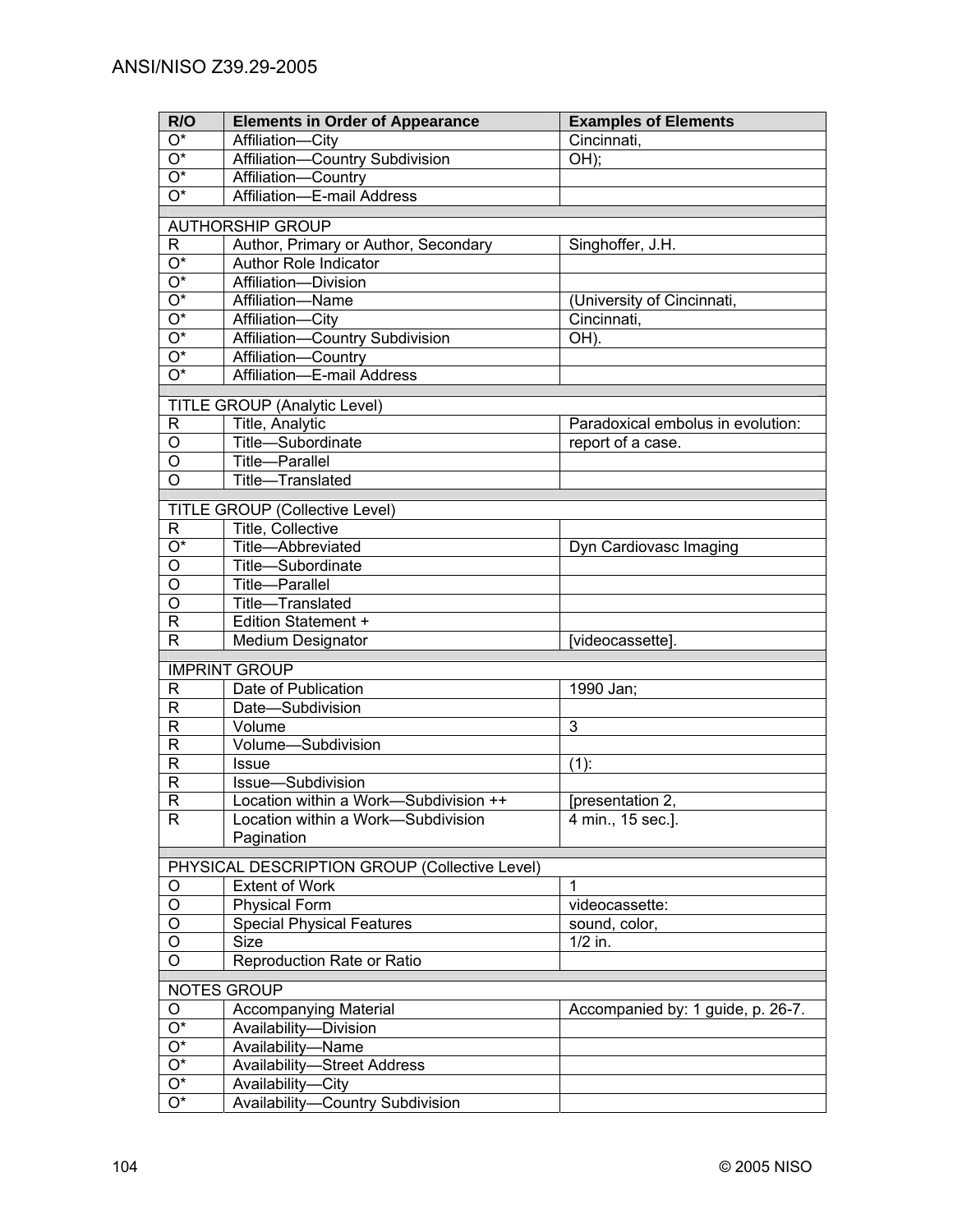| R/O                             | <b>Elements in Order of Appearance</b>                        | <b>Examples of Elements</b>       |
|---------------------------------|---------------------------------------------------------------|-----------------------------------|
| $O^*$                           | Affiliation-City                                              | Cincinnati,                       |
| $\overline{O^*}$                | Affiliation-Country Subdivision                               | OH);                              |
| $\overline{O^*}$                | Affiliation-Country                                           |                                   |
| $\overline{O^*}$                | Affiliation-E-mail Address                                    |                                   |
|                                 |                                                               |                                   |
|                                 | <b>AUTHORSHIP GROUP</b>                                       |                                   |
| R.<br>$\overline{\mathrm{O}^*}$ | Author, Primary or Author, Secondary<br>Author Role Indicator | Singhoffer, J.H.                  |
| $\overline{\mathrm{O}^*}$       | Affiliation-Division                                          |                                   |
| $\overline{\mathrm{O}^*}$       | Affiliation-Name                                              | (University of Cincinnati,        |
| $\overline{\mathrm{O}^*}$       | Affiliation-City                                              | Cincinnati.                       |
| $\overline{\mathrm{O}^*}$       | Affiliation-Country Subdivision                               | OH).                              |
| $\overline{\mathrm{O}^*}$       | Affiliation-Country                                           |                                   |
| $\overline{\mathrm{O}^*}$       | Affiliation-E-mail Address                                    |                                   |
|                                 |                                                               |                                   |
|                                 | TITLE GROUP (Analytic Level)                                  |                                   |
| R                               | Title, Analytic                                               | Paradoxical embolus in evolution: |
| $\circ$                         | Title-Subordinate                                             | report of a case.                 |
| $\overline{O}$                  | Title-Parallel                                                |                                   |
| $\overline{\circ}$              | Title-Translated                                              |                                   |
|                                 | <b>TITLE GROUP (Collective Level)</b>                         |                                   |
| R                               | Title, Collective                                             |                                   |
| $O^*$                           | Title-Abbreviated                                             | Dyn Cardiovasc Imaging            |
| O                               | Title-Subordinate                                             |                                   |
| Ο                               | Title-Parallel                                                |                                   |
| O                               | Title-Translated                                              |                                   |
| R                               | Edition Statement +                                           |                                   |
| R                               | <b>Medium Designator</b>                                      | [videocassette].                  |
|                                 |                                                               |                                   |
|                                 | <b>IMPRINT GROUP</b>                                          |                                   |
| R<br>$\mathsf R$                | Date of Publication<br>Date-Subdivision                       | 1990 Jan;                         |
| $\mathsf R$                     | Volume                                                        | 3                                 |
| $\mathsf{R}$                    | Volume-Subdivision                                            |                                   |
| $\mathsf{R}$                    | <b>Issue</b>                                                  | $(1)$ :                           |
| $\mathsf R$                     | Issue-Subdivision                                             |                                   |
| $\mathsf{R}$                    | Location within a Work-Subdivision ++                         | [presentation 2,                  |
| R                               | Location within a Work-Subdivision                            | 4 min., 15 sec.].                 |
|                                 | Pagination                                                    |                                   |
|                                 |                                                               |                                   |
|                                 | PHYSICAL DESCRIPTION GROUP (Collective Level)                 |                                   |
| O                               | <b>Extent of Work</b>                                         | 1                                 |
| $\overline{O}$                  | <b>Physical Form</b>                                          | videocassette:                    |
| $\overline{O}$                  | <b>Special Physical Features</b>                              | sound, color,                     |
| $\overline{O}$                  | Size                                                          | $1/2$ in.                         |
| $\overline{\circ}$              | Reproduction Rate or Ratio                                    |                                   |
|                                 | <b>NOTES GROUP</b>                                            |                                   |
| O                               | <b>Accompanying Material</b>                                  | Accompanied by: 1 guide, p. 26-7. |
| $O^*$                           | Availability-Division                                         |                                   |
| $\mathrm{O}^\star$              | Availability-Name                                             |                                   |
| $\overline{O^*}$                | <b>Availability-Street Address</b>                            |                                   |
| Ο*                              | Availability-City                                             |                                   |
| O*                              | Availability-Country Subdivision                              |                                   |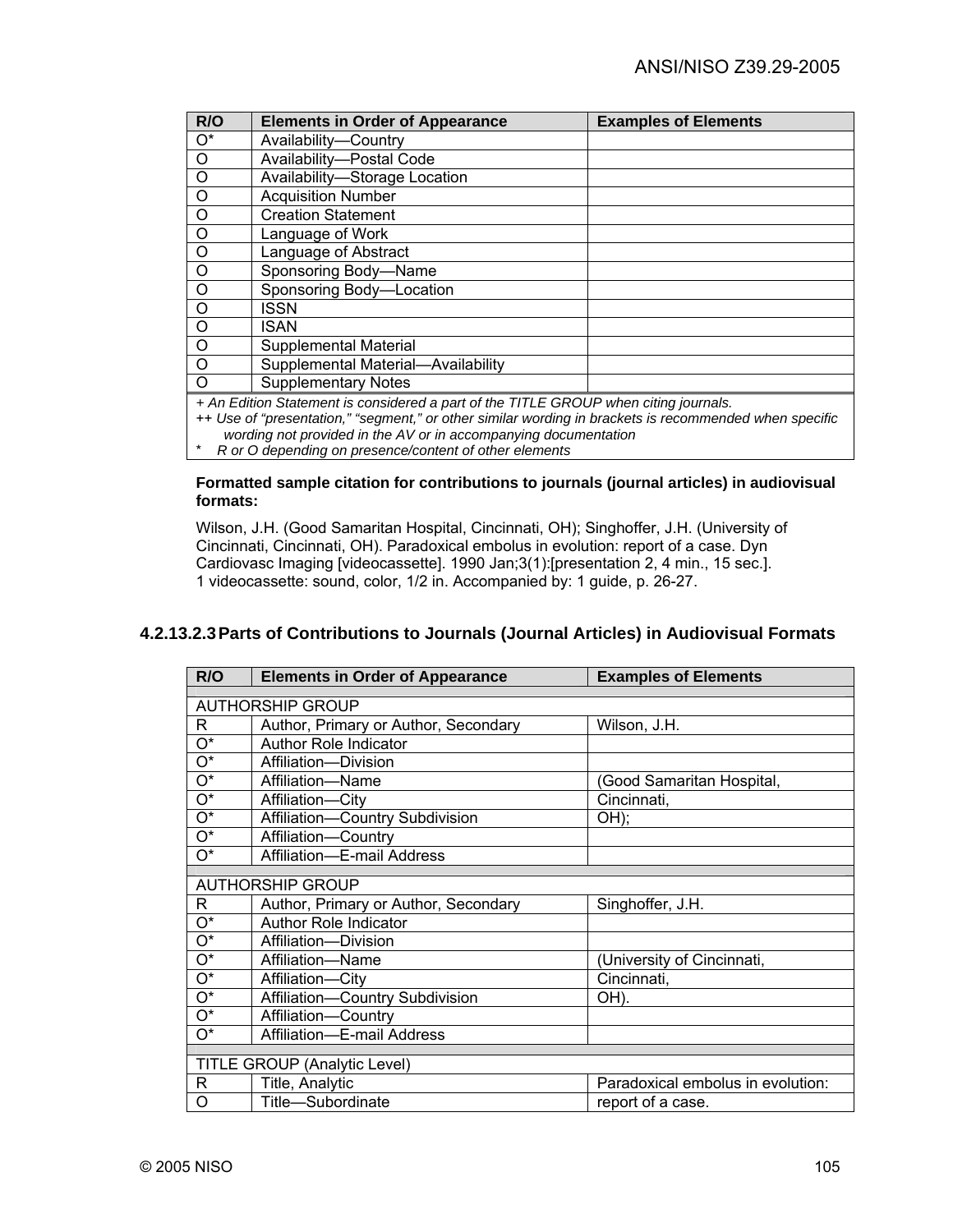| R/O                                                                                  | <b>Elements in Order of Appearance</b> | <b>Examples of Elements</b> |
|--------------------------------------------------------------------------------------|----------------------------------------|-----------------------------|
| $O^*$                                                                                | Availability-Country                   |                             |
| $\circ$                                                                              | Availability-Postal Code               |                             |
| $\circ$                                                                              | Availability-Storage Location          |                             |
| $\circ$                                                                              | <b>Acquisition Number</b>              |                             |
| $\circ$                                                                              | <b>Creation Statement</b>              |                             |
| $\circ$                                                                              | Language of Work                       |                             |
| $\circ$                                                                              | Language of Abstract                   |                             |
| $\circ$                                                                              | Sponsoring Body-Name                   |                             |
| $\circ$                                                                              | Sponsoring Body-Location               |                             |
| $\circ$                                                                              | <b>ISSN</b>                            |                             |
| $\circ$                                                                              | ISAN                                   |                             |
| $\circ$                                                                              | Supplemental Material                  |                             |
| $\circ$                                                                              | Supplemental Material-Availability     |                             |
| $\Omega$                                                                             | <b>Supplementary Notes</b>             |                             |
| + An Edition Statement is considered a part of the TITLE GROUP when citing journals. |                                        |                             |

++ *Use of "presentation," "segment," or other similar wording in brackets is recommended when specific* 

*wording not provided in the AV or in accompanying documentation*

\* *R or O depending on presence/content of other elements* 

### **Formatted sample citation for contributions to journals (journal articles) in audiovisual formats:**

Wilson, J.H. (Good Samaritan Hospital, Cincinnati, OH); Singhoffer, J.H. (University of Cincinnati, Cincinnati, OH). Paradoxical embolus in evolution: report of a case. Dyn Cardiovasc Imaging [videocassette]. 1990 Jan;3(1):[presentation 2, 4 min., 15 sec.]. 1 videocassette: sound, color, 1/2 in. Accompanied by: 1 guide, p. 26-27.

# **4.2.13.2.3 Parts of Contributions to Journals (Journal Articles) in Audiovisual Formats**

| R/O                       | <b>Elements in Order of Appearance</b> | <b>Examples of Elements</b>       |
|---------------------------|----------------------------------------|-----------------------------------|
|                           |                                        |                                   |
|                           | <b>AUTHORSHIP GROUP</b>                |                                   |
| R                         | Author, Primary or Author, Secondary   | Wilson, J.H.                      |
| О*                        | <b>Author Role Indicator</b>           |                                   |
| $\overline{O^*}$          | Affiliation-Division                   |                                   |
| $\overline{O^*}$          | Affiliation-Name                       | (Good Samaritan Hospital,         |
| $\overline{O^*}$          | Affiliation-City                       | Cincinnati,                       |
| $\overline{\mathrm{O}^*}$ | Affiliation-Country Subdivision        | OH);                              |
| $O^*$                     | Affiliation-Country                    |                                   |
| O*                        | Affiliation-E-mail Address             |                                   |
|                           |                                        |                                   |
|                           | <b>AUTHORSHIP GROUP</b>                |                                   |
| R                         | Author, Primary or Author, Secondary   | Singhoffer, J.H.                  |
| О*                        | <b>Author Role Indicator</b>           |                                   |
| $O^*$                     | Affiliation-Division                   |                                   |
| $\overline{\mathrm{O}^*}$ | Affiliation-Name                       | (University of Cincinnati,        |
| $\overline{O^*}$          | Affiliation-City                       | Cincinnati,                       |
| $\overline{O^*}$          | Affiliation-Country Subdivision        | OH).                              |
| $O^*$                     | Affiliation-Country                    |                                   |
| O*                        | Affiliation-E-mail Address             |                                   |
|                           |                                        |                                   |
|                           | <b>TITLE GROUP (Analytic Level)</b>    |                                   |
| R                         | Title, Analytic                        | Paradoxical embolus in evolution: |
| O                         | Title-Subordinate                      | report of a case.                 |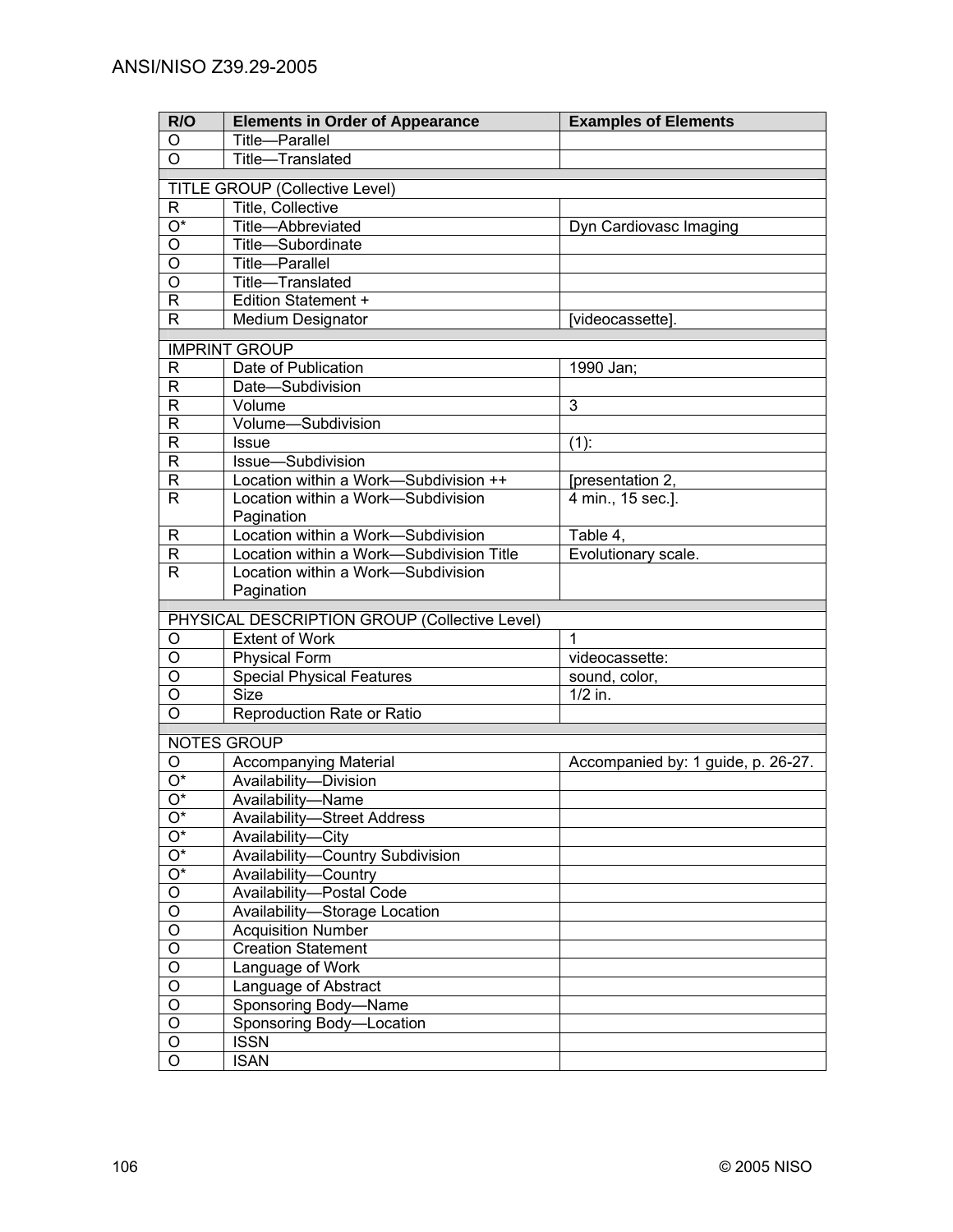| <b>Examples of Elements</b>        |
|------------------------------------|
|                                    |
|                                    |
|                                    |
|                                    |
|                                    |
| Dyn Cardiovasc Imaging             |
|                                    |
|                                    |
|                                    |
|                                    |
| [videocassette].                   |
|                                    |
|                                    |
|                                    |
|                                    |
|                                    |
|                                    |
|                                    |
| [presentation 2,                   |
| 4 min., 15 sec.].                  |
|                                    |
|                                    |
| Evolutionary scale.                |
|                                    |
|                                    |
|                                    |
|                                    |
|                                    |
| videocassette:                     |
| sound, color,                      |
|                                    |
|                                    |
|                                    |
| Accompanied by: 1 guide, p. 26-27. |
|                                    |
|                                    |
|                                    |
|                                    |
|                                    |
|                                    |
|                                    |
|                                    |
|                                    |
|                                    |
|                                    |
|                                    |
|                                    |
|                                    |
|                                    |
|                                    |
|                                    |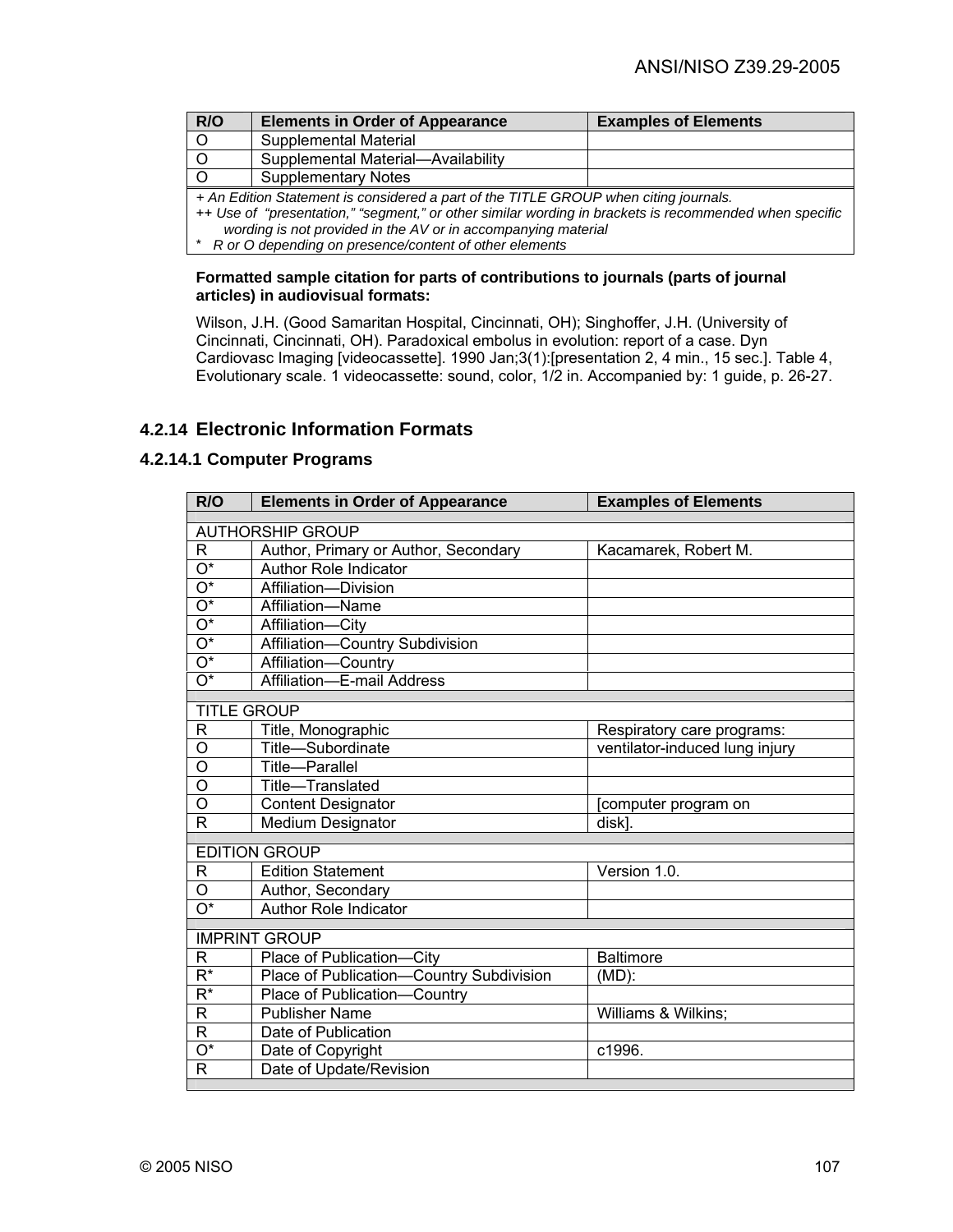| R/O                                                                                                    | <b>Elements in Order of Appearance</b> | <b>Examples of Elements</b> |
|--------------------------------------------------------------------------------------------------------|----------------------------------------|-----------------------------|
| $\circ$                                                                                                | <b>Supplemental Material</b>           |                             |
|                                                                                                        | Supplemental Material-Availability     |                             |
|                                                                                                        | <b>Supplementary Notes</b>             |                             |
| + An Edition Statement is considered a part of the TITLE GROUP when citing journals.                   |                                        |                             |
| ++ Use of "presentation," "segment," or other similar wording in brackets is recommended when specific |                                        |                             |
| wording is not provided in the AV or in accompanying material                                          |                                        |                             |

#### **Formatted sample citation for parts of contributions to journals (parts of journal articles) in audiovisual formats:**

Wilson, J.H. (Good Samaritan Hospital, Cincinnati, OH); Singhoffer, J.H. (University of Cincinnati, Cincinnati, OH). Paradoxical embolus in evolution: report of a case. Dyn Cardiovasc Imaging [videocassette]. 1990 Jan;3(1):[presentation 2, 4 min., 15 sec.]. Table 4, Evolutionary scale. 1 videocassette: sound, color, 1/2 in. Accompanied by: 1 guide, p. 26-27.

# **4.2.14 Electronic Information Formats**

## **4.2.14.1 Computer Programs**

| R/O                       | <b>Elements in Order of Appearance</b>   | <b>Examples of Elements</b>    |
|---------------------------|------------------------------------------|--------------------------------|
| <b>AUTHORSHIP GROUP</b>   |                                          |                                |
| R                         | Author, Primary or Author, Secondary     | Kacamarek, Robert M.           |
| $\overline{O^*}$          | Author Role Indicator                    |                                |
| $\overline{O^*}$          | Affiliation-Division                     |                                |
| $\overline{O^*}$          | Affiliation-Name                         |                                |
| $\overline{O^*}$          | Affiliation-City                         |                                |
| $\overline{O^*}$          | Affiliation-Country Subdivision          |                                |
| $\overline{O^*}$          | Affiliation-Country                      |                                |
| $\overline{O^*}$          | Affiliation-E-mail Address               |                                |
|                           |                                          |                                |
| <b>TITLE GROUP</b>        |                                          |                                |
| R                         | Title, Monographic                       | Respiratory care programs:     |
| O<br>$\overline{O}$       | Title-Subordinate                        | ventilator-induced lung injury |
|                           | Title-Parallel                           |                                |
| O                         | Title-Translated                         |                                |
| $\overline{\rm o}$        | <b>Content Designator</b>                | [computer program on           |
| R                         | <b>Medium Designator</b>                 | disk].                         |
|                           | <b>EDITION GROUP</b>                     |                                |
| R                         | <b>Edition Statement</b>                 | Version 1.0.                   |
| O                         | Author, Secondary                        |                                |
| $\overline{\mathrm{O}^*}$ | Author Role Indicator                    |                                |
|                           |                                          |                                |
|                           | <b>IMPRINT GROUP</b>                     |                                |
| R                         | Place of Publication-City                | <b>Baltimore</b>               |
| $R^*$                     | Place of Publication-Country Subdivision | (MD):                          |
| $\overline{\mathsf{R}^*}$ | Place of Publication-Country             |                                |
| $\mathsf{R}$              | <b>Publisher Name</b>                    | Williams & Wilkins;            |
| R                         | Date of Publication                      |                                |
| $\overline{\mathrm{O}^*}$ | Date of Copyright                        | c1996.                         |
| $\mathsf{R}$              | Date of Update/Revision                  |                                |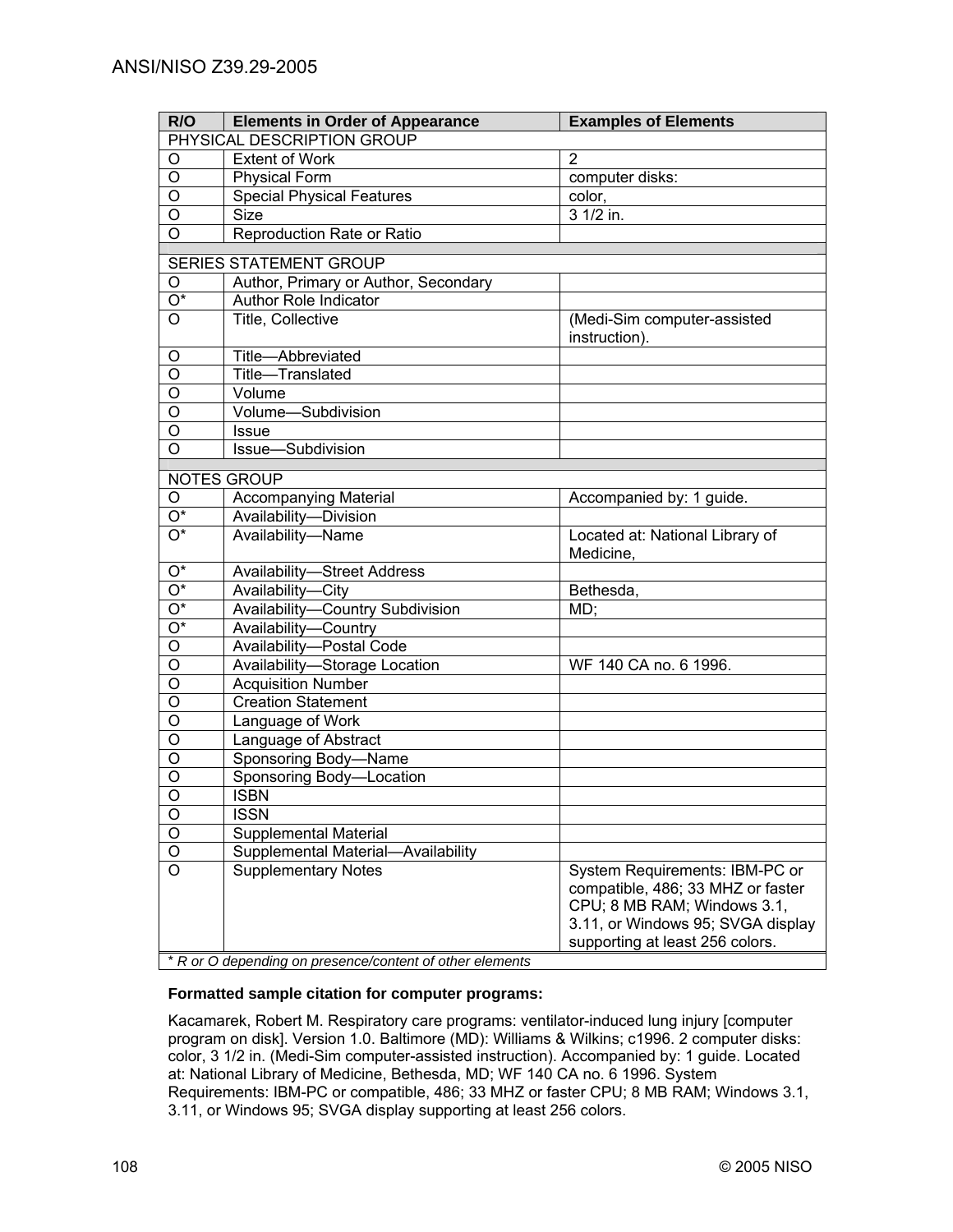| R/O                        | <b>Elements in Order of Appearance</b>                     | <b>Examples of Elements</b>                                                                                                                                                |
|----------------------------|------------------------------------------------------------|----------------------------------------------------------------------------------------------------------------------------------------------------------------------------|
| PHYSICAL DESCRIPTION GROUP |                                                            |                                                                                                                                                                            |
| O                          | <b>Extent of Work</b>                                      | $\overline{2}$                                                                                                                                                             |
| O                          | <b>Physical Form</b>                                       | computer disks:                                                                                                                                                            |
| O                          | <b>Special Physical Features</b>                           | color,                                                                                                                                                                     |
| $\overline{O}$             | <b>Size</b>                                                | 3 1/2 in.                                                                                                                                                                  |
| $\circ$                    | Reproduction Rate or Ratio                                 |                                                                                                                                                                            |
|                            | <b>SERIES STATEMENT GROUP</b>                              |                                                                                                                                                                            |
| O                          | Author, Primary or Author, Secondary                       |                                                                                                                                                                            |
| $\overline{\mathrm{O}^*}$  | <b>Author Role Indicator</b>                               |                                                                                                                                                                            |
| $\circ$                    | Title, Collective                                          | (Medi-Sim computer-assisted                                                                                                                                                |
|                            |                                                            | instruction).                                                                                                                                                              |
| O                          | Title-Abbreviated                                          |                                                                                                                                                                            |
| O                          | Title-Translated                                           |                                                                                                                                                                            |
| O                          | Volume                                                     |                                                                                                                                                                            |
| O                          | Volume-Subdivision                                         |                                                                                                                                                                            |
| O                          | <b>Issue</b>                                               |                                                                                                                                                                            |
| $\overline{O}$             | Issue-Subdivision                                          |                                                                                                                                                                            |
|                            | NOTES GROUP                                                |                                                                                                                                                                            |
| O                          | <b>Accompanying Material</b>                               | Accompanied by: 1 guide.                                                                                                                                                   |
| $\overline{O^*}$           | Availability-Division                                      |                                                                                                                                                                            |
| $\overline{O^*}$           | Availability-Name                                          | Located at: National Library of<br>Medicine,                                                                                                                               |
| $O^*$                      | <b>Availability-Street Address</b>                         |                                                                                                                                                                            |
| $\overline{O^*}$           | Availability-City                                          | Bethesda,                                                                                                                                                                  |
| $\overline{O^*}$           | Availability-Country Subdivision                           | MD;                                                                                                                                                                        |
| $\overline{O^*}$           | Availability-Country                                       |                                                                                                                                                                            |
| O                          | Availability-Postal Code                                   |                                                                                                                                                                            |
| O                          | Availability-Storage Location                              | WF 140 CA no. 6 1996.                                                                                                                                                      |
| $\overline{O}$             | <b>Acquisition Number</b>                                  |                                                                                                                                                                            |
| $\overline{O}$             | <b>Creation Statement</b>                                  |                                                                                                                                                                            |
| $\overline{O}$             | Language of Work                                           |                                                                                                                                                                            |
| O                          | Language of Abstract                                       |                                                                                                                                                                            |
| O                          | Sponsoring Body-Name                                       |                                                                                                                                                                            |
| O                          | Sponsoring Body-Location                                   |                                                                                                                                                                            |
| O                          | <b>ISBN</b>                                                |                                                                                                                                                                            |
| O                          | <b>ISSN</b>                                                |                                                                                                                                                                            |
| O                          | <b>Supplemental Material</b>                               |                                                                                                                                                                            |
| $\mathsf O$                | Supplemental Material-Availability                         |                                                                                                                                                                            |
| O                          | <b>Supplementary Notes</b>                                 | System Requirements: IBM-PC or<br>compatible, 486; 33 MHZ or faster<br>CPU; 8 MB RAM; Windows 3.1,<br>3.11, or Windows 95; SVGA display<br>supporting at least 256 colors. |
|                            | $*$ R or O depending on presence/content of other elements |                                                                                                                                                                            |

## **Formatted sample citation for computer programs:**

Kacamarek, Robert M. Respiratory care programs: ventilator-induced lung injury [computer program on disk]. Version 1.0. Baltimore (MD): Williams & Wilkins; c1996. 2 computer disks: color, 3 1/2 in. (Medi-Sim computer-assisted instruction). Accompanied by: 1 guide. Located at: National Library of Medicine, Bethesda, MD; WF 140 CA no. 6 1996. System Requirements: IBM-PC or compatible, 486; 33 MHZ or faster CPU; 8 MB RAM; Windows 3.1, 3.11, or Windows 95; SVGA display supporting at least 256 colors.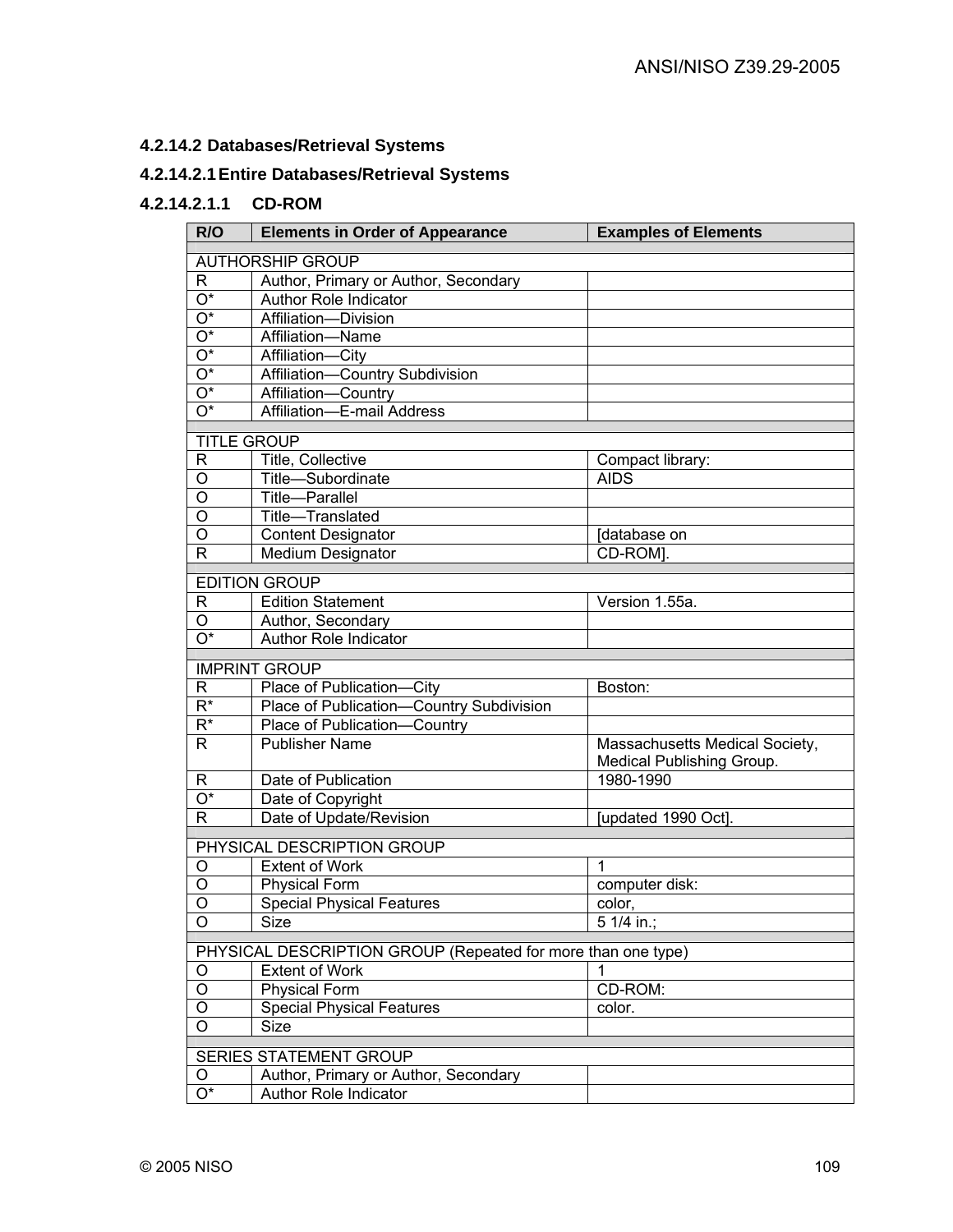# **4.2.14.2 Databases/Retrieval Systems**

# **4.2.14.2.1 Entire Databases/Retrieval Systems**

# **4.2.14.2.1.1 CD-ROM**

| R/O                       | <b>Elements in Order of Appearance</b>                       | <b>Examples of Elements</b>    |  |
|---------------------------|--------------------------------------------------------------|--------------------------------|--|
|                           | <b>AUTHORSHIP GROUP</b>                                      |                                |  |
| R.                        | Author, Primary or Author, Secondary                         |                                |  |
| $\overline{\mathrm{O}^*}$ | <b>Author Role Indicator</b>                                 |                                |  |
| $\overline{\mathrm{O}^*}$ | Affiliation-Division                                         |                                |  |
| $\overline{\mathrm{O}^*}$ | Affiliation-Name                                             |                                |  |
| $\overline{O^*}$          | Affiliation-City                                             |                                |  |
| $\overline{O^*}$          |                                                              |                                |  |
|                           | Affiliation-Country Subdivision                              |                                |  |
| $\overline{\mathrm{O}^*}$ | Affiliation-Country                                          |                                |  |
| $\overline{O^*}$          | Affiliation-E-mail Address                                   |                                |  |
| <b>TITLE GROUP</b>        |                                                              |                                |  |
| R                         | Title, Collective                                            | Compact library:               |  |
| O                         | Title-Subordinate                                            | <b>AIDS</b>                    |  |
| O                         | <b>Title-Parallel</b>                                        |                                |  |
| O                         | Title-Translated                                             |                                |  |
| O                         | <b>Content Designator</b>                                    | [database on                   |  |
| $\mathsf{R}$              | Medium Designator                                            | CD-ROM].                       |  |
|                           |                                                              |                                |  |
|                           | <b>EDITION GROUP</b>                                         |                                |  |
| R                         | <b>Edition Statement</b>                                     | Version 1.55a.                 |  |
| O                         | Author, Secondary                                            |                                |  |
| $\overline{O^*}$          | Author Role Indicator                                        |                                |  |
|                           | <b>IMPRINT GROUP</b>                                         |                                |  |
| R                         | Place of Publication-City                                    | Boston:                        |  |
| $\overline{R^*}$          | Place of Publication-Country Subdivision                     |                                |  |
| $\overline{R^*}$          | Place of Publication-<br>Country                             |                                |  |
| R.                        | <b>Publisher Name</b>                                        | Massachusetts Medical Society, |  |
|                           |                                                              | Medical Publishing Group.      |  |
| R                         | Date of Publication                                          | 1980-1990                      |  |
| $\overline{\mathrm{O}^*}$ | Date of Copyright                                            |                                |  |
| $\mathsf{R}$              | Date of Update/Revision                                      | [updated 1990 Oct].            |  |
|                           |                                                              |                                |  |
|                           | PHYSICAL DESCRIPTION GROUP                                   |                                |  |
| O                         | <b>Extent of Work</b>                                        | 1                              |  |
| O                         | <b>Physical Form</b>                                         | computer disk:                 |  |
| O                         | <b>Special Physical Features</b>                             | color,                         |  |
| O                         | Size                                                         | $51/4$ in.;                    |  |
|                           | PHYSICAL DESCRIPTION GROUP (Repeated for more than one type) |                                |  |
| O                         | Extent of Work                                               |                                |  |
| O                         | <b>Physical Form</b>                                         | CD-ROM:                        |  |
| O                         | <b>Special Physical Features</b>                             | color.                         |  |
| O                         | <b>Size</b>                                                  |                                |  |
|                           |                                                              |                                |  |
|                           | SERIES STATEMENT GROUP                                       |                                |  |
| O                         | Author, Primary or Author, Secondary                         |                                |  |
| $O^*$                     | Author Role Indicator                                        |                                |  |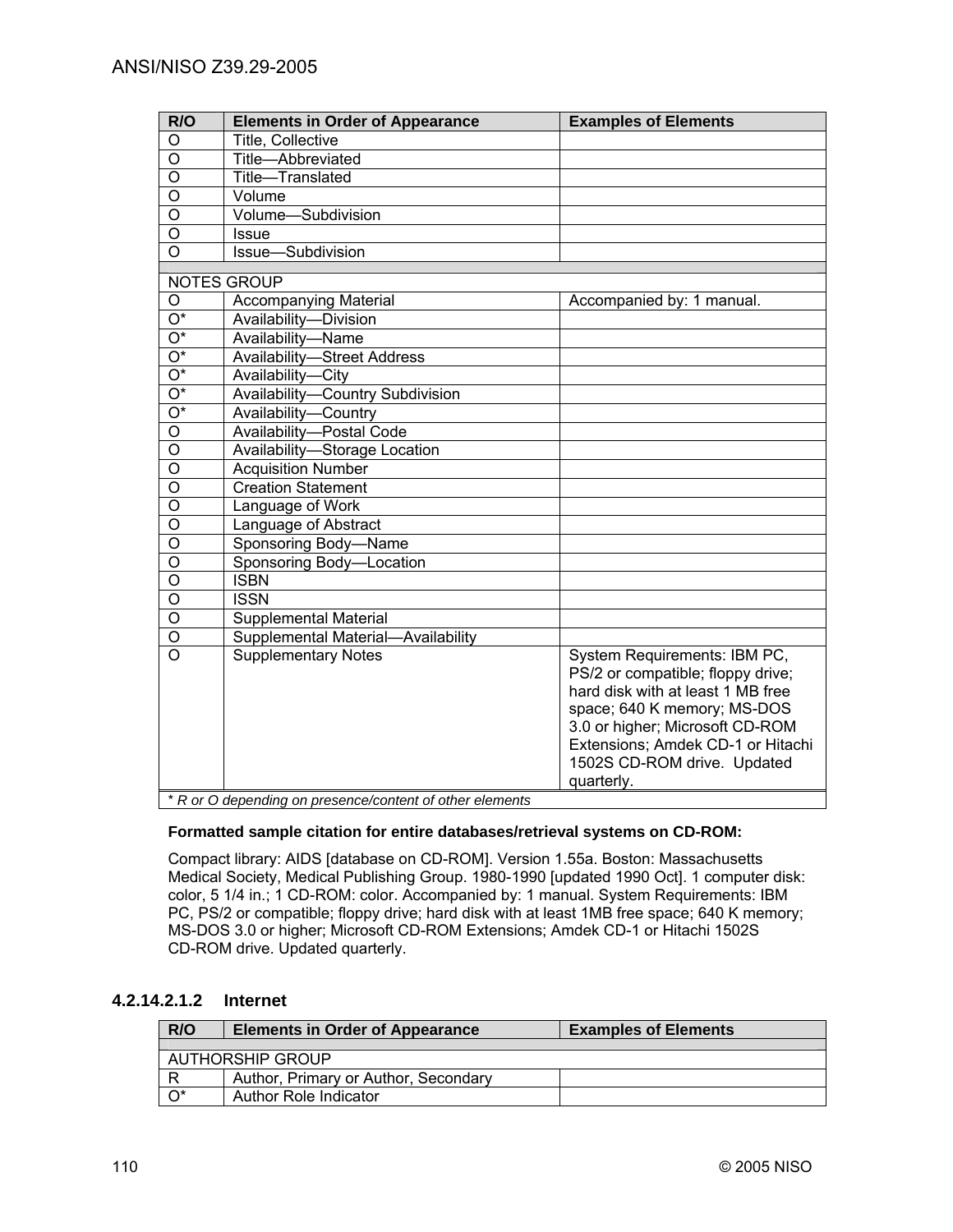| R/O                       | <b>Elements in Order of Appearance</b>                   | <b>Examples of Elements</b>       |
|---------------------------|----------------------------------------------------------|-----------------------------------|
| O                         | Title, Collective                                        |                                   |
| O                         | Title-Abbreviated                                        |                                   |
| O                         | Title-Translated                                         |                                   |
| O                         | Volume                                                   |                                   |
| O                         | Volume-Subdivision                                       |                                   |
| O                         | <b>Issue</b>                                             |                                   |
| O                         | Issue-Subdivision                                        |                                   |
|                           | <b>NOTES GROUP</b>                                       |                                   |
| O                         | <b>Accompanying Material</b>                             | Accompanied by: 1 manual.         |
| $\overline{\mathrm{O}^*}$ | Availability-Division                                    |                                   |
| $\overline{\mathrm{O}^*}$ | Availability-Name                                        |                                   |
| $\overline{\mathrm{O}^*}$ | <b>Availability-Street Address</b>                       |                                   |
| $\overline{\mathrm{O}^*}$ | Availability-City                                        |                                   |
| $\overline{\mathrm{O}^*}$ | Availability-Country Subdivision                         |                                   |
| $\overline{O^*}$          | Availability-Country                                     |                                   |
| O                         | Availability-Postal Code                                 |                                   |
| O                         | Availability-Storage Location                            |                                   |
| O                         | <b>Acquisition Number</b>                                |                                   |
| O                         | <b>Creation Statement</b>                                |                                   |
| O                         | Language of Work                                         |                                   |
| O                         | Language of Abstract                                     |                                   |
| O                         | Sponsoring Body-Name                                     |                                   |
| O                         | Sponsoring Body-Location                                 |                                   |
| O                         | <b>ISBN</b>                                              |                                   |
| O                         | <b>ISSN</b>                                              |                                   |
| O                         | Supplemental Material                                    |                                   |
| O                         | Supplemental Material-Availability                       |                                   |
| O                         | <b>Supplementary Notes</b>                               | System Requirements: IBM PC,      |
|                           |                                                          | PS/2 or compatible; floppy drive; |
|                           |                                                          | hard disk with at least 1 MB free |
|                           |                                                          | space; 640 K memory; MS-DOS       |
|                           |                                                          | 3.0 or higher; Microsoft CD-ROM   |
|                           |                                                          | Extensions; Amdek CD-1 or Hitachi |
|                           |                                                          | 1502S CD-ROM drive. Updated       |
|                           |                                                          | quarterly.                        |
|                           | * R or O depending on presence/content of other elements |                                   |

#### **Formatted sample citation for entire databases/retrieval systems on CD-ROM:**

Compact library: AIDS [database on CD-ROM]. Version 1.55a. Boston: Massachusetts Medical Society, Medical Publishing Group. 1980-1990 [updated 1990 Oct]. 1 computer disk: color, 5 1/4 in.; 1 CD-ROM: color. Accompanied by: 1 manual. System Requirements: IBM PC, PS/2 or compatible; floppy drive; hard disk with at least 1MB free space; 640 K memory; MS-DOS 3.0 or higher; Microsoft CD-ROM Extensions; Amdek CD-1 or Hitachi 1502S CD-ROM drive. Updated quarterly.

## **4.2.14.2.1.2 Internet**

| R/O                     | <b>Elements in Order of Appearance</b> | <b>Examples of Elements</b> |  |
|-------------------------|----------------------------------------|-----------------------------|--|
|                         |                                        |                             |  |
| <b>AUTHORSHIP GROUP</b> |                                        |                             |  |
| R                       | Author, Primary or Author, Secondary   |                             |  |
| $\overline{O^*}$        | Author Role Indicator                  |                             |  |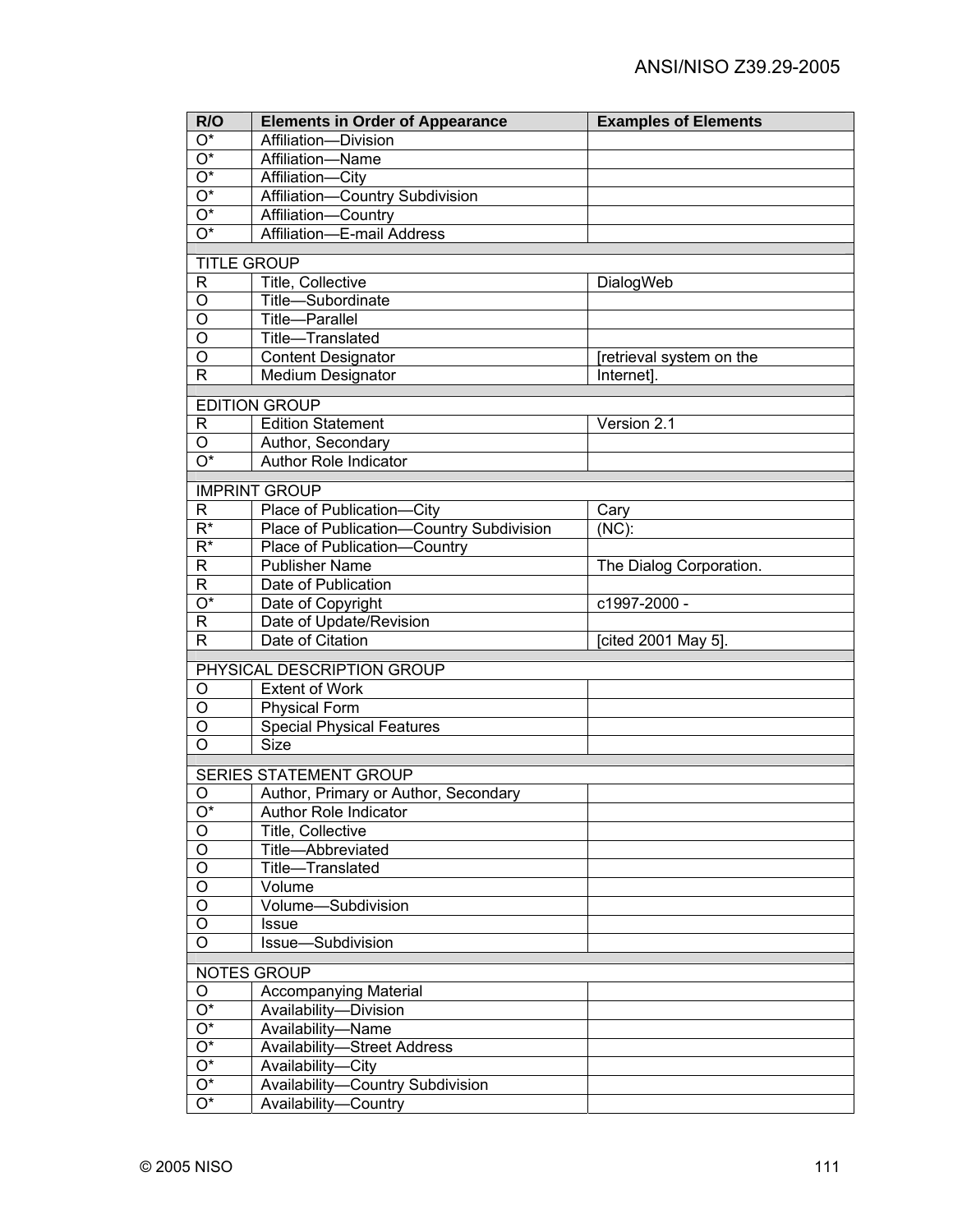| R/O                       | <b>Elements in Order of Appearance</b>   | <b>Examples of Elements</b> |
|---------------------------|------------------------------------------|-----------------------------|
| $O^*$                     | Affiliation-Division                     |                             |
| $O^*$                     | Affiliation-Name                         |                             |
| $\overline{O^*}$          | Affiliation-City                         |                             |
| $\overline{O^*}$          | Affiliation-Country Subdivision          |                             |
| $\overline{O^*}$          | Affiliation-Country                      |                             |
| $\overline{O^*}$          | Affiliation-E-mail Address               |                             |
|                           | <b>TITLE GROUP</b>                       |                             |
| R                         | Title, Collective                        | DialogWeb                   |
| O                         | Title-Subordinate                        |                             |
| $\overline{O}$            | Title-Parallel                           |                             |
| $\overline{O}$            | Title-Translated                         |                             |
| $\overline{O}$            | <b>Content Designator</b>                | [retrieval system on the    |
| $\overline{\mathsf{R}}$   | Medium Designator                        | Internet].                  |
|                           | <b>EDITION GROUP</b>                     |                             |
| R                         | <b>Edition Statement</b>                 | Version 2.1                 |
| O                         | Author, Secondary                        |                             |
| $\overline{O^*}$          | <b>Author Role Indicator</b>             |                             |
|                           | <b>IMPRINT GROUP</b>                     |                             |
| R                         | Place of Publication-City                | Cary                        |
| $R^*$                     | Place of Publication-Country Subdivision | $(NC)$ :                    |
| $R^*$                     | Place of Publication-Country             |                             |
| R                         | <b>Publisher Name</b>                    | The Dialog Corporation.     |
| R                         | Date of Publication                      |                             |
| $\overline{\mathrm{O}^*}$ | Date of Copyright                        | c1997-2000 -                |
| R                         | Date of Update/Revision                  |                             |
| R                         | Date of Citation                         | [cited 2001 May 5].         |
|                           | PHYSICAL DESCRIPTION GROUP               |                             |
| O                         | <b>Extent of Work</b>                    |                             |
| O                         | <b>Physical Form</b>                     |                             |
| O                         | <b>Special Physical Features</b>         |                             |
| O                         | <b>Size</b>                              |                             |
|                           |                                          |                             |
|                           | SERIES STATEMENT GROUP                   |                             |
| O                         | Author, Primary or Author, Secondary     |                             |
| $\overline{O^*}$<br>O     | Author Role Indicator                    |                             |
| O                         | Title, Collective<br>Title-Abbreviated   |                             |
| O                         | Title-Translated                         |                             |
| O                         | Volume                                   |                             |
| $\circ$                   | Volume-Subdivision                       |                             |
| O                         | <b>Issue</b>                             |                             |
| O                         | Issue-Subdivision                        |                             |
|                           |                                          |                             |
|                           | NOTES GROUP                              |                             |
| O                         | <b>Accompanying Material</b>             |                             |
| $\overline{O^*}$          | Availability-Division                    |                             |
| $\overline{O^*}$          | Availability-Name                        |                             |
| $\overline{O^*}$          | <b>Availability-Street Address</b>       |                             |
| $\overline{\mathrm{O}^*}$ | Availability-City                        |                             |
| $\overline{O^*}$          | Availability-Country Subdivision         |                             |
| $\overline{O^*}$          | Availability-Country                     |                             |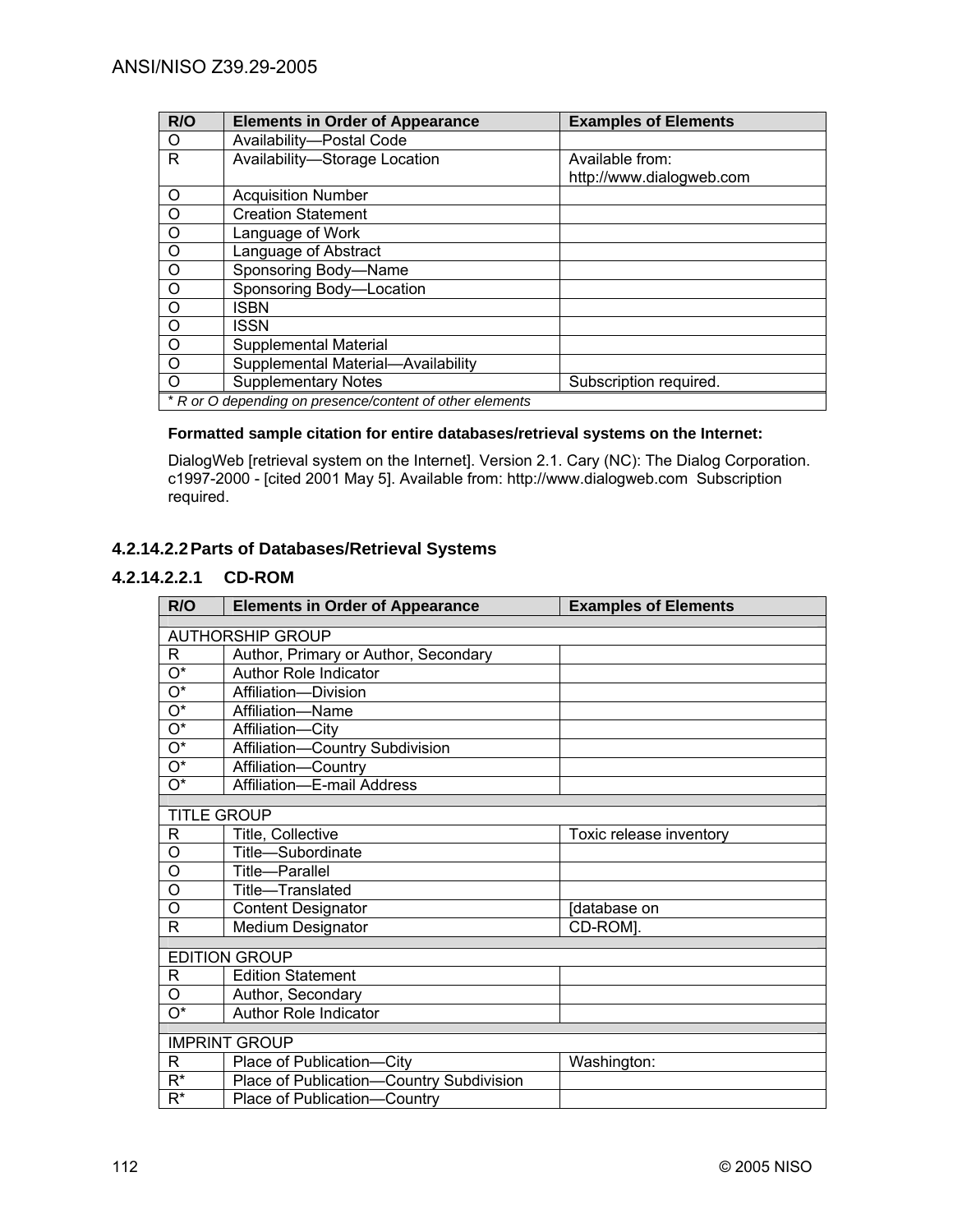| R/O                | <b>Elements in Order of Appearance</b>                   | <b>Examples of Elements</b> |
|--------------------|----------------------------------------------------------|-----------------------------|
| O                  | Availability-Postal Code                                 |                             |
| R.                 | Availability-Storage Location                            | Available from:             |
|                    |                                                          | http://www.dialogweb.com    |
| $\circ$            | <b>Acquisition Number</b>                                |                             |
| $\overline{O}$     | <b>Creation Statement</b>                                |                             |
| $\overline{0}$     | Language of Work                                         |                             |
| $\overline{\circ}$ | Language of Abstract                                     |                             |
| $\overline{\circ}$ | Sponsoring Body-Name                                     |                             |
| $\overline{0}$     | Sponsoring Body-Location                                 |                             |
| $\overline{O}$     | <b>ISBN</b>                                              |                             |
| $\overline{\circ}$ | ISSN                                                     |                             |
| $\overline{O}$     | <b>Supplemental Material</b>                             |                             |
| $\overline{O}$     | Supplemental Material-Availability                       |                             |
| $\circ$            | <b>Supplementary Notes</b>                               | Subscription required.      |
|                    | * R or O depending on presence/content of other elements |                             |

### **Formatted sample citation for entire databases/retrieval systems on the Internet:**

DialogWeb [retrieval system on the Internet]. Version 2.1. Cary (NC): The Dialog Corporation. c1997-2000 - [cited 2001 May 5]. Available from: http://www.dialogweb.com Subscription required.

# **4.2.14.2.2 Parts of Databases/Retrieval Systems**

## **4.2.14.2.2.1 CD-ROM**

| R/O                       | <b>Elements in Order of Appearance</b>   | <b>Examples of Elements</b> |  |
|---------------------------|------------------------------------------|-----------------------------|--|
| <b>AUTHORSHIP GROUP</b>   |                                          |                             |  |
|                           |                                          |                             |  |
| R                         | Author, Primary or Author, Secondary     |                             |  |
| $\overline{O^*}$          | Author Role Indicator                    |                             |  |
| $\overline{O^*}$          | Affiliation-Division                     |                             |  |
| $\overline{\mathrm{O}^*}$ | Affiliation-Name                         |                             |  |
| $\mathrm{O}^\star$        | Affiliation-City                         |                             |  |
| $O^*$                     | Affiliation-Country Subdivision          |                             |  |
| $\mathrm{O}^\star$        | Affiliation-Country                      |                             |  |
| $\mathrm{O}^\star$        | Affiliation-E-mail Address               |                             |  |
|                           |                                          |                             |  |
| <b>TITLE GROUP</b>        |                                          |                             |  |
| R                         | Title, Collective                        | Toxic release inventory     |  |
| O                         | Title-Subordinate                        |                             |  |
| O                         | Title-Parallel                           |                             |  |
| O                         | Title-Translated                         |                             |  |
| O                         | <b>Content Designator</b>                | database on                 |  |
| R                         | <b>Medium Designator</b>                 | CD-ROM].                    |  |
|                           | <b>EDITION GROUP</b>                     |                             |  |
|                           |                                          |                             |  |
| R                         | <b>Edition Statement</b>                 |                             |  |
| O                         | Author, Secondary                        |                             |  |
| 0*                        | Author Role Indicator                    |                             |  |
|                           | <b>IMPRINT GROUP</b>                     |                             |  |
|                           |                                          |                             |  |
| R                         | Place of Publication-City                | Washington:                 |  |
| $R^*$                     | Place of Publication-Country Subdivision |                             |  |
| $R^*$                     | Place of Publication-Country             |                             |  |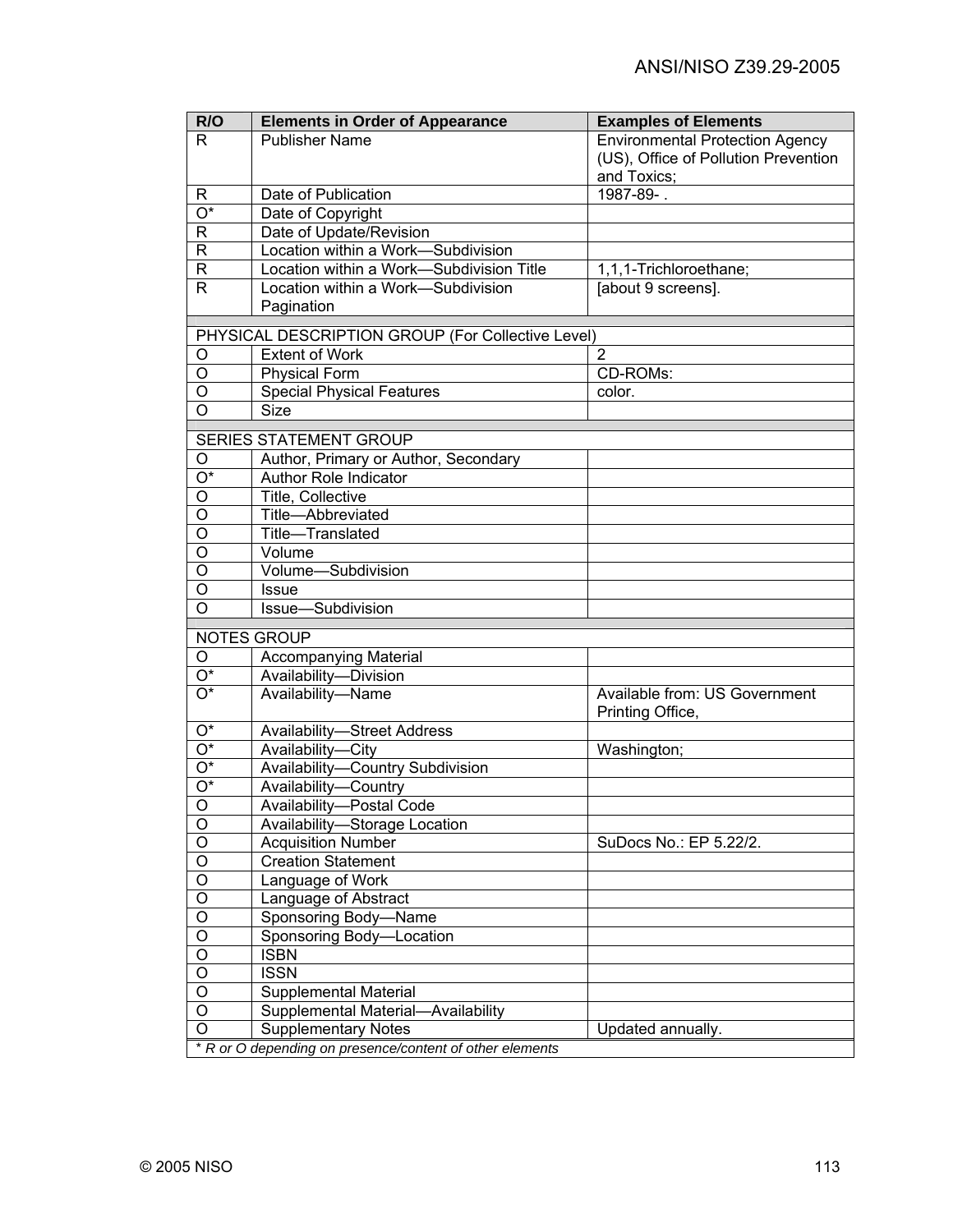| R/O                       | <b>Elements in Order of Appearance</b>                   | <b>Examples of Elements</b>                       |
|---------------------------|----------------------------------------------------------|---------------------------------------------------|
| R.                        | <b>Publisher Name</b>                                    | <b>Environmental Protection Agency</b>            |
|                           |                                                          | (US), Office of Pollution Prevention              |
|                           |                                                          | and Toxics;                                       |
| R                         | Date of Publication                                      | 1987-89-.                                         |
| $\overline{\mathrm{O}^*}$ | Date of Copyright                                        |                                                   |
| $\mathsf R$               | Date of Update/Revision                                  |                                                   |
| $\mathsf{R}$              | Location within a Work-Subdivision                       |                                                   |
| $\mathsf{R}$              | Location within a Work-Subdivision Title                 | 1,1,1-Trichloroethane;                            |
| $\mathsf{R}$              | Location within a Work-Subdivision                       | [about 9 screens].                                |
|                           | Pagination                                               |                                                   |
|                           | PHYSICAL DESCRIPTION GROUP (For Collective Level)        |                                                   |
| O                         | <b>Extent of Work</b>                                    | $\overline{2}$                                    |
| O                         | <b>Physical Form</b>                                     | CD-ROMs:                                          |
| O                         | <b>Special Physical Features</b>                         | color.                                            |
| O                         | <b>Size</b>                                              |                                                   |
|                           |                                                          |                                                   |
|                           | SERIES STATEMENT GROUP                                   |                                                   |
| O                         | Author, Primary or Author, Secondary                     |                                                   |
| $\overline{O^*}$          | <b>Author Role Indicator</b>                             |                                                   |
| $\overline{\mathsf{o}}$   | Title, Collective                                        |                                                   |
| $\overline{\mathsf{o}}$   | Title-Abbreviated                                        |                                                   |
| $\overline{\mathsf{o}}$   | Title-Translated                                         |                                                   |
| $\overline{\mathsf{o}}$   | Volume                                                   |                                                   |
| $\overline{\mathsf{o}}$   | Volume-Subdivision                                       |                                                   |
| $\overline{\mathsf{o}}$   | Issue                                                    |                                                   |
| $\overline{\mathsf{o}}$   | Issue-Subdivision                                        |                                                   |
|                           |                                                          |                                                   |
|                           | <b>NOTES GROUP</b>                                       |                                                   |
| O                         | <b>Accompanying Material</b>                             |                                                   |
| $O^*$                     | Availability-Division                                    |                                                   |
| O*                        | Availability-Name                                        | Available from: US Government<br>Printing Office, |
| $O^*$                     | Availability-Street Address                              |                                                   |
| $\overline{O^*}$          | Availability-City                                        | Washington;                                       |
| $\overline{O^*}$          | Availability-Country Subdivision                         |                                                   |
| $\overline{O^*}$          | Availability-Country                                     |                                                   |
| $\overline{O}$            | Availability-Postal Code                                 |                                                   |
| O                         | Availability-Storage Location                            |                                                   |
| $\mathsf O$               | <b>Acquisition Number</b>                                | SuDocs No.: EP 5.22/2.                            |
| $\overline{O}$            | <b>Creation Statement</b>                                |                                                   |
| $\overline{O}$            | Language of Work                                         |                                                   |
| $\overline{O}$            | Language of Abstract                                     |                                                   |
| $\overline{O}$            | Sponsoring Body-Name                                     |                                                   |
| $\overline{O}$            | Sponsoring Body-Location                                 |                                                   |
| $\overline{O}$            | <b>ISBN</b>                                              |                                                   |
| $\overline{O}$            | <b>ISSN</b>                                              |                                                   |
| $\overline{O}$            | <b>Supplemental Material</b>                             |                                                   |
| $\overline{O}$            | Supplemental Material-Availability                       |                                                   |
| O                         | <b>Supplementary Notes</b>                               | Updated annually.                                 |
|                           | * R or O depending on presence/content of other elements |                                                   |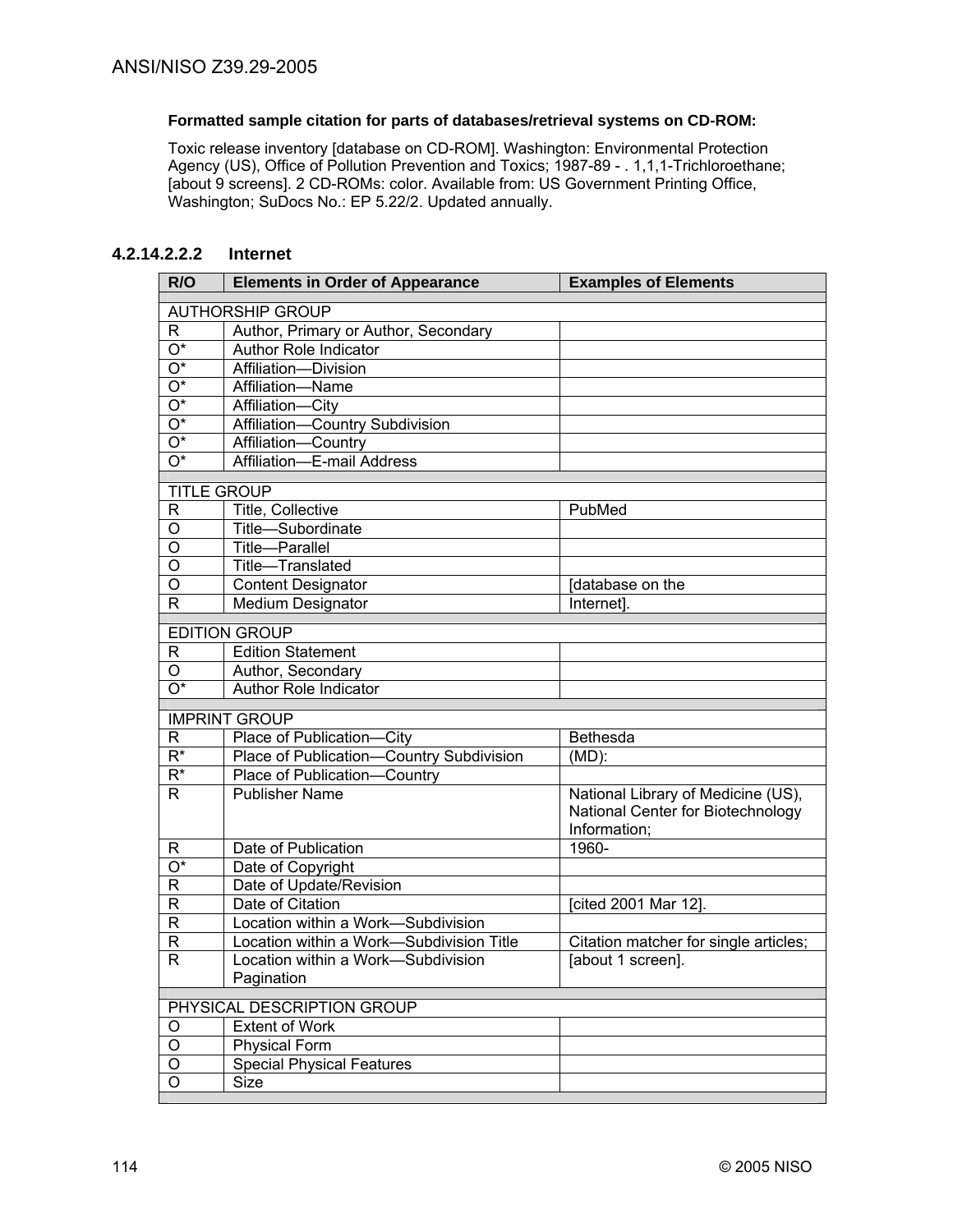#### **Formatted sample citation for parts of databases/retrieval systems on CD-ROM:**

Toxic release inventory [database on CD-ROM]. Washington: Environmental Protection Agency (US), Office of Pollution Prevention and Toxics; 1987-89 - . 1,1,1-Trichloroethane; [about 9 screens]. 2 CD-ROMs: color. Available from: US Government Printing Office, Washington; SuDocs No.: EP 5.22/2. Updated annually.

# **4.2.14.2.2.2 Internet**

| R/O                       | <b>Elements in Order of Appearance</b>            | <b>Examples of Elements</b>           |
|---------------------------|---------------------------------------------------|---------------------------------------|
|                           | <b>AUTHORSHIP GROUP</b>                           |                                       |
| R                         | Author, Primary or Author, Secondary              |                                       |
| O*                        | Author Role Indicator                             |                                       |
| O*                        | Affiliation-Division                              |                                       |
| O*                        | Affiliation-Name                                  |                                       |
| O*                        | Affiliation-City                                  |                                       |
| $O^*$                     | Affiliation-Country Subdivision                   |                                       |
| $O^*$                     | Affiliation-Country                               |                                       |
| $\overline{O^*}$          | Affiliation-E-mail Address                        |                                       |
| <b>TITLE GROUP</b>        |                                                   |                                       |
| $\mathsf{R}$              | Title, Collective                                 | PubMed                                |
| $\overline{O}$            | Title-Subordinate                                 |                                       |
| $\overline{O}$            | Title-Parallel                                    |                                       |
| $\overline{O}$            | Title-Translated                                  |                                       |
| O                         | <b>Content Designator</b>                         | Idatabase on the                      |
| $\mathsf{R}$              | Medium Designator                                 | Internet].                            |
|                           | <b>EDITION GROUP</b>                              |                                       |
|                           | <b>Edition Statement</b>                          |                                       |
| R<br>O                    |                                                   |                                       |
| $\overline{O^*}$          | Author, Secondary<br><b>Author Role Indicator</b> |                                       |
|                           |                                                   |                                       |
|                           | <b>IMPRINT GROUP</b>                              |                                       |
| $\mathsf{R}$              | Place of Publication-City                         | <b>Bethesda</b>                       |
| $\overline{\mathsf{R}^*}$ | Place of Publication-Country Subdivision          | (MD):                                 |
| $\overline{R^*}$          | Place of Publication-<br>Country                  |                                       |
| R.                        | <b>Publisher Name</b>                             | National Library of Medicine (US),    |
|                           |                                                   | National Center for Biotechnology     |
|                           |                                                   | Information;                          |
| R                         | Date of Publication                               | 1960-                                 |
| O*                        | Date of Copyright                                 |                                       |
| $\mathsf{R}$              | Date of Update/Revision                           |                                       |
| $\overline{\mathsf{R}}$   | Date of Citation                                  | [cited 2001 Mar 12].                  |
| $\overline{\mathsf{R}}$   | Location within a Work-Subdivision                |                                       |
| $\mathsf{R}$              | Location within a Work-Subdivision Title          | Citation matcher for single articles; |
| $\mathsf{R}$              | Location within a Work-Subdivision                | labout 1 screen].                     |
|                           | Pagination                                        |                                       |
|                           | PHYSICAL DESCRIPTION GROUP                        |                                       |
| O                         | <b>Extent of Work</b>                             |                                       |
| $\bigcirc$                | Physical Form                                     |                                       |
| O                         | <b>Special Physical Features</b>                  |                                       |
| O                         | <b>Size</b>                                       |                                       |
|                           |                                                   |                                       |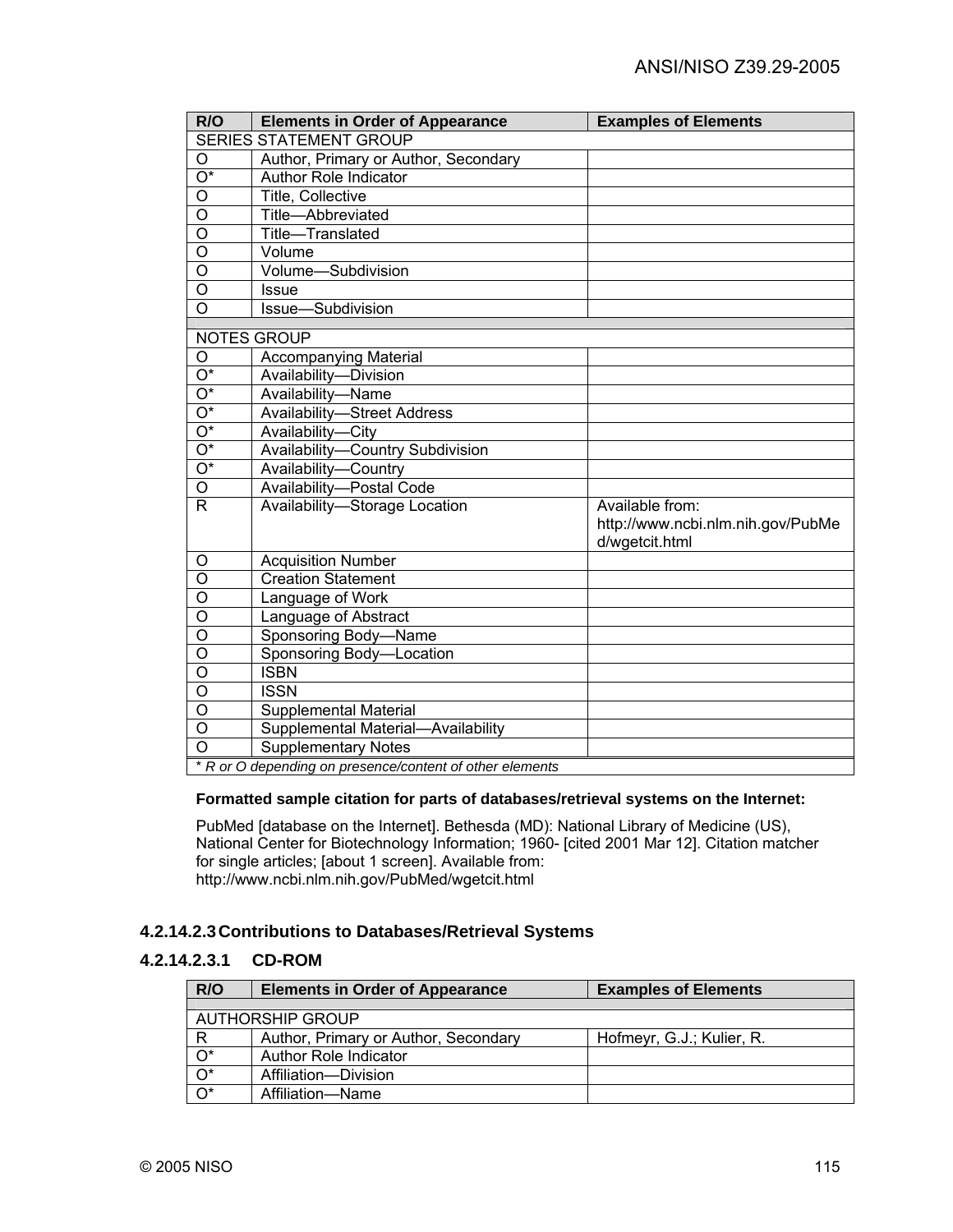| R/O                           | <b>Elements in Order of Appearance</b>                   | <b>Examples of Elements</b>                                            |
|-------------------------------|----------------------------------------------------------|------------------------------------------------------------------------|
| <b>SERIES STATEMENT GROUP</b> |                                                          |                                                                        |
| O                             | Author, Primary or Author, Secondary                     |                                                                        |
| $\overline{\mathrm{O}^*}$     | <b>Author Role Indicator</b>                             |                                                                        |
| O                             | <b>Title, Collective</b>                                 |                                                                        |
| $\overline{\mathsf{o}}$       | Title-Abbreviated                                        |                                                                        |
| $\overline{\mathsf{o}}$       | Title-Translated                                         |                                                                        |
| $\circ$                       | Volume                                                   |                                                                        |
| $\overline{O}$                | Volume-Subdivision                                       |                                                                        |
| $\overline{0}$                | <b>Issue</b>                                             |                                                                        |
| $\overline{\mathsf{o}}$       | Issue-Subdivision                                        |                                                                        |
|                               |                                                          |                                                                        |
|                               | <b>NOTES GROUP</b>                                       |                                                                        |
| O<br>$\overline{O^*}$         | <b>Accompanying Material</b>                             |                                                                        |
| $\overline{O^*}$              | Availability-Division                                    |                                                                        |
|                               | Availability-Name                                        |                                                                        |
| $\overline{O^*}$              | <b>Availability-Street Address</b>                       |                                                                        |
| $\overline{O^*}$              | Availability-City                                        |                                                                        |
| $\overline{O^*}$              | Availability-Country Subdivision                         |                                                                        |
| $\overline{O^*}$              | Availability-Country                                     |                                                                        |
| O                             | Availability-Postal Code                                 |                                                                        |
| $\mathsf{R}$                  | Availability-Storage Location                            | Available from:<br>http://www.ncbi.nlm.nih.gov/PubMe<br>d/wgetcit.html |
| O                             | <b>Acquisition Number</b>                                |                                                                        |
| $\overline{\mathsf{o}}$       | <b>Creation Statement</b>                                |                                                                        |
| $\overline{0}$                | Language of Work                                         |                                                                        |
| $\overline{O}$                | Language of Abstract                                     |                                                                        |
| $\overline{O}$                | Sponsoring Body-Name                                     |                                                                        |
| $\overline{O}$                | Sponsoring Body-Location                                 |                                                                        |
| $\overline{0}$                | <b>ISBN</b>                                              |                                                                        |
| $\overline{\mathsf{o}}$       | <b>ISSN</b>                                              |                                                                        |
| $\overline{0}$                | <b>Supplemental Material</b>                             |                                                                        |
| $\overline{0}$                | Supplemental Material-Availability                       |                                                                        |
| $\overline{0}$                | <b>Supplementary Notes</b>                               |                                                                        |
|                               | * R or O depending on presence/content of other elements |                                                                        |

## **Formatted sample citation for parts of databases/retrieval systems on the Internet:**

PubMed [database on the Internet]. Bethesda (MD): National Library of Medicine (US), National Center for Biotechnology Information; 1960- [cited 2001 Mar 12]. Citation matcher for single articles; [about 1 screen]. Available from: http://www.ncbi.nlm.nih.gov/PubMed/wgetcit.html

## **4.2.14.2.3 Contributions to Databases/Retrieval Systems**

# **4.2.14.2.3.1 CD-ROM**

| R/O              | <b>Elements in Order of Appearance</b> | <b>Examples of Elements</b> |
|------------------|----------------------------------------|-----------------------------|
|                  |                                        |                             |
|                  | AUTHORSHIP GROUP                       |                             |
| R.               | Author, Primary or Author, Secondary   | Hofmeyr, G.J.; Kulier, R.   |
| $\overline{O^*}$ | Author Role Indicator                  |                             |
| $\overline{O^*}$ | Affiliation-Division                   |                             |
| $\overline{O^*}$ | Affiliation-Name                       |                             |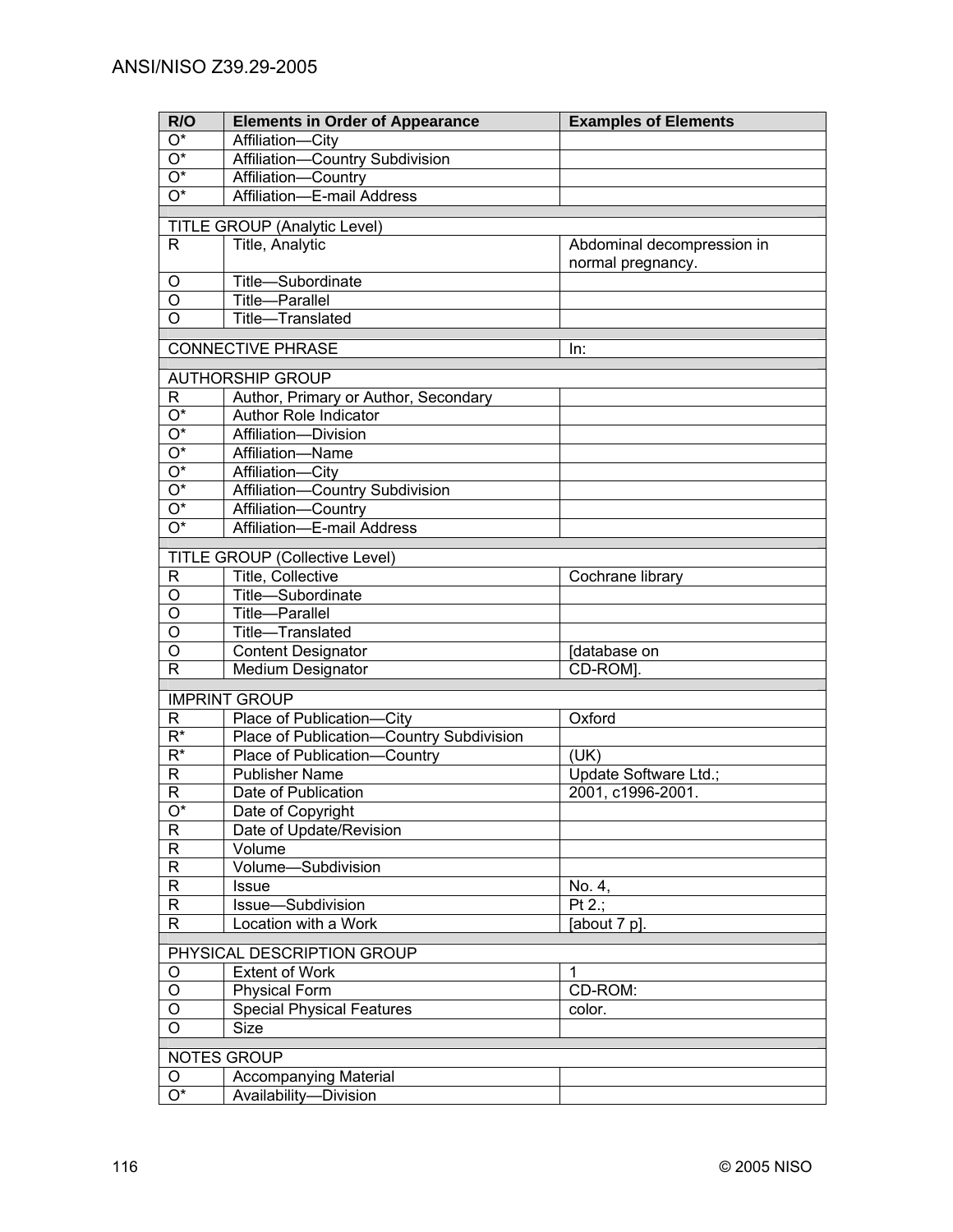| R/O                       | <b>Elements in Order of Appearance</b>   | <b>Examples of Elements</b> |
|---------------------------|------------------------------------------|-----------------------------|
| $\overline{\mathrm{O}^*}$ | Affiliation-City                         |                             |
| $\overline{O^*}$          | Affiliation-Country Subdivision          |                             |
| $\overline{O^*}$          | Affiliation-Country                      |                             |
| $\overline{O^*}$          | Affiliation-E-mail Address               |                             |
|                           |                                          |                             |
|                           | TITLE GROUP (Analytic Level)             |                             |
| R                         | Title, Analytic                          | Abdominal decompression in  |
|                           |                                          | normal pregnancy.           |
| O                         | Title-Subordinate                        |                             |
| $\overline{O}$            | <b>Title-Parallel</b>                    |                             |
| $\overline{\mathsf{o}}$   | Title-Translated                         |                             |
|                           | <b>CONNECTIVE PHRASE</b>                 | In:                         |
|                           |                                          |                             |
|                           | <b>AUTHORSHIP GROUP</b>                  |                             |
| R                         | Author, Primary or Author, Secondary     |                             |
| $\overline{O^*}$          | <b>Author Role Indicator</b>             |                             |
| $\overline{O^*}$          | Affiliation-Division                     |                             |
| $\overline{O^*}$          | Affiliation-Name                         |                             |
| $\overline{O^*}$          | Affiliation-City                         |                             |
| $\overline{O^*}$          | Affiliation-Country Subdivision          |                             |
| $\overline{O^*}$          | Affiliation-Country                      |                             |
| $\overline{O^*}$          | Affiliation-E-mail Address               |                             |
|                           | <b>TITLE GROUP (Collective Level)</b>    |                             |
| R                         | Title, Collective                        | Cochrane library            |
| O                         | Title-Subordinate                        |                             |
| O                         | Title-Parallel                           |                             |
| O                         | Title-Translated                         |                             |
| O                         | <b>Content Designator</b>                | database on                 |
| R                         | <b>Medium Designator</b>                 | CD-ROM].                    |
|                           |                                          |                             |
|                           | <b>IMPRINT GROUP</b>                     |                             |
| R                         | Place of Publication-City                | Oxford                      |
| $\overline{R^*}$          | Place of Publication-Country Subdivision |                             |
| $R^*$                     | Place of Publication-<br>Country         | (UK)                        |
| $\mathsf R$               | <b>Publisher Name</b>                    | Update Software Ltd.;       |
| R                         | Date of Publication                      | 2001, c1996-2001.           |
| $\overline{O^*}$          | Date of Copyright                        |                             |
| ${\sf R}$                 | Date of Update/Revision                  |                             |
| $\overline{R}$            | Volume                                   |                             |
| $\overline{R}$            | Volume-Subdivision                       |                             |
| $\overline{R}$            | Issue                                    | No. 4,                      |
| $\overline{R}$            | Issue-Subdivision                        | Pt 2.;                      |
| $\overline{\mathsf{R}}$   | Location with a Work                     | [about 7 p].                |
|                           | PHYSICAL DESCRIPTION GROUP               |                             |
| O                         | <b>Extent of Work</b>                    | 1                           |
| O                         | <b>Physical Form</b>                     | CD-ROM:                     |
| O                         | <b>Special Physical Features</b>         | color.                      |
| O                         | Size                                     |                             |
|                           |                                          |                             |
|                           | <b>NOTES GROUP</b>                       |                             |
| O                         | <b>Accompanying Material</b>             |                             |
| $\overline{\mathrm{O}^*}$ | Availability-Division                    |                             |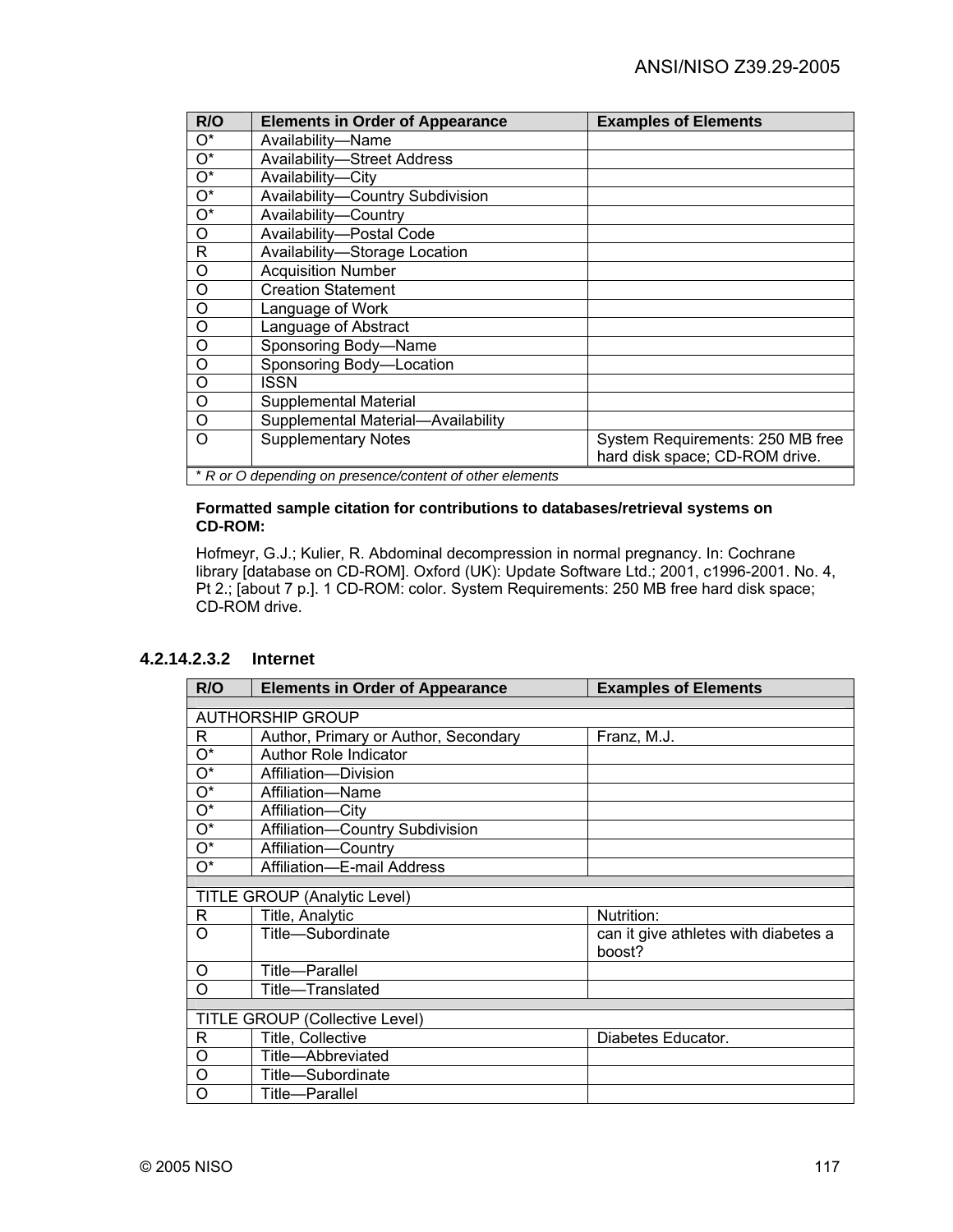| R/O              | <b>Elements in Order of Appearance</b>                   | <b>Examples of Elements</b>      |  |
|------------------|----------------------------------------------------------|----------------------------------|--|
| $O^*$            | Availability-Name                                        |                                  |  |
| $O^*$            | <b>Availability-Street Address</b>                       |                                  |  |
| $\overline{O^*}$ | Availability-City                                        |                                  |  |
| $\overline{O^*}$ | Availability-Country Subdivision                         |                                  |  |
| $O^*$            | Availability-Country                                     |                                  |  |
| O                | Availability-Postal Code                                 |                                  |  |
| R                | Availability-Storage Location                            |                                  |  |
| O                | <b>Acquisition Number</b>                                |                                  |  |
| O                | <b>Creation Statement</b>                                |                                  |  |
| O                | Language of Work                                         |                                  |  |
| O                | Language of Abstract                                     |                                  |  |
| O                | Sponsoring Body-Name                                     |                                  |  |
| O                | Sponsoring Body-Location                                 |                                  |  |
| $\circ$          | ISSN                                                     |                                  |  |
| $\circ$          | Supplemental Material                                    |                                  |  |
| $\Omega$         | Supplemental Material-Availability                       |                                  |  |
| Ω                | <b>Supplementary Notes</b>                               | System Requirements: 250 MB free |  |
|                  |                                                          | hard disk space; CD-ROM drive.   |  |
|                  | * R or O depending on presence/content of other elements |                                  |  |

#### **Formatted sample citation for contributions to databases/retrieval systems on CD-ROM:**

Hofmeyr, G.J.; Kulier, R. Abdominal decompression in normal pregnancy. In: Cochrane library [database on CD-ROM]. Oxford (UK): Update Software Ltd.; 2001, c1996-2001. No. 4, Pt 2.; [about 7 p.]. 1 CD-ROM: color. System Requirements: 250 MB free hard disk space; CD-ROM drive.

## **4.2.14.2.3.2 Internet**

| R/O                       | <b>Elements in Order of Appearance</b> | <b>Examples of Elements</b>                    |
|---------------------------|----------------------------------------|------------------------------------------------|
|                           |                                        |                                                |
|                           | <b>AUTHORSHIP GROUP</b>                |                                                |
| R                         | Author, Primary or Author, Secondary   | Franz, M.J.                                    |
| $\overline{\mathrm{O}^*}$ | Author Role Indicator                  |                                                |
| $O^*$                     | Affiliation-Division                   |                                                |
| $\mathrm{O}^\star$        | Affiliation-Name                       |                                                |
| O*                        | Affiliation-City                       |                                                |
| $\mathrm{O}^\star$        | Affiliation-Country Subdivision        |                                                |
| $\mathrm{O}^\star$        | Affiliation-Country                    |                                                |
| O*                        | Affiliation-E-mail Address             |                                                |
|                           |                                        |                                                |
|                           | <b>TITLE GROUP (Analytic Level)</b>    |                                                |
| R                         | Title, Analytic                        | Nutrition:                                     |
| O                         | Title-Subordinate                      | can it give athletes with diabetes a<br>boost? |
| Ο                         | Title-Parallel                         |                                                |
| O                         | Title-Translated                       |                                                |
|                           |                                        |                                                |
|                           | <b>TITLE GROUP (Collective Level)</b>  |                                                |
| R                         | Title, Collective                      | Diabetes Educator.                             |
| O                         | Title-Abbreviated                      |                                                |
| O                         | Title-Subordinate                      |                                                |
| O                         | Title-Parallel                         |                                                |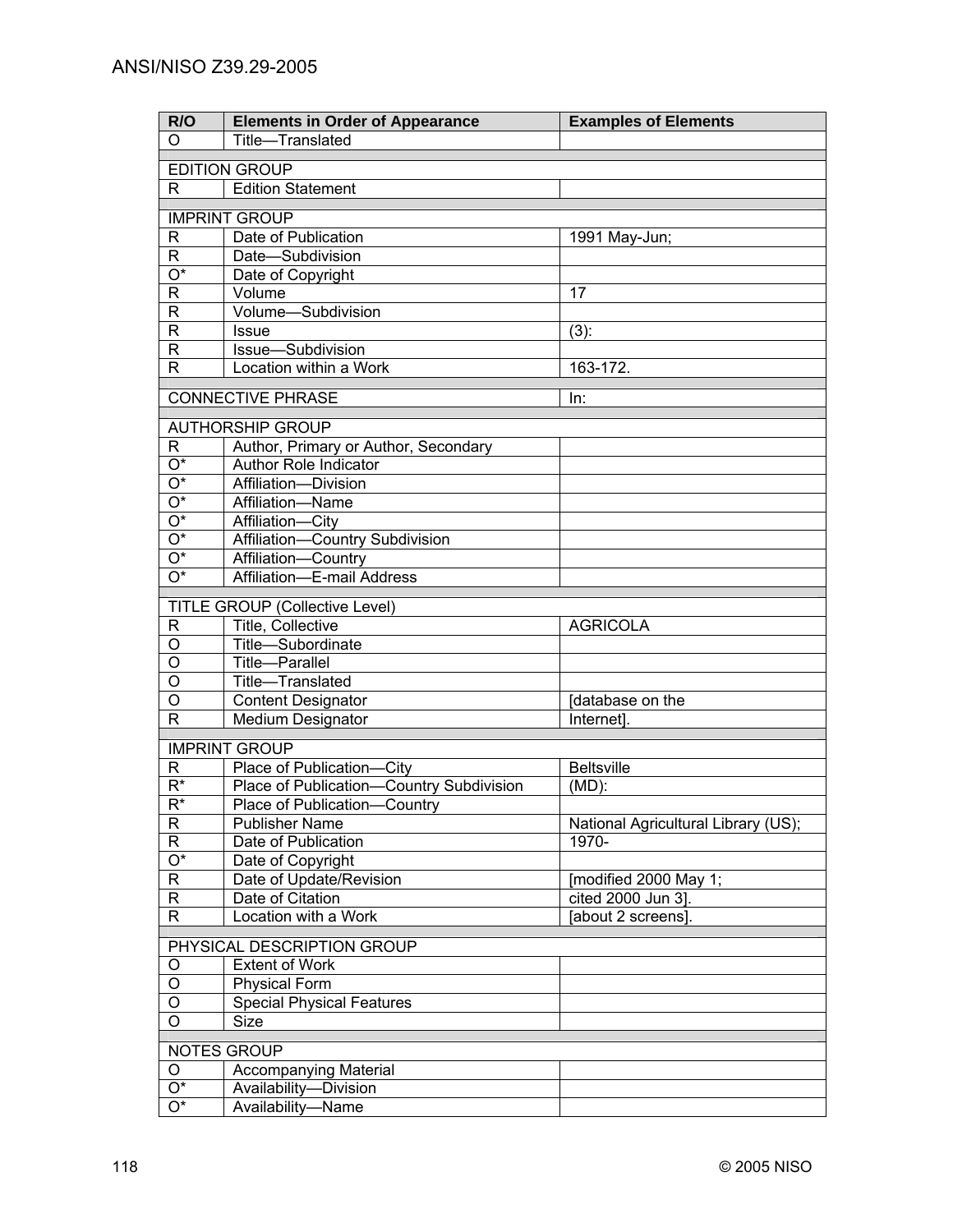| R/O                     | <b>Elements in Order of Appearance</b>          | <b>Examples of Elements</b>         |
|-------------------------|-------------------------------------------------|-------------------------------------|
| O                       | Title-Translated                                |                                     |
|                         | <b>EDITION GROUP</b>                            |                                     |
| R                       | <b>Edition Statement</b>                        |                                     |
|                         |                                                 |                                     |
|                         | <b>IMPRINT GROUP</b>                            |                                     |
| $\mathsf{R}$            | Date of Publication                             | 1991 May-Jun;                       |
| $\overline{R}$          | Date-Subdivision                                |                                     |
| $\overline{O^*}$        | Date of Copyright                               |                                     |
| $\overline{R}$          | Volume                                          | 17                                  |
| $\overline{\mathsf{R}}$ | Volume-Subdivision                              |                                     |
| $\overline{\mathsf{R}}$ | <b>Issue</b>                                    | $(3)$ :                             |
| $\overline{\mathsf{R}}$ | Issue-Subdivision                               |                                     |
| $\overline{R}$          | Location within a Work                          | 163-172.                            |
|                         | <b>CONNECTIVE PHRASE</b>                        | In:                                 |
|                         |                                                 |                                     |
|                         | <b>AUTHORSHIP GROUP</b>                         |                                     |
| R.                      | Author, Primary or Author, Secondary            |                                     |
| $\overline{O^*}$        | <b>Author Role Indicator</b>                    |                                     |
| O*                      | Affiliation-Division                            |                                     |
| O*                      | Affiliation-Name                                |                                     |
| O*                      | Affiliation-City                                |                                     |
| O*                      | Affiliation-Country Subdivision                 |                                     |
| O*                      | Affiliation-Country                             |                                     |
| $O^*$                   | Affiliation-E-mail Address                      |                                     |
|                         | <b>TITLE GROUP (Collective Level)</b>           |                                     |
| R                       | Title, Collective                               | <b>AGRICOLA</b>                     |
| O                       | Title-Subordinate                               |                                     |
| $\overline{0}$          | Title-Parallel                                  |                                     |
| O                       | Title-Translated                                |                                     |
| O                       | <b>Content Designator</b>                       | database on the                     |
| $\mathsf{R}$            | <b>Medium Designator</b>                        | Internet].                          |
|                         |                                                 |                                     |
|                         | <b>IMPRINT GROUP</b>                            |                                     |
| R                       | Place of Publication-City                       | <b>Beltsville</b>                   |
| $\overline{R^*}$        | <b>Place of Publication-Country Subdivision</b> | $(MD)$ :                            |
| $\overline{R^*}$        | Place of Publication-Country                    |                                     |
| $\mathsf{R}$            | <b>Publisher Name</b>                           | National Agricultural Library (US); |
| $\overline{R}$          | Date of Publication                             | 1970-                               |
| $\overline{O^*}$        | Date of Copyright                               |                                     |
| $\overline{R}$          | Date of Update/Revision                         | [modified 2000 May 1;               |
| $\overline{\mathsf{R}}$ | Date of Citation                                | cited 2000 Jun 3].                  |
| $\overline{R}$          | Location with a Work                            | [about 2 screens].                  |
|                         | PHYSICAL DESCRIPTION GROUP                      |                                     |
| O                       | <b>Extent of Work</b>                           |                                     |
| O                       | <b>Physical Form</b>                            |                                     |
| O                       | <b>Special Physical Features</b>                |                                     |
| O                       | <b>Size</b>                                     |                                     |
|                         |                                                 |                                     |
|                         | NOTES GROUP                                     |                                     |
| O                       | <b>Accompanying Material</b>                    |                                     |
| $\overline{O^*}$        | Availability-Division                           |                                     |
| $\overline{O^*}$        | Availability-Name                               |                                     |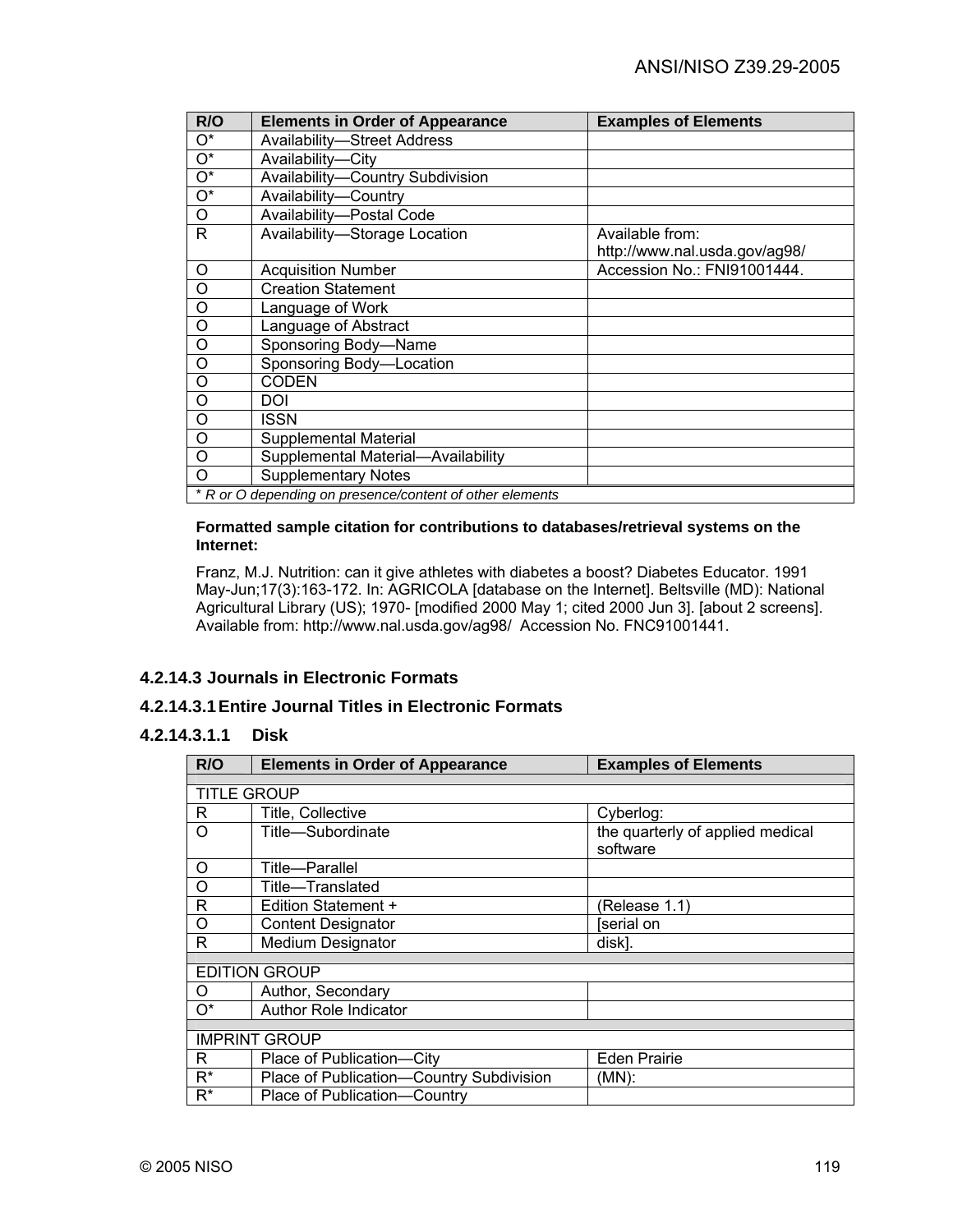| R/O                                                      | <b>Elements in Order of Appearance</b> | <b>Examples of Elements</b>   |
|----------------------------------------------------------|----------------------------------------|-------------------------------|
| $O^*$                                                    | <b>Availability-Street Address</b>     |                               |
| $O^*$                                                    | Availability-City                      |                               |
| $O^*$                                                    | Availability-Country Subdivision       |                               |
| $\overline{O^*}$                                         | Availability-Country                   |                               |
| O                                                        | Availability-Postal Code               |                               |
| R                                                        | Availability-Storage Location          | Available from:               |
|                                                          |                                        | http://www.nal.usda.gov/ag98/ |
| O                                                        | <b>Acquisition Number</b>              | Accession No.: FNI91001444.   |
| O                                                        | <b>Creation Statement</b>              |                               |
| O                                                        | Language of Work                       |                               |
| $\circ$                                                  | Language of Abstract                   |                               |
| O                                                        | Sponsoring Body-Name                   |                               |
| $\circ$                                                  | Sponsoring Body-Location               |                               |
| O                                                        | <b>CODEN</b>                           |                               |
| O                                                        | DOI                                    |                               |
| O                                                        | ISSN                                   |                               |
| $\circ$                                                  | <b>Supplemental Material</b>           |                               |
| O                                                        | Supplemental Material-Availability     |                               |
| O                                                        | <b>Supplementary Notes</b>             |                               |
| * R or O depending on presence/content of other elements |                                        |                               |

#### **Formatted sample citation for contributions to databases/retrieval systems on the Internet:**

Franz, M.J. Nutrition: can it give athletes with diabetes a boost? Diabetes Educator. 1991 May-Jun;17(3):163-172. In: AGRICOLA [database on the Internet]. Beltsville (MD): National Agricultural Library (US); 1970- [modified 2000 May 1; cited 2000 Jun 3]. [about 2 screens]. Available from: http://www.nal.usda.gov/ag98/ Accession No. FNC91001441.

# **4.2.14.3 Journals in Electronic Formats**

# **4.2.14.3.1 Entire Journal Titles in Electronic Formats**

## **4.2.14.3.1.1 Disk**

| R/O                  | <b>Elements in Order of Appearance</b>   | <b>Examples of Elements</b>      |  |  |
|----------------------|------------------------------------------|----------------------------------|--|--|
|                      |                                          |                                  |  |  |
| <b>TITLE GROUP</b>   |                                          |                                  |  |  |
| R                    | Title, Collective                        | Cyberlog:                        |  |  |
| Ω                    | Title-Subordinate                        | the quarterly of applied medical |  |  |
|                      |                                          | software                         |  |  |
| O                    | Title—Parallel                           |                                  |  |  |
| O                    | Title—Translated                         |                                  |  |  |
| R                    | Edition Statement +                      | (Release 1.1)                    |  |  |
| O                    | <b>Content Designator</b>                | [serial on                       |  |  |
| R                    | <b>Medium Designator</b>                 | disk].                           |  |  |
|                      |                                          |                                  |  |  |
|                      | <b>EDITION GROUP</b>                     |                                  |  |  |
| Ω                    | Author, Secondary                        |                                  |  |  |
| $O^*$                | <b>Author Role Indicator</b>             |                                  |  |  |
|                      |                                          |                                  |  |  |
| <b>IMPRINT GROUP</b> |                                          |                                  |  |  |
| R                    | Place of Publication-City                | <b>Eden Prairie</b>              |  |  |
| $R^*$                | Place of Publication-Country Subdivision | (MN):                            |  |  |
| R*                   | Place of Publication-Country             |                                  |  |  |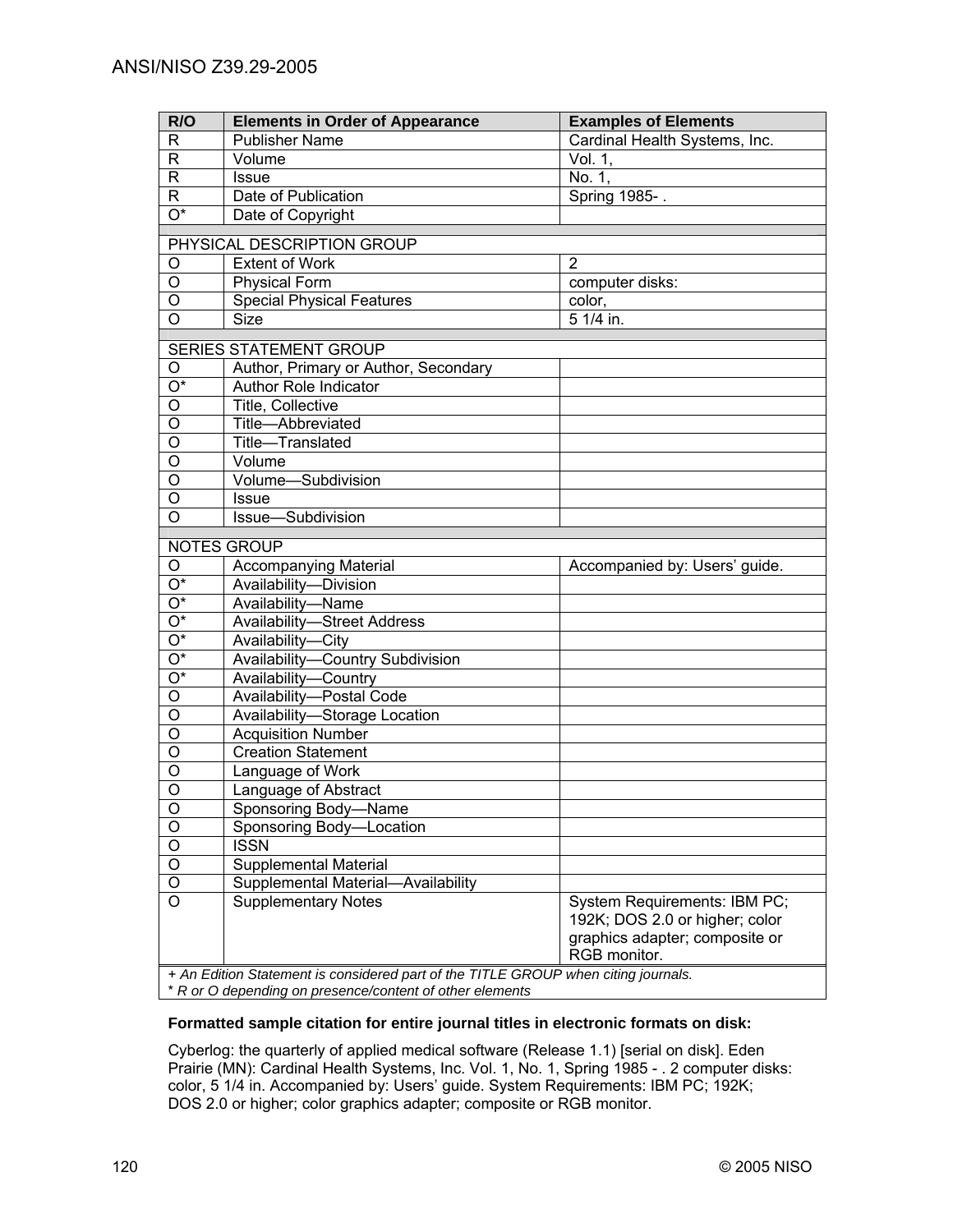| R/O              | <b>Elements in Order of Appearance</b>                                             | <b>Examples of Elements</b>    |  |
|------------------|------------------------------------------------------------------------------------|--------------------------------|--|
| R                | <b>Publisher Name</b>                                                              | Cardinal Health Systems, Inc.  |  |
| R                | Volume                                                                             | Vol. 1,                        |  |
| R                | <b>Issue</b>                                                                       | No. 1,                         |  |
| $\mathsf{R}$     | Date of Publication                                                                | Spring 1985-.                  |  |
| $\overline{O^*}$ | Date of Copyright                                                                  |                                |  |
|                  | PHYSICAL DESCRIPTION GROUP                                                         |                                |  |
| O                | Extent of Work                                                                     | 2                              |  |
| O                | <b>Physical Form</b>                                                               | computer disks:                |  |
| O                | <b>Special Physical Features</b>                                                   | color,                         |  |
| O                | <b>Size</b>                                                                        | 5 1/4 in.                      |  |
|                  | SERIES STATEMENT GROUP                                                             |                                |  |
| O                | Author, Primary or Author, Secondary                                               |                                |  |
| $\overline{O^*}$ | Author Role Indicator                                                              |                                |  |
| O                | Title, Collective                                                                  |                                |  |
| $\overline{0}$   | Title-Abbreviated                                                                  |                                |  |
| $\overline{0}$   | Title-Translated                                                                   |                                |  |
| $\overline{0}$   | Volume                                                                             |                                |  |
| $\overline{0}$   | Volume-Subdivision                                                                 |                                |  |
| O                | Issue                                                                              |                                |  |
| $\overline{O}$   | Issue-Subdivision                                                                  |                                |  |
|                  |                                                                                    |                                |  |
|                  | <b>NOTES GROUP</b>                                                                 |                                |  |
| O                | <b>Accompanying Material</b>                                                       | Accompanied by: Users' guide.  |  |
| O*               | Availability-Division                                                              |                                |  |
| O*               | Availability-Name                                                                  |                                |  |
| O*               | <b>Availability-Street Address</b>                                                 |                                |  |
| O*               | Availability-City                                                                  |                                |  |
| $O^*$            | Availability-Country Subdivision                                                   |                                |  |
| $O^*$            | Availability-Country                                                               |                                |  |
| O                | Availability-Postal Code                                                           |                                |  |
| O                | Availability-Storage Location                                                      |                                |  |
| O                | <b>Acquisition Number</b>                                                          |                                |  |
| O                | <b>Creation Statement</b>                                                          |                                |  |
| O                | Language of Work                                                                   |                                |  |
| O                | Language of Abstract                                                               |                                |  |
| $\bigcirc$       | Sponsoring Body-Name                                                               |                                |  |
| O                | Sponsoring Body-Location                                                           |                                |  |
| O                | <b>ISSN</b>                                                                        |                                |  |
| O                | Supplemental Material                                                              |                                |  |
| O                | -Availability<br>Supplemental Material-                                            |                                |  |
| O                | <b>Supplementary Notes</b>                                                         | System Requirements: IBM PC;   |  |
|                  |                                                                                    | 192K; DOS 2.0 or higher; color |  |
|                  |                                                                                    | graphics adapter; composite or |  |
|                  |                                                                                    | RGB monitor.                   |  |
|                  | + An Edition Statement is considered part of the TITLE GROUP when citing journals. |                                |  |

#### **Formatted sample citation for entire journal titles in electronic formats on disk:**

Cyberlog: the quarterly of applied medical software (Release 1.1) [serial on disk]. Eden Prairie (MN): Cardinal Health Systems, Inc. Vol. 1, No. 1, Spring 1985 - . 2 computer disks: color, 5 1/4 in. Accompanied by: Users' guide. System Requirements: IBM PC; 192K; DOS 2.0 or higher; color graphics adapter; composite or RGB monitor.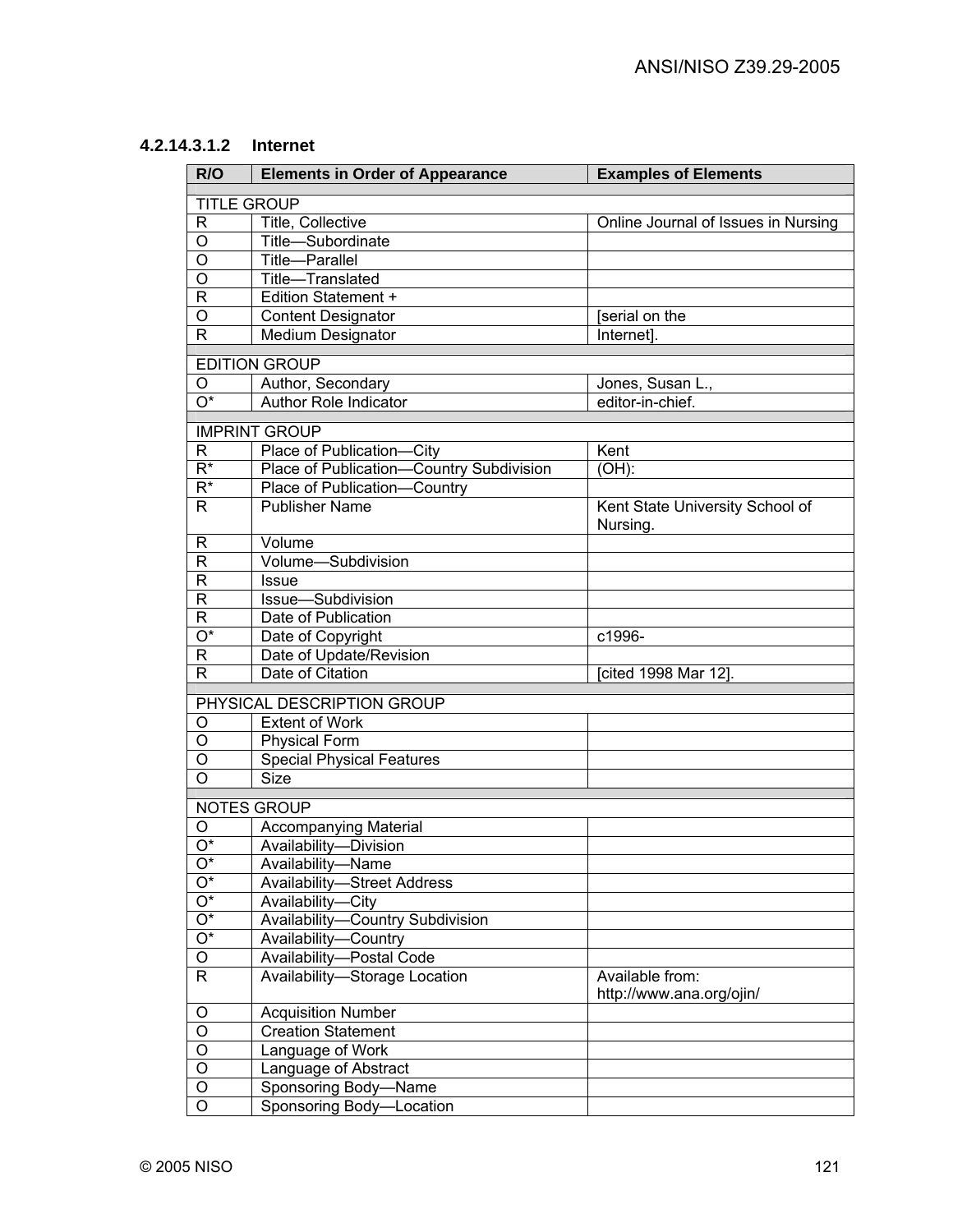## **4.2.14.3.1.2 Internet**

| R/O                | <b>Elements in Order of Appearance</b>   | <b>Examples of Elements</b>                 |
|--------------------|------------------------------------------|---------------------------------------------|
| <b>TITLE GROUP</b> |                                          |                                             |
| $\mathsf{R}$       | Title, Collective                        | Online Journal of Issues in Nursing         |
| O                  | Title-Subordinate                        |                                             |
| $\circ$            | Title-Parallel                           |                                             |
| O                  | Title-Translated                         |                                             |
| $\mathsf{R}$       | <b>Edition Statement +</b>               |                                             |
| O                  | <b>Content Designator</b>                | [serial on the                              |
| R                  | Medium Designator                        | Internet].                                  |
|                    | <b>EDITION GROUP</b>                     |                                             |
| O                  | Author, Secondary                        | Jones, Susan L.,                            |
| $O^*$              | Author Role Indicator                    | editor-in-chief.                            |
|                    |                                          |                                             |
|                    | <b>IMPRINT GROUP</b>                     |                                             |
| R                  | Place of Publication-City                | Kent                                        |
| $R^*$              | Place of Publication-Country Subdivision | $(OH)$ :                                    |
| $R^*$              | Place of Publication-Country             |                                             |
| R                  | <b>Publisher Name</b>                    | Kent State University School of<br>Nursing. |
| R                  | Volume                                   |                                             |
| $\mathsf{R}$       | Volume-Subdivision                       |                                             |
| R                  | <b>Issue</b>                             |                                             |
| R                  | Issue-Subdivision                        |                                             |
| R                  | Date of Publication                      |                                             |
| $\overline{O^*}$   | Date of Copyright                        | c1996-                                      |
| $\mathsf{R}$       | Date of Update/Revision                  |                                             |
| $\mathsf{R}$       | Date of Citation                         | [cited 1998 Mar 12].                        |
|                    | PHYSICAL DESCRIPTION GROUP               |                                             |
| O                  | <b>Extent of Work</b>                    |                                             |
| O                  | <b>Physical Form</b>                     |                                             |
| O                  | <b>Special Physical Features</b>         |                                             |
| O                  | <b>Size</b>                              |                                             |
|                    | <b>NOTES GROUP</b>                       |                                             |
| O                  | <b>Accompanying Material</b>             |                                             |
| $O^*$              | Availability-Division                    |                                             |
| $\mathrm{O}^\star$ | Availability-Name                        |                                             |
| O*                 | <b>Availability-Street Address</b>       |                                             |
| $\mathrm{O}^\star$ | Availability-City                        |                                             |
| $\mathrm{O}^\star$ | Availability-Country Subdivision         |                                             |
| $O^*$              | Availability-Country                     |                                             |
| O                  | Availability-Postal Code                 |                                             |
| R.                 | Availability-Storage Location            | Available from:                             |
|                    |                                          | http://www.ana.org/ojin/                    |
| O                  | <b>Acquisition Number</b>                |                                             |
| $\overline{O}$     | <b>Creation Statement</b>                |                                             |
| $\overline{O}$     | Language of Work                         |                                             |
| $\overline{O}$     | Language of Abstract                     |                                             |
| $\mathsf O$        | Sponsoring Body-Name                     |                                             |
| $\overline{O}$     | Sponsoring Body-Location                 |                                             |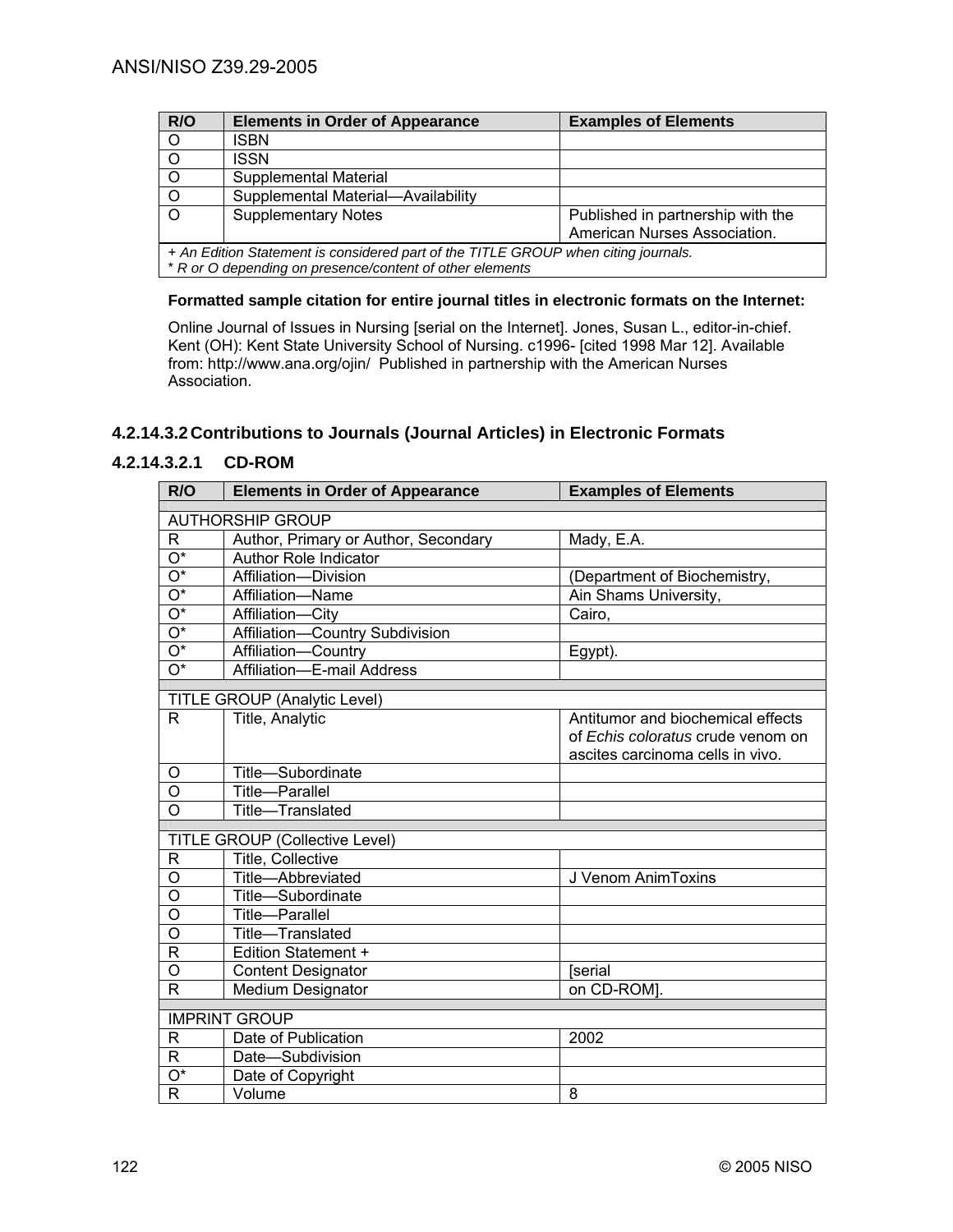| R/O                                                                                | <b>Elements in Order of Appearance</b> | <b>Examples of Elements</b>       |
|------------------------------------------------------------------------------------|----------------------------------------|-----------------------------------|
| O                                                                                  | ISBN                                   |                                   |
|                                                                                    | ISSN                                   |                                   |
|                                                                                    | Supplemental Material                  |                                   |
| $\circ$                                                                            | Supplemental Material-Availability     |                                   |
| $\Omega$                                                                           | <b>Supplementary Notes</b>             | Published in partnership with the |
|                                                                                    |                                        | American Nurses Association.      |
| + An Edition Statement is considered part of the TITLE GROUP when citing journals. |                                        |                                   |
| * R or O depending on presence/content of other elements                           |                                        |                                   |

### **Formatted sample citation for entire journal titles in electronic formats on the Internet:**

Online Journal of Issues in Nursing [serial on the Internet]. Jones, Susan L., editor-in-chief. Kent (OH): Kent State University School of Nursing. c1996- [cited 1998 Mar 12]. Available from: http://www.ana.org/ojin/ Published in partnership with the American Nurses Association.

# **4.2.14.3.2 Contributions to Journals (Journal Articles) in Electronic Formats**

# **4.2.14.3.2.1 CD-ROM**

| R/O                       | <b>Elements in Order of Appearance</b>                 | <b>Examples of Elements</b>       |
|---------------------------|--------------------------------------------------------|-----------------------------------|
|                           | <b>AUTHORSHIP GROUP</b>                                |                                   |
| $\overline{R}$            | Author, Primary or Author, Secondary                   | Mady, E.A.                        |
| $\overline{O^*}$          | <b>Author Role Indicator</b>                           |                                   |
| $\overline{\mathrm{O}^*}$ | Affiliation-Division                                   | (Department of Biochemistry,      |
| $\overline{O^*}$          | Affiliation-Name                                       | Ain Shams University,             |
| $\overline{O^*}$          | Affiliation-City                                       | Cairo,                            |
| $\overline{O^*}$          | Affiliation-Country Subdivision                        |                                   |
| $\overline{O^*}$          | Affiliation-Country                                    | Egypt).                           |
| $\overline{O^*}$          | Affiliation-E-mail Address                             |                                   |
|                           |                                                        |                                   |
| R                         | <b>TITLE GROUP (Analytic Level)</b><br>Title, Analytic | Antitumor and biochemical effects |
|                           |                                                        | of Echis coloratus crude venom on |
|                           |                                                        | ascites carcinoma cells in vivo.  |
| O                         | Title-Subordinate                                      |                                   |
| $\Omega$                  | Title-Parallel                                         |                                   |
| O                         | Title-Translated                                       |                                   |
|                           |                                                        |                                   |
|                           | <b>TITLE GROUP (Collective Level)</b>                  |                                   |
| R                         | Title, Collective                                      |                                   |
| O                         | Title-Abbreviated                                      | J Venom AnimToxins                |
| O                         | Title-Subordinate                                      |                                   |
| O                         | Title-Parallel                                         |                                   |
| O                         | Title-Translated                                       |                                   |
| R                         | <b>Edition Statement +</b>                             |                                   |
| O                         | <b>Content Designator</b>                              | <b>Serial</b>                     |
| R                         | Medium Designator                                      | on CD-ROM].                       |
|                           | <b>IMPRINT GROUP</b>                                   |                                   |
| R                         | Date of Publication                                    | 2002                              |
| R                         | Date-Subdivision                                       |                                   |
| $\overline{O^*}$          | Date of Copyright                                      |                                   |
| $\mathsf{R}$              | Volume                                                 | 8                                 |
|                           |                                                        |                                   |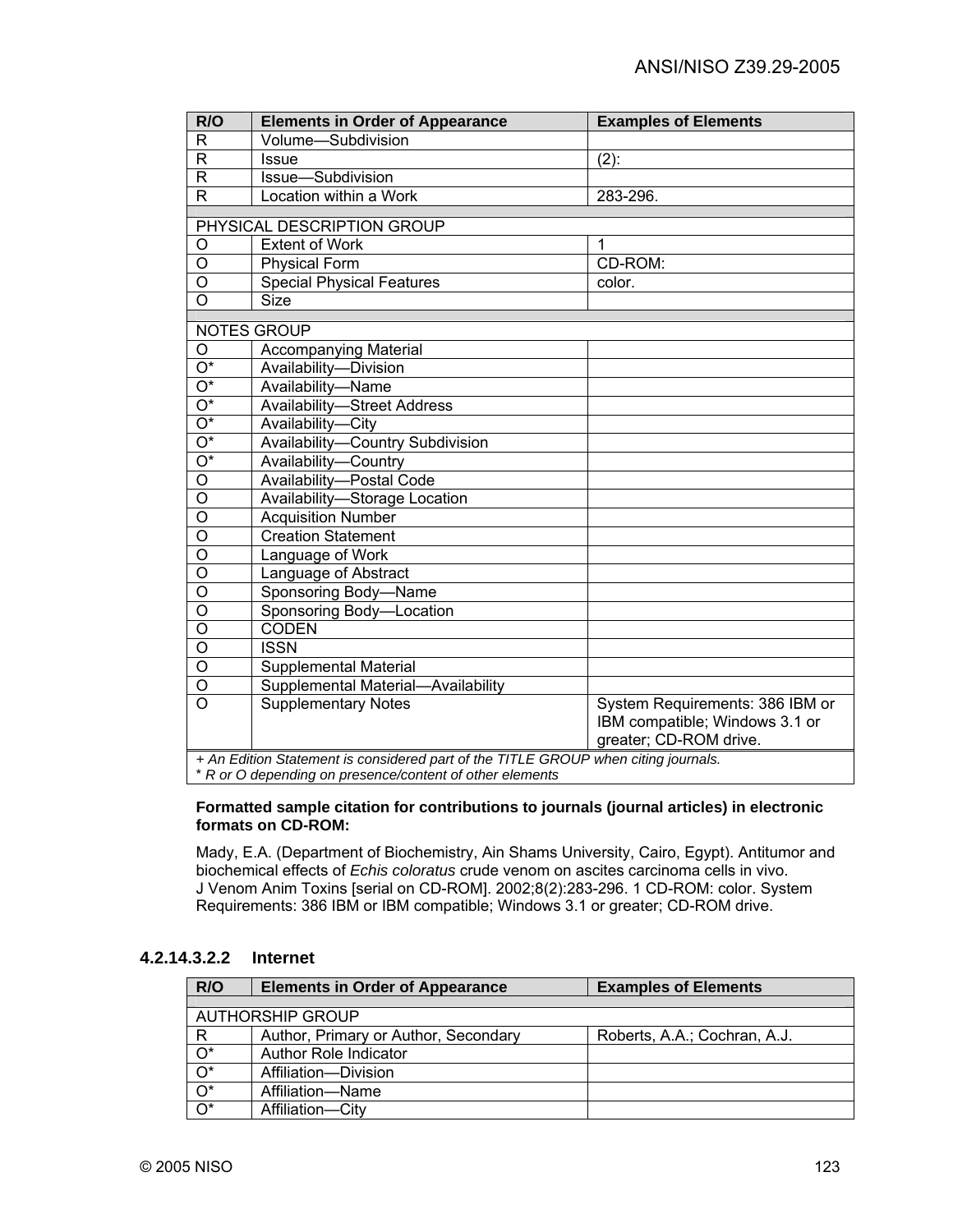| R/O                                                                                | <b>Elements in Order of Appearance</b>                   | <b>Examples of Elements</b>     |  |
|------------------------------------------------------------------------------------|----------------------------------------------------------|---------------------------------|--|
| R                                                                                  | Volume-Subdivision                                       |                                 |  |
| $\overline{R}$                                                                     | Issue                                                    | $(2)$ :                         |  |
| $\overline{\mathsf{R}}$                                                            | Issue-Subdivision                                        |                                 |  |
| $\mathsf{R}$                                                                       | Location within a Work                                   | 283-296.                        |  |
|                                                                                    | PHYSICAL DESCRIPTION GROUP                               |                                 |  |
| O                                                                                  | Extent of Work                                           | 1                               |  |
| $\overline{O}$                                                                     |                                                          | CD-ROM:                         |  |
| $\circ$                                                                            | <b>Physical Form</b>                                     |                                 |  |
| $\overline{\mathsf{o}}$                                                            | <b>Special Physical Features</b><br>Size                 | color.                          |  |
|                                                                                    |                                                          |                                 |  |
|                                                                                    | <b>NOTES GROUP</b>                                       |                                 |  |
| O                                                                                  | <b>Accompanying Material</b>                             |                                 |  |
| $\overline{\mathrm{O}^*}$                                                          | Availability-Division                                    |                                 |  |
| $\overline{\mathrm{O}^*}$                                                          | Availability-Name                                        |                                 |  |
| $\overline{O^*}$                                                                   | <b>Availability-Street Address</b>                       |                                 |  |
| $\overline{O^*}$                                                                   | Availability-City                                        |                                 |  |
| $\overline{O^*}$                                                                   | Availability-Country Subdivision                         |                                 |  |
| $\overline{O^*}$                                                                   | Availability-Country                                     |                                 |  |
| $\overline{O}$                                                                     | Availability-Postal Code                                 |                                 |  |
| $\overline{\circ}$                                                                 | Availability-Storage Location                            |                                 |  |
| $\overline{\mathsf{o}}$                                                            | <b>Acquisition Number</b>                                |                                 |  |
| $\overline{\circ}$                                                                 | <b>Creation Statement</b>                                |                                 |  |
| $\overline{\mathsf{o}}$                                                            | Language of Work                                         |                                 |  |
| $\overline{0}$                                                                     | Language of Abstract                                     |                                 |  |
| $\overline{\mathsf{o}}$                                                            | Sponsoring Body-Name                                     |                                 |  |
| $\overline{\mathsf{o}}$                                                            | Sponsoring Body-Location                                 |                                 |  |
| $\overline{\mathsf{o}}$                                                            | <b>CODEN</b>                                             |                                 |  |
| $\overline{\mathsf{o}}$                                                            | <b>ISSN</b>                                              |                                 |  |
| $\overline{\mathsf{o}}$                                                            | Supplemental Material                                    |                                 |  |
| $\overline{0}$                                                                     | Supplemental Material-Availability                       |                                 |  |
| $\overline{O}$                                                                     | <b>Supplementary Notes</b>                               | System Requirements: 386 IBM or |  |
|                                                                                    |                                                          | IBM compatible; Windows 3.1 or  |  |
|                                                                                    |                                                          | greater; CD-ROM drive.          |  |
| + An Edition Statement is considered part of the TITLE GROUP when citing journals. |                                                          |                                 |  |
|                                                                                    | * R or O depending on presence/content of other elements |                                 |  |

#### **Formatted sample citation for contributions to journals (journal articles) in electronic formats on CD-ROM:**

Mady, E.A. (Department of Biochemistry, Ain Shams University, Cairo, Egypt). Antitumor and biochemical effects of *Echis coloratus* crude venom on ascites carcinoma cells in vivo. J Venom Anim Toxins [serial on CD-ROM]. 2002;8(2):283-296. 1 CD-ROM: color. System Requirements: 386 IBM or IBM compatible; Windows 3.1 or greater; CD-ROM drive.

### **4.2.14.3.2.2 Internet**

| R/O              | <b>Elements in Order of Appearance</b> | <b>Examples of Elements</b>  |
|------------------|----------------------------------------|------------------------------|
|                  | <b>AUTHORSHIP GROUP</b>                |                              |
|                  |                                        |                              |
| R                | Author, Primary or Author, Secondary   | Roberts, A.A.; Cochran, A.J. |
| $O^*$            | Author Role Indicator                  |                              |
| $O^*$            | Affiliation-Division                   |                              |
| $\overline{O^*}$ | Affiliation-Name                       |                              |
| $\overline{O^*}$ | Affiliation-City                       |                              |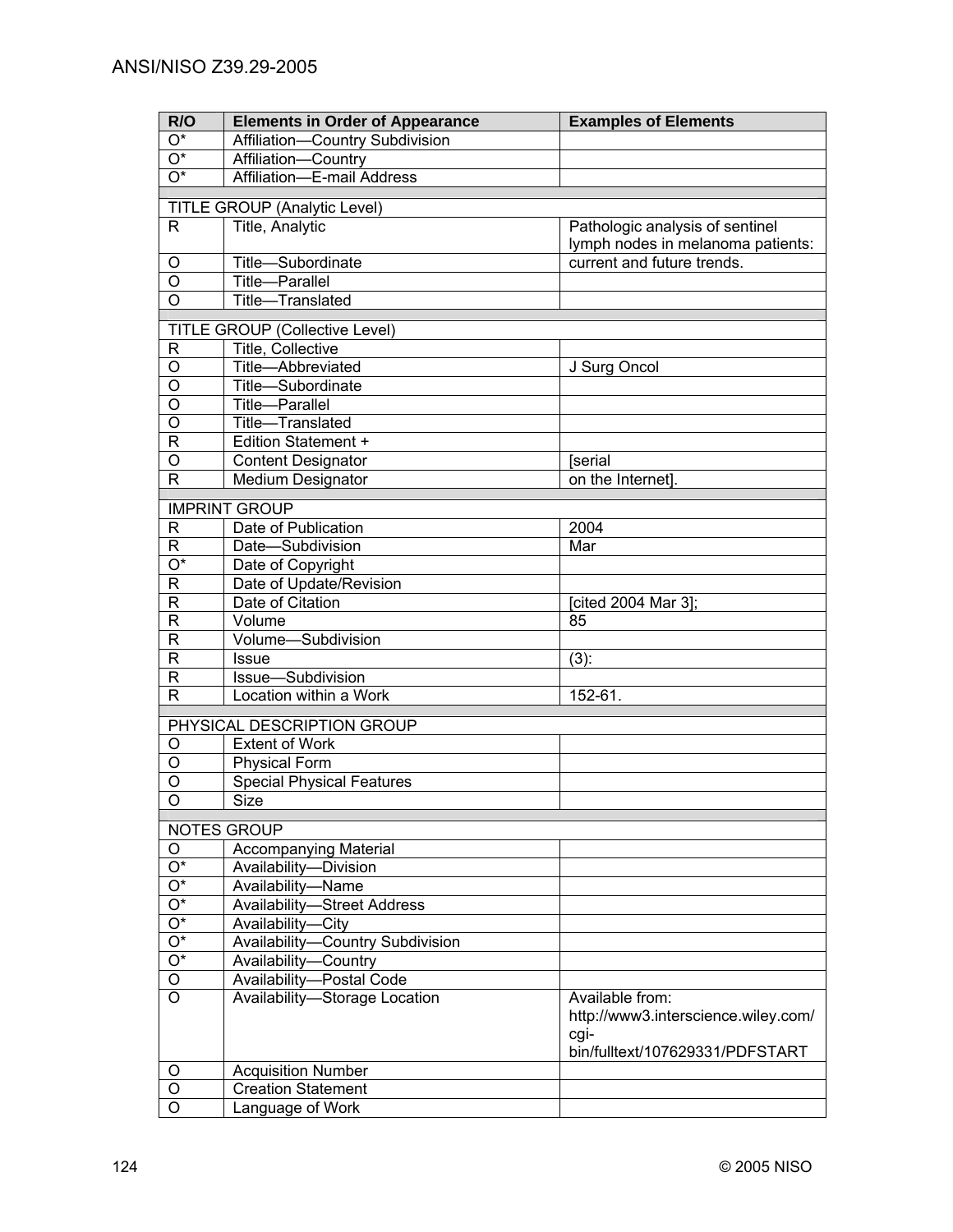| R/O                       | <b>Elements in Order of Appearance</b> | <b>Examples of Elements</b>         |
|---------------------------|----------------------------------------|-------------------------------------|
| $O^*$                     | Affiliation-Country Subdivision        |                                     |
| O*                        | Affiliation-Country                    |                                     |
| $\overline{O^*}$          | Affiliation-E-mail Address             |                                     |
|                           |                                        |                                     |
|                           | TITLE GROUP (Analytic Level)           |                                     |
| $\mathsf{R}$              | Title, Analytic                        | Pathologic analysis of sentinel     |
|                           |                                        | lymph nodes in melanoma patients:   |
| O                         | Title-Subordinate                      | current and future trends.          |
| O                         | Title-Parallel                         |                                     |
| $\overline{O}$            | Title-Translated                       |                                     |
|                           | <b>TITLE GROUP (Collective Level)</b>  |                                     |
| R                         | Title, Collective                      |                                     |
| $\mathsf O$               | Title-Abbreviated                      | J Surg Oncol                        |
| $\overline{O}$            | Title-Subordinate                      |                                     |
| $\overline{O}$            | <b>Title-Parallel</b>                  |                                     |
| $\overline{0}$            | Title-Translated                       |                                     |
| $\mathsf{R}$              | <b>Edition Statement +</b>             |                                     |
| O                         | <b>Content Designator</b>              | [serial                             |
| $\mathsf{R}$              | Medium Designator                      | on the Internet].                   |
|                           |                                        |                                     |
|                           | <b>IMPRINT GROUP</b>                   |                                     |
| R                         | Date of Publication                    | 2004                                |
| R                         | Date-Subdivision                       | Mar                                 |
| $\overline{\mathrm{O}^*}$ | Date of Copyright                      |                                     |
| R                         | Date of Update/Revision                |                                     |
| R                         | Date of Citation                       | [cited 2004 Mar 3];                 |
| R                         | Volume                                 | 85                                  |
| R                         | Volume-Subdivision                     |                                     |
| R                         | <b>Issue</b>                           | $(3)$ :                             |
| R                         | Issue-Subdivision                      |                                     |
| $\mathsf{R}$              | Location within a Work                 | 152-61.                             |
|                           | PHYSICAL DESCRIPTION GROUP             |                                     |
| O                         | <b>Extent of Work</b>                  |                                     |
| O                         | <b>Physical Form</b>                   |                                     |
| O                         | <b>Special Physical Features</b>       |                                     |
| $\circ$                   | <b>Size</b>                            |                                     |
|                           |                                        |                                     |
|                           | <b>NOTES GROUP</b>                     |                                     |
| O                         | Accompanying Material                  |                                     |
| $\overline{\mathrm{O}^*}$ | Availability-Division                  |                                     |
| $\overline{\mathrm{O}^*}$ | Availability-Name                      |                                     |
| $\overline{\mathrm{O}^*}$ | <b>Availability-Street Address</b>     |                                     |
| $\overline{\mathrm{O}^*}$ | Availability-City                      |                                     |
| $\overline{\mathrm{O}^*}$ | Availability-Country Subdivision       |                                     |
| $\overline{O^*}$          | Availability-Country                   |                                     |
| O                         | Availability-Postal Code               |                                     |
| $\overline{O}$            | Availability-Storage Location          | Available from:                     |
|                           |                                        | http://www3.interscience.wiley.com/ |
|                           |                                        | cgi-                                |
|                           |                                        | bin/fulltext/107629331/PDFSTART     |
| O                         | <b>Acquisition Number</b>              |                                     |
| O                         | <b>Creation Statement</b>              |                                     |
| O                         | Language of Work                       |                                     |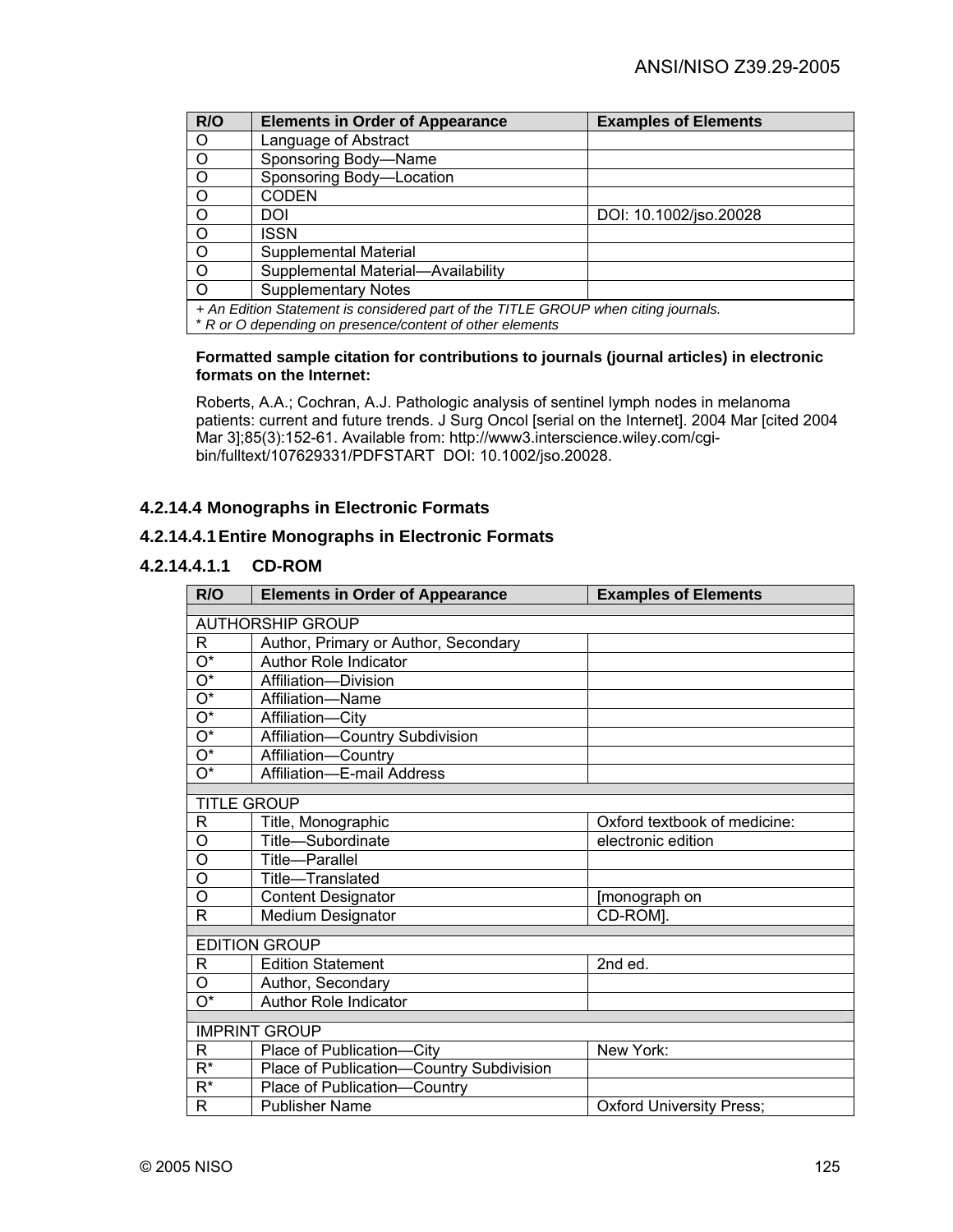| R/O                                                                                | <b>Elements in Order of Appearance</b> | <b>Examples of Elements</b> |
|------------------------------------------------------------------------------------|----------------------------------------|-----------------------------|
| $\circ$                                                                            | Language of Abstract                   |                             |
| $\circ$                                                                            | Sponsoring Body-Name                   |                             |
| $\circ$                                                                            | Sponsoring Body-Location               |                             |
| $\circ$                                                                            | <b>CODEN</b>                           |                             |
| $\circ$                                                                            | DOI                                    | DOI: 10.1002/jso.20028      |
| $\circ$                                                                            | ISSN                                   |                             |
| $\overline{0}$                                                                     | Supplemental Material                  |                             |
| $\circ$                                                                            | Supplemental Material-Availability     |                             |
| $\Omega$                                                                           | <b>Supplementary Notes</b>             |                             |
| + An Edition Statement is considered part of the TITLE GROUP when citing journals. |                                        |                             |

#### **Formatted sample citation for contributions to journals (journal articles) in electronic formats on the Internet:**

Roberts, A.A.; Cochran, A.J. Pathologic analysis of sentinel lymph nodes in melanoma patients: current and future trends. J Surg Oncol [serial on the Internet]. 2004 Mar [cited 2004 Mar 3];85(3):152-61. Available from: http://www3.interscience.wiley.com/cgibin/fulltext/107629331/PDFSTART DOI: 10.1002/jso.20028.

## **4.2.14.4 Monographs in Electronic Formats**

### **4.2.14.4.1 Entire Monographs in Electronic Formats**

### **4.2.14.4.1.1 CD-ROM**

| R/O                       | <b>Elements in Order of Appearance</b>   | <b>Examples of Elements</b>     |
|---------------------------|------------------------------------------|---------------------------------|
|                           |                                          |                                 |
|                           | <b>AUTHORSHIP GROUP</b>                  |                                 |
| R                         | Author, Primary or Author, Secondary     |                                 |
| $\overline{\mathrm{O}^*}$ | <b>Author Role Indicator</b>             |                                 |
| $\overline{\mathrm{O}^*}$ | Affiliation-Division                     |                                 |
| $\overline{\mathrm{O}^*}$ | Affiliation-Name                         |                                 |
| $\overline{\mathrm{O}^*}$ | Affiliation-City                         |                                 |
| $\overline{O^*}$          | Affiliation-Country Subdivision          |                                 |
| $\overline{\mathrm{O}^*}$ | Affiliation-Country                      |                                 |
| $\overline{\mathrm{O}^*}$ | Affiliation-E-mail Address               |                                 |
|                           |                                          |                                 |
| <b>TITLE GROUP</b>        |                                          |                                 |
| R                         | Title, Monographic                       | Oxford textbook of medicine:    |
| Ο                         | Title-Subordinate                        | electronic edition              |
| O                         | <b>Title-Parallel</b>                    |                                 |
| O                         | Title-Translated                         |                                 |
| O                         | <b>Content Designator</b>                | [monograph on                   |
| R                         | <b>Medium Designator</b>                 | CD-ROM].                        |
|                           |                                          |                                 |
|                           | <b>EDITION GROUP</b>                     |                                 |
| R                         | <b>Edition Statement</b>                 | 2nd ed.                         |
| O                         | Author, Secondary                        |                                 |
| $\overline{\mathrm{O}^*}$ | Author Role Indicator                    |                                 |
|                           | <b>IMPRINT GROUP</b>                     |                                 |
| R                         | Place of Publication-City                | New York:                       |
| $\overline{\mathsf{R}^*}$ | Place of Publication-Country Subdivision |                                 |
| $R^*$                     | Place of Publication-Country             |                                 |
| R                         | <b>Publisher Name</b>                    | <b>Oxford University Press;</b> |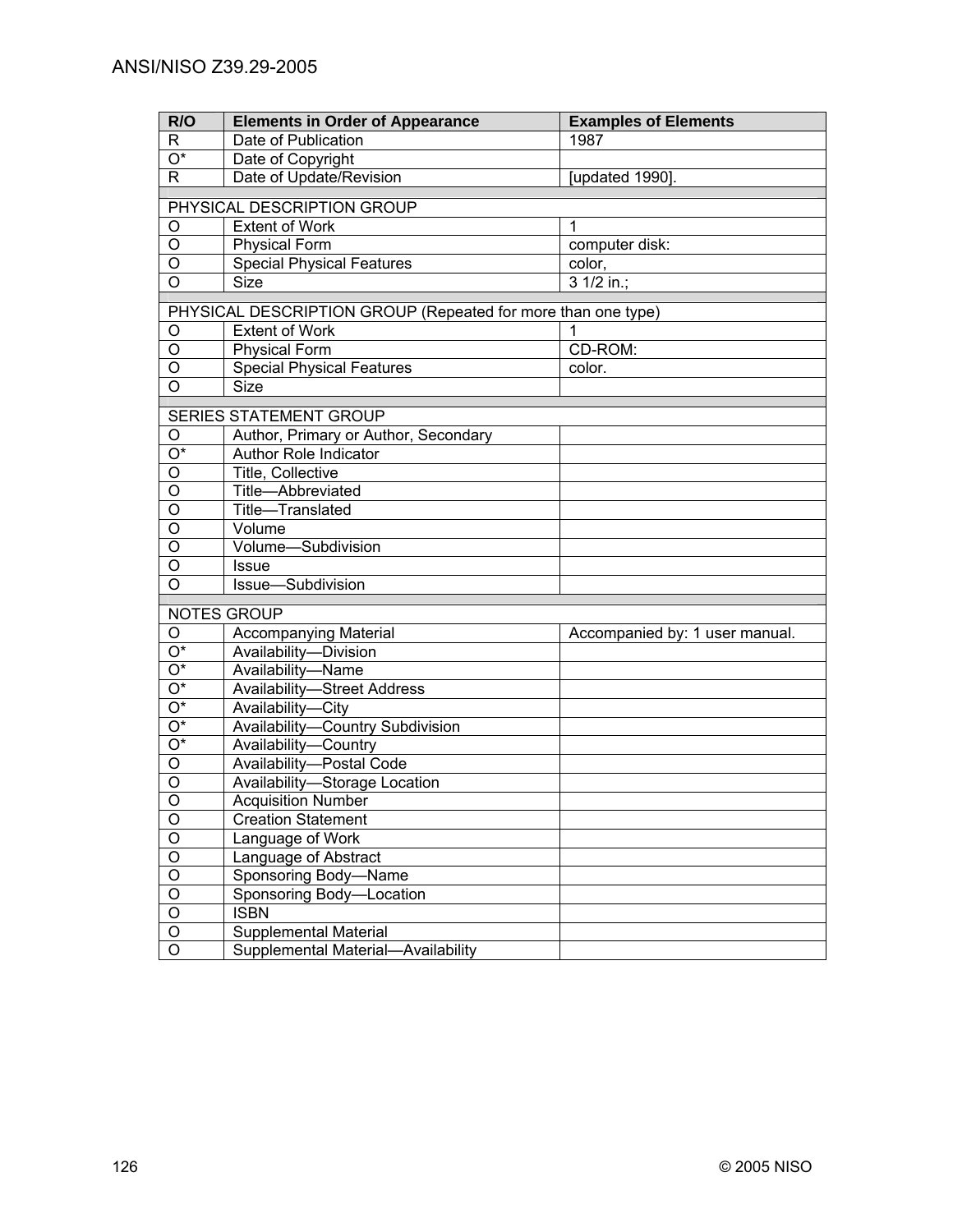| R/O                              | <b>Elements in Order of Appearance</b>                       | <b>Examples of Elements</b>    |
|----------------------------------|--------------------------------------------------------------|--------------------------------|
| R                                | Date of Publication                                          | 1987                           |
| $O^*$                            | Date of Copyright                                            |                                |
| R                                | Date of Update/Revision                                      | [updated 1990].                |
|                                  | PHYSICAL DESCRIPTION GROUP                                   |                                |
| O                                | <b>Extent of Work</b>                                        | $\mathbf{1}$                   |
| $\overline{O}$                   | <b>Physical Form</b>                                         | computer disk:                 |
| O                                | <b>Special Physical Features</b>                             | color,                         |
| $\overline{O}$                   | <b>Size</b>                                                  | 3 1/2 in.;                     |
|                                  | PHYSICAL DESCRIPTION GROUP (Repeated for more than one type) |                                |
| O                                | <b>Extent of Work</b>                                        |                                |
| O                                | <b>Physical Form</b>                                         | CD-ROM:                        |
| O                                | <b>Special Physical Features</b>                             | color.                         |
| O                                | Size                                                         |                                |
|                                  |                                                              |                                |
|                                  | SERIES STATEMENT GROUP                                       |                                |
| O                                | Author, Primary or Author, Secondary                         |                                |
| $\overline{O^*}$                 | Author Role Indicator                                        |                                |
| $\overline{O}$                   | Title, Collective                                            |                                |
| $\overline{O}$                   | Title-Abbreviated                                            |                                |
| $\overline{O}$<br>$\overline{O}$ | Title-Translated                                             |                                |
| $\overline{O}$                   | Volume                                                       |                                |
| O                                | Volume-Subdivision                                           |                                |
| $\overline{O}$                   | <b>Issue</b><br>Issue-Subdivision                            |                                |
|                                  |                                                              |                                |
|                                  | <b>NOTES GROUP</b>                                           |                                |
| O                                | <b>Accompanying Material</b>                                 | Accompanied by: 1 user manual. |
| O*                               | Availability-Division                                        |                                |
| O*                               | Availability-Name                                            |                                |
| $O^*$                            | <b>Availability-Street Address</b>                           |                                |
| O*                               | Availability-City                                            |                                |
| O*                               | Availability-Country Subdivision                             |                                |
| $O^*$                            | Availability-Country                                         |                                |
| O                                | Availability-Postal Code                                     |                                |
| O                                | Availability-Storage Location                                |                                |
| $\circ$                          | <b>Acquisition Number</b>                                    |                                |
| O                                | <b>Creation Statement</b>                                    |                                |
| $\mathsf O$                      | Language of Work                                             |                                |
| $\mathsf O$                      | Language of Abstract                                         |                                |
| $\overline{O}$                   | Sponsoring Body-Name                                         |                                |
| $\overline{O}$                   | Sponsoring Body-Location                                     |                                |
| $\overline{O}$                   | <b>ISBN</b>                                                  |                                |
| $\mathsf O$                      | Supplemental Material                                        |                                |
| O                                | Supplemental Material-Availability                           |                                |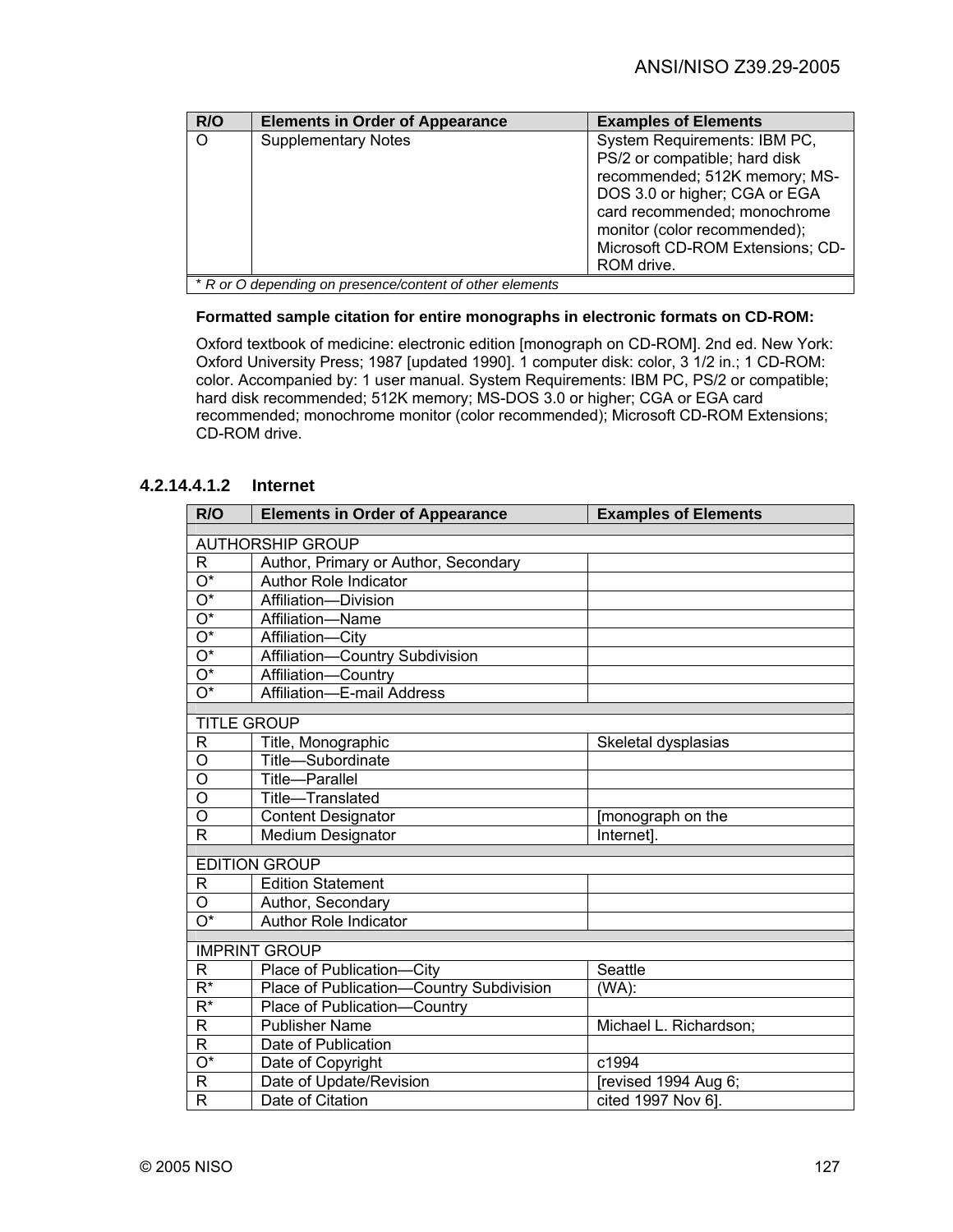| R/O     | <b>Elements in Order of Appearance</b>                   | <b>Examples of Elements</b>                                                                                                                                                                                                                       |
|---------|----------------------------------------------------------|---------------------------------------------------------------------------------------------------------------------------------------------------------------------------------------------------------------------------------------------------|
| $\circ$ | <b>Supplementary Notes</b>                               | System Requirements: IBM PC,<br>PS/2 or compatible; hard disk<br>recommended; 512K memory; MS-<br>DOS 3.0 or higher; CGA or EGA<br>card recommended; monochrome<br>monitor (color recommended);<br>Microsoft CD-ROM Extensions; CD-<br>ROM drive. |
|         | * R or O depending on presence/content of other elements |                                                                                                                                                                                                                                                   |

#### **Formatted sample citation for entire monographs in electronic formats on CD-ROM:**

Oxford textbook of medicine: electronic edition [monograph on CD-ROM]. 2nd ed. New York: Oxford University Press; 1987 [updated 1990]. 1 computer disk: color, 3 1/2 in.; 1 CD-ROM: color. Accompanied by: 1 user manual. System Requirements: IBM PC, PS/2 or compatible; hard disk recommended; 512K memory; MS-DOS 3.0 or higher; CGA or EGA card recommended; monochrome monitor (color recommended); Microsoft CD-ROM Extensions; CD-ROM drive.

# **4.2.14.4.1.2 Internet**

| R/O                       | <b>Elements in Order of Appearance</b>   | <b>Examples of Elements</b> |
|---------------------------|------------------------------------------|-----------------------------|
|                           |                                          |                             |
|                           | <b>AUTHORSHIP GROUP</b>                  |                             |
| R                         | Author, Primary or Author, Secondary     |                             |
| $\overline{O^*}$          | <b>Author Role Indicator</b>             |                             |
| $\overline{O^*}$          | Affiliation-Division                     |                             |
| $\overline{\mathrm{O}^*}$ | Affiliation-Name                         |                             |
| $\overline{O^*}$          | Affiliation-City                         |                             |
| $\overline{O^*}$          | Affiliation-Country Subdivision          |                             |
| $\overline{O^*}$          | Affiliation-Country                      |                             |
| $\overline{O^*}$          | Affiliation-E-mail Address               |                             |
| <b>TITLE GROUP</b>        |                                          |                             |
| R                         | Title, Monographic                       | Skeletal dysplasias         |
| O                         | Title-Subordinate                        |                             |
| $\overline{0}$            | Title-Parallel                           |                             |
| O                         | Title-Translated                         |                             |
| $\overline{0}$            | <b>Content Designator</b>                | [monograph on the           |
| $\mathsf{R}$              | Medium Designator                        | Internet].                  |
|                           | <b>EDITION GROUP</b>                     |                             |
|                           | <b>Edition Statement</b>                 |                             |
| R                         |                                          |                             |
| O<br>$\overline{O^*}$     | Author, Secondary                        |                             |
|                           | <b>Author Role Indicator</b>             |                             |
|                           | <b>IMPRINT GROUP</b>                     |                             |
| $\mathsf{R}$              | Place of Publication-City                | Seattle                     |
| $\overline{R^*}$          | Place of Publication-Country Subdivision | (WA):                       |
| $R^*$                     | Place of Publication-Country             |                             |
| $\mathsf R$               | <b>Publisher Name</b>                    | Michael L. Richardson;      |
| R                         | Date of Publication                      |                             |
| $\overline{\mathrm{O}^*}$ | Date of Copyright                        | c1994                       |
| $\mathsf{R}$              | Date of Update/Revision                  | [revised 1994 Aug 6;        |
| $\mathsf{R}$              | Date of Citation                         | cited 1997 Nov 6].          |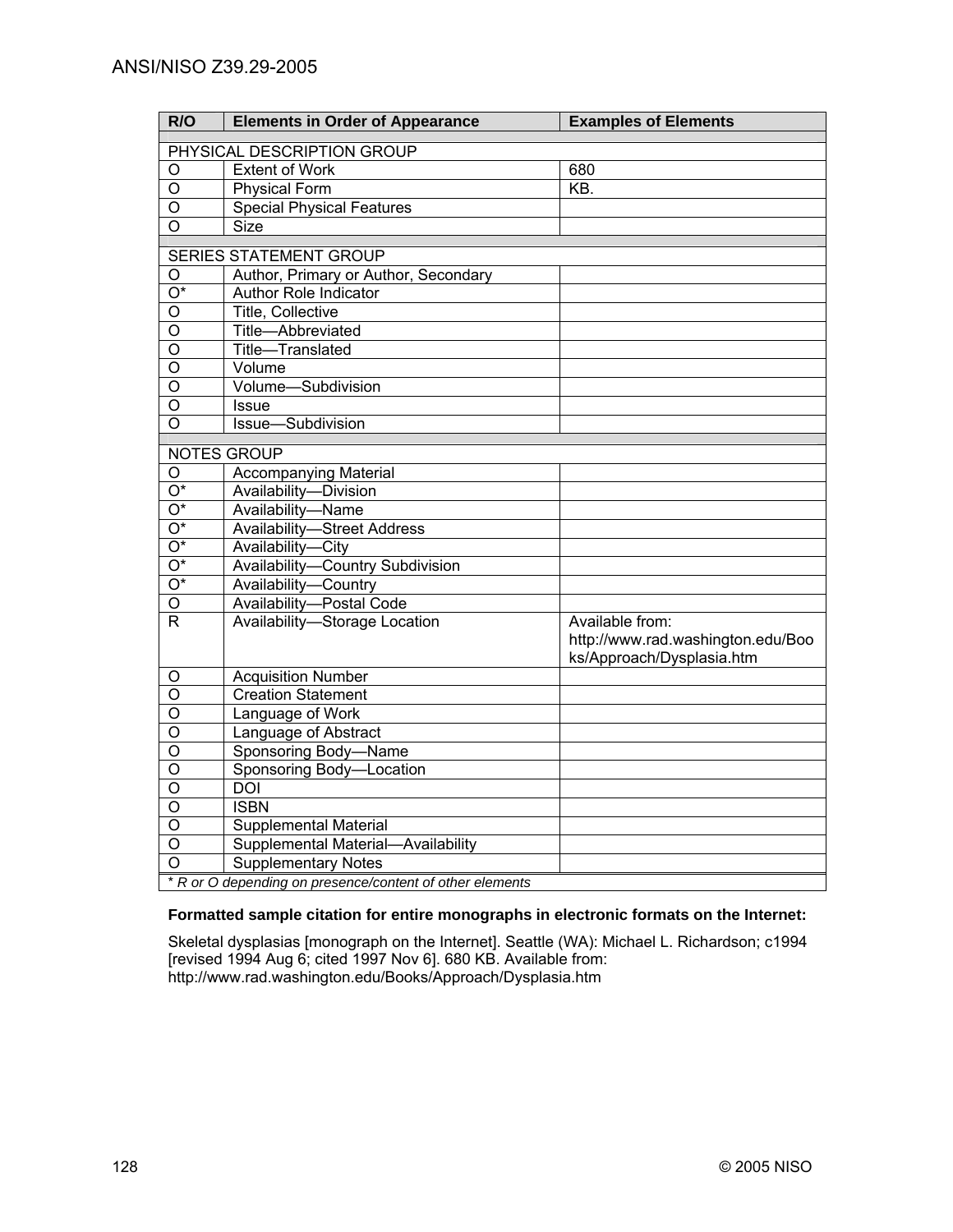| R/O                     | <b>Elements in Order of Appearance</b>                   | <b>Examples of Elements</b>       |  |
|-------------------------|----------------------------------------------------------|-----------------------------------|--|
|                         | PHYSICAL DESCRIPTION GROUP                               |                                   |  |
| O                       | <b>Extent of Work</b>                                    | 680                               |  |
| $\circ$                 | <b>Physical Form</b>                                     | $\overline{KB}$ .                 |  |
| O                       | <b>Special Physical Features</b>                         |                                   |  |
| O                       | <b>Size</b>                                              |                                   |  |
|                         | <b>SERIES STATEMENT GROUP</b>                            |                                   |  |
| O                       | Author, Primary or Author, Secondary                     |                                   |  |
| $\overline{O^*}$        | <b>Author Role Indicator</b>                             |                                   |  |
|                         | <b>Title, Collective</b>                                 |                                   |  |
| O                       |                                                          |                                   |  |
| $\overline{0}$          | Title-Abbreviated                                        |                                   |  |
| $\overline{0}$          | Title-Translated                                         |                                   |  |
| $\circ$                 | Volume                                                   |                                   |  |
| $\overline{O}$          | Volume-Subdivision                                       |                                   |  |
| $\overline{O}$          | <b>Issue</b>                                             |                                   |  |
| O                       | Issue-Subdivision                                        |                                   |  |
|                         | NOTES GROUP                                              |                                   |  |
| O                       | Accompanying Material                                    |                                   |  |
| $\overline{O^*}$        | Availability-Division                                    |                                   |  |
| $\overline{O^*}$        | Availability-Name                                        |                                   |  |
| $\overline{O^*}$        | <b>Availability-Street Address</b>                       |                                   |  |
| $\overline{O^*}$        | Availability-City                                        |                                   |  |
| $\overline{O^*}$        | Availability-Country Subdivision                         |                                   |  |
| $O^*$                   | Availability-Country                                     |                                   |  |
| O                       | Availability-Postal Code                                 |                                   |  |
| $\overline{R}$          | Availability-Storage Location                            | Available from:                   |  |
|                         |                                                          | http://www.rad.washington.edu/Boo |  |
|                         |                                                          | ks/Approach/Dysplasia.htm         |  |
| O                       | <b>Acquisition Number</b>                                |                                   |  |
| $\overline{0}$          | <b>Creation Statement</b>                                |                                   |  |
| $\overline{0}$          | Language of Work                                         |                                   |  |
| $\overline{\mathsf{o}}$ | Language of Abstract                                     |                                   |  |
| O                       | Sponsoring Body-Name                                     |                                   |  |
| O                       | Sponsoring Body-Location                                 |                                   |  |
| $\overline{O}$          | $\overline{DOI}$                                         |                                   |  |
| $\overline{O}$          | <b>ISBN</b>                                              |                                   |  |
| $\overline{0}$          | <b>Supplemental Material</b>                             |                                   |  |
| O                       | Supplemental Material-Availability                       |                                   |  |
| $\Omega$                | <b>Supplementary Notes</b>                               |                                   |  |
|                         | * R or O depending on presence/content of other elements |                                   |  |

#### **Formatted sample citation for entire monographs in electronic formats on the Internet:**

Skeletal dysplasias [monograph on the Internet]. Seattle (WA): Michael L. Richardson; c1994 [revised 1994 Aug 6; cited 1997 Nov 6]. 680 KB. Available from: http://www.rad.washington.edu/Books/Approach/Dysplasia.htm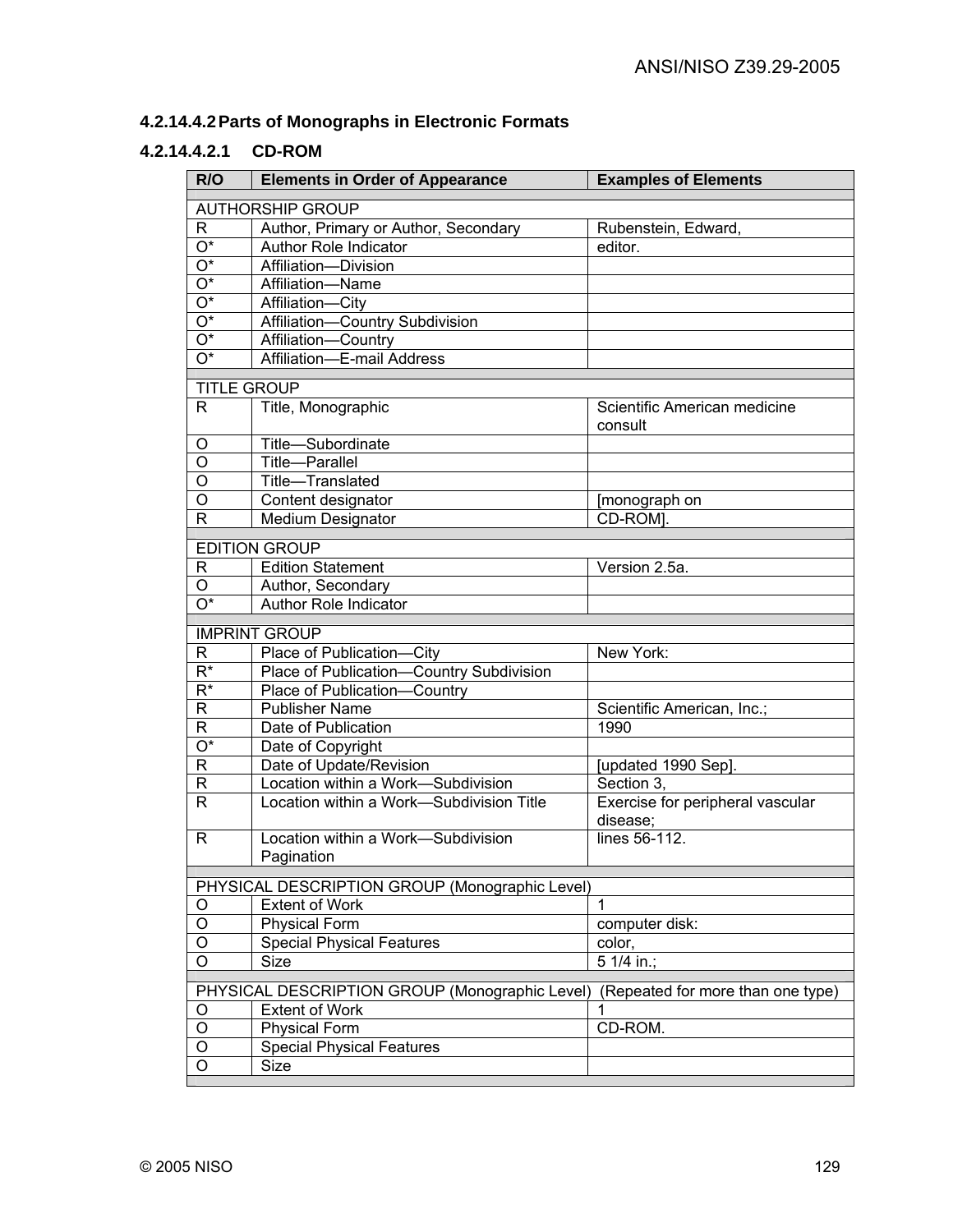# **4.2.14.4.2 Parts of Monographs in Electronic Formats**

## **4.2.14.4.2.1 CD-ROM**

| R/O                     | <b>Elements in Order of Appearance</b>            | <b>Examples of Elements</b>                  |
|-------------------------|---------------------------------------------------|----------------------------------------------|
|                         | <b>AUTHORSHIP GROUP</b>                           |                                              |
| R                       | Author, Primary or Author, Secondary              | Rubenstein, Edward,                          |
| $\overline{O^*}$        | Author Role Indicator                             | editor.                                      |
| $\overline{O^*}$        | Affiliation-Division                              |                                              |
| $\overline{O^*}$        | Affiliation-Name                                  |                                              |
| $\overline{O^*}$        | Affiliation-City                                  |                                              |
| $\overline{O^*}$        | Affiliation-Country Subdivision                   |                                              |
| $\overline{O^*}$        | Affiliation-Country                               |                                              |
| $\overline{O^*}$        | Affiliation-E-mail Address                        |                                              |
| <b>TITLE GROUP</b>      |                                                   |                                              |
| R.                      | Title, Monographic                                | Scientific American medicine<br>consult      |
| O                       | Title-Subordinate                                 |                                              |
| $\overline{0}$          | <b>Title-Parallel</b>                             |                                              |
| $\overline{0}$          | Title-Translated                                  |                                              |
| $\overline{0}$          | Content designator                                | [monograph on                                |
| $\overline{\mathsf{R}}$ | <b>Medium Designator</b>                          | CD-ROM].                                     |
|                         | <b>EDITION GROUP</b>                              |                                              |
| R                       | <b>Edition Statement</b>                          | Version 2.5a.                                |
| O                       |                                                   |                                              |
| O*                      | Author, Secondary<br><b>Author Role Indicator</b> |                                              |
|                         |                                                   |                                              |
|                         | <b>IMPRINT GROUP</b>                              |                                              |
| R                       | Place of Publication-City                         | New York:                                    |
| $\overline{R^*}$        | Place of Publication-Country Subdivision          |                                              |
| $R^*$                   | Place of Publication-Country                      |                                              |
| R                       | <b>Publisher Name</b>                             | Scientific American, Inc.;                   |
| R                       | Date of Publication                               | 1990                                         |
| O*                      | Date of Copyright                                 |                                              |
| R                       | Date of Update/Revision                           | [updated 1990 Sep].                          |
| R                       | Location within a Work-Subdivision                | Section 3,                                   |
| $\mathsf{R}$            | Location within a Work-Subdivision Title          | Exercise for peripheral vascular<br>disease; |
| R                       | Location within a Work-Subdivision                | lines 56-112.                                |
|                         | Pagination                                        |                                              |
|                         | PHYSICAL DESCRIPTION GROUP (Monographic Level)    |                                              |
| O                       | <b>Extent of Work</b>                             | $\mathbf{1}$                                 |
| O                       | Physical Form                                     | computer disk:                               |
| O                       | <b>Special Physical Features</b>                  | color,                                       |
| O                       | Size                                              | 5 1/4 in.;                                   |
|                         | PHYSICAL DESCRIPTION GROUP (Monographic Level)    | (Repeated for more than one type)            |
| O                       | <b>Extent of Work</b>                             |                                              |
| $\mathsf O$             | <b>Physical Form</b>                              | CD-ROM.                                      |
| O                       | <b>Special Physical Features</b>                  |                                              |
| $\overline{O}$          | Size                                              |                                              |
|                         |                                                   |                                              |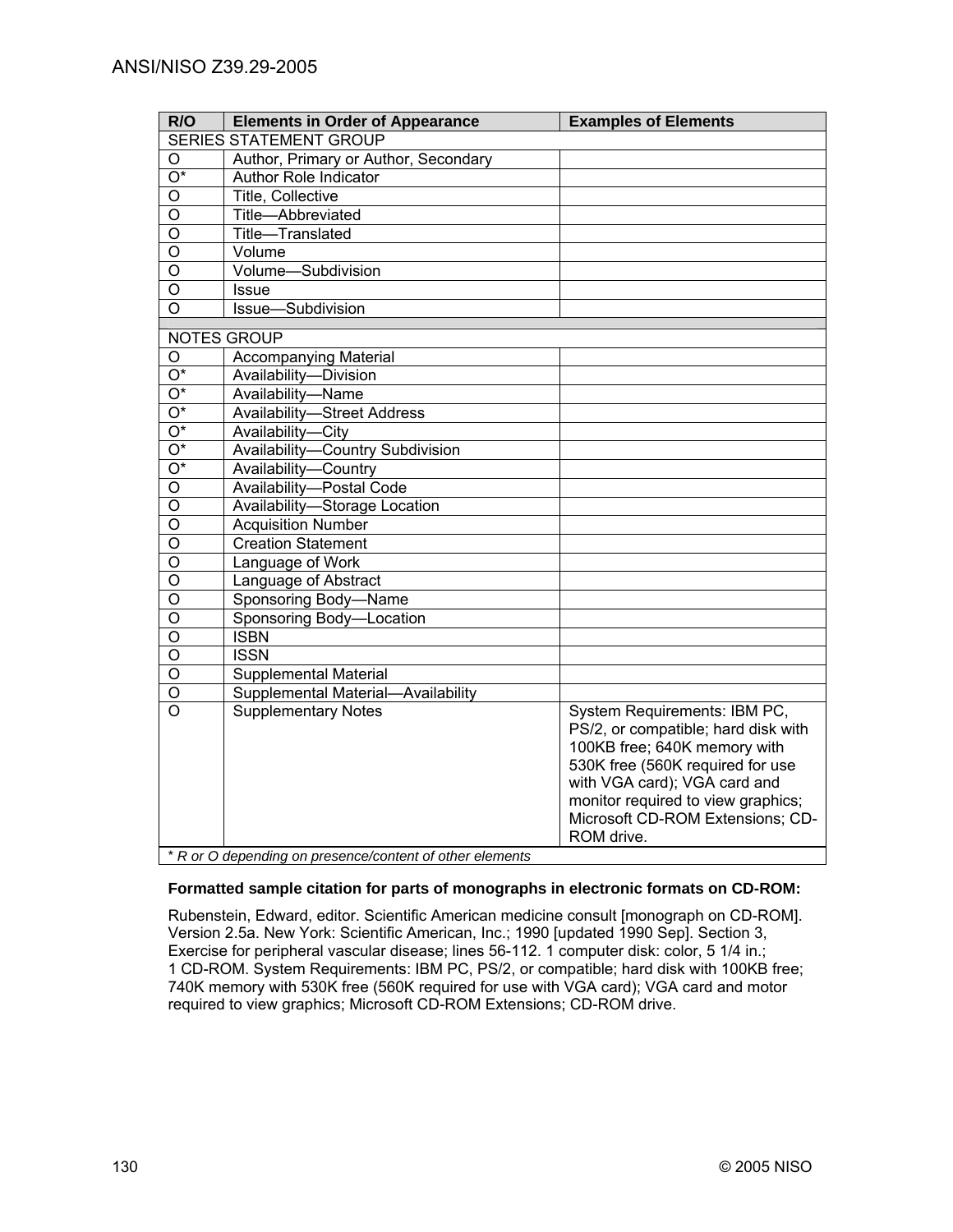| R/O                     | <b>Elements in Order of Appearance</b> | <b>Examples of Elements</b>                                                                                                                                                                                                                                     |
|-------------------------|----------------------------------------|-----------------------------------------------------------------------------------------------------------------------------------------------------------------------------------------------------------------------------------------------------------------|
|                         | <b>SERIES STATEMENT GROUP</b>          |                                                                                                                                                                                                                                                                 |
| $\circ$                 | Author, Primary or Author, Secondary   |                                                                                                                                                                                                                                                                 |
| $\overline{O^*}$        | <b>Author Role Indicator</b>           |                                                                                                                                                                                                                                                                 |
| O                       | Title, Collective                      |                                                                                                                                                                                                                                                                 |
| O                       | Title-Abbreviated                      |                                                                                                                                                                                                                                                                 |
| $\circ$                 | Title-Translated                       |                                                                                                                                                                                                                                                                 |
| O                       | Volume                                 |                                                                                                                                                                                                                                                                 |
| O                       | Volume-Subdivision                     |                                                                                                                                                                                                                                                                 |
| O                       | <b>Issue</b>                           |                                                                                                                                                                                                                                                                 |
| $\overline{O}$          | Issue-Subdivision                      |                                                                                                                                                                                                                                                                 |
|                         | NOTES GROUP                            |                                                                                                                                                                                                                                                                 |
| O                       | <b>Accompanying Material</b>           |                                                                                                                                                                                                                                                                 |
| $\overline{O^*}$        | Availability-Division                  |                                                                                                                                                                                                                                                                 |
| $\overline{O^*}$        | Availability-Name                      |                                                                                                                                                                                                                                                                 |
| $\overline{O^*}$        | <b>Availability-Street Address</b>     |                                                                                                                                                                                                                                                                 |
| $\overline{O^*}$        | Availability-City                      |                                                                                                                                                                                                                                                                 |
| $\overline{O^*}$        | Availability-Country Subdivision       |                                                                                                                                                                                                                                                                 |
| $\overline{O^*}$        | Availability-Country                   |                                                                                                                                                                                                                                                                 |
| $\overline{O}$          | Availability-Postal Code               |                                                                                                                                                                                                                                                                 |
| $\overline{0}$          | Availability-Storage Location          |                                                                                                                                                                                                                                                                 |
| $\overline{\mathsf{o}}$ | <b>Acquisition Number</b>              |                                                                                                                                                                                                                                                                 |
| $\overline{\mathsf{o}}$ | <b>Creation Statement</b>              |                                                                                                                                                                                                                                                                 |
| $\overline{0}$          | Language of Work                       |                                                                                                                                                                                                                                                                 |
| $\overline{0}$          | Language of Abstract                   |                                                                                                                                                                                                                                                                 |
| $\overline{\mathsf{o}}$ | Sponsoring Body-Name                   |                                                                                                                                                                                                                                                                 |
| $\overline{\mathsf{o}}$ | Sponsoring Body-Location               |                                                                                                                                                                                                                                                                 |
| $\overline{0}$          | <b>ISBN</b>                            |                                                                                                                                                                                                                                                                 |
| $\overline{0}$          | <b>ISSN</b>                            |                                                                                                                                                                                                                                                                 |
| $\overline{\mathsf{o}}$ | <b>Supplemental Material</b>           |                                                                                                                                                                                                                                                                 |
| $\overline{O}$          | Supplemental Material-Availability     |                                                                                                                                                                                                                                                                 |
| $\overline{O}$          | <b>Supplementary Notes</b>             | System Requirements: IBM PC,<br>PS/2, or compatible; hard disk with<br>100KB free; 640K memory with<br>530K free (560K required for use<br>with VGA card); VGA card and<br>monitor required to view graphics;<br>Microsoft CD-ROM Extensions; CD-<br>ROM drive. |

#### **Formatted sample citation for parts of monographs in electronic formats on CD-ROM:**

Rubenstein, Edward, editor. Scientific American medicine consult [monograph on CD-ROM]. Version 2.5a. New York: Scientific American, Inc.; 1990 [updated 1990 Sep]. Section 3, Exercise for peripheral vascular disease; lines 56-112. 1 computer disk: color, 5 1/4 in.; 1 CD-ROM. System Requirements: IBM PC, PS/2, or compatible; hard disk with 100KB free; 740K memory with 530K free (560K required for use with VGA card); VGA card and motor required to view graphics; Microsoft CD-ROM Extensions; CD-ROM drive.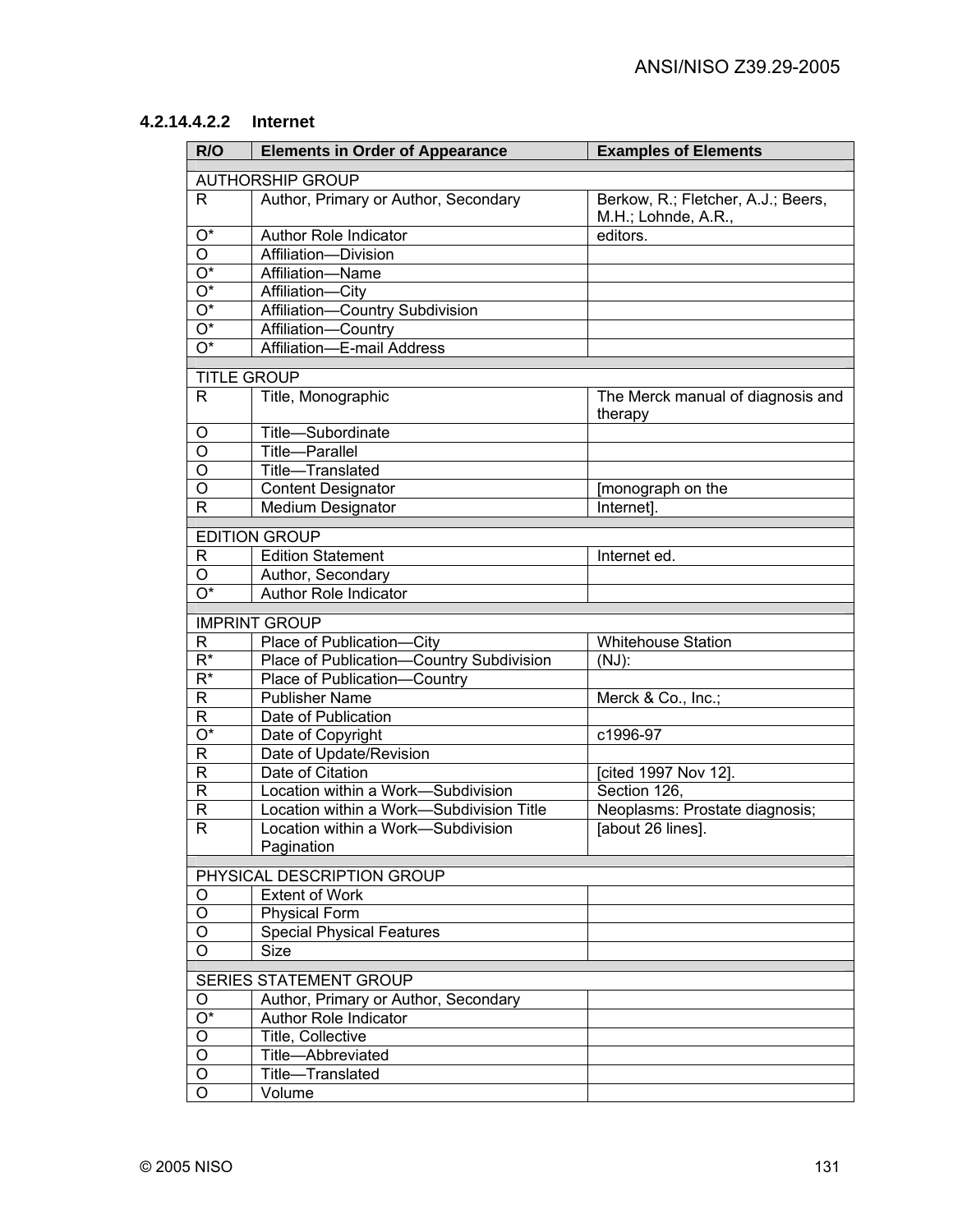# **4.2.14.4.2.2 Internet**

| R/O                       | <b>Elements in Order of Appearance</b>   | <b>Examples of Elements</b>                  |
|---------------------------|------------------------------------------|----------------------------------------------|
|                           | <b>AUTHORSHIP GROUP</b>                  |                                              |
| R.                        | Author, Primary or Author, Secondary     | Berkow, R.; Fletcher, A.J.; Beers,           |
|                           |                                          | M.H.; Lohnde, A.R.,                          |
| $O^*$                     | Author Role Indicator                    | editors.                                     |
| $\overline{O}$            | Affiliation-Division                     |                                              |
| $\overline{\mathrm{O}^*}$ | Affiliation-Name                         |                                              |
| $\overline{O^*}$          | Affiliation-City                         |                                              |
| $\overline{O^*}$          | Affiliation-Country Subdivision          |                                              |
| $\overline{\mathrm{O}^*}$ | Affiliation-Country                      |                                              |
| $\overline{O^*}$          | Affiliation-E-mail Address               |                                              |
|                           |                                          |                                              |
| <b>TITLE GROUP</b>        |                                          |                                              |
| R.                        | Title, Monographic                       | The Merck manual of diagnosis and<br>therapy |
| O                         | Title-Subordinate                        |                                              |
| $\overline{\mathsf{o}}$   | Title-Parallel                           |                                              |
| $\overline{O}$            | Title-Translated                         |                                              |
| $\overline{O}$            | <b>Content Designator</b>                | [monograph on the                            |
| $\mathsf{R}$              | <b>Medium Designator</b>                 | Internet].                                   |
|                           | <b>EDITION GROUP</b>                     |                                              |
| R                         | <b>Edition Statement</b>                 | Internet ed.                                 |
| O                         | Author, Secondary                        |                                              |
| O*                        | <b>Author Role Indicator</b>             |                                              |
|                           |                                          |                                              |
|                           | <b>IMPRINT GROUP</b>                     |                                              |
| R                         | Place of Publication-City                | <b>Whitehouse Station</b>                    |
| $R^*$                     | Place of Publication-Country Subdivision | $(NJ)$ :                                     |
| $\overline{\mathsf{R}^*}$ | Place of Publication-Country             |                                              |
| $\overline{R}$            | <b>Publisher Name</b>                    | Merck & Co., Inc.;                           |
| $\overline{R}$            | Date of Publication                      |                                              |
| $\overline{O^*}$          | Date of Copyright                        | c1996-97                                     |
| $\mathsf R$               | Date of Update/Revision                  |                                              |
| $\overline{R}$            | Date of Citation                         | [cited 1997 Nov 12].                         |
| $\overline{R}$            | Location within a Work-Subdivision       | Section 126,                                 |
| $\overline{\mathsf{R}}$   | Location within a Work-Subdivision Title | Neoplasms: Prostate diagnosis;               |
| $\overline{\mathsf{R}}$   | ocation within a Work-Subdivision        | [about 26 lines].                            |
|                           | Pagination                               |                                              |
|                           | PHYSICAL DESCRIPTION GROUP               |                                              |
| O                         | <b>Extent of Work</b>                    |                                              |
| O                         | <b>Physical Form</b>                     |                                              |
| O                         | <b>Special Physical Features</b>         |                                              |
| $\circ$                   | Size                                     |                                              |
|                           |                                          |                                              |
|                           | <b>SERIES STATEMENT GROUP</b>            |                                              |
| O                         | Author, Primary or Author, Secondary     |                                              |
| $O^*$                     | Author Role Indicator                    |                                              |
| O                         | Title, Collective                        |                                              |
| O                         | Title-Abbreviated                        |                                              |
| O                         | Title-Translated                         |                                              |
| O                         | Volume                                   |                                              |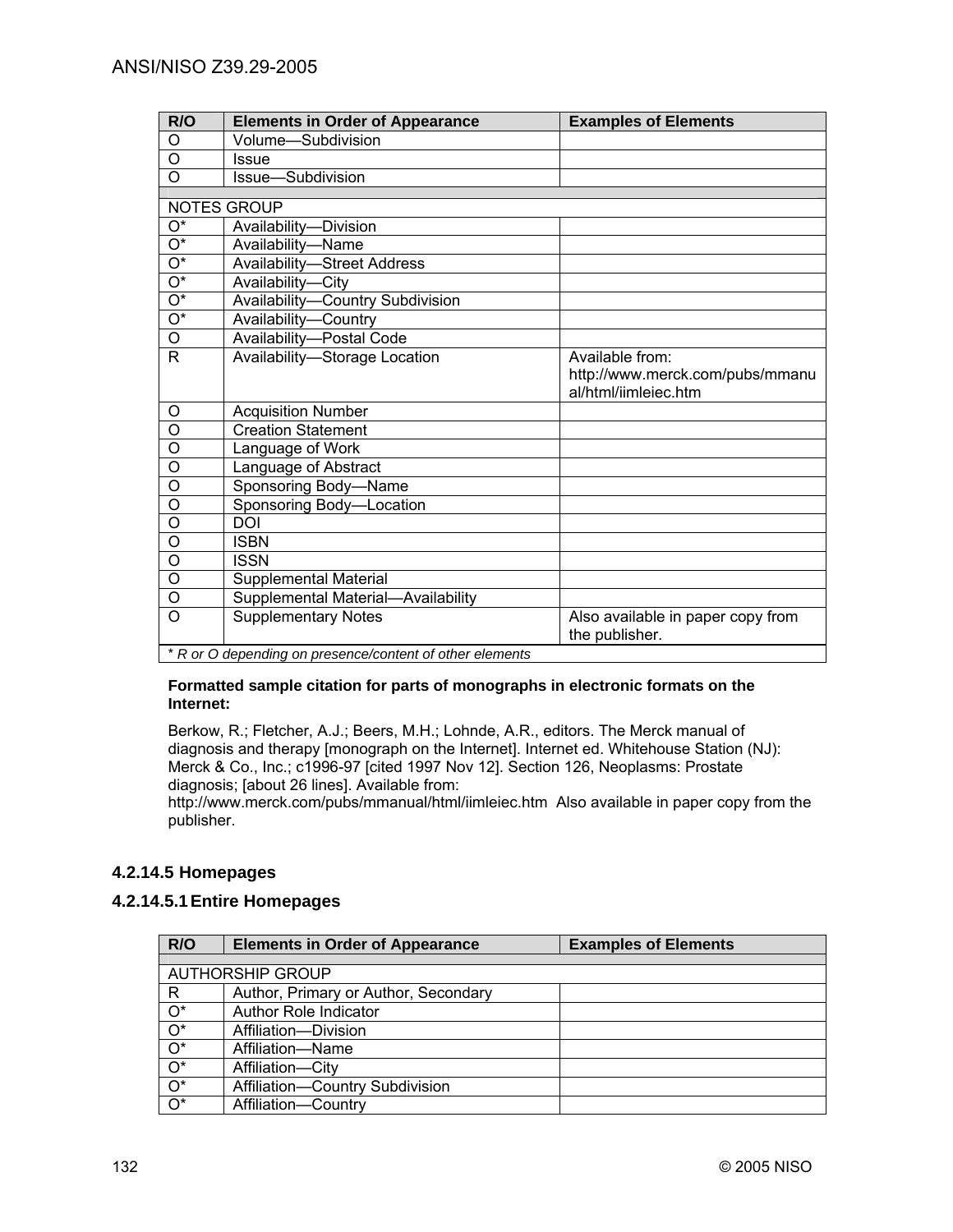| R/O                       | <b>Elements in Order of Appearance</b>                   | <b>Examples of Elements</b>       |  |
|---------------------------|----------------------------------------------------------|-----------------------------------|--|
| O                         | Volume-Subdivision                                       |                                   |  |
| $\circ$                   | <b>Issue</b>                                             |                                   |  |
| $\circ$                   | Issue-Subdivision                                        |                                   |  |
|                           |                                                          |                                   |  |
| <b>NOTES GROUP</b>        |                                                          |                                   |  |
| $\overline{\mathrm{O}^*}$ | Availability-Division                                    |                                   |  |
| $O^*$                     | Availability-Name                                        |                                   |  |
| $\overline{\mathrm{O}^*}$ | <b>Availability-Street Address</b>                       |                                   |  |
| $\overline{O^*}$          | Availability-City                                        |                                   |  |
| $\overline{\mathrm{O}^*}$ | Availability-Country Subdivision                         |                                   |  |
| $\overline{\mathrm{O}^*}$ | Availability-Country                                     |                                   |  |
| O                         | Availability-Postal Code                                 |                                   |  |
| R                         | Availability-Storage Location                            | Available from:                   |  |
|                           |                                                          | http://www.merck.com/pubs/mmanu   |  |
|                           |                                                          | al/html/iimleiec.htm              |  |
| O                         | <b>Acquisition Number</b>                                |                                   |  |
| $\overline{0}$            | <b>Creation Statement</b>                                |                                   |  |
| $\overline{0}$            | Language of Work                                         |                                   |  |
| $\overline{0}$            | Language of Abstract                                     |                                   |  |
| $\circ$                   | Sponsoring Body-Name                                     |                                   |  |
| $\overline{\mathsf{o}}$   | Sponsoring Body-Location                                 |                                   |  |
| $\overline{0}$            | <b>DOI</b>                                               |                                   |  |
| $\overline{O}$            | <b>ISBN</b>                                              |                                   |  |
| $\overline{O}$            | <b>ISSN</b>                                              |                                   |  |
| O                         | Supplemental Material                                    |                                   |  |
| $\circ$                   | Supplemental Material-Availability                       |                                   |  |
| $\overline{O}$            | <b>Supplementary Notes</b>                               | Also available in paper copy from |  |
|                           |                                                          | the publisher.                    |  |
|                           | * R or O depending on presence/content of other elements |                                   |  |

#### **Formatted sample citation for parts of monographs in electronic formats on the Internet:**

Berkow, R.; Fletcher, A.J.; Beers, M.H.; Lohnde, A.R., editors. The Merck manual of diagnosis and therapy [monograph on the Internet]. Internet ed. Whitehouse Station (NJ): Merck & Co., Inc.; c1996-97 [cited 1997 Nov 12]. Section 126, Neoplasms: Prostate diagnosis; [about 26 lines]. Available from:

http://www.merck.com/pubs/mmanual/html/iimleiec.htm Also available in paper copy from the publisher.

## **4.2.14.5 Homepages**

## **4.2.14.5.1 Entire Homepages**

| R/O                     | <b>Elements in Order of Appearance</b> | <b>Examples of Elements</b> |  |
|-------------------------|----------------------------------------|-----------------------------|--|
|                         |                                        |                             |  |
| <b>AUTHORSHIP GROUP</b> |                                        |                             |  |
| R                       | Author, Primary or Author, Secondary   |                             |  |
| $O^*$                   | Author Role Indicator                  |                             |  |
| $\overline{O^*}$        | Affiliation-Division                   |                             |  |
| $\overline{O^*}$        | Affiliation-Name                       |                             |  |
| $O^*$                   | Affiliation-City                       |                             |  |
| $O^*$                   | Affiliation-Country Subdivision        |                             |  |
| $O^*$                   | Affiliation-Country                    |                             |  |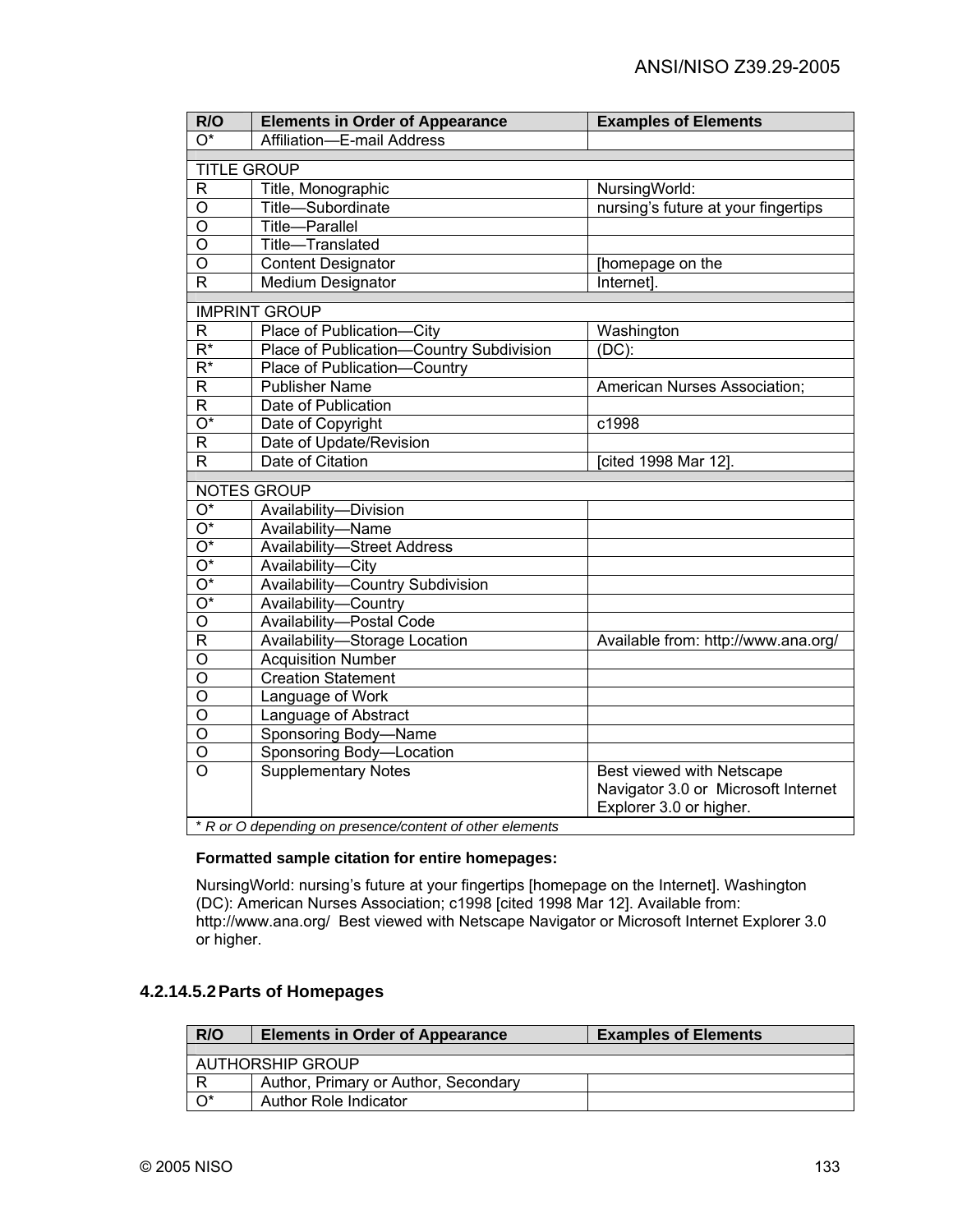| R/O                       | <b>Elements in Order of Appearance</b>                   | <b>Examples of Elements</b>                          |
|---------------------------|----------------------------------------------------------|------------------------------------------------------|
| $\overline{O^*}$          | Affiliation-E-mail Address                               |                                                      |
| <b>TITLE GROUP</b>        |                                                          |                                                      |
| $\mathsf{R}$              | Title, Monographic                                       |                                                      |
| $\overline{O}$            | Title-Subordinate                                        | NursingWorld:<br>nursing's future at your fingertips |
| $\overline{O}$            | Title-Parallel                                           |                                                      |
| $\overline{O}$            | Title-Translated                                         |                                                      |
| $\overline{\mathsf{o}}$   | <b>Content Designator</b>                                | [homepage on the                                     |
| R                         | Medium Designator                                        | Internet].                                           |
|                           |                                                          |                                                      |
|                           | <b>IMPRINT GROUP</b>                                     |                                                      |
| R                         | Place of Publication-City                                | Washington                                           |
| $\overline{R^*}$          | Place of Publication-Country Subdivision                 | $(DC)$ :                                             |
| $\overline{\mathsf{R}^*}$ | Place of Publication-Country                             |                                                      |
| $\overline{R}$            | <b>Publisher Name</b>                                    | American Nurses Association;                         |
| $\overline{R}$            | Date of Publication                                      |                                                      |
| $\overline{\mathrm{O}^*}$ | Date of Copyright                                        | c1998                                                |
| $\mathsf R$               | Date of Update/Revision                                  |                                                      |
| $\mathsf{R}$              | Date of Citation                                         | [cited 1998 Mar 12].                                 |
|                           | <b>NOTES GROUP</b>                                       |                                                      |
| O*                        | Availability-Division                                    |                                                      |
| $\overline{O^*}$          | Availability-Name                                        |                                                      |
| O*                        | <b>Availability-Street Address</b>                       |                                                      |
| $\overline{O^*}$          | Availability-City                                        |                                                      |
| $\overline{O^*}$          | Availability-Country Subdivision                         |                                                      |
| $\overline{O^*}$          | Availability-Country                                     |                                                      |
| $\overline{\mathsf{o}}$   | Availability-Postal Code                                 |                                                      |
| $\mathsf{R}$              | Availability-Storage Location                            | Available from: http://www.ana.org/                  |
| $\overline{O}$            | <b>Acquisition Number</b>                                |                                                      |
| O                         | <b>Creation Statement</b>                                |                                                      |
| $\overline{O}$            | Language of Work                                         |                                                      |
| $\overline{O}$            | Language of Abstract                                     |                                                      |
| $\circ$                   | Sponsoring Body-Name                                     |                                                      |
| O                         | Sponsoring Body-Location                                 |                                                      |
| $\overline{O}$            | <b>Supplementary Notes</b>                               | Best viewed with Netscape                            |
|                           |                                                          | Navigator 3.0 or Microsoft Internet                  |
|                           |                                                          | Explorer 3.0 or higher.                              |
|                           | * R or O depending on presence/content of other elements |                                                      |

### **Formatted sample citation for entire homepages:**

NursingWorld: nursing's future at your fingertips [homepage on the Internet]. Washington (DC): American Nurses Association; c1998 [cited 1998 Mar 12]. Available from: http://www.ana.org/ Best viewed with Netscape Navigator or Microsoft Internet Explorer 3.0 or higher.

## **4.2.14.5.2 Parts of Homepages**

| R/O                     | <b>Elements in Order of Appearance</b> | <b>Examples of Elements</b> |
|-------------------------|----------------------------------------|-----------------------------|
|                         |                                        |                             |
| <b>AUTHORSHIP GROUP</b> |                                        |                             |
| R                       | Author, Primary or Author, Secondary   |                             |
| $O^*$                   | Author Role Indicator                  |                             |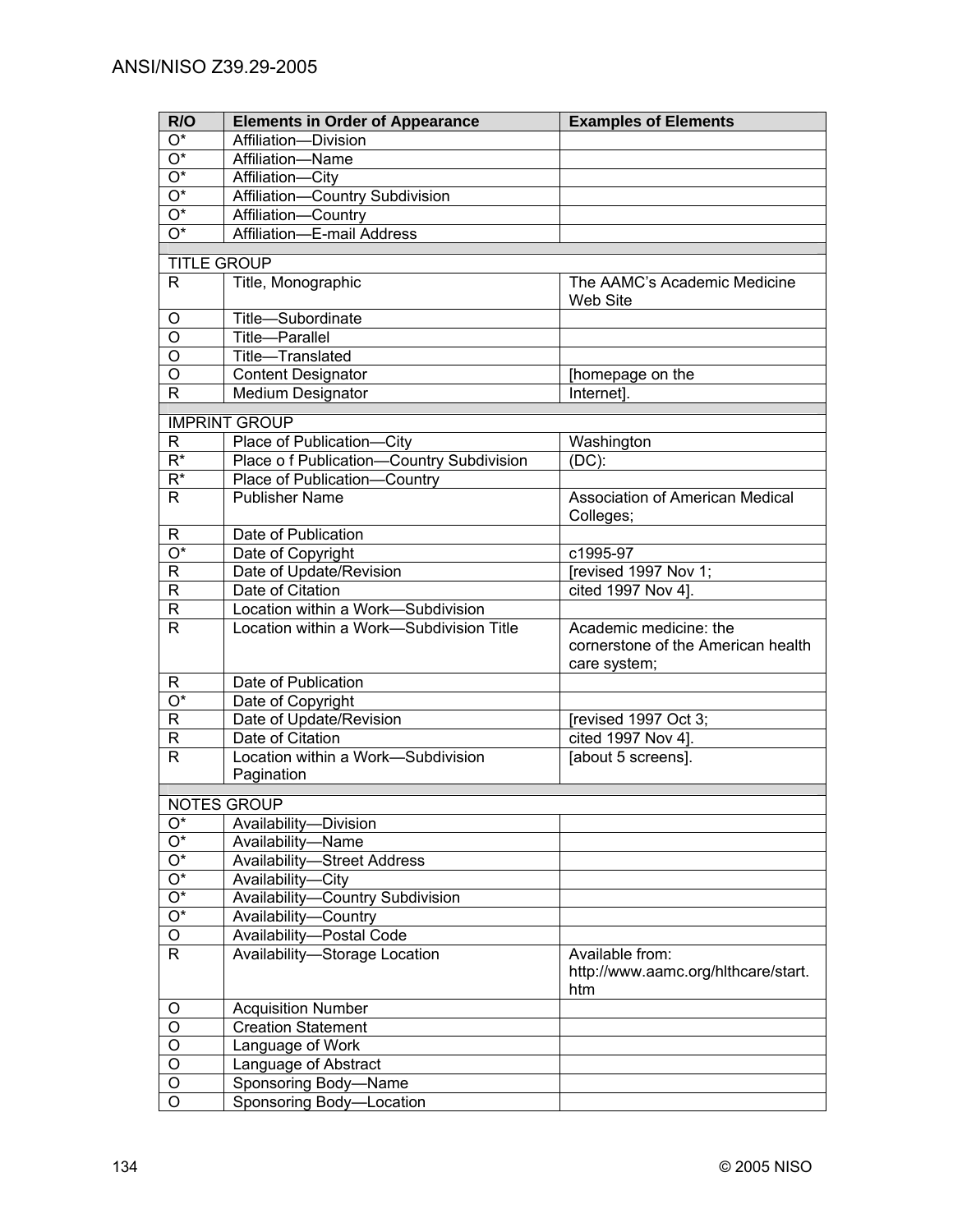| R/O                       | <b>Elements in Order of Appearance</b>       | <b>Examples of Elements</b>                |
|---------------------------|----------------------------------------------|--------------------------------------------|
| O*                        | Affiliation-Division                         |                                            |
| $\overline{O^*}$          | Affiliation-Name                             |                                            |
| $\overline{O^*}$          | Affiliation-City                             |                                            |
| $\overline{O^*}$          | Affiliation-Country Subdivision              |                                            |
| $\overline{O^*}$          | Affiliation-Country                          |                                            |
| $\overline{O^*}$          | Affiliation-E-mail Address                   |                                            |
| <b>TITLE GROUP</b>        |                                              |                                            |
| R                         | Title, Monographic                           | The AAMC's Academic Medicine               |
|                           |                                              | <b>Web Site</b>                            |
| O                         | Title-Subordinate                            |                                            |
| O                         | <b>Title-Parallel</b>                        |                                            |
| $\overline{O}$            | Title-Translated                             |                                            |
| $\overline{O}$            | <b>Content Designator</b>                    | [homepage on the                           |
| $\mathsf{R}$              | Medium Designator                            | Internet].                                 |
|                           |                                              |                                            |
|                           | <b>IMPRINT GROUP</b>                         |                                            |
| R                         | Place of Publication-City                    | Washington                                 |
| $\overline{\mathsf{R}^*}$ | Place o f Publication-Country Subdivision    | $(DC)$ :                                   |
| $R^*$                     | Place of Publication-Country                 |                                            |
| R                         | <b>Publisher Name</b>                        | <b>Association of American Medical</b>     |
|                           | Date of Publication                          | Colleges;                                  |
| R<br>$\overline{O^*}$     |                                              | c1995-97                                   |
| $\overline{R}$            | Date of Copyright<br>Date of Update/Revision | [revised 1997 Nov 1;                       |
| $\overline{\mathsf{R}}$   | Date of Citation                             | cited 1997 Nov 4].                         |
| ${\sf R}$                 | Location within a Work-Subdivision           |                                            |
| $\mathsf{R}$              | Location within a Work-Subdivision Title     | Academic medicine: the                     |
|                           |                                              | cornerstone of the American health         |
|                           |                                              | care system;                               |
| R                         | Date of Publication                          |                                            |
| $\overline{O^*}$          | Date of Copyright                            |                                            |
| $\overline{R}$            | Date of Update/Revision                      | [revised 1997 Oct 3;                       |
| $\mathsf R$               | Date of Citation                             | $cited$ 1997 Nov 4].                       |
| $\overline{R}$            | Location within a Work-Subdivision           | [about 5 screens].                         |
|                           | Pagination                                   |                                            |
|                           | NOTES GROUP                                  |                                            |
| $O^*$                     | Availability-Division                        |                                            |
| $\overline{O^*}$          | Availability-Name                            |                                            |
| $\overline{O^*}$          | <b>Availability-Street Address</b>           |                                            |
| $\overline{O^*}$          | Availability-City                            |                                            |
| $\overline{O^*}$          | Availability-Country Subdivision             |                                            |
| $\overline{O^*}$          | Availability-Country                         |                                            |
| $\overline{O}$            | Availability-Postal Code                     |                                            |
| $\mathsf{R}$              | Availability-Storage Location                | Available from:                            |
|                           |                                              | http://www.aamc.org/hlthcare/start.<br>htm |
| O                         | <b>Acquisition Number</b>                    |                                            |
| O                         | <b>Creation Statement</b>                    |                                            |
| O                         | Language of Work                             |                                            |
| O                         | Language of Abstract                         |                                            |
| O                         | Sponsoring Body-Name                         |                                            |
| O                         | Sponsoring Body-Location                     |                                            |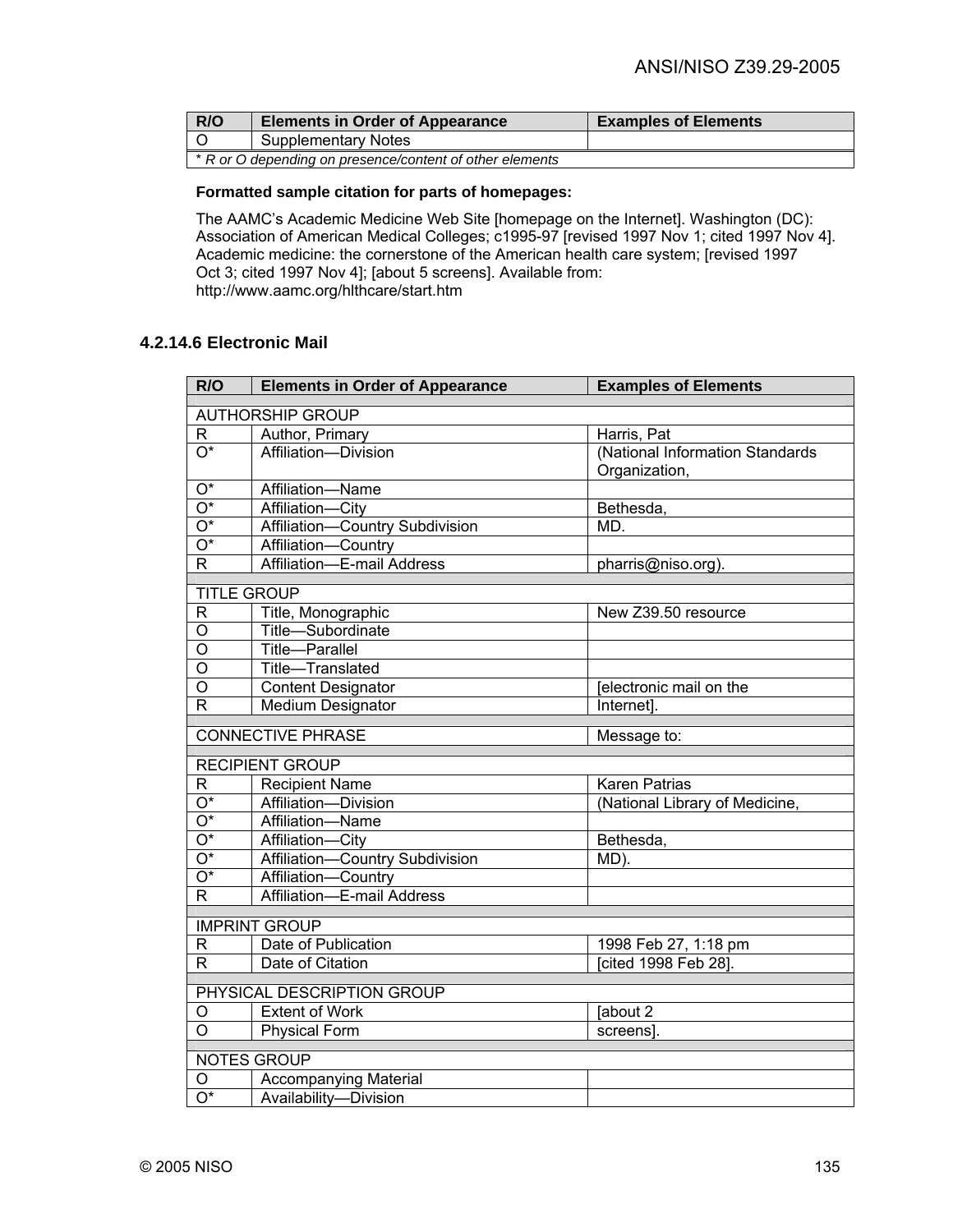| R/O                                                      | <b>Elements in Order of Appearance</b> | <b>Examples of Elements</b> |
|----------------------------------------------------------|----------------------------------------|-----------------------------|
| ח ו                                                      | <b>Supplementary Notes</b>             |                             |
| * R or O depending on presence/content of other elements |                                        |                             |

# **Formatted sample citation for parts of homepages:**

The AAMC's Academic Medicine Web Site [homepage on the Internet]. Washington (DC): Association of American Medical Colleges; c1995-97 [revised 1997 Nov 1; cited 1997 Nov 4]. Academic medicine: the cornerstone of the American health care system; [revised 1997 Oct 3; cited 1997 Nov 4]; [about 5 screens]. Available from: http://www.aamc.org/hlthcare/start.htm

# **4.2.14.6 Electronic Mail**

| R/O                                     | <b>Elements in Order of Appearance</b>              | <b>Examples of Elements</b>     |
|-----------------------------------------|-----------------------------------------------------|---------------------------------|
| <b>AUTHORSHIP GROUP</b>                 |                                                     |                                 |
| R                                       | Author, Primary                                     | Harris, Pat                     |
| $\overline{\mathrm{O}^*}$               | Affiliation-Division                                | (National Information Standards |
|                                         |                                                     | Organization,                   |
| $\overline{O^*}$                        | Affiliation-Name                                    |                                 |
| $\overline{O^*}$                        | Affiliation-City                                    | Bethesda,                       |
| $\overline{O^*}$                        | Affiliation-Country Subdivision                     | MD.                             |
| $\overline{\mathrm{O}^*}$               | Affiliation-Country                                 |                                 |
| R                                       | Affiliation-E-mail Address                          | pharris@niso.org).              |
| <b>TITLE GROUP</b>                      |                                                     |                                 |
| R                                       | Title, Monographic                                  | New Z39.50 resource             |
| $\overline{\mathsf{o}}$                 | Title-Subordinate                                   |                                 |
| $\overline{\rm o}$                      | <b>Title-Parallel</b>                               |                                 |
| Ο                                       | Title-Translated                                    |                                 |
| $\overline{\rm o}$                      | <b>Content Designator</b>                           | <b>Jelectronic mail on the</b>  |
| R                                       | Medium Designator                                   | Internet].                      |
| <b>CONNECTIVE PHRASE</b><br>Message to: |                                                     |                                 |
| <b>RECIPIENT GROUP</b>                  |                                                     |                                 |
| R                                       | <b>Recipient Name</b>                               | Karen Patrias                   |
| $\overline{\mathrm{O}^*}$               | Affiliation-Division                                | (National Library of Medicine,  |
| $\overline{O^*}$                        | Affiliation-Name                                    |                                 |
| $\overline{O^*}$                        | Affiliation-City                                    | Bethesda,                       |
| $\overline{\mathrm{O}^*}$               | Affiliation-Country Subdivision                     | MD).                            |
| $\overline{O^*}$                        | Affiliation-Country                                 |                                 |
| R                                       | Affiliation-E-mail Address                          |                                 |
|                                         | <b>IMPRINT GROUP</b>                                |                                 |
| R                                       | Date of Publication                                 | 1998 Feb 27, 1:18 pm            |
| $\overline{\mathsf{R}}$                 | Date of Citation                                    | [cited 1998 Feb 28].            |
|                                         |                                                     |                                 |
|                                         | PHYSICAL DESCRIPTION GROUP<br><b>Extent of Work</b> |                                 |
| O<br>$\overline{\mathsf{o}}$            | <b>Physical Form</b>                                | [about 2                        |
|                                         |                                                     | screens].                       |
|                                         | <b>NOTES GROUP</b>                                  |                                 |
| O                                       | <b>Accompanying Material</b>                        |                                 |
| $\overline{O^*}$                        | Availability-Division                               |                                 |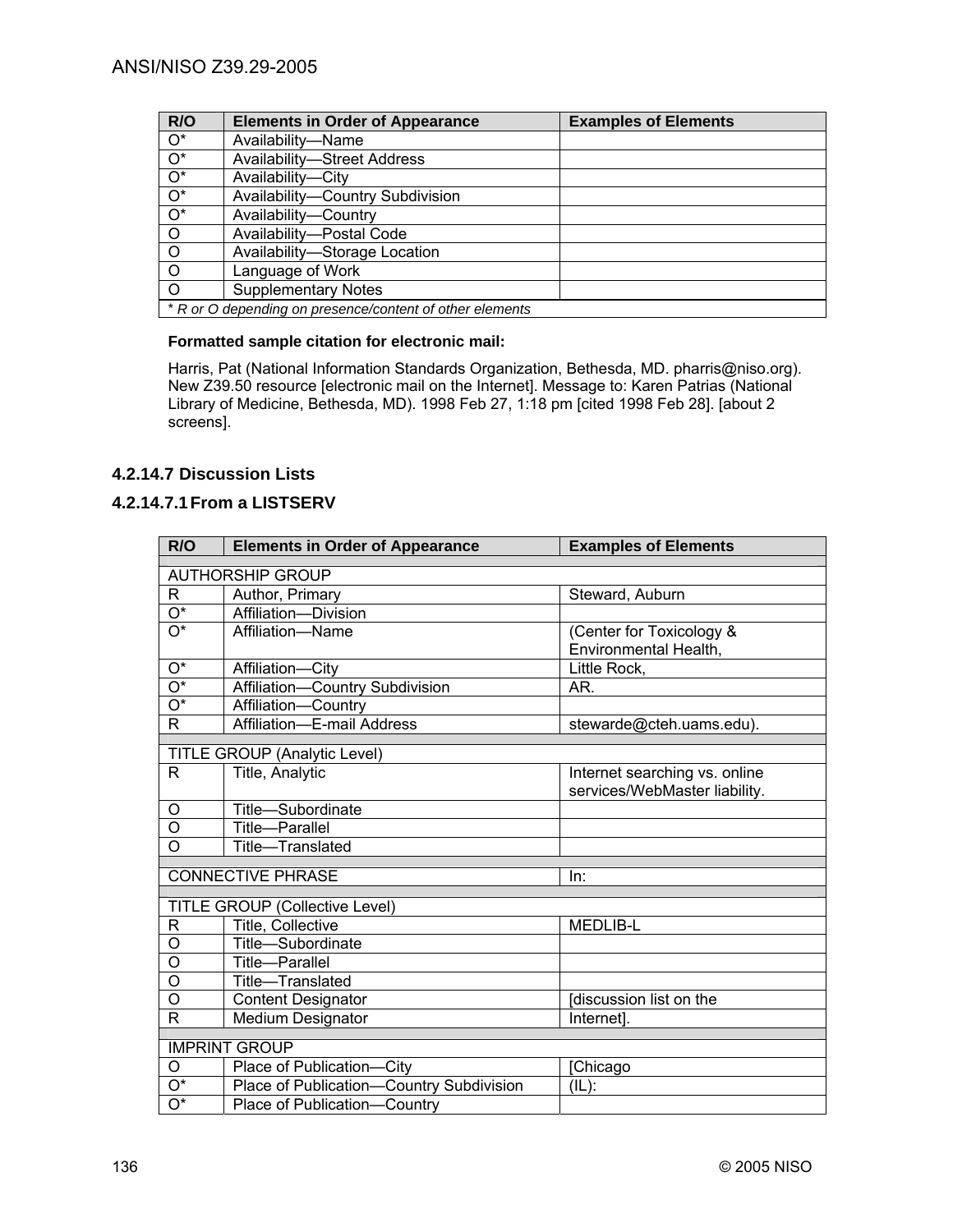| R/O              | <b>Elements in Order of Appearance</b>                   | <b>Examples of Elements</b> |
|------------------|----------------------------------------------------------|-----------------------------|
| $O^*$            | Availability-Name                                        |                             |
| $\overline{O^*}$ | <b>Availability-Street Address</b>                       |                             |
| $\overline{O^*}$ | Availability-City                                        |                             |
| $\overline{O^*}$ | Availability-Country Subdivision                         |                             |
| $\overline{O}^*$ | Availability-Country                                     |                             |
| $\overline{O}$   | Availability-Postal Code                                 |                             |
| $\overline{O}$   | Availability-Storage Location                            |                             |
| $\overline{O}$   | Language of Work                                         |                             |
| $\overline{O}$   | <b>Supplementary Notes</b>                               |                             |
|                  | * R or O depending on presence/content of other elements |                             |

# **Formatted sample citation for electronic mail:**

Harris, Pat (National Information Standards Organization, Bethesda, MD. pharris@niso.org). New Z39.50 resource [electronic mail on the Internet]. Message to: Karen Patrias (National Library of Medicine, Bethesda, MD). 1998 Feb 27, 1:18 pm [cited 1998 Feb 28]. [about 2 screens].

# **4.2.14.7 Discussion Lists**

# **4.2.14.7.1 From a LISTSERV**

| R/O                     | <b>Elements in Order of Appearance</b>   | <b>Examples of Elements</b>   |
|-------------------------|------------------------------------------|-------------------------------|
| <b>AUTHORSHIP GROUP</b> |                                          |                               |
| R.                      | Author, Primary                          | Steward, Auburn               |
| $\overline{O^*}$        | Affiliation-Division                     |                               |
| $O^*$                   | Affiliation-Name                         | (Center for Toxicology &      |
|                         |                                          | Environmental Health,         |
| $\mathrm{O}^\star$      | Affiliation-City                         | Little Rock,                  |
| $\overline{O^*}$        | Affiliation-Country Subdivision          | AR.                           |
| $\overline{O^*}$        | Affiliation-Country                      |                               |
| $\mathsf{R}$            | Affiliation-E-mail Address               | stewarde@cteh.uams.edu).      |
|                         |                                          |                               |
| R                       | TITLE GROUP (Analytic Level)             |                               |
|                         | Title, Analytic                          | Internet searching vs. online |
|                         |                                          | services/WebMaster liability. |
| O                       | Title-Subordinate                        |                               |
| O                       | <b>Title-Parallel</b>                    |                               |
| $\overline{0}$          | Title-Translated                         |                               |
|                         | <b>CONNECTIVE PHRASE</b>                 | In:                           |
|                         |                                          |                               |
|                         | <b>TITLE GROUP (Collective Level)</b>    |                               |
| R                       | Title, Collective                        | <b>MEDLIB-L</b>               |
| O                       | Title-Subordinate                        |                               |
| O                       | Title-Parallel                           |                               |
| O                       | Title-Translated                         |                               |
| O                       | <b>Content Designator</b>                | discussion list on the        |
| $\mathsf{R}$            | Medium Designator                        | Internet].                    |
|                         |                                          |                               |
|                         | <b>IMPRINT GROUP</b>                     |                               |
| O                       | Place of Publication-City                | [Chicago                      |
| O*                      | Place of Publication-Country Subdivision | $(IL)$ :                      |
| $\overline{O^*}$        | Place of Publication-Country             |                               |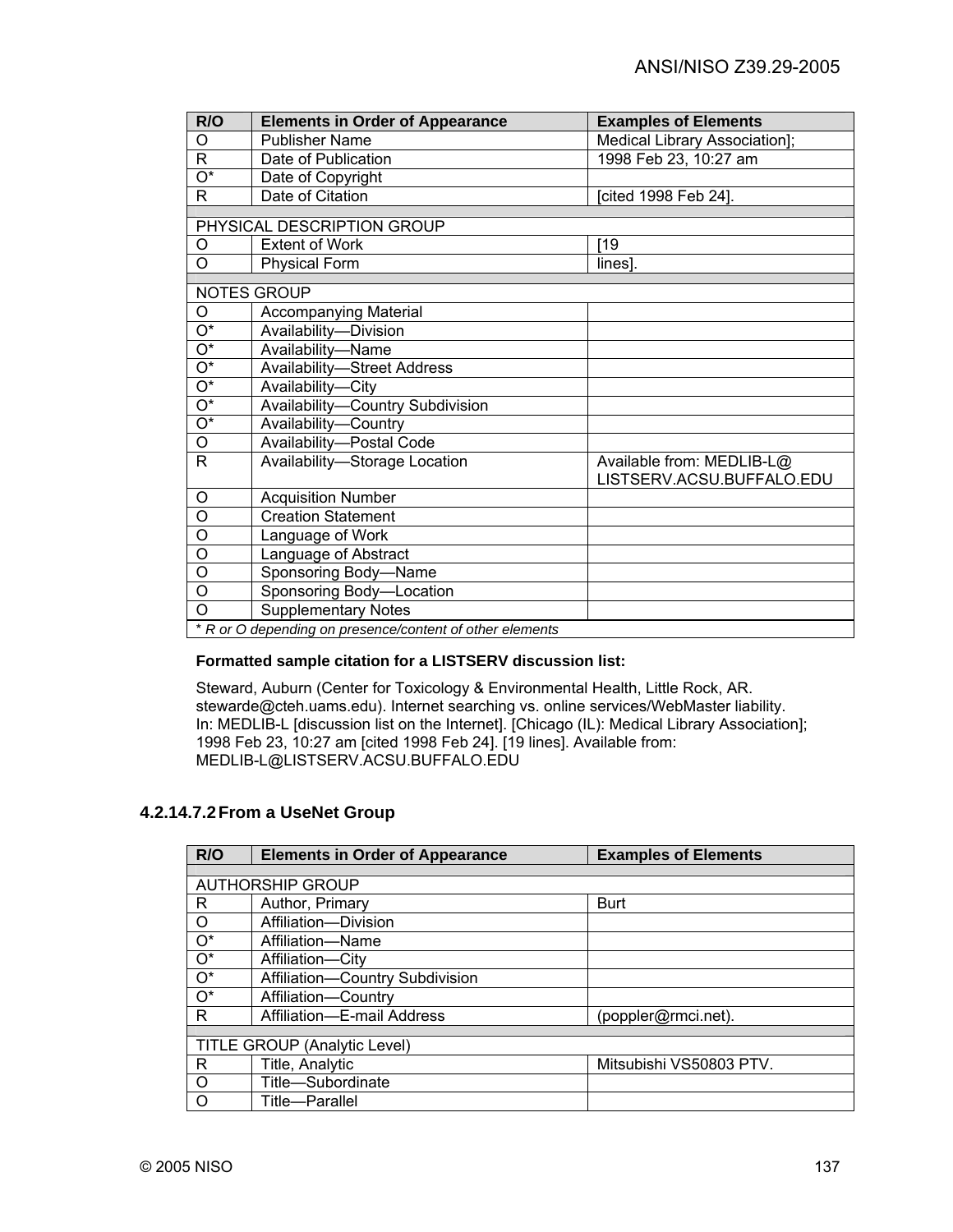| R/O                                                      | <b>Elements in Order of Appearance</b> | <b>Examples of Elements</b>   |
|----------------------------------------------------------|----------------------------------------|-------------------------------|
| O                                                        | <b>Publisher Name</b>                  | Medical Library Association]; |
| $\mathsf{R}$                                             | Date of Publication                    | 1998 Feb 23, 10:27 am         |
| $\overline{\mathrm{O}^*}$                                | Date of Copyright                      |                               |
| $\overline{\mathsf{R}}$                                  | Date of Citation                       | [cited 1998 Feb 24].          |
|                                                          |                                        |                               |
|                                                          | PHYSICAL DESCRIPTION GROUP             |                               |
| O                                                        | <b>Extent of Work</b>                  | [19                           |
| $\circ$                                                  | <b>Physical Form</b>                   | lines].                       |
| <b>NOTES GROUP</b>                                       |                                        |                               |
| O                                                        | <b>Accompanying Material</b>           |                               |
| $\overline{O^*}$                                         | Availability-Division                  |                               |
| $\overline{\mathrm{O}^*}$                                | Availability-Name                      |                               |
| $\overline{\mathrm{O}^*}$                                | <b>Availability-Street Address</b>     |                               |
| $\overline{O^*}$                                         | Availability-City                      |                               |
| $\overline{O^*}$                                         | Availability-Country Subdivision       |                               |
| $\overline{O^*}$                                         | Availability-Country                   |                               |
| O                                                        | Availability-Postal Code               |                               |
| $\mathsf{R}$                                             | Availability-Storage Location          | Available from: MEDLIB-L@     |
|                                                          |                                        | LISTSERV.ACSU.BUFFALO.EDU     |
| O                                                        | <b>Acquisition Number</b>              |                               |
| $\overline{0}$                                           | <b>Creation Statement</b>              |                               |
| O                                                        | Language of Work                       |                               |
| $\circ$                                                  | Language of Abstract                   |                               |
| $\overline{0}$                                           | Sponsoring Body-Name                   |                               |
| O                                                        | Sponsoring Body-Location               |                               |
| O                                                        | <b>Supplementary Notes</b>             |                               |
| * R or O depending on presence/content of other elements |                                        |                               |

# **Formatted sample citation for a LISTSERV discussion list:**

Steward, Auburn (Center for Toxicology & Environmental Health, Little Rock, AR. stewarde@cteh.uams.edu). Internet searching vs. online services/WebMaster liability. In: MEDLIB-L [discussion list on the Internet]. [Chicago (IL): Medical Library Association]; 1998 Feb 23, 10:27 am [cited 1998 Feb 24]. [19 lines]. Available from: MEDLIB-L@LISTSERV.ACSU.BUFFALO.EDU

# **4.2.14.7.2 From a UseNet Group**

| R/O              | <b>Elements in Order of Appearance</b> | <b>Examples of Elements</b> |  |
|------------------|----------------------------------------|-----------------------------|--|
|                  |                                        |                             |  |
|                  | <b>AUTHORSHIP GROUP</b>                |                             |  |
| R                | Author, Primary                        | Burt                        |  |
| $\circ$          | Affiliation-Division                   |                             |  |
| $\overline{O^*}$ | Affiliation-Name                       |                             |  |
| $O^*$            | Affiliation-City                       |                             |  |
| $\overline{O^*}$ | Affiliation-Country Subdivision        |                             |  |
| $\overline{O^*}$ | Affiliation-Country                    |                             |  |
| R                | Affiliation-E-mail Address             | (poppler@rmci.net).         |  |
|                  |                                        |                             |  |
|                  | TITLE GROUP (Analytic Level)           |                             |  |
| R                | Title, Analytic                        | Mitsubishi VS50803 PTV.     |  |
| $\circ$          | Title-Subordinate                      |                             |  |
| O                | Title-Parallel                         |                             |  |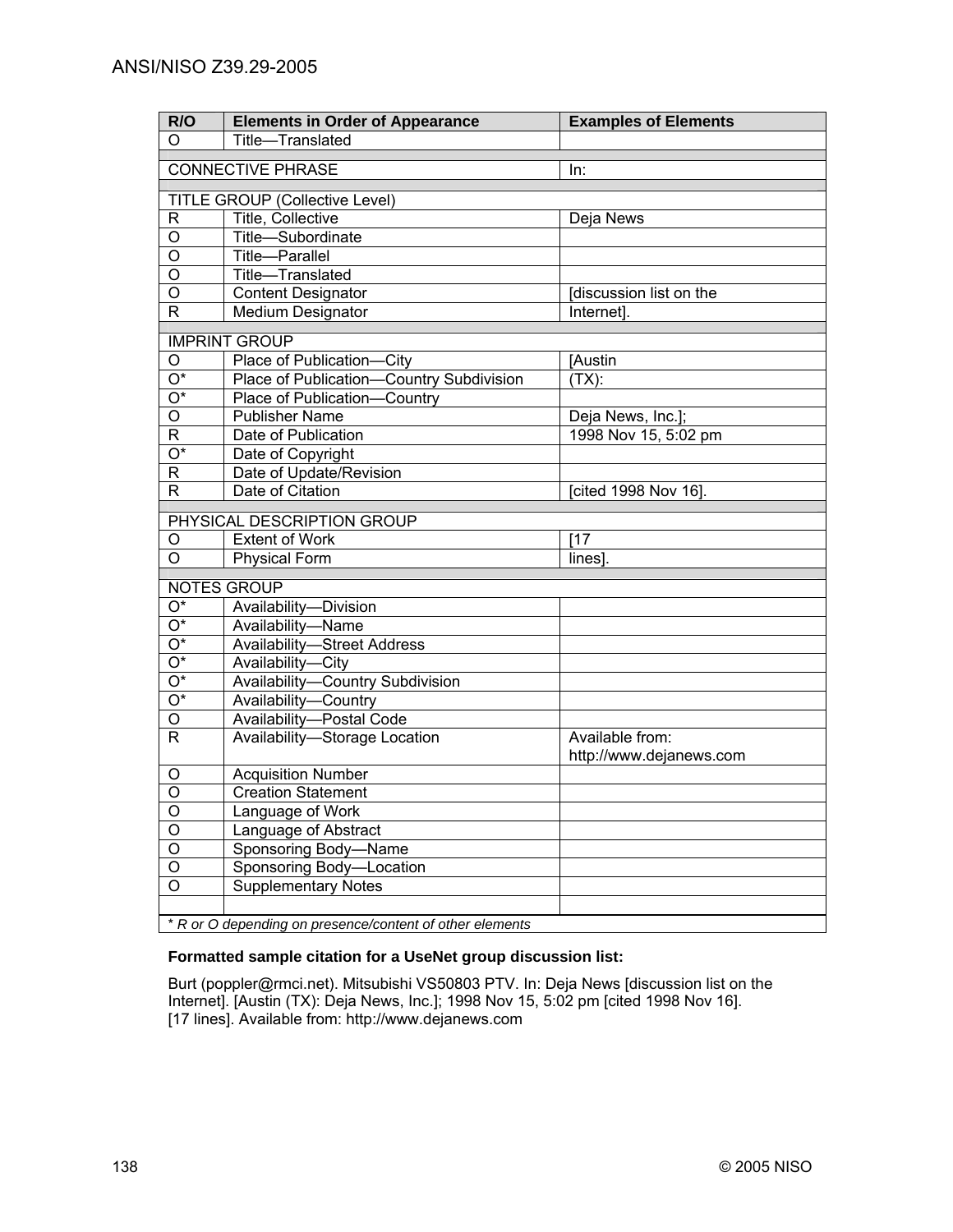| R/O                     | <b>Elements in Order of Appearance</b>                   | <b>Examples of Elements</b>                |
|-------------------------|----------------------------------------------------------|--------------------------------------------|
| O                       | Title-Translated                                         |                                            |
|                         | <b>CONNECTIVE PHRASE</b>                                 | In:                                        |
|                         |                                                          |                                            |
|                         | <b>TITLE GROUP (Collective Level)</b>                    |                                            |
| R                       | Title, Collective                                        | Deja News                                  |
| O                       | Title-Subordinate                                        |                                            |
| $\overline{0}$          | Title-Parallel                                           |                                            |
| $\overline{0}$          | Title-Translated                                         |                                            |
| $\overline{0}$          | <b>Content Designator</b>                                | [discussion list on the                    |
| $\overline{\mathsf{R}}$ | <b>Medium Designator</b>                                 | Internet].                                 |
|                         | <b>IMPRINT GROUP</b>                                     |                                            |
| O                       | Place of Publication-City                                | [Austin                                    |
| O*                      | Place of Publication-Country Subdivision                 | (TX):                                      |
| O*                      | Place of Publication-Country                             |                                            |
| O                       | Publisher Name                                           | Deja News, Inc.];                          |
| R                       | Date of Publication                                      | 1998 Nov 15, 5:02 pm                       |
| O*                      | Date of Copyright                                        |                                            |
| $\mathsf{R}$            | Date of Update/Revision                                  |                                            |
| $\mathsf{R}$            | Date of Citation                                         | [cited 1998 Nov 16].                       |
|                         | PHYSICAL DESCRIPTION GROUP                               |                                            |
| O                       | <b>Extent of Work</b>                                    | [17]                                       |
| $\overline{O}$          | <b>Physical Form</b>                                     | lines].                                    |
|                         |                                                          |                                            |
|                         | NOTES GROUP                                              |                                            |
| $\overline{O^*}$        | Availability-Division                                    |                                            |
| $\overline{O^*}$        | Availability-Name                                        |                                            |
| $\overline{O^*}$        | <b>Availability-Street Address</b>                       |                                            |
| $\overline{O^*}$        | Availability-City                                        |                                            |
| $\overline{O^*}$        | Availability-Country Subdivision                         |                                            |
| $\overline{O^*}$        | Availability-Country                                     |                                            |
| $\overline{O}$          | Availability-Postal Code                                 |                                            |
| $\overline{R}$          | Availability-Storage Location                            | Available from:<br>http://www.dejanews.com |
| O                       | <b>Acquisition Number</b>                                |                                            |
| $\overline{0}$          | <b>Creation Statement</b>                                |                                            |
| O                       | Language of Work                                         |                                            |
| $\overline{O}$          | Language of Abstract                                     |                                            |
| $\overline{O}$          | Sponsoring Body-Name                                     |                                            |
| $\overline{O}$          | Sponsoring Body-Location                                 |                                            |
| $\overline{0}$          | <b>Supplementary Notes</b>                               |                                            |
|                         |                                                          |                                            |
|                         | * R or O depending on presence/content of other elements |                                            |

# **Formatted sample citation for a UseNet group discussion list:**

Burt (poppler@rmci.net). Mitsubishi VS50803 PTV. In: Deja News [discussion list on the Internet]. [Austin (TX): Deja News, Inc.]; 1998 Nov 15, 5:02 pm [cited 1998 Nov 16]. [17 lines]. Available from: http://www.dejanews.com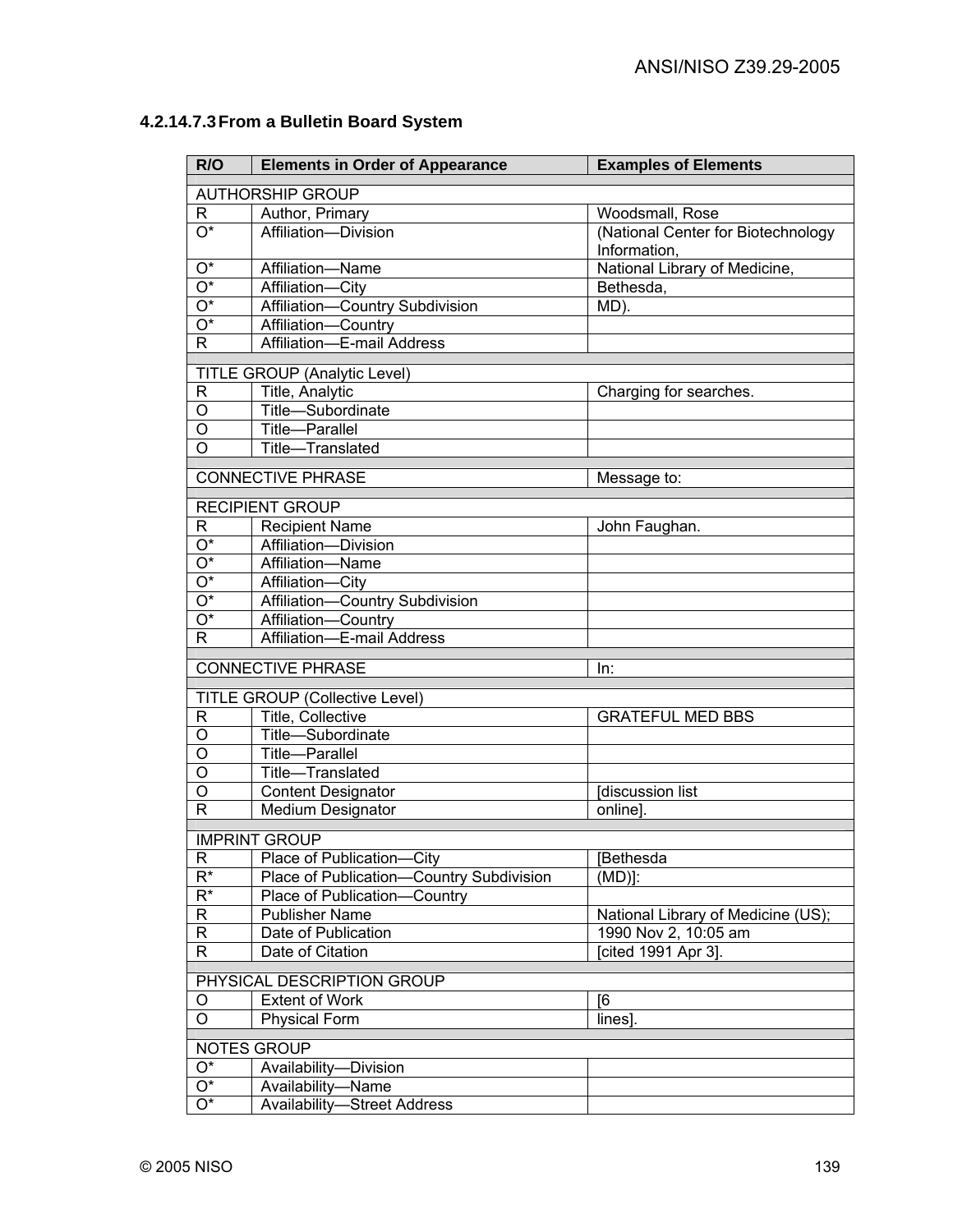| R/O                     | <b>Elements in Order of Appearance</b>        | <b>Examples of Elements</b>        |
|-------------------------|-----------------------------------------------|------------------------------------|
| <b>AUTHORSHIP GROUP</b> |                                               |                                    |
| R                       | Author, Primary                               | Woodsmall, Rose                    |
| $\overline{O^*}$        | Affiliation-Division                          | (National Center for Biotechnology |
|                         |                                               | Information,                       |
| O*                      | Affiliation-Name                              | National Library of Medicine,      |
| $\overline{O^*}$        | Affiliation-City                              | Bethesda,                          |
| $\overline{O^*}$        | Affiliation-Country Subdivision               | MD).                               |
| $\overline{O^*}$        | Affiliation-Country                           |                                    |
| $\mathsf{R}$            | Affiliation-E-mail Address                    |                                    |
|                         |                                               |                                    |
|                         | <b>TITLE GROUP (Analytic Level)</b>           |                                    |
| R                       | Title, Analytic                               | Charging for searches.             |
| O                       | Title-Subordinate                             |                                    |
| O<br>O                  | Title-Parallel                                |                                    |
|                         | Title-Translated                              |                                    |
|                         | <b>CONNECTIVE PHRASE</b>                      | Message to:                        |
|                         | <b>RECIPIENT GROUP</b>                        |                                    |
| R                       | <b>Recipient Name</b>                         | John Faughan.                      |
| $\overline{O^*}$        | Affiliation-Division                          |                                    |
| $\overline{O^*}$        | Affiliation-Name                              |                                    |
| $\overline{O^*}$        | Affiliation-City                              |                                    |
| $\overline{O^*}$        | Affiliation-Country Subdivision               |                                    |
| $\overline{O^*}$        | Affiliation-Country                           |                                    |
| $\overline{R}$          | Affiliation-E-mail Address                    |                                    |
|                         |                                               |                                    |
|                         | <b>CONNECTIVE PHRASE</b>                      | In:                                |
|                         | <b>TITLE GROUP (Collective Level)</b>         |                                    |
| $\mathsf{R}$            | Title, Collective                             | <b>GRATEFUL MED BBS</b>            |
| $\overline{0}$          | Title-Subordinate                             |                                    |
| $\overline{\mathsf{o}}$ | Title-Parallel                                |                                    |
| $\overline{\mathsf{o}}$ | Title-Translated                              |                                    |
| $\overline{0}$          | <b>Content Designator</b>                     | <b>Idiscussion list</b>            |
| $\mathsf{R}$            | Medium Designator                             | online].                           |
|                         | <b>IMPRINT GROUP</b>                          |                                    |
| R                       | Place of Publication-City                     | <b>[Bethesda</b>                   |
| $R^*$                   | -Country Subdivision<br>Place of Publication- | (MD)!                              |
| $R^*$                   | Place of Publication-<br>Country              |                                    |
| R                       | <b>Publisher Name</b>                         | National Library of Medicine (US); |
| R                       | Date of Publication                           | 1990 Nov 2, 10:05 am               |
| R                       | Date of Citation                              | [cited 1991 Apr 3].                |
|                         |                                               |                                    |
|                         | PHYSICAL DESCRIPTION GROUP                    |                                    |
| O                       | <b>Extent of Work</b>                         | [6]                                |
| $\overline{O}$          | <b>Physical Form</b>                          | lines].                            |
|                         | <b>NOTES GROUP</b>                            |                                    |
| $\mathrm{O}^\star$      | Availability-Division                         |                                    |
| Ο*                      | Availability-Name                             |                                    |
| O*                      | <b>Availability-Street Address</b>            |                                    |
|                         |                                               |                                    |

# **4.2.14.7.3 From a Bulletin Board System**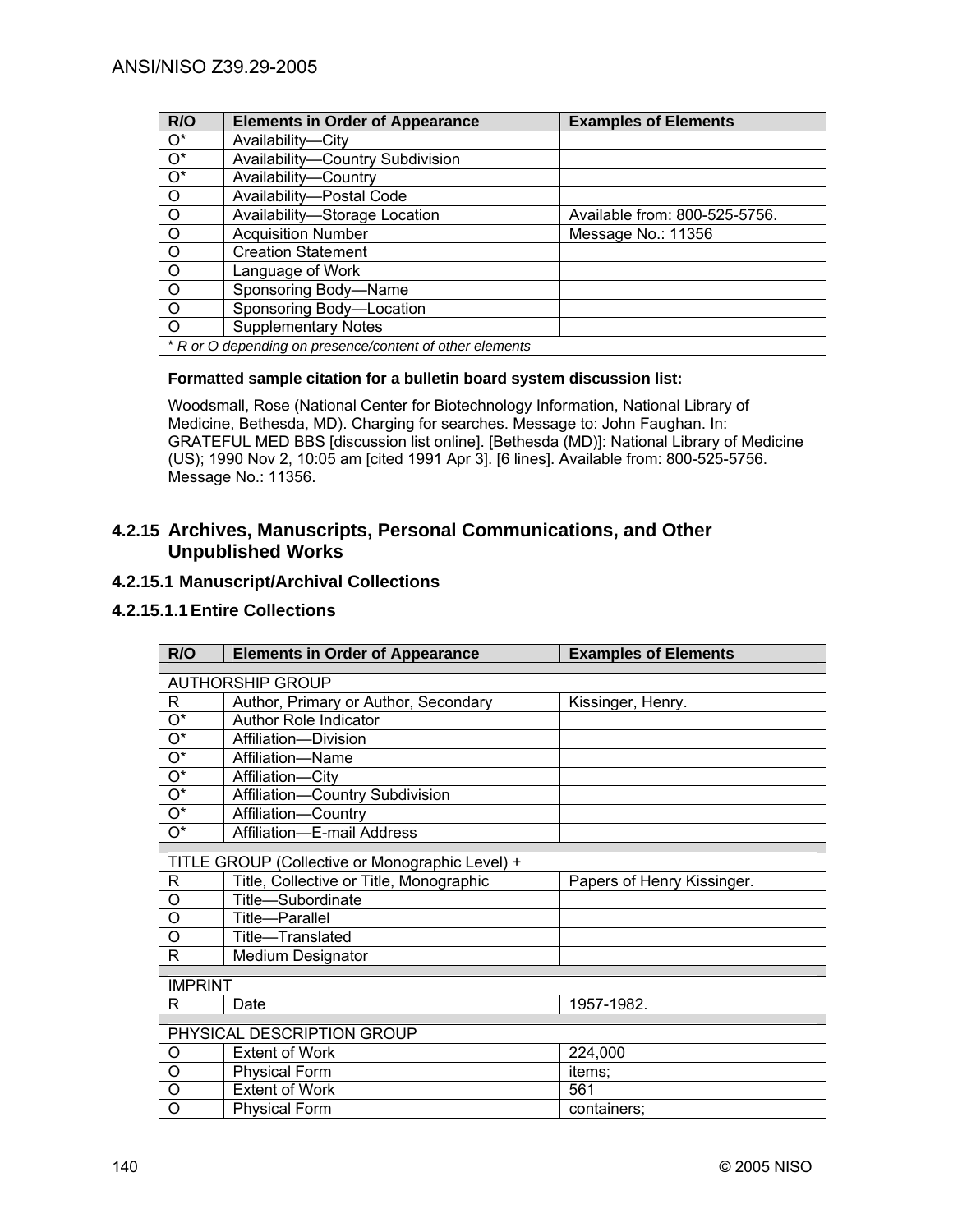| R/O              | <b>Elements in Order of Appearance</b>                   | <b>Examples of Elements</b>   |
|------------------|----------------------------------------------------------|-------------------------------|
| $O^*$            | Availability-City                                        |                               |
| $\overline{O^*}$ | Availability-Country Subdivision                         |                               |
| $\overline{O^*}$ | Availability-Country                                     |                               |
| $\circ$          | Availability-Postal Code                                 |                               |
| $\circ$          | Availability-Storage Location                            | Available from: 800-525-5756. |
| $\circ$          | <b>Acquisition Number</b>                                | Message No.: 11356            |
| $\circ$          | <b>Creation Statement</b>                                |                               |
| $\circ$          | Language of Work                                         |                               |
| $\circ$          | Sponsoring Body-Name                                     |                               |
| $\circ$          | Sponsoring Body-Location                                 |                               |
| $\Omega$         | <b>Supplementary Notes</b>                               |                               |
|                  | * R or O depending on presence/content of other elements |                               |

# **Formatted sample citation for a bulletin board system discussion list:**

Woodsmall, Rose (National Center for Biotechnology Information, National Library of Medicine, Bethesda, MD). Charging for searches. Message to: John Faughan. In: GRATEFUL MED BBS [discussion list online]. [Bethesda (MD)]: National Library of Medicine (US); 1990 Nov 2, 10:05 am [cited 1991 Apr 3]. [6 lines]. Available from: 800-525-5756. Message No.: 11356.

# **4.2.15 Archives, Manuscripts, Personal Communications, and Other Unpublished Works**

# **4.2.15.1 Manuscript/Archival Collections**

# **4.2.15.1.1 Entire Collections**

| R/O                        | <b>Elements in Order of Appearance</b>          | <b>Examples of Elements</b> |
|----------------------------|-------------------------------------------------|-----------------------------|
|                            |                                                 |                             |
|                            | <b>AUTHORSHIP GROUP</b>                         |                             |
| R                          | Author, Primary or Author, Secondary            | Kissinger, Henry.           |
| $\mathrm{O}^\star$         | <b>Author Role Indicator</b>                    |                             |
| $\mathrm{O}^\star$         | Affiliation-Division                            |                             |
| $O^*$                      | Affiliation-Name                                |                             |
| $\mathrm{O}^\star$         | Affiliation-City                                |                             |
| $O^*$                      | Affiliation-Country Subdivision                 |                             |
| $\mathrm{O}^\star$         | Affiliation-Country                             |                             |
| O*                         | Affiliation-E-mail Address                      |                             |
|                            |                                                 |                             |
|                            | TITLE GROUP (Collective or Monographic Level) + |                             |
| R                          | Title, Collective or Title, Monographic         | Papers of Henry Kissinger.  |
| O                          | Title-Subordinate                               |                             |
| O                          | Title-Parallel                                  |                             |
| O                          | Title-Translated                                |                             |
| R                          | Medium Designator                               |                             |
|                            |                                                 |                             |
| <b>IMPRINT</b>             |                                                 |                             |
| R                          | Date                                            | 1957-1982.                  |
| PHYSICAL DESCRIPTION GROUP |                                                 |                             |
|                            |                                                 |                             |
| O                          | <b>Extent of Work</b>                           | 224,000                     |
| O                          | <b>Physical Form</b>                            | items;                      |
| O                          | <b>Extent of Work</b>                           | 561                         |
| O                          | <b>Physical Form</b>                            | containers;                 |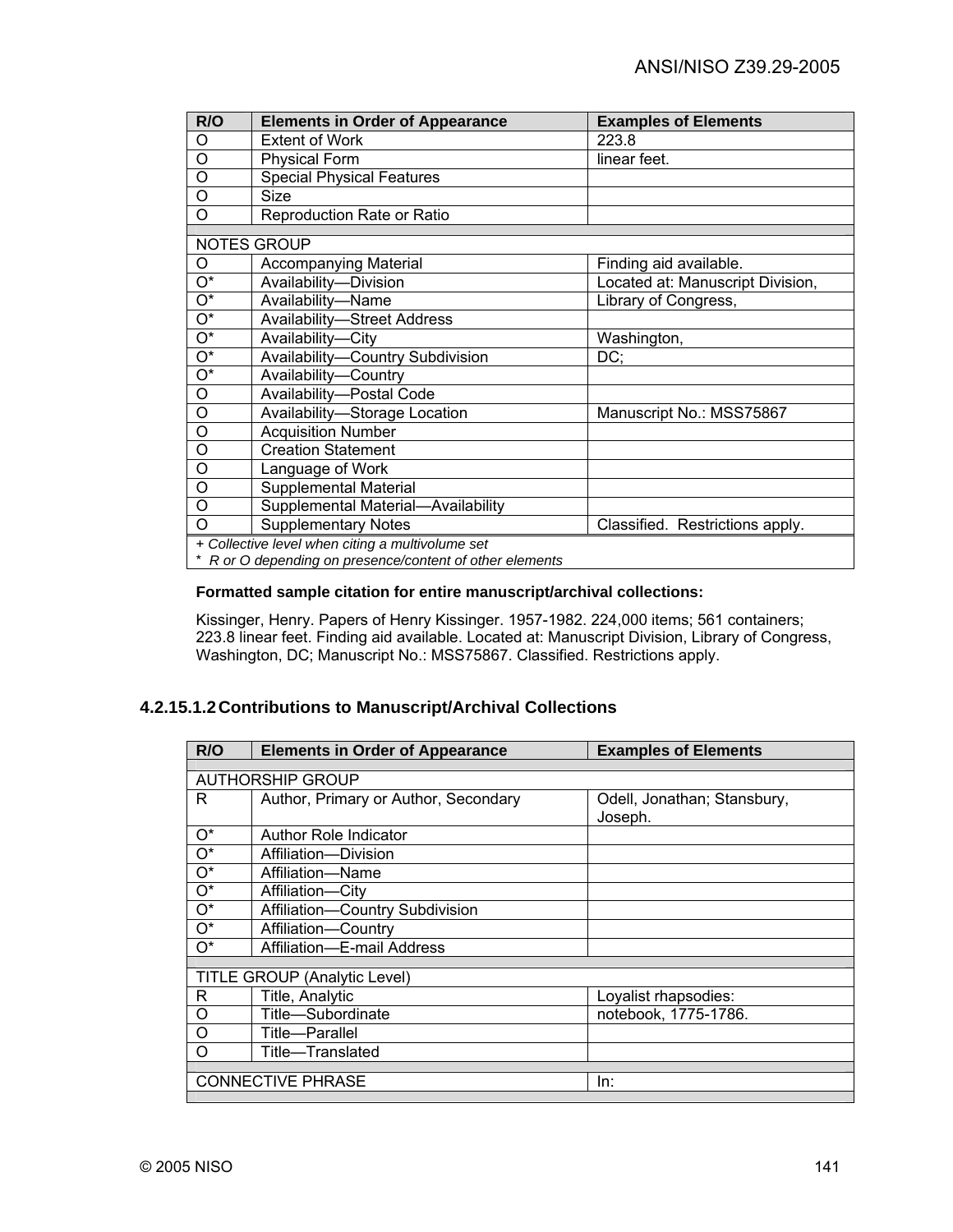| R/O                                                      | <b>Elements in Order of Appearance</b> | <b>Examples of Elements</b>      |
|----------------------------------------------------------|----------------------------------------|----------------------------------|
| O                                                        | <b>Extent of Work</b>                  | 223.8                            |
| $\circ$                                                  | <b>Physical Form</b>                   | linear feet.                     |
| O                                                        | <b>Special Physical Features</b>       |                                  |
| O                                                        | <b>Size</b>                            |                                  |
| O                                                        | Reproduction Rate or Ratio             |                                  |
|                                                          | <b>NOTES GROUP</b>                     |                                  |
|                                                          |                                        |                                  |
| O                                                        | <b>Accompanying Material</b>           | Finding aid available.           |
| $\overline{O^*}$                                         | Availability-Division                  | Located at: Manuscript Division, |
| $\overline{\mathrm{O}^*}$                                | Availability-Name                      | Library of Congress,             |
| $\overline{\mathrm{O}^*}$                                | <b>Availability-Street Address</b>     |                                  |
| $\overline{\mathrm{O}^*}$                                | Availability-City                      | Washington,                      |
| $\overline{\mathrm{O}^*}$                                | Availability-Country Subdivision       | DC;                              |
| $\overline{O^*}$                                         | Availability-Country                   |                                  |
| O                                                        | Availability-Postal Code               |                                  |
| $\circ$                                                  | Availability-Storage Location          | Manuscript No.: MSS75867         |
| O                                                        | <b>Acquisition Number</b>              |                                  |
| O                                                        | <b>Creation Statement</b>              |                                  |
| O                                                        | Language of Work                       |                                  |
| O                                                        | Supplemental Material                  |                                  |
| O                                                        | Supplemental Material-Availability     |                                  |
| O                                                        | <b>Supplementary Notes</b>             | Classified. Restrictions apply.  |
| + Collective level when citing a multivolume set         |                                        |                                  |
| * R or O depending on presence/content of other elements |                                        |                                  |

# **Formatted sample citation for entire manuscript/archival collections:**

Kissinger, Henry. Papers of Henry Kissinger. 1957-1982. 224,000 items; 561 containers; 223.8 linear feet. Finding aid available. Located at: Manuscript Division, Library of Congress, Washington, DC; Manuscript No.: MSS75867. Classified. Restrictions apply.

# **4.2.15.1.2 Contributions to Manuscript/Archival Collections**

| <b>Elements in Order of Appearance</b> | <b>Examples of Elements</b>                             |  |
|----------------------------------------|---------------------------------------------------------|--|
|                                        |                                                         |  |
|                                        |                                                         |  |
| Author, Primary or Author, Secondary   | Odell, Jonathan; Stansbury,                             |  |
|                                        | Joseph.                                                 |  |
| <b>Author Role Indicator</b>           |                                                         |  |
| Affiliation-Division                   |                                                         |  |
| Affiliation-Name                       |                                                         |  |
| Affiliation-City                       |                                                         |  |
| Affiliation-Country Subdivision        |                                                         |  |
| Affiliation-Country                    |                                                         |  |
| Affiliation-E-mail Address             |                                                         |  |
|                                        |                                                         |  |
|                                        |                                                         |  |
| Title, Analytic                        | Loyalist rhapsodies:                                    |  |
| Title-Subordinate                      | notebook, 1775-1786.                                    |  |
| Title—Parallel                         |                                                         |  |
| Title-Translated                       |                                                         |  |
|                                        |                                                         |  |
| <b>CONNECTIVE PHRASE</b><br>ln:        |                                                         |  |
|                                        | <b>AUTHORSHIP GROUP</b><br>TITLE GROUP (Analytic Level) |  |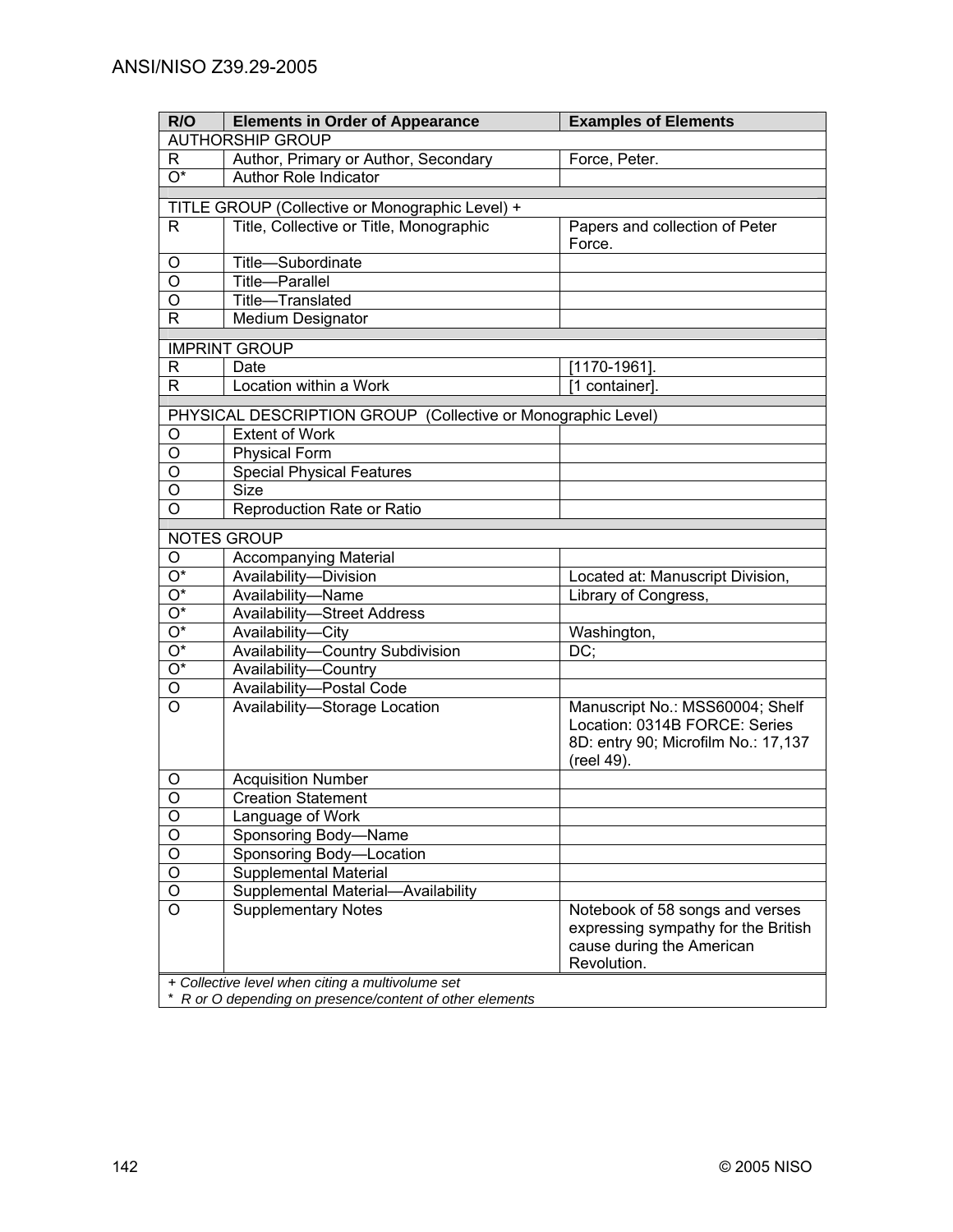| R/O                     | <b>Elements in Order of Appearance</b>                       | <b>Examples of Elements</b>         |
|-------------------------|--------------------------------------------------------------|-------------------------------------|
|                         | <b>AUTHORSHIP GROUP</b>                                      |                                     |
| R                       | Author, Primary or Author, Secondary                         | Force, Peter.                       |
| $O^*$                   | <b>Author Role Indicator</b>                                 |                                     |
|                         | TITLE GROUP (Collective or Monographic Level) +              |                                     |
| R.                      | Title, Collective or Title, Monographic                      | Papers and collection of Peter      |
|                         |                                                              | Force.                              |
| O                       | Title-Subordinate                                            |                                     |
| O                       | <b>Title-Parallel</b>                                        |                                     |
| O                       | Title-Translated                                             |                                     |
| R                       | Medium Designator                                            |                                     |
|                         | <b>IMPRINT GROUP</b>                                         |                                     |
| R                       | Date                                                         | $\sqrt{1170} - 1961$ ].             |
| $\mathsf{R}$            | Location within a Work                                       | [1 container].                      |
|                         |                                                              |                                     |
|                         | PHYSICAL DESCRIPTION GROUP (Collective or Monographic Level) |                                     |
| O                       | <b>Extent of Work</b>                                        |                                     |
| O                       | <b>Physical Form</b>                                         |                                     |
| O                       | <b>Special Physical Features</b><br><b>Size</b>              |                                     |
| O                       |                                                              |                                     |
| O                       | Reproduction Rate or Ratio                                   |                                     |
|                         | <b>NOTES GROUP</b>                                           |                                     |
| O                       | <b>Accompanying Material</b>                                 |                                     |
| $\overline{O^*}$        | Availability-Division                                        | Located at: Manuscript Division,    |
| $\overline{O^*}$        | Availability-Name                                            | Library of Congress,                |
| $\overline{O^*}$        | <b>Availability-Street Address</b>                           |                                     |
| $\overline{O^*}$        | Availability-City                                            | Washington,                         |
| $\overline{O^*}$        | <b>Availability-Country Subdivision</b>                      | DC:                                 |
| $\overline{O^*}$        | Availability-Country                                         |                                     |
| $\overline{\circ}$      | Availability-Postal Code                                     |                                     |
| $\overline{\rm o}$      | Availability-Storage Location                                | Manuscript No.: MSS60004; Shelf     |
|                         |                                                              | Location: 0314B FORCE: Series       |
|                         |                                                              | 8D: entry 90; Microfilm No.: 17,137 |
| O                       | <b>Acquisition Number</b>                                    | (reel 49).                          |
| $\overline{\mathsf{o}}$ | <b>Creation Statement</b>                                    |                                     |
| O                       | Language of Work                                             |                                     |
| $\overline{\circ}$      | Sponsoring Body-Name                                         |                                     |
| $\overline{O}$          | Sponsoring Body-Location                                     |                                     |
| $\overline{O}$          | Supplemental Material                                        |                                     |
| $\overline{O}$          | Supplemental Material-Availability                           |                                     |
| $\overline{\circ}$      | <b>Supplementary Notes</b>                                   | Notebook of 58 songs and verses     |
|                         |                                                              | expressing sympathy for the British |
|                         |                                                              | cause during the American           |
|                         |                                                              | Revolution.                         |
|                         | + Collective level when citing a multivolume set             |                                     |

\* *R or O depending on presence/content of other elements*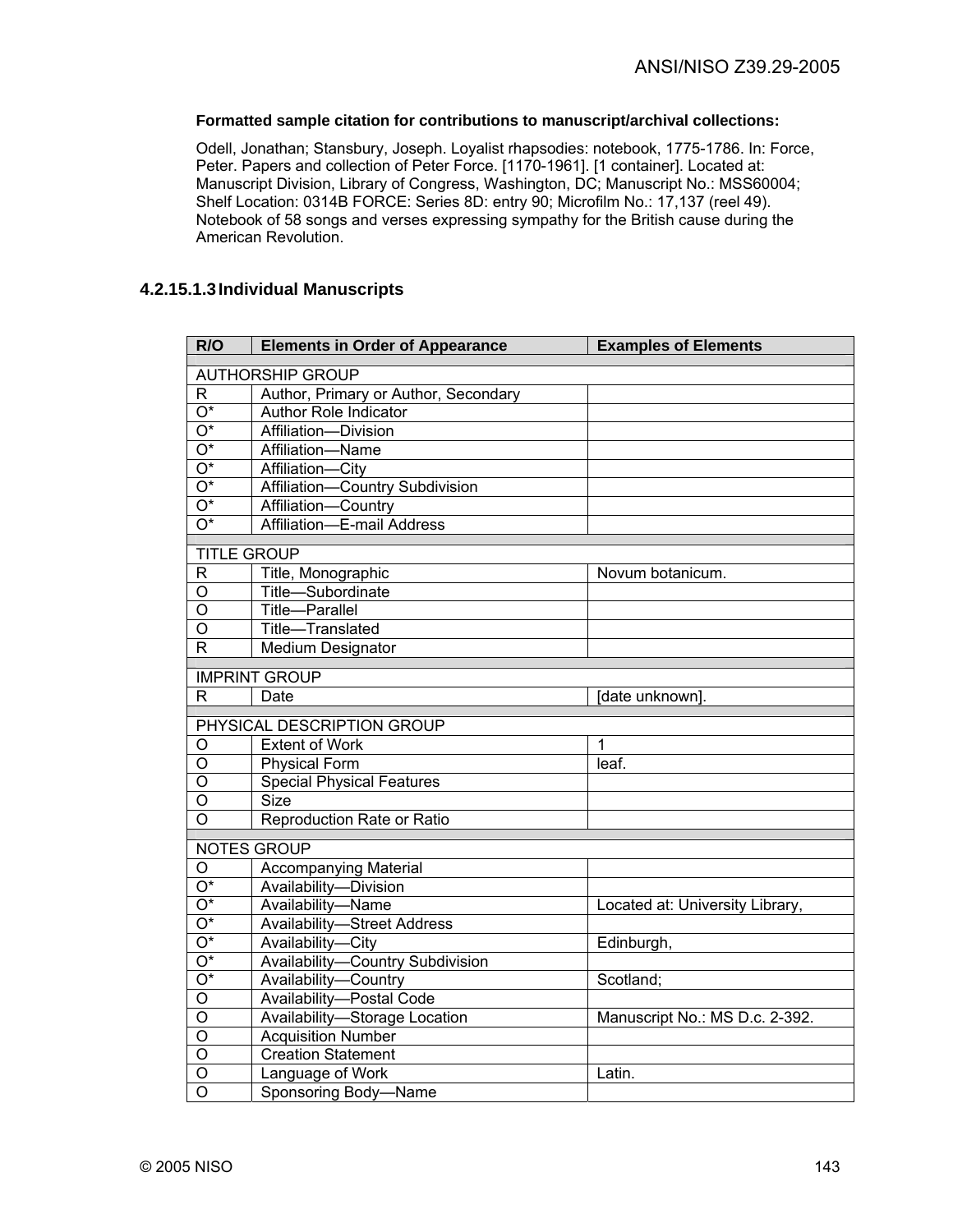# **Formatted sample citation for contributions to manuscript/archival collections:**

Odell, Jonathan; Stansbury, Joseph. Loyalist rhapsodies: notebook, 1775-1786. In: Force, Peter. Papers and collection of Peter Force. [1170-1961]. [1 container]. Located at: Manuscript Division, Library of Congress, Washington, DC; Manuscript No.: MSS60004; Shelf Location: 0314B FORCE: Series 8D: entry 90; Microfilm No.: 17,137 (reel 49). Notebook of 58 songs and verses expressing sympathy for the British cause during the American Revolution.

# **4.2.15.1.3 Individual Manuscripts**

| R/O                     | <b>Elements in Order of Appearance</b> | <b>Examples of Elements</b>     |
|-------------------------|----------------------------------------|---------------------------------|
| <b>AUTHORSHIP GROUP</b> |                                        |                                 |
| R.                      | Author, Primary or Author, Secondary   |                                 |
| $O^*$                   | Author Role Indicator                  |                                 |
| $\overline{O^*}$        | Affiliation-Division                   |                                 |
| $\overline{O^*}$        | Affiliation-Name                       |                                 |
| $\overline{O^*}$        | Affiliation-City                       |                                 |
| $\overline{O^*}$        | Affiliation-Country Subdivision        |                                 |
| $O^*$                   | Affiliation-Country                    |                                 |
| $\overline{O^*}$        | Affiliation-E-mail Address             |                                 |
|                         | <b>TITLE GROUP</b>                     |                                 |
| $\overline{\mathsf{R}}$ | Title, Monographic                     | Novum botanicum.                |
| O                       | Title-Subordinate                      |                                 |
| $\overline{\mathsf{o}}$ | <b>Title-Parallel</b>                  |                                 |
| $\circ$                 | Title-Translated                       |                                 |
| $\overline{\mathsf{R}}$ | Medium Designator                      |                                 |
|                         | <b>IMPRINT GROUP</b>                   |                                 |
| R                       | Date                                   | [date unknown].                 |
|                         |                                        |                                 |
|                         | PHYSICAL DESCRIPTION GROUP             |                                 |
| O                       | <b>Extent of Work</b>                  | 1                               |
| $\overline{\circ}$      | <b>Physical Form</b>                   | leaf.                           |
| $\circ$                 | <b>Special Physical Features</b>       |                                 |
| $\overline{O}$          | <b>Size</b>                            |                                 |
| O                       | Reproduction Rate or Ratio             |                                 |
|                         | <b>NOTES GROUP</b>                     |                                 |
| O                       | <b>Accompanying Material</b>           |                                 |
| $\overline{O^*}$        | Availability-Division                  |                                 |
| $\overline{O^*}$        | Availability-Name                      | Located at: University Library, |
| $\overline{O^*}$        | <b>Availability-Street Address</b>     |                                 |
| $\overline{O^*}$        | Availability-City                      | Edinburgh,                      |
| $\overline{O^*}$        | Availability-Country Subdivision       |                                 |
| $\overline{O^*}$        | Availability-Country                   | Scotland;                       |
| $\overline{\mathsf{o}}$ | Availability-Postal Code               |                                 |
| O                       | Availability-Storage Location          | Manuscript No.: MS D.c. 2-392.  |
| O                       | <b>Acquisition Number</b>              |                                 |
| $\overline{\mathsf{o}}$ | <b>Creation Statement</b>              |                                 |
| $\overline{0}$          | Language of Work                       | Latin.                          |
| $\overline{\mathsf{o}}$ | Sponsoring Body-Name                   |                                 |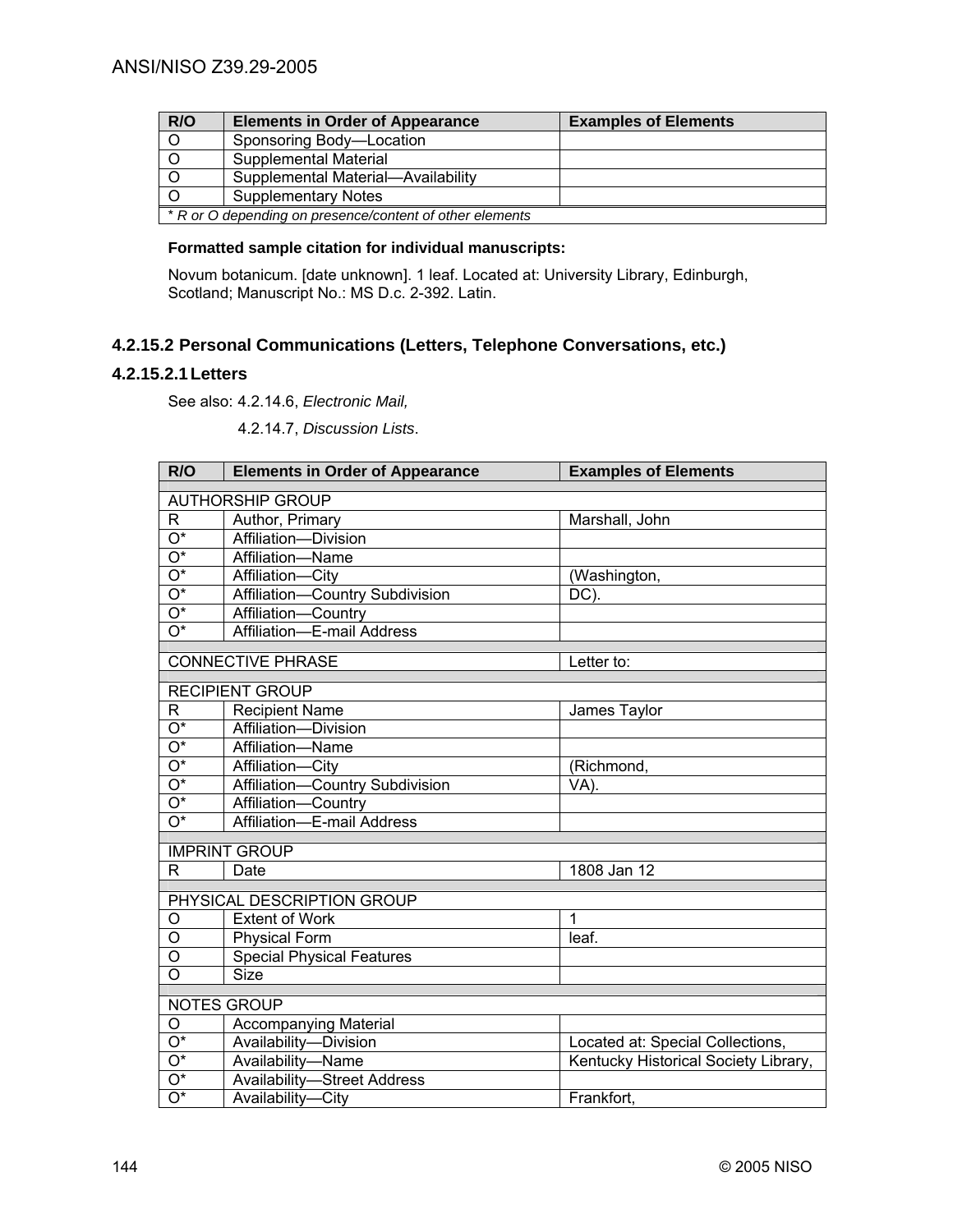| R/O                                                      | <b>Elements in Order of Appearance</b> | <b>Examples of Elements</b> |
|----------------------------------------------------------|----------------------------------------|-----------------------------|
| $\overline{O}$                                           | Sponsoring Body-Location               |                             |
| $\overline{O}$                                           | <b>Supplemental Material</b>           |                             |
| $\overline{\circ}$                                       | Supplemental Material-Availability     |                             |
| $\overline{0}$                                           | <b>Supplementary Notes</b>             |                             |
| * R or O depending on presence/content of other elements |                                        |                             |

# **Formatted sample citation for individual manuscripts:**

Novum botanicum. [date unknown]. 1 leaf. Located at: University Library, Edinburgh, Scotland; Manuscript No.: MS D.c. 2-392. Latin.

# **4.2.15.2 Personal Communications (Letters, Telephone Conversations, etc.)**

# **4.2.15.2.1 Letters**

See also: 4.2.14.6, *Electronic Mail,*

4.2.14.7, *Discussion Lists*.

| R/O                       | <b>Elements in Order of Appearance</b> | <b>Examples of Elements</b>          |
|---------------------------|----------------------------------------|--------------------------------------|
| <b>AUTHORSHIP GROUP</b>   |                                        |                                      |
| R                         | Author, Primary                        | Marshall, John                       |
| $\overline{O^*}$          | Affiliation-Division                   |                                      |
| $\overline{O^*}$          | Affiliation-Name                       |                                      |
| $\overline{\mathrm{O}^*}$ | Affiliation-City                       | (Washington,                         |
| $\overline{O^*}$          | Affiliation-Country Subdivision        | DC).                                 |
| $\overline{O^*}$          | Affiliation-Country                    |                                      |
| $\overline{\mathrm{O}^*}$ | Affiliation-E-mail Address             |                                      |
|                           | <b>CONNECTIVE PHRASE</b>               | Letter to:                           |
|                           |                                        |                                      |
|                           | <b>RECIPIENT GROUP</b>                 |                                      |
| R                         | <b>Recipient Name</b>                  | James Taylor                         |
| $\overline{O^*}$          | Affiliation-Division                   |                                      |
| $\overline{O^*}$          | Affiliation-Name                       |                                      |
| $\overline{O^*}$          | Affiliation-City                       | (Richmond,                           |
| $\overline{O^*}$          | Affiliation-Country Subdivision        | VA).                                 |
| $\overline{O^*}$          | Affiliation-Country                    |                                      |
| $\overline{O^*}$          | Affiliation-E-mail Address             |                                      |
|                           | <b>IMPRINT GROUP</b>                   |                                      |
| R.                        | Date                                   | 1808 Jan 12                          |
|                           | PHYSICAL DESCRIPTION GROUP             |                                      |
| O                         | <b>Extent of Work</b>                  | 1                                    |
| O                         | <b>Physical Form</b>                   | leaf.                                |
| $\overline{\rm o}$        | <b>Special Physical Features</b>       |                                      |
| $\overline{O}$            | <b>Size</b>                            |                                      |
|                           |                                        |                                      |
|                           | <b>NOTES GROUP</b>                     |                                      |
| O                         | <b>Accompanying Material</b>           |                                      |
| $\overline{O^*}$          | Availability-Division                  | Located at: Special Collections,     |
| $\overline{O^*}$          | Availability-Name                      | Kentucky Historical Society Library, |
| $\overline{O^*}$          | <b>Availability-Street Address</b>     |                                      |
| $\overline{O^*}$          | Availability-City                      | Frankfort,                           |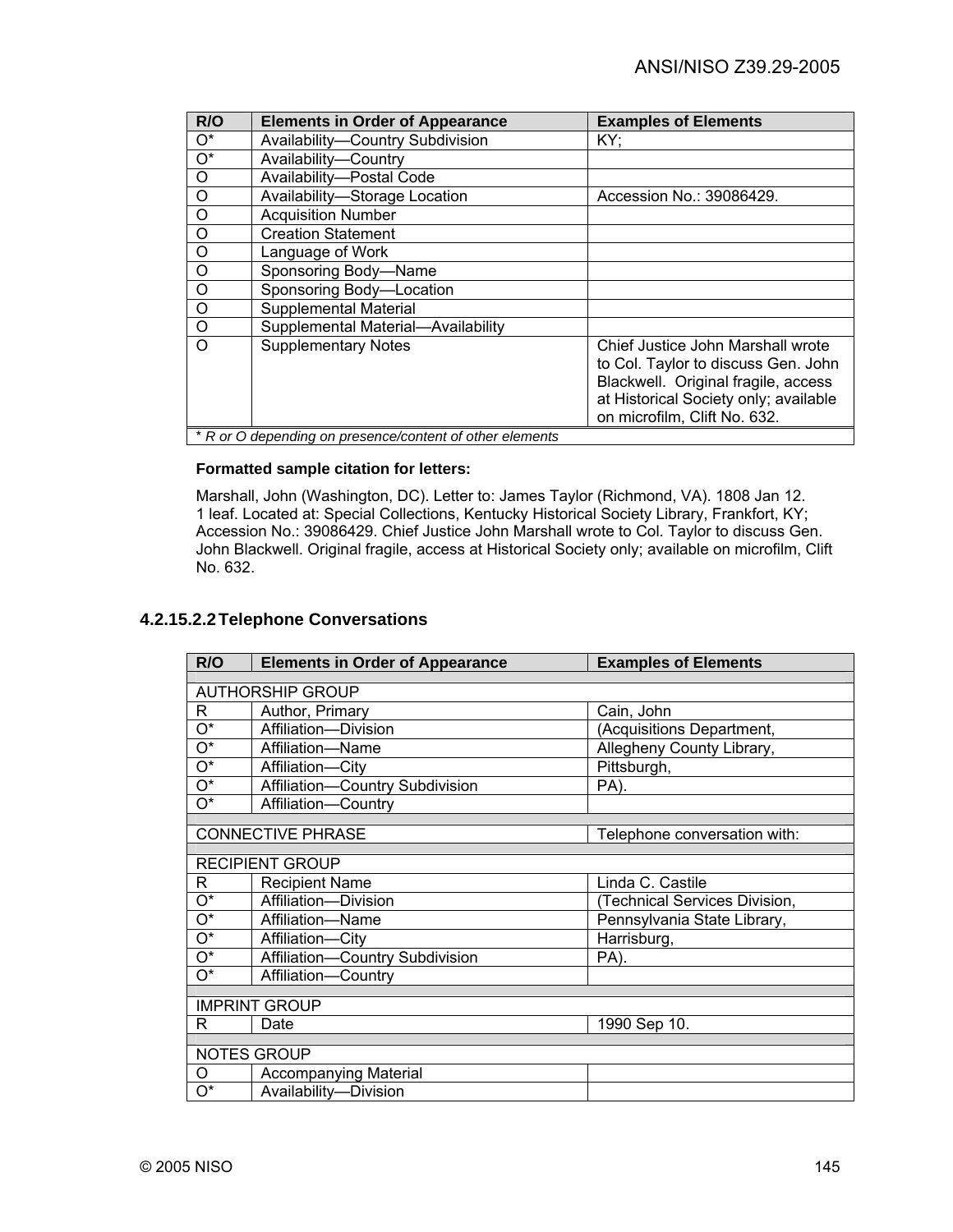| R/O              | <b>Elements in Order of Appearance</b>                   | <b>Examples of Elements</b>                                                                                                                                                              |
|------------------|----------------------------------------------------------|------------------------------------------------------------------------------------------------------------------------------------------------------------------------------------------|
| $O^*$            | Availability-Country Subdivision                         | KY;                                                                                                                                                                                      |
| $\overline{O^*}$ | Availability-Country                                     |                                                                                                                                                                                          |
| $\circ$          | Availability-Postal Code                                 |                                                                                                                                                                                          |
| $\circ$          | Availability-Storage Location                            | Accession No.: 39086429.                                                                                                                                                                 |
| $\circ$          | <b>Acquisition Number</b>                                |                                                                                                                                                                                          |
| O                | <b>Creation Statement</b>                                |                                                                                                                                                                                          |
| O                | Language of Work                                         |                                                                                                                                                                                          |
| O                | Sponsoring Body-Name                                     |                                                                                                                                                                                          |
| O                | Sponsoring Body-Location                                 |                                                                                                                                                                                          |
| $\circ$          | <b>Supplemental Material</b>                             |                                                                                                                                                                                          |
| $\circ$          | Supplemental Material-Availability                       |                                                                                                                                                                                          |
| $\Omega$         | <b>Supplementary Notes</b>                               | Chief Justice John Marshall wrote<br>to Col. Taylor to discuss Gen. John<br>Blackwell. Original fragile, access<br>at Historical Society only; available<br>on microfilm, Clift No. 632. |
|                  | * R or O depending on presence/content of other elements |                                                                                                                                                                                          |

# **Formatted sample citation for letters:**

Marshall, John (Washington, DC). Letter to: James Taylor (Richmond, VA). 1808 Jan 12. 1 leaf. Located at: Special Collections, Kentucky Historical Society Library, Frankfort, KY; Accession No.: 39086429. Chief Justice John Marshall wrote to Col. Taylor to discuss Gen. John Blackwell. Original fragile, access at Historical Society only; available on microfilm, Clift No. 632.

# **4.2.15.2.2 Telephone Conversations**

| R/O                       | <b>Elements in Order of Appearance</b> | <b>Examples of Elements</b>   |  |
|---------------------------|----------------------------------------|-------------------------------|--|
|                           |                                        |                               |  |
|                           | <b>AUTHORSHIP GROUP</b>                |                               |  |
| R                         | Author, Primary                        | Cain, John                    |  |
| 0*                        | Affiliation-Division                   | (Acquisitions Department,     |  |
| $\overline{\mathrm{O}^*}$ | Affiliation-Name                       | Allegheny County Library,     |  |
| 0*                        | Affiliation-City                       | Pittsburgh,                   |  |
| 0*                        | Affiliation-Country Subdivision        | PA).                          |  |
| 0*                        | Affiliation-Country                    |                               |  |
|                           |                                        |                               |  |
|                           | <b>CONNECTIVE PHRASE</b>               | Telephone conversation with:  |  |
|                           | <b>RECIPIENT GROUP</b>                 |                               |  |
| R                         | <b>Recipient Name</b>                  | Linda C. Castile              |  |
| O*                        | Affiliation-Division                   | (Technical Services Division, |  |
| 0*                        | Affiliation-Name                       | Pennsylvania State Library,   |  |
| O*                        | Affiliation-City                       | Harrisburg,                   |  |
| O*                        | Affiliation-Country Subdivision        | PA).                          |  |
| О*                        | Affiliation-Country                    |                               |  |
|                           |                                        |                               |  |
|                           | <b>IMPRINT GROUP</b>                   |                               |  |
| R                         | Date                                   | 1990 Sep 10.                  |  |
| <b>NOTES GROUP</b>        |                                        |                               |  |
|                           |                                        |                               |  |
| O                         | <b>Accompanying Material</b>           |                               |  |
| O*                        | Availability-Division                  |                               |  |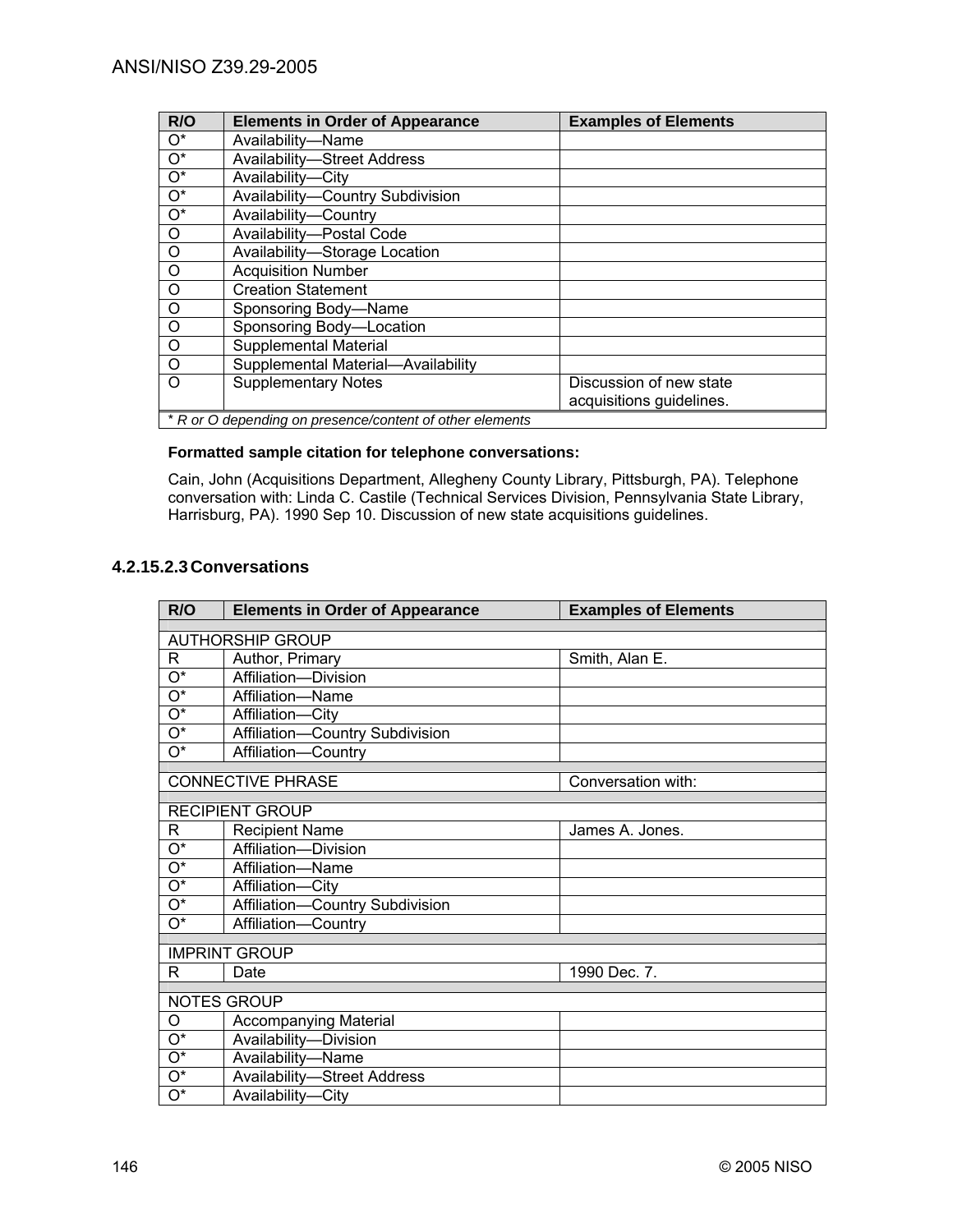| R/O              | <b>Elements in Order of Appearance</b>                   | <b>Examples of Elements</b> |
|------------------|----------------------------------------------------------|-----------------------------|
| $O^*$            | Availability-Name                                        |                             |
| $O^*$            | <b>Availability-Street Address</b>                       |                             |
| $\overline{O^*}$ | Availability-City                                        |                             |
| $\overline{O^*}$ | Availability-Country Subdivision                         |                             |
| $\overline{O^*}$ | Availability-Country                                     |                             |
| $\circ$          | Availability-Postal Code                                 |                             |
| $\circ$          | Availability-Storage Location                            |                             |
| $\circ$          | <b>Acquisition Number</b>                                |                             |
| $\circ$          | <b>Creation Statement</b>                                |                             |
| $\circ$          | Sponsoring Body-Name                                     |                             |
| $\Omega$         | Sponsoring Body-Location                                 |                             |
| $\circ$          | <b>Supplemental Material</b>                             |                             |
| $\circ$          | Supplemental Material-Availability                       |                             |
| $\Omega$         | <b>Supplementary Notes</b>                               | Discussion of new state     |
|                  |                                                          | acquisitions guidelines.    |
|                  | * R or O depending on presence/content of other elements |                             |

# **Formatted sample citation for telephone conversations:**

Cain, John (Acquisitions Department, Allegheny County Library, Pittsburgh, PA). Telephone conversation with: Linda C. Castile (Technical Services Division, Pennsylvania State Library, Harrisburg, PA). 1990 Sep 10. Discussion of new state acquisitions guidelines.

# **4.2.15.2.3 Conversations**

| R/O                | <b>Elements in Order of Appearance</b> | <b>Examples of Elements</b> |
|--------------------|----------------------------------------|-----------------------------|
|                    |                                        |                             |
|                    | <b>AUTHORSHIP GROUP</b>                |                             |
| R                  | Author, Primary                        | Smith, Alan E.              |
| O*                 | Affiliation-Division                   |                             |
| $O^*$              | Affiliation-Name                       |                             |
| O*                 | Affiliation-City                       |                             |
| O*                 | Affiliation-Country Subdivision        |                             |
| $O^*$              | Affiliation-Country                    |                             |
|                    | <b>CONNECTIVE PHRASE</b>               | Conversation with:          |
|                    |                                        |                             |
|                    | <b>RECIPIENT GROUP</b>                 |                             |
| R                  | <b>Recipient Name</b>                  | James A. Jones.             |
| $O^*$              | Affiliation-Division                   |                             |
| $O^*$              | Affiliation-Name                       |                             |
| $\mathrm{O}^\star$ | Affiliation-City                       |                             |
| $\mathrm{O}^\star$ | Affiliation-Country Subdivision        |                             |
| $\overline{O^*}$   | Affiliation-Country                    |                             |
|                    | <b>IMPRINT GROUP</b>                   |                             |
| R                  | Date                                   | 1990 Dec. 7.                |
|                    |                                        |                             |
|                    | <b>NOTES GROUP</b>                     |                             |
| O                  | <b>Accompanying Material</b>           |                             |
| $O^*$              | Availability-Division                  |                             |
| $O^*$              | Availability-Name                      |                             |
| $\mathrm{O}^\star$ | <b>Availability-Street Address</b>     |                             |
| $\mathrm{O}^\star$ | Availability-City                      |                             |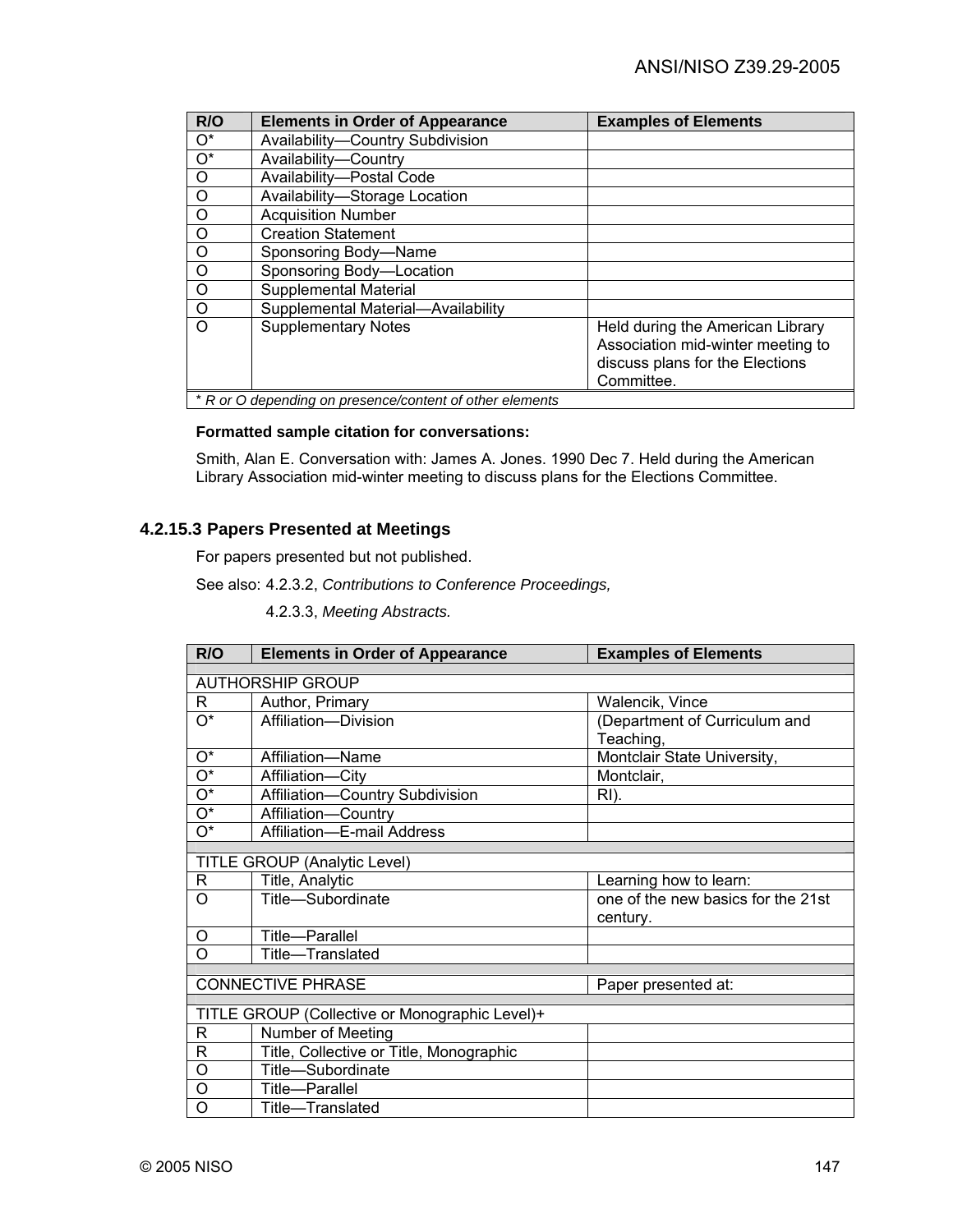| R/O              | <b>Elements in Order of Appearance</b>                   | <b>Examples of Elements</b>                                                                                            |
|------------------|----------------------------------------------------------|------------------------------------------------------------------------------------------------------------------------|
| $O^*$            | Availability-Country Subdivision                         |                                                                                                                        |
| $\overline{O^*}$ | Availability-Country                                     |                                                                                                                        |
| $\circ$          | Availability-Postal Code                                 |                                                                                                                        |
| $\circ$          | Availability-Storage Location                            |                                                                                                                        |
| $\circ$          | <b>Acquisition Number</b>                                |                                                                                                                        |
| $\circ$          | <b>Creation Statement</b>                                |                                                                                                                        |
| O                | Sponsoring Body-Name                                     |                                                                                                                        |
| $\circ$          | Sponsoring Body-Location                                 |                                                                                                                        |
| $\circ$          | <b>Supplemental Material</b>                             |                                                                                                                        |
| $\circ$          | Supplemental Material-Availability                       |                                                                                                                        |
| $\Omega$         | <b>Supplementary Notes</b>                               | Held during the American Library<br>Association mid-winter meeting to<br>discuss plans for the Elections<br>Committee. |
|                  | * R or O depending on presence/content of other elements |                                                                                                                        |

# **Formatted sample citation for conversations:**

Smith, Alan E. Conversation with: James A. Jones. 1990 Dec 7. Held during the American Library Association mid-winter meeting to discuss plans for the Elections Committee.

# **4.2.15.3 Papers Presented at Meetings**

For papers presented but not published.

See also: 4.2.3.2, *Contributions to Conference Proceedings,*

4.2.3.3, *Meeting Abstracts.*

| R/O                       | <b>Elements in Order of Appearance</b>         | <b>Examples of Elements</b>        |
|---------------------------|------------------------------------------------|------------------------------------|
|                           |                                                |                                    |
|                           | <b>AUTHORSHIP GROUP</b>                        |                                    |
| R                         | Author, Primary                                | Walencik, Vince                    |
| О*                        | Affiliation-Division                           | (Department of Curriculum and      |
|                           |                                                | Teaching,                          |
| $\overline{O^*}$          | Affiliation-Name                               | Montclair State University,        |
| $\overline{O^*}$          | Affiliation-City                               | Montclair,                         |
| $\overline{O^*}$          | Affiliation-Country Subdivision                | RI).                               |
| $\overline{O^*}$          | Affiliation-Country                            |                                    |
| $\overline{\mathrm{O}^*}$ | Affiliation-E-mail Address                     |                                    |
|                           |                                                |                                    |
|                           | <b>TITLE GROUP (Analytic Level)</b>            |                                    |
| R                         | Title, Analytic                                | Learning how to learn:             |
| O                         | Title-Subordinate                              | one of the new basics for the 21st |
|                           |                                                | century.                           |
| O                         | Title-Parallel                                 |                                    |
| O                         | Title-Translated                               |                                    |
|                           |                                                |                                    |
|                           | <b>CONNECTIVE PHRASE</b>                       | Paper presented at:                |
|                           | TITLE GROUP (Collective or Monographic Level)+ |                                    |
| R                         | Number of Meeting                              |                                    |
| R                         | Title, Collective or Title, Monographic        |                                    |
| O                         | Title-Subordinate                              |                                    |
| Ο                         | Title-Parallel                                 |                                    |
| O                         | Title-Translated                               |                                    |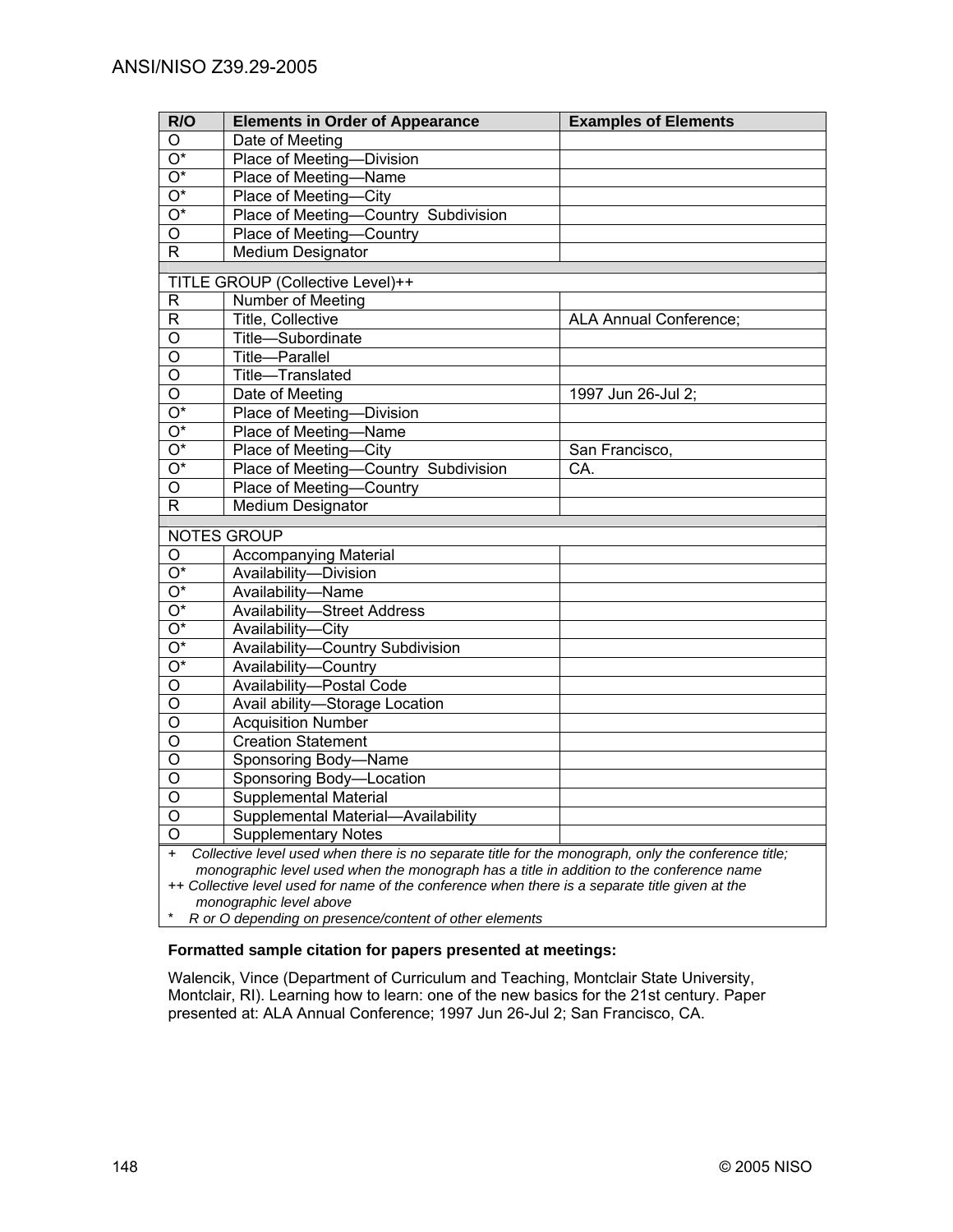| R/O                                                                                      | <b>Elements in Order of Appearance</b>                                                              | <b>Examples of Elements</b>   |  |
|------------------------------------------------------------------------------------------|-----------------------------------------------------------------------------------------------------|-------------------------------|--|
| O                                                                                        | Date of Meeting                                                                                     |                               |  |
| $\overline{O^*}$                                                                         | Place of Meeting-Division                                                                           |                               |  |
| $\overline{\mathrm{O}^*}$                                                                | Place of Meeting-Name                                                                               |                               |  |
| $\overline{O^*}$                                                                         | Place of Meeting-City                                                                               |                               |  |
| $\overline{\mathrm{O}^*}$                                                                | Place of Meeting-Country Subdivision                                                                |                               |  |
| $\overline{0}$                                                                           | Place of Meeting-Country                                                                            |                               |  |
| $\mathsf{R}$                                                                             | <b>Medium Designator</b>                                                                            |                               |  |
|                                                                                          | TITLE GROUP (Collective Level)++                                                                    |                               |  |
| R                                                                                        | Number of Meeting                                                                                   |                               |  |
| $\mathsf R$                                                                              | Title, Collective                                                                                   | <b>ALA Annual Conference;</b> |  |
| O                                                                                        | Title-Subordinate                                                                                   |                               |  |
| $\overline{O}$                                                                           | Title-Parallel                                                                                      |                               |  |
| O                                                                                        | Title-Translated                                                                                    |                               |  |
| $\overline{\mathsf{o}}$                                                                  | Date of Meeting                                                                                     | 1997 Jun 26-Jul 2;            |  |
| $\overline{O^*}$                                                                         | Place of Meeting-Division                                                                           |                               |  |
| $\overline{O^*}$                                                                         | Place of Meeting-Name                                                                               |                               |  |
| $\overline{O^*}$                                                                         | Place of Meeting-City                                                                               | San Francisco,                |  |
| $\overline{O^*}$                                                                         | Place of Meeting-Country Subdivision                                                                | CA.                           |  |
| O                                                                                        | Place of Meeting-Country                                                                            |                               |  |
| $\overline{R}$                                                                           | <b>Medium Designator</b>                                                                            |                               |  |
|                                                                                          | <b>NOTES GROUP</b>                                                                                  |                               |  |
| O                                                                                        | <b>Accompanying Material</b>                                                                        |                               |  |
| $\overline{O^*}$                                                                         | Availability-Division                                                                               |                               |  |
| $\overline{O^*}$                                                                         | Availability-Name                                                                                   |                               |  |
| $\overline{O^*}$                                                                         | <b>Availability-Street Address</b>                                                                  |                               |  |
| $\overline{O^*}$                                                                         | Availability-City                                                                                   |                               |  |
| $\overline{O^*}$                                                                         | Availability-Country Subdivision                                                                    |                               |  |
| $\overline{O^*}$                                                                         | Availability-Country                                                                                |                               |  |
| $\overline{O}$                                                                           | Availability-Postal Code                                                                            |                               |  |
| $\overline{\mathsf{o}}$                                                                  | Avail ability-Storage Location                                                                      |                               |  |
| $\overline{0}$                                                                           | <b>Acquisition Number</b>                                                                           |                               |  |
| $\overline{\mathsf{o}}$                                                                  | <b>Creation Statement</b>                                                                           |                               |  |
| $\overline{\mathsf{o}}$                                                                  | Sponsoring Body-Name                                                                                |                               |  |
| $\overline{\mathsf{o}}$                                                                  | Sponsoring Body-Location                                                                            |                               |  |
| $\overline{0}$                                                                           | <b>Supplemental Material</b>                                                                        |                               |  |
| $\overline{0}$                                                                           | Supplemental Material-Availability                                                                  |                               |  |
| $\overline{\circ}$                                                                       | <b>Supplementary Notes</b>                                                                          |                               |  |
| $+$                                                                                      | Collective level used when there is no separate title for the monograph, only the conference title; |                               |  |
| monographic level used when the monograph has a title in addition to the conference name |                                                                                                     |                               |  |
|                                                                                          | ++ Collective level used for name of the conference when there is a separate title given at the     |                               |  |
| monographic level above                                                                  |                                                                                                     |                               |  |

\* *R or O depending on presence/content of other elements* 

# **Formatted sample citation for papers presented at meetings:**

Walencik, Vince (Department of Curriculum and Teaching, Montclair State University, Montclair, RI). Learning how to learn: one of the new basics for the 21st century. Paper presented at: ALA Annual Conference; 1997 Jun 26-Jul 2; San Francisco, CA.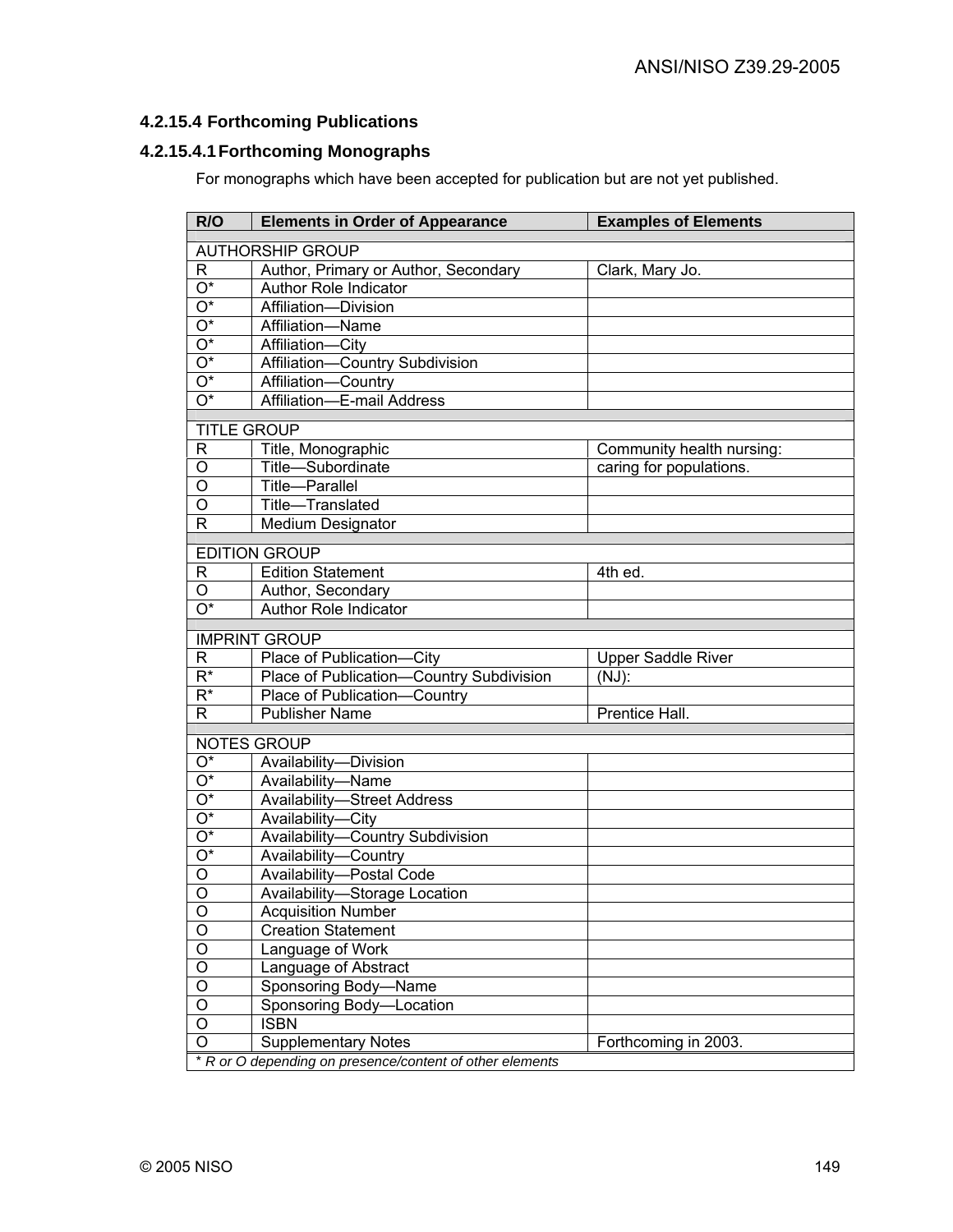# **4.2.15.4 Forthcoming Publications**

# **4.2.15.4.1 Forthcoming Monographs**

For monographs which have been accepted for publication but are not yet published.

| R/O                       | <b>Elements in Order of Appearance</b>                   | <b>Examples of Elements</b> |
|---------------------------|----------------------------------------------------------|-----------------------------|
| <b>AUTHORSHIP GROUP</b>   |                                                          |                             |
| R.                        | Author, Primary or Author, Secondary                     | Clark, Mary Jo.             |
| $\overline{O^*}$          | <b>Author Role Indicator</b>                             |                             |
| $\overline{O^*}$          | Affiliation-Division                                     |                             |
| $\overline{\mathrm{O}^*}$ | Affiliation-Name                                         |                             |
| $\overline{\mathrm{O}^*}$ | Affiliation-City                                         |                             |
| $\overline{O^*}$          | Affiliation-Country Subdivision                          |                             |
| $\overline{O^*}$          | Affiliation-Country                                      |                             |
| $\overline{O^*}$          | Affiliation-E-mail Address                               |                             |
| <b>TITLE GROUP</b>        |                                                          |                             |
| $\mathsf{R}$              | Title, Monographic                                       | Community health nursing:   |
| $\circ$                   | Title-Subordinate                                        | caring for populations.     |
| O                         | Title-Parallel                                           |                             |
| O                         | Title-Translated                                         |                             |
| $\mathsf{R}$              | <b>Medium Designator</b>                                 |                             |
|                           | <b>EDITION GROUP</b>                                     |                             |
| R                         | <b>Edition Statement</b>                                 | 4th ed.                     |
| O                         | Author, Secondary                                        |                             |
| $\overline{O^*}$          | <b>Author Role Indicator</b>                             |                             |
|                           |                                                          |                             |
|                           | <b>IMPRINT GROUP</b>                                     |                             |
| R                         | Place of Publication-City                                | <b>Upper Saddle River</b>   |
| $\overline{\mathsf{R}^*}$ | Place of Publication-Country Subdivision                 | $(NJ)$ :                    |
| $\overline{\mathsf{R}^*}$ | Place of Publication-<br>Country                         |                             |
| R.                        | <b>Publisher Name</b>                                    | Prentice Hall.              |
|                           | <b>NOTES GROUP</b>                                       |                             |
| $O^*$                     | Availability-Division                                    |                             |
| $\overline{\mathrm{O}^*}$ | Availability-Name                                        |                             |
| $\overline{O^*}$          | <b>Availability-Street Address</b>                       |                             |
| $\overline{O^*}$          | Availability-City                                        |                             |
| $\overline{O^*}$          | Availability-Country Subdivision                         |                             |
| $\overline{O^*}$          | Availability-Country                                     |                             |
| O                         | Availability-Postal Code                                 |                             |
| $\circ$                   | Availability-Storage Location                            |                             |
| O                         | <b>Acquisition Number</b>                                |                             |
| O                         | Creation Statement                                       |                             |
| O                         | Language of Work                                         |                             |
| O                         | Language of Abstract                                     |                             |
| O                         | Sponsoring Body-Name                                     |                             |
| O                         | Sponsoring Body-Location                                 |                             |
| O                         | <b>ISBN</b>                                              |                             |
| O                         | <b>Supplementary Notes</b>                               | Forthcoming in 2003.        |
|                           | * R or O depending on presence/content of other elements |                             |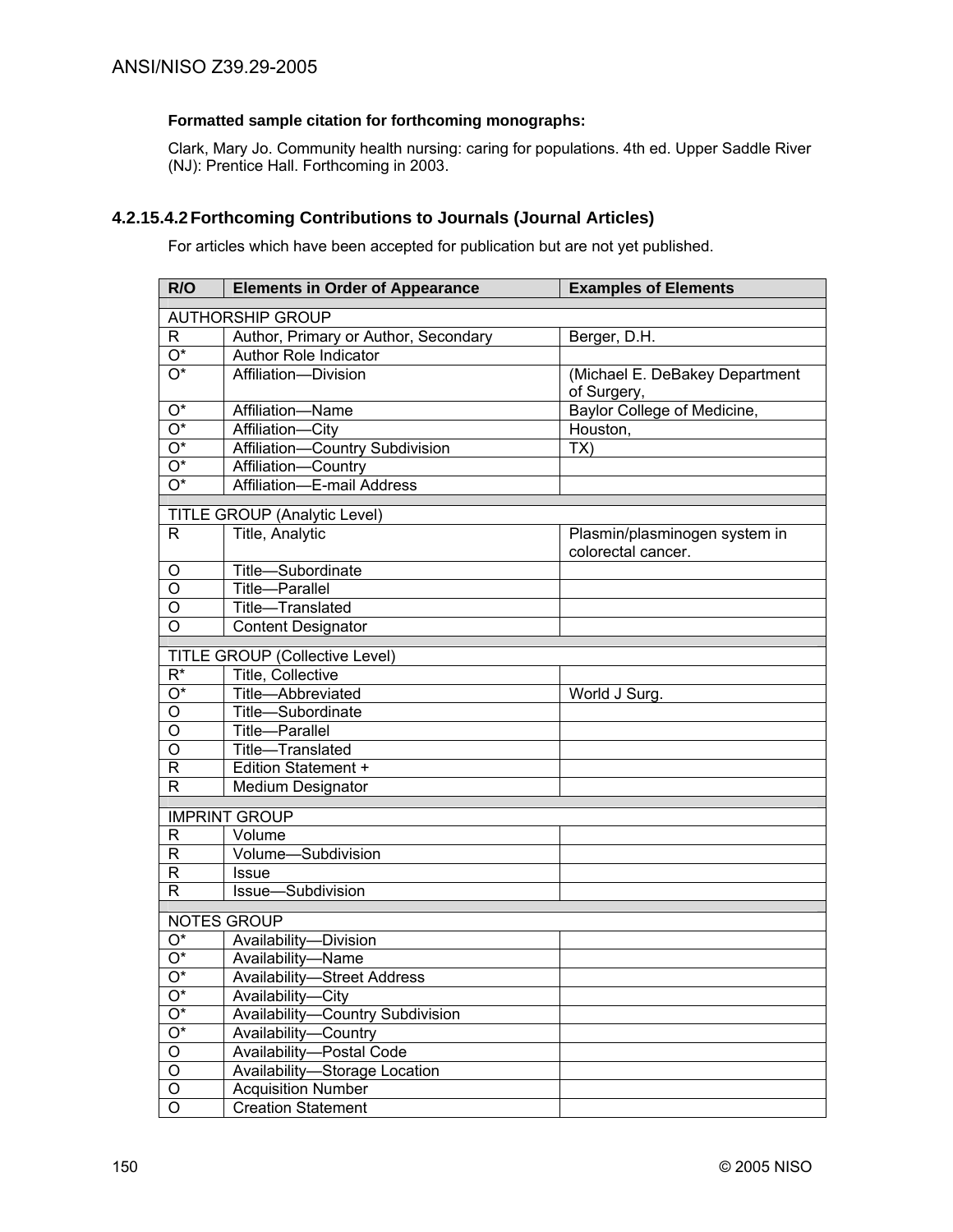# **Formatted sample citation for forthcoming monographs:**

Clark, Mary Jo. Community health nursing: caring for populations. 4th ed. Upper Saddle River (NJ): Prentice Hall. Forthcoming in 2003.

# **4.2.15.4.2 Forthcoming Contributions to Journals (Journal Articles)**

For articles which have been accepted for publication but are not yet published.

| R/O                          | <b>Elements in Order of Appearance</b> | <b>Examples of Elements</b>    |  |
|------------------------------|----------------------------------------|--------------------------------|--|
| <b>AUTHORSHIP GROUP</b>      |                                        |                                |  |
| R.                           | Author, Primary or Author, Secondary   | Berger, D.H.                   |  |
| $O^*$                        | Author Role Indicator                  |                                |  |
| O*                           | Affiliation-Division                   | (Michael E. DeBakey Department |  |
|                              |                                        | of Surgery,                    |  |
| $O^*$                        | Affiliation-Name                       | Baylor College of Medicine,    |  |
| $\overline{\mathrm{O}^*}$    | Affiliation-City                       | Houston,                       |  |
| $\overline{\mathrm{O}^*}$    | Affiliation-Country Subdivision        | TX)                            |  |
| $\overline{\mathrm{O}^*}$    | Affiliation-Country                    |                                |  |
| $\overline{\mathrm{O}^*}$    | Affiliation-E-mail Address             |                                |  |
| TITLE GROUP (Analytic Level) |                                        |                                |  |
| R.                           | Title, Analytic                        | Plasmin/plasminogen system in  |  |
|                              |                                        | colorectal cancer.             |  |
| O                            | Title-Subordinate                      |                                |  |
| $\overline{O}$               | Title-Parallel                         |                                |  |
| O                            | Title-Translated                       |                                |  |
| $\overline{O}$               | <b>Content Designator</b>              |                                |  |
|                              | <b>TITLE GROUP (Collective Level)</b>  |                                |  |
| $R^*$                        | Title, Collective                      |                                |  |
| $\overline{\mathrm{O}^*}$    | Title-Abbreviated                      | World J Surg.                  |  |
| O                            | Title-Subordinate                      |                                |  |
| O                            | <b>Title-Parallel</b>                  |                                |  |
| O                            | Title-Translated                       |                                |  |
| R                            | Edition Statement +                    |                                |  |
| R                            | Medium Designator                      |                                |  |
| <b>IMPRINT GROUP</b>         |                                        |                                |  |
| R                            | Volume                                 |                                |  |
| $\mathsf{R}$                 | Volume-Subdivision                     |                                |  |
| $\mathsf{R}$                 | <b>Issue</b>                           |                                |  |
| $\mathsf{R}$                 | Issue-Subdivision                      |                                |  |
| <b>NOTES GROUP</b>           |                                        |                                |  |
| O*                           | Availability-Division                  |                                |  |
| O*                           | Availability-Name                      |                                |  |
| O*                           | <b>Availability-Street Address</b>     |                                |  |
| $\mathrm{O}^\star$           | Availability-City                      |                                |  |
| $O^*$                        | Availability-Country Subdivision       |                                |  |
| $O^*$                        | Availability-Country                   |                                |  |
| $\overline{O}$               | Availability-Postal Code               |                                |  |
| $\overline{O}$               | Availability-Storage Location          |                                |  |
| $\mathsf O$                  | <b>Acquisition Number</b>              |                                |  |
| $\mathsf O$                  | <b>Creation Statement</b>              |                                |  |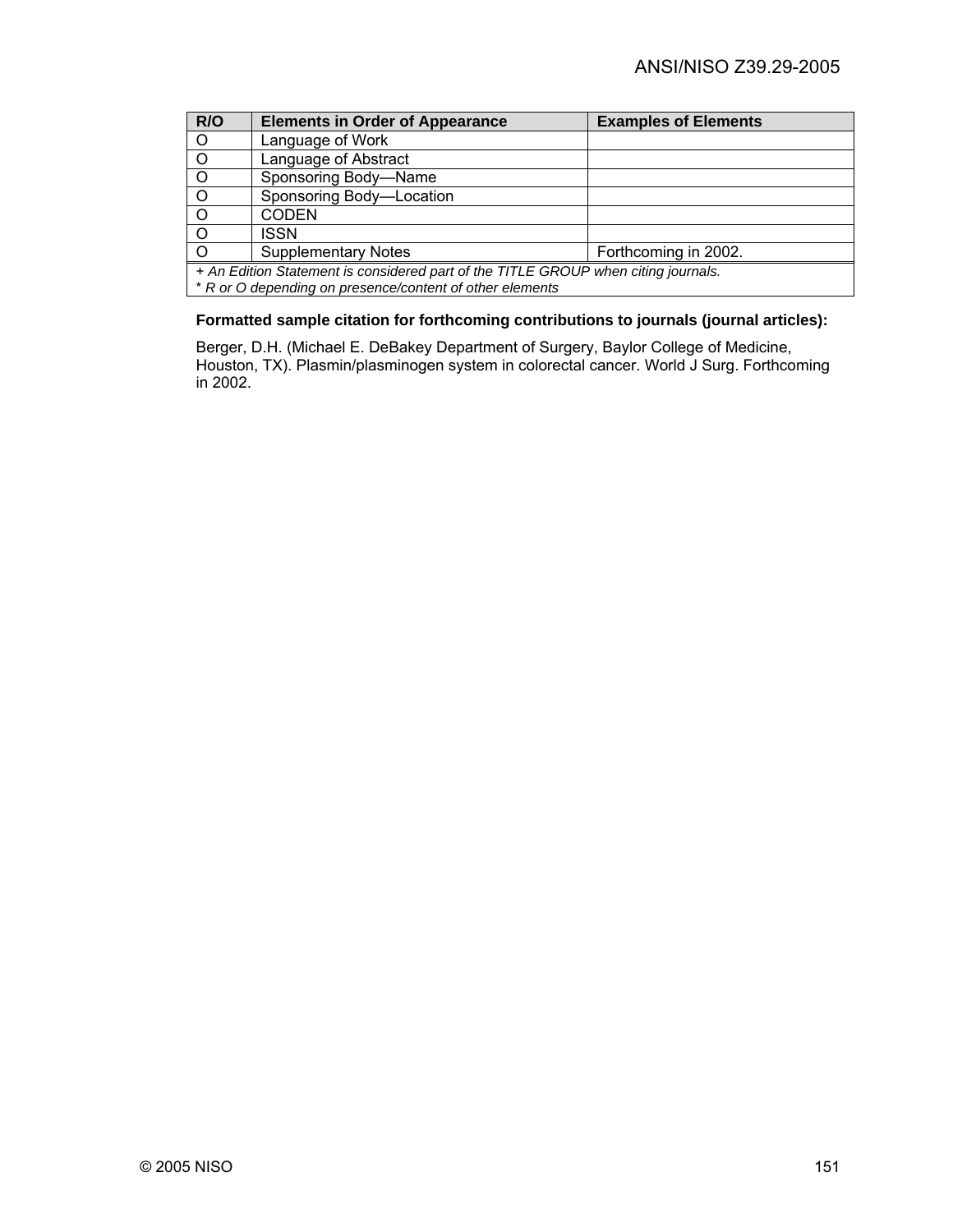| R/O                                                                                | <b>Elements in Order of Appearance</b> | <b>Examples of Elements</b> |  |
|------------------------------------------------------------------------------------|----------------------------------------|-----------------------------|--|
| $\circ$                                                                            | Language of Work                       |                             |  |
| $\circ$                                                                            | Language of Abstract                   |                             |  |
| $\overline{O}$                                                                     | Sponsoring Body-Name                   |                             |  |
| $\circ$                                                                            | Sponsoring Body-Location               |                             |  |
| $\circ$                                                                            | <b>CODEN</b>                           |                             |  |
| . O                                                                                | <b>ISSN</b>                            |                             |  |
| $\circ$                                                                            | <b>Supplementary Notes</b>             | Forthcoming in 2002.        |  |
| + An Edition Statement is considered part of the TITLE GROUP when citing journals. |                                        |                             |  |
| * R or O depending on presence/content of other elements                           |                                        |                             |  |

# **Formatted sample citation for forthcoming contributions to journals (journal articles):**

Berger, D.H. (Michael E. DeBakey Department of Surgery, Baylor College of Medicine, Houston, TX). Plasmin/plasminogen system in colorectal cancer. World J Surg. Forthcoming in 2002.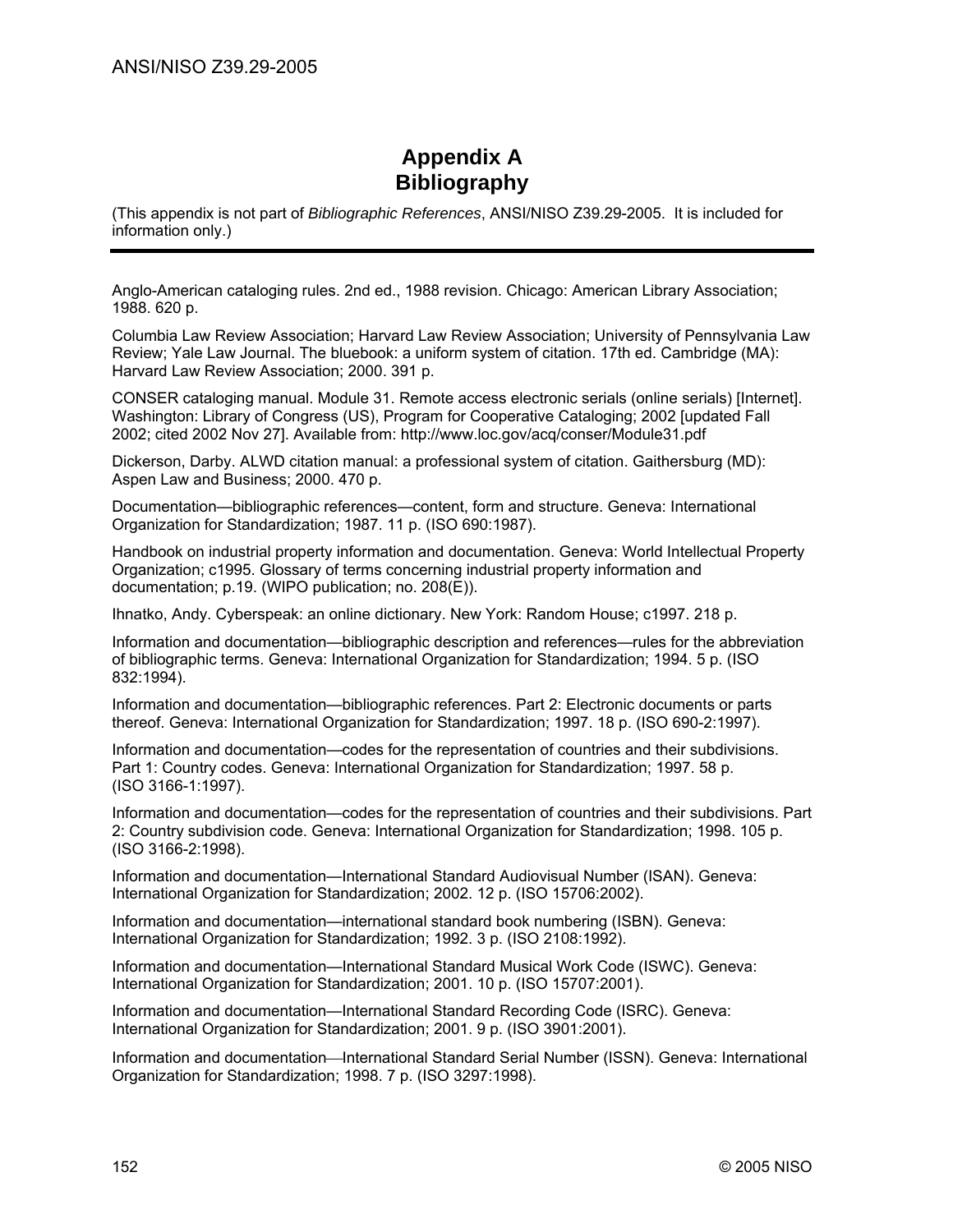# **Appendix A Bibliography**

(This appendix is not part of *Bibliographic References*, ANSI/NISO Z39.29-2005. It is included for information only.)

Anglo-American cataloging rules. 2nd ed., 1988 revision. Chicago: American Library Association; 1988. 620 p.

Columbia Law Review Association; Harvard Law Review Association; University of Pennsylvania Law Review; Yale Law Journal. The bluebook: a uniform system of citation. 17th ed. Cambridge (MA): Harvard Law Review Association; 2000. 391 p.

CONSER cataloging manual. Module 31. Remote access electronic serials (online serials) [Internet]. Washington: Library of Congress (US), Program for Cooperative Cataloging; 2002 [updated Fall 2002; cited 2002 Nov 27]. [Available from: http://www.loc.gov/acq/conser/Module31.pdf](http://www.loc.gov/acq/conser/Module31.pdf) 

Dickerson, Darby. ALWD citation manual: a professional system of citation. Gaithersburg (MD): Aspen Law and Business; 2000. 470 p.

Documentation—bibliographic references—content, form and structure. Geneva: International Organization for Standardization; 1987. 11 p. (ISO 690:1987).

Handbook on industrial property information and documentation. Geneva: World Intellectual Property Organization; c1995. Glossary of terms concerning industrial property information and documentation; p.19. (WIPO publication; no. 208(E)).

Ihnatko, Andy. Cyberspeak: an online dictionary. New York: Random House; c1997. 218 p.

Information and documentation—bibliographic description and references—rules for the abbreviation of bibliographic terms. Geneva: International Organization for Standardization; 1994. 5 p. (ISO 832:1994).

Information and documentation—bibliographic references. Part 2: Electronic documents or parts thereof. Geneva: International Organization for Standardization; 1997. 18 p. (ISO 690-2:1997).

Information and documentation—codes for the representation of countries and their subdivisions. Part 1: Country codes. Geneva: International Organization for Standardization; 1997. 58 p. (ISO 3166-1:1997).

Information and documentation—codes for the representation of countries and their subdivisions. Part 2: Country subdivision code. Geneva: International Organization for Standardization; 1998. 105 p. (ISO 3166-2:1998).

Information and documentation—International Standard Audiovisual Number (ISAN). Geneva: International Organization for Standardization; 2002. 12 p. (ISO 15706:2002).

Information and documentation—international standard book numbering (ISBN). Geneva: International Organization for Standardization; 1992. 3 p. (ISO 2108:1992).

Information and documentation—International Standard Musical Work Code (ISWC). Geneva: International Organization for Standardization; 2001. 10 p. (ISO 15707:2001).

Information and documentation—International Standard Recording Code (ISRC). Geneva: International Organization for Standardization; 2001. 9 p. (ISO 3901:2001).

Information and documentation—International Standard Serial Number (ISSN). Geneva: International Organization for Standardization; 1998. 7 p. (ISO 3297:1998).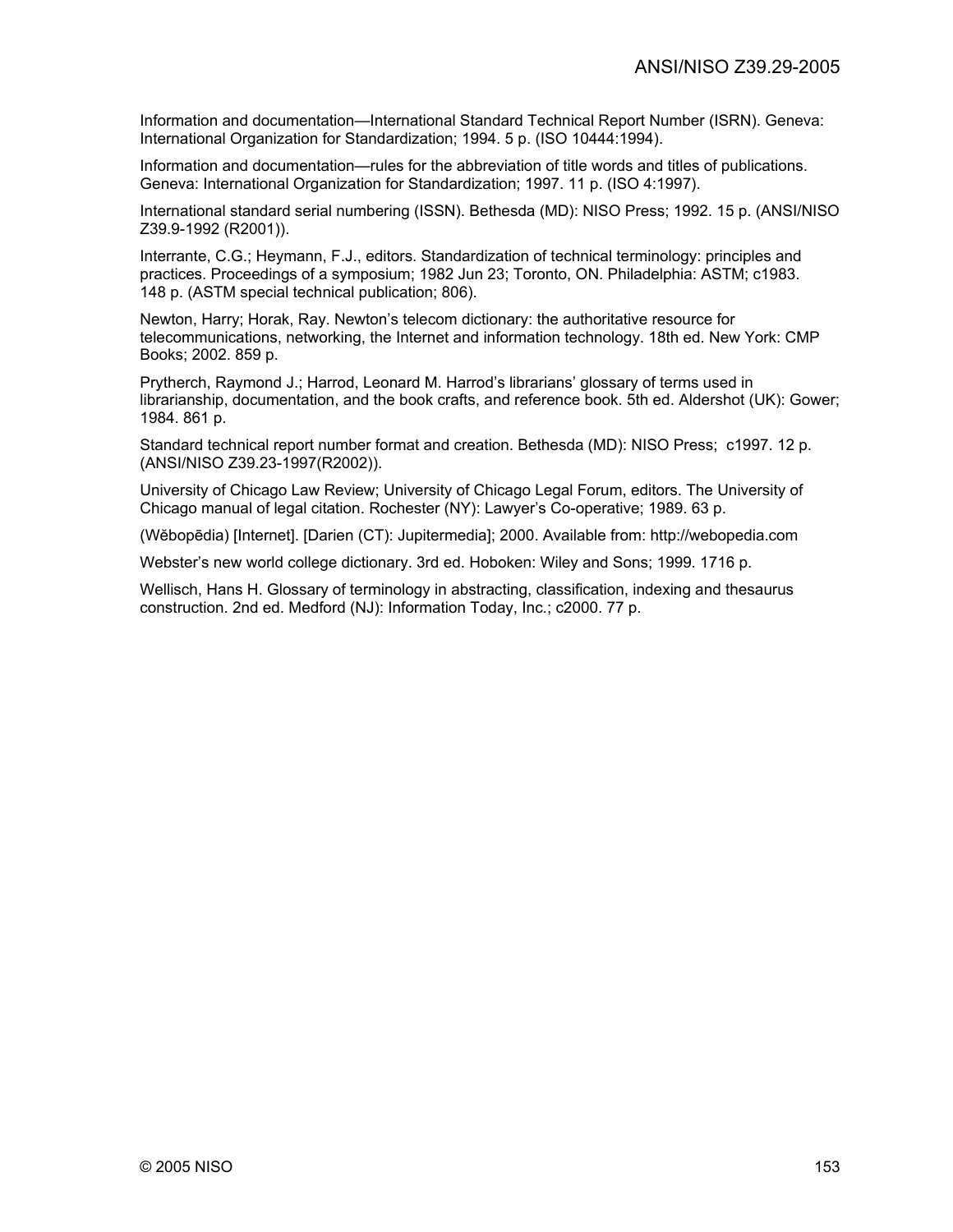Information and documentation—International Standard Technical Report Number (ISRN). Geneva: International Organization for Standardization; 1994. 5 p. (ISO 10444:1994).

Information and documentation—rules for the abbreviation of title words and titles of publications. Geneva: International Organization for Standardization; 1997. 11 p. (ISO 4:1997).

International standard serial numbering (ISSN). Bethesda (MD): NISO Press; 1992. 15 p. (ANSI/NISO Z39.9-1992 (R2001)).

Interrante, C.G.; Heymann, F.J., editors. Standardization of technical terminology: principles and practices. Proceedings of a symposium; 1982 Jun 23; Toronto, ON. Philadelphia: ASTM; c1983. 148 p. (ASTM special technical publication; 806).

Newton, Harry; Horak, Ray. Newton's telecom dictionary: the authoritative resource for telecommunications, networking, the Internet and information technology. 18th ed. New York: CMP Books; 2002. 859 p.

Prytherch, Raymond J.; Harrod, Leonard M. Harrod's librarians' glossary of terms used in librarianship, documentation, and the book crafts, and reference book. 5th ed. Aldershot (UK): Gower; 1984. 861 p.

Standard technical report number format and creation. Bethesda (MD): NISO Press; c1997. 12 p. (ANSI/NISO Z39.23-1997(R2002)).

University of Chicago Law Review; University of Chicago Legal Forum, editors. The University of Chicago manual of legal citation. Rochester (NY): Lawyer's Co-operative; 1989. 63 p.

(Wĕbopēdia) [Internet]. [Darien (CT): Jupitermedia]; 2000. Available from: http://webopedia.com

Webster's new world college dictionary. 3rd ed. Hoboken: Wiley and Sons; 1999. 1716 p.

Wellisch, Hans H. Glossary of terminology in abstracting, classification, indexing and thesaurus construction. 2nd ed. Medford (NJ): Information Today, Inc.; c2000. 77 p.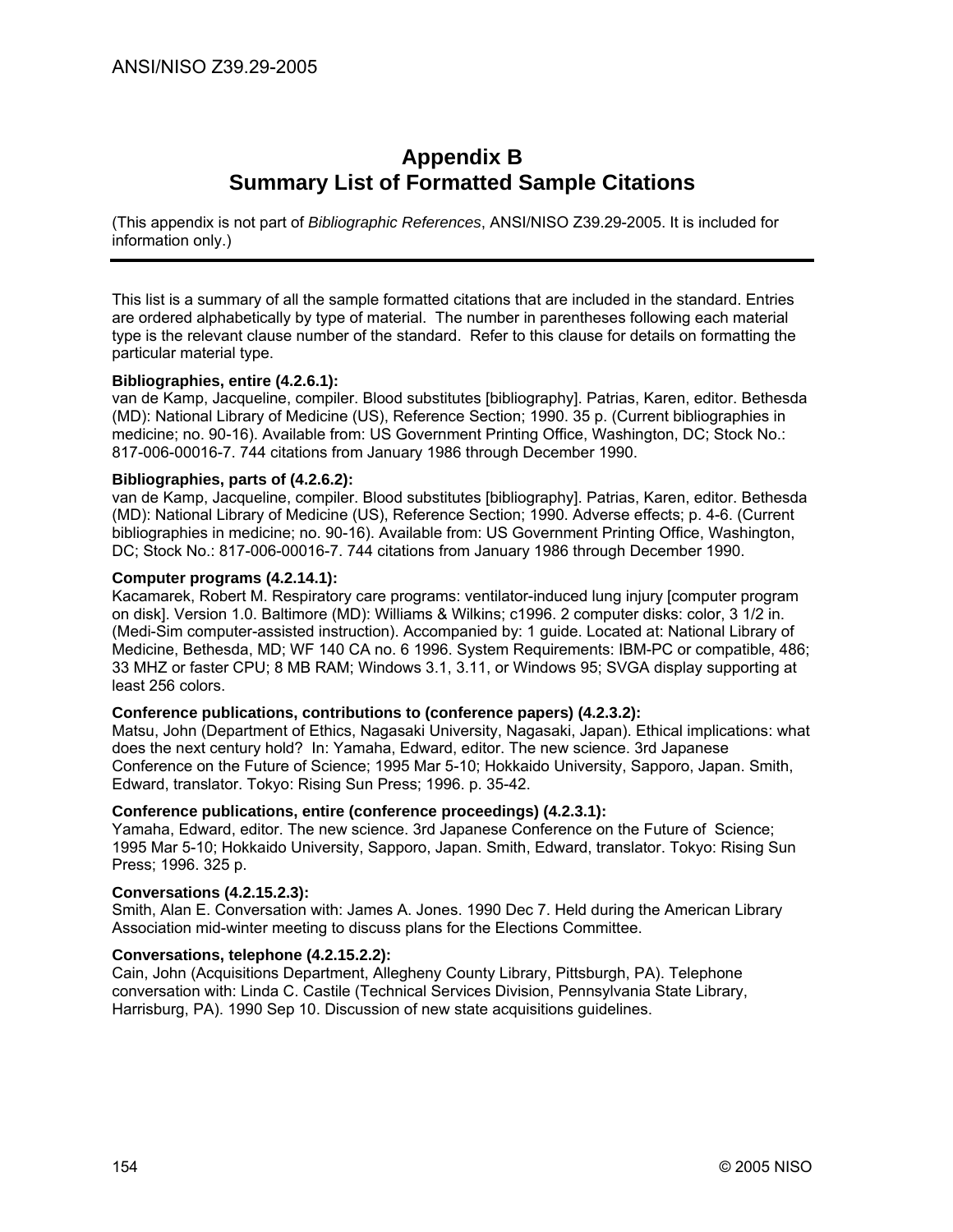# **Appendix B Summary List of Formatted Sample Citations**

(This appendix is not part of *Bibliographic References*, ANSI/NISO Z39.29-2005. It is included for information only.)

This list is a summary of all the sample formatted citations that are included in the standard. Entries are ordered alphabetically by type of material. The number in parentheses following each material type is the relevant clause number of the standard. Refer to this clause for details on formatting the particular material type.

# **Bibliographies, entire (4.2.6.1):**

van de Kamp, Jacqueline, compiler. Blood substitutes [bibliography]. Patrias, Karen, editor. Bethesda (MD): National Library of Medicine (US), Reference Section; 1990. 35 p. (Current bibliographies in medicine; no. 90-16). Available from: US Government Printing Office, Washington, DC; Stock No.: 817-006-00016-7. 744 citations from January 1986 through December 1990.

# **Bibliographies, parts of (4.2.6.2):**

van de Kamp, Jacqueline, compiler. Blood substitutes [bibliography]. Patrias, Karen, editor. Bethesda (MD): National Library of Medicine (US), Reference Section; 1990. Adverse effects; p. 4-6. (Current bibliographies in medicine; no. 90-16). Available from: US Government Printing Office, Washington, DC; Stock No.: 817-006-00016-7. 744 citations from January 1986 through December 1990.

# **Computer programs (4.2.14.1):**

Kacamarek, Robert M. Respiratory care programs: ventilator-induced lung injury [computer program on disk]. Version 1.0. Baltimore (MD): Williams & Wilkins; c1996. 2 computer disks: color, 3 1/2 in. (Medi-Sim computer-assisted instruction). Accompanied by: 1 guide. Located at: National Library of Medicine, Bethesda, MD; WF 140 CA no. 6 1996. System Requirements: IBM-PC or compatible, 486; 33 MHZ or faster CPU; 8 MB RAM; Windows 3.1, 3.11, or Windows 95; SVGA display supporting at least 256 colors.

#### **Conference publications, contributions to (conference papers) (4.2.3.2):**

Matsu, John (Department of Ethics, Nagasaki University, Nagasaki, Japan). Ethical implications: what does the next century hold? In: Yamaha, Edward, editor. The new science. 3rd Japanese Conference on the Future of Science; 1995 Mar 5-10; Hokkaido University, Sapporo, Japan. Smith, Edward, translator. Tokyo: Rising Sun Press; 1996. p. 35-42.

#### **Conference publications, entire (conference proceedings) (4.2.3.1):**

Yamaha, Edward, editor. The new science. 3rd Japanese Conference on the Future of Science; 1995 Mar 5-10; Hokkaido University, Sapporo, Japan. Smith, Edward, translator. Tokyo: Rising Sun Press; 1996. 325 p.

# **Conversations (4.2.15.2.3):**

Smith, Alan E. Conversation with: James A. Jones. 1990 Dec 7. Held during the American Library Association mid-winter meeting to discuss plans for the Elections Committee.

# **Conversations, telephone (4.2.15.2.2):**

Cain, John (Acquisitions Department, Allegheny County Library, Pittsburgh, PA). Telephone conversation with: Linda C. Castile (Technical Services Division, Pennsylvania State Library, Harrisburg, PA). 1990 Sep 10. Discussion of new state acquisitions guidelines.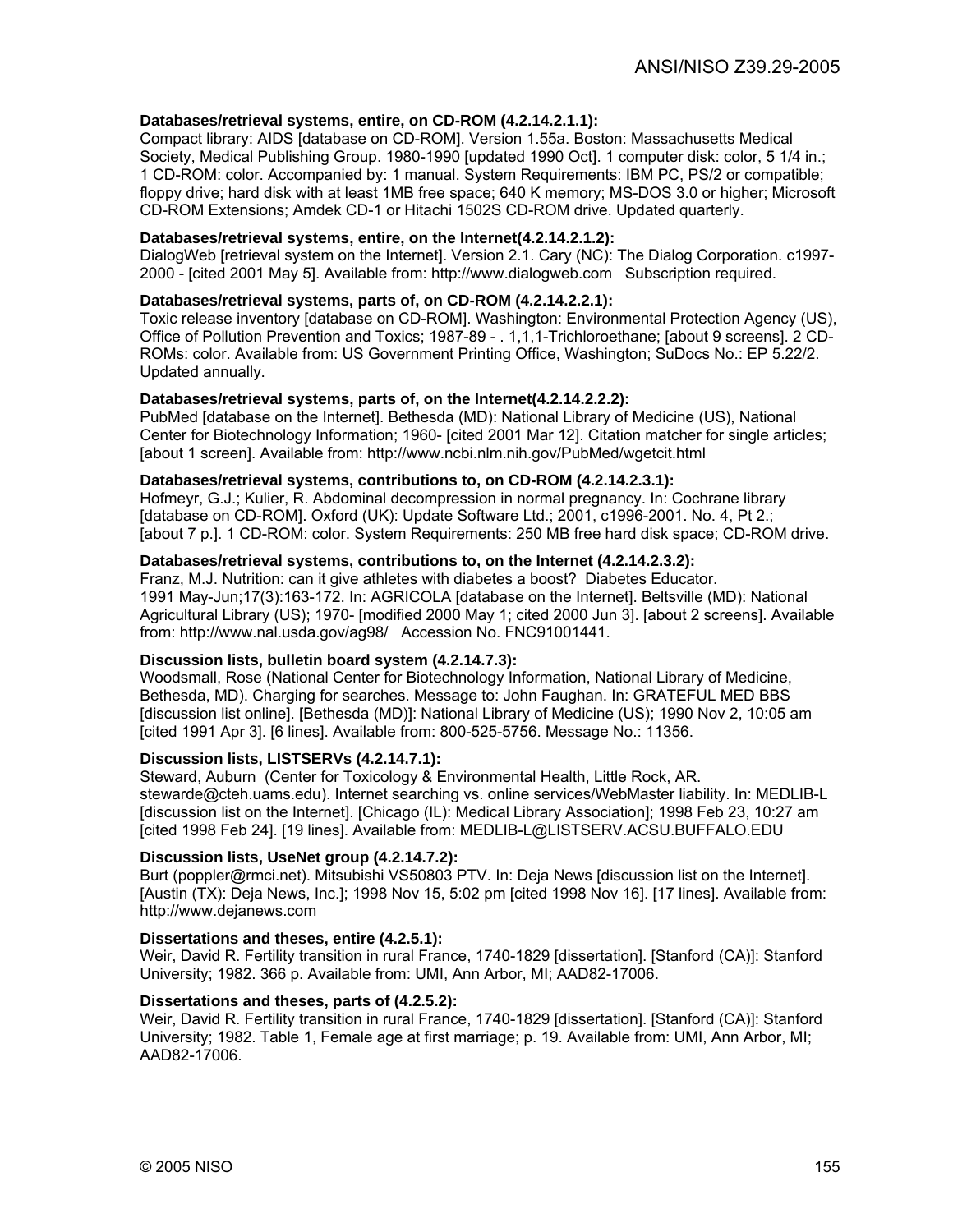# **Databases/retrieval systems, entire, on CD-ROM (4.2.14.2.1.1):**

Compact library: AIDS [database on CD-ROM]. Version 1.55a. Boston: Massachusetts Medical Society, Medical Publishing Group. 1980-1990 [updated 1990 Oct]. 1 computer disk: color, 5 1/4 in.; 1 CD-ROM: color. Accompanied by: 1 manual. System Requirements: IBM PC, PS/2 or compatible; floppy drive; hard disk with at least 1MB free space; 640 K memory; MS-DOS 3.0 or higher; Microsoft CD-ROM Extensions; Amdek CD-1 or Hitachi 1502S CD-ROM drive. Updated quarterly.

# **Databases/retrieval systems, entire, on the Internet(4.2.14.2.1.2):**

DialogWeb [retrieval system on the Internet]. Version 2.1. Cary (NC): The Dialog Corporation. c1997- 2000 - [cited 2001 May 5]. Available from: http://www.dialogweb.com Subscription required.

# **Databases/retrieval systems, parts of, on CD-ROM (4.2.14.2.2.1):**

Toxic release inventory [database on CD-ROM]. Washington: Environmental Protection Agency (US), Office of Pollution Prevention and Toxics; 1987-89 - . 1,1,1-Trichloroethane; [about 9 screens]. 2 CD-ROMs: color. Available from: US Government Printing Office, Washington; SuDocs No.: EP 5.22/2. Updated annually.

#### **Databases/retrieval systems, parts of, on the Internet(4.2.14.2.2.2):**

PubMed [database on the Internet]. Bethesda (MD): National Library of Medicine (US), National Center for Biotechnology Information; 1960- [cited 2001 Mar 12]. Citation matcher for single articles; [about 1 screen]. Available from: http://www.ncbi.nlm.nih.gov/PubMed/wgetcit.html

#### **Databases/retrieval systems, contributions to, on CD-ROM (4.2.14.2.3.1):**

Hofmeyr, G.J.; Kulier, R. Abdominal decompression in normal pregnancy. In: Cochrane library [database on CD-ROM]. Oxford (UK): Update Software Ltd.; 2001, c1996-2001. No. 4, Pt 2.; [about 7 p.]. 1 CD-ROM: color. System Requirements: 250 MB free hard disk space; CD-ROM drive.

# **Databases/retrieval systems, contributions to, on the Internet (4.2.14.2.3.2):**

Franz, M.J. Nutrition: can it give athletes with diabetes a boost? Diabetes Educator. 1991 May-Jun;17(3):163-172. In: AGRICOLA [database on the Internet]. Beltsville (MD): National Agricultural Library (US); 1970- [modified 2000 May 1; cited 2000 Jun 3]. [about 2 screens]. Available from: http://www.nal.usda.gov/ag98/ Accession No. FNC91001441.

#### **Discussion lists, bulletin board system (4.2.14.7.3):**

Woodsmall, Rose (National Center for Biotechnology Information, National Library of Medicine, Bethesda, MD). Charging for searches. Message to: John Faughan. In: GRATEFUL MED BBS [discussion list online]. [Bethesda (MD)]: National Library of Medicine (US); 1990 Nov 2, 10:05 am [cited 1991 Apr 3]. [6 lines]. Available from: 800-525-5756. Message No.: 11356.

#### **Discussion lists, LISTSERVs (4.2.14.7.1):**

Steward, Auburn (Center for Toxicology & Environmental Health, Little Rock, AR. stewarde@cteh.uams.edu). Internet searching vs. online services/WebMaster liability. In: MEDLIB-L [discussion list on the Internet]. [Chicago (IL): Medical Library Association]; 1998 Feb 23, 10:27 am [cited 1998 Feb 24]. [19 lines]. Available from: MEDLIB-L@LISTSERV.ACSU.BUFFALO.EDU

#### **Discussion lists, UseNet group (4.2.14.7.2):**

Burt (poppler@rmci.net). Mitsubishi VS50803 PTV. In: Deja News [discussion list on the Internet]. [Austin (TX): Deja News, Inc.]; 1998 Nov 15, 5:02 pm [cited 1998 Nov 16]. [17 lines]. Available from: http://www.dejanews.com

#### **Dissertations and theses, entire (4.2.5.1):**

Weir, David R. Fertility transition in rural France, 1740-1829 [dissertation]. [Stanford (CA)]: Stanford University; 1982. 366 p. Available from: UMI, Ann Arbor, MI; AAD82-17006.

#### **Dissertations and theses, parts of (4.2.5.2):**

Weir, David R. Fertility transition in rural France, 1740-1829 [dissertation]. [Stanford (CA)]: Stanford University; 1982. Table 1, Female age at first marriage; p. 19. Available from: UMI, Ann Arbor, MI; AAD82-17006.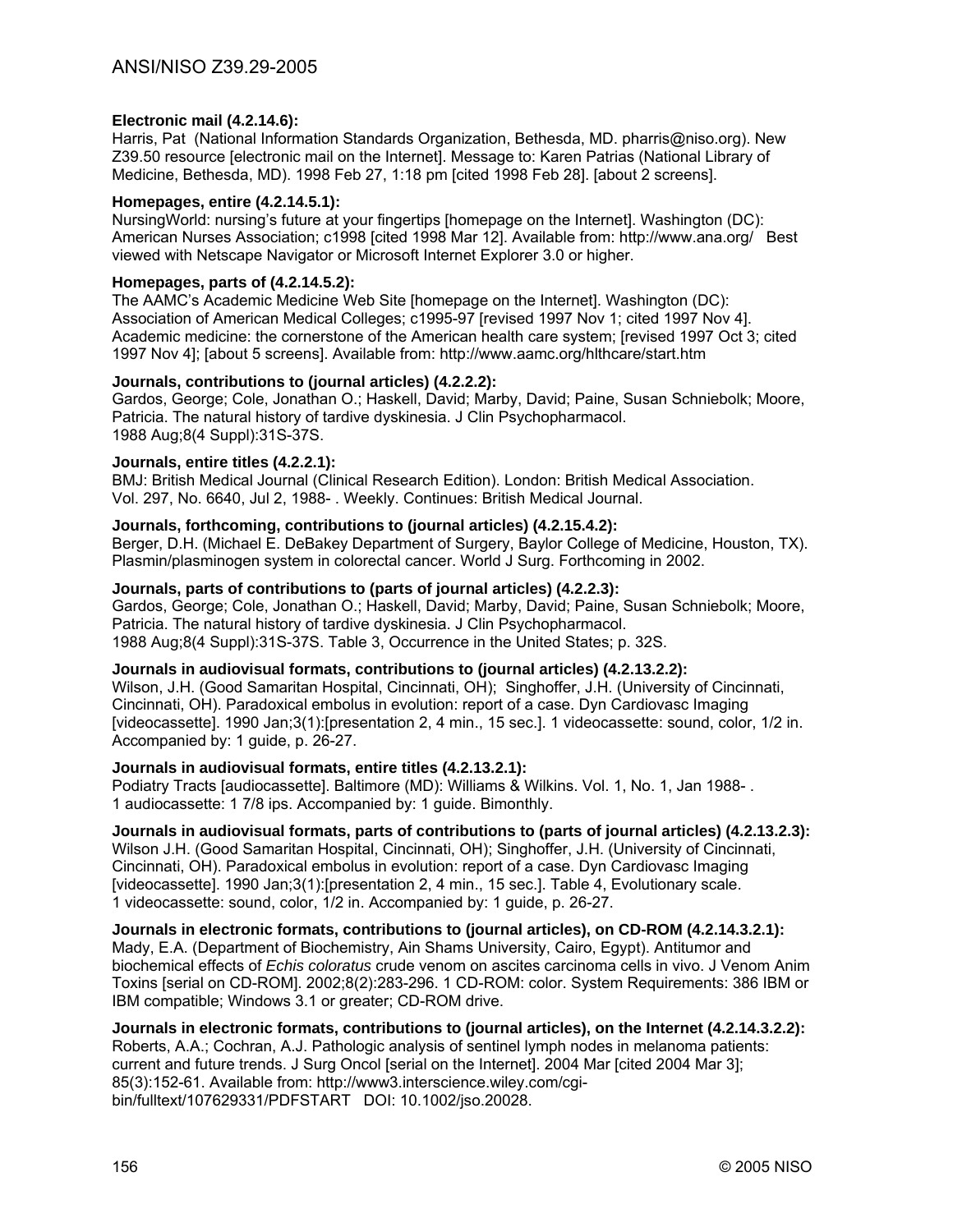# **Electronic mail (4.2.14.6):**

Harris, Pat (National Information Standards Organization, Bethesda, MD. pharris@niso.org). New Z39.50 resource [electronic mail on the Internet]. Message to: Karen Patrias (National Library of Medicine, Bethesda, MD). 1998 Feb 27, 1:18 pm [cited 1998 Feb 28]. [about 2 screens].

#### **Homepages, entire (4.2.14.5.1):**

NursingWorld: nursing's future at your fingertips [homepage on the Internet]. Washington (DC): American Nurses Association; c1998 [cited 1998 Mar 12]. Available from: http://www.ana.org/ Best viewed with Netscape Navigator or Microsoft Internet Explorer 3.0 or higher.

#### **Homepages, parts of (4.2.14.5.2):**

The AAMC's Academic Medicine Web Site [homepage on the Internet]. Washington (DC): Association of American Medical Colleges; c1995-97 [revised 1997 Nov 1; cited 1997 Nov 4]. Academic medicine: the cornerstone of the American health care system; [revised 1997 Oct 3; cited 1997 Nov 4]; [about 5 screens]. Available from: http://www.aamc.org/hlthcare/start.htm

# **Journals, contributions to (journal articles) (4.2.2.2):**

Gardos, George; Cole, Jonathan O.; Haskell, David; Marby, David; Paine, Susan Schniebolk; Moore, Patricia. The natural history of tardive dyskinesia. J Clin Psychopharmacol. 1988 Aug;8(4 Suppl):31S-37S.

# **Journals, entire titles (4.2.2.1):**

BMJ: British Medical Journal (Clinical Research Edition). London: British Medical Association. Vol. 297, No. 6640, Jul 2, 1988- . Weekly. Continues: British Medical Journal.

# **Journals, forthcoming, contributions to (journal articles) (4.2.15.4.2):**

Berger, D.H. (Michael E. DeBakey Department of Surgery, Baylor College of Medicine, Houston, TX). Plasmin/plasminogen system in colorectal cancer. World J Surg. Forthcoming in 2002.

#### **Journals, parts of contributions to (parts of journal articles) (4.2.2.3):**

Gardos, George; Cole, Jonathan O.; Haskell, David; Marby, David; Paine, Susan Schniebolk; Moore, Patricia. The natural history of tardive dyskinesia. J Clin Psychopharmacol. 1988 Aug;8(4 Suppl):31S-37S. Table 3, Occurrence in the United States; p. 32S.

#### **Journals in audiovisual formats, contributions to (journal articles) (4.2.13.2.2):**

Wilson, J.H. (Good Samaritan Hospital, Cincinnati, OH); Singhoffer, J.H. (University of Cincinnati, Cincinnati, OH). Paradoxical embolus in evolution: report of a case. Dyn Cardiovasc Imaging [videocassette]. 1990 Jan;3(1):[presentation 2, 4 min., 15 sec.]. 1 videocassette: sound, color, 1/2 in. Accompanied by: 1 guide, p. 26-27.

#### **Journals in audiovisual formats, entire titles (4.2.13.2.1):**

Podiatry Tracts [audiocassette]. Baltimore (MD): Williams & Wilkins. Vol. 1, No. 1, Jan 1988- . 1 audiocassette: 1 7/8 ips. Accompanied by: 1 guide. Bimonthly.

# **Journals in audiovisual formats, parts of contributions to (parts of journal articles) (4.2.13.2.3):**

Wilson J.H. (Good Samaritan Hospital, Cincinnati, OH); Singhoffer, J.H. (University of Cincinnati, Cincinnati, OH). Paradoxical embolus in evolution: report of a case. Dyn Cardiovasc Imaging [videocassette]. 1990 Jan;3(1):[presentation 2, 4 min., 15 sec.]. Table 4, Evolutionary scale. 1 videocassette: sound, color, 1/2 in. Accompanied by: 1 guide, p. 26-27.

**Journals in electronic formats, contributions to (journal articles), on CD-ROM (4.2.14.3.2.1):**  Mady, E.A. (Department of Biochemistry, Ain Shams University, Cairo, Egypt). Antitumor and biochemical effects of *Echis coloratus* crude venom on ascites carcinoma cells in vivo. J Venom Anim Toxins [serial on CD-ROM]. 2002;8(2):283-296. 1 CD-ROM: color. System Requirements: 386 IBM or IBM compatible; Windows 3.1 or greater; CD-ROM drive.

#### **Journals in electronic formats, contributions to (journal articles), on the Internet (4.2.14.3.2.2):**  Roberts, A.A.; Cochran, A.J. Pathologic analysis of sentinel lymph nodes in melanoma patients: current and future trends. J Surg Oncol [serial on the Internet]. 2004 Mar [cited 2004 Mar 3]; 85(3):152-61. Available from: http://www3.interscience.wiley.com/cgibin/fulltext/107629331/PDFSTART DOI: 10.1002/jso.20028.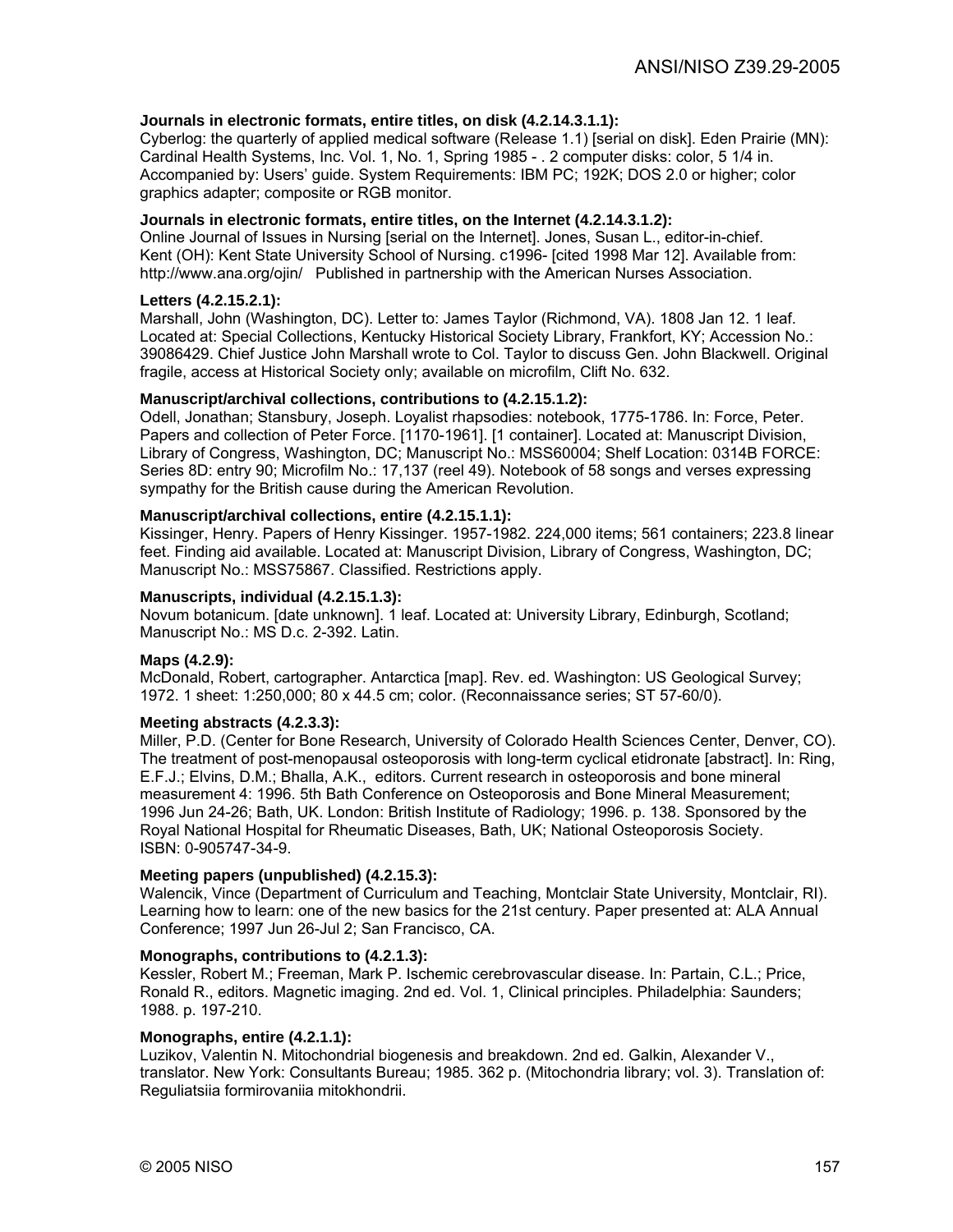# **Journals in electronic formats, entire titles, on disk (4.2.14.3.1.1):**

Cyberlog: the quarterly of applied medical software (Release 1.1) [serial on disk]. Eden Prairie (MN): Cardinal Health Systems, Inc. Vol. 1, No. 1, Spring 1985 - . 2 computer disks: color, 5 1/4 in. Accompanied by: Users' guide. System Requirements: IBM PC; 192K; DOS 2.0 or higher; color graphics adapter; composite or RGB monitor.

#### **Journals in electronic formats, entire titles, on the Internet (4.2.14.3.1.2):**

Online Journal of Issues in Nursing [serial on the Internet]. Jones, Susan L., editor-in-chief. Kent (OH): Kent State University School of Nursing. c1996- [cited 1998 Mar 12]. Available from: http://www.ana.org/ojin/ Published in partnership with the American Nurses Association.

#### **Letters (4.2.15.2.1):**

Marshall, John (Washington, DC). Letter to: James Taylor (Richmond, VA). 1808 Jan 12. 1 leaf. Located at: Special Collections, Kentucky Historical Society Library, Frankfort, KY; Accession No.: 39086429. Chief Justice John Marshall wrote to Col. Taylor to discuss Gen. John Blackwell. Original fragile, access at Historical Society only; available on microfilm, Clift No. 632.

# **Manuscript/archival collections, contributions to (4.2.15.1.2):**

Odell, Jonathan; Stansbury, Joseph. Loyalist rhapsodies: notebook, 1775-1786. In: Force, Peter. Papers and collection of Peter Force. [1170-1961]. [1 container]. Located at: Manuscript Division, Library of Congress, Washington, DC; Manuscript No.: MSS60004; Shelf Location: 0314B FORCE: Series 8D: entry 90; Microfilm No.: 17,137 (reel 49). Notebook of 58 songs and verses expressing sympathy for the British cause during the American Revolution.

#### **Manuscript/archival collections, entire (4.2.15.1.1):**

Kissinger, Henry. Papers of Henry Kissinger. 1957-1982. 224,000 items; 561 containers; 223.8 linear feet. Finding aid available. Located at: Manuscript Division, Library of Congress, Washington, DC; Manuscript No.: MSS75867. Classified. Restrictions apply.

#### **Manuscripts, individual (4.2.15.1.3):**

Novum botanicum. [date unknown]. 1 leaf. Located at: University Library, Edinburgh, Scotland; Manuscript No.: MS D.c. 2-392. Latin.

#### **Maps (4.2.9):**

McDonald, Robert, cartographer. Antarctica [map]. Rev. ed. Washington: US Geological Survey; 1972. 1 sheet: 1:250,000; 80 x 44.5 cm; color. (Reconnaissance series; ST 57-60/0).

#### **Meeting abstracts (4.2.3.3):**

Miller, P.D. (Center for Bone Research, University of Colorado Health Sciences Center, Denver, CO). The treatment of post-menopausal osteoporosis with long-term cyclical etidronate [abstract]. In: Ring, E.F.J.; Elvins, D.M.; Bhalla, A.K., editors. Current research in osteoporosis and bone mineral measurement 4: 1996. 5th Bath Conference on Osteoporosis and Bone Mineral Measurement; 1996 Jun 24-26; Bath, UK. London: British Institute of Radiology; 1996. p. 138. Sponsored by the Royal National Hospital for Rheumatic Diseases, Bath, UK; National Osteoporosis Society. ISBN: 0-905747-34-9.

#### **Meeting papers (unpublished) (4.2.15.3):**

Walencik, Vince (Department of Curriculum and Teaching, Montclair State University, Montclair, RI). Learning how to learn: one of the new basics for the 21st century. Paper presented at: ALA Annual Conference; 1997 Jun 26-Jul 2; San Francisco, CA.

#### **Monographs, contributions to (4.2.1.3):**

Kessler, Robert M.; Freeman, Mark P. Ischemic cerebrovascular disease. In: Partain, C.L.; Price, Ronald R., editors. Magnetic imaging. 2nd ed. Vol. 1, Clinical principles. Philadelphia: Saunders; 1988. p. 197-210.

#### **Monographs, entire (4.2.1.1):**

Luzikov, Valentin N. Mitochondrial biogenesis and breakdown. 2nd ed. Galkin, Alexander V., translator. New York: Consultants Bureau; 1985. 362 p. (Mitochondria library; vol. 3). Translation of: Reguliatsiia formirovaniia mitokhondrii.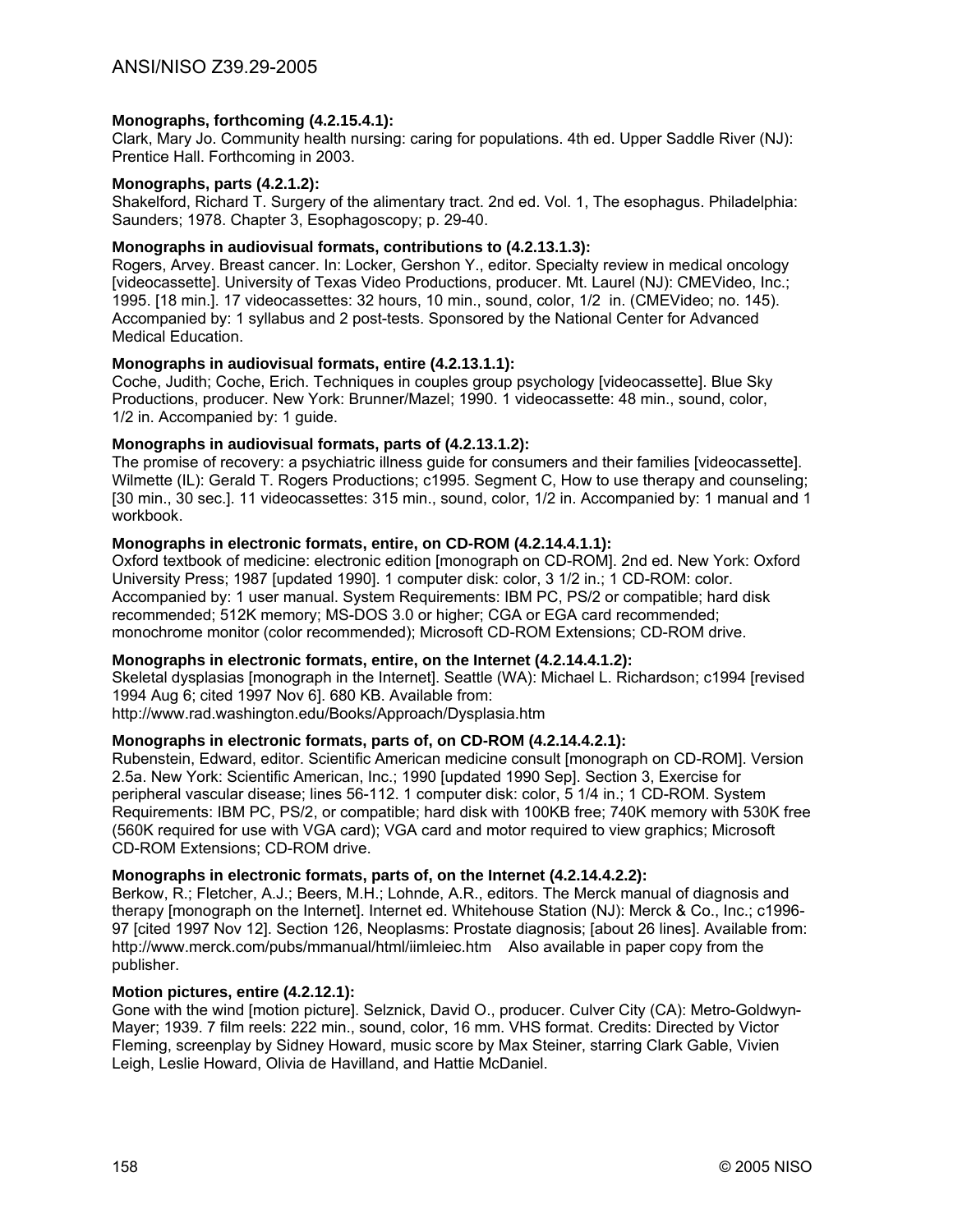# **Monographs, forthcoming (4.2.15.4.1):**

Clark, Mary Jo. Community health nursing: caring for populations. 4th ed. Upper Saddle River (NJ): Prentice Hall. Forthcoming in 2003.

#### **Monographs, parts (4.2.1.2):**

Shakelford, Richard T. Surgery of the alimentary tract. 2nd ed. Vol. 1, The esophagus. Philadelphia: Saunders; 1978. Chapter 3, Esophagoscopy; p. 29-40.

# **Monographs in audiovisual formats, contributions to (4.2.13.1.3):**

Rogers, Arvey. Breast cancer. In: Locker, Gershon Y., editor. Specialty review in medical oncology [videocassette]. University of Texas Video Productions, producer. Mt. Laurel (NJ): CMEVideo, Inc.; 1995. [18 min.]. 17 videocassettes: 32 hours, 10 min., sound, color, 1/2 in. (CMEVideo; no. 145). Accompanied by: 1 syllabus and 2 post-tests. Sponsored by the National Center for Advanced Medical Education.

# **Monographs in audiovisual formats, entire (4.2.13.1.1):**

Coche, Judith; Coche, Erich. Techniques in couples group psychology [videocassette]. Blue Sky Productions, producer. New York: Brunner/Mazel; 1990. 1 videocassette: 48 min., sound, color, 1/2 in. Accompanied by: 1 guide.

# **Monographs in audiovisual formats, parts of (4.2.13.1.2):**

The promise of recovery: a psychiatric illness guide for consumers and their families [videocassette]. Wilmette (IL): Gerald T. Rogers Productions; c1995. Segment C, How to use therapy and counseling; [30 min., 30 sec.]. 11 videocassettes: 315 min., sound, color, 1/2 in. Accompanied by: 1 manual and 1 workbook.

# **Monographs in electronic formats, entire, on CD-ROM (4.2.14.4.1.1):**

Oxford textbook of medicine: electronic edition [monograph on CD-ROM]. 2nd ed. New York: Oxford University Press; 1987 [updated 1990]. 1 computer disk: color, 3 1/2 in.; 1 CD-ROM: color. Accompanied by: 1 user manual. System Requirements: IBM PC, PS/2 or compatible; hard disk recommended; 512K memory; MS-DOS 3.0 or higher; CGA or EGA card recommended; monochrome monitor (color recommended); Microsoft CD-ROM Extensions; CD-ROM drive.

#### **Monographs in electronic formats, entire, on the Internet (4.2.14.4.1.2):**

Skeletal dysplasias [monograph in the Internet]. Seattle (WA): Michael L. Richardson; c1994 [revised 1994 Aug 6; cited 1997 Nov 6]. 680 KB. Available from:

http://www.rad.washington.edu/Books/Approach/Dysplasia.htm

# **Monographs in electronic formats, parts of, on CD-ROM (4.2.14.4.2.1):**

Rubenstein, Edward, editor. Scientific American medicine consult [monograph on CD-ROM]. Version 2.5a. New York: Scientific American, Inc.; 1990 [updated 1990 Sep]. Section 3, Exercise for peripheral vascular disease; lines 56-112. 1 computer disk: color, 5 1/4 in.; 1 CD-ROM. System Requirements: IBM PC, PS/2, or compatible; hard disk with 100KB free; 740K memory with 530K free (560K required for use with VGA card); VGA card and motor required to view graphics; Microsoft CD-ROM Extensions; CD-ROM drive.

#### **Monographs in electronic formats, parts of, on the Internet (4.2.14.4.2.2):**

Berkow, R.; Fletcher, A.J.; Beers, M.H.; Lohnde, A.R., editors. The Merck manual of diagnosis and therapy [monograph on the Internet]. Internet ed. Whitehouse Station (NJ): Merck & Co., Inc.; c1996- 97 [cited 1997 Nov 12]. Section 126, Neoplasms: Prostate diagnosis; [about 26 lines]. Available from: http://www.merck.com/pubs/mmanual/html/iimleiec.htm Also available in paper copy from the publisher.

# **Motion pictures, entire (4.2.12.1):**

Gone with the wind [motion picture]. Selznick, David O., producer. Culver City (CA): Metro-Goldwyn-Mayer; 1939. 7 film reels: 222 min., sound, color, 16 mm. VHS format. Credits: Directed by Victor Fleming, screenplay by Sidney Howard, music score by Max Steiner, starring Clark Gable, Vivien Leigh, Leslie Howard, Olivia de Havilland, and Hattie McDaniel.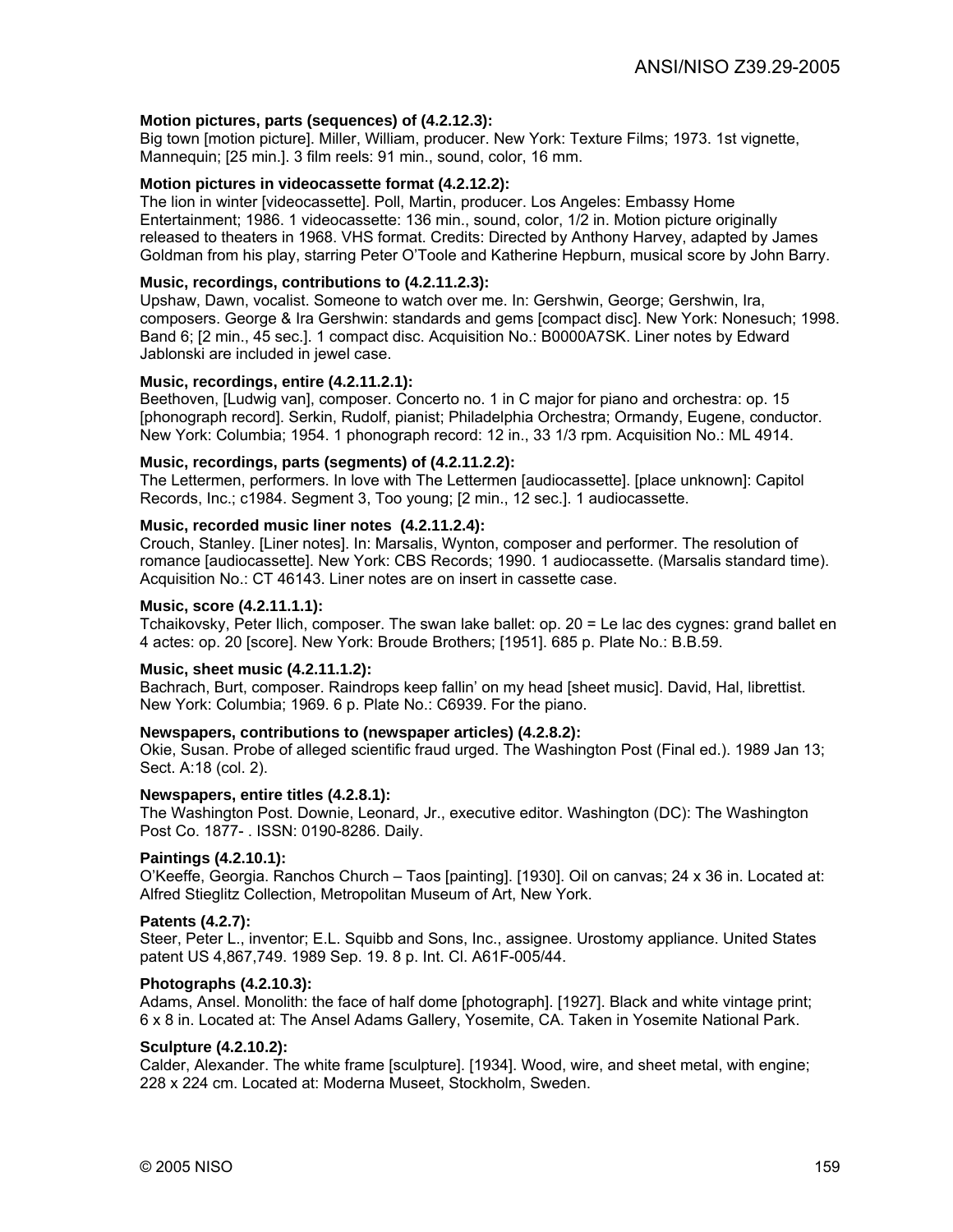#### **Motion pictures, parts (sequences) of (4.2.12.3):**

Big town [motion picture]. Miller, William, producer. New York: Texture Films; 1973. 1st vignette, Mannequin; [25 min.]. 3 film reels: 91 min., sound, color, 16 mm.

# **Motion pictures in videocassette format (4.2.12.2):**

The lion in winter [videocassette]. Poll, Martin, producer. Los Angeles: Embassy Home Entertainment; 1986. 1 videocassette: 136 min., sound, color, 1/2 in. Motion picture originally released to theaters in 1968. VHS format. Credits: Directed by Anthony Harvey, adapted by James Goldman from his play, starring Peter O'Toole and Katherine Hepburn, musical score by John Barry.

# **Music, recordings, contributions to (4.2.11.2.3):**

Upshaw, Dawn, vocalist. Someone to watch over me. In: Gershwin, George; Gershwin, Ira, composers. George & Ira Gershwin: standards and gems [compact disc]. New York: Nonesuch; 1998. Band 6; [2 min., 45 sec.]. 1 compact disc. Acquisition No.: B0000A7SK. Liner notes by Edward Jablonski are included in jewel case.

# **Music, recordings, entire (4.2.11.2.1):**

Beethoven, [Ludwig van], composer. Concerto no. 1 in C major for piano and orchestra: op. 15 [phonograph record]. Serkin, Rudolf, pianist; Philadelphia Orchestra; Ormandy, Eugene, conductor. New York: Columbia; 1954. 1 phonograph record: 12 in., 33 1/3 rpm. Acquisition No.: ML 4914.

### **Music, recordings, parts (segments) of (4.2.11.2.2):**

The Lettermen, performers. In love with The Lettermen [audiocassette]. [place unknown]: Capitol Records, Inc.; c1984. Segment 3, Too young; [2 min., 12 sec.]. 1 audiocassette.

#### **Music, recorded music liner notes (4.2.11.2.4):**

Crouch, Stanley. [Liner notes]. In: Marsalis, Wynton, composer and performer. The resolution of romance [audiocassette]. New York: CBS Records; 1990. 1 audiocassette. (Marsalis standard time). Acquisition No.: CT 46143. Liner notes are on insert in cassette case.

#### **Music, score (4.2.11.1.1):**

Tchaikovsky, Peter Ilich, composer. The swan lake ballet: op. 20 = Le lac des cygnes: grand ballet en 4 actes: op. 20 [score]. New York: Broude Brothers; [1951]. 685 p. Plate No.: B.B.59.

#### **Music, sheet music (4.2.11.1.2):**

Bachrach, Burt, composer. Raindrops keep fallin' on my head [sheet music]. David, Hal, librettist. New York: Columbia; 1969. 6 p. Plate No.: C6939. For the piano.

#### **Newspapers, contributions to (newspaper articles) (4.2.8.2):**

Okie, Susan. Probe of alleged scientific fraud urged. The Washington Post (Final ed.). 1989 Jan 13; Sect. A:18 (col. 2).

#### **Newspapers, entire titles (4.2.8.1):**

The Washington Post. Downie, Leonard, Jr., executive editor. Washington (DC): The Washington Post Co. 1877- . ISSN: 0190-8286. Daily.

#### **Paintings (4.2.10.1):**

O'Keeffe, Georgia. Ranchos Church – Taos [painting]. [1930]. Oil on canvas; 24 x 36 in. Located at: Alfred Stieglitz Collection, Metropolitan Museum of Art, New York.

#### **Patents (4.2.7):**

Steer, Peter L., inventor; E.L. Squibb and Sons, Inc., assignee. Urostomy appliance. United States patent US 4,867,749. 1989 Sep. 19. 8 p. Int. Cl. A61F-005/44.

### **Photographs (4.2.10.3):**

Adams, Ansel. Monolith: the face of half dome [photograph]. [1927]. Black and white vintage print; 6 x 8 in. Located at: The Ansel Adams Gallery, Yosemite, CA. Taken in Yosemite National Park.

#### **Sculpture (4.2.10.2):**

Calder, Alexander. The white frame [sculpture]. [1934]. Wood, wire, and sheet metal, with engine; 228 x 224 cm. Located at: Moderna Museet, Stockholm, Sweden.